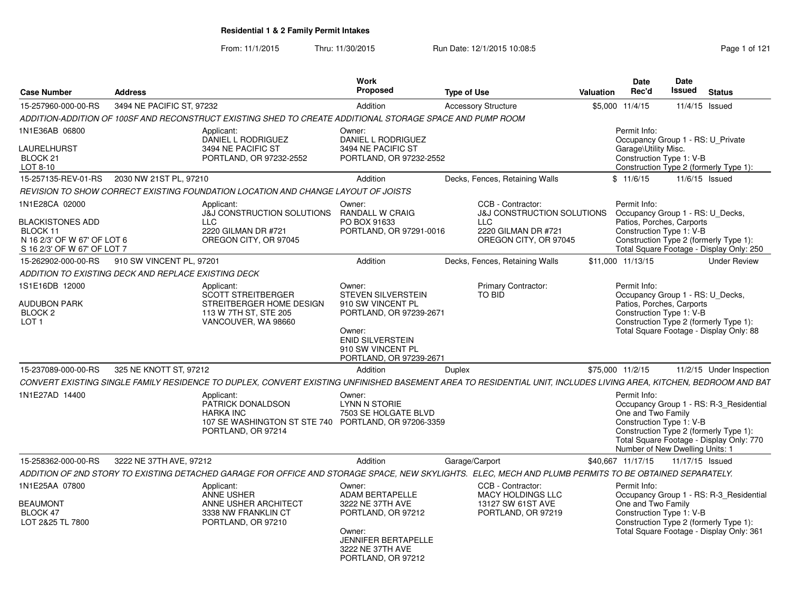From: 11/1/2015Thru: 11/30/2015 Run Date: 12/1/2015 10:08:5<br>
Page 1 of 121

| <b>Case Number</b>                                                                                                  | <b>Address</b>            |                                                                                                                                                                                                                                                                                                        | Work<br><b>Proposed</b>                                                                                                                                                                        | Type of Use                                                                                                              | Valuation        | Date<br>Rec'd                        | <b>Date</b><br>Issued                                                                     | <b>Status</b>                                                                                                                 |
|---------------------------------------------------------------------------------------------------------------------|---------------------------|--------------------------------------------------------------------------------------------------------------------------------------------------------------------------------------------------------------------------------------------------------------------------------------------------------|------------------------------------------------------------------------------------------------------------------------------------------------------------------------------------------------|--------------------------------------------------------------------------------------------------------------------------|------------------|--------------------------------------|-------------------------------------------------------------------------------------------|-------------------------------------------------------------------------------------------------------------------------------|
| 15-257960-000-00-RS                                                                                                 | 3494 NE PACIFIC ST, 97232 |                                                                                                                                                                                                                                                                                                        | Addition                                                                                                                                                                                       | <b>Accessory Structure</b>                                                                                               |                  | \$5,000 11/4/15                      | 11/4/15 Issued                                                                            |                                                                                                                               |
|                                                                                                                     |                           | ADDITION-ADDITION OF 100SF AND RECONSTRUCT EXISTING SHED TO CREATE ADDITIONAL STORAGE SPACE AND PUMP ROOM                                                                                                                                                                                              |                                                                                                                                                                                                |                                                                                                                          |                  |                                      |                                                                                           |                                                                                                                               |
| 1N1E36AB 06800<br><b>AURELHURST</b><br>BLOCK 21<br>LOT 8-10                                                         |                           | Applicant:<br>DANIEL L RODRIGUEZ<br>3494 NE PACIFIC ST<br>PORTLAND, OR 97232-2552                                                                                                                                                                                                                      | Owner:<br>DANIEL L RODRIGUEZ<br>3494 NE PACIFIC ST<br>PORTLAND, OR 97232-2552                                                                                                                  |                                                                                                                          |                  | Permit Info:<br>Garage\Utility Misc. | Occupancy Group 1 - RS: U_Private<br>Construction Type 1: V-B                             | Construction Type 2 (formerly Type 1):                                                                                        |
| 15-257135-REV-01-RS                                                                                                 | 2030 NW 21ST PL, 97210    |                                                                                                                                                                                                                                                                                                        | Addition                                                                                                                                                                                       | Decks, Fences, Retaining Walls                                                                                           |                  | \$11/6/15                            | 11/6/15 Issued                                                                            |                                                                                                                               |
|                                                                                                                     |                           | REVISION TO SHOW CORRECT EXISTING FOUNDATION LOCATION AND CHANGE LAYOUT OF JOISTS                                                                                                                                                                                                                      |                                                                                                                                                                                                |                                                                                                                          |                  |                                      |                                                                                           |                                                                                                                               |
| 1N1E28CA 02000<br><b>BLACKISTONES ADD</b><br>BLOCK 11<br>N 16 2/3' OF W 67' OF LOT 6<br>S 16 2/3' OF W 67' OF LOT 7 |                           | Applicant:<br>J&J CONSTRUCTION SOLUTIONS<br><b>LLC</b><br>2220 GILMAN DR #721<br>OREGON CITY, OR 97045                                                                                                                                                                                                 | Owner:<br><b>RANDALL W CRAIG</b><br>PO BOX 91633<br>PORTLAND, OR 97291-0016                                                                                                                    | CCB - Contractor:<br><b>J&amp;J CONSTRUCTION SOLUTIONS</b><br><b>LLC</b><br>2220 GILMAN DR #721<br>OREGON CITY, OR 97045 |                  | Permit Info:                         | Occupancy Group 1 - RS: U_Decks,<br>Patios, Porches, Carports<br>Construction Type 1: V-B | Construction Type 2 (formerly Type 1):<br>Total Square Footage - Display Only: 250                                            |
| 15-262902-000-00-RS                                                                                                 | 910 SW VINCENT PL, 97201  |                                                                                                                                                                                                                                                                                                        | Addition                                                                                                                                                                                       | Decks, Fences, Retaining Walls                                                                                           |                  | \$11,000 11/13/15                    |                                                                                           | <b>Under Review</b>                                                                                                           |
| ADDITION TO EXISTING DECK AND REPLACE EXISTING DECK                                                                 |                           |                                                                                                                                                                                                                                                                                                        |                                                                                                                                                                                                |                                                                                                                          |                  |                                      |                                                                                           |                                                                                                                               |
| 1S1E16DB 12000<br><b>AUDUBON PARK</b><br>BLOCK <sub>2</sub><br>LOT 1<br>15-237089-000-00-RS<br>1N1E27AD 14400       | 325 NE KNOTT ST, 97212    | Applicant:<br><b>SCOTT STREITBERGER</b><br>STREITBERGER HOME DESIGN<br>113 W 7TH ST, STE 205<br>VANCOUVER, WA 98660<br>CONVERT EXISTING SINGLE FAMILY RESIDENCE TO DUPLEX, CONVERT EXISTING UNFINISHED BASEMENT AREA TO RESIDENTIAL UNIT, INCLUDES LIVING AREA, KITCHEN, BEDROOM AND BAT<br>Applicant: | Owner:<br><b>STEVEN SILVERSTEIN</b><br>910 SW VINCENT PL<br>PORTLAND, OR 97239-2671<br>Owner:<br><b>ENID SILVERSTEIN</b><br>910 SW VINCENT PL<br>PORTLAND, OR 97239-2671<br>Addition<br>Owner: | <b>Primary Contractor:</b><br><b>TO BID</b><br>Duplex                                                                    | \$75,000 11/2/15 | Permit Info:<br>Permit Info:         | Occupancy Group 1 - RS: U_Decks,<br>Patios, Porches, Carports<br>Construction Type 1: V-B | Construction Type 2 (formerly Type 1):<br>Total Square Footage - Display Only: 88<br>11/2/15 Under Inspection                 |
|                                                                                                                     |                           | PATRICK DONALDSON<br><b>HARKA INC</b><br>107 SE WASHINGTON ST STE 740 PORTLAND, OR 97206-3359<br>PORTLAND, OR 97214                                                                                                                                                                                    | <b>LYNN N STORIE</b><br>7503 SE HOLGATE BLVD                                                                                                                                                   |                                                                                                                          |                  | One and Two Family                   | Construction Type 1: V-B<br>Number of New Dwelling Units: 1                               | Occupancy Group 1 - RS: R-3_Residential<br>Construction Type 2 (formerly Type 1):<br>Total Square Footage - Display Only: 770 |
| 15-258362-000-00-RS                                                                                                 | 3222 NE 37TH AVE, 97212   |                                                                                                                                                                                                                                                                                                        | Addition                                                                                                                                                                                       | Garage/Carport                                                                                                           |                  | \$40,667 11/17/15                    | 11/17/15 Issued                                                                           |                                                                                                                               |
|                                                                                                                     |                           | ADDITION OF 2ND STORY TO EXISTING DETACHED GARAGE FOR OFFICE AND STORAGE SPACE, NEW SKYLIGHTS. ELEC, MECH AND PLUMB PERMITS TO BE OBTAINED SEPARATELY.                                                                                                                                                 |                                                                                                                                                                                                |                                                                                                                          |                  |                                      |                                                                                           |                                                                                                                               |
| 1N1E25AA 07800<br><b>BEAUMONT</b><br>BLOCK 47<br>LOT 2&25 TL 7800                                                   |                           | Applicant:<br><b>ANNE USHER</b><br>ANNE USHER ARCHITECT<br>3338 NW FRANKLIN CT<br>PORTLAND, OR 97210                                                                                                                                                                                                   | Owner:<br><b>ADAM BERTAPELLE</b><br>3222 NE 37TH AVE<br>PORTLAND, OR 97212<br>Owner:<br><b>JENNIFER BERTAPELLE</b><br>3222 NE 37TH AVE<br>PORTLAND, OR 97212                                   | CCB - Contractor:<br><b>MACY HOLDINGS LLC</b><br>13127 SW 61ST AVE<br>PORTLAND, OR 97219                                 |                  | Permit Info:<br>One and Two Family   | Construction Type 1: V-B                                                                  | Occupancy Group 1 - RS: R-3_Residential<br>Construction Type 2 (formerly Type 1):<br>Total Square Footage - Display Only: 361 |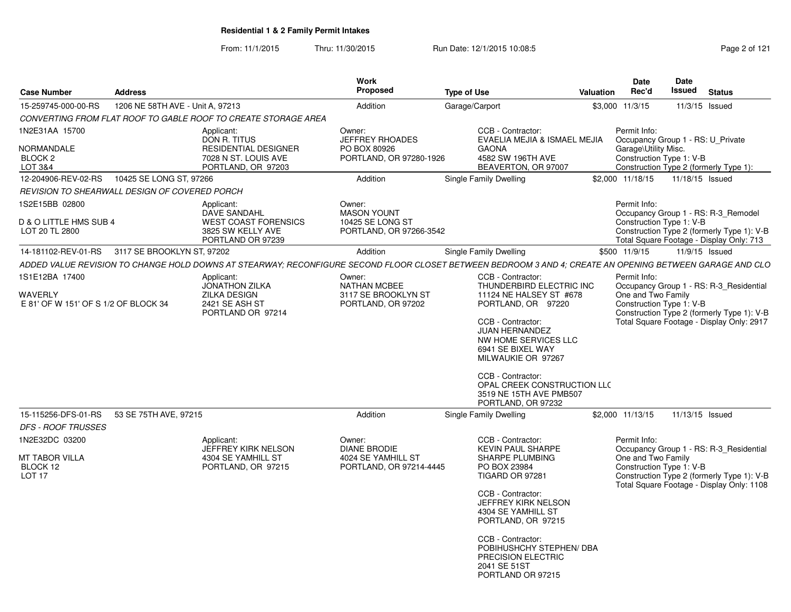From: 11/1/2015Thru: 11/30/2015 Run Date: 12/1/2015 10:08:5<br>
Rage 2 of 121

| <b>Case Number</b>                                                                             | <b>Address</b>                   |                                                                                                            | <b>Work</b><br><b>Proposed</b>                                                 | <b>Type of Use</b>                                                                                                                                                                                                                                                                                                   | Valuation | <b>Date</b><br>Rec'd                                                                                  | Date<br><b>Issued</b> | <b>Status</b>                                                                                                                      |
|------------------------------------------------------------------------------------------------|----------------------------------|------------------------------------------------------------------------------------------------------------|--------------------------------------------------------------------------------|----------------------------------------------------------------------------------------------------------------------------------------------------------------------------------------------------------------------------------------------------------------------------------------------------------------------|-----------|-------------------------------------------------------------------------------------------------------|-----------------------|------------------------------------------------------------------------------------------------------------------------------------|
| 15-259745-000-00-RS                                                                            | 1206 NE 58TH AVE - Unit A, 97213 |                                                                                                            | Addition                                                                       | Garage/Carport                                                                                                                                                                                                                                                                                                       |           | \$3,000 11/3/15                                                                                       | 11/3/15 Issued        |                                                                                                                                    |
|                                                                                                |                                  | CONVERTING FROM FLAT ROOF TO GABLE ROOF TO CREATE STORAGE AREA                                             |                                                                                |                                                                                                                                                                                                                                                                                                                      |           |                                                                                                       |                       |                                                                                                                                    |
| 1N2E31AA 15700<br>NORMANDALE<br>BLOCK <sub>2</sub><br>LOT 3&4                                  |                                  | Applicant:<br>DON R. TITUS<br>RESIDENTIAL DESIGNER<br>7028 N ST. LOUIS AVE<br>PORTLAND, OR 97203           | Owner:<br><b>JEFFREY RHOADES</b><br>PO BOX 80926<br>PORTLAND, OR 97280-1926    | CCB - Contractor:<br>EVAELIA MEJIA & ISMAEL MEJIA<br><b>GAONA</b><br>4582 SW 196TH AVE<br>BEAVERTON, OR 97007                                                                                                                                                                                                        |           | Permit Info:<br>Occupancy Group 1 - RS: U_Private<br>Garage\Utility Misc.<br>Construction Type 1: V-B |                       | Construction Type 2 (formerly Type 1):                                                                                             |
| 12-204906-REV-02-RS                                                                            | 10425 SE LONG ST, 97266          |                                                                                                            | Addition                                                                       | Single Family Dwelling                                                                                                                                                                                                                                                                                               |           | \$2,000 11/18/15                                                                                      | 11/18/15 Issued       |                                                                                                                                    |
| REVISION TO SHEARWALL DESIGN OF COVERED PORCH                                                  |                                  |                                                                                                            |                                                                                |                                                                                                                                                                                                                                                                                                                      |           |                                                                                                       |                       |                                                                                                                                    |
| 1S2E15BB 02800<br>D & O LITTLE HMS SUB 4<br>LOT 20 TL 2800                                     |                                  | Applicant:<br><b>DAVE SANDAHL</b><br><b>WEST COAST FORENSICS</b><br>3825 SW KELLY AVE<br>PORTLAND OR 97239 | Owner:<br><b>MASON YOUNT</b><br>10425 SE LONG ST<br>PORTLAND, OR 97266-3542    |                                                                                                                                                                                                                                                                                                                      |           | Permit Info:<br>Construction Type 1: V-B                                                              |                       | Occupancy Group 1 - RS: R-3_Remodel<br>Construction Type 2 (formerly Type 1): V-B<br>Total Square Footage - Display Only: 713      |
| 14-181102-REV-01-RS                                                                            | 3117 SE BROOKLYN ST, 97202       |                                                                                                            | Addition                                                                       | Single Family Dwelling                                                                                                                                                                                                                                                                                               |           | \$500 11/9/15                                                                                         | 11/9/15 Issued        |                                                                                                                                    |
|                                                                                                |                                  |                                                                                                            |                                                                                | ADDED VALUE REVISION TO CHANGE HOLD DOWNS AT STEARWAY; RECONFIGURE SECOND FLOOR CLOSET BETWEEN BEDROOM 3 AND 4; CREATE AN OPENING BETWEEN GARAGE AND CLO                                                                                                                                                             |           |                                                                                                       |                       |                                                                                                                                    |
| 1S1E12BA 17400<br>WAVERLY<br>E 81' OF W 151' OF S 1/2 OF BLOCK 34                              |                                  | Applicant:<br><b>JONATHON ZILKA</b><br><b>ZILKA DESIGN</b><br>2421 SE ASH ST<br>PORTLAND OR 97214          | Owner:<br><b>NATHAN MCBEE</b><br>3117 SE BROOKLYN ST<br>PORTLAND, OR 97202     | CCB - Contractor:<br>THUNDERBIRD ELECTRIC INC<br>11124 NE HALSEY ST #678<br>PORTLAND, OR 97220<br>CCB - Contractor:<br><b>JUAN HERNANDEZ</b><br>NW HOME SERVICES LLC<br>6941 SE BIXEL WAY<br>MILWAUKIE OR 97267<br>CCB - Contractor:<br>OPAL CREEK CONSTRUCTION LLC<br>3519 NE 15TH AVE PMB507<br>PORTLAND, OR 97232 |           | Permit Info:<br>One and Two Family<br>Construction Type 1: V-B                                        |                       | Occupancy Group 1 - RS: R-3 Residential<br>Construction Type 2 (formerly Type 1): V-B<br>Total Square Footage - Display Only: 2917 |
| 15-115256-DFS-01-RS                                                                            | 53 SE 75TH AVE, 97215            |                                                                                                            | Addition                                                                       | Single Family Dwelling                                                                                                                                                                                                                                                                                               |           | \$2,000 11/13/15                                                                                      | 11/13/15 Issued       |                                                                                                                                    |
| <b>DFS - ROOF TRUSSES</b><br>1N2E32DC 03200<br>MT TABOR VILLA<br>BLOCK 12<br>LOT <sub>17</sub> |                                  | Applicant:<br>JEFFREY KIRK NELSON<br>4304 SE YAMHILL ST<br>PORTLAND, OR 97215                              | Owner:<br><b>DIANE BRODIE</b><br>4024 SE YAMHILL ST<br>PORTLAND, OR 97214-4445 | CCB - Contractor:<br><b>KEVIN PAUL SHARPE</b><br>SHARPE PLUMBING<br>PO BOX 23984<br>TIGARD OR 97281<br>CCB - Contractor:<br>JEFFREY KIRK NELSON<br>4304 SE YAMHILL ST<br>PORTLAND, OR 97215<br>CCB - Contractor:<br>POBIHUSHCHY STEPHEN/ DBA<br><b>PRECISION ELECTRIC</b><br>2041 SE 51ST<br>PORTLAND OR 97215       |           | Permit Info:<br>One and Two Family<br>Construction Type 1: V-B                                        |                       | Occupancy Group 1 - RS: R-3_Residential<br>Construction Type 2 (formerly Type 1): V-B<br>Total Square Footage - Display Only: 1108 |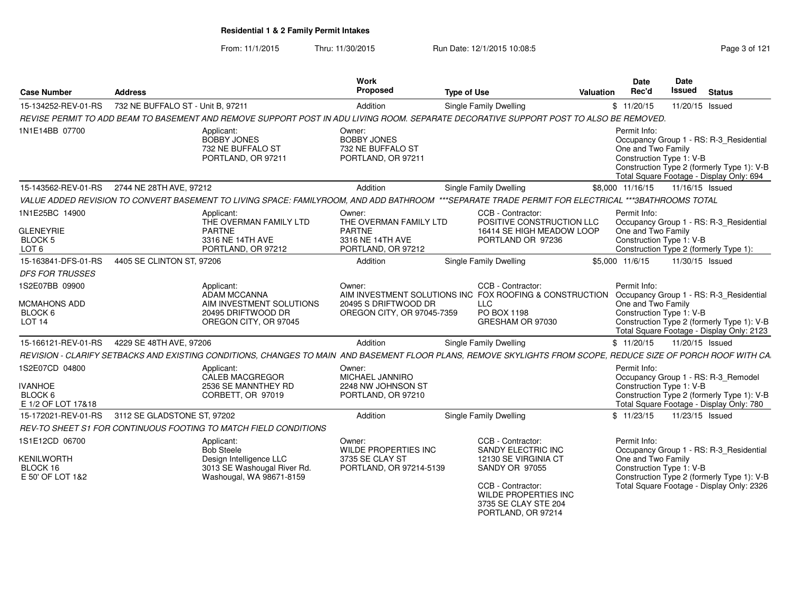From: 11/1/2015Thru: 11/30/2015 **Run Date: 12/1/2015 10:08:5** Phru: 11/30/2015 9 age 3 of 121

| <b>Case Number</b>                                                       | <b>Address</b>                    |                                                                                                                                                                | <b>Work</b><br>Proposed                                                                                                 | <b>Type of Use</b>            |                                                                                                                                                                                     | <b>Valuation</b> | Date<br>Rec'd                                                                                                                                                                                       | Date<br><b>Issued</b> | <b>Status</b>                                                                                                                      |  |  |  |
|--------------------------------------------------------------------------|-----------------------------------|----------------------------------------------------------------------------------------------------------------------------------------------------------------|-------------------------------------------------------------------------------------------------------------------------|-------------------------------|-------------------------------------------------------------------------------------------------------------------------------------------------------------------------------------|------------------|-----------------------------------------------------------------------------------------------------------------------------------------------------------------------------------------------------|-----------------------|------------------------------------------------------------------------------------------------------------------------------------|--|--|--|
| 15-134252-REV-01-RS                                                      | 732 NE BUFFALO ST - Unit B, 97211 |                                                                                                                                                                | Addition                                                                                                                | Single Family Dwelling        |                                                                                                                                                                                     |                  | \$11/20/15                                                                                                                                                                                          |                       | 11/20/15 Issued                                                                                                                    |  |  |  |
|                                                                          |                                   | REVISE PERMIT TO ADD BEAM TO BASEMENT AND REMOVE SUPPORT POST IN ADU LIVING ROOM. SEPARATE DECORATIVE SUPPORT POST TO ALSO BE REMOVED.                         |                                                                                                                         |                               |                                                                                                                                                                                     |                  |                                                                                                                                                                                                     |                       |                                                                                                                                    |  |  |  |
| 1N1E14BB 07700                                                           |                                   | Applicant:<br><b>BOBBY JONES</b><br>732 NE BUFFALO ST<br>PORTLAND, OR 97211                                                                                    | Owner:<br><b>BOBBY JONES</b><br>732 NE BUFFALO ST<br>PORTLAND, OR 97211                                                 |                               |                                                                                                                                                                                     |                  | Permit Info:<br>Occupancy Group 1 - RS: R-3 Residential<br>One and Two Family<br>Construction Type 1: V-B<br>Construction Type 2 (formerly Type 1): V-B<br>Total Square Footage - Display Only: 694 |                       |                                                                                                                                    |  |  |  |
| 15-143562-REV-01-RS                                                      | 2744 NE 28TH AVE, 97212           |                                                                                                                                                                | Addition                                                                                                                | Single Family Dwelling        |                                                                                                                                                                                     |                  | \$8,000 11/16/15                                                                                                                                                                                    |                       | 11/16/15 Issued                                                                                                                    |  |  |  |
|                                                                          |                                   | VALUE ADDED REVISION TO CONVERT BASEMENT TO LIVING SPACE: FAMILYROOM, AND ADD BATHROOM ***SEPARATE TRADE PERMIT FOR ELECTRICAL ***3BATHROOMS TOTAL             |                                                                                                                         |                               |                                                                                                                                                                                     |                  |                                                                                                                                                                                                     |                       |                                                                                                                                    |  |  |  |
| 1N1E25BC 14900<br><b>GLENEYRIE</b><br><b>BLOCK 5</b><br>LOT <sub>6</sub> |                                   | Applicant:<br>THE OVERMAN FAMILY LTD<br><b>PARTNE</b><br>3316 NE 14TH AVE<br>PORTLAND, OR 97212                                                                | Owner:<br>THE OVERMAN FAMILY LTD<br><b>PARTNE</b><br>3316 NE 14TH AVE<br>PORTLAND, OR 97212                             |                               | CCB - Contractor:<br>POSITIVE CONSTRUCTION LLC<br>16414 SE HIGH MEADOW LOOP<br>PORTLAND OR 97236                                                                                    |                  | Permit Info:<br>One and Two Family<br>Construction Type 1: V-B                                                                                                                                      |                       | Occupancy Group 1 - RS: R-3_Residential<br>Construction Type 2 (formerly Type 1):                                                  |  |  |  |
| 15-163841-DFS-01-RS                                                      | 4405 SE CLINTON ST, 97206         |                                                                                                                                                                | Addition                                                                                                                | Single Family Dwelling        |                                                                                                                                                                                     |                  | \$5,000 11/6/15                                                                                                                                                                                     |                       | 11/30/15 Issued                                                                                                                    |  |  |  |
| <b>DFS FOR TRUSSES</b>                                                   |                                   |                                                                                                                                                                |                                                                                                                         |                               |                                                                                                                                                                                     |                  |                                                                                                                                                                                                     |                       |                                                                                                                                    |  |  |  |
| 1S2E07BB 09900<br><b>MCMAHONS ADD</b><br>BLOCK 6<br>LOT <sub>14</sub>    |                                   | Applicant:<br><b>ADAM MCCANNA</b><br>AIM INVESTMENT SOLUTIONS<br>20495 DRIFTWOOD DR<br>OREGON CITY, OR 97045                                                   | Owner:<br>AIM INVESTMENT SOLUTIONS INC FOX ROOFING & CONSTRUCTION<br>20495 S DRIFTWOOD DR<br>OREGON CITY, OR 97045-7359 | <b>LLC</b><br>PO BOX 1198     | CCB - Contractor:<br>GRESHAM OR 97030                                                                                                                                               |                  | Permit Info:<br>One and Two Family<br>Construction Type 1: V-B                                                                                                                                      |                       | Occupancy Group 1 - RS: R-3 Residential<br>Construction Type 2 (formerly Type 1): V-B<br>Total Square Footage - Display Only: 2123 |  |  |  |
| 15-166121-REV-01-RS                                                      | 4229 SE 48TH AVE, 97206           |                                                                                                                                                                | Addition                                                                                                                | Single Family Dwelling        |                                                                                                                                                                                     |                  | \$11/20/15                                                                                                                                                                                          |                       | 11/20/15 Issued                                                                                                                    |  |  |  |
|                                                                          |                                   | REVISION - CLARIFY SETBACKS AND EXISTING CONDITIONS, CHANGES TO MAIN AND BASEMENT FLOOR PLANS, REMOVE SKYLIGHTS FROM SCOPE, REDUCE SIZE OF PORCH ROOF WITH CA. |                                                                                                                         |                               |                                                                                                                                                                                     |                  |                                                                                                                                                                                                     |                       |                                                                                                                                    |  |  |  |
| 1S2E07CD 04800<br><b>IVANHOE</b><br>BLOCK 6<br>E 1/2 OF LOT 17&18        |                                   | Applicant:<br><b>CALEB MACGREGOR</b><br>2536 SE MANNTHEY RD<br>CORBETT, OR 97019                                                                               | Owner:<br>MICHAEL JANNIRO<br>2248 NW JOHNSON ST<br>PORTLAND, OR 97210                                                   |                               |                                                                                                                                                                                     |                  | Permit Info:<br>Construction Type 1: V-B                                                                                                                                                            |                       | Occupancy Group 1 - RS: R-3_Remodel<br>Construction Type 2 (formerly Type 1): V-B<br>Total Square Footage - Display Only: 780      |  |  |  |
| 15-172021-REV-01-RS                                                      | 3112 SE GLADSTONE ST, 97202       |                                                                                                                                                                | Addition                                                                                                                | <b>Single Family Dwelling</b> |                                                                                                                                                                                     |                  | \$11/23/15                                                                                                                                                                                          |                       | 11/23/15 Issued                                                                                                                    |  |  |  |
|                                                                          |                                   | REV-TO SHEET S1 FOR CONTINUOUS FOOTING TO MATCH FIELD CONDITIONS                                                                                               |                                                                                                                         |                               |                                                                                                                                                                                     |                  |                                                                                                                                                                                                     |                       |                                                                                                                                    |  |  |  |
| 1S1E12CD 06700<br><b>KENILWORTH</b><br>BLOCK 16<br>E 50' OF LOT 1&2      |                                   | Applicant:<br><b>Bob Steele</b><br>Design Intelligence LLC<br>3013 SE Washougal River Rd.<br>Washougal, WA 98671-8159                                          | Owner:<br><b>WILDE PROPERTIES INC</b><br>3735 SE CLAY ST<br>PORTLAND, OR 97214-5139                                     |                               | CCB - Contractor:<br><b>SANDY ELECTRIC INC</b><br>12130 SE VIRGINIA CT<br>SANDY OR 97055<br>CCB - Contractor:<br>WILDE PROPERTIES INC<br>3735 SE CLAY STE 204<br>PORTLAND, OR 97214 |                  | Permit Info:<br>One and Two Family<br>Construction Type 1: V-B                                                                                                                                      |                       | Occupancy Group 1 - RS: R-3_Residential<br>Construction Type 2 (formerly Type 1): V-B<br>Total Square Footage - Display Only: 2326 |  |  |  |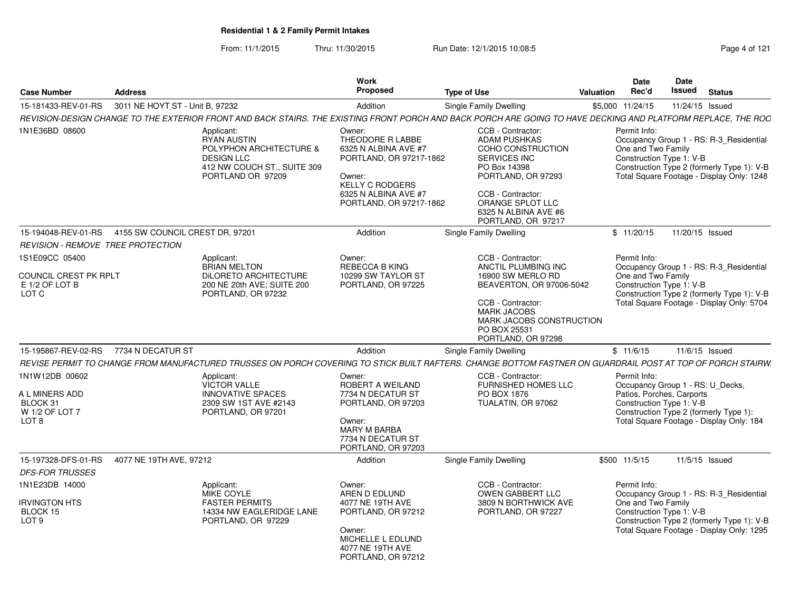From: 11/1/2015Thru: 11/30/2015 **Run Date: 12/1/2015 10:08:5** Page 4 of 121

| <b>Case Number</b>                                                                 | <b>Address</b>                  |                                                                                                                                                               | Work<br><b>Proposed</b>                                                                                                                                              | <b>Type of Use</b>                                                                                                                                                                                                | Valuation | Date<br>Rec'd                                                                                             | Date<br>Issued  | <b>Status</b>                                                                                                                      |
|------------------------------------------------------------------------------------|---------------------------------|---------------------------------------------------------------------------------------------------------------------------------------------------------------|----------------------------------------------------------------------------------------------------------------------------------------------------------------------|-------------------------------------------------------------------------------------------------------------------------------------------------------------------------------------------------------------------|-----------|-----------------------------------------------------------------------------------------------------------|-----------------|------------------------------------------------------------------------------------------------------------------------------------|
| 15-181433-REV-01-RS                                                                | 3011 NE HOYT ST - Unit B. 97232 |                                                                                                                                                               | Addition                                                                                                                                                             | Single Family Dwelling                                                                                                                                                                                            |           | \$5,000 11/24/15                                                                                          | 11/24/15 Issued |                                                                                                                                    |
|                                                                                    |                                 | REVISION-DESIGN CHANGE TO THE EXTERIOR FRONT AND BACK STAIRS. THE EXISTING FRONT PORCH AND BACK PORCH ARE GOING TO HAVE DECKING AND PLATFORM REPLACE, THE ROC |                                                                                                                                                                      |                                                                                                                                                                                                                   |           |                                                                                                           |                 |                                                                                                                                    |
| 1N1E36BD 08600                                                                     |                                 | Applicant:<br><b>RYAN AUSTIN</b><br>POLYPHON ARCHITECTURE &<br><b>DESIGN LLC</b><br>412 NW COUCH ST., SUITE 309<br>PORTLAND OR 97209                          | Owner:<br>THEODORE R LABBE<br>6325 N ALBINA AVE #7<br>PORTLAND, OR 97217-1862<br>Owner:<br><b>KELLY C RODGERS</b><br>6325 N ALBINA AVE #7<br>PORTLAND, OR 97217-1862 | CCB - Contractor:<br><b>ADAM PUSHKAS</b><br>COHO CONSTRUCTION<br><b>SERVICES INC</b><br>PO Box 14398<br>PORTLAND, OR 97293<br>CCB - Contractor:<br>ORANGE SPLOT LLC<br>6325 N ALBINA AVE #6<br>PORTLAND, OR 97217 |           | Permit Info:<br>One and Two Family<br>Construction Type 1: V-B                                            |                 | Occupancy Group 1 - RS: R-3_Residential<br>Construction Type 2 (formerly Type 1): V-B<br>Total Square Footage - Display Only: 1248 |
| 15-194048-REV-01-RS                                                                | 4155 SW COUNCIL CREST DR, 97201 |                                                                                                                                                               | Addition                                                                                                                                                             | Single Family Dwelling                                                                                                                                                                                            |           | \$11/20/15                                                                                                | 11/20/15 Issued |                                                                                                                                    |
| REVISION - REMOVE TREE PROTECTION                                                  |                                 |                                                                                                                                                               |                                                                                                                                                                      |                                                                                                                                                                                                                   |           |                                                                                                           |                 |                                                                                                                                    |
| 1S1E09CC 05400<br>COUNCIL CREST PK RPLT<br>E 1/2 OF LOT B<br>LOT C                 |                                 | Applicant:<br><b>BRIAN MELTON</b><br>DILORETO ARCHITECTURE<br>200 NE 20th AVE; SUITE 200<br>PORTLAND, OR 97232                                                | Owner:<br>REBECCA B KING<br>10299 SW TAYLOR ST<br>PORTLAND, OR 97225                                                                                                 | CCB - Contractor:<br>ANCTIL PLUMBING INC<br>16900 SW MERLO RD<br>BEAVERTON, OR 97006-5042<br>CCB - Contractor:<br><b>MARK JACOBS</b><br>MARK JACOBS CONSTRUCTION<br>PO BOX 25531<br>PORTLAND, OR 97298            |           | Permit Info:<br>One and Two Family<br>Construction Type 1: V-B                                            |                 | Occupancy Group 1 - RS: R-3_Residential<br>Construction Type 2 (formerly Type 1): V-B<br>Total Square Footage - Display Only: 5704 |
| 15-195867-REV-02-RS                                                                | 7734 N DECATUR ST               |                                                                                                                                                               | Addition                                                                                                                                                             | Single Family Dwelling                                                                                                                                                                                            |           | \$11/6/15                                                                                                 |                 | 11/6/15 Issued                                                                                                                     |
|                                                                                    |                                 | REVISE PERMIT TO CHANGE FROM MANUFACTURED TRUSSES ON PORCH COVERING TO STICK BUILT RAFTERS. CHANGE BOTTOM FASTNER ON GUARDRAIL POST AT TOP OF PORCH STAIRW.   |                                                                                                                                                                      |                                                                                                                                                                                                                   |           |                                                                                                           |                 |                                                                                                                                    |
| 1N1W12DB 00602<br>A L MINERS ADD<br>BLOCK 31<br>W 1/2 OF LOT 7<br>LOT <sub>8</sub> |                                 | Applicant:<br><b>VICTOR VALLE</b><br><b>INNOVATIVE SPACES</b><br>2309 SW 1ST AVE #2143<br>PORTLAND, OR 97201                                                  | Owner:<br>ROBERT A WEILAND<br>7734 N DECATUR ST<br>PORTLAND, OR 97203<br>Owner:<br><b>MARY M BARBA</b><br>7734 N DECATUR ST<br>PORTLAND, OR 97203                    | CCB - Contractor:<br><b>FURNISHED HOMES LLC</b><br>PO BOX 1876<br>TUALATIN, OR 97062                                                                                                                              |           | Permit Info:<br>Occupancy Group 1 - RS: U_Decks,<br>Patios, Porches, Carports<br>Construction Type 1: V-B |                 | Construction Type 2 (formerly Type 1):<br>Total Square Footage - Display Only: 184                                                 |
| 15-197328-DFS-01-RS                                                                | 4077 NE 19TH AVE, 97212         |                                                                                                                                                               | Addition                                                                                                                                                             | Single Family Dwelling                                                                                                                                                                                            |           | \$500 11/5/15                                                                                             |                 | 11/5/15 Issued                                                                                                                     |
| <b>DFS-FOR TRUSSES</b>                                                             |                                 |                                                                                                                                                               |                                                                                                                                                                      |                                                                                                                                                                                                                   |           |                                                                                                           |                 |                                                                                                                                    |
| 1N1E23DB 14000<br><b>IRVINGTON HTS</b><br>BLOCK 15<br>LOT <sub>9</sub>             |                                 | Applicant:<br><b>MIKE COYLE</b><br><b>FASTER PERMITS</b><br>14334 NW EAGLERIDGE LANE<br>PORTLAND, OR 97229                                                    |                                                                                                                                                                      | CCB - Contractor:<br><b>OWEN GABBERT LLC</b><br>3809 N BORTHWICK AVE<br>PORTLAND, OR 97227                                                                                                                        |           | Permit Info:<br>One and Two Family<br>Construction Type 1: V-B                                            |                 | Occupancy Group 1 - RS: R-3 Residential<br>Construction Type 2 (formerly Type 1): V-B<br>Total Square Footage - Display Only: 1295 |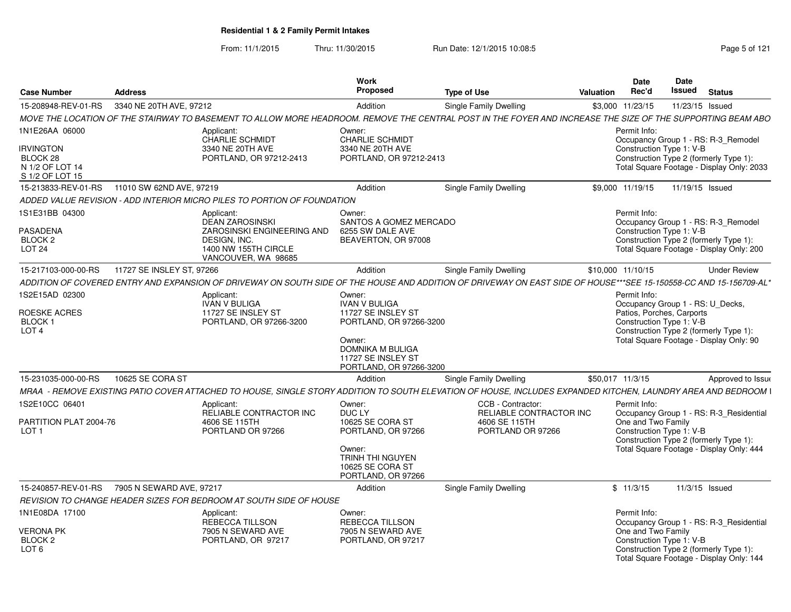From: 11/1/2015Thru: 11/30/2015 Run Date: 12/1/2015 10:08:5<br>
Rage 5 of 121

| <b>Case Number</b>                                                                   | <b>Address</b>            |                                                                                                                                                                    | Work<br>Proposed                                                                                                                                                      | <b>Type of Use</b>                                                                 | Valuation         | Date<br>Rec'd                                                                                                                                                                                  | <b>Date</b><br><b>Issued</b> | <b>Status</b> |                                           |
|--------------------------------------------------------------------------------------|---------------------------|--------------------------------------------------------------------------------------------------------------------------------------------------------------------|-----------------------------------------------------------------------------------------------------------------------------------------------------------------------|------------------------------------------------------------------------------------|-------------------|------------------------------------------------------------------------------------------------------------------------------------------------------------------------------------------------|------------------------------|---------------|-------------------------------------------|
| 15-208948-REV-01-RS                                                                  | 3340 NE 20TH AVE, 97212   |                                                                                                                                                                    | Addition                                                                                                                                                              | Single Family Dwelling                                                             |                   | \$3,000 11/23/15                                                                                                                                                                               | 11/23/15 Issued              |               |                                           |
|                                                                                      |                           | MOVE THE LOCATION OF THE STAIRWAY TO BASEMENT TO ALLOW MORE HEADROOM. REMOVE THE CENTRAL POST IN THE FOYER AND INCREASE THE SIZE OF THE SUPPORTING BEAM ABO        |                                                                                                                                                                       |                                                                                    |                   |                                                                                                                                                                                                |                              |               |                                           |
| 1N1E26AA 06000<br><b>IRVINGTON</b><br>BLOCK 28<br>N 1/2 OF LOT 14<br>S 1/2 OF LOT 15 |                           | Applicant:<br><b>CHARLIE SCHMIDT</b><br>3340 NE 20TH AVE<br>PORTLAND, OR 97212-2413                                                                                | Owner:<br><b>CHARLIE SCHMIDT</b><br>3340 NE 20TH AVE<br>PORTLAND, OR 97212-2413                                                                                       |                                                                                    |                   | Permit Info:<br>Occupancy Group 1 - RS: R-3 Remodel<br>Construction Type 1: V-B<br>Construction Type 2 (formerly Type 1):                                                                      |                              |               | Total Square Footage - Display Only: 2033 |
| 15-213833-REV-01-RS                                                                  | 11010 SW 62ND AVE, 97219  |                                                                                                                                                                    | Addition                                                                                                                                                              | <b>Single Family Dwelling</b>                                                      |                   | \$9,000 11/19/15                                                                                                                                                                               | 11/19/15 Issued              |               |                                           |
|                                                                                      |                           | ADDED VALUE REVISION - ADD INTERIOR MICRO PILES TO PORTION OF FOUNDATION                                                                                           |                                                                                                                                                                       |                                                                                    |                   |                                                                                                                                                                                                |                              |               |                                           |
| 1S1E31BB 04300<br><b>PASADENA</b><br><b>BLOCK 2</b><br><b>LOT 24</b>                 |                           | Applicant:<br><b>DEAN ZAROSINSKI</b><br>ZAROSINSKI ENGINEERING AND<br>DESIGN, INC.<br>1400 NW 155TH CIRCLE<br>VANCOUVER, WA 98685                                  | Owner:<br>SANTOS A GOMEZ MERCADO<br>6255 SW DALE AVE<br>BEAVERTON, OR 97008                                                                                           |                                                                                    |                   | Permit Info:<br>Occupancy Group 1 - RS: R-3 Remodel<br>Construction Type 1: V-B<br>Construction Type 2 (formerly Type 1):<br>Total Square Footage - Display Only: 200                          |                              |               |                                           |
| 15-217103-000-00-RS                                                                  | 11727 SE INSLEY ST, 97266 |                                                                                                                                                                    | Addition                                                                                                                                                              | Single Family Dwelling                                                             | \$10,000 11/10/15 |                                                                                                                                                                                                |                              |               | <b>Under Review</b>                       |
|                                                                                      |                           | ADDITION OF COVERED ENTRY AND EXPANSION OF DRIVEWAY ON SOUTH SIDE OF THE HOUSE AND ADDITION OF DRIVEWAY ON EAST SIDE OF HOUSE***SEE 15-150558-CC AND 15-156709-AL* |                                                                                                                                                                       |                                                                                    |                   |                                                                                                                                                                                                |                              |               |                                           |
| 1S2E15AD 02300<br>ROESKE ACRES<br><b>BLOCK1</b><br>LOT <sub>4</sub>                  |                           | Applicant:<br>IVAN V BULIGA<br>11727 SE INSLEY ST<br>PORTLAND, OR 97266-3200                                                                                       | Owner:<br><b>IVAN V BULIGA</b><br>11727 SE INSLEY ST<br>PORTLAND, OR 97266-3200<br>Owner:<br><b>DOMNIKA M BULIGA</b><br>11727 SE INSLEY ST<br>PORTLAND, OR 97266-3200 |                                                                                    |                   | Permit Info:<br>Occupancy Group 1 - RS: U_Decks,<br>Patios, Porches, Carports<br>Construction Type 1: V-B<br>Construction Type 2 (formerly Type 1):<br>Total Square Footage - Display Only: 90 |                              |               |                                           |
| 15-231035-000-00-RS                                                                  | 10625 SE CORA ST          |                                                                                                                                                                    | Addition                                                                                                                                                              | <b>Single Family Dwelling</b>                                                      | \$50.017 11/3/15  |                                                                                                                                                                                                |                              |               | Approved to Issue                         |
|                                                                                      |                           | MRAA - REMOVE EXISTING PATIO COVER ATTACHED TO HOUSE, SINGLE STORY ADDITION TO SOUTH ELEVATION OF HOUSE, INCLUDES EXPANDED KITCHEN, LAUNDRY AREA AND BEDROOM I     |                                                                                                                                                                       |                                                                                    |                   |                                                                                                                                                                                                |                              |               |                                           |
| 1S2E10CC 06401<br>PARTITION PLAT 2004-76<br>LOT <sub>1</sub>                         |                           | Applicant:<br>RELIABLE CONTRACTOR INC<br>4606 SE 115TH<br>PORTLAND OR 97266                                                                                        | Owner:<br>DUC LY<br>10625 SE CORA ST<br>PORTLAND, OR 97266<br>Owner:<br><b>TRINH THI NGUYEN</b><br>10625 SE CORA ST<br>PORTLAND, OR 97266                             | CCB - Contractor:<br>RELIABLE CONTRACTOR INC<br>4606 SE 115TH<br>PORTLAND OR 97266 |                   | Permit Info:<br>One and Two Family<br>Construction Type 1: V-B<br>Construction Type 2 (formerly Type 1):<br>Total Square Footage - Display Only: 444                                           |                              |               | Occupancy Group 1 - RS: R-3_Residential   |
| 15-240857-REV-01-RS                                                                  | 7905 N SEWARD AVE, 97217  |                                                                                                                                                                    | Addition                                                                                                                                                              | <b>Single Family Dwelling</b>                                                      |                   | \$11/3/15                                                                                                                                                                                      | 11/3/15 Issued               |               |                                           |
|                                                                                      |                           | REVISION TO CHANGE HEADER SIZES FOR BEDROOM AT SOUTH SIDE OF HOUSE                                                                                                 |                                                                                                                                                                       |                                                                                    |                   |                                                                                                                                                                                                |                              |               |                                           |
| 1N1E08DA 17100<br><b>VERONA PK</b><br>BLOCK 2<br>LOT <sub>6</sub>                    |                           | Applicant:<br><b>REBECCA TILLSON</b><br>7905 N SEWARD AVE<br>PORTLAND, OR 97217                                                                                    | Owner:<br><b>REBECCA TILLSON</b><br>7905 N SEWARD AVE<br>PORTLAND, OR 97217                                                                                           |                                                                                    |                   | Permit Info:<br>One and Two Family<br>Construction Type 1: V-B<br>Construction Type 2 (formerly Type 1):<br>Total Square Footage - Display Only: 144                                           |                              |               | Occupancy Group 1 - RS: R-3 Residential   |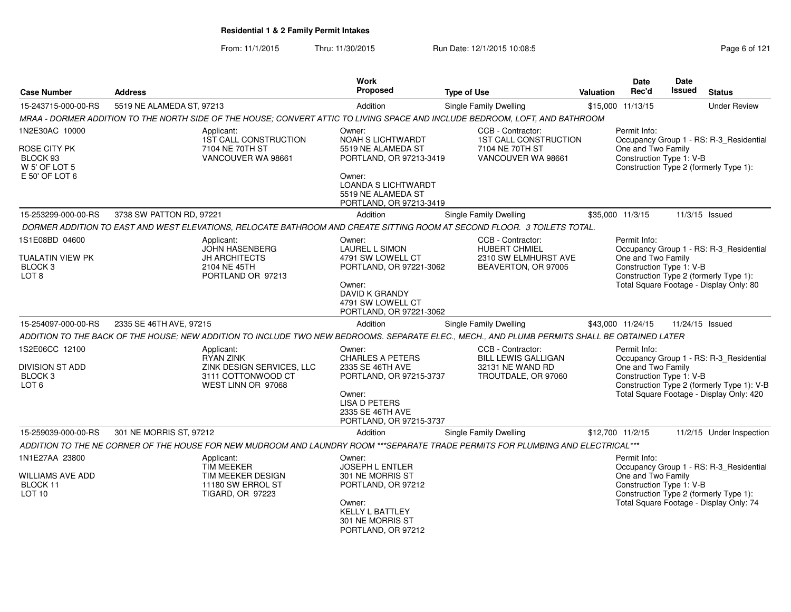From: 11/1/2015Thru: 11/30/2015 Run Date: 12/1/2015 10:08:5<br>
Page 6 of 121

| <b>Case Number</b>                                                           | <b>Address</b>            |                                                                                                  | <b>Work</b><br>Proposed                                                         | <b>Type of Use</b>                                                                                                                            | <b>Valuation</b> | <b>Date</b><br>Rec'd                                                                                     | <b>Date</b><br><b>Issued</b> | <b>Status</b>                                                                          |
|------------------------------------------------------------------------------|---------------------------|--------------------------------------------------------------------------------------------------|---------------------------------------------------------------------------------|-----------------------------------------------------------------------------------------------------------------------------------------------|------------------|----------------------------------------------------------------------------------------------------------|------------------------------|----------------------------------------------------------------------------------------|
| 15-243715-000-00-RS                                                          | 5519 NE ALAMEDA ST, 97213 |                                                                                                  | Addition                                                                        | <b>Single Family Dwelling</b>                                                                                                                 |                  | \$15,000 11/13/15                                                                                        |                              | <b>Under Review</b>                                                                    |
|                                                                              |                           |                                                                                                  |                                                                                 | MRAA - DORMER ADDITION TO THE NORTH SIDE OF THE HOUSE; CONVERT ATTIC TO LIVING SPACE AND INCLUDE BEDROOM, LOFT, AND BATHROOM                  |                  |                                                                                                          |                              |                                                                                        |
| 1N2E30AC 10000                                                               |                           | Applicant:<br>1ST CALL CONSTRUCTION                                                              | Owner:<br>NOAH S LICHTWARDT                                                     | CCB - Contractor:<br><b>1ST CALL CONSTRUCTION</b>                                                                                             |                  | Permit Info:                                                                                             |                              | Occupancy Group 1 - RS: R-3_Residential                                                |
| ROSE CITY PK<br>BLOCK 93<br>W 5' OF LOT 5<br>E 50' OF LOT 6                  |                           | 7104 NE 70TH ST<br>VANCOUVER WA 98661                                                            | 5519 NE ALAMEDA ST<br>PORTLAND, OR 97213-3419<br>Owner:                         | 7104 NE 70TH ST<br>VANCOUVER WA 98661                                                                                                         |                  | One and Two Family<br>Construction Type 1: V-B<br>Construction Type 2 (formerly Type 1):                 |                              |                                                                                        |
|                                                                              |                           |                                                                                                  | <b>LOANDA S LICHTWARDT</b><br>5519 NE ALAMEDA ST<br>PORTLAND, OR 97213-3419     |                                                                                                                                               |                  |                                                                                                          |                              |                                                                                        |
| 15-253299-000-00-RS                                                          | 3738 SW PATTON RD, 97221  |                                                                                                  | Addition                                                                        | Single Family Dwelling                                                                                                                        |                  | \$35,000 11/3/15                                                                                         | 11/3/15 Issued               |                                                                                        |
|                                                                              |                           |                                                                                                  |                                                                                 | DORMER ADDITION TO EAST AND WEST ELEVATIONS, RELOCATE BATHROOM AND CREATE SITTING ROOM AT SECOND FLOOR. 3 TOILETS TOTAL.                      |                  |                                                                                                          |                              |                                                                                        |
| 1S1E08BD 04600<br>TUALATIN VIEW PK<br>BLOCK <sub>3</sub><br>LOT <sub>8</sub> |                           | Applicant:<br><b>JOHN HASENBERG</b><br><b>JH ARCHITECTS</b><br>2104 NE 45TH<br>PORTLAND OR 97213 | Owner:<br><b>LAUREL L SIMON</b><br>4791 SW LOWELL CT<br>PORTLAND, OR 97221-3062 | CCB - Contractor:<br><b>HUBERT CHMIEL</b><br>2310 SW ELMHURST AVE<br>BEAVERTON, OR 97005                                                      |                  | Permit Info:<br>One and Two Family<br>Construction Type 1: V-B<br>Construction Type 2 (formerly Type 1): |                              | Occupancy Group 1 - RS: R-3_Residential                                                |
|                                                                              |                           |                                                                                                  | Owner:<br>DAVID K GRANDY<br>4791 SW LOWELL CT<br>PORTLAND, OR 97221-3062        |                                                                                                                                               |                  |                                                                                                          |                              | Total Square Footage - Display Only: 80                                                |
| 15-254097-000-00-RS                                                          | 2335 SE 46TH AVE, 97215   |                                                                                                  | Addition                                                                        | <b>Single Family Dwelling</b>                                                                                                                 |                  | \$43,000 11/24/15                                                                                        | 11/24/15 Issued              |                                                                                        |
|                                                                              |                           |                                                                                                  |                                                                                 | ADDITION TO THE BACK OF THE HOUSE; NEW ADDITION TO INCLUDE TWO NEW BEDROOMS. SEPARATE ELEC., MECH., AND PLUMB PERMITS SHALL BE OBTAINED LATER |                  |                                                                                                          |                              |                                                                                        |
| 1S2E06CC 12100<br><b>DIVISION ST ADD</b>                                     |                           | Applicant:<br><b>RYAN ZINK</b><br>ZINK DESIGN SERVICES, LLC                                      | Owner:<br><b>CHARLES A PETERS</b><br>2335 SE 46TH AVE                           | CCB - Contractor:<br><b>BILL LEWIS GALLIGAN</b><br>32131 NE WAND RD                                                                           |                  | Permit Info:<br>One and Two Family                                                                       |                              | Occupancy Group 1 - RS: R-3_Residential                                                |
| BLOCK <sub>3</sub><br>LOT <sub>6</sub>                                       |                           | 3111 COTTONWOOD CT<br>WEST LINN OR 97068                                                         | PORTLAND, OR 97215-3737<br>Owner:<br><b>LISA D PETERS</b>                       | TROUTDALE, OR 97060                                                                                                                           |                  | Construction Type 1: V-B                                                                                 |                              | Construction Type 2 (formerly Type 1): V-B<br>Total Square Footage - Display Only: 420 |
|                                                                              |                           |                                                                                                  | 2335 SE 46TH AVE<br>PORTLAND, OR 97215-3737                                     |                                                                                                                                               |                  |                                                                                                          |                              |                                                                                        |
| 15-259039-000-00-RS                                                          | 301 NE MORRIS ST, 97212   |                                                                                                  | Addition                                                                        | Single Family Dwelling                                                                                                                        |                  | \$12,700 11/2/15                                                                                         |                              | 11/2/15 Under Inspection                                                               |
|                                                                              |                           |                                                                                                  |                                                                                 | ADDITION TO THE NE CORNER OF THE HOUSE FOR NEW MUDROOM AND LAUNDRY ROOM ***SEPARATE TRADE PERMITS FOR PLUMBING AND ELECTRICAL***              |                  |                                                                                                          |                              |                                                                                        |
| 1N1E27AA 23800                                                               |                           | Applicant:<br><b>TIM MEEKER</b>                                                                  | Owner:<br>JOSEPH L ENTLER                                                       |                                                                                                                                               |                  | Permit Info:                                                                                             |                              | Occupancy Group 1 - RS: R-3_Residential                                                |
| WILLIAMS AVE ADD<br>BLOCK 11<br>LOT <sub>10</sub>                            |                           | TIM MEEKER DESIGN<br>11180 SW ERROL ST<br>TIGARD, OR 97223                                       | 301 NE MORRIS ST<br>PORTLAND, OR 97212<br>Owner:                                |                                                                                                                                               |                  | One and Two Family<br>Construction Type 1: V-B<br>Construction Type 2 (formerly Type 1):                 |                              | Total Square Footage - Display Only: 74                                                |
|                                                                              |                           |                                                                                                  | <b>KELLY L BATTLEY</b><br>301 NE MORRIS ST<br>PORTLAND, OR 97212                |                                                                                                                                               |                  |                                                                                                          |                              |                                                                                        |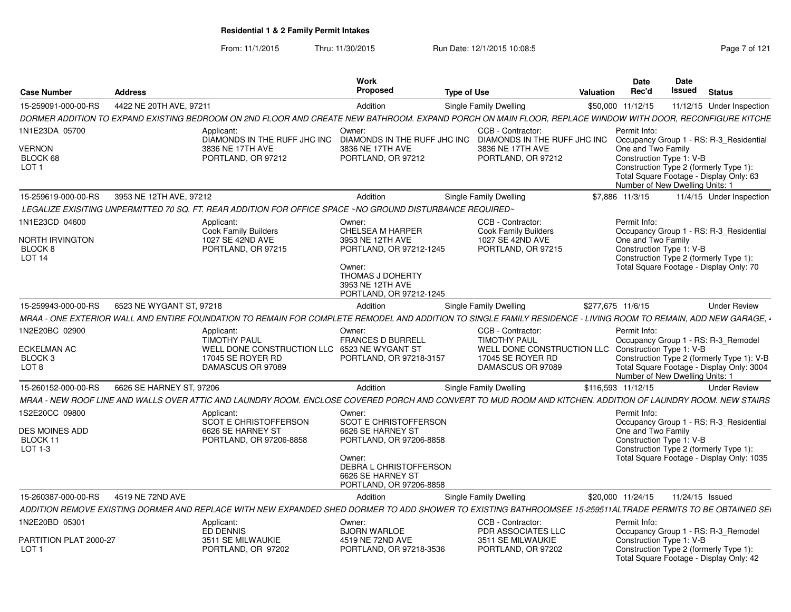From: 11/1/2015Thru: 11/30/2015 Run Date: 12/1/2015 10:08:5<br>
Rage 7 of 121

| <b>Case Number</b>                                                             | <b>Address</b>           |                                                                                                                                                                | Work<br>Proposed                                                                                                                                                    | <b>Type of Use</b>                                                                                               | Valuation          | <b>Date</b><br>Rec'd                                                                                                                                                                   | Date<br>Issued  | <b>Status</b> |                                                                                         |
|--------------------------------------------------------------------------------|--------------------------|----------------------------------------------------------------------------------------------------------------------------------------------------------------|---------------------------------------------------------------------------------------------------------------------------------------------------------------------|------------------------------------------------------------------------------------------------------------------|--------------------|----------------------------------------------------------------------------------------------------------------------------------------------------------------------------------------|-----------------|---------------|-----------------------------------------------------------------------------------------|
| 15-259091-000-00-RS                                                            | 4422 NE 20TH AVE, 97211  |                                                                                                                                                                | Addition                                                                                                                                                            | Single Family Dwelling                                                                                           | \$50,000           | 11/12/15                                                                                                                                                                               |                 |               | 11/12/15 Under Inspection                                                               |
|                                                                                |                          | DORMER ADDITION TO EXPAND EXISTING BEDROOM ON 2ND FLOOR AND CREATE NEW BATHROOM. EXPAND PORCH ON MAIN FLOOR. REPLACE WINDOW WITH DOOR. RECONFIGURE KITCHE      |                                                                                                                                                                     |                                                                                                                  |                    |                                                                                                                                                                                        |                 |               |                                                                                         |
| 1N1E23DA 05700<br>VERNON<br>BLOCK 68<br>LOT <sub>1</sub>                       |                          | Applicant:<br>DIAMONDS IN THE RUFF JHC INC<br>3836 NE 17TH AVE<br>PORTLAND, OR 97212                                                                           | Owner:<br>DIAMONDS IN THE RUFF JHC INC<br>3836 NE 17TH AVE<br>PORTLAND, OR 97212                                                                                    | CCB - Contractor:<br>DIAMONDS IN THE RUFF JHC INC<br>3836 NE 17TH AVE<br>PORTLAND, OR 97212                      |                    | Permit Info:<br>One and Two Family<br>Construction Type 1: V-B<br>Construction Type 2 (formerly Type 1):<br>Total Square Footage - Display Only: 63<br>Number of New Dwelling Units: 1 |                 |               | Occupancy Group 1 - RS: R-3_Residential                                                 |
| 15-259619-000-00-RS                                                            | 3953 NE 12TH AVE, 97212  |                                                                                                                                                                | Addition                                                                                                                                                            | Single Family Dwelling                                                                                           |                    | \$7,886 11/3/15                                                                                                                                                                        |                 |               | 11/4/15 Under Inspection                                                                |
|                                                                                |                          | LEGALIZE EXISITING UNPERMITTED 70 SQ. FT. REAR ADDITION FOR OFFICE SPACE ~NO GROUND DISTURBANCE REQUIRED~                                                      |                                                                                                                                                                     |                                                                                                                  |                    |                                                                                                                                                                                        |                 |               |                                                                                         |
| 1N1E23CD 04600                                                                 |                          | Applicant:                                                                                                                                                     | Owner:                                                                                                                                                              | CCB - Contractor:                                                                                                |                    | Permit Info:                                                                                                                                                                           |                 |               |                                                                                         |
| NORTH IRVINGTON<br>BLOCK <sub>8</sub><br><b>LOT 14</b>                         |                          | <b>Cook Family Builders</b><br>1027 SE 42ND AVE<br>PORTLAND, OR 97215                                                                                          | <b>CHELSEA M HARPER</b><br>3953 NE 12TH AVE<br>PORTLAND, OR 97212-1245<br>Owner:<br>THOMAS J DOHERTY<br>3953 NE 12TH AVE<br>PORTLAND, OR 97212-1245                 | <b>Cook Family Builders</b><br>1027 SE 42ND AVE<br>PORTLAND, OR 97215                                            |                    | One and Two Family<br>Construction Type 1: V-B<br>Construction Type 2 (formerly Type 1):<br>Total Square Footage - Display Only: 70                                                    |                 |               | Occupancy Group 1 - RS: R-3 Residential                                                 |
| 15-259943-000-00-RS                                                            | 6523 NE WYGANT ST, 97218 |                                                                                                                                                                | Addition                                                                                                                                                            | Single Family Dwelling                                                                                           | \$277,675 11/6/15  |                                                                                                                                                                                        |                 |               | <b>Under Review</b>                                                                     |
|                                                                                |                          | MRAA - ONE EXTERIOR WALL AND ENTIRE FOUNDATION TO REMAIN FOR COMPLETE REMODEL AND ADDITION TO SINGLE FAMILY RESIDENCE - LIVING ROOM TO REMAIN, ADD NEW GARAGE, |                                                                                                                                                                     |                                                                                                                  |                    |                                                                                                                                                                                        |                 |               |                                                                                         |
| 1N2E20BC 02900<br><b>ECKELMAN AC</b><br>BLOCK <sub>3</sub><br>LOT <sub>8</sub> |                          | Applicant<br><b>TIMOTHY PAUL</b><br>WELL DONE CONSTRUCTION LLC 6523 NE WYGANT ST<br>17045 SE ROYER RD<br>DAMASCUS OR 97089                                     | Owner:<br><b>FRANCES D BURRELL</b><br>PORTLAND, OR 97218-3157                                                                                                       | CCB - Contractor:<br><b>TIMOTHY PAUL</b><br>WELL DONE CONSTRUCTION LLC<br>17045 SE ROYER RD<br>DAMASCUS OR 97089 |                    | Permit Info:<br>Occupancy Group 1 - RS: R-3 Remodel<br>Construction Type 1: V-B<br>Number of New Dwelling Units: 1                                                                     |                 |               | Construction Type 2 (formerly Type 1): V-B<br>Total Square Footage - Display Only: 3004 |
| 15-260152-000-00-RS                                                            | 6626 SE HARNEY ST, 97206 |                                                                                                                                                                | Addition                                                                                                                                                            | Single Family Dwelling                                                                                           | \$116.593 11/12/15 |                                                                                                                                                                                        |                 |               | <b>Under Review</b>                                                                     |
|                                                                                |                          | MRAA - NEW ROOF LINE AND WALLS OVER ATTIC AND LAUNDRY ROOM. ENCLOSE COVERED PORCH AND CONVERT TO MUD ROOM AND KITCHEN. ADDITION OF LAUNDRY ROOM. NEW STAIRS    |                                                                                                                                                                     |                                                                                                                  |                    |                                                                                                                                                                                        |                 |               |                                                                                         |
| 1S2E20CC 09800<br><b>DES MOINES ADD</b><br>BLOCK 11<br>LOT 1-3                 |                          | Applicant<br><b>SCOT E CHRISTOFFERSON</b><br>6626 SE HARNEY ST<br>PORTLAND, OR 97206-8858                                                                      | Owner:<br>SCOT E CHRISTOFFERSON<br>6626 SE HARNEY ST<br>PORTLAND, OR 97206-8858<br>Owner:<br>DEBRA L CHRISTOFFERSON<br>6626 SE HARNEY ST<br>PORTLAND, OR 97206-8858 |                                                                                                                  |                    | Permit Info:<br>One and Two Family<br>Construction Type 1: V-B<br>Construction Type 2 (formerly Type 1):                                                                               |                 |               | Occupancy Group 1 - RS: R-3 Residential<br>Total Square Footage - Display Only: 1035    |
| 15-260387-000-00-RS                                                            | 4519 NE 72ND AVE         |                                                                                                                                                                | Addition                                                                                                                                                            | Single Family Dwelling                                                                                           |                    | \$20,000 11/24/15                                                                                                                                                                      | 11/24/15 Issued |               |                                                                                         |
|                                                                                |                          | ADDITION REMOVE EXISTING DORMER AND REPLACE WITH NEW EXPANDED SHED DORMER TO ADD SHOWER TO EXISTING BATHROOMSEE 15-259511ALTRADE PERMITS TO BE OBTAINED SEI    |                                                                                                                                                                     |                                                                                                                  |                    |                                                                                                                                                                                        |                 |               |                                                                                         |
| 1N2E20BD 05301                                                                 |                          | Applicant:<br>ED DENNIS                                                                                                                                        | Owner:<br><b>BJORN WARLOE</b>                                                                                                                                       | CCB - Contractor:<br><b>PDR ASSOCIATES LLC</b>                                                                   |                    | Permit Info:<br>Occupancy Group 1 - RS: R-3_Remodel                                                                                                                                    |                 |               |                                                                                         |
| PARTITION PLAT 2000-27<br>LOT <sub>1</sub>                                     |                          | 3511 SE MILWAUKIE<br>PORTLAND, OR 97202                                                                                                                        | 4519 NE 72ND AVE<br>PORTLAND, OR 97218-3536                                                                                                                         | 3511 SE MILWAUKIE<br>PORTLAND, OR 97202                                                                          |                    | Construction Type 1: V-B<br>Construction Type 2 (formerly Type 1):<br>Total Square Footage - Display Only: 42                                                                          |                 |               |                                                                                         |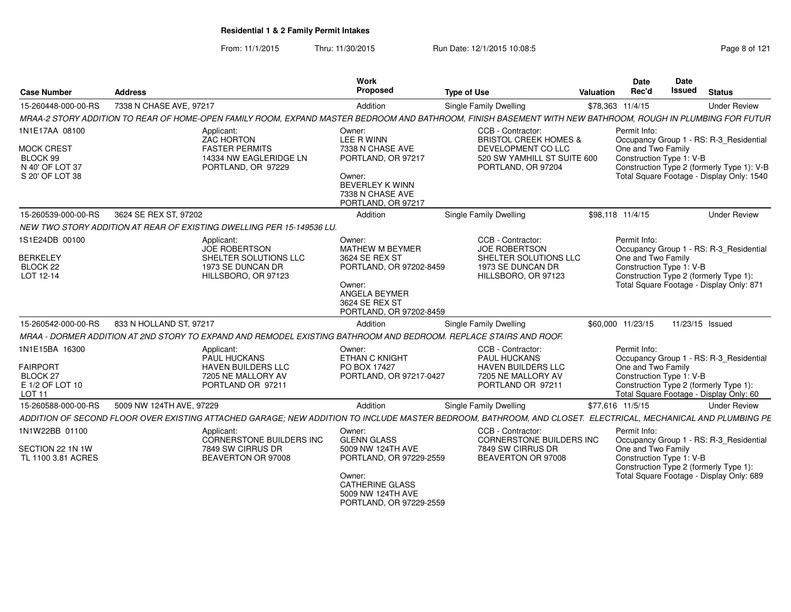From: 11/1/2015Thru: 11/30/2015 Run Date: 12/1/2015 10:08:5<br>
Rage 8 of 121

| <b>Case Number</b>                                                                       | <b>Address</b>                                                                                                                                               | <b>Work</b><br>Proposed                                                                                                                        | <b>Type of Use</b>                                                                                                               | Valuation | Date<br>Rec'd                                                                                                                                                                                        | Date<br><b>Issued</b> | <b>Status</b>                                                                                                                 |
|------------------------------------------------------------------------------------------|--------------------------------------------------------------------------------------------------------------------------------------------------------------|------------------------------------------------------------------------------------------------------------------------------------------------|----------------------------------------------------------------------------------------------------------------------------------|-----------|------------------------------------------------------------------------------------------------------------------------------------------------------------------------------------------------------|-----------------------|-------------------------------------------------------------------------------------------------------------------------------|
| 15-260448-000-00-RS                                                                      | 7338 N CHASE AVE, 97217                                                                                                                                      | Addition                                                                                                                                       | Single Family Dwelling                                                                                                           |           | \$78,363 11/4/15                                                                                                                                                                                     |                       | <b>Under Review</b>                                                                                                           |
|                                                                                          | MRAA-2 STORY ADDITION TO REAR OF HOME-OPEN FAMILY ROOM, EXPAND MASTER BEDROOM AND BATHROOM, FINISH BASEMENT WITH NEW BATHROOM, ROUGH IN PLUMBING FOR FUTUR   |                                                                                                                                                |                                                                                                                                  |           |                                                                                                                                                                                                      |                       |                                                                                                                               |
| 1N1E17AA 08100<br><b>MOCK CREST</b><br>BLOCK 99<br>N 40' OF LOT 37<br>S 20' OF LOT 38    | Applicant:<br>ZAC HORTON<br><b>FASTER PERMITS</b><br>14334 NW EAGLERIDGE LN<br>PORTLAND, OR 97229                                                            | Owner:<br>LEE R WINN<br>7338 N CHASE AVE<br>PORTLAND, OR 97217<br>Owner:<br><b>BEVERLEY K WINN</b><br>7338 N CHASE AVE<br>PORTLAND, OR 97217   | CCB - Contractor:<br><b>BRISTOL CREEK HOMES &amp;</b><br>DEVELOPMENT CO LLC<br>520 SW YAMHILL ST SUITE 600<br>PORTLAND, OR 97204 |           | Permit Info:<br>Occupancy Group 1 - RS: R-3_Residential<br>One and Two Family<br>Construction Type 1: V-B<br>Construction Type 2 (formerly Type 1): V-B<br>Total Square Footage - Display Only: 1540 |                       |                                                                                                                               |
| 15-260539-000-00-RS                                                                      | 3624 SE REX ST, 97202                                                                                                                                        | Addition                                                                                                                                       | Single Family Dwelling                                                                                                           |           | \$98.118 11/4/15                                                                                                                                                                                     |                       | <b>Under Review</b>                                                                                                           |
|                                                                                          | NEW TWO STORY ADDITION AT REAR OF EXISTING DWELLING PER 15-149536 LU.                                                                                        |                                                                                                                                                |                                                                                                                                  |           |                                                                                                                                                                                                      |                       |                                                                                                                               |
| 1S1E24DB 00100<br><b>BERKELEY</b><br>BLOCK 22<br>LOT 12-14                               | Applicant:<br><b>JOE ROBERTSON</b><br>SHELTER SOLUTIONS LLC<br>1973 SE DUNCAN DR<br>HILLSBORO, OR 97123                                                      | Owner:<br>MATHEW M BEYMER<br>3624 SE REX ST<br>PORTLAND, OR 97202-8459<br>Owner:<br>ANGELA BEYMER<br>3624 SE REX ST<br>PORTLAND, OR 97202-8459 | CCB - Contractor:<br>JOE ROBERTSON<br>SHELTER SOLUTIONS LLC<br>1973 SE DUNCAN DR<br>HILLSBORO, OR 97123                          |           | Permit Info:<br>One and Two Family<br>Construction Type 1: V-B                                                                                                                                       |                       | Occupancy Group 1 - RS: R-3_Residential<br>Construction Type 2 (formerly Type 1):<br>Total Square Footage - Display Only: 871 |
| 15-260542-000-00-RS                                                                      | 833 N HOLLAND ST, 97217                                                                                                                                      | Addition                                                                                                                                       | Single Family Dwelling                                                                                                           |           | \$60,000 11/23/15                                                                                                                                                                                    |                       | 11/23/15 Issued                                                                                                               |
|                                                                                          | MRAA - DORMER ADDITION AT 2ND STORY TO EXPAND AND REMODEL EXISTING BATHROOM AND BEDROOM. REPLACE STAIRS AND ROOF.                                            |                                                                                                                                                |                                                                                                                                  |           |                                                                                                                                                                                                      |                       |                                                                                                                               |
| 1N1E15BA 16300<br><b>FAIRPORT</b><br><b>BLOCK 27</b><br>E 1/2 OF LOT 10<br><b>LOT 11</b> | Applicant:<br>PAUL HUCKANS<br>HAVEN BUILDERS LLC<br>7205 NE MALLORY AV<br>PORTLAND OR 97211                                                                  | Owner:<br><b>ETHAN C KNIGHT</b><br>PO BOX 17427<br>PORTLAND, OR 97217-0427                                                                     | CCB - Contractor:<br>PAUL HUCKANS<br>HAVEN BUILDERS LLC<br>7205 NE MALLORY AV<br>PORTLAND OR 97211                               |           | Permit Info:<br>One and Two Family<br>Construction Type 1: V-B                                                                                                                                       |                       | Occupancy Group 1 - RS: R-3_Residential<br>Construction Type 2 (formerly Type 1):<br>Total Square Footage - Display Only: 60  |
| 15-260588-000-00-RS                                                                      | 5009 NW 124TH AVE, 97229                                                                                                                                     | Addition                                                                                                                                       | Single Family Dwelling                                                                                                           |           | \$77,616 11/5/15                                                                                                                                                                                     |                       | <b>Under Review</b>                                                                                                           |
|                                                                                          | ADDITION OF SECOND FLOOR OVER EXISTING ATTACHED GARAGE: NEW ADDITION TO INCLUDE MASTER BEDROOM. BATHROOM. AND CLOSET. ELECTRICAL. MECHANICAL AND PLUMBING PE |                                                                                                                                                |                                                                                                                                  |           |                                                                                                                                                                                                      |                       |                                                                                                                               |
| 1N1W22BB 01100<br>SECTION 22 1N 1W<br>TL 1100 3.81 ACRES                                 | Applicant:<br>CORNERSTONE BUILDERS INC<br>7849 SW CIRRUS DR<br>BEAVERTON OR 97008                                                                            | Owner:<br><b>GLENN GLASS</b><br>5009 NW 124TH AVE<br>PORTLAND, OR 97229-2559<br>Owner:<br><b>CATHERINE GLASS</b><br>5009 NW 124TH AVE          | CCB - Contractor:<br>CORNERSTONE BUILDERS INC<br>7849 SW CIRRUS DR<br>BEAVERTON OR 97008                                         |           | Permit Info:<br>One and Two Family<br>Construction Type 1: V-B                                                                                                                                       |                       | Occupancy Group 1 - RS: R-3 Residential<br>Construction Type 2 (formerly Type 1):<br>Total Square Footage - Display Only: 689 |

PORTLAND, OR 97229-2559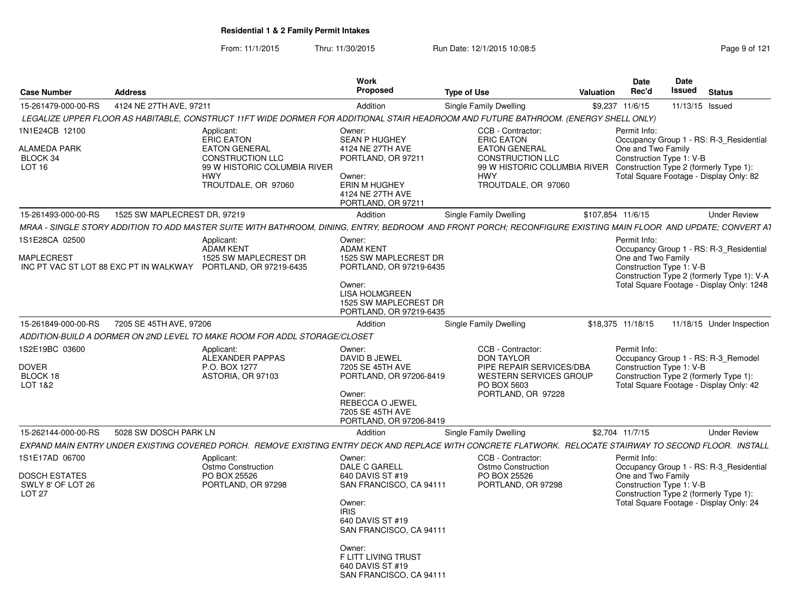From: 11/1/2015Thru: 11/30/2015 Run Date: 12/1/2015 10:08:5<br>
Rage 9 of 121

| <b>Case Number</b>                                                    | <b>Address</b>                         |                                                                                                                                                                  | Work<br>Proposed                                                                                                                                                                                                               | <b>Type of Use</b>                                                                                                                                             | <b>Valuation</b>  | <b>Date</b><br>Rec'd                                           | Date<br>Issued  | <b>Status</b>                                                                                                                      |
|-----------------------------------------------------------------------|----------------------------------------|------------------------------------------------------------------------------------------------------------------------------------------------------------------|--------------------------------------------------------------------------------------------------------------------------------------------------------------------------------------------------------------------------------|----------------------------------------------------------------------------------------------------------------------------------------------------------------|-------------------|----------------------------------------------------------------|-----------------|------------------------------------------------------------------------------------------------------------------------------------|
| 15-261479-000-00-RS                                                   | 4124 NE 27TH AVE, 97211                |                                                                                                                                                                  | Addition                                                                                                                                                                                                                       | Single Family Dwelling                                                                                                                                         |                   | \$9,237 11/6/15                                                | 11/13/15 Issued |                                                                                                                                    |
|                                                                       |                                        | LEGALIZE UPPER FLOOR AS HABITABLE, CONSTRUCT 11FT WIDE DORMER FOR ADDITIONAL STAIR HEADROOM AND FUTURE BATHROOM. (ENERGY SHELL ONLY)                             |                                                                                                                                                                                                                                |                                                                                                                                                                |                   |                                                                |                 |                                                                                                                                    |
| 1N1E24CB 12100<br>ALAMEDA PARK<br>BLOCK 34<br>LOT <sub>16</sub>       |                                        | Applicant:<br><b>ERIC EATON</b><br><b>EATON GENERAL</b><br><b>CONSTRUCTION LLC</b><br>99 W HISTORIC COLUMBIA RIVER<br><b>HWY</b><br>TROUTDALE, OR 97060          | Owner:<br><b>SEAN P HUGHEY</b><br>4124 NE 27TH AVE<br>PORTLAND, OR 97211<br>Owner:<br>ERIN M HUGHEY<br>4124 NE 27TH AVE<br>PORTLAND, OR 97211                                                                                  | CCB - Contractor:<br><b>ERIC EATON</b><br><b>EATON GENERAL</b><br><b>CONSTRUCTION LLC</b><br>99 W HISTORIC COLUMBIA RIVER<br><b>HWY</b><br>TROUTDALE, OR 97060 |                   | Permit Info:<br>One and Two Family<br>Construction Type 1: V-B |                 | Occupancy Group 1 - RS: R-3 Residential<br>Construction Type 2 (formerly Type 1):<br>Total Square Footage - Display Only: 82       |
| 15-261493-000-00-RS                                                   | 1525 SW MAPLECREST DR. 97219           |                                                                                                                                                                  | Addition                                                                                                                                                                                                                       | Single Family Dwelling                                                                                                                                         | \$107,854 11/6/15 |                                                                |                 | <b>Under Review</b>                                                                                                                |
|                                                                       |                                        | MRAA - SINGLE STORY ADDITION TO ADD MASTER SUITE WITH BATHROOM. DINING. ENTRY. BEDROOM  AND FRONT PORCH: RECONFIGURE EXISTING MAIN FLOOR  AND UPDATE: CONVERT A1 |                                                                                                                                                                                                                                |                                                                                                                                                                |                   |                                                                |                 |                                                                                                                                    |
| 1S1E28CA 02500<br>MAPLECREST                                          | INC PT VAC ST LOT 88 EXC PT IN WALKWAY | Applicant:<br><b>ADAM KENT</b><br>1525 SW MAPLECREST DR<br>PORTLAND, OR 97219-6435                                                                               | Owner:<br><b>ADAM KENT</b><br>1525 SW MAPLECREST DR<br>PORTLAND, OR 97219-6435<br>Owner:<br><b>LISA HOLMGREEN</b><br>1525 SW MAPLECREST DR<br>PORTLAND, OR 97219-6435                                                          |                                                                                                                                                                |                   | Permit Info:<br>One and Two Family<br>Construction Type 1: V-B |                 | Occupancy Group 1 - RS: R-3_Residential<br>Construction Type 2 (formerly Type 1): V-A<br>Total Square Footage - Display Only: 1248 |
| 15-261849-000-00-RS                                                   | 7205 SE 45TH AVE, 97206                |                                                                                                                                                                  | Addition                                                                                                                                                                                                                       | Single Family Dwelling                                                                                                                                         |                   | \$18,375 11/18/15                                              |                 | 11/18/15 Under Inspection                                                                                                          |
|                                                                       |                                        | ADDITION-BUILD A DORMER ON 2ND LEVEL TO MAKE ROOM FOR ADDL STORAGE/CLOSET                                                                                        |                                                                                                                                                                                                                                |                                                                                                                                                                |                   |                                                                |                 |                                                                                                                                    |
| 1S2E19BC 03600<br>DOVER<br>BLOCK 18<br>LOT 1&2                        |                                        | Applicant:<br>ALEXANDER PAPPAS<br>P.O. BOX 1277<br>ASTORIA, OR 97103                                                                                             | Owner:<br>DAVID B JEWEL<br>7205 SE 45TH AVE<br>PORTLAND, OR 97206-8419<br>Owner:<br>REBECCA O JEWEL<br>7205 SE 45TH AVE<br>PORTLAND, OR 97206-8419                                                                             | CCB - Contractor:<br><b>DON TAYLOR</b><br>PIPE REPAIR SERVICES/DBA<br><b>WESTERN SERVICES GROUP</b><br>PO BOX 5603<br>PORTLAND, OR 97228                       |                   | Permit Info:<br>Construction Type 1: V-B                       |                 | Occupancy Group 1 - RS: R-3 Remodel<br>Construction Type 2 (formerly Type 1):<br>Total Square Footage - Display Only: 42           |
| 15-262144-000-00-RS                                                   | 5028 SW DOSCH PARK LN                  |                                                                                                                                                                  | Addition                                                                                                                                                                                                                       | Single Family Dwelling                                                                                                                                         |                   | \$2,704 11/7/15                                                |                 | <b>Under Review</b>                                                                                                                |
|                                                                       |                                        | EXPAND MAIN ENTRY UNDER EXISTING COVERED PORCH. REMOVE EXISTING ENTRY DECK AND REPLACE WITH CONCRETE FLATWORK. RELOCATE STAIRWAY TO SECOND FLOOR. INSTALL        |                                                                                                                                                                                                                                |                                                                                                                                                                |                   |                                                                |                 |                                                                                                                                    |
| 1S1E17AD 06700<br>DOSCH ESTATES<br>SWLY 8' OF LOT 26<br><b>LOT 27</b> |                                        | Applicant:<br>Ostmo Construction<br>PO BOX 25526<br>PORTLAND, OR 97298                                                                                           | Owner:<br>DALE C GARELL<br>640 DAVIS ST #19<br>SAN FRANCISCO, CA 94111<br>Owner:<br><b>IRIS</b><br>640 DAVIS ST #19<br>SAN FRANCISCO, CA 94111<br>Owner:<br>F LITT LIVING TRUST<br>640 DAVIS ST #19<br>SAN FRANCISCO, CA 94111 | CCB - Contractor:<br>Ostmo Construction<br>PO BOX 25526<br>PORTLAND, OR 97298                                                                                  |                   | Permit Info:<br>One and Two Family<br>Construction Type 1: V-B |                 | Occupancy Group 1 - RS: R-3 Residential<br>Construction Type 2 (formerly Type 1):<br>Total Square Footage - Display Only: 24       |
|                                                                       |                                        |                                                                                                                                                                  |                                                                                                                                                                                                                                |                                                                                                                                                                |                   |                                                                |                 |                                                                                                                                    |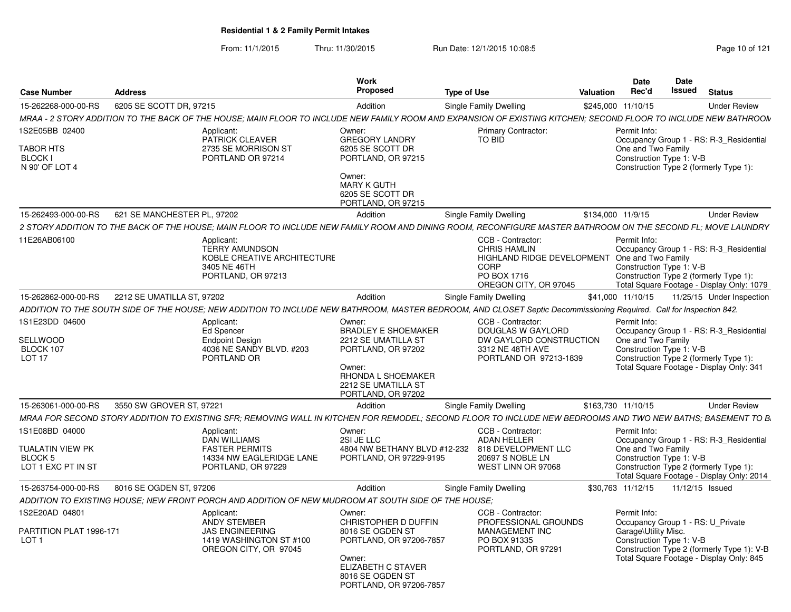From: 11/1/2015Thru: 11/30/2015 Run Date: 12/1/2015 10:08:5<br>
Page 10 of 121

| <b>Case Number</b>                                   | <b>Address</b>              |                                                                                                                                                                     | Work<br>Proposed                                                                                                                                     | <b>Type of Use</b>                                                                                                   | Valuation         | <b>Date</b><br>Rec'd                                           | <b>Date</b><br>Issued<br><b>Status</b>                                                                                         |  |
|------------------------------------------------------|-----------------------------|---------------------------------------------------------------------------------------------------------------------------------------------------------------------|------------------------------------------------------------------------------------------------------------------------------------------------------|----------------------------------------------------------------------------------------------------------------------|-------------------|----------------------------------------------------------------|--------------------------------------------------------------------------------------------------------------------------------|--|
|                                                      |                             |                                                                                                                                                                     |                                                                                                                                                      |                                                                                                                      |                   |                                                                |                                                                                                                                |  |
| 15-262268-000-00-RS                                  | 6205 SE SCOTT DR, 97215     |                                                                                                                                                                     | Addition                                                                                                                                             | Single Family Dwelling                                                                                               |                   | \$245,000 11/10/15                                             | <b>Under Review</b>                                                                                                            |  |
|                                                      |                             | MRAA - 2 STORY ADDITION TO THE BACK OF THE HOUSE; MAIN FLOOR TO INCLUDE NEW FAMILY ROOM AND EXPANSION OF EXISTING KITCHEN; SECOND FLOOR TO INCLUDE NEW BATHROOM     |                                                                                                                                                      |                                                                                                                      |                   |                                                                |                                                                                                                                |  |
| 1S2E05BB 02400<br><b>TABOR HTS</b><br><b>BLOCK I</b> |                             | Applicant:<br>PATRICK CLEAVER<br>2735 SE MORRISON ST<br>PORTLAND OR 97214                                                                                           | Owner:<br><b>GREGORY LANDRY</b><br>6205 SE SCOTT DR<br>PORTLAND, OR 97215                                                                            | <b>Primary Contractor:</b><br>TO BID                                                                                 |                   | Permit Info:<br>One and Two Family<br>Construction Type 1: V-B | Occupancy Group 1 - RS: R-3_Residential                                                                                        |  |
| N 90' OF LOT 4                                       |                             |                                                                                                                                                                     | Owner:<br>MARY K GUTH<br>6205 SE SCOTT DR<br>PORTLAND, OR 97215                                                                                      |                                                                                                                      |                   |                                                                | Construction Type 2 (formerly Type 1):                                                                                         |  |
| 15-262493-000-00-RS                                  | 621 SE MANCHESTER PL. 97202 |                                                                                                                                                                     | Addition                                                                                                                                             | Single Family Dwelling                                                                                               | \$134,000 11/9/15 |                                                                | <b>Under Review</b>                                                                                                            |  |
|                                                      |                             | 2 STORY ADDITION TO THE BACK OF THE HOUSE: MAIN FLOOR TO INCLUDE NEW FAMILY ROOM AND DINING ROOM. RECONFIGURE MASTER BATHROOM ON THE SECOND FL: MOVE LAUNDRY        |                                                                                                                                                      |                                                                                                                      |                   |                                                                |                                                                                                                                |  |
| 11E26AB06100                                         |                             | Applicant:                                                                                                                                                          |                                                                                                                                                      | CCB - Contractor:                                                                                                    |                   | Permit Info:                                                   |                                                                                                                                |  |
|                                                      |                             | <b>TERRY AMUNDSON</b><br>KOBLE CREATIVE ARCHITECTURE<br>3405 NE 46TH<br>PORTLAND, OR 97213                                                                          |                                                                                                                                                      | <b>CHRIS HAMLIN</b><br>HIGHLAND RIDGE DEVELOPMENT One and Two Family<br>CORP<br>PO BOX 1716<br>OREGON CITY, OR 97045 |                   | Construction Type 1: V-B                                       | Occupancy Group 1 - RS: R-3_Residential<br>Construction Type 2 (formerly Type 1):<br>Total Square Footage - Display Only: 1079 |  |
| 15-262862-000-00-RS                                  | 2212 SE UMATILLA ST. 97202  |                                                                                                                                                                     | Addition                                                                                                                                             | <b>Single Family Dwelling</b>                                                                                        |                   | \$41,000 11/10/15                                              | 11/25/15 Under Inspection                                                                                                      |  |
|                                                      |                             | ADDITION TO THE SOUTH SIDE OF THE HOUSE: NEW ADDITION TO INCLUDE NEW BATHROOM, MASTER BEDROOM, AND CLOSET Septic Decommissioning Required. Call for Inspection 842. |                                                                                                                                                      |                                                                                                                      |                   |                                                                |                                                                                                                                |  |
| 1S1E23DD 04600                                       |                             | Applicant:                                                                                                                                                          | Owner:                                                                                                                                               | CCB - Contractor:                                                                                                    |                   | Permit Info:                                                   |                                                                                                                                |  |
| SELLWOOD<br>BLOCK 107<br><b>LOT 17</b>               |                             | <b>Ed Spencer</b><br><b>Endpoint Design</b><br>4036 NE SANDY BLVD. #203<br>PORTLAND OR                                                                              | <b>BRADLEY E SHOEMAKER</b><br>2212 SE UMATILLA ST<br>PORTLAND, OR 97202<br>Owner:<br>RHONDA L SHOEMAKER<br>2212 SE UMATILLA ST<br>PORTLAND, OR 97202 | DOUGLAS W GAYLORD<br>DW GAYLORD CONSTRUCTION<br>3312 NE 48TH AVE<br>PORTLAND OR 97213-1839                           |                   | One and Two Family<br>Construction Type 1: V-B                 | Occupancy Group 1 - RS: R-3_Residential<br>Construction Type 2 (formerly Type 1):<br>Total Square Footage - Display Only: 341  |  |
| 15-263061-000-00-RS                                  | 3550 SW GROVER ST, 97221    |                                                                                                                                                                     | Addition                                                                                                                                             | Single Family Dwelling                                                                                               |                   | \$163.730 11/10/15                                             | <b>Under Review</b>                                                                                                            |  |
|                                                      |                             | MRAA FOR SECOND STORY ADDITION TO EXISTING SFR; REMOVING WALL IN KITCHEN FOR REMODEL; SECOND FLOOR TO INCLUDE NEW BEDROOMS AND TWO NEW BATHS; BASEMENT TO B.        |                                                                                                                                                      |                                                                                                                      |                   |                                                                |                                                                                                                                |  |
| 1S1E08BD 04000                                       |                             | Applicant:<br><b>DAN WILLIAMS</b>                                                                                                                                   | Owner:<br>2SI JE LLC                                                                                                                                 | CCB - Contractor:<br><b>ADAN HELLER</b>                                                                              |                   | Permit Info:                                                   | Occupancy Group 1 - RS: R-3_Residential                                                                                        |  |
| TUALATIN VIEW PK<br>BLOCK 5<br>LOT 1 EXC PT IN ST    |                             | <b>FASTER PERMITS</b><br>14334 NW EAGLERIDGE LANE<br>PORTLAND, OR 97229                                                                                             | 4804 NW BETHANY BLVD #12-232<br>PORTLAND, OR 97229-9195                                                                                              | 818 DEVELOPMENT LLC<br>20697 S NOBLE LN<br>WEST LINN OR 97068                                                        |                   | One and Two Family<br>Construction Type 1: V-B                 | Construction Type 2 (formerly Type 1):                                                                                         |  |
|                                                      |                             |                                                                                                                                                                     |                                                                                                                                                      |                                                                                                                      |                   |                                                                | Total Square Footage - Display Only: 2014                                                                                      |  |
| 15-263754-000-00-RS                                  | 8016 SE OGDEN ST, 97206     |                                                                                                                                                                     | Addition                                                                                                                                             | Single Family Dwelling                                                                                               |                   | \$30,763 11/12/15                                              | 11/12/15 Issued                                                                                                                |  |
|                                                      |                             | ADDITION TO EXISTING HOUSE; NEW FRONT PORCH AND ADDITION OF NEW MUDROOM AT SOUTH SIDE OF THE HOUSE                                                                  |                                                                                                                                                      |                                                                                                                      |                   |                                                                |                                                                                                                                |  |
| 1S2E20AD 04801                                       |                             | Applicant:<br><b>ANDY STEMBER</b>                                                                                                                                   | Owner:<br>CHRISTOPHER D DUFFIN                                                                                                                       | CCB - Contractor:<br>PROFESSIONAL GROUNDS                                                                            |                   | Permit Info:                                                   | Occupancy Group 1 - RS: U_Private                                                                                              |  |
| PARTITION PLAT 1996-171<br>LOT <sub>1</sub>          |                             | <b>JAS ENGINEERING</b><br>1419 WASHINGTON ST #100<br>OREGON CITY, OR 97045                                                                                          | 8016 SE OGDEN ST<br>PORTLAND, OR 97206-7857<br>Owner:<br>ELIZABETH C STAVER<br>8016 SE OGDEN ST<br>PORTLAND, OR 97206-7857                           | <b>MANAGEMENT INC</b><br>PO BOX 91335<br>PORTLAND, OR 97291                                                          |                   | Garage\Utility Misc.<br>Construction Type 1: V-B               | Construction Type 2 (formerly Type 1): V-B<br>Total Square Footage - Display Only: 845                                         |  |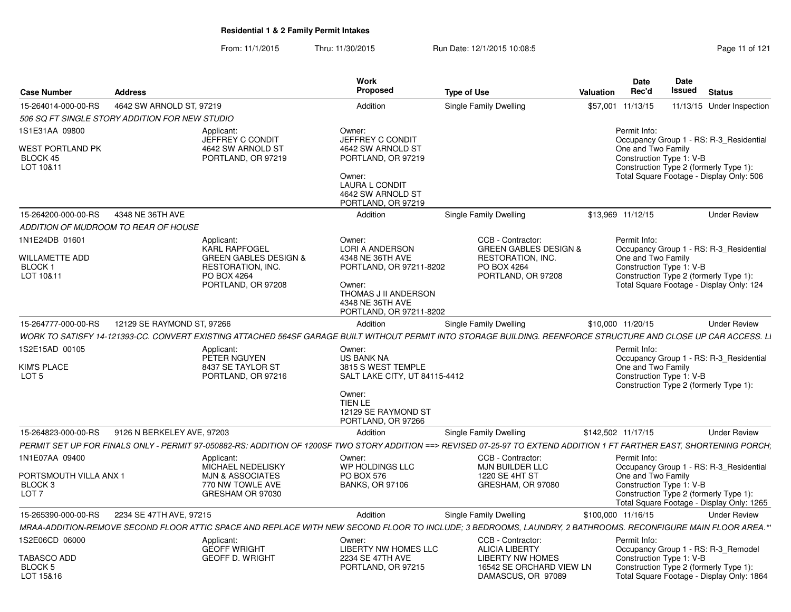From: 11/1/2015Thru: 11/30/2015 Run Date: 12/1/2015 10:08:5<br>
Page 11 of 121

| Case Number                                                                        | <b>Address</b>                       |                                                                                                                                  | <b>Work</b><br><b>Proposed</b>                                                                                                                                   | <b>Type of Use</b>                                                                                                                                                      | <b>Valuation</b>   | <b>Date</b><br>Rec'd                                           | Date<br>Issued | <b>Status</b>                                                                                                                  |
|------------------------------------------------------------------------------------|--------------------------------------|----------------------------------------------------------------------------------------------------------------------------------|------------------------------------------------------------------------------------------------------------------------------------------------------------------|-------------------------------------------------------------------------------------------------------------------------------------------------------------------------|--------------------|----------------------------------------------------------------|----------------|--------------------------------------------------------------------------------------------------------------------------------|
| 15-264014-000-00-RS                                                                | 4642 SW ARNOLD ST, 97219             |                                                                                                                                  | Addition                                                                                                                                                         | Single Family Dwelling                                                                                                                                                  | \$57,001           | 11/13/15                                                       |                | 11/13/15 Under Inspection                                                                                                      |
| 506 SQ FT SINGLE STORY ADDITION FOR NEW STUDIO                                     |                                      |                                                                                                                                  |                                                                                                                                                                  |                                                                                                                                                                         |                    |                                                                |                |                                                                                                                                |
| 1S1E31AA 09800<br>WEST PORTLAND PK<br>BLOCK 45<br>LOT 10&11                        |                                      | Applicant:<br>JEFFREY C CONDIT<br>4642 SW ARNOLD ST<br>PORTLAND, OR 97219                                                        | Owner:<br>JEFFREY C CONDIT<br>4642 SW ARNOLD ST<br>PORTLAND, OR 97219<br>Owner:<br><b>LAURA L CONDIT</b><br>4642 SW ARNOLD ST<br>PORTLAND, OR 97219              |                                                                                                                                                                         |                    | Permit Info:<br>One and Two Family<br>Construction Type 1: V-B |                | Occupancy Group 1 - RS: R-3 Residential<br>Construction Type 2 (formerly Type 1):<br>Total Square Footage - Display Only: 506  |
| 15-264200-000-00-RS                                                                | 4348 NE 36TH AVE                     |                                                                                                                                  | Addition                                                                                                                                                         | Single Family Dwelling                                                                                                                                                  | \$13,969 11/12/15  |                                                                |                | <b>Under Review</b>                                                                                                            |
|                                                                                    | ADDITION OF MUDROOM TO REAR OF HOUSE |                                                                                                                                  |                                                                                                                                                                  |                                                                                                                                                                         |                    |                                                                |                |                                                                                                                                |
| 1N1E24DB 01601<br>WILLAMETTE ADD<br><b>BLOCK1</b><br>LOT 10&11                     |                                      | Applicant:<br><b>KARL RAPFOGEL</b><br><b>GREEN GABLES DESIGN &amp;</b><br>RESTORATION, INC.<br>PO BOX 4264<br>PORTLAND, OR 97208 | Owner:<br><b>LORI A ANDERSON</b><br>4348 NE 36TH AVE<br>PORTLAND, OR 97211-8202<br>Owner:<br>THOMAS J II ANDERSON<br>4348 NE 36TH AVE<br>PORTLAND, OR 97211-8202 | CCB - Contractor:<br><b>GREEN GABLES DESIGN &amp;</b><br><b>RESTORATION, INC.</b><br>PO BOX 4264<br>PORTLAND, OR 97208                                                  |                    | Permit Info:<br>One and Two Family<br>Construction Type 1: V-B |                | Occupancy Group 1 - RS: R-3 Residential<br>Construction Type 2 (formerly Type 1):<br>Total Square Footage - Display Only: 124  |
| 15-264777-000-00-RS                                                                | 12129 SE RAYMOND ST, 97266           |                                                                                                                                  | Addition                                                                                                                                                         | <b>Single Family Dwelling</b>                                                                                                                                           | \$10,000 11/20/15  |                                                                |                | <b>Under Review</b>                                                                                                            |
|                                                                                    |                                      |                                                                                                                                  |                                                                                                                                                                  | WORK TO SATISFY 14-121393-CC. CONVERT EXISTING ATTACHED 564SF GARAGE BUILT WITHOUT PERMIT INTO STORAGE BUILDING. REENFORCE STRUCTURE AND CLOSE UP CAR ACCESS. LI        |                    |                                                                |                |                                                                                                                                |
| 1S2E15AD 00105<br>KIM'S PLACE<br>LOT <sub>5</sub>                                  |                                      | Applicant:<br>PETER NGUYEN<br>8437 SE TAYLOR ST<br>PORTLAND, OR 97216                                                            | Owner:<br><b>US BANK NA</b><br>3815 S WEST TEMPLE<br>SALT LAKE CITY, UT 84115-4412<br>Owner:<br>TIEN LE<br>12129 SE RAYMOND ST<br>PORTLAND, OR 97266             |                                                                                                                                                                         |                    | Permit Info:<br>One and Two Family<br>Construction Type 1: V-B |                | Occupancy Group 1 - RS: R-3_Residential<br>Construction Type 2 (formerly Type 1):                                              |
| 15-264823-000-00-RS                                                                | 9126 N BERKELEY AVE, 97203           |                                                                                                                                  | Addition                                                                                                                                                         | Single Family Dwelling                                                                                                                                                  | \$142,502 11/17/15 |                                                                |                | <b>Under Review</b>                                                                                                            |
|                                                                                    |                                      |                                                                                                                                  |                                                                                                                                                                  | PERMIT SET UP FOR FINALS ONLY - PERMIT 97-050882-RS: ADDITION OF 1200SF TWO STORY ADDITION ==> REVISED 07-25-97 TO EXTEND ADDITION 1 FT FARTHER EAST. SHORTENING PORCH: |                    |                                                                |                |                                                                                                                                |
| 1N1E07AA 09400<br>PORTSMOUTH VILLA ANX 1<br>BLOCK <sub>3</sub><br>LOT <sub>7</sub> |                                      | Applicant:<br>MICHAEL NEDELISKY<br><b>MJN &amp; ASSOCIATES</b><br>770 NW TOWLE AVE<br>GRESHAM OR 97030                           | Owner:<br>WP HOLDINGS LLC<br><b>PO BOX 576</b><br><b>BANKS, OR 97106</b>                                                                                         | CCB - Contractor:<br>MJN BUILDER LLC<br>1220 SE 4HT ST<br>GRESHAM, OR 97080                                                                                             |                    | Permit Info:<br>One and Two Family<br>Construction Type 1: V-B |                | Occupancy Group 1 - RS: R-3 Residential<br>Construction Type 2 (formerly Type 1):<br>Total Square Footage - Display Only: 1265 |
| 15-265390-000-00-RS                                                                | 2234 SE 47TH AVE, 97215              |                                                                                                                                  | Addition                                                                                                                                                         | Single Family Dwelling                                                                                                                                                  | \$100,000 11/16/15 |                                                                |                | <b>Under Review</b>                                                                                                            |
|                                                                                    |                                      |                                                                                                                                  |                                                                                                                                                                  | MRAA-ADDITION-REMOVE SECOND FLOOR ATTIC SPACE AND REPLACE WITH NEW SECOND FLOOR TO INCLUDE; 3 BEDROOMS, LAUNDRY, 2 BATHROOMS. RECONFIGURE MAIN FLOOR AREA.*             |                    |                                                                |                |                                                                                                                                |
| 1S2E06CD 06000                                                                     |                                      | Applicant:<br><b>GEOFF WRIGHT</b>                                                                                                | Owner:<br>LIBERTY NW HOMES LLC                                                                                                                                   | CCB - Contractor:<br><b>ALICIA LIBERTY</b>                                                                                                                              |                    | Permit Info:                                                   |                | Occupancy Group 1 - RS: R-3_Remodel                                                                                            |
| <b>TABASCO ADD</b><br>BLOCK 5<br>LOT 15&16                                         |                                      | <b>GEOFF D. WRIGHT</b>                                                                                                           | 2234 SE 47TH AVE<br>PORTLAND, OR 97215                                                                                                                           | <b>LIBERTY NW HOMES</b><br>16542 SE ORCHARD VIEW LN<br>DAMASCUS, OR 97089                                                                                               |                    | Construction Type 1: V-B                                       |                | Construction Type 2 (formerly Type 1):<br>Total Square Footage - Display Only: 1864                                            |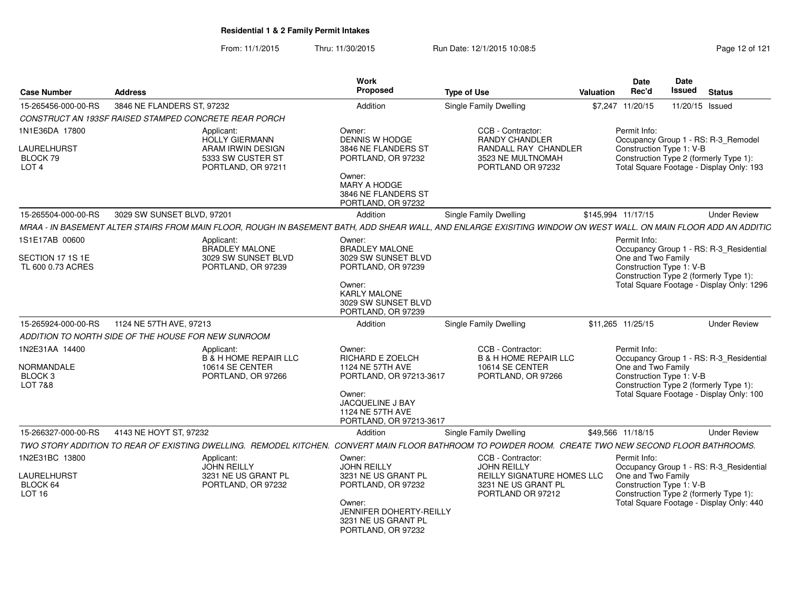From: 11/1/2015Thru: 11/30/2015 Run Date: 12/1/2015 10:08:5<br>
Page 12 of 121

| <b>Case Number</b>                                                              | <b>Address</b>                                                                                                                                                   | Work<br>Proposed                                                                                                                                              | <b>Type of Use</b>                                                                                                       | Valuation | <b>Date</b><br>Rec'd                                                                                     | <b>Date</b><br>Issued | <b>Status</b>                                                                       |
|---------------------------------------------------------------------------------|------------------------------------------------------------------------------------------------------------------------------------------------------------------|---------------------------------------------------------------------------------------------------------------------------------------------------------------|--------------------------------------------------------------------------------------------------------------------------|-----------|----------------------------------------------------------------------------------------------------------|-----------------------|-------------------------------------------------------------------------------------|
| 15-265456-000-00-RS                                                             | 3846 NE FLANDERS ST, 97232                                                                                                                                       | Addition                                                                                                                                                      | <b>Single Family Dwelling</b>                                                                                            |           | \$7,247 11/20/15                                                                                         | 11/20/15 Issued       |                                                                                     |
|                                                                                 | CONSTRUCT AN 193SF RAISED STAMPED CONCRETE REAR PORCH                                                                                                            |                                                                                                                                                               |                                                                                                                          |           |                                                                                                          |                       |                                                                                     |
| 1N1E36DA 17800<br><b>LAURELHURST</b><br>BLOCK 79<br>LOT <sub>4</sub>            | Applicant:<br>HOLLY GIERMANN<br>ARAM IRWIN DESIGN<br>5333 SW CUSTER ST<br>PORTLAND, OR 97211                                                                     | Owner:<br><b>DENNIS W HODGE</b><br>3846 NE FLANDERS ST<br>PORTLAND, OR 97232                                                                                  | CCB - Contractor:<br><b>RANDY CHANDLER</b><br>RANDALL RAY CHANDLER<br>3523 NE MULTNOMAH<br>PORTLAND OR 97232             |           | Permit Info:<br>Construction Type 1: V-B<br>Construction Type 2 (formerly Type 1):                       |                       | Occupancy Group 1 - RS: R-3_Remodel<br>Total Square Footage - Display Only: 193     |
|                                                                                 |                                                                                                                                                                  | Owner:<br>MARY A HODGE<br>3846 NE FLANDERS ST<br>PORTLAND, OR 97232                                                                                           |                                                                                                                          |           |                                                                                                          |                       |                                                                                     |
| 15-265504-000-00-RS                                                             | 3029 SW SUNSET BLVD, 97201                                                                                                                                       | Addition                                                                                                                                                      | Single Family Dwelling                                                                                                   |           | \$145,994 11/17/15                                                                                       |                       | <b>Under Review</b>                                                                 |
|                                                                                 | MRAA - IN BASEMENT ALTER STAIRS FROM MAIN FLOOR. ROUGH IN BASEMENT BATH, ADD SHEAR WALL, AND ENLARGE EXISITING WINDOW ON WEST WALL, ON MAIN FLOOR ADD AN ADDITIC |                                                                                                                                                               |                                                                                                                          |           |                                                                                                          |                       |                                                                                     |
| 1S1E17AB 00600<br>SECTION 17 1S 1E<br>TL 600 0.73 ACRES                         | Applicant:<br>BRADLEY MALONE<br>3029 SW SUNSET BLVD<br>PORTLAND, OR 97239                                                                                        | Owner:<br><b>BRADLEY MALONE</b><br>3029 SW SUNSET BLVD<br>PORTLAND, OR 97239                                                                                  |                                                                                                                          |           | Permit Info:<br>One and Two Family<br>Construction Type 1: V-B<br>Construction Type 2 (formerly Type 1): |                       | Occupancy Group 1 - RS: R-3_Residential                                             |
|                                                                                 |                                                                                                                                                                  | Owner:<br><b>KARLY MALONE</b><br>3029 SW SUNSET BLVD<br>PORTLAND, OR 97239                                                                                    |                                                                                                                          |           |                                                                                                          |                       | Total Square Footage - Display Only: 1296                                           |
| 15-265924-000-00-RS                                                             | 1124 NE 57TH AVE, 97213                                                                                                                                          | Addition                                                                                                                                                      | Single Family Dwelling                                                                                                   |           | \$11.265 11/25/15                                                                                        |                       | <b>Under Review</b>                                                                 |
|                                                                                 | ADDITION TO NORTH SIDE OF THE HOUSE FOR NEW SUNROOM                                                                                                              |                                                                                                                                                               |                                                                                                                          |           |                                                                                                          |                       |                                                                                     |
| 1N2E31AA 14400<br><b>NORMANDALE</b><br>BLOCK <sub>3</sub><br><b>LOT 7&amp;8</b> | Applicant:<br><b>B &amp; H HOME REPAIR LLC</b><br>10614 SE CENTER<br>PORTLAND, OR 97266                                                                          | Owner:<br>RICHARD E ZOELCH<br>1124 NE 57TH AVE<br>PORTLAND, OR 97213-3617<br>Owner:<br><b>JACQUELINE J BAY</b><br>1124 NE 57TH AVE<br>PORTLAND, OR 97213-3617 | CCB - Contractor:<br><b>B &amp; H HOME REPAIR LLC</b><br>10614 SE CENTER<br>PORTLAND, OR 97266                           |           | Permit Info:<br>One and Two Family<br>Construction Type 1: V-B<br>Construction Type 2 (formerly Type 1): |                       | Occupancy Group 1 - RS: R-3_Residential<br>Total Square Footage - Display Only: 100 |
| 15-266327-000-00-RS                                                             | 4143 NE HOYT ST. 97232                                                                                                                                           | Addition                                                                                                                                                      | Single Family Dwelling                                                                                                   |           | \$49,566 11/18/15                                                                                        |                       | <b>Under Review</b>                                                                 |
|                                                                                 | TWO STORY ADDITION TO REAR OF EXISTING DWELLING. REMODEL KITCHEN. CONVERT MAIN FLOOR BATHROOM TO POWDER ROOM. CREATE TWO NEW SECOND FLOOR BATHROOMS.             |                                                                                                                                                               |                                                                                                                          |           |                                                                                                          |                       |                                                                                     |
| 1N2E31BC 13800<br>LAURELHURST<br>BLOCK 64<br>LOT 16                             | Applicant:<br><b>JOHN REILLY</b><br>3231 NE US GRANT PL<br>PORTLAND, OR 97232                                                                                    | Owner:<br><b>JOHN REILLY</b><br>3231 NE US GRANT PL<br>PORTLAND, OR 97232<br>Owner:<br>JENNIFER DOHERTY-REILLY<br>3231 NE US GRANT PL<br>PORTLAND, OR 97232   | CCB - Contractor:<br><b>JOHN REILLY</b><br><b>REILLY SIGNATURE HOMES LLC</b><br>3231 NE US GRANT PL<br>PORTLAND OR 97212 |           | Permit Info:<br>One and Two Family<br>Construction Type 1: V-B<br>Construction Type 2 (formerly Type 1): |                       | Occupancy Group 1 - RS: R-3_Residential<br>Total Square Footage - Display Only: 440 |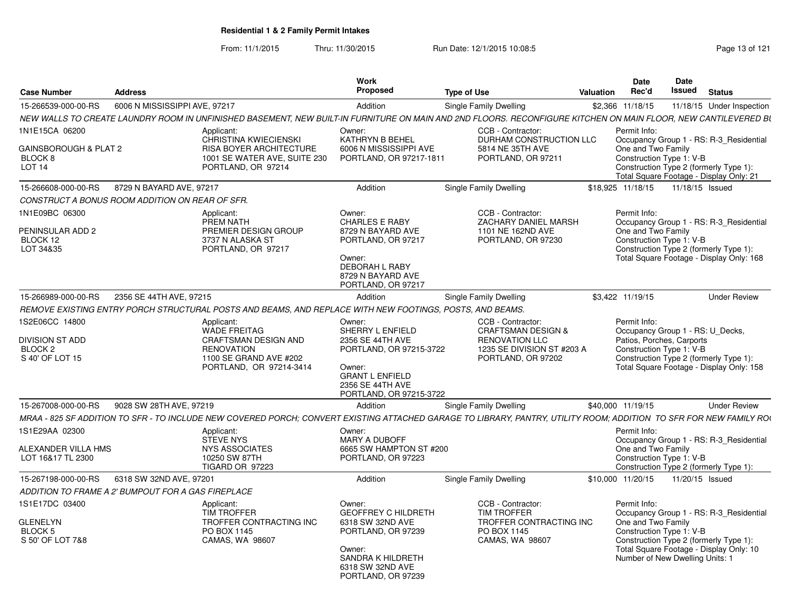From: 11/1/2015Thru: 11/30/2015 Run Date: 12/1/2015 10:08:5<br>
Page 13 of 121

| <b>Case Number</b>                                    | <b>Address</b>                                     |                                                                                                                                                                     | Work<br>Proposed                                                                                           | <b>Type of Use</b>                                                                   | Valuation | Date<br>Rec'd                                                                 | <b>Date</b><br><b>Issued</b> Status |                                                                                    |
|-------------------------------------------------------|----------------------------------------------------|---------------------------------------------------------------------------------------------------------------------------------------------------------------------|------------------------------------------------------------------------------------------------------------|--------------------------------------------------------------------------------------|-----------|-------------------------------------------------------------------------------|-------------------------------------|------------------------------------------------------------------------------------|
| 15-266539-000-00-RS                                   | 6006 N MISSISSIPPI AVE, 97217                      |                                                                                                                                                                     | Addition                                                                                                   | Single Family Dwelling                                                               |           | \$2,366 11/18/15                                                              |                                     | 11/18/15 Under Inspection                                                          |
|                                                       |                                                    | NEW WALLS TO CREATE LAUNDRY ROOM IN UNFINISHED BASEMENT. NEW BUILT-IN FURNITURE ON MAIN AND 2ND FLOORS. RECONFIGURE KITCHEN ON MAIN FLOOR. NEW CANTILEVERED BL      |                                                                                                            |                                                                                      |           |                                                                               |                                     |                                                                                    |
| 1N1E15CA 06200<br>GAINSBOROUGH & PLAT 2               |                                                    | Applicant:<br><b>CHRISTINA KWIECIENSKI</b><br><b>RISA BOYER ARCHITECTURE</b>                                                                                        | Owner:<br><b>KATHRYN B BEHEL</b><br>6006 N MISSISSIPPI AVE                                                 | CCB - Contractor:<br>DURHAM CONSTRUCTION LLC<br>5814 NE 35TH AVE                     |           | Permit Info:<br>One and Two Family                                            |                                     | Occupancy Group 1 - RS: R-3 Residential                                            |
| BLOCK <sub>8</sub><br>LOT <sub>14</sub>               |                                                    | 1001 SE WATER AVE, SUITE 230<br>PORTLAND, OR 97214                                                                                                                  | PORTLAND, OR 97217-1811                                                                                    | PORTLAND, OR 97211                                                                   |           | Construction Type 1: V-B                                                      |                                     | Construction Type 2 (formerly Type 1):<br>Total Square Footage - Display Only: 21  |
| 15-266608-000-00-RS                                   | 8729 N BAYARD AVE, 97217                           |                                                                                                                                                                     | Addition                                                                                                   | Single Family Dwelling                                                               |           | \$18.925 11/18/15                                                             | 11/18/15 Issued                     |                                                                                    |
|                                                       | CONSTRUCT A BONUS ROOM ADDITION ON REAR OF SFR.    |                                                                                                                                                                     |                                                                                                            |                                                                                      |           |                                                                               |                                     |                                                                                    |
| 1N1E09BC 06300<br>PENINSULAR ADD 2<br>BLOCK 12        |                                                    | Applicant:<br>PREM NATH<br>PREMIER DESIGN GROUP<br>3737 N ALASKA ST                                                                                                 | Owner:<br><b>CHARLES E RABY</b><br>8729 N BAYARD AVE<br>PORTLAND, OR 97217                                 | CCB - Contractor:<br>ZACHARY DANIEL MARSH<br>1101 NE 162ND AVE<br>PORTLAND, OR 97230 |           | Permit Info:<br>One and Two Family<br>Construction Type 1: V-B                |                                     | Occupancy Group 1 - RS: R-3_Residential                                            |
| LOT 34&35                                             |                                                    | PORTLAND, OR 97217                                                                                                                                                  | Owner:<br><b>DEBORAH L RABY</b><br>8729 N BAYARD AVE<br>PORTLAND, OR 97217                                 |                                                                                      |           |                                                                               |                                     | Construction Type 2 (formerly Type 1):<br>Total Square Footage - Display Only: 168 |
| 15-266989-000-00-RS                                   | 2356 SE 44TH AVE, 97215                            |                                                                                                                                                                     | Addition                                                                                                   | Single Family Dwelling                                                               |           | \$3,422 11/19/15                                                              |                                     | <b>Under Review</b>                                                                |
|                                                       |                                                    | REMOVE EXISTING ENTRY PORCH STRUCTURAL POSTS AND BEAMS, AND REPLACE WITH NEW FOOTINGS, POSTS, AND BEAMS.                                                            |                                                                                                            |                                                                                      |           |                                                                               |                                     |                                                                                    |
| 1S2E06CC 14800<br><b>DIVISION ST ADD</b>              |                                                    | Applicant:<br><b>WADE FREITAG</b><br>CRAFTSMAN DESIGN AND                                                                                                           | Owner:<br>SHERRY L ENFIELD<br>2356 SE 44TH AVE                                                             | CCB - Contractor:<br><b>CRAFTSMAN DESIGN &amp;</b><br><b>RENOVATION LLC</b>          |           | Permit Info:<br>Occupancy Group 1 - RS: U_Decks,<br>Patios, Porches, Carports |                                     |                                                                                    |
| BLOCK <sub>2</sub><br>S 40' OF LOT 15                 |                                                    | <b>RENOVATION</b><br>1100 SE GRAND AVE #202<br>PORTLAND, OR 97214-3414                                                                                              | PORTLAND, OR 97215-3722<br>Owner:<br><b>GRANT L ENFIELD</b><br>2356 SE 44TH AVE<br>PORTLAND, OR 97215-3722 | 1235 SE DIVISION ST #203 A<br>PORTLAND, OR 97202                                     |           | Construction Type 1: V-B                                                      |                                     | Construction Type 2 (formerly Type 1):<br>Total Square Footage - Display Only: 158 |
| 15-267008-000-00-RS                                   | 9028 SW 28TH AVE, 97219                            |                                                                                                                                                                     | Addition                                                                                                   | Single Family Dwelling                                                               |           | \$40.000 11/19/15                                                             |                                     | <b>Under Review</b>                                                                |
|                                                       |                                                    | MRAA - 825 SF ADDITION TO SFR - TO INCLUDE NEW COVERED PORCH: CONVERT EXISTING ATTACHED GARAGE TO LIBRARY, PANTRY, UTILITY ROOM; ADDITION TO SFR FOR NEW FAMILY ROU |                                                                                                            |                                                                                      |           |                                                                               |                                     |                                                                                    |
| 1S1E29AA 02300                                        |                                                    | Applicant:<br><b>STEVE NYS</b>                                                                                                                                      | Owner:<br><b>MARY A DUBOFF</b>                                                                             |                                                                                      |           | Permit Info:                                                                  |                                     | Occupancy Group 1 - RS: R-3_Residential                                            |
| ALEXANDER VILLA HMS<br>LOT 16&17 TL 2300              |                                                    | <b>NYS ASSOCIATES</b><br>10250 SW 87TH<br><b>TIGARD OR 97223</b>                                                                                                    | 6665 SW HAMPTON ST #200<br>PORTLAND, OR 97223                                                              |                                                                                      |           | One and Two Family<br>Construction Type 1: V-B                                |                                     | Construction Type 2 (formerly Type 1):                                             |
| 15-267198-000-00-RS                                   | 6318 SW 32ND AVE, 97201                            |                                                                                                                                                                     | Addition                                                                                                   | Single Family Dwelling                                                               |           | \$10,000 11/20/15                                                             | 11/20/15 Issued                     |                                                                                    |
|                                                       | ADDITION TO FRAME A 2' BUMPOUT FOR A GAS FIREPLACE |                                                                                                                                                                     |                                                                                                            |                                                                                      |           |                                                                               |                                     |                                                                                    |
| 1S1E17DC 03400                                        |                                                    | Applicant:<br><b>TIM TROFFER</b>                                                                                                                                    | Owner:<br><b>GEOFFREY C HILDRETH</b>                                                                       | CCB - Contractor:<br><b>TIM TROFFER</b>                                              |           | Permit Info:                                                                  |                                     | Occupancy Group 1 - RS: R-3 Residential                                            |
| <b>GLENELYN</b><br><b>BLOCK 5</b><br>S 50' OF LOT 7&8 |                                                    | TROFFER CONTRACTING INC<br>PO BOX 1145<br>CAMAS, WA 98607                                                                                                           | 6318 SW 32ND AVE<br>PORTLAND, OR 97239                                                                     | TROFFER CONTRACTING INC<br>PO BOX 1145<br>CAMAS, WA 98607                            |           | One and Two Family<br>Construction Type 1: V-B                                |                                     | Construction Type 2 (formerly Type 1):<br>Total Square Footage - Display Only: 10  |
|                                                       |                                                    |                                                                                                                                                                     | Owner:<br>SANDRA K HILDRETH<br>6318 SW 32ND AVE<br>PORTLAND, OR 97239                                      |                                                                                      |           | Number of New Dwelling Units: 1                                               |                                     |                                                                                    |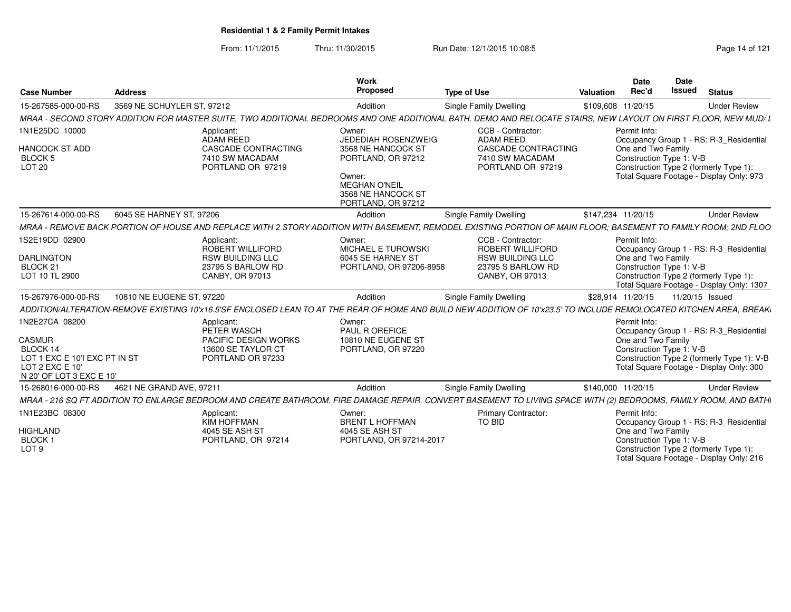From: 11/1/2015Thru: 11/30/2015 Run Date: 12/1/2015 10:08:5<br>
Page 14 of 121

| <b>Case Number</b>                                                                                                          | <b>Address</b>                                                                                                                                                       | Work<br>Proposed                                                                                                                                               | <b>Type of Use</b>                                                                                          | Valuation | Date<br>Rec'd                                                  | <b>Date</b><br><b>Issued</b> | <b>Status</b>                                                                                                                     |
|-----------------------------------------------------------------------------------------------------------------------------|----------------------------------------------------------------------------------------------------------------------------------------------------------------------|----------------------------------------------------------------------------------------------------------------------------------------------------------------|-------------------------------------------------------------------------------------------------------------|-----------|----------------------------------------------------------------|------------------------------|-----------------------------------------------------------------------------------------------------------------------------------|
| 15-267585-000-00-RS                                                                                                         | 3569 NE SCHUYLER ST, 97212                                                                                                                                           | Addition                                                                                                                                                       | <b>Single Family Dwelling</b>                                                                               |           | \$109,608 11/20/15                                             |                              | <b>Under Review</b>                                                                                                               |
|                                                                                                                             | MRAA - SECOND STORY ADDITION FOR MASTER SUITE, TWO ADDITIONAL BEDROOMS AND ONE ADDITIONAL BATH. DEMO AND RELOCATE STAIRS, NEW LAYOUT ON FIRST FLOOR, NEW MUD/ L      |                                                                                                                                                                |                                                                                                             |           |                                                                |                              |                                                                                                                                   |
| 1N1E25DC 10000<br><b>HANCOCK ST ADD</b><br><b>BLOCK 5</b><br><b>LOT 20</b>                                                  | Applicant:<br>ADAM REED<br><b>CASCADE CONTRACTING</b><br>7410 SW MACADAM<br>PORTLAND OR 97219                                                                        | Owner:<br><b>JEDEDIAH ROSENZWEIG</b><br>3568 NE HANCOCK ST<br>PORTLAND, OR 97212<br>Owner:<br><b>MEGHAN O'NEIL</b><br>3568 NE HANCOCK ST<br>PORTLAND, OR 97212 | CCB - Contractor:<br><b>ADAM REED</b><br><b>CASCADE CONTRACTING</b><br>7410 SW MACADAM<br>PORTLAND OR 97219 |           | Permit Info:<br>One and Two Family<br>Construction Type 1: V-B |                              | Occupancy Group 1 - RS: R-3_Residential<br>Construction Type 2 (formerly Type 1):<br>Total Square Footage - Display Only: 973     |
| 15-267614-000-00-RS                                                                                                         | 6045 SE HARNEY ST, 97206                                                                                                                                             | Addition                                                                                                                                                       | <b>Single Family Dwelling</b>                                                                               |           | \$147,234 11/20/15                                             |                              | <b>Under Review</b>                                                                                                               |
|                                                                                                                             | MRAA - REMOVE BACK PORTION OF HOUSE AND REPLACE WITH 2 STORY ADDITION WITH BASEMENT, REMODEL EXISTING PORTION OF MAIN FLOOR; BASEMENT TO FAMILY ROOM; 2ND FLOO       |                                                                                                                                                                |                                                                                                             |           |                                                                |                              |                                                                                                                                   |
| 1S2E19DD 02900<br><b>DARLINGTON</b><br>BLOCK 21<br>LOT 10 TL 2900                                                           | Applicant:<br>ROBERT WILLIFORD<br><b>RSW BUILDING LLC</b><br>23795 S BARLOW RD<br>CANBY, OR 97013                                                                    | Owner:<br>MICHAEL E TUROWSKI<br>6045 SE HARNEY ST<br>PORTLAND, OR 97206-8958                                                                                   | CCB - Contractor:<br>ROBERT WILLIFORD<br><b>RSW BUILDING LLC</b><br>23795 S BARLOW RD<br>CANBY, OR 97013    |           | Permit Info:<br>One and Two Family<br>Construction Type 1: V-B |                              | Occupancy Group 1 - RS: R-3_Residential<br>Construction Type 2 (formerly Type 1):<br>Total Square Footage - Display Only: 1307    |
| 15-267976-000-00-RS                                                                                                         | 10810 NE EUGENE ST, 97220                                                                                                                                            | Addition                                                                                                                                                       | <b>Single Family Dwelling</b>                                                                               |           | \$28,914 11/20/15                                              |                              | 11/20/15 Issued                                                                                                                   |
|                                                                                                                             | ADDITION/ALTERATION-REMOVE EXISTING 10'x16.5'SF ENCLOSED LEAN TO AT THE REAR OF HOME AND BUILD NEW ADDITION OF 10'x23.5' TO INCLUDE REMOLOCATED KITCHEN AREA. BREAKI |                                                                                                                                                                |                                                                                                             |           |                                                                |                              |                                                                                                                                   |
| 1N2E27CA 08200<br><b>CASMUR</b><br>BLOCK 14<br>LOT 1 EXC E 10'I EXC PT IN ST<br>LOT 2 EXC E 10'<br>N 20' OF LOT 3 EXC E 10' | Applicant:<br>PETER WASCH<br><b>PACIFIC DESIGN WORKS</b><br>13600 SE TAYLOR CT<br>PORTLAND OR 97233                                                                  | Owner:<br>PAUL R OREFICE<br>10810 NE EUGENE ST<br>PORTLAND, OR 97220                                                                                           |                                                                                                             |           | Permit Info:<br>One and Two Family<br>Construction Type 1: V-B |                              | Occupancy Group 1 - RS: R-3_Residential<br>Construction Type 2 (formerly Type 1): V-B<br>Total Square Footage - Display Only: 300 |
| 15-268016-000-00-RS                                                                                                         | 4621 NE GRAND AVE, 97211                                                                                                                                             | Addition                                                                                                                                                       | <b>Single Family Dwelling</b>                                                                               |           | \$140,000 11/20/15                                             |                              | <b>Under Review</b>                                                                                                               |
|                                                                                                                             | MRAA - 216 SQ FT ADDITION TO ENLARGE BEDROOM AND CREATE BATHROOM. FIRE DAMAGE REPAIR. CONVERT BASEMENT TO LIVING SPACE WITH (2) BEDROOMS, FAMILY ROOM, AND BATHI     |                                                                                                                                                                |                                                                                                             |           |                                                                |                              |                                                                                                                                   |
| 1N1E23BC 08300<br><b>HIGHLAND</b><br>BLOCK <sub>1</sub><br>LOT <sub>9</sub>                                                 | Applicant:<br><b>KIM HOFFMAN</b><br>4045 SE ASH ST<br>PORTLAND, OR 97214                                                                                             | Owner:<br><b>BRENT L HOFFMAN</b><br>4045 SE ASH ST<br>PORTLAND, OR 97214-2017                                                                                  | <b>Primary Contractor:</b><br><b>TO BID</b>                                                                 |           | Permit Info:<br>One and Two Family<br>Construction Type 1: V-B |                              | Occupancy Group 1 - RS: R-3_Residential<br>Construction Type 2 (formerly Type 1):<br>Total Square Footage - Display Only: 216     |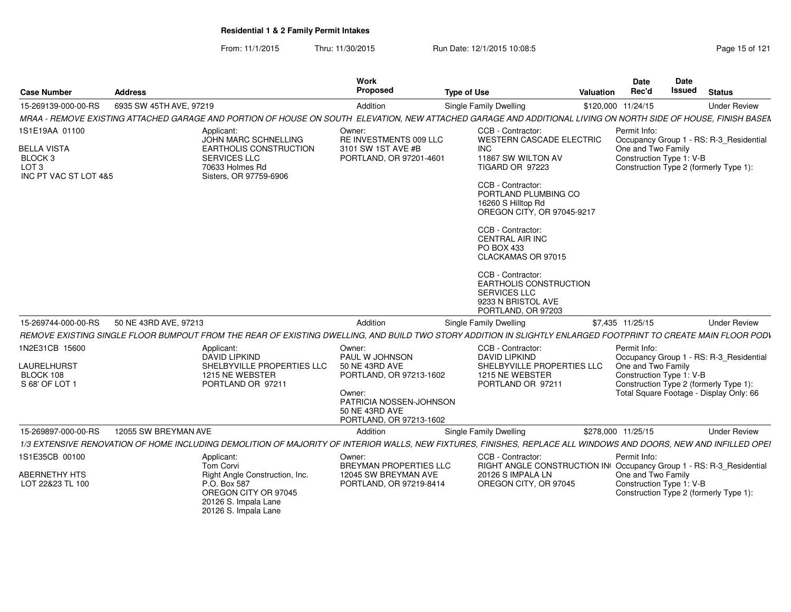From: 11/1/2015Thru: 11/30/2015 Run Date: 12/1/2015 10:08:5<br>
Page 15 of 121

| <b>Case Number</b>                                                                           | <b>Address</b>          |                                                                                                                                            | <b>Work</b><br><b>Proposed</b>                                                                                              | <b>Type of Use</b>                                                                                                                                                                                                                                                                                                                                                                                 | <b>Valuation</b> | <b>Date</b><br>Rec'd                                           | <b>Date</b><br>Issued | <b>Status</b>                                                                     |
|----------------------------------------------------------------------------------------------|-------------------------|--------------------------------------------------------------------------------------------------------------------------------------------|-----------------------------------------------------------------------------------------------------------------------------|----------------------------------------------------------------------------------------------------------------------------------------------------------------------------------------------------------------------------------------------------------------------------------------------------------------------------------------------------------------------------------------------------|------------------|----------------------------------------------------------------|-----------------------|-----------------------------------------------------------------------------------|
| 15-269139-000-00-RS                                                                          | 6935 SW 45TH AVE, 97219 |                                                                                                                                            | Addition                                                                                                                    | <b>Single Family Dwelling</b>                                                                                                                                                                                                                                                                                                                                                                      |                  | \$120,000 11/24/15                                             |                       | <b>Under Review</b>                                                               |
|                                                                                              |                         |                                                                                                                                            |                                                                                                                             | MRAA - REMOVE EXISTING ATTACHED GARAGE AND PORTION OF HOUSE ON SOUTH ELEVATION. NEW ATTACHED GARAGE AND ADDITIONAL LIVING ON NORTH SIDE OF HOUSE. FINISH BASEN                                                                                                                                                                                                                                     |                  |                                                                |                       |                                                                                   |
| 1S1E19AA 01100<br><b>BELLA VISTA</b><br>BLOCK 3<br>LOT <sub>3</sub><br>INC PT VAC ST LOT 4&5 |                         | Applicant:<br>JOHN MARC SCHNELLING<br>EARTHOLIS CONSTRUCTION<br>SERVICES LLC<br>70633 Holmes Rd<br>Sisters, OR 97759-6906                  | Owner:<br>RE INVESTMENTS 009 LLC<br>3101 SW 1ST AVE #B<br>PORTLAND, OR 97201-4601                                           | CCB - Contractor:<br><b>WESTERN CASCADE ELECTRIC</b><br><b>INC</b><br>11867 SW WILTON AV<br><b>TIGARD OR 97223</b><br>CCB - Contractor:<br>PORTLAND PLUMBING CO<br>16260 S Hilltop Rd<br>OREGON CITY, OR 97045-9217<br>CCB - Contractor:<br><b>CENTRAL AIR INC</b><br><b>PO BOX 433</b><br>CLACKAMAS OR 97015<br>CCB - Contractor:<br>EARTHOLIS CONSTRUCTION<br>SERVICES LLC<br>9233 N BRISTOL AVE |                  | Permit Info:<br>One and Two Family<br>Construction Type 1: V-B |                       | Occupancy Group 1 - RS: R-3_Residential<br>Construction Type 2 (formerly Type 1): |
| 15-269744-000-00-RS                                                                          | 50 NE 43RD AVE, 97213   |                                                                                                                                            | Addition                                                                                                                    | PORTLAND, OR 97203<br>Single Family Dwelling                                                                                                                                                                                                                                                                                                                                                       |                  | \$7,435 11/25/15                                               |                       | <b>Under Review</b>                                                               |
|                                                                                              |                         |                                                                                                                                            |                                                                                                                             | REMOVE EXISTING SINGLE FLOOR BUMPOUT FROM THE REAR OF EXISTING DWELLING, AND BUILD TWO STORY ADDITION IN SLIGHTLY ENLARGED FOOTPRINT TO CREATE MAIN FLOOR PODV                                                                                                                                                                                                                                     |                  |                                                                |                       |                                                                                   |
| 1N2E31CB 15600                                                                               |                         | Applicant:<br><b>DAVID LIPKIND</b>                                                                                                         | Owner:<br>PAUL W JOHNSON                                                                                                    | CCB - Contractor:<br><b>DAVID LIPKIND</b>                                                                                                                                                                                                                                                                                                                                                          |                  | Permit Info:                                                   |                       | Occupancy Group 1 - RS: R-3_Residential                                           |
| <b>LAURELHURST</b><br>BLOCK 108<br>S 68' OF LOT 1                                            |                         | SHELBYVILLE PROPERTIES LLC<br>1215 NE WEBSTER<br>PORTLAND OR 97211                                                                         | 50 NE 43RD AVE<br>PORTLAND, OR 97213-1602<br>Owner:<br>PATRICIA NOSSEN-JOHNSON<br>50 NE 43RD AVE<br>PORTLAND, OR 97213-1602 | SHELBYVILLE PROPERTIES LLC<br>1215 NE WEBSTER<br>PORTLAND OR 97211                                                                                                                                                                                                                                                                                                                                 |                  | One and Two Family<br>Construction Type 1: V-B                 |                       | Construction Type 2 (formerly Type 1):<br>Total Square Footage - Display Only: 66 |
| 15-269897-000-00-RS                                                                          | 12055 SW BREYMAN AVE    |                                                                                                                                            | Addition                                                                                                                    | Single Family Dwelling                                                                                                                                                                                                                                                                                                                                                                             |                  | \$278,000 11/25/15                                             |                       | <b>Under Review</b>                                                               |
|                                                                                              |                         |                                                                                                                                            |                                                                                                                             | 1/3 EXTENSIVE RENOVATION OF HOME INCLUDING DEMOLITION OF MAJORITY OF INTERIOR WALLS, NEW FIXTURES, FINISHES, REPLACE ALL WINDOWS AND DOORS, NEW AND INFILLED OPEI                                                                                                                                                                                                                                  |                  |                                                                |                       |                                                                                   |
| 1S1E35CB 00100                                                                               |                         | Applicant:                                                                                                                                 | Owner:                                                                                                                      | CCB - Contractor:                                                                                                                                                                                                                                                                                                                                                                                  |                  | Permit Info:                                                   |                       |                                                                                   |
| <b>ABERNETHY HTS</b><br>LOT 22&23 TL 100                                                     |                         | <b>Tom Corvi</b><br>Right Angle Construction, Inc.<br>P.O. Box 587<br>OREGON CITY OR 97045<br>20126 S. Impala Lane<br>20126 S. Impala Lane | <b>BREYMAN PROPERTIES LLC</b><br>12045 SW BREYMAN AVE<br>PORTLAND, OR 97219-8414                                            | RIGHT ANGLE CONSTRUCTION IN Occupancy Group 1 - RS: R-3_Residential<br>20126 S IMPALA LN<br>OREGON CITY, OR 97045                                                                                                                                                                                                                                                                                  |                  | One and Two Family<br>Construction Type 1: V-B                 |                       | Construction Type 2 (formerly Type 1):                                            |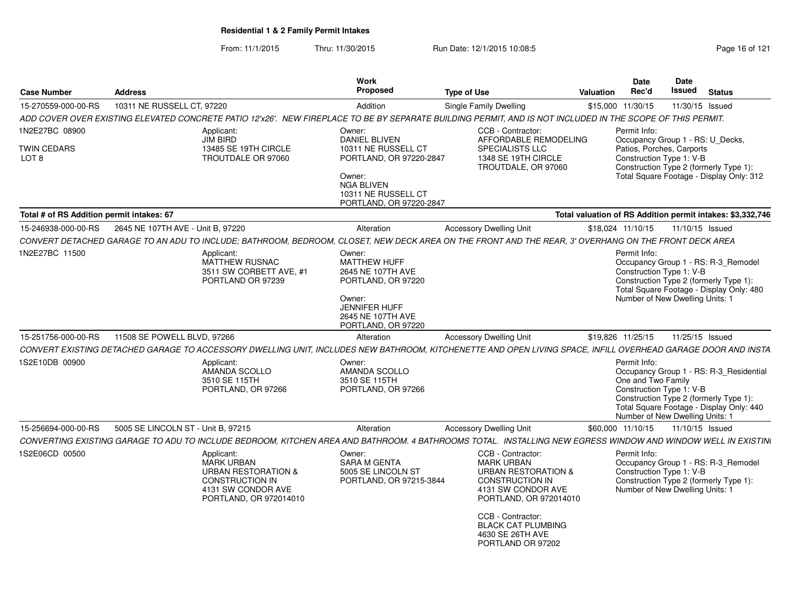From: 11/1/2015Thru: 11/30/2015 Run Date: 12/1/2015 10:08:5<br>
Page 16 of 121

| <b>Case Number</b>                                | <b>Address</b>                     |                                                                                                                                             | Work<br>Proposed                                                                                                                                                  | <b>Type of Use</b>                                                                                                                                                                                                                            | Valuation | <b>Date</b><br>Rec'd                                                                                      | Date<br>Issued  | <b>Status</b>                                                                                                                 |
|---------------------------------------------------|------------------------------------|---------------------------------------------------------------------------------------------------------------------------------------------|-------------------------------------------------------------------------------------------------------------------------------------------------------------------|-----------------------------------------------------------------------------------------------------------------------------------------------------------------------------------------------------------------------------------------------|-----------|-----------------------------------------------------------------------------------------------------------|-----------------|-------------------------------------------------------------------------------------------------------------------------------|
| 15-270559-000-00-RS                               | 10311 NE RUSSELL CT, 97220         |                                                                                                                                             | Addition                                                                                                                                                          | Single Family Dwelling                                                                                                                                                                                                                        |           | \$15,000 11/30/15                                                                                         | 11/30/15 Issued |                                                                                                                               |
|                                                   |                                    |                                                                                                                                             |                                                                                                                                                                   | ADD COVER OVER EXISTING ELEVATED CONCRETE PATIO 12'x26'. NEW FIREPLACE TO BE BY SEPARATE BUILDING PERMIT, AND IS NOT INCLUDED IN THE SCOPE OF THIS PERMIT.                                                                                    |           |                                                                                                           |                 |                                                                                                                               |
| 1N2E27BC 08900<br>TWIN CEDARS<br>LOT <sub>8</sub> |                                    | Applicant:<br>JIM BIRD<br>13485 SE 19TH CIRCLE<br>TROUTDALE OR 97060                                                                        | Owner:<br><b>DANIEL BLIVEN</b><br>10311 NE RUSSELL CT<br>PORTLAND, OR 97220-2847<br>Owner:<br><b>NGA BLIVEN</b><br>10311 NE RUSSELL CT<br>PORTLAND, OR 97220-2847 | CCB - Contractor:<br>AFFORDABLE REMODELING<br><b>SPECIALISTS LLC</b><br>1348 SE 19TH CIRCLE<br>TROUTDALE, OR 97060                                                                                                                            |           | Permit Info:<br>Occupancy Group 1 - RS: U_Decks,<br>Patios, Porches, Carports<br>Construction Type 1: V-B |                 | Construction Type 2 (formerly Type 1):<br>Total Square Footage - Display Only: 312                                            |
| Total # of RS Addition permit intakes: 67         |                                    |                                                                                                                                             |                                                                                                                                                                   |                                                                                                                                                                                                                                               |           |                                                                                                           |                 | Total valuation of RS Addition permit intakes: \$3,332,746                                                                    |
| 15-246938-000-00-RS                               | 2645 NE 107TH AVE - Unit B, 97220  |                                                                                                                                             | Alteration                                                                                                                                                        | <b>Accessory Dwelling Unit</b>                                                                                                                                                                                                                |           | \$18,024 11/10/15                                                                                         | 11/10/15 Issued |                                                                                                                               |
|                                                   |                                    |                                                                                                                                             |                                                                                                                                                                   | CONVERT DETACHED GARAGE TO AN ADU TO INCLUDE; BATHROOM, BEDROOM, CLOSET, NEW DECK AREA ON THE FRONT AND THE REAR, 3' OVERHANG ON THE FRONT DECK AREA                                                                                          |           |                                                                                                           |                 |                                                                                                                               |
| 1N2E27BC 11500                                    |                                    | Applicant:<br>MATTHEW RUSNAC<br>3511 SW CORBETT AVE. #1<br>PORTLAND OR 97239                                                                | Owner:<br>MATTHEW HUFF<br>2645 NE 107TH AVE<br>PORTLAND, OR 97220<br>Owner:<br><b>JENNIFER HUFF</b><br>2645 NE 107TH AVE<br>PORTLAND, OR 97220                    |                                                                                                                                                                                                                                               |           | Permit Info:<br>Construction Type 1: V-B<br>Number of New Dwelling Units: 1                               |                 | Occupancy Group 1 - RS: R-3_Remodel<br>Construction Type 2 (formerly Type 1):<br>Total Square Footage - Display Only: 480     |
| 15-251756-000-00-RS                               | 11508 SE POWELL BLVD, 97266        |                                                                                                                                             | Alteration                                                                                                                                                        | <b>Accessory Dwelling Unit</b>                                                                                                                                                                                                                |           | \$19.826 11/25/15                                                                                         | 11/25/15 Issued |                                                                                                                               |
|                                                   |                                    |                                                                                                                                             |                                                                                                                                                                   | CONVERT EXISTING DETACHED GARAGE TO ACCESSORY DWELLING UNIT. INCLUDES NEW BATHROOM. KITCHENETTE AND OPEN LIVING SPACE. INFILL OVERHEAD GARAGE DOOR AND INSTA                                                                                  |           |                                                                                                           |                 |                                                                                                                               |
| 1S2E10DB 00900                                    |                                    | Applicant:<br>AMANDA SCOLLO<br>3510 SE 115TH<br>PORTLAND, OR 97266                                                                          | Owner:<br>AMANDA SCOLLO<br>3510 SE 115TH<br>PORTLAND, OR 97266                                                                                                    |                                                                                                                                                                                                                                               |           | Permit Info:<br>One and Two Family<br>Construction Type 1: V-B<br>Number of New Dwelling Units: 1         |                 | Occupancy Group 1 - RS: R-3 Residential<br>Construction Type 2 (formerly Type 1):<br>Total Square Footage - Display Only: 440 |
| 15-256694-000-00-RS                               | 5005 SE LINCOLN ST - Unit B, 97215 |                                                                                                                                             | Alteration                                                                                                                                                        | <b>Accessory Dwelling Unit</b>                                                                                                                                                                                                                |           | \$60,000 11/10/15                                                                                         | 11/10/15 Issued |                                                                                                                               |
|                                                   |                                    |                                                                                                                                             |                                                                                                                                                                   | CONVERTING EXISTING GARAGE TO ADU TO INCLUDE BEDROOM, KITCHEN AREA AND BATHROOM. 4 BATHROOMS TOTAL. INSTALLING NEW EGRESS WINDOW AND WINDOW WELL IN EXISTIN(                                                                                  |           |                                                                                                           |                 |                                                                                                                               |
| 1S2E06CD 00500                                    |                                    | Applicant:<br><b>MARK URBAN</b><br><b>URBAN RESTORATION &amp;</b><br><b>CONSTRUCTION IN</b><br>4131 SW CONDOR AVE<br>PORTLAND, OR 972014010 | Owner:<br><b>SARA M GENTA</b><br>5005 SE LINCOLN ST<br>PORTLAND, OR 97215-3844                                                                                    | CCB - Contractor:<br><b>MARK URBAN</b><br><b>URBAN RESTORATION &amp;</b><br><b>CONSTRUCTION IN</b><br>4131 SW CONDOR AVE<br>PORTLAND, OR 972014010<br>CCB - Contractor:<br><b>BLACK CAT PLUMBING</b><br>4630 SE 26TH AVE<br>PORTLAND OR 97202 |           | Permit Info:<br>Construction Type 1: V-B<br>Number of New Dwelling Units: 1                               |                 | Occupancy Group 1 - RS: R-3 Remodel<br>Construction Type 2 (formerly Type 1):                                                 |
|                                                   |                                    |                                                                                                                                             |                                                                                                                                                                   |                                                                                                                                                                                                                                               |           |                                                                                                           |                 |                                                                                                                               |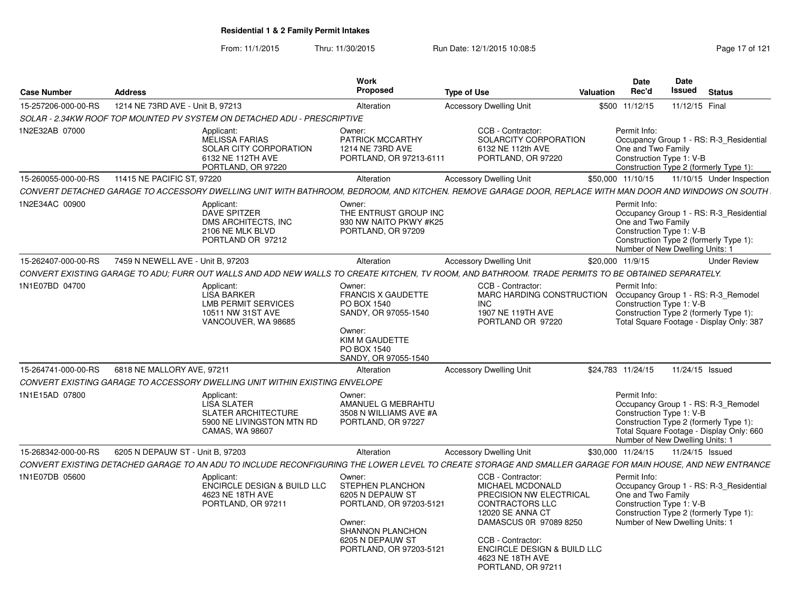From: 11/1/2015Thru: 11/30/2015 Run Date: 12/1/2015 10:08:5<br>
Page 17 of 121

| 1214 NE 73RD AVE - Unit B. 97213<br>15-257206-000-00-RS<br>Alteration<br><b>Accessory Dwelling Unit</b><br>SOLAR - 2.34KW ROOF TOP MOUNTED PV SYSTEM ON DETACHED ADU - PRESCRIPTIVE                                                                                                                                                                                                                                                                                                                                                           | \$500 11/12/15    |                                                                                   |                                                                                                                           |
|-----------------------------------------------------------------------------------------------------------------------------------------------------------------------------------------------------------------------------------------------------------------------------------------------------------------------------------------------------------------------------------------------------------------------------------------------------------------------------------------------------------------------------------------------|-------------------|-----------------------------------------------------------------------------------|---------------------------------------------------------------------------------------------------------------------------|
|                                                                                                                                                                                                                                                                                                                                                                                                                                                                                                                                               |                   |                                                                                   | 11/12/15 Final                                                                                                            |
|                                                                                                                                                                                                                                                                                                                                                                                                                                                                                                                                               |                   |                                                                                   |                                                                                                                           |
| 1N2E32AB 07000<br>CCB - Contractor:<br>Applicant:<br>Owner:<br><b>MELISSA FARIAS</b><br>PATRICK MCCARTHY<br>SOLARCITY CORPORATION<br>SOLAR CITY CORPORATION<br>1214 NE 73RD AVE<br>6132 NE 112th AVE<br>6132 NE 112TH AVE<br>PORTLAND, OR 97213-6111<br>PORTLAND, OR 97220<br>PORTLAND, OR 97220                                                                                                                                                                                                                                              | Permit Info:      | One and Two Family<br>Construction Type 1: V-B                                    | Occupancy Group 1 - RS: R-3_Residential<br>Construction Type 2 (formerly Type 1):                                         |
| 15-260055-000-00-RS<br>11415 NE PACIFIC ST, 97220<br>Alteration<br><b>Accessory Dwelling Unit</b>                                                                                                                                                                                                                                                                                                                                                                                                                                             | \$50,000 11/10/15 |                                                                                   | 11/10/15 Under Inspection                                                                                                 |
| CONVERT DETACHED GARAGE TO ACCESSORY DWELLING UNIT WITH BATHROOM, BEDROOM, AND KITCHEN. REMOVE GARAGE DOOR, REPLACE WITH MAN DOOR AND WINDOWS ON SOUTH                                                                                                                                                                                                                                                                                                                                                                                        |                   |                                                                                   |                                                                                                                           |
| 1N2E34AC 00900<br>Applicant:<br>Owner:<br><b>DAVE SPITZER</b><br>THE ENTRUST GROUP INC<br>DMS ARCHITECTS, INC<br>930 NW NAITO PKWY #K25<br>PORTLAND, OR 97209<br>2106 NE MLK BLVD<br>PORTLAND OR 97212                                                                                                                                                                                                                                                                                                                                        | Permit Info:      | One and Two Family<br>Construction Type 1: V-B<br>Number of New Dwelling Units: 1 | Occupancy Group 1 - RS: R-3 Residential<br>Construction Type 2 (formerly Type 1):                                         |
| 15-262407-000-00-RS<br>7459 N NEWELL AVE - Unit B, 97203<br><b>Accessory Dwelling Unit</b><br>Alteration                                                                                                                                                                                                                                                                                                                                                                                                                                      | \$20,000 11/9/15  |                                                                                   | <b>Under Review</b>                                                                                                       |
| CONVERT EXISTING GARAGE TO ADU: FURR OUT WALLS AND ADD NEW WALLS TO CREATE KITCHEN. TV ROOM. AND BATHROOM. TRADE PERMITS TO BE OBTAINED SEPARATELY.                                                                                                                                                                                                                                                                                                                                                                                           |                   |                                                                                   |                                                                                                                           |
| 1N1E07BD 04700<br>CCB - Contractor:<br>Applicant:<br>Owner:<br><b>LISA BARKER</b><br><b>FRANCIS X GAUDETTE</b><br>MARC HARDING CONSTRUCTION<br><b>LMB PERMIT SERVICES</b><br>PO BOX 1540<br>INC.<br>10511 NW 31ST AVE<br>SANDY, OR 97055-1540<br>1907 NE 119TH AVE<br>VANCOUVER, WA 98685<br>PORTLAND OR 97220<br>Owner:<br>KIM M GAUDETTE<br>PO BOX 1540<br>SANDY, OR 97055-1540                                                                                                                                                             | Permit Info:      | Construction Type 1: V-B                                                          | Occupancy Group 1 - RS: R-3 Remodel<br>Construction Type 2 (formerly Type 1):<br>Total Square Footage - Display Only: 387 |
| 15-264741-000-00-RS<br>6818 NE MALLORY AVE, 97211<br><b>Accessory Dwelling Unit</b><br>Alteration                                                                                                                                                                                                                                                                                                                                                                                                                                             | \$24.783 11/24/15 |                                                                                   | 11/24/15 Issued                                                                                                           |
| CONVERT EXISTING GARAGE TO ACCESSORY DWELLING UNIT WITHIN EXISTING ENVELOPE                                                                                                                                                                                                                                                                                                                                                                                                                                                                   |                   |                                                                                   |                                                                                                                           |
| 1N1E15AD 07800<br>Applicant:<br>Owner:<br><b>LISA SLATER</b><br>AMANUEL G MEBRAHTU<br><b>SLATER ARCHITECTURE</b><br>3508 N WILLIAMS AVE #A<br>5900 NE LIVINGSTON MTN RD<br>PORTLAND, OR 97227<br>CAMAS, WA 98607                                                                                                                                                                                                                                                                                                                              | Permit Info:      | Construction Type 1: V-B<br>Number of New Dwelling Units: 1                       | Occupancy Group 1 - RS: R-3 Remodel<br>Construction Type 2 (formerly Type 1):<br>Total Square Footage - Display Only: 660 |
| 15-268342-000-00-RS<br><b>Accessory Dwelling Unit</b><br>6205 N DEPAUW ST - Unit B, 97203<br>Alteration                                                                                                                                                                                                                                                                                                                                                                                                                                       | \$30,000 11/24/15 |                                                                                   | 11/24/15 Issued                                                                                                           |
| CONVERT EXISTING DETACHED GARAGE TO AN ADU TO INCLUDE RECONFIGURING THE LOWER LEVEL TO CREATE STORAGE AND SMALLER GARAGE FOR MAIN HOUSE, AND NEW ENTRANCE                                                                                                                                                                                                                                                                                                                                                                                     |                   |                                                                                   |                                                                                                                           |
| 1N1E07DB 05600<br>Applicant:<br>Owner:<br>CCB - Contractor:<br><b>ENCIRCLE DESIGN &amp; BUILD LLC</b><br>STEPHEN PLANCHON<br><b>MICHAEL MCDONALD</b><br>4623 NE 18TH AVE<br>6205 N DEPAUW ST<br>PRECISION NW ELECTRICAL<br>PORTLAND, OR 97203-5121<br><b>CONTRACTORS LLC</b><br>PORTLAND, OR 97211<br>12020 SE ANNA CT<br>DAMASCUS 0R 97089 8250<br>Owner:<br><b>SHANNON PLANCHON</b><br>CCB - Contractor:<br>6205 N DEPAUW ST<br><b>ENCIRCLE DESIGN &amp; BUILD LLC</b><br>PORTLAND, OR 97203-5121<br>4623 NE 18TH AVE<br>PORTLAND, OR 97211 | Permit Info:      | One and Two Family<br>Construction Type 1: V-B<br>Number of New Dwelling Units: 1 | Occupancy Group 1 - RS: R-3 Residential<br>Construction Type 2 (formerly Type 1):                                         |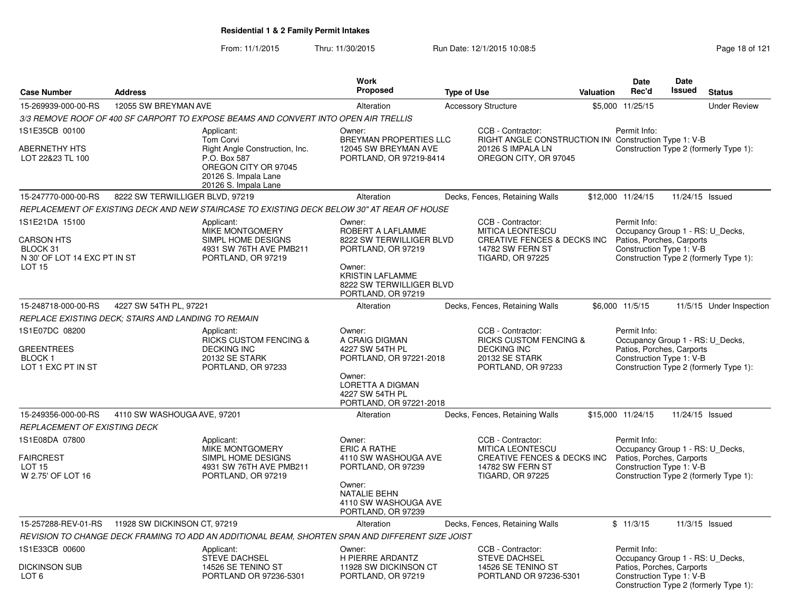From: 11/1/2015Thru: 11/30/2015 Run Date: 12/1/2015 10:08:5<br>
Page 18 of 121

| <b>Case Number</b>                                                             | <b>Address</b>                                      |                                                                                                                                                          | Work<br>Proposed                                                                                                                                           | <b>Type of Use</b> |                                                                                                                                       | Valuation | <b>Date</b><br>Rec'd                                                                                      | Date<br><b>Issued</b> | <b>Status</b>                          |
|--------------------------------------------------------------------------------|-----------------------------------------------------|----------------------------------------------------------------------------------------------------------------------------------------------------------|------------------------------------------------------------------------------------------------------------------------------------------------------------|--------------------|---------------------------------------------------------------------------------------------------------------------------------------|-----------|-----------------------------------------------------------------------------------------------------------|-----------------------|----------------------------------------|
| 15-269939-000-00-RS                                                            | 12055 SW BREYMAN AVE                                |                                                                                                                                                          | Alteration                                                                                                                                                 |                    |                                                                                                                                       |           | \$5,000 11/25/15                                                                                          |                       | <b>Under Review</b>                    |
|                                                                                |                                                     | 3/3 REMOVE ROOF OF 400 SF CARPORT TO EXPOSE BEAMS AND CONVERT INTO OPEN AIR TRELLIS                                                                      |                                                                                                                                                            |                    | <b>Accessory Structure</b>                                                                                                            |           |                                                                                                           |                       |                                        |
| 1S1E35CB 00100                                                                 |                                                     |                                                                                                                                                          |                                                                                                                                                            |                    | CCB - Contractor:                                                                                                                     |           | Permit Info:                                                                                              |                       |                                        |
| <b>ABERNETHY HTS</b><br>LOT 22&23 TL 100                                       |                                                     | Applicant:<br><b>Tom Corvi</b><br>Right Angle Construction, Inc.<br>P.O. Box 587<br>OREGON CITY OR 97045<br>20126 S. Impala Lane<br>20126 S. Impala Lane | Owner:<br>BREYMAN PROPERTIES LLC<br>12045 SW BREYMAN AVE<br>PORTLAND, OR 97219-8414                                                                        |                    | RIGHT ANGLE CONSTRUCTION IN Construction Type 1: V-B<br>20126 S IMPALA LN<br>OREGON CITY, OR 97045                                    |           |                                                                                                           |                       | Construction Type 2 (formerly Type 1): |
| 15-247770-000-00-RS                                                            | 8222 SW TERWILLIGER BLVD, 97219                     |                                                                                                                                                          | Alteration                                                                                                                                                 |                    | Decks, Fences, Retaining Walls                                                                                                        |           | \$12,000 11/24/15                                                                                         | 11/24/15 Issued       |                                        |
|                                                                                |                                                     | REPLACEMENT OF EXISTING DECK AND NEW STAIRCASE TO EXISTING DECK BELOW 30" AT REAR OF HOUSE                                                               |                                                                                                                                                            |                    |                                                                                                                                       |           |                                                                                                           |                       |                                        |
| 1S1E21DA 15100                                                                 |                                                     | Applicant:                                                                                                                                               | Owner:                                                                                                                                                     |                    | CCB - Contractor:                                                                                                                     |           | Permit Info:                                                                                              |                       |                                        |
| <b>CARSON HTS</b><br>BLOCK 31<br>N 30' OF LOT 14 EXC PT IN ST<br><b>LOT 15</b> |                                                     | MIKE MONTGOMERY<br>SIMPL HOME DESIGNS<br>4931 SW 76TH AVE PMB211<br>PORTLAND, OR 97219                                                                   | ROBERT A LAFLAMME<br>8222 SW TERWILLIGER BLVD<br>PORTLAND, OR 97219<br>Owner:<br><b>KRISTIN LAFLAMME</b><br>8222 SW TERWILLIGER BLVD<br>PORTLAND, OR 97219 |                    | <b>MITICA LEONTESCU</b><br><b>CREATIVE FENCES &amp; DECKS INC</b><br>14782 SW FERN ST<br><b>TIGARD, OR 97225</b>                      |           | Occupancy Group 1 - RS: U_Decks,<br>Patios, Porches, Carports<br>Construction Type 1: V-B                 |                       | Construction Type 2 (formerly Type 1): |
| 15-248718-000-00-RS                                                            | 4227 SW 54TH PL, 97221                              |                                                                                                                                                          | Alteration                                                                                                                                                 |                    | Decks, Fences, Retaining Walls                                                                                                        |           | \$6,000 11/5/15                                                                                           |                       | 11/5/15 Under Inspection               |
|                                                                                | REPLACE EXISTING DECK; STAIRS AND LANDING TO REMAIN |                                                                                                                                                          |                                                                                                                                                            |                    |                                                                                                                                       |           |                                                                                                           |                       |                                        |
| 1S1E07DC 08200<br><b>GREENTREES</b><br>BLOCK 1<br>LOT 1 EXC PT IN ST           |                                                     | Applicant:<br><b>RICKS CUSTOM FENCING &amp;</b><br><b>DECKING INC</b><br>20132 SE STARK<br>PORTLAND, OR 97233                                            | Owner:<br>A CRAIG DIGMAN<br>4227 SW 54TH PL<br>PORTLAND, OR 97221-2018<br>Owner:<br>LORETTA A DIGMAN<br>4227 SW 54TH PL<br>PORTLAND, OR 97221-2018         |                    | CCB - Contractor:<br><b>RICKS CUSTOM FENCING &amp;</b><br><b>DECKING INC</b><br>20132 SE STARK<br>PORTLAND, OR 97233                  |           | Permit Info:<br>Occupancy Group 1 - RS: U_Decks,<br>Patios, Porches, Carports<br>Construction Type 1: V-B |                       | Construction Type 2 (formerly Type 1): |
| 15-249356-000-00-RS                                                            | 4110 SW WASHOUGA AVE, 97201                         |                                                                                                                                                          | Alteration                                                                                                                                                 |                    | Decks, Fences, Retaining Walls                                                                                                        |           | \$15,000 11/24/15                                                                                         | 11/24/15 Issued       |                                        |
| REPLACEMENT OF EXISTING DECK                                                   |                                                     |                                                                                                                                                          |                                                                                                                                                            |                    |                                                                                                                                       |           |                                                                                                           |                       |                                        |
| 1S1E08DA 07800<br><b>FAIRCREST</b><br>LOT 15<br>W 2.75' OF LOT 16              |                                                     | Applicant:<br>MIKE MONTGOMERY<br>SIMPL HOME DESIGNS<br>4931 SW 76TH AVE PMB211<br>PORTLAND, OR 97219                                                     | Owner:<br>ERIC A RATHE<br>4110 SW WASHOUGA AVE<br>PORTLAND, OR 97239<br>Owner:<br>NATALIE BEHN<br>4110 SW WASHOUGA AVE<br>PORTLAND, OR 97239               |                    | CCB - Contractor:<br><b>MITICA LEONTESCU</b><br><b>CREATIVE FENCES &amp; DECKS INC</b><br>14782 SW FERN ST<br><b>TIGARD, OR 97225</b> |           | Permit Info:<br>Occupancy Group 1 - RS: U Decks,<br>Patios, Porches, Carports<br>Construction Type 1: V-B |                       | Construction Type 2 (formerly Type 1): |
| 15-257288-REV-01-RS                                                            | 11928 SW DICKINSON CT, 97219                        |                                                                                                                                                          | Alteration                                                                                                                                                 |                    | Decks, Fences, Retaining Walls                                                                                                        |           | \$11/3/15                                                                                                 |                       | 11/3/15 Issued                         |
|                                                                                |                                                     | REVISION TO CHANGE DECK FRAMING TO ADD AN ADDITIONAL BEAM, SHORTEN SPAN AND DIFFERENT SIZE JOIST                                                         |                                                                                                                                                            |                    |                                                                                                                                       |           |                                                                                                           |                       |                                        |
| 1S1E33CB 00600<br><b>DICKINSON SUB</b>                                         |                                                     | Applicant:<br><b>STEVE DACHSEL</b><br>14526 SE TENINO ST                                                                                                 | Owner:<br>H PIERRE ARDANTZ<br>11928 SW DICKINSON CT                                                                                                        |                    | CCB - Contractor:<br><b>STEVE DACHSEL</b><br>14526 SE TENINO ST                                                                       |           | Permit Info:<br>Occupancy Group 1 - RS: U_Decks,<br>Patios, Porches, Carports                             |                       |                                        |
| LOT 6                                                                          |                                                     | PORTLAND OR 97236-5301                                                                                                                                   | PORTLAND, OR 97219                                                                                                                                         |                    | PORTLAND OR 97236-5301                                                                                                                |           | Construction Type 1: V-B                                                                                  |                       | Construction Type 2 (formerly Type 1): |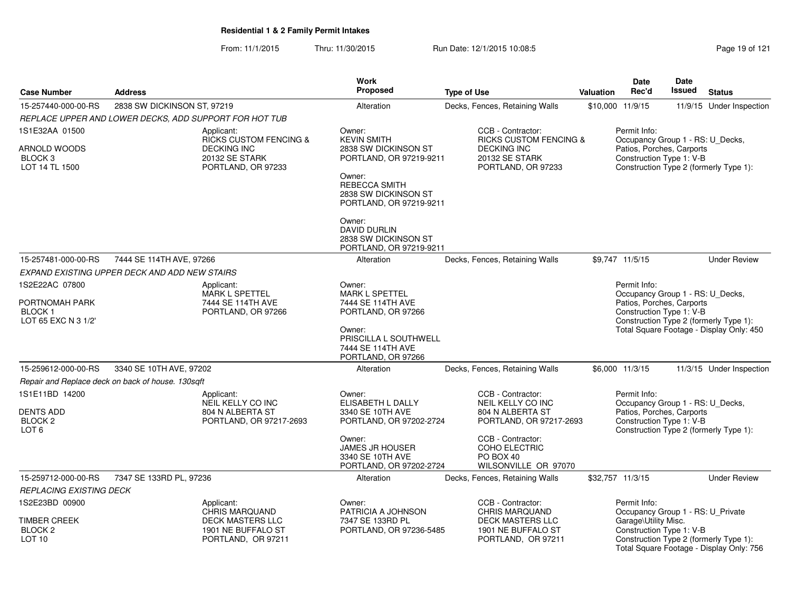From: 11/1/2015Thru: 11/30/2015 Run Date: 12/1/2015 10:08:5<br>
Page 19 of 121

|                                                                        |                                                        |                                                                                                               | <b>Work</b>                                                                                                                                                   |                                                                                                                      |           | Date                                                                                                      | Date          |                                                                                    |
|------------------------------------------------------------------------|--------------------------------------------------------|---------------------------------------------------------------------------------------------------------------|---------------------------------------------------------------------------------------------------------------------------------------------------------------|----------------------------------------------------------------------------------------------------------------------|-----------|-----------------------------------------------------------------------------------------------------------|---------------|------------------------------------------------------------------------------------|
| <b>Case Number</b>                                                     | <b>Address</b>                                         |                                                                                                               | <b>Proposed</b>                                                                                                                                               | <b>Type of Use</b>                                                                                                   | Valuation | Rec'd                                                                                                     | <b>Issued</b> | <b>Status</b>                                                                      |
| 15-257440-000-00-RS                                                    | 2838 SW DICKINSON ST, 97219                            |                                                                                                               | Alteration                                                                                                                                                    | Decks, Fences, Retaining Walls                                                                                       |           | \$10,000 11/9/15                                                                                          |               | 11/9/15 Under Inspection                                                           |
|                                                                        | REPLACE UPPER AND LOWER DECKS, ADD SUPPORT FOR HOT TUB |                                                                                                               |                                                                                                                                                               |                                                                                                                      |           |                                                                                                           |               |                                                                                    |
| 1S1E32AA 01500<br>ARNOLD WOODS<br>BLOCK <sub>3</sub><br>LOT 14 TL 1500 |                                                        | Applicant:<br><b>RICKS CUSTOM FENCING &amp;</b><br><b>DECKING INC</b><br>20132 SE STARK<br>PORTLAND, OR 97233 | Owner:<br><b>KEVIN SMITH</b><br>2838 SW DICKINSON ST<br>PORTLAND, OR 97219-9211<br>Owner:<br>REBECCA SMITH<br>2838 SW DICKINSON ST<br>PORTLAND, OR 97219-9211 | CCB - Contractor:<br><b>RICKS CUSTOM FENCING &amp;</b><br><b>DECKING INC</b><br>20132 SE STARK<br>PORTLAND, OR 97233 |           | Permit Info:<br>Occupancy Group 1 - RS: U_Decks,<br>Patios, Porches, Carports<br>Construction Type 1: V-B |               | Construction Type 2 (formerly Type 1):                                             |
|                                                                        |                                                        |                                                                                                               | Owner:<br><b>DAVID DURLIN</b><br>2838 SW DICKINSON ST<br>PORTLAND, OR 97219-9211                                                                              |                                                                                                                      |           |                                                                                                           |               |                                                                                    |
| 15-257481-000-00-RS                                                    | 7444 SE 114TH AVE, 97266                               |                                                                                                               | Alteration                                                                                                                                                    | Decks, Fences, Retaining Walls                                                                                       |           | \$9,747 11/5/15                                                                                           |               | <b>Under Review</b>                                                                |
|                                                                        | EXPAND EXISTING UPPER DECK AND ADD NEW STAIRS          |                                                                                                               |                                                                                                                                                               |                                                                                                                      |           |                                                                                                           |               |                                                                                    |
| 1S2E22AC 07800                                                         |                                                        | Applicant:                                                                                                    | Owner:                                                                                                                                                        |                                                                                                                      |           | Permit Info:                                                                                              |               |                                                                                    |
| PORTNOMAH PARK<br><b>BLOCK1</b><br>LOT 65 EXC N 3 1/2'                 |                                                        | MARK L SPETTEL<br>7444 SE 114TH AVE<br>PORTLAND, OR 97266                                                     | <b>MARK L SPETTEL</b><br>7444 SE 114TH AVE<br>PORTLAND, OR 97266<br>Owner:                                                                                    |                                                                                                                      |           | Occupancy Group 1 - RS: U_Decks,<br>Patios, Porches, Carports<br>Construction Type 1: V-B                 |               | Construction Type 2 (formerly Type 1):<br>Total Square Footage - Display Only: 450 |
|                                                                        |                                                        |                                                                                                               | PRISCILLA L SOUTHWELL<br>7444 SE 114TH AVE<br>PORTLAND, OR 97266                                                                                              |                                                                                                                      |           |                                                                                                           |               |                                                                                    |
| 15-259612-000-00-RS                                                    | 3340 SE 10TH AVE, 97202                                |                                                                                                               | Alteration                                                                                                                                                    | Decks, Fences, Retaining Walls                                                                                       |           | \$6,000 11/3/15                                                                                           |               | 11/3/15 Under Inspection                                                           |
|                                                                        | Repair and Replace deck on back of house. 130sqft      |                                                                                                               |                                                                                                                                                               |                                                                                                                      |           |                                                                                                           |               |                                                                                    |
| 1S1E11BD 14200<br><b>DENTS ADD</b>                                     |                                                        | Applicant:<br>NEIL KELLY CO INC<br>804 N ALBERTA ST                                                           | Owner:<br>ELISABETH L DALLY<br>3340 SE 10TH AVE                                                                                                               | CCB - Contractor:<br><b>NEIL KELLY CO INC</b><br>804 N ALBERTA ST                                                    |           | Permit Info:<br>Occupancy Group 1 - RS: U_Decks,<br>Patios, Porches, Carports                             |               |                                                                                    |
| BLOCK <sub>2</sub><br>LOT <sub>6</sub>                                 |                                                        | PORTLAND, OR 97217-2693                                                                                       | PORTLAND, OR 97202-2724                                                                                                                                       | PORTLAND, OR 97217-2693                                                                                              |           | Construction Type 1: V-B                                                                                  |               | Construction Type 2 (formerly Type 1):                                             |
|                                                                        |                                                        |                                                                                                               | Owner:<br><b>JAMES JR HOUSER</b><br>3340 SE 10TH AVE<br>PORTLAND, OR 97202-2724                                                                               | CCB - Contractor:<br>COHO ELECTRIC<br>PO BOX 40<br>WILSONVILLE OR 97070                                              |           |                                                                                                           |               |                                                                                    |
| 15-259712-000-00-RS                                                    | 7347 SE 133RD PL, 97236                                |                                                                                                               | Alteration                                                                                                                                                    | Decks, Fences, Retaining Walls                                                                                       |           | \$32,757 11/3/15                                                                                          |               | <b>Under Review</b>                                                                |
| <b>REPLACING EXISTING DECK</b>                                         |                                                        |                                                                                                               |                                                                                                                                                               |                                                                                                                      |           |                                                                                                           |               |                                                                                    |
| 1S2E23BD 00900                                                         |                                                        | Applicant:<br><b>CHRIS MARQUAND</b>                                                                           | Owner:<br>PATRICIA A JOHNSON                                                                                                                                  | CCB - Contractor:<br><b>CHRIS MARQUAND</b>                                                                           |           | Permit Info:<br>Occupancy Group 1 - RS: U_Private                                                         |               |                                                                                    |
| TIMBER CREEK<br>BLOCK <sub>2</sub><br>LOT <sub>10</sub>                |                                                        | <b>DECK MASTERS LLC</b><br>1901 NE BUFFALO ST<br>PORTLAND, OR 97211                                           | 7347 SE 133RD PL<br>PORTLAND, OR 97236-5485                                                                                                                   | <b>DECK MASTERS LLC</b><br>1901 NE BUFFALO ST<br>PORTLAND, OR 97211                                                  |           | Garage\Utility Misc.<br>Construction Type 1: V-B                                                          |               | Construction Type 2 (formerly Type 1):<br>Total Square Footage - Display Only: 756 |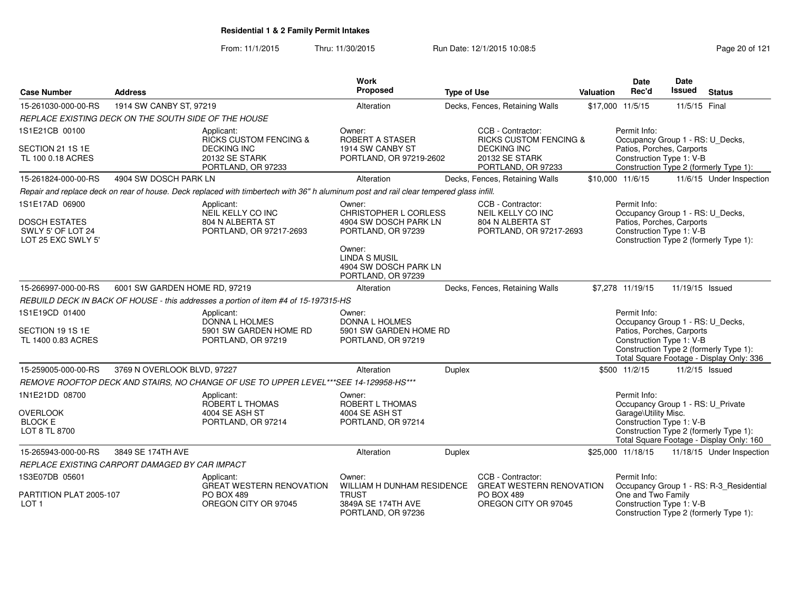From: 11/1/2015Thru: 11/30/2015 Run Date: 12/1/2015 10:08:5<br>
Page 20 of 121

| <b>Case Number</b>                                              | <b>Address</b>                                       |                                                                                                                                        | Work<br>Proposed                                                              | <b>Type of Use</b> |                                                            | <b>Valuation</b> | <b>Date</b><br>Rec'd                                  | <b>Date</b><br>Issued | <b>Status</b>                                                                      |
|-----------------------------------------------------------------|------------------------------------------------------|----------------------------------------------------------------------------------------------------------------------------------------|-------------------------------------------------------------------------------|--------------------|------------------------------------------------------------|------------------|-------------------------------------------------------|-----------------------|------------------------------------------------------------------------------------|
| 15-261030-000-00-RS                                             | 1914 SW CANBY ST, 97219                              |                                                                                                                                        | Alteration                                                                    |                    | Decks, Fences, Retaining Walls                             |                  | \$17,000 11/5/15                                      | 11/5/15 Final         |                                                                                    |
|                                                                 | REPLACE EXISTING DECK ON THE SOUTH SIDE OF THE HOUSE |                                                                                                                                        |                                                                               |                    |                                                            |                  |                                                       |                       |                                                                                    |
| 1S1E21CB 00100                                                  |                                                      | Applicant:<br><b>RICKS CUSTOM FENCING &amp;</b>                                                                                        | Owner:<br>ROBERT A STASER                                                     |                    | CCB - Contractor:<br><b>RICKS CUSTOM FENCING &amp;</b>     |                  | Permit Info:<br>Occupancy Group 1 - RS: U_Decks,      |                       |                                                                                    |
| SECTION 21 1S 1E<br>TL 100 0.18 ACRES                           |                                                      | <b>DECKING INC</b><br><b>20132 SE STARK</b><br>PORTLAND, OR 97233                                                                      | 1914 SW CANBY ST<br>PORTLAND, OR 97219-2602                                   |                    | <b>DECKING INC</b><br>20132 SE STARK<br>PORTLAND, OR 97233 |                  | Patios, Porches, Carports<br>Construction Type 1: V-B |                       | Construction Type 2 (formerly Type 1):                                             |
| 15-261824-000-00-RS                                             | 4904 SW DOSCH PARK LN                                |                                                                                                                                        | Alteration                                                                    |                    | Decks, Fences, Retaining Walls                             |                  | \$10,000 11/6/15                                      |                       | 11/6/15 Under Inspection                                                           |
|                                                                 |                                                      | Repair and replace deck on rear of house. Deck replaced with timbertech with 36" h aluminum post and rail clear tempered glass infill. |                                                                               |                    |                                                            |                  |                                                       |                       |                                                                                    |
| 1S1E17AD 06900                                                  |                                                      | Applicant:<br>NEIL KELLY CO INC                                                                                                        | Owner:<br>CHRISTOPHER L CORLESS                                               |                    | CCB - Contractor:<br>NEIL KELLY CO INC                     |                  | Permit Info:<br>Occupancy Group 1 - RS: U_Decks,      |                       |                                                                                    |
| <b>DOSCH ESTATES</b><br>SWLY 5' OF LOT 24<br>LOT 25 EXC SWLY 5' |                                                      | 804 N ALBERTA ST<br>PORTLAND, OR 97217-2693                                                                                            | 4904 SW DOSCH PARK LN<br>PORTLAND, OR 97239                                   |                    | 804 N ALBERTA ST<br>PORTLAND, OR 97217-2693                |                  | Patios, Porches, Carports<br>Construction Type 1: V-B |                       | Construction Type 2 (formerly Type 1):                                             |
|                                                                 |                                                      |                                                                                                                                        | Owner:<br><b>LINDA S MUSIL</b><br>4904 SW DOSCH PARK LN<br>PORTLAND, OR 97239 |                    |                                                            |                  |                                                       |                       |                                                                                    |
| 15-266997-000-00-RS                                             | 6001 SW GARDEN HOME RD, 97219                        |                                                                                                                                        | Alteration                                                                    |                    | Decks, Fences, Retaining Walls                             |                  | \$7,278 11/19/15                                      | 11/19/15 Issued       |                                                                                    |
|                                                                 |                                                      | REBUILD DECK IN BACK OF HOUSE - this addresses a portion of item #4 of 15-197315-HS                                                    |                                                                               |                    |                                                            |                  |                                                       |                       |                                                                                    |
| 1S1E19CD 01400                                                  |                                                      | Applicant:<br><b>DONNA L HOLMES</b>                                                                                                    | Owner:<br><b>DONNA L HOLMES</b>                                               |                    |                                                            |                  | Permit Info:<br>Occupancy Group 1 - RS: U_Decks,      |                       |                                                                                    |
| SECTION 19 1S 1E<br>TL 1400 0.83 ACRES                          |                                                      | 5901 SW GARDEN HOME RD<br>PORTLAND, OR 97219                                                                                           | 5901 SW GARDEN HOME RD<br>PORTLAND, OR 97219                                  |                    |                                                            |                  | Patios, Porches, Carports<br>Construction Type 1: V-B |                       | Construction Type 2 (formerly Type 1):<br>Total Square Footage - Display Only: 336 |
| 15-259005-000-00-RS                                             | 3769 N OVERLOOK BLVD, 97227                          |                                                                                                                                        | Alteration                                                                    | Duplex             |                                                            |                  | \$500 11/2/15                                         | 11/2/15 Issued        |                                                                                    |
|                                                                 |                                                      | REMOVE ROOFTOP DECK AND STAIRS, NO CHANGE OF USE TO UPPER LEVEL***SEE 14-129958-HS***                                                  |                                                                               |                    |                                                            |                  |                                                       |                       |                                                                                    |
| 1N1E21DD 08700                                                  |                                                      | Applicant:<br>ROBERT L THOMAS                                                                                                          | Owner:<br><b>ROBERT L THOMAS</b>                                              |                    |                                                            |                  | Permit Info:<br>Occupancy Group 1 - RS: U_Private     |                       |                                                                                    |
| <b>OVERLOOK</b>                                                 |                                                      | 4004 SE ASH ST                                                                                                                         | 4004 SE ASH ST                                                                |                    |                                                            |                  | Garage\Utility Misc.                                  |                       |                                                                                    |
| <b>BLOCK E</b><br>LOT 8 TL 8700                                 |                                                      | PORTLAND, OR 97214                                                                                                                     | PORTLAND, OR 97214                                                            |                    |                                                            |                  | Construction Type 1: V-B                              |                       | Construction Type 2 (formerly Type 1):<br>Total Square Footage - Display Only: 160 |
| 15-265943-000-00-RS                                             | 3849 SE 174TH AVE                                    |                                                                                                                                        | Alteration                                                                    | Duplex             |                                                            |                  | \$25,000 11/18/15                                     |                       | 11/18/15 Under Inspection                                                          |
|                                                                 | REPLACE EXISTING CARPORT DAMAGED BY CAR IMPACT       |                                                                                                                                        |                                                                               |                    |                                                            |                  |                                                       |                       |                                                                                    |
| 1S3E07DB 05601                                                  |                                                      | Applicant:<br><b>GREAT WESTERN RENOVATION</b>                                                                                          | Owner:<br>WILLIAM H DUNHAM RESIDENCE                                          |                    | CCB - Contractor:<br><b>GREAT WESTERN RENOVATION</b>       |                  | Permit Info:                                          |                       | Occupancy Group 1 - RS: R-3_Residential                                            |
| PARTITION PLAT 2005-107<br>LOT <sub>1</sub>                     |                                                      | <b>PO BOX 489</b><br>OREGON CITY OR 97045                                                                                              | <b>TRUST</b><br>3849A SE 174TH AVE<br>PORTLAND, OR 97236                      |                    | PO BOX 489<br>OREGON CITY OR 97045                         |                  | One and Two Family<br>Construction Type 1: V-B        |                       | Construction Type 2 (formerly Type 1):                                             |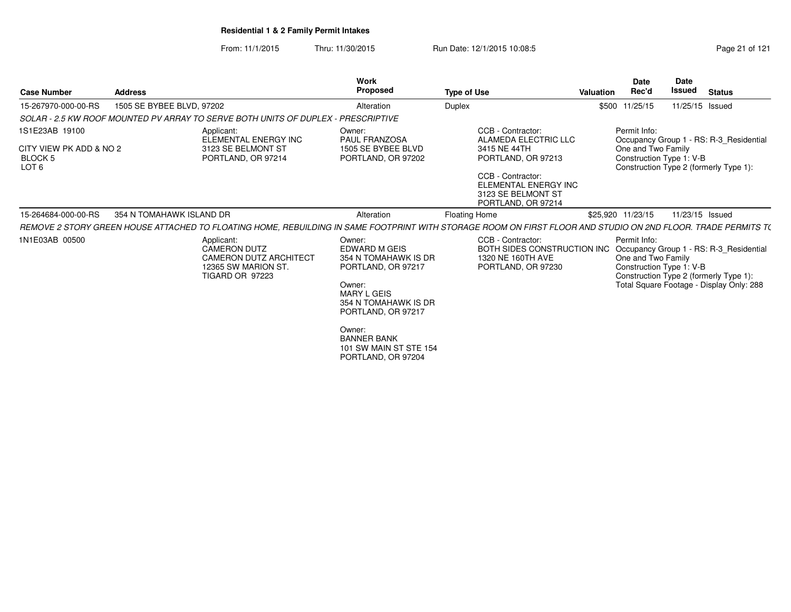From: 11/1/2015Thru: 11/30/2015 Run Date: 12/1/2015 10:08:5<br>
Page 21 of 121

| <b>Case Number</b>                          | <b>Address</b>            |                                                                                                                                                               | <b>Work</b><br><b>Proposed</b>                                                                                                               | <b>Type of Use</b>                                                                          | <b>Valuation</b> | <b>Date</b><br>Rec'd                                           | <b>Date</b><br>Issued | <b>Status</b>                                                                                                                 |
|---------------------------------------------|---------------------------|---------------------------------------------------------------------------------------------------------------------------------------------------------------|----------------------------------------------------------------------------------------------------------------------------------------------|---------------------------------------------------------------------------------------------|------------------|----------------------------------------------------------------|-----------------------|-------------------------------------------------------------------------------------------------------------------------------|
| 15-267970-000-00-RS                         | 1505 SE BYBEE BLVD, 97202 |                                                                                                                                                               | Alteration                                                                                                                                   | Duplex                                                                                      |                  | \$500 11/25/15                                                 | 11/25/15 Issued       |                                                                                                                               |
|                                             |                           | SOLAR - 2.5 KW ROOF MOUNTED PV ARRAY TO SERVE BOTH UNITS OF DUPLEX - PRESCRIPTIVE                                                                             |                                                                                                                                              |                                                                                             |                  |                                                                |                       |                                                                                                                               |
| 1S1E23AB 19100                              |                           | Applicant:<br>ELEMENTAL ENERGY INC                                                                                                                            | Owner:<br><b>PAUL FRANZOSA</b>                                                                                                               | CCB - Contractor:<br>ALAMEDA ELECTRIC LLC                                                   |                  | Permit Info:                                                   |                       | Occupancy Group 1 - RS: R-3 Residential                                                                                       |
| CITY VIEW PK ADD & NO 2<br>BLOCK 5<br>LOT 6 |                           | 3123 SE BELMONT ST<br>PORTLAND, OR 97214                                                                                                                      | 1505 SE BYBEE BLVD<br>PORTLAND, OR 97202                                                                                                     | 3415 NE 44TH<br>PORTLAND, OR 97213                                                          |                  | One and Two Family<br>Construction Type 1: V-B                 |                       | Construction Type 2 (formerly Type 1):                                                                                        |
|                                             |                           |                                                                                                                                                               |                                                                                                                                              | CCB - Contractor:<br>ELEMENTAL ENERGY INC<br>3123 SE BELMONT ST<br>PORTLAND, OR 97214       |                  |                                                                |                       |                                                                                                                               |
| 15-264684-000-00-RS                         | 354 N TOMAHAWK ISLAND DR  |                                                                                                                                                               | Alteration                                                                                                                                   | <b>Floating Home</b>                                                                        |                  | \$25,920 11/23/15                                              | 11/23/15 Issued       |                                                                                                                               |
|                                             |                           | REMOVE 2 STORY GREEN HOUSE ATTACHED TO FLOATING HOME, REBUILDING IN SAME FOOTPRINT WITH STORAGE ROOM ON FIRST FLOOR AND STUDIO ON 2ND FLOOR. TRADE PERMITS T( |                                                                                                                                              |                                                                                             |                  |                                                                |                       |                                                                                                                               |
| 1N1E03AB 00500                              |                           | Applicant:<br><b>CAMERON DUTZ</b><br><b>CAMERON DUTZ ARCHITECT</b><br>12365 SW MARION ST.<br><b>TIGARD OR 97223</b>                                           | Owner:<br>EDWARD M GEIS<br>354 N TOMAHAWK IS DR<br>PORTLAND, OR 97217<br>Owner:<br>MARY L GEIS<br>354 N TOMAHAWK IS DR<br>PORTLAND, OR 97217 | CCB - Contractor:<br>BOTH SIDES CONSTRUCTION INC<br>1320 NE 160TH AVE<br>PORTLAND, OR 97230 |                  | Permit Info:<br>One and Two Family<br>Construction Type 1: V-B |                       | Occupancy Group 1 - RS: R-3_Residential<br>Construction Type 2 (formerly Type 1):<br>Total Square Footage - Display Only: 288 |
|                                             |                           |                                                                                                                                                               | Owner:<br><b>BANNER BANK</b><br>101 SW MAIN ST STE 154<br>PORTLAND, OR 97204                                                                 |                                                                                             |                  |                                                                |                       |                                                                                                                               |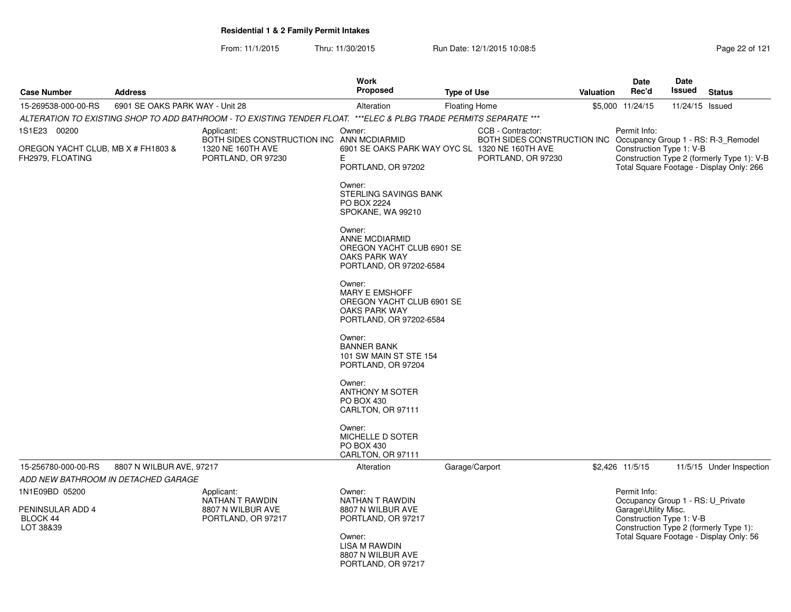From: 11/1/2015Thru: 11/30/2015 Run Date: 12/1/2015 10:08:5<br>
Page 22 of 121

| <b>Case Number</b>                                          | <b>Address</b>                      |                                                                                                                   | <b>Work</b><br>Proposed                                                                                         | <b>Type of Use</b>   |                                                   | <b>Valuation</b> | <b>Date</b><br>Rec'd                                                                                  | Date<br><b>Issued</b> | <b>Status</b>                                                                                                                 |
|-------------------------------------------------------------|-------------------------------------|-------------------------------------------------------------------------------------------------------------------|-----------------------------------------------------------------------------------------------------------------|----------------------|---------------------------------------------------|------------------|-------------------------------------------------------------------------------------------------------|-----------------------|-------------------------------------------------------------------------------------------------------------------------------|
| 15-269538-000-00-RS                                         | 6901 SE OAKS PARK WAY - Unit 28     |                                                                                                                   | Alteration                                                                                                      | <b>Floating Home</b> |                                                   |                  | \$5,000 11/24/15                                                                                      | 11/24/15 Issued       |                                                                                                                               |
|                                                             |                                     | ALTERATION TO EXISTING SHOP TO ADD BATHROOM - TO EXISTING TENDER FLOAT. ***ELEC & PLBG TRADE PERMITS SEPARATE *** |                                                                                                                 |                      |                                                   |                  |                                                                                                       |                       |                                                                                                                               |
| 1S1E23 00200                                                |                                     | Applicant:                                                                                                        | Owner:                                                                                                          |                      | CCB - Contractor:                                 |                  | Permit Info:                                                                                          |                       |                                                                                                                               |
| OREGON YACHT CLUB, MB X # FH1803 &<br>FH2979, FLOATING      |                                     | BOTH SIDES CONSTRUCTION INC<br>1320 NE 160TH AVE<br>PORTLAND, OR 97230                                            | ANN MCDIARMID<br>6901 SE OAKS PARK WAY OYC SL 1320 NE 160TH AVE<br>E.<br>PORTLAND, OR 97202                     |                      | BOTH SIDES CONSTRUCTION INC<br>PORTLAND, OR 97230 |                  | Construction Type 1: V-B                                                                              |                       | Occupancy Group 1 - RS: R-3_Remodel<br>Construction Type 2 (formerly Type 1): V-B<br>Total Square Footage - Display Only: 266 |
|                                                             |                                     |                                                                                                                   | Owner:<br>STERLING SAVINGS BANK<br>PO BOX 2224<br>SPOKANE, WA 99210                                             |                      |                                                   |                  |                                                                                                       |                       |                                                                                                                               |
|                                                             |                                     |                                                                                                                   | Owner:<br>ANNE MCDIARMID<br>OREGON YACHT CLUB 6901 SE<br>OAKS PARK WAY<br>PORTLAND, OR 97202-6584               |                      |                                                   |                  |                                                                                                       |                       |                                                                                                                               |
|                                                             |                                     |                                                                                                                   | Owner:<br><b>MARY E EMSHOFF</b><br>OREGON YACHT CLUB 6901 SE<br><b>OAKS PARK WAY</b><br>PORTLAND, OR 97202-6584 |                      |                                                   |                  |                                                                                                       |                       |                                                                                                                               |
|                                                             |                                     |                                                                                                                   | Owner:<br><b>BANNER BANK</b><br>101 SW MAIN ST STE 154<br>PORTLAND, OR 97204                                    |                      |                                                   |                  |                                                                                                       |                       |                                                                                                                               |
|                                                             |                                     |                                                                                                                   | Owner:<br><b>ANTHONY M SOTER</b><br>PO BOX 430<br>CARLTON, OR 97111                                             |                      |                                                   |                  |                                                                                                       |                       |                                                                                                                               |
|                                                             |                                     |                                                                                                                   | Owner:<br>MICHELLE D SOTER<br>PO BOX 430<br>CARLTON, OR 97111                                                   |                      |                                                   |                  |                                                                                                       |                       |                                                                                                                               |
| 15-256780-000-00-RS                                         | 8807 N WILBUR AVE, 97217            |                                                                                                                   | Alteration                                                                                                      | Garage/Carport       |                                                   |                  | \$2,426 11/5/15                                                                                       |                       | 11/5/15 Under Inspection                                                                                                      |
|                                                             | ADD NEW BATHROOM IN DETACHED GARAGE |                                                                                                                   |                                                                                                                 |                      |                                                   |                  |                                                                                                       |                       |                                                                                                                               |
| 1N1E09BD 05200<br>PENINSULAR ADD 4<br>BLOCK 44<br>LOT 38&39 |                                     | Applicant:<br>NATHAN T RAWDIN<br>8807 N WILBUR AVE<br>PORTLAND, OR 97217                                          | Owner:<br>NATHAN T RAWDIN<br>8807 N WILBUR AVE<br>PORTLAND, OR 97217                                            |                      |                                                   |                  | Permit Info:<br>Occupancy Group 1 - RS: U Private<br>Garage\Utility Misc.<br>Construction Type 1: V-B |                       | Construction Type 2 (formerly Type 1):                                                                                        |
|                                                             |                                     |                                                                                                                   | Owner:<br>LISA M RAWDIN<br>8807 N WILBUR AVE<br>PORTLAND, OR 97217                                              |                      |                                                   |                  |                                                                                                       |                       | Total Square Footage - Display Only: 56                                                                                       |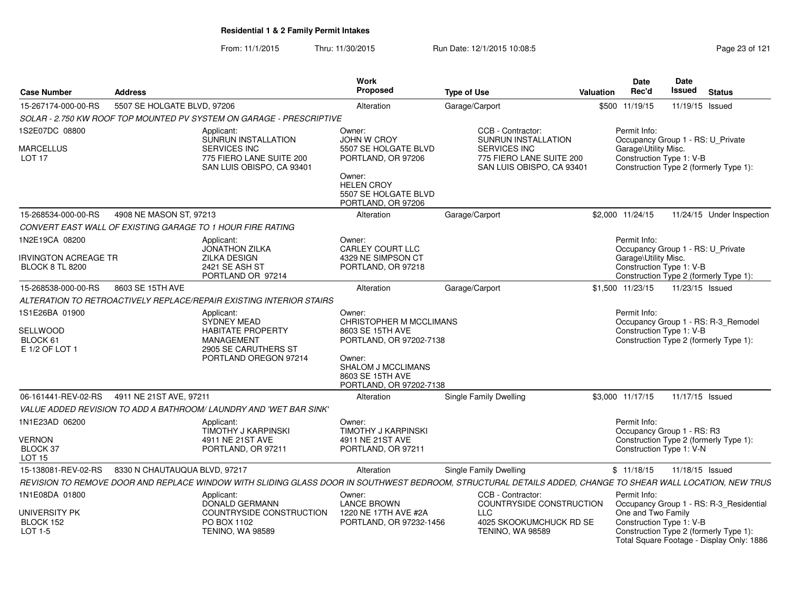From: 11/1/2015Thru: 11/30/2015 Run Date: 12/1/2015 10:08:5<br>
Rage 23 of 121

| <b>Case Number</b>                                       | <b>Address</b>                |                                                                                                                                                            | Work<br><b>Proposed</b>                                                                                                                                         | <b>Type of Use</b>                                                           | Valuation | Date<br>Rec'd                                                             | Date<br><b>Issued</b> | <b>Status</b>                                                                       |
|----------------------------------------------------------|-------------------------------|------------------------------------------------------------------------------------------------------------------------------------------------------------|-----------------------------------------------------------------------------------------------------------------------------------------------------------------|------------------------------------------------------------------------------|-----------|---------------------------------------------------------------------------|-----------------------|-------------------------------------------------------------------------------------|
| 15-267174-000-00-RS                                      | 5507 SE HOLGATE BLVD, 97206   |                                                                                                                                                            | Alteration                                                                                                                                                      | Garage/Carport                                                               |           | \$500 11/19/15                                                            | 11/19/15 Issued       |                                                                                     |
|                                                          |                               | SOLAR - 2.750 KW ROOF TOP MOUNTED PV SYSTEM ON GARAGE - PRESCRIPTIVE                                                                                       |                                                                                                                                                                 |                                                                              |           |                                                                           |                       |                                                                                     |
| 1S2E07DC 08800                                           |                               | Applicant:<br>SUNRUN INSTALLATION                                                                                                                          | Owner:<br>JOHN W CROY                                                                                                                                           | CCB - Contractor:<br><b>SUNRUN INSTALLATION</b>                              |           | Permit Info:<br>Occupancy Group 1 - RS: U_Private                         |                       |                                                                                     |
| <b>MARCELLUS</b><br>LOT <sub>17</sub>                    |                               | SERVICES INC<br>775 FIERO LANE SUITE 200<br>SAN LUIS OBISPO, CA 93401                                                                                      | 5507 SE HOLGATE BLVD<br>PORTLAND, OR 97206<br>Owner:<br><b>HELEN CROY</b><br>5507 SE HOLGATE BLVD<br>PORTLAND, OR 97206                                         | <b>SERVICES INC</b><br>775 FIERO LANE SUITE 200<br>SAN LUIS OBISPO, CA 93401 |           | Garage\Utility Misc.<br>Construction Type 1: V-B                          |                       | Construction Type 2 (formerly Type 1):                                              |
| 15-268534-000-00-RS                                      | 4908 NE MASON ST, 97213       |                                                                                                                                                            | Alteration                                                                                                                                                      | Garage/Carport                                                               |           | \$2,000 11/24/15                                                          |                       | 11/24/15 Under Inspection                                                           |
|                                                          |                               | CONVERT EAST WALL OF EXISTING GARAGE TO 1 HOUR FIRE RATING                                                                                                 |                                                                                                                                                                 |                                                                              |           |                                                                           |                       |                                                                                     |
| 1N2E19CA 08200                                           |                               | Applicant:<br><b>JONATHON ZILKA</b><br><b>ZILKA DESIGN</b>                                                                                                 | Owner:<br>CARLEY COURT LLC<br>4329 NE SIMPSON CT                                                                                                                |                                                                              |           | Permit Info:<br>Occupancy Group 1 - RS: U Private<br>Garage\Utility Misc. |                       |                                                                                     |
| <b>IRVINGTON ACREAGE TR</b><br><b>BLOCK 8 TL 8200</b>    |                               | 2421 SE ASH ST<br>PORTLAND OR 97214                                                                                                                        | PORTLAND, OR 97218                                                                                                                                              |                                                                              |           | Construction Type 1: V-B                                                  |                       | Construction Type 2 (formerly Type 1):                                              |
| 15-268538-000-00-RS                                      | 8603 SE 15TH AVE              |                                                                                                                                                            | Alteration                                                                                                                                                      | Garage/Carport                                                               |           | \$1,500 11/23/15                                                          | 11/23/15 Issued       |                                                                                     |
|                                                          |                               | ALTERATION TO RETROACTIVELY REPLACE/REPAIR EXISTING INTERIOR STAIRS                                                                                        |                                                                                                                                                                 |                                                                              |           |                                                                           |                       |                                                                                     |
| 1S1E26BA 01900<br>SELLWOOD<br>BLOCK 61<br>E 1/2 OF LOT 1 |                               | Applicant:<br>SYDNEY MEAD<br><b>HABITATE PROPERTY</b><br><b>MANAGEMENT</b><br>2905 SE CARUTHERS ST<br>PORTLAND OREGON 97214                                | Owner:<br>CHRISTOPHER M MCCLIMANS<br>8603 SE 15TH AVE<br>PORTLAND, OR 97202-7138<br>Owner:<br>SHALOM J MCCLIMANS<br>8603 SE 15TH AVE<br>PORTLAND, OR 97202-7138 |                                                                              |           | Permit Info:<br>Construction Type 1: V-B                                  |                       | Occupancy Group 1 - RS: R-3_Remodel<br>Construction Type 2 (formerly Type 1):       |
| 06-161441-REV-02-RS                                      | 4911 NE 21ST AVE, 97211       |                                                                                                                                                            | Alteration                                                                                                                                                      | <b>Single Family Dwelling</b>                                                |           | \$3,000 11/17/15                                                          | 11/17/15 Issued       |                                                                                     |
|                                                          |                               | VALUE ADDED REVISION TO ADD A BATHROOM/ LAUNDRY AND 'WET BAR SINK'                                                                                         |                                                                                                                                                                 |                                                                              |           |                                                                           |                       |                                                                                     |
| 1N1E23AD 06200                                           |                               | Applicant:<br><b>TIMOTHY J KARPINSKI</b>                                                                                                                   | Owner:<br>TIMOTHY J KARPINSKI                                                                                                                                   |                                                                              |           | Permit Info:<br>Occupancy Group 1 - RS: R3                                |                       |                                                                                     |
| VERNON<br>BLOCK 37<br>LOT <sub>15</sub>                  |                               | 4911 NE 21ST AVE<br>PORTLAND, OR 97211                                                                                                                     | 4911 NE 21ST AVE<br>PORTLAND, OR 97211                                                                                                                          |                                                                              |           | Construction Type 1: V-N                                                  |                       | Construction Type 2 (formerly Type 1):                                              |
| 15-138081-REV-02-RS                                      | 8330 N CHAUTAUQUA BLVD, 97217 |                                                                                                                                                            | Alteration                                                                                                                                                      | Single Family Dwelling                                                       |           | \$11/18/15                                                                | 11/18/15 Issued       |                                                                                     |
|                                                          |                               | REVISION TO REMOVE DOOR AND REPLACE WINDOW WITH SLIDING GLASS DOOR IN SOUTHWEST BEDROOM, STRUCTURAL DETAILS ADDED, CHANGE TO SHEAR WALL LOCATION, NEW TRUS |                                                                                                                                                                 |                                                                              |           |                                                                           |                       |                                                                                     |
| 1N1E08DA 01800<br>UNIVERSITY PK                          |                               | Applicant:<br>DONALD GERMANN<br>COUNTRYSIDE CONSTRUCTION                                                                                                   | Owner:<br><b>LANCE BROWN</b><br>1220 NE 17TH AVE #2A                                                                                                            | CCB - Contractor:<br>COUNTRYSIDE CONSTRUCTION<br>LLC.                        |           | Permit Info:<br>One and Two Family                                        |                       | Occupancy Group 1 - RS: R-3_Residential                                             |
| BLOCK 152<br>LOT 1-5                                     |                               | PO BOX 1102<br><b>TENINO, WA 98589</b>                                                                                                                     | PORTLAND, OR 97232-1456                                                                                                                                         | 4025 SKOOKUMCHUCK RD SE<br><b>TENINO, WA 98589</b>                           |           | Construction Type 1: V-B                                                  |                       | Construction Type 2 (formerly Type 1):<br>Total Square Footage - Display Only: 1886 |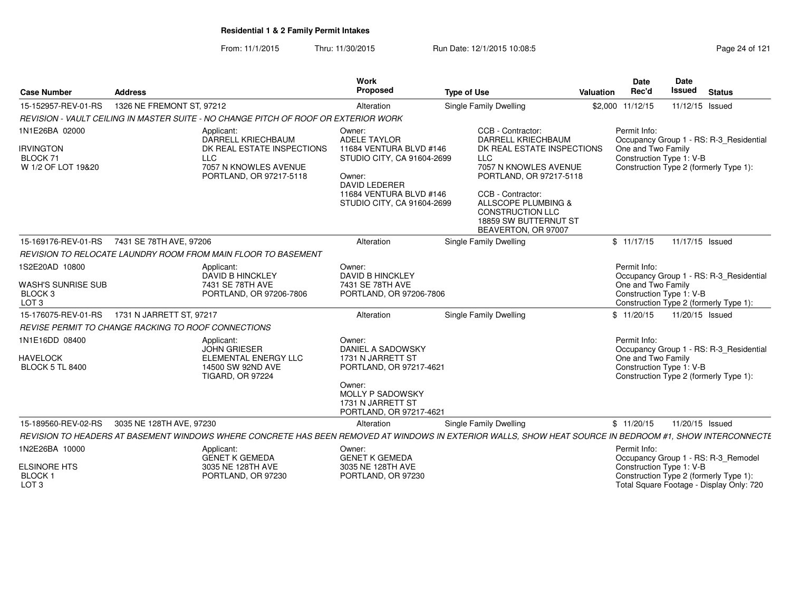From: 11/1/2015Thru: 11/30/2015 Run Date: 12/1/2015 10:08:5<br>
Page 24 of 121

| <b>Case Number</b>                                                              | <b>Address</b>                                      |                                                                                                                                                          | Work<br>Proposed                                                                                                                                                           | <b>Type of Use</b> |                                                                                                                                                                                                                                                                       | Valuation | Date<br>Rec'd                                                                                                             | Date<br><b>Issued</b> | <b>Status</b> |                                          |
|---------------------------------------------------------------------------------|-----------------------------------------------------|----------------------------------------------------------------------------------------------------------------------------------------------------------|----------------------------------------------------------------------------------------------------------------------------------------------------------------------------|--------------------|-----------------------------------------------------------------------------------------------------------------------------------------------------------------------------------------------------------------------------------------------------------------------|-----------|---------------------------------------------------------------------------------------------------------------------------|-----------------------|---------------|------------------------------------------|
| 15-152957-REV-01-RS                                                             | 1326 NE FREMONT ST, 97212                           |                                                                                                                                                          | Alteration                                                                                                                                                                 |                    | Single Family Dwelling                                                                                                                                                                                                                                                |           | \$2,000 11/12/15                                                                                                          | 11/12/15 Issued       |               |                                          |
|                                                                                 |                                                     | REVISION - VAULT CEILING IN MASTER SUITE - NO CHANGE PITCH OF ROOF OR EXTERIOR WORK                                                                      |                                                                                                                                                                            |                    |                                                                                                                                                                                                                                                                       |           |                                                                                                                           |                       |               |                                          |
| 1N1E26BA 02000<br><b>IRVINGTON</b><br>BLOCK 71<br>W 1/2 OF LOT 19&20            |                                                     | Applicant:<br>DARRELL KRIECHBAUM<br>DK REAL ESTATE INSPECTIONS<br><b>LLC</b><br>7057 N KNOWLES AVENUE<br>PORTLAND, OR 97217-5118                         | Owner:<br><b>ADELE TAYLOR</b><br>11684 VENTURA BLVD #146<br>STUDIO CITY, CA 91604-2699<br>Owner:<br>DAVID LEDERER<br>11684 VENTURA BLVD #146<br>STUDIO CITY, CA 91604-2699 |                    | CCB - Contractor:<br><b>DARRELL KRIECHBAUM</b><br>DK REAL ESTATE INSPECTIONS<br><b>LLC</b><br>7057 N KNOWLES AVENUE<br>PORTLAND, OR 97217-5118<br>CCB - Contractor:<br>ALLSCOPE PLUMBING &<br><b>CONSTRUCTION LLC</b><br>18859 SW BUTTERNUT ST<br>BEAVERTON, OR 97007 |           | Permit Info:<br>One and Two Family<br>Construction Type 1: V-B<br>Construction Type 2 (formerly Type 1):                  |                       |               | Occupancy Group 1 - RS: R-3_Residential  |
|                                                                                 | 15-169176-REV-01-RS 7431 SE 78TH AVE, 97206         |                                                                                                                                                          | Alteration                                                                                                                                                                 |                    | <b>Single Family Dwelling</b>                                                                                                                                                                                                                                         |           | \$11/17/15                                                                                                                | 11/17/15 Issued       |               |                                          |
|                                                                                 |                                                     | REVISION TO RELOCATE LAUNDRY ROOM FROM MAIN FLOOR TO BASEMENT                                                                                            |                                                                                                                                                                            |                    |                                                                                                                                                                                                                                                                       |           |                                                                                                                           |                       |               |                                          |
| 1S2E20AD 10800<br>WASH'S SUNRISE SUB<br>BLOCK <sub>3</sub><br>LOT <sub>3</sub>  |                                                     | Applicant:<br><b>DAVID B HINCKLEY</b><br>7431 SE 78TH AVE<br>PORTLAND, OR 97206-7806                                                                     | Owner:<br><b>DAVID B HINCKLEY</b><br>7431 SE 78TH AVE<br>PORTLAND, OR 97206-7806                                                                                           |                    |                                                                                                                                                                                                                                                                       |           | Permit Info:<br>One and Two Family<br>Construction Type 1: V-B<br>Construction Type 2 (formerly Type 1):                  |                       |               | Occupancy Group 1 - RS: R-3_Residential  |
|                                                                                 | 15-176075-REV-01-RS    1731 N JARRETT ST, 97217     |                                                                                                                                                          | Alteration                                                                                                                                                                 |                    | <b>Single Family Dwelling</b>                                                                                                                                                                                                                                         |           | \$11/20/15                                                                                                                | 11/20/15 Issued       |               |                                          |
|                                                                                 | REVISE PERMIT TO CHANGE RACKING TO ROOF CONNECTIONS |                                                                                                                                                          |                                                                                                                                                                            |                    |                                                                                                                                                                                                                                                                       |           |                                                                                                                           |                       |               |                                          |
| 1N1E16DD 08400<br><b>HAVELOCK</b><br><b>BLOCK 5 TL 8400</b>                     |                                                     | Applicant:<br><b>JOHN GRIESER</b><br>ELEMENTAL ENERGY LLC<br>14500 SW 92ND AVE<br><b>TIGARD, OR 97224</b>                                                | Owner:<br>DANIEL A SADOWSKY<br>1731 N JARRETT ST<br>PORTLAND, OR 97217-4621<br>Owner:<br>MOLLY P SADOWSKY<br>1731 N JARRETT ST<br>PORTLAND, OR 97217-4621                  |                    |                                                                                                                                                                                                                                                                       |           | Permit Info:<br>One and Two Family<br>Construction Type 1: V-B<br>Construction Type 2 (formerly Type 1):                  |                       |               | Occupancy Group 1 - RS: R-3 Residential  |
|                                                                                 | 15-189560-REV-02-RS 3035 NE 128TH AVE, 97230        |                                                                                                                                                          | Alteration                                                                                                                                                                 |                    | <b>Single Family Dwelling</b>                                                                                                                                                                                                                                         |           | \$11/20/15                                                                                                                | 11/20/15 Issued       |               |                                          |
|                                                                                 |                                                     | REVISION TO HEADERS AT BASEMENT WINDOWS WHERE CONCRETE HAS BEEN REMOVED AT WINDOWS IN EXTERIOR WALLS. SHOW HEAT SOURCE IN BEDROOM #1. SHOW INTERCONNECTE |                                                                                                                                                                            |                    |                                                                                                                                                                                                                                                                       |           |                                                                                                                           |                       |               |                                          |
| 1N2E26BA 10000<br><b>ELSINORE HTS</b><br>BLOCK <sub>1</sub><br>LOT <sub>3</sub> |                                                     | Applicant:<br><b>GENET K GEMEDA</b><br>3035 NE 128TH AVE<br>PORTLAND, OR 97230                                                                           | Owner:<br><b>GENET K GEMEDA</b><br>3035 NE 128TH AVE<br>PORTLAND, OR 97230                                                                                                 |                    |                                                                                                                                                                                                                                                                       |           | Permit Info:<br>Occupancy Group 1 - RS: R-3_Remodel<br>Construction Type 1: V-B<br>Construction Type 2 (formerly Type 1): |                       |               | Total Square Footage - Display Only: 720 |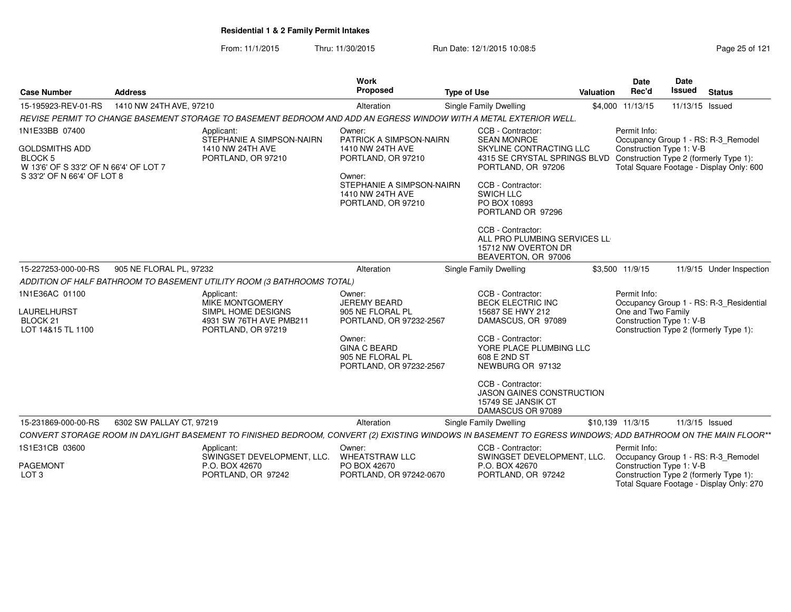From: 11/1/2015Thru: 11/30/2015 Run Date: 12/1/2015 10:08:5<br>
Page 25 of 121

| <b>Case Number</b>                                                                                                                 | <b>Address</b>           |                                                                                                                                                             | <b>Work</b><br>Proposed                                                                                                                                      | <b>Type of Use</b>                                                                                                                                                                                                                            | Valuation | <b>Date</b><br>Rec'd                                           | Date<br><b>Issued</b> | <b>Status</b>                                                                      |
|------------------------------------------------------------------------------------------------------------------------------------|--------------------------|-------------------------------------------------------------------------------------------------------------------------------------------------------------|--------------------------------------------------------------------------------------------------------------------------------------------------------------|-----------------------------------------------------------------------------------------------------------------------------------------------------------------------------------------------------------------------------------------------|-----------|----------------------------------------------------------------|-----------------------|------------------------------------------------------------------------------------|
| 15-195923-REV-01-RS                                                                                                                | 1410 NW 24TH AVE, 97210  |                                                                                                                                                             | Alteration                                                                                                                                                   | <b>Single Family Dwelling</b>                                                                                                                                                                                                                 |           | \$4,000 11/13/15                                               | 11/13/15 Issued       |                                                                                    |
|                                                                                                                                    |                          | REVISE PERMIT TO CHANGE BASEMENT STORAGE TO BASEMENT BEDROOM AND ADD AN EGRESS WINDOW WITH A METAL EXTERIOR WELL.                                           |                                                                                                                                                              |                                                                                                                                                                                                                                               |           |                                                                |                       |                                                                                    |
| 1N1E33BB 07400<br><b>GOLDSMITHS ADD</b><br><b>BLOCK 5</b><br>W 13'6' OF S 33'2' OF N 66'4' OF LOT 7<br>S 33'2' OF N 66'4' OF LOT 8 |                          | Applicant:<br>STEPHANIE A SIMPSON-NAIRN<br>1410 NW 24TH AVE<br>PORTLAND, OR 97210                                                                           | Owner:<br>PATRICK A SIMPSON-NAIRN<br>1410 NW 24TH AVE<br>PORTLAND, OR 97210<br>Owner:<br>STEPHANIE A SIMPSON-NAIRN<br>1410 NW 24TH AVE<br>PORTLAND, OR 97210 | CCB - Contractor:<br><b>SEAN MONROE</b><br>SKYLINE CONTRACTING LLC<br>4315 SE CRYSTAL SPRINGS BLVD Construction Type 2 (formerly Type 1):<br>PORTLAND, OR 97206<br>CCB - Contractor:<br><b>SWICH LLC</b><br>PO BOX 10893<br>PORTLAND OR 97296 |           | Permit Info:<br>Construction Type 1: V-B                       |                       | Occupancy Group 1 - RS: R-3_Remodel<br>Total Square Footage - Display Only: 600    |
|                                                                                                                                    |                          |                                                                                                                                                             |                                                                                                                                                              | CCB - Contractor:<br>ALL PRO PLUMBING SERVICES LL<br>15712 NW OVERTON DR<br>BEAVERTON, OR 97006                                                                                                                                               |           |                                                                |                       |                                                                                    |
| 15-227253-000-00-RS                                                                                                                | 905 NE FLORAL PL, 97232  |                                                                                                                                                             | Alteration                                                                                                                                                   | Single Family Dwelling                                                                                                                                                                                                                        |           | \$3,500 11/9/15                                                |                       | 11/9/15 Under Inspection                                                           |
|                                                                                                                                    |                          | ADDITION OF HALF BATHROOM TO BASEMENT UTILITY ROOM (3 BATHROOMS TOTAL)                                                                                      |                                                                                                                                                              |                                                                                                                                                                                                                                               |           |                                                                |                       |                                                                                    |
| 1N1E36AC 01100<br>LAURELHURST<br>BLOCK <sub>21</sub><br>LOT 14&15 TL 1100                                                          |                          | Applicant:<br>MIKE MONTGOMERY<br>SIMPL HOME DESIGNS<br>4931 SW 76TH AVE PMB211<br>PORTLAND, OR 97219                                                        | Owner:<br><b>JEREMY BEARD</b><br>905 NE FLORAL PL<br>PORTLAND, OR 97232-2567<br>Owner:<br><b>GINA C BEARD</b><br>905 NE FLORAL PL                            | CCB - Contractor:<br><b>BECK ELECTRIC INC</b><br>15687 SE HWY 212<br>DAMASCUS, OR 97089<br>CCB - Contractor:<br>YORE PLACE PLUMBING LLC<br>608 E 2ND ST                                                                                       |           | Permit Info:<br>One and Two Family<br>Construction Type 1: V-B |                       | Occupancy Group 1 - RS: R-3_Residential<br>Construction Type 2 (formerly Type 1):  |
|                                                                                                                                    |                          |                                                                                                                                                             | PORTLAND, OR 97232-2567                                                                                                                                      | NEWBURG OR 97132<br>CCB - Contractor:<br><b>JASON GAINES CONSTRUCTION</b><br>15749 SE JANSIK CT<br>DAMASCUS OR 97089                                                                                                                          |           |                                                                |                       |                                                                                    |
| 15-231869-000-00-RS                                                                                                                | 6302 SW PALLAY CT, 97219 |                                                                                                                                                             | Alteration                                                                                                                                                   | Single Family Dwelling                                                                                                                                                                                                                        |           | \$10,139 11/3/15                                               |                       | 11/3/15 Issued                                                                     |
|                                                                                                                                    |                          | CONVERT STORAGE ROOM IN DAYLIGHT BASEMENT TO FINISHED BEDROOM, CONVERT (2) EXISTING WINDOWS IN BASEMENT TO EGRESS WINDOWS; ADD BATHROOM ON THE MAIN FLOOR** |                                                                                                                                                              |                                                                                                                                                                                                                                               |           |                                                                |                       |                                                                                    |
| 1S1E31CB 03600                                                                                                                     |                          | Applicant:<br>SWINGSET DEVELOPMENT, LLC.                                                                                                                    | Owner:<br><b>WHEATSTRAW LLC</b>                                                                                                                              | CCB - Contractor:<br>SWINGSET DEVELOPMENT, LLC.                                                                                                                                                                                               |           | Permit Info:                                                   |                       | Occupancy Group 1 - RS: R-3_Remodel                                                |
| <b>PAGEMONT</b><br>LOT <sub>3</sub>                                                                                                |                          | P.O. BOX 42670<br>PORTLAND, OR 97242                                                                                                                        | PO BOX 42670<br>PORTLAND, OR 97242-0670                                                                                                                      | P.O. BOX 42670<br>PORTLAND, OR 97242                                                                                                                                                                                                          |           | Construction Type 1: V-B                                       |                       | Construction Type 2 (formerly Type 1):<br>Total Square Footage - Display Only: 270 |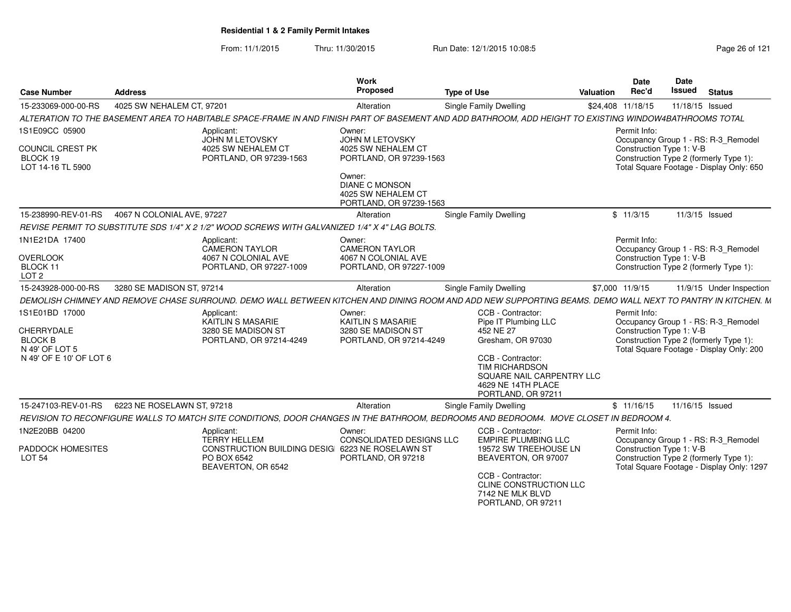From: 11/1/2015Thru: 11/30/2015 Run Date: 12/1/2015 10:08:5<br>
Page 26 of 121

| <b>Case Number</b>                                | <b>Address</b>             |                                                                                                                                                            | Work<br>Proposed                                                                 | <b>Type of Use</b> |                                                                                                                     | Valuation | <b>Date</b><br>Rec'd                     | Date<br><b>Issued</b> | <b>Status</b>                                                                                                              |
|---------------------------------------------------|----------------------------|------------------------------------------------------------------------------------------------------------------------------------------------------------|----------------------------------------------------------------------------------|--------------------|---------------------------------------------------------------------------------------------------------------------|-----------|------------------------------------------|-----------------------|----------------------------------------------------------------------------------------------------------------------------|
| 15-233069-000-00-RS                               | 4025 SW NEHALEM CT, 97201  |                                                                                                                                                            | Alteration                                                                       |                    | <b>Single Family Dwelling</b>                                                                                       |           | \$24,408 11/18/15                        |                       | 11/18/15 Issued                                                                                                            |
|                                                   |                            | ALTERATION TO THE BASEMENT AREA TO HABITABLE SPACE-FRAME IN AND FINISH PART OF BASEMENT AND ADD BATHROOM, ADD HEIGHT TO EXISTING WINDOW4BATHROOMS TOTAL    |                                                                                  |                    |                                                                                                                     |           |                                          |                       |                                                                                                                            |
| 1S1E09CC 05900                                    |                            | Applicant:                                                                                                                                                 | Owner:                                                                           |                    |                                                                                                                     |           | Permit Info:                             |                       |                                                                                                                            |
| COUNCIL CREST PK<br>BLOCK 19<br>LOT 14-16 TL 5900 |                            | <b>JOHN M LETOVSKY</b><br>4025 SW NEHALEM CT<br>PORTLAND, OR 97239-1563                                                                                    | <b>JOHN M LETOVSKY</b><br>4025 SW NEHALEM CT<br>PORTLAND, OR 97239-1563          |                    |                                                                                                                     |           | Construction Type 1: V-B                 |                       | Occupancy Group 1 - RS: R-3 Remodel<br>Construction Type 2 (formerly Type 1):<br>Total Square Footage - Display Only: 650  |
|                                                   |                            |                                                                                                                                                            | Owner:<br><b>DIANE C MONSON</b><br>4025 SW NEHALEM CT<br>PORTLAND, OR 97239-1563 |                    |                                                                                                                     |           |                                          |                       |                                                                                                                            |
| 15-238990-REV-01-RS                               | 4067 N COLONIAL AVE, 97227 |                                                                                                                                                            | Alteration                                                                       |                    | <b>Single Family Dwelling</b>                                                                                       |           | \$11/3/15                                |                       | 11/3/15 Issued                                                                                                             |
|                                                   |                            | REVISE PERMIT TO SUBSTITUTE SDS 1/4" X 2 1/2" WOOD SCREWS WITH GALVANIZED 1/4" X 4" LAG BOLTS.                                                             |                                                                                  |                    |                                                                                                                     |           |                                          |                       |                                                                                                                            |
| 1N1E21DA 17400                                    |                            | Applicant:<br>CAMERON TAYLOR                                                                                                                               | Owner:<br><b>CAMERON TAYLOR</b>                                                  |                    |                                                                                                                     |           | Permit Info:                             |                       | Occupancy Group 1 - RS: R-3 Remodel                                                                                        |
| <b>OVERLOOK</b><br>BLOCK 11<br>LOT <sub>2</sub>   |                            | 4067 N COLONIAL AVE<br>PORTLAND, OR 97227-1009                                                                                                             | 4067 N COLONIAL AVE<br>PORTLAND, OR 97227-1009                                   |                    |                                                                                                                     |           | Construction Type 1: V-B                 |                       | Construction Type 2 (formerly Type 1):                                                                                     |
| 15-243928-000-00-RS                               | 3280 SE MADISON ST, 97214  |                                                                                                                                                            | Alteration                                                                       |                    | <b>Single Family Dwelling</b>                                                                                       |           | \$7,000 11/9/15                          |                       | 11/9/15 Under Inspection                                                                                                   |
|                                                   |                            | DEMOLISH CHIMNEY AND REMOVE CHASE SURROUND. DEMO WALL BETWEEN KITCHEN AND DINING ROOM AND ADD NEW SUPPORTING BEAMS. DEMO WALL NEXT TO PANTRY IN KITCHEN. M |                                                                                  |                    |                                                                                                                     |           |                                          |                       |                                                                                                                            |
| 1S1E01BD 17000<br>CHERRYDALE                      |                            | Applicant:<br>KAITLIN S MASARIE<br>3280 SE MADISON ST                                                                                                      | Owner:<br>KAITLIN S MASARIE<br>3280 SE MADISON ST                                |                    | CCB - Contractor:<br>Pipe IT Plumbing LLC<br>452 NE 27                                                              |           | Permit Info:<br>Construction Type 1: V-B |                       | Occupancy Group 1 - RS: R-3_Remodel                                                                                        |
| <b>BLOCK B</b><br>N 49' OF LOT 5                  |                            | PORTLAND, OR 97214-4249                                                                                                                                    | PORTLAND, OR 97214-4249                                                          |                    | Gresham, OR 97030                                                                                                   |           |                                          |                       | Construction Type 2 (formerly Type 1):<br>Total Square Footage - Display Only: 200                                         |
| N 49' OF E 10' OF LOT 6                           |                            |                                                                                                                                                            |                                                                                  |                    | CCB - Contractor:<br><b>TIM RICHARDSON</b><br>SQUARE NAIL CARPENTRY LLC<br>4629 NE 14TH PLACE<br>PORTLAND, OR 97211 |           |                                          |                       |                                                                                                                            |
| 15-247103-REV-01-RS                               | 6223 NE ROSELAWN ST, 97218 |                                                                                                                                                            | Alteration                                                                       |                    | <b>Single Family Dwelling</b>                                                                                       |           | \$11/16/15                               | 11/16/15 Issued       |                                                                                                                            |
|                                                   |                            | REVISION TO RECONFIGURE WALLS TO MATCH SITE CONDITIONS, DOOR CHANGES IN THE BATHROOM, BEDROOM5 AND BEDROOM4. MOVE CLOSET IN BEDROOM 4.                     |                                                                                  |                    |                                                                                                                     |           |                                          |                       |                                                                                                                            |
| 1N2E20BB 04200                                    |                            | Applicant:                                                                                                                                                 | Owner:                                                                           |                    | CCB - Contractor:                                                                                                   |           | Permit Info:                             |                       |                                                                                                                            |
| PADDOCK HOMESITES<br><b>LOT 54</b>                |                            | <b>TERRY HELLEM</b><br>CONSTRUCTION BUILDING DESIGI 6223 NE ROSELAWN ST<br>PO BOX 6542<br>BEAVERTON, OR 6542                                               | CONSOLIDATED DESIGNS LLC<br>PORTLAND, OR 97218                                   |                    | <b>EMPIRE PLUMBING LLC</b><br>19572 SW TREEHOUSE LN<br>BEAVERTON, OR 97007                                          |           | Construction Type 1: V-B                 |                       | Occupancy Group 1 - RS: R-3_Remodel<br>Construction Type 2 (formerly Type 1):<br>Total Square Footage - Display Only: 1297 |
|                                                   |                            |                                                                                                                                                            |                                                                                  |                    | CCB - Contractor:<br>CLINE CONSTRUCTION LLC<br>7142 NE MLK BLVD<br>PORTLAND, OR 97211                               |           |                                          |                       |                                                                                                                            |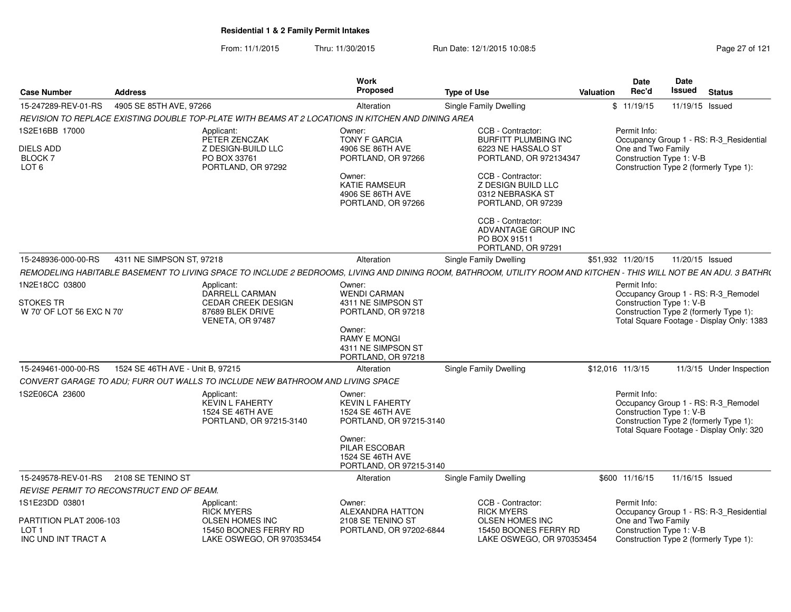From: 11/1/2015Thru: 11/30/2015 Run Date: 12/1/2015 10:08:5<br>
Page 27 of 121

| <b>Case Number</b>                                            | <b>Address</b>                            |                                                                                                    | Work<br>Proposed                                                                                                                                       | <b>Type of Use</b>                                                                                                                                                                                                                                | Valuation | Date<br>Rec'd                                                                      | Date<br><b>Issued</b> | <b>Status</b>                                                                                                             |
|---------------------------------------------------------------|-------------------------------------------|----------------------------------------------------------------------------------------------------|--------------------------------------------------------------------------------------------------------------------------------------------------------|---------------------------------------------------------------------------------------------------------------------------------------------------------------------------------------------------------------------------------------------------|-----------|------------------------------------------------------------------------------------|-----------------------|---------------------------------------------------------------------------------------------------------------------------|
| 15-247289-REV-01-RS                                           | 4905 SE 85TH AVE, 97266                   |                                                                                                    | Alteration                                                                                                                                             | <b>Single Family Dwelling</b>                                                                                                                                                                                                                     |           | \$11/19/15                                                                         | 11/19/15 Issued       |                                                                                                                           |
|                                                               |                                           | REVISION TO REPLACE EXISTING DOUBLE TOP-PLATE WITH BEAMS AT 2 LOCATIONS IN KITCHEN AND DINING AREA |                                                                                                                                                        |                                                                                                                                                                                                                                                   |           |                                                                                    |                       |                                                                                                                           |
| 1S2E16BB 17000<br>DIELS ADD<br>BLOCK 7<br>LOT <sub>6</sub>    |                                           | Applicant:<br>PETER ZENCZAK<br>Z DESIGN-BUILD LLC<br>PO BOX 33761<br>PORTLAND, OR 97292            | Owner:<br><b>TONY F GARCIA</b><br>4906 SE 86TH AVE<br>PORTLAND, OR 97266<br>Owner:<br><b>KATIE RAMSEUR</b><br>4906 SE 86TH AVE<br>PORTLAND, OR 97266   | CCB - Contractor:<br><b>BURFITT PLUMBING INC</b><br>6223 NE HASSALO ST<br>PORTLAND, OR 972134347<br>CCB - Contractor:<br>Z DESIGN BUILD LLC<br>0312 NEBRASKA ST<br>PORTLAND, OR 97239<br>CCB - Contractor:<br>ADVANTAGE GROUP INC<br>PO BOX 91511 |           | Permit Info:<br>One and Two Family<br>Construction Type 1: V-B                     |                       | Occupancy Group 1 - RS: R-3 Residential<br>Construction Type 2 (formerly Type 1):                                         |
| 4311 NE SIMPSON ST, 97218<br>15-248936-000-00-RS              |                                           |                                                                                                    | Alteration                                                                                                                                             | PORTLAND, OR 97291<br>Single Family Dwelling                                                                                                                                                                                                      |           | \$51,932 11/20/15                                                                  | 11/20/15 Issued       |                                                                                                                           |
|                                                               |                                           |                                                                                                    |                                                                                                                                                        | REMODELING HABITABLE BASEMENT TO LIVING SPACE TO INCLUDE 2 BEDROOMS, LIVING AND DINING ROOM, BATHROOM, UTILITY ROOM AND KITCHEN - THIS WILL NOT BE AN ADU. 3 BATHR(                                                                               |           |                                                                                    |                       |                                                                                                                           |
| 1N2E18CC 03800<br>STOKES TR<br>W 70' OF LOT 56 EXC N 70'      | Applicant:                                | DARRELL CARMAN<br>CEDAR CREEK DESIGN<br>87689 BLEK DRIVE<br>VENETA, OR 97487                       | Owner:<br><b>WENDI CARMAN</b><br>4311 NE SIMPSON ST<br>PORTLAND, OR 97218<br>Owner:<br><b>RAMY E MONGI</b><br>4311 NE SIMPSON ST<br>PORTLAND, OR 97218 |                                                                                                                                                                                                                                                   |           | Permit Info:<br>Construction Type 1: V-B<br>Construction Type 2 (formerly Type 1): |                       | Occupancy Group 1 - RS: R-3_Remodel<br>Total Square Footage - Display Only: 1383                                          |
| 15-249461-000-00-RS                                           | 1524 SE 46TH AVE - Unit B, 97215          |                                                                                                    | Alteration                                                                                                                                             | Single Family Dwelling                                                                                                                                                                                                                            |           | \$12,016 11/3/15                                                                   |                       | 11/3/15 Under Inspection                                                                                                  |
|                                                               |                                           | CONVERT GARAGE TO ADU; FURR OUT WALLS TO INCLUDE NEW BATHROOM AND LIVING SPACE                     |                                                                                                                                                        |                                                                                                                                                                                                                                                   |           |                                                                                    |                       |                                                                                                                           |
| 1S2E06CA 23600                                                |                                           | Applicant:<br><b>KEVIN L FAHERTY</b><br>1524 SE 46TH AVE<br>PORTLAND, OR 97215-3140                | Owner:<br><b>KEVIN L FAHERTY</b><br>1524 SE 46TH AVE<br>PORTLAND, OR 97215-3140<br>Owner:<br>PILAR ESCOBAR                                             |                                                                                                                                                                                                                                                   |           | Permit Info:<br>Construction Type 1: V-B                                           |                       | Occupancy Group 1 - RS: R-3_Remodel<br>Construction Type 2 (formerly Type 1):<br>Total Square Footage - Display Only: 320 |
|                                                               |                                           |                                                                                                    | 1524 SE 46TH AVE<br>PORTLAND, OR 97215-3140                                                                                                            |                                                                                                                                                                                                                                                   |           |                                                                                    |                       |                                                                                                                           |
| 15-249578-REV-01-RS                                           | 2108 SE TENINO ST                         |                                                                                                    | Alteration                                                                                                                                             | Single Family Dwelling                                                                                                                                                                                                                            |           | \$600 11/16/15                                                                     | 11/16/15 Issued       |                                                                                                                           |
|                                                               | REVISE PERMIT TO RECONSTRUCT END OF BEAM. |                                                                                                    |                                                                                                                                                        |                                                                                                                                                                                                                                                   |           |                                                                                    |                       |                                                                                                                           |
| 1S1E23DD 03801<br>PARTITION PLAT 2006-103<br>LOT <sub>1</sub> |                                           | Applicant:<br><b>RICK MYERS</b><br><b>OLSEN HOMES INC</b><br>15450 BOONES FERRY RD                 | Owner:<br>ALEXANDRA HATTON<br>2108 SE TENINO ST<br>PORTLAND, OR 97202-6844                                                                             | CCB - Contractor:<br><b>RICK MYERS</b><br><b>OLSEN HOMES INC</b><br>15450 BOONES FERRY RD                                                                                                                                                         |           | Permit Info:<br>One and Two Family<br>Construction Type 1: V-B                     |                       | Occupancy Group 1 - RS: R-3_Residential                                                                                   |
| INC UND INT TRACT A                                           |                                           | LAKE OSWEGO, OR 970353454                                                                          |                                                                                                                                                        | LAKE OSWEGO, OR 970353454                                                                                                                                                                                                                         |           |                                                                                    |                       | Construction Type 2 (formerly Type 1):                                                                                    |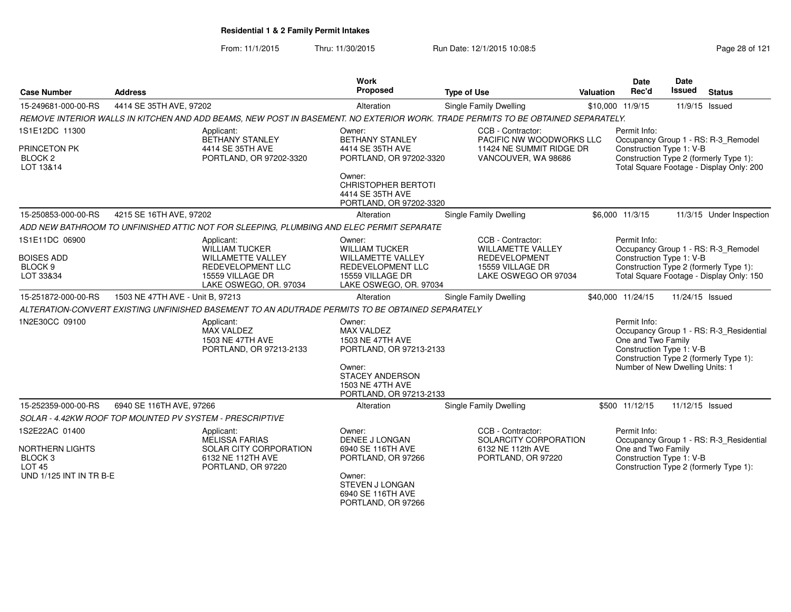From: 11/1/2015Thru: 11/30/2015 **Run Date: 12/1/2015 10:08:5** Report 28 of 121

| <b>Case Number</b>                                                                                         | <b>Address</b>                                                                                                                   | Work<br><b>Proposed</b>                                                                                                                     | <b>Type of Use</b>                                                                               | <b>Valuation</b> | <b>Date</b><br>Rec'd                                                                              | Date<br>Issued  | <b>Status</b>                                                                                                             |
|------------------------------------------------------------------------------------------------------------|----------------------------------------------------------------------------------------------------------------------------------|---------------------------------------------------------------------------------------------------------------------------------------------|--------------------------------------------------------------------------------------------------|------------------|---------------------------------------------------------------------------------------------------|-----------------|---------------------------------------------------------------------------------------------------------------------------|
| 15-249681-000-00-RS                                                                                        | 4414 SE 35TH AVE, 97202                                                                                                          | Alteration                                                                                                                                  | Single Family Dwelling                                                                           |                  | \$10,000 11/9/15                                                                                  |                 | 11/9/15 Issued                                                                                                            |
|                                                                                                            | REMOVE INTERIOR WALLS IN KITCHEN AND ADD BEAMS, NEW POST IN BASEMENT. NO EXTERIOR WORK. TRADE PERMITS TO BE OBTAINED SEPARATELY. |                                                                                                                                             |                                                                                                  |                  |                                                                                                   |                 |                                                                                                                           |
| 1S1E12DC 11300<br>PRINCETON PK<br>BLOCK <sub>2</sub><br>LOT 13&14                                          | Applicant:<br>BETHANY STANLEY<br>4414 SE 35TH AVE<br>PORTLAND, OR 97202-3320                                                     | Owner:<br><b>BETHANY STANLEY</b><br>4414 SE 35TH AVE<br>PORTLAND, OR 97202-3320<br>Owner:<br><b>CHRISTOPHER BERTOTI</b><br>4414 SE 35TH AVE | CCB - Contractor:<br>PACIFIC NW WOODWORKS LLC<br>11424 NE SUMMIT RIDGE DR<br>VANCOUVER, WA 98686 |                  | Permit Info:<br>Construction Type 1: V-B                                                          |                 | Occupancy Group 1 - RS: R-3_Remodel<br>Construction Type 2 (formerly Type 1):<br>Total Square Footage - Display Only: 200 |
|                                                                                                            |                                                                                                                                  | PORTLAND, OR 97202-3320                                                                                                                     |                                                                                                  |                  |                                                                                                   |                 |                                                                                                                           |
| 15-250853-000-00-RS                                                                                        | 4215 SE 16TH AVE, 97202                                                                                                          | Alteration                                                                                                                                  | Single Family Dwelling                                                                           |                  | \$6,000 11/3/15                                                                                   |                 | 11/3/15 Under Inspection                                                                                                  |
| 1S1E11DC 06900                                                                                             | ADD NEW BATHROOM TO UNFINISHED ATTIC NOT FOR SLEEPING, PLUMBING AND ELEC PERMIT SEPARATE<br>Applicant:<br>WILLIAM TUCKER         | Owner:<br><b>WILLIAM TUCKER</b>                                                                                                             | CCB - Contractor:<br><b>WILLAMETTE VALLEY</b>                                                    |                  | Permit Info:                                                                                      |                 | Occupancy Group 1 - RS: R-3_Remodel                                                                                       |
| <b>BOISES ADD</b><br>BLOCK <sub>9</sub><br>LOT 33&34                                                       | <b>WILLAMETTE VALLEY</b><br><b>REDEVELOPMENT LLC</b><br>15559 VILLAGE DR<br>LAKE OSWEGO, OR. 97034                               | <b>WILLAMETTE VALLEY</b><br>REDEVELOPMENT LLC<br>15559 VILLAGE DR<br>LAKE OSWEGO, OR. 97034                                                 | <b>REDEVELOPMENT</b><br>15559 VILLAGE DR<br>LAKE OSWEGO OR 97034                                 |                  | Construction Type 1: V-B                                                                          |                 | Construction Type 2 (formerly Type 1):<br>Total Square Footage - Display Only: 150                                        |
| 15-251872-000-00-RS                                                                                        | 1503 NE 47TH AVE - Unit B, 97213                                                                                                 | Alteration                                                                                                                                  | Single Family Dwelling                                                                           |                  | \$40,000 11/24/15                                                                                 | 11/24/15 Issued |                                                                                                                           |
|                                                                                                            | ALTERATION-CONVERT EXISTING UNFINISHED BASEMENT TO AN ADUTRADE PERMITS TO BE OBTAINED SEPARATELY                                 |                                                                                                                                             |                                                                                                  |                  |                                                                                                   |                 |                                                                                                                           |
| 1N2E30CC 09100                                                                                             | Applicant:<br><b>MAX VALDEZ</b><br>1503 NE 47TH AVE<br>PORTLAND, OR 97213-2133                                                   | Owner:<br><b>MAX VALDEZ</b><br>1503 NE 47TH AVE<br>PORTLAND, OR 97213-2133<br>Owner:<br>STACEY ANDERSON<br>1503 NE 47TH AVE                 |                                                                                                  |                  | Permit Info:<br>One and Two Family<br>Construction Type 1: V-B<br>Number of New Dwelling Units: 1 |                 | Occupancy Group 1 - RS: R-3_Residential<br>Construction Type 2 (formerly Type 1):                                         |
|                                                                                                            |                                                                                                                                  | PORTLAND, OR 97213-2133                                                                                                                     |                                                                                                  |                  |                                                                                                   |                 |                                                                                                                           |
| 15-252359-000-00-RS                                                                                        | 6940 SE 116TH AVE, 97266                                                                                                         | Alteration                                                                                                                                  | Single Family Dwelling                                                                           |                  | \$500 11/12/15                                                                                    | 11/12/15 Issued |                                                                                                                           |
|                                                                                                            | SOLAR - 4.42KW ROOF TOP MOUNTED PV SYSTEM - PRESCRIPTIVE                                                                         |                                                                                                                                             |                                                                                                  |                  |                                                                                                   |                 |                                                                                                                           |
| 1S2E22AC 01400<br>NORTHERN LIGHTS<br>BLOCK <sub>3</sub><br><b>LOT 45</b><br><b>UND 1/125 INT IN TR B-E</b> | Applicant:<br><b>MELISSA FARIAS</b><br>SOLAR CITY CORPORATION<br>6132 NE 112TH AVE<br>PORTLAND, OR 97220                         | Owner:<br>DENEE J LONGAN<br>6940 SE 116TH AVE<br>PORTLAND, OR 97266<br>Owner:                                                               | CCB - Contractor:<br>SOLARCITY CORPORATION<br>6132 NE 112th AVE<br>PORTLAND, OR 97220            |                  | Permit Info:<br>One and Two Family<br>Construction Type 1: V-B                                    |                 | Occupancy Group 1 - RS: R-3_Residential<br>Construction Type 2 (formerly Type 1):                                         |
|                                                                                                            |                                                                                                                                  | <b>STEVEN J LONGAN</b><br>6940 SE 116TH AVE                                                                                                 |                                                                                                  |                  |                                                                                                   |                 |                                                                                                                           |

PORTLAND, OR 97266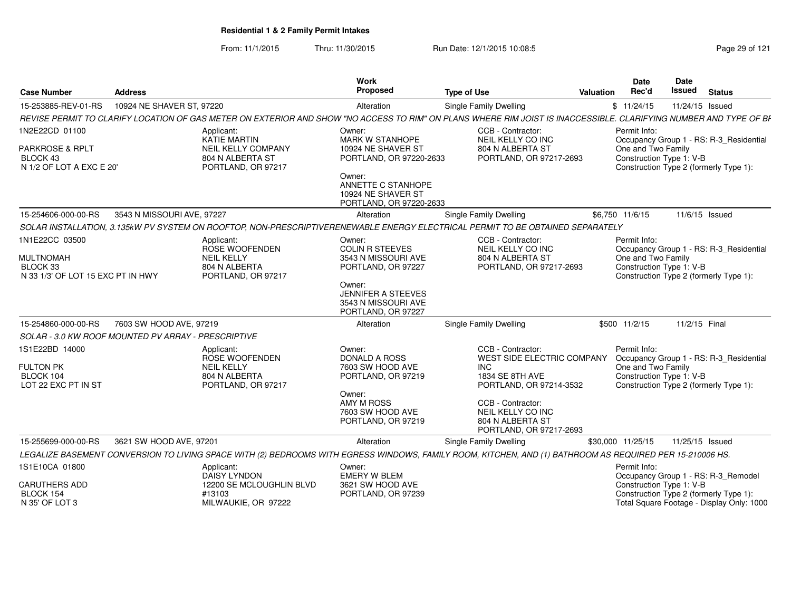From: 11/1/2015Thru: 11/30/2015 Run Date: 12/1/2015 10:08:5<br>
Page 29 of 121

| <b>Case Number</b><br>Address                                                       |                            |                                                                                                          | <b>Work</b><br>Proposed                                                                                                                                           | <b>Type of Use</b>                                                                                                                                                                                   | <b>Valuation</b> | Date<br>Rec'd                                                  | Date<br>Issued  | <b>Status</b>                                                                                                              |
|-------------------------------------------------------------------------------------|----------------------------|----------------------------------------------------------------------------------------------------------|-------------------------------------------------------------------------------------------------------------------------------------------------------------------|------------------------------------------------------------------------------------------------------------------------------------------------------------------------------------------------------|------------------|----------------------------------------------------------------|-----------------|----------------------------------------------------------------------------------------------------------------------------|
| 15-253885-REV-01-RS                                                                 | 10924 NE SHAVER ST, 97220  |                                                                                                          | Alteration                                                                                                                                                        | <b>Single Family Dwelling</b>                                                                                                                                                                        |                  | \$11/24/15                                                     | 11/24/15 Issued |                                                                                                                            |
|                                                                                     |                            |                                                                                                          |                                                                                                                                                                   | REVISE PERMIT TO CLARIFY LOCATION OF GAS METER ON EXTERIOR AND SHOW "NO ACCESS TO RIM" ON PLANS WHERE RIM JOIST IS INACCESSIBLE. CLARIFYING NUMBER AND TYPE OF BI                                    |                  |                                                                |                 |                                                                                                                            |
| 1N2E22CD 01100<br>PARKROSE & RPLT<br>BLOCK 43<br>N 1/2 OF LOT A EXC E 20'           |                            | Applicant:<br><b>KATIE MARTIN</b><br><b>NEIL KELLY COMPANY</b><br>804 N ALBERTA ST<br>PORTLAND, OR 97217 | Owner:<br>MARK W STANHOPE<br>10924 NE SHAVER ST<br>PORTLAND, OR 97220-2633<br>Owner:<br>ANNETTE C STANHOPE<br>10924 NE SHAVER ST<br>PORTLAND, OR 97220-2633       | CCB - Contractor:<br>NEIL KELLY CO INC<br>804 N ALBERTA ST<br>PORTLAND, OR 97217-2693                                                                                                                |                  | Permit Info:<br>One and Two Family<br>Construction Type 1: V-B |                 | Occupancy Group 1 - RS: R-3_Residential<br>Construction Type 2 (formerly Type 1):                                          |
| 15-254606-000-00-RS                                                                 | 3543 N MISSOURI AVE, 97227 |                                                                                                          | Alteration                                                                                                                                                        | Single Family Dwelling                                                                                                                                                                               |                  | \$6,750 11/6/15                                                | 11/6/15 Issued  |                                                                                                                            |
|                                                                                     |                            |                                                                                                          |                                                                                                                                                                   | SOLAR INSTALLATION, 3.135kW PV SYSTEM ON ROOFTOP, NON-PRESCRIPTIVERENEWABLE ENERGY ELECTRICAL PERMIT TO BE OBTAINED SEPARATELY                                                                       |                  |                                                                |                 |                                                                                                                            |
| 1N1E22CC 03500<br><b>MULTNOMAH</b><br>BLOCK 33<br>N 33 1/3' OF LOT 15 EXC PT IN HWY |                            | Applicant:<br>ROSE WOOFENDEN<br><b>NEIL KELLY</b><br>804 N ALBERTA<br>PORTLAND, OR 97217                 | Owner:<br><b>COLIN R STEEVES</b><br>3543 N MISSOURI AVE<br>PORTLAND, OR 97227<br>Owner:<br><b>JENNIFER A STEEVES</b><br>3543 N MISSOURI AVE<br>PORTLAND, OR 97227 | CCB - Contractor:<br>NEIL KELLY CO INC<br>804 N ALBERTA ST<br>PORTLAND, OR 97217-2693                                                                                                                |                  | Permit Info:<br>One and Two Family<br>Construction Type 1: V-B |                 | Occupancy Group 1 - RS: R-3_Residential<br>Construction Type 2 (formerly Type 1):                                          |
| 15-254860-000-00-RS                                                                 | 7603 SW HOOD AVE, 97219    |                                                                                                          | Alteration                                                                                                                                                        | <b>Single Family Dwelling</b>                                                                                                                                                                        |                  | \$500 11/2/15                                                  | 11/2/15 Final   |                                                                                                                            |
| SOLAR - 3.0 KW ROOF MOUNTED PV ARRAY - PRESCRIPTIVE                                 |                            |                                                                                                          |                                                                                                                                                                   |                                                                                                                                                                                                      |                  |                                                                |                 |                                                                                                                            |
| 1S1E22BD 14000<br><b>FULTON PK</b><br>BLOCK 104<br>LOT 22 EXC PT IN ST              |                            | Applicant:<br>ROSE WOOFENDEN<br><b>NEIL KELLY</b><br>804 N ALBERTA<br>PORTLAND, OR 97217                 | Owner:<br>DONALD A ROSS<br>7603 SW HOOD AVE<br>PORTLAND, OR 97219<br>Owner:<br><b>AMY M ROSS</b><br>7603 SW HOOD AVE<br>PORTLAND, OR 97219                        | CCB - Contractor:<br>WEST SIDE ELECTRIC COMPANY<br><b>INC</b><br>1834 SE 8TH AVE<br>PORTLAND, OR 97214-3532<br>CCB - Contractor:<br>NEIL KELLY CO INC<br>804 N ALBERTA ST<br>PORTLAND, OR 97217-2693 |                  | Permit Info:<br>One and Two Family<br>Construction Type 1: V-B |                 | Occupancy Group 1 - RS: R-3_Residential<br>Construction Type 2 (formerly Type 1):                                          |
| 15-255699-000-00-RS                                                                 | 3621 SW HOOD AVE, 97201    |                                                                                                          | Alteration                                                                                                                                                        | Single Family Dwelling                                                                                                                                                                               |                  | \$30,000 11/25/15                                              | 11/25/15 Issued |                                                                                                                            |
|                                                                                     |                            |                                                                                                          |                                                                                                                                                                   | LEGALIZE BASEMENT CONVERSION TO LIVING SPACE WITH (2) BEDROOMS WITH EGRESS WINDOWS, FAMILY ROOM, KITCHEN, AND (1) BATHROOM AS REQUIRED PER 15-210006 HS.                                             |                  |                                                                |                 |                                                                                                                            |
| 1S1E10CA 01800<br><b>CARUTHERS ADD</b><br>BLOCK 154<br>N 35' OF LOT 3               |                            | Applicant:<br><b>DAISY LYNDON</b><br>12200 SE MCLOUGHLIN BLVD<br>#13103<br>MILWAUKIE, OR 97222           | Owner:<br><b>EMERY W BLEM</b><br>3621 SW HOOD AVE<br>PORTLAND, OR 97239                                                                                           |                                                                                                                                                                                                      |                  | Permit Info:<br>Construction Type 1: V-B                       |                 | Occupancy Group 1 - RS: R-3_Remodel<br>Construction Type 2 (formerly Type 1):<br>Total Square Footage - Display Only: 1000 |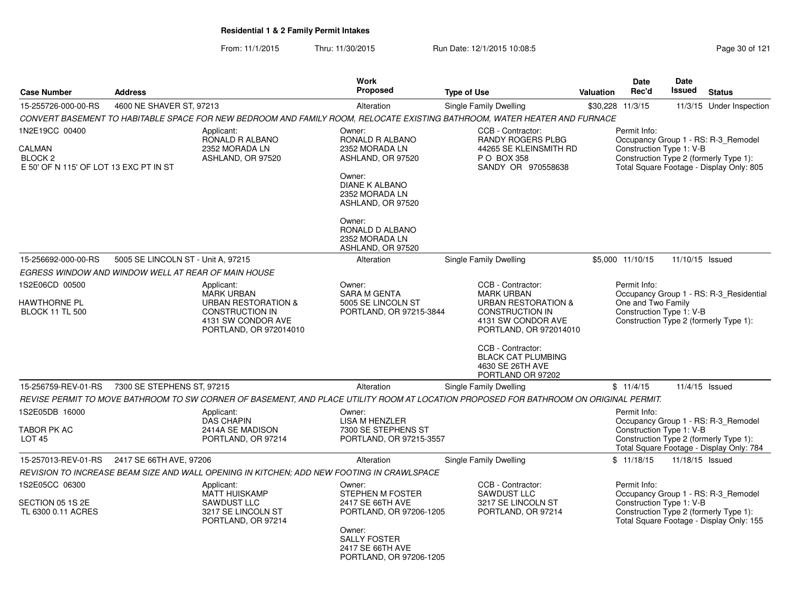From: 11/1/2015Thru: 11/30/2015 Run Date: 12/1/2015 10:08:5<br>
Rage 30 of 121

| <b>Case Number</b>                                                                       | <b>Address</b>                                      |                                                                                                                                      | Work<br>Proposed                                                                                                                                                                                               | <b>Type of Use</b>                                                                                                                                                                                                                            | Valuation | <b>Date</b><br>Rec'd                                           | Date<br><b>Issued</b> | <b>Status</b>                                                                                                             |
|------------------------------------------------------------------------------------------|-----------------------------------------------------|--------------------------------------------------------------------------------------------------------------------------------------|----------------------------------------------------------------------------------------------------------------------------------------------------------------------------------------------------------------|-----------------------------------------------------------------------------------------------------------------------------------------------------------------------------------------------------------------------------------------------|-----------|----------------------------------------------------------------|-----------------------|---------------------------------------------------------------------------------------------------------------------------|
| 15-255726-000-00-RS                                                                      | 4600 NE SHAVER ST, 97213                            |                                                                                                                                      | Alteration                                                                                                                                                                                                     | Single Family Dwelling                                                                                                                                                                                                                        |           | \$30,228 11/3/15                                               |                       | 11/3/15 Under Inspection                                                                                                  |
|                                                                                          |                                                     |                                                                                                                                      |                                                                                                                                                                                                                | CONVERT BASEMENT TO HABITABLE SPACE FOR NEW BEDROOM AND FAMILY ROOM, RELOCATE EXISTING BATHROOM, WATER HEATER AND FURNACE                                                                                                                     |           |                                                                |                       |                                                                                                                           |
| 1N2E19CC 00400<br>CALMAN<br>BLOCK <sub>2</sub><br>E 50' OF N 115' OF LOT 13 EXC PT IN ST |                                                     | Applicant:<br>RONALD R ALBANO<br>2352 MORADA LN<br>ASHLAND, OR 97520                                                                 | Owner:<br>RONALD R ALBANO<br>2352 MORADA LN<br>ASHLAND, OR 97520<br>Owner:<br><b>DIANE K ALBANO</b><br>2352 MORADA LN<br>ASHLAND, OR 97520<br>Owner:<br>RONALD D ALBANO<br>2352 MORADA LN<br>ASHLAND, OR 97520 | CCB - Contractor:<br><b>RANDY ROGERS PLBG</b><br>44265 SE KLEINSMITH RD<br>P O BOX 358<br>SANDY OR 970558638                                                                                                                                  |           | Permit Info:<br>Construction Type 1: V-B                       |                       | Occupancy Group 1 - RS: R-3 Remodel<br>Construction Type 2 (formerly Type 1):<br>Total Square Footage - Display Only: 805 |
| 15-256692-000-00-RS                                                                      | 5005 SE LINCOLN ST - Unit A, 97215                  |                                                                                                                                      | Alteration                                                                                                                                                                                                     | Single Family Dwelling                                                                                                                                                                                                                        |           | \$5,000 11/10/15                                               | 11/10/15 Issued       |                                                                                                                           |
|                                                                                          | EGRESS WINDOW AND WINDOW WELL AT REAR OF MAIN HOUSE |                                                                                                                                      |                                                                                                                                                                                                                |                                                                                                                                                                                                                                               |           |                                                                |                       |                                                                                                                           |
| 1S2E06CD 00500<br>HAWTHORNE PL<br><b>BLOCK 11 TL 500</b>                                 |                                                     | Applicant:<br><b>MARK URBAN</b><br><b>URBAN RESTORATION &amp;</b><br>CONSTRUCTION IN<br>4131 SW CONDOR AVE<br>PORTLAND, OR 972014010 | Owner:<br><b>SARA M GENTA</b><br>5005 SE LINCOLN ST<br>PORTLAND, OR 97215-3844                                                                                                                                 | CCB - Contractor:<br><b>MARK URBAN</b><br><b>URBAN RESTORATION &amp;</b><br><b>CONSTRUCTION IN</b><br>4131 SW CONDOR AVE<br>PORTLAND, OR 972014010<br>CCB - Contractor:<br><b>BLACK CAT PLUMBING</b><br>4630 SE 26TH AVE<br>PORTLAND OR 97202 |           | Permit Info:<br>One and Two Family<br>Construction Type 1: V-B |                       | Occupancy Group 1 - RS: R-3 Residential<br>Construction Type 2 (formerly Type 1):                                         |
| 15-256759-REV-01-RS                                                                      | 7300 SE STEPHENS ST, 97215                          |                                                                                                                                      | Alteration                                                                                                                                                                                                     | Single Family Dwelling                                                                                                                                                                                                                        |           | \$11/4/15                                                      | 11/4/15 Issued        |                                                                                                                           |
|                                                                                          |                                                     |                                                                                                                                      |                                                                                                                                                                                                                | REVISE PERMIT TO MOVE BATHROOM TO SW CORNER OF BASEMENT, AND PLACE UTILITY ROOM AT LOCATION PROPOSED FOR BATHROOM ON ORIGINAL PERMIT.                                                                                                         |           |                                                                |                       |                                                                                                                           |
| 1S2E05DB 16000<br><b>TABOR PK AC</b><br><b>LOT 45</b>                                    |                                                     | Applicant:<br><b>DAS CHAPIN</b><br>2414A SE MADISON<br>PORTLAND, OR 97214                                                            | Owner:<br>LISA M HENZLER<br>7300 SE STEPHENS ST<br>PORTLAND, OR 97215-3557                                                                                                                                     |                                                                                                                                                                                                                                               |           | Permit Info:<br>Construction Type 1: V-B                       |                       | Occupancy Group 1 - RS: R-3_Remodel<br>Construction Type 2 (formerly Type 1):<br>Total Square Footage - Display Only: 784 |
|                                                                                          | 15-257013-REV-01-RS 2417 SE 66TH AVE, 97206         |                                                                                                                                      | Alteration                                                                                                                                                                                                     | Single Family Dwelling                                                                                                                                                                                                                        |           | \$11/18/15                                                     | 11/18/15 Issued       |                                                                                                                           |
|                                                                                          |                                                     | REVISION TO INCREASE BEAM SIZE AND WALL OPENING IN KITCHEN; ADD NEW FOOTING IN CRAWLSPACE                                            |                                                                                                                                                                                                                |                                                                                                                                                                                                                                               |           |                                                                |                       |                                                                                                                           |
| 1S2E05CC 06300<br>SECTION 05 1S 2E<br>TL 6300 0.11 ACRES                                 |                                                     | Applicant:<br><b>MATT HUISKAMP</b><br><b>SAWDUST LLC</b><br>3217 SE LINCOLN ST<br>PORTLAND, OR 97214                                 | Owner:<br><b>STEPHEN M FOSTER</b><br>2417 SE 66TH AVE<br>PORTLAND, OR 97206-1205<br>Owner:<br><b>SALLY FOSTER</b><br>2417 SE 66TH AVE<br>PORTLAND, OR 97206-1205                                               | CCB - Contractor:<br><b>SAWDUST LLC</b><br>3217 SE LINCOLN ST<br>PORTLAND, OR 97214                                                                                                                                                           |           | Permit Info:<br>Construction Type 1: V-B                       |                       | Occupancy Group 1 - RS: R-3_Remodel<br>Construction Type 2 (formerly Type 1):<br>Total Square Footage - Display Only: 155 |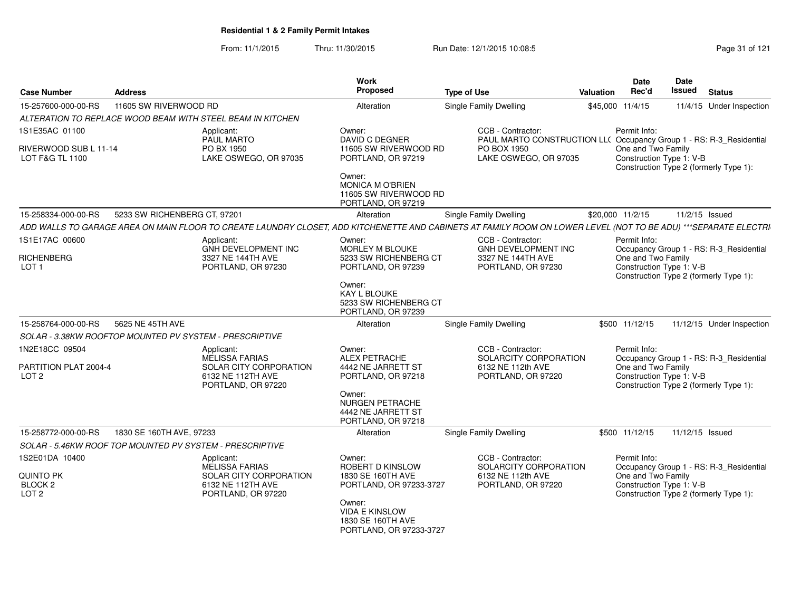From: 11/1/2015Thru: 11/30/2015 Run Date: 12/1/2015 10:08:5<br>
Page 31 of 121

| <b>Case Number</b>                                                    | <b>Address</b>               |                                                                                                                 | Work<br><b>Proposed</b><br><b>Type of Use</b>                                                                                                                 |                                                                                                                                                                 | <b>Valuation</b> | Date<br>Rec'd                                                  | <b>Date</b><br>Issued | <b>Status</b>                                                                     |
|-----------------------------------------------------------------------|------------------------------|-----------------------------------------------------------------------------------------------------------------|---------------------------------------------------------------------------------------------------------------------------------------------------------------|-----------------------------------------------------------------------------------------------------------------------------------------------------------------|------------------|----------------------------------------------------------------|-----------------------|-----------------------------------------------------------------------------------|
| 15-257600-000-00-RS                                                   | 11605 SW RIVERWOOD RD        |                                                                                                                 | Alteration                                                                                                                                                    | Single Family Dwelling                                                                                                                                          |                  | \$45,000 11/4/15                                               |                       | 11/4/15 Under Inspection                                                          |
|                                                                       |                              | ALTERATION TO REPLACE WOOD BEAM WITH STEEL BEAM IN KITCHEN                                                      |                                                                                                                                                               |                                                                                                                                                                 |                  |                                                                |                       |                                                                                   |
| 1S1E35AC 01100                                                        |                              | Applicant:<br><b>PAUL MARTO</b>                                                                                 | Owner:<br><b>DAVID C DEGNER</b>                                                                                                                               | CCB - Contractor:<br>PAUL MARTO CONSTRUCTION LL( Occupancy Group 1 - RS: R-3_Residential                                                                        |                  | Permit Info:                                                   |                       |                                                                                   |
| RIVERWOOD SUB L 11-14<br><b>LOT F&amp;G TL 1100</b>                   |                              | PO BX 1950<br>LAKE OSWEGO, OR 97035                                                                             | 11605 SW RIVERWOOD RD<br>PORTLAND, OR 97219                                                                                                                   | PO BOX 1950<br>LAKE OSWEGO, OR 97035                                                                                                                            |                  | One and Two Family<br>Construction Type 1: V-B                 |                       | Construction Type 2 (formerly Type 1):                                            |
|                                                                       |                              |                                                                                                                 | Owner:<br>MONICA M O'BRIEN<br>11605 SW RIVERWOOD RD<br>PORTLAND, OR 97219                                                                                     |                                                                                                                                                                 |                  |                                                                |                       |                                                                                   |
| 15-258334-000-00-RS                                                   | 5233 SW RICHENBERG CT, 97201 |                                                                                                                 | Alteration                                                                                                                                                    | Single Family Dwelling                                                                                                                                          |                  | \$20,000 11/2/15                                               |                       | 11/2/15 Issued                                                                    |
|                                                                       |                              |                                                                                                                 |                                                                                                                                                               | ADD WALLS TO GARAGE AREA ON MAIN FLOOR TO CREATE LAUNDRY CLOSET, ADD KITCHENETTE AND CABINETS AT FAMILY ROOM ON LOWER LEVEL (NOT TO BE ADU) ***SEPARATE ELECTRI |                  |                                                                |                       |                                                                                   |
| 1S1E17AC 00600<br><b>RICHENBERG</b><br>LOT <sub>1</sub>               |                              | Applicant:<br><b>GNH DEVELOPMENT INC</b><br>3327 NE 144TH AVE<br>PORTLAND, OR 97230                             | Owner:<br><b>MORLEY M BLOUKE</b><br>5233 SW RICHENBERG CT<br>PORTLAND, OR 97239                                                                               | CCB - Contractor:<br><b>GNH DEVELOPMENT INC</b><br>3327 NE 144TH AVE<br>PORTLAND, OR 97230                                                                      |                  | Permit Info:<br>One and Two Family<br>Construction Type 1: V-B |                       | Occupancy Group 1 - RS: R-3_Residential<br>Construction Type 2 (formerly Type 1): |
|                                                                       |                              |                                                                                                                 | Owner:<br>KAY L BLOUKE<br>5233 SW RICHENBERG CT<br>PORTLAND, OR 97239                                                                                         |                                                                                                                                                                 |                  |                                                                |                       |                                                                                   |
| 15-258764-000-00-RS                                                   | 5625 NE 45TH AVE             |                                                                                                                 | Alteration                                                                                                                                                    | <b>Single Family Dwelling</b>                                                                                                                                   |                  | \$500 11/12/15                                                 |                       | 11/12/15 Under Inspection                                                         |
| SOLAR - 3.38KW ROOFTOP MOUNTED PV SYSTEM - PRESCRIPTIVE               |                              |                                                                                                                 |                                                                                                                                                               |                                                                                                                                                                 |                  |                                                                |                       |                                                                                   |
| 1N2E18CC 09504                                                        |                              | Applicant:<br><b>MELISSA FARIAS</b>                                                                             | Owner:<br>ALEX PETRACHE                                                                                                                                       | CCB - Contractor:<br>SOLARCITY CORPORATION                                                                                                                      |                  | Permit Info:                                                   |                       | Occupancy Group 1 - RS: R-3_Residential                                           |
| PARTITION PLAT 2004-4<br>LOT <sub>2</sub>                             |                              | SOLAR CITY CORPORATION<br>6132 NE 112TH AVE<br>PORTLAND, OR 97220                                               | 4442 NE JARRETT ST<br>PORTLAND, OR 97218<br>Owner:<br><b>NURGEN PETRACHE</b><br>4442 NE JARRETT ST<br>PORTLAND, OR 97218                                      | 6132 NE 112th AVE<br>PORTLAND, OR 97220                                                                                                                         |                  | One and Two Family<br>Construction Type 1: V-B                 |                       | Construction Type 2 (formerly Type 1):                                            |
| 15-258772-000-00-RS                                                   | 1830 SE 160TH AVE, 97233     |                                                                                                                 | Alteration                                                                                                                                                    | <b>Single Family Dwelling</b>                                                                                                                                   |                  | \$500 11/12/15                                                 | 11/12/15 Issued       |                                                                                   |
| SOLAR - 5.46KW ROOF TOP MOUNTED PV SYSTEM - PRESCRIPTIVE              |                              |                                                                                                                 |                                                                                                                                                               |                                                                                                                                                                 |                  |                                                                |                       |                                                                                   |
| 1S2E01DA 10400<br>QUINTO PK<br>BLOCK <sub>2</sub><br>LOT <sub>2</sub> |                              | Applicant:<br><b>MELISSA FARIAS</b><br><b>SOLAR CITY CORPORATION</b><br>6132 NE 112TH AVE<br>PORTLAND, OR 97220 | Owner:<br>ROBERT D KINSLOW<br>1830 SE 160TH AVE<br>PORTLAND, OR 97233-3727<br>Owner:<br><b>VIDA E KINSLOW</b><br>1830 SE 160TH AVE<br>PORTLAND, OR 97233-3727 | CCB - Contractor:<br>SOLARCITY CORPORATION<br>6132 NE 112th AVE<br>PORTLAND, OR 97220                                                                           |                  | Permit Info:<br>One and Two Family<br>Construction Type 1: V-B |                       | Occupancy Group 1 - RS: R-3_Residential<br>Construction Type 2 (formerly Type 1): |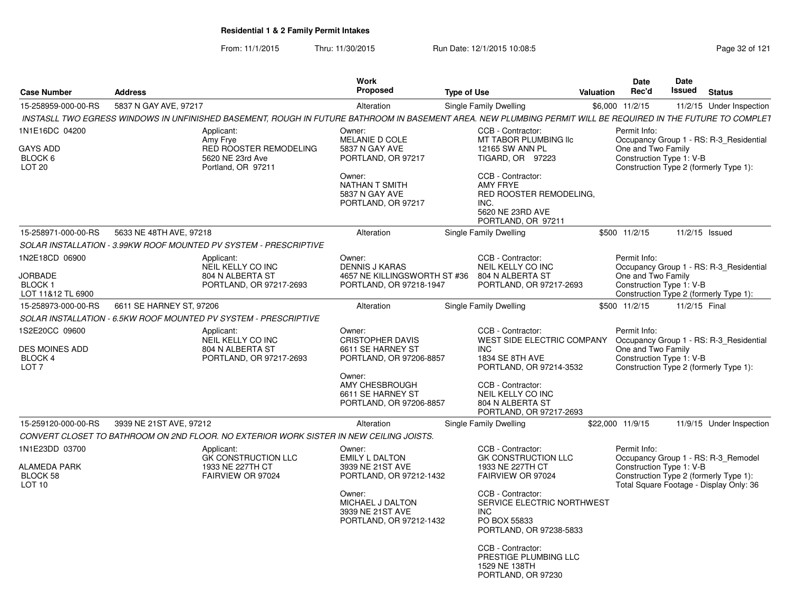From: 11/1/2015Thru: 11/30/2015 Run Date: 12/1/2015 10:08:5<br>
Page 32 of 121

| <b>Case Number</b>                                                   | <b>Address</b>                                                                                                                                               | <b>Work</b><br><b>Proposed</b>                                                                                                                                | <b>Type of Use</b>                                                                                                                                                                                                                                                                        | <b>Valuation</b> | <b>Date</b><br>Rec'd                                           | Date<br>Issued | <b>Status</b>                                                                                                            |
|----------------------------------------------------------------------|--------------------------------------------------------------------------------------------------------------------------------------------------------------|---------------------------------------------------------------------------------------------------------------------------------------------------------------|-------------------------------------------------------------------------------------------------------------------------------------------------------------------------------------------------------------------------------------------------------------------------------------------|------------------|----------------------------------------------------------------|----------------|--------------------------------------------------------------------------------------------------------------------------|
| 15-258959-000-00-RS                                                  | 5837 N GAY AVE, 97217                                                                                                                                        | Alteration                                                                                                                                                    | Single Family Dwelling                                                                                                                                                                                                                                                                    |                  | \$6,000 11/2/15                                                |                | 11/2/15 Under Inspection                                                                                                 |
|                                                                      | INSTASLL TWO EGRESS WINDOWS IN UNFINISHED BASEMENT, ROUGH IN FUTURE BATHROOM IN BASEMENT AREA. NEW PLUMBING PERMIT WILL BE REQUIRED IN THE FUTURE TO COMPLET |                                                                                                                                                               |                                                                                                                                                                                                                                                                                           |                  |                                                                |                |                                                                                                                          |
| 1N1E16DC 04200<br>GAYS ADD<br>BLOCK 6<br>LOT <sub>20</sub>           | Applicant:<br>Amy Frye<br><b>RED ROOSTER REMODELING</b><br>5620 NE 23rd Ave<br>Portland, OR 97211                                                            | Owner:<br>MELANIE D COLE<br>5837 N GAY AVE<br>PORTLAND, OR 97217<br>Owner:<br>NATHAN T SMITH<br>5837 N GAY AVE<br>PORTLAND, OR 97217                          | CCB - Contractor:<br>MT TABOR PLUMBING IIc<br>12165 SW ANN PL<br>TIGARD, OR 97223<br>CCB - Contractor:<br><b>AMY FRYE</b><br>RED ROOSTER REMODELING,<br>INC.<br>5620 NE 23RD AVE<br>PORTLAND, OR 97211                                                                                    |                  | Permit Info:<br>One and Two Family<br>Construction Type 1: V-B |                | Occupancy Group 1 - RS: R-3_Residential<br>Construction Type 2 (formerly Type 1):                                        |
| 15-258971-000-00-RS                                                  | 5633 NE 48TH AVE, 97218                                                                                                                                      | Alteration                                                                                                                                                    | Single Family Dwelling                                                                                                                                                                                                                                                                    |                  | \$500 11/2/15                                                  |                | 11/2/15 Issued                                                                                                           |
|                                                                      | SOLAR INSTALLATION - 3.99KW ROOF MOUNTED PV SYSTEM - PRESCRIPTIVE                                                                                            |                                                                                                                                                               |                                                                                                                                                                                                                                                                                           |                  |                                                                |                |                                                                                                                          |
| 1N2E18CD 06900<br>JORBADE<br>BLOCK <sub>1</sub><br>LOT 11&12 TL 6900 | Applicant:<br>NEIL KELLY CO INC<br>804 N ALBERTA ST<br>PORTLAND, OR 97217-2693                                                                               | Owner:<br><b>DENNIS J KARAS</b><br>4657 NE KILLINGSWORTH ST #36<br>PORTLAND, OR 97218-1947                                                                    | CCB - Contractor:<br>NEIL KELLY CO INC<br>804 N ALBERTA ST<br>PORTLAND, OR 97217-2693                                                                                                                                                                                                     |                  | Permit Info:<br>One and Two Family<br>Construction Type 1: V-B |                | Occupancy Group 1 - RS: R-3_Residential<br>Construction Type 2 (formerly Type 1):                                        |
| 15-258973-000-00-RS                                                  | 6611 SE HARNEY ST, 97206                                                                                                                                     | Alteration                                                                                                                                                    | Single Family Dwelling                                                                                                                                                                                                                                                                    |                  | \$500 11/2/15                                                  | 11/2/15 Final  |                                                                                                                          |
|                                                                      | SOLAR INSTALLATION - 6.5KW ROOF MOUNTED PV SYSTEM - PRESCRIPTIVE                                                                                             |                                                                                                                                                               |                                                                                                                                                                                                                                                                                           |                  |                                                                |                |                                                                                                                          |
| 1S2E20CC 09600<br>DES MOINES ADD<br>BLOCK 4<br>LOT <sub>7</sub>      | Applicant:<br>NEIL KELLY CO INC<br>804 N ALBERTA ST<br>PORTLAND, OR 97217-2693                                                                               | Owner:<br><b>CRISTOPHER DAVIS</b><br>6611 SE HARNEY ST<br>PORTLAND, OR 97206-8857<br>Owner:<br>AMY CHESBROUGH<br>6611 SE HARNEY ST<br>PORTLAND, OR 97206-8857 | CCB - Contractor:<br>WEST SIDE ELECTRIC COMPANY<br><b>INC</b><br>1834 SE 8TH AVE<br>PORTLAND, OR 97214-3532<br>CCB - Contractor:<br><b>NEIL KELLY CO INC</b><br>804 N ALBERTA ST<br>PORTLAND, OR 97217-2693                                                                               |                  | Permit Info:<br>One and Two Family<br>Construction Type 1: V-B |                | Occupancy Group 1 - RS: R-3_Residential<br>Construction Type 2 (formerly Type 1):                                        |
| 15-259120-000-00-RS                                                  | 3939 NE 21ST AVE, 97212                                                                                                                                      | Alteration                                                                                                                                                    | Single Family Dwelling                                                                                                                                                                                                                                                                    |                  | \$22,000 11/9/15                                               |                | 11/9/15 Under Inspection                                                                                                 |
|                                                                      | CONVERT CLOSET TO BATHROOM ON 2ND FLOOR. NO EXTERIOR WORK SISTER IN NEW CEILING JOISTS.                                                                      |                                                                                                                                                               |                                                                                                                                                                                                                                                                                           |                  |                                                                |                |                                                                                                                          |
| 1N1E23DD 03700<br>ALAMEDA PARK<br>BLOCK 58<br>LOT <sub>10</sub>      | Applicant:<br><b>GK CONSTRUCTION LLC</b><br>1933 NE 227TH CT<br>FAIRVIEW OR 97024                                                                            | Owner:<br><b>EMILY L DALTON</b><br>3939 NE 21ST AVE<br>PORTLAND, OR 97212-1432<br>Owner:<br>MICHAEL J DALTON<br>3939 NE 21ST AVE<br>PORTLAND, OR 97212-1432   | CCB - Contractor:<br><b>GK CONSTRUCTION LLC</b><br>1933 NE 227TH CT<br>FAIRVIEW OR 97024<br>CCB - Contractor:<br>SERVICE ELECTRIC NORTHWEST<br><b>INC</b><br>PO BOX 55833<br>PORTLAND, OR 97238-5833<br>CCB - Contractor:<br>PRESTIGE PLUMBING LLC<br>1529 NE 138TH<br>PORTLAND, OR 97230 |                  | Permit Info:<br>Construction Type 1: V-B                       |                | Occupancy Group 1 - RS: R-3_Remodel<br>Construction Type 2 (formerly Type 1):<br>Total Square Footage - Display Only: 36 |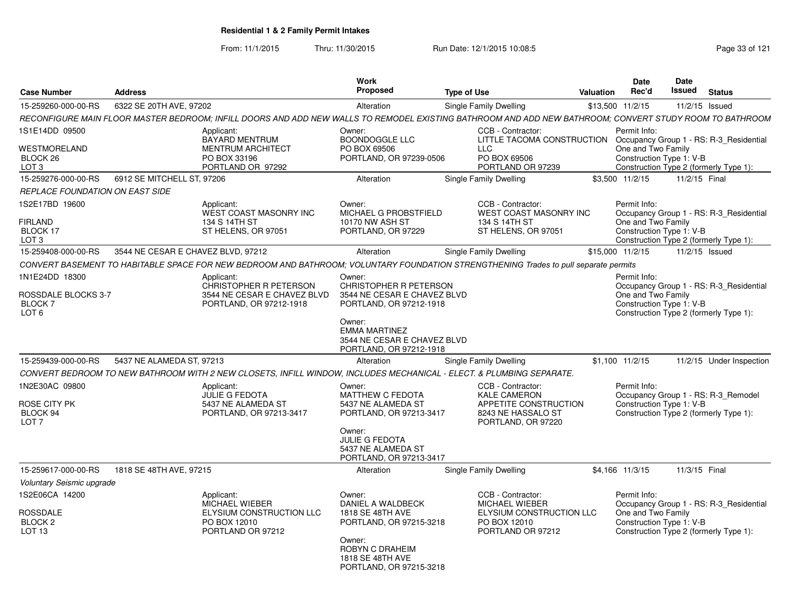From: 11/1/2015Thru: 11/30/2015 Run Date: 12/1/2015 10:08:5<br>
Page 33 of 121

| <b>Case Number</b>                                                          | <b>Address</b>                     |                                                                                                                                                         | <b>Work</b><br><b>Proposed</b>                                                                                                                              | <b>Type of Use</b> |                                                                                                      | <b>Valuation</b> | <b>Date</b><br>Rec'd                                           | Date<br>Issued | <b>Status</b>                                                                     |
|-----------------------------------------------------------------------------|------------------------------------|---------------------------------------------------------------------------------------------------------------------------------------------------------|-------------------------------------------------------------------------------------------------------------------------------------------------------------|--------------------|------------------------------------------------------------------------------------------------------|------------------|----------------------------------------------------------------|----------------|-----------------------------------------------------------------------------------|
| 15-259260-000-00-RS                                                         | 6322 SE 20TH AVE, 97202            |                                                                                                                                                         | Alteration                                                                                                                                                  |                    | <b>Single Family Dwelling</b>                                                                        |                  | \$13,500 11/2/15                                               | 11/2/15 Issued |                                                                                   |
|                                                                             |                                    | RECONFIGURE MAIN FLOOR MASTER BEDROOM: INFILL DOORS AND ADD NEW WALLS TO REMODEL EXISTING BATHROOM AND ADD NEW BATHROOM: CONVERT STUDY ROOM TO BATHROOM |                                                                                                                                                             |                    |                                                                                                      |                  |                                                                |                |                                                                                   |
| 1S1E14DD 09500<br>WESTMORELAND<br>BLOCK 26<br>LOT 3                         |                                    | Applicant:<br><b>BAYARD MENTRUM</b><br><b>MENTRUM ARCHITECT</b><br>PO BOX 33196<br>PORTLAND OR 97292                                                    | Owner:<br>BOONDOGGLE LLC<br>PO BOX 69506<br>PORTLAND, OR 97239-0506                                                                                         |                    | CCB - Contractor:<br>LITTLE TACOMA CONSTRUCTION<br>LLC<br>PO BOX 69506<br>PORTLAND OR 97239          |                  | Permit Info:<br>One and Two Family<br>Construction Type 1: V-B |                | Occupancy Group 1 - RS: R-3_Residential<br>Construction Type 2 (formerly Type 1): |
| 15-259276-000-00-RS                                                         | 6912 SE MITCHELL ST, 97206         |                                                                                                                                                         | Alteration                                                                                                                                                  |                    | Single Family Dwelling                                                                               |                  | \$3,500 11/2/15                                                | 11/2/15 Final  |                                                                                   |
| REPLACE FOUNDATION ON EAST SIDE                                             |                                    |                                                                                                                                                         |                                                                                                                                                             |                    |                                                                                                      |                  |                                                                |                |                                                                                   |
| IS2E17BD 19600<br><b>FIRLAND</b><br>BLOCK 17<br>LOT <sub>3</sub>            |                                    | Applicant:<br>WEST COAST MASONRY INC<br>134 S 14TH ST<br>ST HELENS, OR 97051                                                                            | Owner:<br>MICHAEL G PROBSTFIELD<br>10170 NW ASH ST<br>PORTLAND, OR 97229                                                                                    |                    | CCB - Contractor:<br><b>WEST COAST MASONRY INC</b><br>134 S 14TH ST<br>ST HELENS, OR 97051           |                  | Permit Info:<br>One and Two Family<br>Construction Type 1: V-B |                | Occupancy Group 1 - RS: R-3_Residential<br>Construction Type 2 (formerly Type 1): |
| 15-259408-000-00-RS                                                         | 3544 NE CESAR E CHAVEZ BLVD. 97212 |                                                                                                                                                         | Alteration                                                                                                                                                  |                    | Single Family Dwelling                                                                               |                  | \$15,000 11/2/15                                               | 11/2/15 Issued |                                                                                   |
|                                                                             |                                    | CONVERT BASEMENT TO HABITABLE SPACE FOR NEW BEDROOM AND BATHROOM; VOLUNTARY FOUNDATION STRENGTHENING Trades to pull separate permits                    |                                                                                                                                                             |                    |                                                                                                      |                  |                                                                |                |                                                                                   |
| 1N1E24DD 18300<br><b>ROSSDALE BLOCKS 3-7</b><br>BLOCK 7<br>LOT <sub>6</sub> |                                    | Applicant:<br>CHRISTOPHER R PETERSON<br>3544 NE CESAR E CHAVEZ BLVD<br>PORTLAND, OR 97212-1918                                                          | Owner:<br>CHRISTOPHER R PETERSON<br>3544 NE CESAR E CHAVEZ BLVD<br>PORTLAND, OR 97212-1918<br>Owner:<br><b>EMMA MARTINEZ</b><br>3544 NE CESAR E CHAVEZ BLVD |                    |                                                                                                      |                  | Permit Info:<br>One and Two Family<br>Construction Type 1: V-B |                | Occupancy Group 1 - RS: R-3_Residential<br>Construction Type 2 (formerly Type 1): |
|                                                                             |                                    |                                                                                                                                                         | PORTLAND, OR 97212-1918                                                                                                                                     |                    |                                                                                                      |                  |                                                                |                |                                                                                   |
| 15-259439-000-00-RS                                                         | 5437 NE ALAMEDA ST, 97213          |                                                                                                                                                         | Alteration                                                                                                                                                  |                    | Single Family Dwelling                                                                               |                  | $$1,100$ $11/2/15$                                             |                | 11/2/15 Under Inspection                                                          |
| 1N2E30AC 09800                                                              |                                    | CONVERT BEDROOM TO NEW BATHROOM WITH 2 NEW CLOSETS, INFILL WINDOW, INCLUDES MECHANICAL - ELECT. & PLUMBING SEPARATE.<br>Applicant:                      | Owner:                                                                                                                                                      |                    | CCB - Contractor:                                                                                    |                  | Permit Info:                                                   |                |                                                                                   |
| ROSE CITY PK<br>BLOCK 94<br>LOT <sub>7</sub>                                |                                    | <b>JULIE G FEDOTA</b><br>5437 NE ALAMEDA ST<br>PORTLAND, OR 97213-3417                                                                                  | <b>MATTHEW C FEDOTA</b><br>5437 NE ALAMEDA ST<br>PORTLAND, OR 97213-3417<br>Owner:<br><b>JULIE G FEDOTA</b><br>5437 NE ALAMEDA ST                           |                    | <b>KALE CAMERON</b><br>APPETITE CONSTRUCTION<br>8243 NE HASSALO ST<br>PORTLAND, OR 97220             |                  | Construction Type 1: V-B                                       |                | Occupancy Group 1 - RS: R-3_Remodel<br>Construction Type 2 (formerly Type 1):     |
| 15-259617-000-00-RS                                                         | 1818 SE 48TH AVE, 97215            |                                                                                                                                                         | PORTLAND, OR 97213-3417<br>Alteration                                                                                                                       |                    | Single Family Dwelling                                                                               |                  | \$4,166 11/3/15                                                | 11/3/15 Final  |                                                                                   |
| Voluntary Seismic upgrade                                                   |                                    |                                                                                                                                                         |                                                                                                                                                             |                    |                                                                                                      |                  |                                                                |                |                                                                                   |
| IS2E06CA 14200<br>ROSSDALE<br>BLOCK <sub>2</sub><br>LOT <sub>13</sub>       |                                    | Applicant:<br>MICHAEL WIEBER<br>ELYSIUM CONSTRUCTION LLC<br>PO BOX 12010<br>PORTLAND OR 97212                                                           | Owner:<br>DANIEL A WALDBECK<br>1818 SE 48TH AVE<br>PORTLAND, OR 97215-3218                                                                                  |                    | CCB - Contractor:<br>MICHAEL WIEBER<br>ELYSIUM CONSTRUCTION LLC<br>PO BOX 12010<br>PORTLAND OR 97212 |                  | Permit Info:<br>One and Two Family<br>Construction Type 1: V-B |                | Occupancy Group 1 - RS: R-3 Residential<br>Construction Type 2 (formerly Type 1): |
|                                                                             |                                    |                                                                                                                                                         | Owner:<br>ROBYN C DRAHEIM<br>1818 SE 48TH AVE<br>PORTLAND, OR 97215-3218                                                                                    |                    |                                                                                                      |                  |                                                                |                |                                                                                   |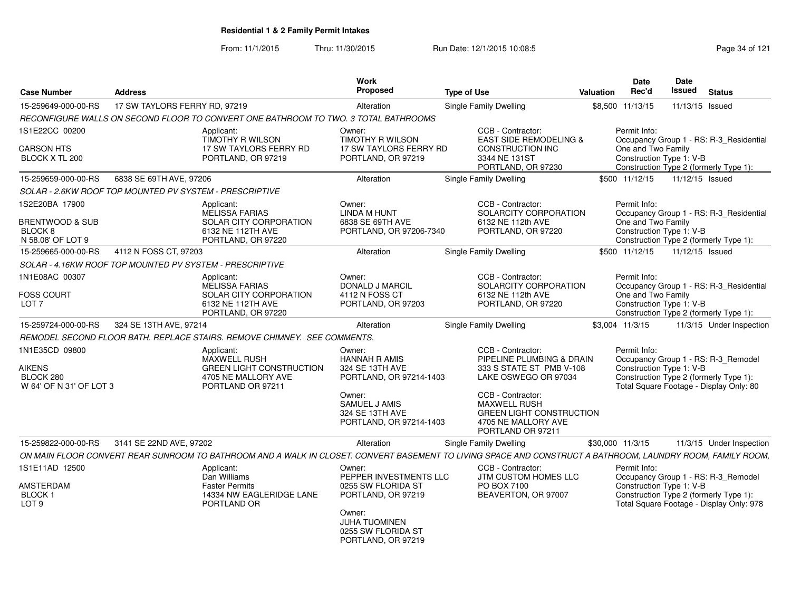From: 11/1/2015Thru: 11/30/2015 Run Date: 12/1/2015 10:08:5<br>
Page 34 of 121

| <b>Case Number</b>                                                           | <b>Address</b>                                           |                                                                                                                 | Work<br><b>Proposed</b>                                                                                                                                    | <b>Type of Use</b>                                                                                                                                                                                                            | <b>Valuation</b> | <b>Date</b><br>Rec'd                                                                                                                                                  | Date<br><b>Issued</b> | <b>Status</b>   |                          |
|------------------------------------------------------------------------------|----------------------------------------------------------|-----------------------------------------------------------------------------------------------------------------|------------------------------------------------------------------------------------------------------------------------------------------------------------|-------------------------------------------------------------------------------------------------------------------------------------------------------------------------------------------------------------------------------|------------------|-----------------------------------------------------------------------------------------------------------------------------------------------------------------------|-----------------------|-----------------|--------------------------|
| 15-259649-000-00-RS                                                          | 17 SW TAYLORS FERRY RD, 97219                            |                                                                                                                 | Alteration                                                                                                                                                 | Single Family Dwelling                                                                                                                                                                                                        |                  | \$8.500 11/13/15                                                                                                                                                      |                       | 11/13/15 Issued |                          |
|                                                                              |                                                          | RECONFIGURE WALLS ON SECOND FLOOR TO CONVERT ONE BATHROOM TO TWO. 3 TOTAL BATHROOMS                             |                                                                                                                                                            |                                                                                                                                                                                                                               |                  |                                                                                                                                                                       |                       |                 |                          |
| 1S1E22CC 00200<br><b>CARSON HTS</b><br>BLOCK X TL 200                        |                                                          | Applicant:<br><b>TIMOTHY R WILSON</b><br>17 SW TAYLORS FERRY RD<br>PORTLAND, OR 97219                           | Owner:<br><b>TIMOTHY R WILSON</b><br><b>17 SW TAYLORS FERRY RD</b><br>PORTLAND, OR 97219                                                                   | CCB - Contractor:<br><b>EAST SIDE REMODELING &amp;</b><br><b>CONSTRUCTION INC</b><br>3344 NE 131ST<br>PORTLAND, OR 97230                                                                                                      |                  | Permit Info:<br>Occupancy Group 1 - RS: R-3 Residential<br>One and Two Family<br>Construction Type 1: V-B<br>Construction Type 2 (formerly Type 1):                   |                       |                 |                          |
| 15-259659-000-00-RS                                                          | 6838 SE 69TH AVE, 97206                                  |                                                                                                                 | Alteration                                                                                                                                                 | Single Family Dwelling                                                                                                                                                                                                        |                  | \$500 11/12/15                                                                                                                                                        |                       | 11/12/15 Issued |                          |
|                                                                              | SOLAR - 2.6KW ROOF TOP MOUNTED PV SYSTEM - PRESCRIPTIVE  |                                                                                                                 |                                                                                                                                                            |                                                                                                                                                                                                                               |                  |                                                                                                                                                                       |                       |                 |                          |
| 1S2E20BA 17900<br>BRENTWOOD & SUB<br>BLOCK <sub>8</sub><br>N 58.08' OF LOT 9 |                                                          | Applicant:<br><b>MELISSA FARIAS</b><br><b>SOLAR CITY CORPORATION</b><br>6132 NE 112TH AVE<br>PORTLAND, OR 97220 | Owner:<br>LINDA M HUNT<br>6838 SE 69TH AVE<br>PORTLAND, OR 97206-7340                                                                                      | CCB - Contractor:<br>SOLARCITY CORPORATION<br>6132 NE 112th AVE<br>PORTLAND, OR 97220                                                                                                                                         |                  | Permit Info:<br>Occupancy Group 1 - RS: R-3_Residential<br>One and Two Family<br>Construction Type 1: V-B<br>Construction Type 2 (formerly Type 1):                   |                       |                 |                          |
| 15-259665-000-00-RS                                                          | 4112 N FOSS CT, 97203                                    |                                                                                                                 | Alteration                                                                                                                                                 | Single Family Dwelling                                                                                                                                                                                                        |                  | \$500 11/12/15                                                                                                                                                        |                       | 11/12/15 Issued |                          |
|                                                                              | SOLAR - 4.16KW ROOF TOP MOUNTED PV SYSTEM - PRESCRIPTIVE |                                                                                                                 |                                                                                                                                                            |                                                                                                                                                                                                                               |                  |                                                                                                                                                                       |                       |                 |                          |
| 1N1E08AC 00307<br><b>FOSS COURT</b><br>LOT <sub>7</sub>                      |                                                          | Applicant:<br><b>MELISSA FARIAS</b><br>SOLAR CITY CORPORATION<br>6132 NE 112TH AVE<br>PORTLAND, OR 97220        | Owner:<br>DONALD J MARCIL<br>4112 N FOSS CT<br>PORTLAND, OR 97203                                                                                          | CCB - Contractor:<br>SOLARCITY CORPORATION<br>6132 NE 112th AVE<br>PORTLAND, OR 97220                                                                                                                                         |                  | Permit Info:<br>Occupancy Group 1 - RS: R-3 Residential<br>One and Two Family<br>Construction Type 1: V-B<br>Construction Type 2 (formerly Type 1):                   |                       |                 |                          |
| 15-259724-000-00-RS                                                          | 324 SE 13TH AVE, 97214                                   |                                                                                                                 | Alteration                                                                                                                                                 | Single Family Dwelling                                                                                                                                                                                                        |                  | \$3.004 11/3/15                                                                                                                                                       |                       |                 | 11/3/15 Under Inspection |
|                                                                              |                                                          | REMODEL SECOND FLOOR BATH. REPLACE STAIRS. REMOVE CHIMNEY. SEE COMMENTS.                                        |                                                                                                                                                            |                                                                                                                                                                                                                               |                  |                                                                                                                                                                       |                       |                 |                          |
| 1N1E35CD 09800<br>AIKENS<br>BLOCK 280<br>W 64' OF N 31' OF LOT 3             |                                                          | Applicant:<br>MAXWELL RUSH<br>GREEN LIGHT CONSTRUCTION<br>4705 NE MALLORY AVE<br>PORTLAND OR 97211              | Owner:<br><b>HANNAH R AMIS</b><br>324 SE 13TH AVE<br>PORTLAND, OR 97214-1403<br>Owner:<br>SAMUEL J AMIS<br>324 SE 13TH AVE<br>PORTLAND, OR 97214-1403      | CCB - Contractor:<br>PIPELINE PLUMBING & DRAIN<br>333 S STATE ST PMB V-108<br>LAKE OSWEGO OR 97034<br>CCB - Contractor:<br><b>MAXWELL RUSH</b><br><b>GREEN LIGHT CONSTRUCTION</b><br>4705 NE MALLORY AVE<br>PORTLAND OR 97211 |                  | Permit Info:<br>Occupancy Group 1 - RS: R-3 Remodel<br>Construction Type 1: V-B<br>Construction Type 2 (formerly Type 1):<br>Total Square Footage - Display Only: 80  |                       |                 |                          |
| 15-259822-000-00-RS                                                          | 3141 SE 22ND AVE, 97202                                  |                                                                                                                 | Alteration                                                                                                                                                 | Single Family Dwelling                                                                                                                                                                                                        |                  | \$30,000 11/3/15                                                                                                                                                      |                       |                 | 11/3/15 Under Inspection |
|                                                                              |                                                          |                                                                                                                 |                                                                                                                                                            | ON MAIN FLOOR CONVERT REAR SUNROOM TO BATHROOM AND A WALK IN CLOSET. CONVERT BASEMENT TO LIVING SPACE AND CONSTRUCT A BATHROOM. LAUNDRY ROOM. FAMILY ROOM.                                                                    |                  |                                                                                                                                                                       |                       |                 |                          |
| 1S1E11AD 12500<br>AMSTERDAM<br>BLOCK 1<br>LOT <sub>9</sub>                   |                                                          | Applicant:<br>Dan Williams<br><b>Faster Permits</b><br>14334 NW EAGLERIDGE LANE<br>PORTLAND OR                  | Owner:<br>PEPPER INVESTMENTS LLC<br>0255 SW FLORIDA ST<br>PORTLAND, OR 97219<br>Owner:<br><b>JUHA TUOMINEN</b><br>0255 SW FLORIDA ST<br>PORTLAND, OR 97219 | CCB - Contractor:<br>JTM CUSTOM HOMES LLC<br>PO BOX 7100<br>BEAVERTON, OR 97007                                                                                                                                               |                  | Permit Info:<br>Occupancy Group 1 - RS: R-3_Remodel<br>Construction Type 1: V-B<br>Construction Type 2 (formerly Type 1):<br>Total Square Footage - Display Only: 978 |                       |                 |                          |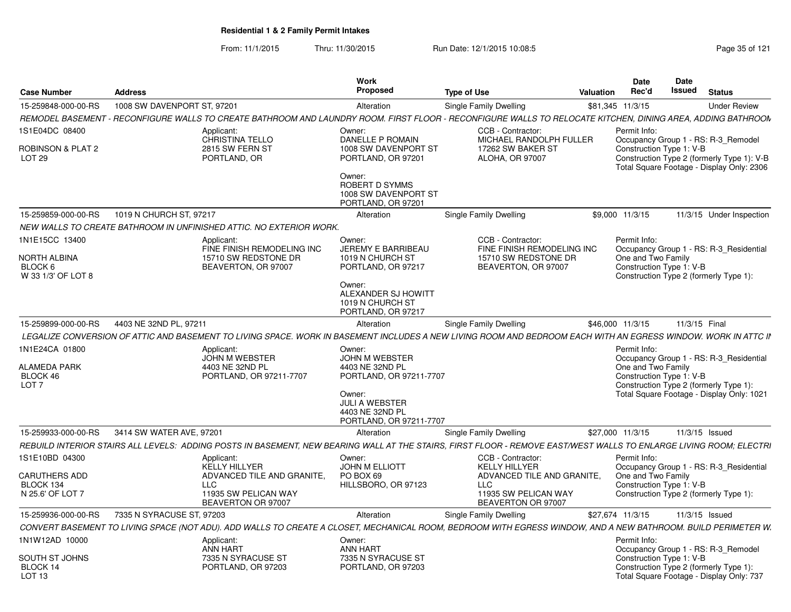From: 11/1/2015Thru: 11/30/2015 Run Date: 12/1/2015 10:08:5<br>
Page 35 of 121

| <b>Case Number</b>                                                | <b>Address</b>              |                                                                                                                                                                    | Work<br>Proposed                                                                                                                                        | Type of Use                                                                                    | Valuation | Date<br>Rec'd                                                                                                                                                                                    | Date<br>Issued | <b>Status</b>  |                          |
|-------------------------------------------------------------------|-----------------------------|--------------------------------------------------------------------------------------------------------------------------------------------------------------------|---------------------------------------------------------------------------------------------------------------------------------------------------------|------------------------------------------------------------------------------------------------|-----------|--------------------------------------------------------------------------------------------------------------------------------------------------------------------------------------------------|----------------|----------------|--------------------------|
| 15-259848-000-00-RS                                               | 1008 SW DAVENPORT ST, 97201 |                                                                                                                                                                    | Alteration                                                                                                                                              | Single Family Dwelling                                                                         |           | \$81,345 11/3/15                                                                                                                                                                                 |                |                | <b>Under Review</b>      |
|                                                                   |                             | REMODEL BASEMENT - RECONFIGURE WALLS TO CREATE BATHROOM AND LAUNDRY ROOM. FIRST FLOOR - RECONFIGURE WALLS TO RELOCATE KITCHEN, DINING AREA, ADDING BATHROON        |                                                                                                                                                         |                                                                                                |           |                                                                                                                                                                                                  |                |                |                          |
| 1S1E04DC 08400<br>ROBINSON & PLAT 2<br>LOT <sub>29</sub>          |                             | Applicant:<br>CHRISTINA TELLO<br>2815 SW FERN ST<br>PORTLAND, OR                                                                                                   | Owner:<br>DANELLE P ROMAIN<br>1008 SW DAVENPORT ST<br>PORTLAND, OR 97201<br>Owner:<br><b>ROBERT D SYMMS</b><br>1008 SW DAVENPORT ST                     | CCB - Contractor:<br>MICHAEL RANDOLPH FULLER<br>17262 SW BAKER ST<br><b>ALOHA, OR 97007</b>    |           | Permit Info:<br>Occupancy Group 1 - RS: R-3 Remodel<br>Construction Type 1: V-B<br>Construction Type 2 (formerly Type 1): V-B<br>Total Square Footage - Display Only: 2306                       |                |                |                          |
| 15-259859-000-00-RS                                               | 1019 N CHURCH ST. 97217     |                                                                                                                                                                    | PORTLAND, OR 97201<br>Alteration                                                                                                                        | <b>Single Family Dwelling</b>                                                                  |           | \$9,000 11/3/15                                                                                                                                                                                  |                |                | 11/3/15 Under Inspection |
|                                                                   |                             |                                                                                                                                                                    |                                                                                                                                                         |                                                                                                |           |                                                                                                                                                                                                  |                |                |                          |
|                                                                   |                             | NEW WALLS TO CREATE BATHROOM IN UNFINISHED ATTIC. NO EXTERIOR WORK.                                                                                                |                                                                                                                                                         |                                                                                                |           |                                                                                                                                                                                                  |                |                |                          |
| 1N1E15CC 13400<br>NORTH ALBINA<br>BLOCK 6<br>W 33 1/3' OF LOT 8   |                             | Applicant:<br>FINE FINISH REMODELING INC<br>15710 SW REDSTONE DR<br>BEAVERTON, OR 97007                                                                            | Owner:<br>JEREMY E BARRIBEAU<br>1019 N CHURCH ST<br>PORTLAND, OR 97217<br>Owner:<br>ALEXANDER SJ HOWITT<br>1019 N CHURCH ST<br>PORTLAND, OR 97217       | CCB - Contractor:<br>FINE FINISH REMODELING INC<br>15710 SW REDSTONE DR<br>BEAVERTON, OR 97007 |           | Permit Info:<br>Occupancy Group 1 - RS: R-3_Residential<br>One and Two Family<br>Construction Type 1: V-B<br>Construction Type 2 (formerly Type 1):                                              |                |                |                          |
| 15-259899-000-00-RS                                               | 4403 NE 32ND PL, 97211      |                                                                                                                                                                    | Alteration                                                                                                                                              | Single Family Dwelling                                                                         |           | \$46,000 11/3/15                                                                                                                                                                                 | 11/3/15 Final  |                |                          |
|                                                                   |                             | LEGALIZE CONVERSION OF ATTIC AND BASEMENT TO LIVING SPACE. WORK IN BASEMENT INCLUDES A NEW LIVING ROOM AND BEDROOM EACH WITH AN EGRESS WINDOW. WORK IN ATTC II     |                                                                                                                                                         |                                                                                                |           |                                                                                                                                                                                                  |                |                |                          |
| 1N1E24CA 01800<br>ALAMEDA PARK<br>BLOCK 46<br>LOT <sub>7</sub>    |                             | Applicant:<br><b>JOHN M WEBSTER</b><br>4403 NE 32ND PL<br>PORTLAND, OR 97211-7707                                                                                  | Owner:<br>JOHN M WEBSTER<br>4403 NE 32ND PL<br>PORTLAND, OR 97211-7707<br>Owner:<br><b>JULI A WEBSTER</b><br>4403 NE 32ND PL<br>PORTLAND, OR 97211-7707 |                                                                                                |           | Permit Info:<br>Occupancy Group 1 - RS: R-3_Residential<br>One and Two Family<br>Construction Type 1: V-B<br>Construction Type 2 (formerly Type 1):<br>Total Square Footage - Display Only: 1021 |                |                |                          |
| 15-259933-000-00-RS                                               | 3414 SW WATER AVE, 97201    |                                                                                                                                                                    | Alteration                                                                                                                                              | Single Family Dwelling                                                                         |           | \$27,000 11/3/15                                                                                                                                                                                 |                | 11/3/15 Issued |                          |
|                                                                   |                             | REBUILD INTERIOR STAIRS ALL LEVELS: ADDING POSTS IN BASEMENT, NEW BEARING WALL AT THE STAIRS, FIRST FLOOR - REMOVE EAST/WEST WALLS TO ENLARGE LIVING ROOM; ELECTRI |                                                                                                                                                         |                                                                                                |           |                                                                                                                                                                                                  |                |                |                          |
| 1S1E10BD 04300                                                    |                             | Applicant:<br><b>KELLY HILLYER</b>                                                                                                                                 | Owner:<br><b>JOHN M ELLIOTT</b>                                                                                                                         | CCB - Contractor:<br><b>KELLY HILLYER</b>                                                      |           | Permit Info:<br>Occupancy Group 1 - RS: R-3 Residential                                                                                                                                          |                |                |                          |
| CARUTHERS ADD<br>BLOCK 134<br>N 25.6' OF LOT 7                    |                             | ADVANCED TILE AND GRANITE,<br><b>LLC</b><br>11935 SW PELICAN WAY<br>BEAVERTON OR 97007                                                                             | PO BOX 69<br>HILLSBORO, OR 97123                                                                                                                        | ADVANCED TILE AND GRANITE,<br><b>LLC</b><br>11935 SW PELICAN WAY<br>BEAVERTON OR 97007         |           | One and Two Family<br>Construction Type 1: V-B<br>Construction Type 2 (formerly Type 1):                                                                                                         |                |                |                          |
| 15-259936-000-00-RS                                               | 7335 N SYRACUSE ST, 97203   |                                                                                                                                                                    | Alteration                                                                                                                                              | Single Family Dwelling                                                                         |           | \$27,674 11/3/15                                                                                                                                                                                 |                | 11/3/15 Issued |                          |
|                                                                   |                             |                                                                                                                                                                    |                                                                                                                                                         |                                                                                                |           |                                                                                                                                                                                                  |                |                |                          |
|                                                                   |                             | CONVERT BASEMENT TO LIVING SPACE (NOT ADU). ADD WALLS TO CREATE A CLOSET, MECHANICAL ROOM, BEDROOM WITH EGRESS WINDOW, AND A NEW BATHROOM. BUILD PERIMETER W.      |                                                                                                                                                         |                                                                                                |           |                                                                                                                                                                                                  |                |                |                          |
| 1N1W12AD 10000<br>SOUTH ST JOHNS<br>BLOCK 14<br>LOT <sub>13</sub> |                             | Applicant:<br><b>ANN HART</b><br>7335 N SYRACUSE ST<br>PORTLAND, OR 97203                                                                                          | Owner:<br>ANN HART<br>7335 N SYRACUSE ST<br>PORTLAND, OR 97203                                                                                          |                                                                                                |           | Permit Info:<br>Occupancy Group 1 - RS: R-3 Remodel<br>Construction Type 1: V-B<br>Construction Type 2 (formerly Type 1):<br>Total Square Footage - Display Only: 737                            |                |                |                          |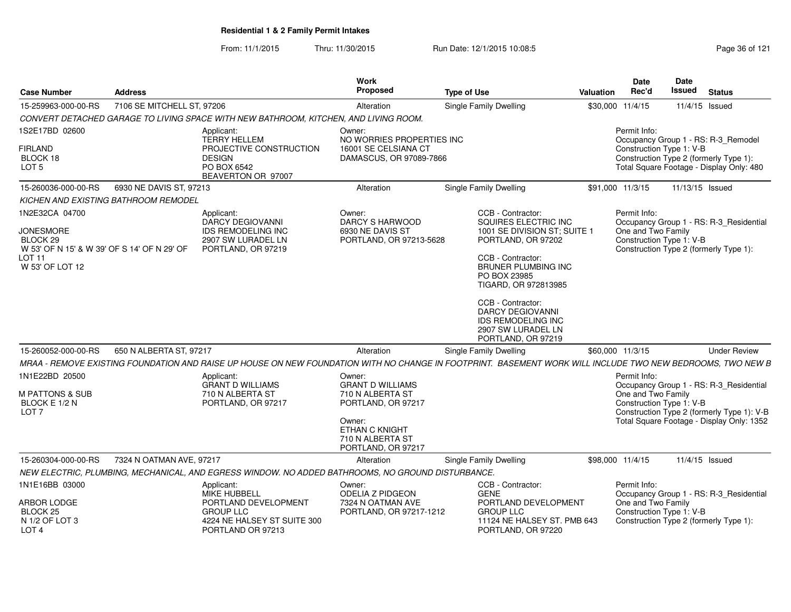From: 11/1/2015Thru: 11/30/2015 Run Date: 12/1/2015 10:08:5<br>
Page 36 of 121

| <b>Case Number</b>                                                                                                                | <b>Address</b>             |                                                                                                                                                            | Work<br>Proposed                                                                                                                                         | <b>Type of Use</b>                                                                                                                                                                                                                                                                                    | <b>Valuation</b> | <b>Date</b><br>Rec'd               | <b>Date</b><br>Issued<br><b>Status</b>                                                                                                                         |
|-----------------------------------------------------------------------------------------------------------------------------------|----------------------------|------------------------------------------------------------------------------------------------------------------------------------------------------------|----------------------------------------------------------------------------------------------------------------------------------------------------------|-------------------------------------------------------------------------------------------------------------------------------------------------------------------------------------------------------------------------------------------------------------------------------------------------------|------------------|------------------------------------|----------------------------------------------------------------------------------------------------------------------------------------------------------------|
| 15-259963-000-00-RS                                                                                                               | 7106 SE MITCHELL ST, 97206 |                                                                                                                                                            | Alteration                                                                                                                                               | Single Family Dwelling                                                                                                                                                                                                                                                                                |                  | \$30,000 11/4/15                   | 11/4/15 Issued                                                                                                                                                 |
|                                                                                                                                   |                            | CONVERT DETACHED GARAGE TO LIVING SPACE WITH NEW BATHROOM, KITCHEN, AND LIVING ROOM.                                                                       |                                                                                                                                                          |                                                                                                                                                                                                                                                                                                       |                  |                                    |                                                                                                                                                                |
| 1S2E17BD 02600<br><b>FIRLAND</b><br>BLOCK 18<br>LOT <sub>5</sub>                                                                  |                            | Applicant:<br><b>TERRY HELLEM</b><br>PROJECTIVE CONSTRUCTION<br><b>DESIGN</b><br>PO BOX 6542<br>BEAVERTON OR 97007                                         | Owner:<br>NO WORRIES PROPERTIES INC<br>16001 SE CELSIANA CT<br>DAMASCUS, OR 97089-7866                                                                   |                                                                                                                                                                                                                                                                                                       |                  | Permit Info:                       | Occupancy Group 1 - RS: R-3_Remodel<br>Construction Type 1: V-B<br>Construction Type 2 (formerly Type 1):<br>Total Square Footage - Display Only: 480          |
| 15-260036-000-00-RS                                                                                                               | 6930 NE DAVIS ST, 97213    |                                                                                                                                                            | Alteration                                                                                                                                               | <b>Single Family Dwelling</b>                                                                                                                                                                                                                                                                         |                  | \$91,000 11/3/15                   | 11/13/15 Issued                                                                                                                                                |
| <b>KICHEN AND EXISTING BATHROOM REMODEL</b>                                                                                       |                            |                                                                                                                                                            |                                                                                                                                                          |                                                                                                                                                                                                                                                                                                       |                  |                                    |                                                                                                                                                                |
| 1N2E32CA 04700<br><b>JONESMORE</b><br>BLOCK 29<br>W 53' OF N 15' & W 39' OF S 14' OF N 29' OF<br><b>LOT 11</b><br>W 53' OF LOT 12 |                            | Applicant:<br><b>DARCY DEGIOVANNI</b><br>IDS REMODELING INC<br>2907 SW LURADEL LN<br>PORTLAND, OR 97219                                                    | Owner:<br><b>DARCY S HARWOOD</b><br>6930 NE DAVIS ST<br>PORTLAND, OR 97213-5628                                                                          | CCB - Contractor:<br>SQUIRES ELECTRIC INC<br>1001 SE DIVISION ST; SUITE 1<br>PORTLAND, OR 97202<br>CCB - Contractor:<br>BRUNER PLUMBING INC<br>PO BOX 23985<br>TIGARD, OR 972813985<br>CCB - Contractor:<br><b>DARCY DEGIOVANNI</b><br>IDS REMODELING INC<br>2907 SW LURADEL LN<br>PORTLAND, OR 97219 |                  | Permit Info:<br>One and Two Family | Occupancy Group 1 - RS: R-3_Residential<br>Construction Type 1: V-B<br>Construction Type 2 (formerly Type 1):                                                  |
| 15-260052-000-00-RS                                                                                                               | 650 N ALBERTA ST, 97217    |                                                                                                                                                            | Alteration                                                                                                                                               | Single Family Dwelling                                                                                                                                                                                                                                                                                |                  | \$60,000 11/3/15                   | <b>Under Review</b>                                                                                                                                            |
|                                                                                                                                   |                            | MRAA - REMOVE EXISTING FOUNDATION AND RAISE UP HOUSE ON NEW FOUNDATION WITH NO CHANGE IN FOOTPRINT. BASEMENT WORK WILL INCLUDE TWO NEW BEDROOMS, TWO NEW B |                                                                                                                                                          |                                                                                                                                                                                                                                                                                                       |                  |                                    |                                                                                                                                                                |
| 1N1E22BD 20500<br><b>M PATTONS &amp; SUB</b><br>BLOCK E 1/2 N<br>LOT <sub>7</sub>                                                 |                            | Applicant:<br><b>GRANT D WILLIAMS</b><br>710 N ALBERTA ST<br>PORTLAND, OR 97217                                                                            | Owner:<br><b>GRANT D WILLIAMS</b><br>710 N ALBERTA ST<br>PORTLAND, OR 97217<br>Owner:<br><b>ETHAN C KNIGHT</b><br>710 N ALBERTA ST<br>PORTLAND, OR 97217 |                                                                                                                                                                                                                                                                                                       |                  | Permit Info:<br>One and Two Family | Occupancy Group 1 - RS: R-3_Residential<br>Construction Type 1: V-B<br>Construction Type 2 (formerly Type 1): V-B<br>Total Square Footage - Display Only: 1352 |
| 15-260304-000-00-RS                                                                                                               | 7324 N OATMAN AVE, 97217   |                                                                                                                                                            | Alteration                                                                                                                                               | Single Family Dwelling                                                                                                                                                                                                                                                                                |                  | \$98,000 11/4/15                   | 11/4/15 Issued                                                                                                                                                 |
|                                                                                                                                   |                            | NEW ELECTRIC, PLUMBING, MECHANICAL, AND EGRESS WINDOW. NO ADDED BATHROOMS, NO GROUND DISTURBANCE.                                                          |                                                                                                                                                          |                                                                                                                                                                                                                                                                                                       |                  |                                    |                                                                                                                                                                |
| 1N1E16BB 03000<br>ARBOR LODGE<br>BLOCK <sub>25</sub><br>N 1/2 OF LOT 3<br>LOT <sub>4</sub>                                        |                            | Applicant:<br><b>MIKE HUBBELL</b><br>PORTLAND DEVELOPMENT<br><b>GROUP LLC</b><br>4224 NE HALSEY ST SUITE 300<br>PORTLAND OR 97213                          | Owner:<br><b>ODELIA Z PIDGEON</b><br>7324 N OATMAN AVE<br>PORTLAND, OR 97217-1212                                                                        | CCB - Contractor:<br><b>GENE</b><br>PORTLAND DEVELOPMENT<br><b>GROUP LLC</b><br>11124 NE HALSEY ST. PMB 643<br>PORTLAND, OR 97220                                                                                                                                                                     |                  | Permit Info:<br>One and Two Family | Occupancy Group 1 - RS: R-3_Residential<br>Construction Type 1: V-B<br>Construction Type 2 (formerly Type 1):                                                  |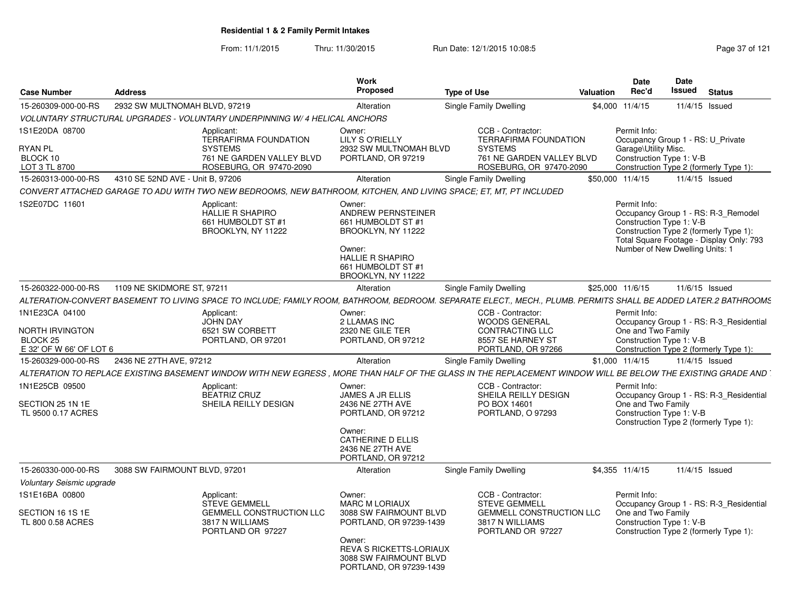From: 11/1/2015

Thru: 11/30/2015 Run Date: 12/1/2015 10:08:5<br>
Page 37 of 121

| <b>Case Number</b>                                                                         | <b>Address</b>                   |                                                                                                                                                                  | Work<br><b>Proposed</b>                                                                                                                                          | <b>Type of Use</b>                                                                                                          | Valuation | Date<br>Rec'd                        | Date<br>Issued                                                | <b>Status</b>                                                                                                             |
|--------------------------------------------------------------------------------------------|----------------------------------|------------------------------------------------------------------------------------------------------------------------------------------------------------------|------------------------------------------------------------------------------------------------------------------------------------------------------------------|-----------------------------------------------------------------------------------------------------------------------------|-----------|--------------------------------------|---------------------------------------------------------------|---------------------------------------------------------------------------------------------------------------------------|
| 15-260309-000-00-RS                                                                        | 2932 SW MULTNOMAH BLVD, 97219    |                                                                                                                                                                  | Alteration                                                                                                                                                       | Single Family Dwelling                                                                                                      |           | \$4,000 11/4/15                      |                                                               | 11/4/15 Issued                                                                                                            |
|                                                                                            |                                  | VOLUNTARY STRUCTURAL UPGRADES - VOLUNTARY UNDERPINNING W/ 4 HELICAL ANCHORS                                                                                      |                                                                                                                                                                  |                                                                                                                             |           |                                      |                                                               |                                                                                                                           |
| 1S1E20DA 08700<br><b>RYAN PL</b><br>BLOCK 10<br>LOT 3 TL 8700                              |                                  | Applicant:<br>TERRAFIRMA FOUNDATION<br><b>SYSTEMS</b><br>761 NE GARDEN VALLEY BLVD<br>ROSEBURG, OR 97470-2090                                                    | Owner:<br><b>LILY S O'RIELLY</b><br>2932 SW MULTNOMAH BLVD<br>PORTLAND, OR 97219                                                                                 | CCB - Contractor:<br><b>TERRAFIRMA FOUNDATION</b><br><b>SYSTEMS</b><br>761 NE GARDEN VALLEY BLVD<br>ROSEBURG, OR 97470-2090 |           | Permit Info:<br>Garage\Utility Misc. | Occupancy Group 1 - RS: U_Private<br>Construction Type 1: V-B | Construction Type 2 (formerly Type 1):                                                                                    |
| 15-260313-000-00-RS                                                                        | 4310 SE 52ND AVE - Unit B. 97206 |                                                                                                                                                                  | Alteration                                                                                                                                                       | Single Family Dwelling                                                                                                      |           | \$50,000 11/4/15                     |                                                               | 11/4/15 Issued                                                                                                            |
|                                                                                            |                                  | CONVERT ATTACHED GARAGE TO ADU WITH TWO NEW BEDROOMS, NEW BATHROOM, KITCHEN, AND LIVING SPACE; ET, MT, PT INCLUDED                                               |                                                                                                                                                                  |                                                                                                                             |           |                                      |                                                               |                                                                                                                           |
| 1S2E07DC 11601                                                                             |                                  | Applicant:<br><b>HALLIE R SHAPIRO</b><br>661 HUMBOLDT ST #1<br>BROOKLYN, NY 11222                                                                                | Owner:<br><b>ANDREW PERNSTEINER</b><br>661 HUMBOLDT ST #1<br>BROOKLYN, NY 11222<br>Owner:<br><b>HALLIE R SHAPIRO</b><br>661 HUMBOLDT ST #1<br>BROOKLYN, NY 11222 |                                                                                                                             |           | Permit Info:                         | Construction Type 1: V-B<br>Number of New Dwelling Units: 1   | Occupancy Group 1 - RS: R-3 Remodel<br>Construction Type 2 (formerly Type 1):<br>Total Square Footage - Display Only: 793 |
| 15-260322-000-00-RS                                                                        | 1109 NE SKIDMORE ST, 97211       |                                                                                                                                                                  | Alteration                                                                                                                                                       | Single Family Dwelling                                                                                                      |           | \$25,000 11/6/15                     |                                                               | 11/6/15 Issued                                                                                                            |
|                                                                                            |                                  | ALTERATION-CONVERT BASEMENT TO LIVING SPACE TO INCLUDE: FAMILY ROOM, BATHROOM, BEDROOM, SEPARATE ELECT., MECH., PLUMB. PERMITS SHALL BE ADDED LATER.2 BATHROOMS. |                                                                                                                                                                  |                                                                                                                             |           |                                      |                                                               |                                                                                                                           |
| 1N1E23CA 04100<br><b>NORTH IRVINGTON</b><br>BLOCK <sub>25</sub><br>E 32' OF W 66' OF LOT 6 |                                  | Applicant:<br><b>JOHN DAY</b><br>6521 SW CORBETT<br>PORTLAND, OR 97201                                                                                           | Owner:<br>2 LLAMAS INC<br>2320 NE GILE TER<br>PORTLAND, OR 97212                                                                                                 | CCB - Contractor:<br><b>WOODS GENERAL</b><br><b>CONTRACTING LLC</b><br>8557 SE HARNEY ST<br>PORTLAND, OR 97266              |           | Permit Info:<br>One and Two Family   | Construction Type 1: V-B                                      | Occupancy Group 1 - RS: R-3 Residential<br>Construction Type 2 (formerly Type 1):                                         |
| 15-260329-000-00-RS                                                                        | 2436 NE 27TH AVE, 97212          |                                                                                                                                                                  | Alteration                                                                                                                                                       | Single Family Dwelling                                                                                                      |           | \$1,000 11/4/15                      |                                                               | 11/4/15 Issued                                                                                                            |
|                                                                                            |                                  | ALTERATION TO REPLACE EXISTING BASEMENT WINDOW WITH NEW EGRESS . MORE THAN HALF OF THE GLASS IN THE REPLACEMENT WINDOW WILL BE BELOW THE EXISTING GRADE AND      |                                                                                                                                                                  |                                                                                                                             |           |                                      |                                                               |                                                                                                                           |
| 1N1E25CB 09500<br>SECTION 25 1N 1E<br>TL 9500 0.17 ACRES                                   |                                  | Applicant:<br><b>BEATRIZ CRUZ</b><br>SHEILA REILLY DESIGN                                                                                                        | Owner:<br>JAMES A JR ELLIS<br>2436 NE 27TH AVE<br>PORTLAND, OR 97212<br>Owner:<br><b>CATHERINE D ELLIS</b>                                                       | CCB - Contractor:<br>SHEILA REILLY DESIGN<br>PO BOX 14601<br>PORTLAND, O 97293                                              |           | Permit Info:<br>One and Two Family   | Construction Type 1: V-B                                      | Occupancy Group 1 - RS: R-3 Residential<br>Construction Type 2 (formerly Type 1):                                         |
|                                                                                            |                                  |                                                                                                                                                                  | 2436 NE 27TH AVE<br>PORTLAND, OR 97212                                                                                                                           |                                                                                                                             |           |                                      |                                                               |                                                                                                                           |
| 15-260330-000-00-RS                                                                        | 3088 SW FAIRMOUNT BLVD, 97201    |                                                                                                                                                                  | Alteration                                                                                                                                                       | Single Family Dwelling                                                                                                      |           | \$4,355 11/4/15                      |                                                               | 11/4/15 Issued                                                                                                            |
| <b>Voluntary Seismic upgrade</b>                                                           |                                  |                                                                                                                                                                  |                                                                                                                                                                  |                                                                                                                             |           |                                      |                                                               |                                                                                                                           |
| 1S1E16BA 00800                                                                             |                                  | Applicant:                                                                                                                                                       | Owner:                                                                                                                                                           | CCB - Contractor:                                                                                                           |           | Permit Info:                         |                                                               |                                                                                                                           |
| SECTION 16 1S 1E<br>TL 800 0.58 ACRES                                                      |                                  | <b>STEVE GEMMELL</b><br><b>GEMMELL CONSTRUCTION LLC</b><br>3817 N WILLIAMS<br>PORTLAND OR 97227                                                                  | <b>MARC M LORIAUX</b><br>3088 SW FAIRMOUNT BLVD<br>PORTLAND, OR 97239-1439<br>Owner:<br><b>REVA S RICKETTS-LORIAUX</b><br>3088 SW FAIRMOUNT BLVD                 | <b>STEVE GEMMELL</b><br><b>GEMMELL CONSTRUCTION LLC</b><br>3817 N WILLIAMS<br>PORTLAND OR 97227                             |           | One and Two Family                   | Construction Type 1: V-B                                      | Occupancy Group 1 - RS: R-3 Residential<br>Construction Type 2 (formerly Type 1):                                         |
|                                                                                            |                                  |                                                                                                                                                                  | PORTLAND, OR 97239-1439                                                                                                                                          |                                                                                                                             |           |                                      |                                                               |                                                                                                                           |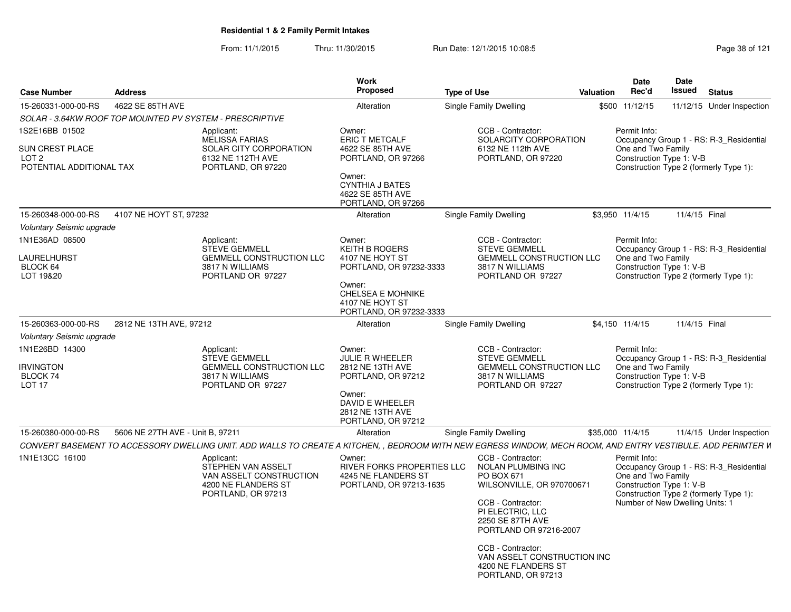From: 11/1/2015Thru: 11/30/2015 Run Date: 12/1/2015 10:08:5<br>
Page 38 of 121

| <b>Case Number</b>                                                  | <b>Address</b>                   |                                                                                                                                                              | <b>Work</b><br><b>Proposed</b>                                                                                                         | <b>Type of Use</b>                                                                                                                                                                             | Valuation | Date<br>Rec'd                                                                                     | Date<br>Issued | <b>Status</b>                                                                     |
|---------------------------------------------------------------------|----------------------------------|--------------------------------------------------------------------------------------------------------------------------------------------------------------|----------------------------------------------------------------------------------------------------------------------------------------|------------------------------------------------------------------------------------------------------------------------------------------------------------------------------------------------|-----------|---------------------------------------------------------------------------------------------------|----------------|-----------------------------------------------------------------------------------|
| 15-260331-000-00-RS                                                 | 4622 SE 85TH AVE                 |                                                                                                                                                              | Alteration                                                                                                                             | Single Family Dwelling                                                                                                                                                                         |           | \$500 11/12/15                                                                                    |                | 11/12/15 Under Inspection                                                         |
|                                                                     |                                  | SOLAR - 3.64KW ROOF TOP MOUNTED PV SYSTEM - PRESCRIPTIVE                                                                                                     |                                                                                                                                        |                                                                                                                                                                                                |           |                                                                                                   |                |                                                                                   |
| 1S2E16BB 01502<br>SUN CREST PLACE                                   |                                  | Applicant:<br>MELISSA FARIAS<br>SOLAR CITY CORPORATION                                                                                                       | Owner:<br>ERIC T METCALF<br>4622 SE 85TH AVE                                                                                           | CCB - Contractor:<br>SOLARCITY CORPORATION<br>6132 NE 112th AVE                                                                                                                                |           | Permit Info:<br>One and Two Family                                                                |                | Occupancy Group 1 - RS: R-3 Residential                                           |
| LOT 2<br>POTENTIAL ADDITIONAL TAX                                   |                                  | 6132 NE 112TH AVE<br>PORTLAND, OR 97220                                                                                                                      | PORTLAND, OR 97266<br>Owner:<br><b>CYNTHIA J BATES</b><br>4622 SE 85TH AVE<br>PORTLAND, OR 97266                                       | PORTLAND, OR 97220                                                                                                                                                                             |           | Construction Type 1: V-B                                                                          |                | Construction Type 2 (formerly Type 1):                                            |
| 15-260348-000-00-RS                                                 | 4107 NE HOYT ST, 97232           |                                                                                                                                                              | Alteration                                                                                                                             | Single Family Dwelling                                                                                                                                                                         |           | \$3.950 11/4/15                                                                                   | 11/4/15 Final  |                                                                                   |
| Voluntary Seismic upgrade                                           |                                  |                                                                                                                                                              |                                                                                                                                        |                                                                                                                                                                                                |           |                                                                                                   |                |                                                                                   |
| 1N1E36AD 08500<br>LAURELHURST<br>BLOCK 64<br>LOT 19&20              |                                  | Applicant:<br><b>STEVE GEMMELL</b><br>GEMMELL CONSTRUCTION LLC<br>3817 N WILLIAMS<br>PORTLAND OR 97227                                                       | Owner:<br><b>KEITH B ROGERS</b><br>4107 NE HOYT ST<br>PORTLAND, OR 97232-3333<br>Owner:<br><b>CHELSEA E MOHNIKE</b><br>4107 NE HOYT ST | CCB - Contractor:<br><b>STEVE GEMMELL</b><br><b>GEMMELL CONSTRUCTION LLC</b><br>3817 N WILLIAMS<br>PORTLAND OR 97227                                                                           |           | Permit Info:<br>One and Two Family<br>Construction Type 1: V-B                                    |                | Occupancy Group 1 - RS: R-3 Residential<br>Construction Type 2 (formerly Type 1): |
|                                                                     |                                  |                                                                                                                                                              | PORTLAND, OR 97232-3333                                                                                                                |                                                                                                                                                                                                |           |                                                                                                   |                |                                                                                   |
| 15-260363-000-00-RS                                                 | 2812 NE 13TH AVE, 97212          |                                                                                                                                                              | Alteration                                                                                                                             | Single Family Dwelling                                                                                                                                                                         |           | \$4,150 11/4/15                                                                                   | 11/4/15 Final  |                                                                                   |
| Voluntary Seismic upgrade                                           |                                  |                                                                                                                                                              |                                                                                                                                        |                                                                                                                                                                                                |           |                                                                                                   |                |                                                                                   |
| 1N1E26BD 14300<br><b>IRVINGTON</b><br>BLOCK 74<br>LOT <sub>17</sub> |                                  | Applicant:<br><b>STEVE GEMMELL</b><br><b>GEMMELL CONSTRUCTION LLC</b><br>3817 N WILLIAMS<br>PORTLAND OR 97227                                                | Owner:<br>JULIE R WHEELER<br>2812 NE 13TH AVE<br>PORTLAND, OR 97212<br>Owner:                                                          | CCB - Contractor:<br><b>STEVE GEMMELL</b><br><b>GEMMELL CONSTRUCTION LLC</b><br>3817 N WILLIAMS<br>PORTLAND OR 97227                                                                           |           | Permit Info:<br>One and Two Family<br>Construction Type 1: V-B                                    |                | Occupancy Group 1 - RS: R-3 Residential<br>Construction Type 2 (formerly Type 1): |
|                                                                     |                                  |                                                                                                                                                              | DAVID E WHEELER<br>2812 NE 13TH AVE<br>PORTLAND, OR 97212                                                                              |                                                                                                                                                                                                |           |                                                                                                   |                |                                                                                   |
| 15-260380-000-00-RS                                                 | 5606 NE 27TH AVE - Unit B, 97211 |                                                                                                                                                              | Alteration                                                                                                                             | Single Family Dwelling                                                                                                                                                                         |           | \$35,000 11/4/15                                                                                  |                | 11/4/15 Under Inspection                                                          |
|                                                                     |                                  | CONVERT BASEMENT TO ACCESSORY DWELLING UNIT. ADD WALLS TO CREATE A KITCHEN, , BEDROOM WITH NEW EGRESS WINDOW, MECH ROOM, AND ENTRY VESTIBULE. ADD PERIMTER W |                                                                                                                                        |                                                                                                                                                                                                |           |                                                                                                   |                |                                                                                   |
| 1N1E13CC 16100                                                      |                                  | Applicant:<br>STEPHEN VAN ASSELT<br>VAN ASSELT CONSTRUCTION<br>4200 NE FLANDERS ST<br>PORTLAND, OR 97213                                                     | Owner:<br>RIVER FORKS PROPERTIES LLC<br>4245 NE FLANDERS ST<br>PORTLAND, OR 97213-1635                                                 | CCB - Contractor:<br>NOLAN PLUMBING INC<br>PO BOX 671<br>WILSONVILLE, OR 970700671<br>CCB - Contractor:<br>PI ELECTRIC, LLC<br>2250 SE 87TH AVE<br>PORTLAND OR 97216-2007<br>CCB - Contractor: |           | Permit Info:<br>One and Two Family<br>Construction Type 1: V-B<br>Number of New Dwelling Units: 1 |                | Occupancy Group 1 - RS: R-3 Residential<br>Construction Type 2 (formerly Type 1): |
|                                                                     |                                  |                                                                                                                                                              |                                                                                                                                        | VAN ASSELT CONSTRUCTION INC<br>4200 NE FLANDERS ST<br>PORTLAND, OR 97213                                                                                                                       |           |                                                                                                   |                |                                                                                   |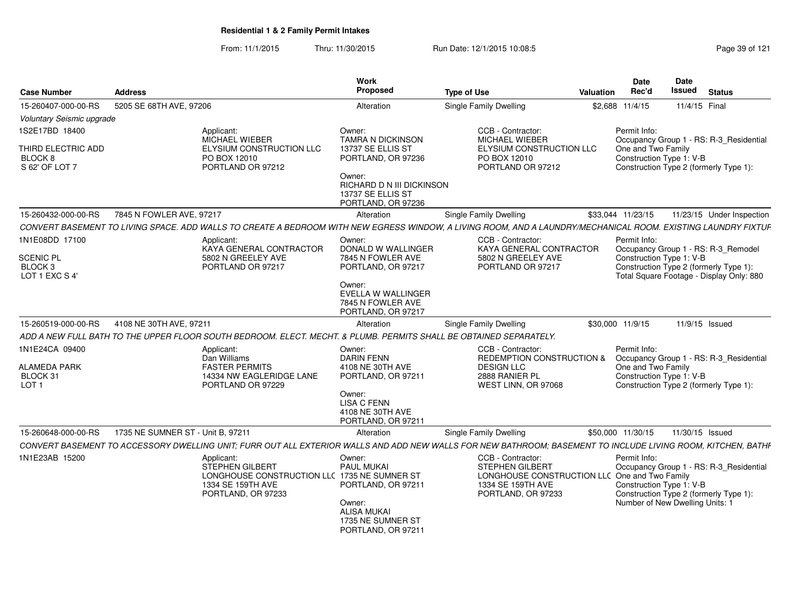From: 11/1/2015Thru: 11/30/2015 Run Date: 12/1/2015 10:08:5<br>
Page 39 of 121

| <b>Case Number</b>                                  | <b>Address</b>                    |                                                                                                                    | Work<br>Proposed                                                               | <b>Type of Use</b>                                                                                                                                            | Valuation | Date<br>Rec'd                                  | <b>Date</b><br><b>Issued</b><br><b>Status</b>                                                                        |
|-----------------------------------------------------|-----------------------------------|--------------------------------------------------------------------------------------------------------------------|--------------------------------------------------------------------------------|---------------------------------------------------------------------------------------------------------------------------------------------------------------|-----------|------------------------------------------------|----------------------------------------------------------------------------------------------------------------------|
| 15-260407-000-00-RS                                 | 5205 SE 68TH AVE, 97206           |                                                                                                                    | Alteration                                                                     | Single Family Dwelling                                                                                                                                        |           | \$2.688 11/4/15                                | 11/4/15 Final                                                                                                        |
| Voluntary Seismic upgrade                           |                                   |                                                                                                                    |                                                                                |                                                                                                                                                               |           |                                                |                                                                                                                      |
| 1S2E17BD 18400                                      |                                   | Applicant:                                                                                                         | Owner:                                                                         | CCB - Contractor:                                                                                                                                             |           | Permit Info:                                   |                                                                                                                      |
| THIRD ELECTRIC ADD<br>BLOCK 8<br>S 62' OF LOT 7     |                                   | MICHAEL WIEBER<br>ELYSIUM CONSTRUCTION LLC<br>PO BOX 12010<br>PORTLAND OR 97212                                    | <b>TAMRA N DICKINSON</b><br>13737 SE ELLIS ST<br>PORTLAND, OR 97236            | MICHAEL WIEBER<br>ELYSIUM CONSTRUCTION LLC<br>PO BOX 12010<br>PORTLAND OR 97212                                                                               |           | One and Two Family<br>Construction Type 1: V-B | Occupancy Group 1 - RS: R-3 Residential<br>Construction Type 2 (formerly Type 1):                                    |
|                                                     |                                   |                                                                                                                    | Owner:<br>RICHARD D N III DICKINSON<br>13737 SE ELLIS ST<br>PORTLAND, OR 97236 |                                                                                                                                                               |           |                                                |                                                                                                                      |
| 15-260432-000-00-RS                                 | 7845 N FOWLER AVE, 97217          |                                                                                                                    | Alteration                                                                     | Single Family Dwelling                                                                                                                                        |           | \$33,044 11/23/15                              | 11/23/15 Under Inspection                                                                                            |
|                                                     |                                   |                                                                                                                    |                                                                                | CONVERT BASEMENT TO LIVING SPACE. ADD WALLS TO CREATE A BEDROOM WITH NEW EGRESS WINDOW, A LIVING ROOM, AND A LAUNDRY/MECHANICAL ROOM. EXISTING LAUNDRY FIXTUF |           |                                                |                                                                                                                      |
| 1N1E08DD 17100<br>SCENIC PL                         |                                   | Applicant:<br>KAYA GENERAL CONTRACTOR<br>5802 N GREELEY AVE                                                        | Owner:<br>DONALD W WALLINGER<br>7845 N FOWLER AVE                              | CCB - Contractor:<br>KAYA GENERAL CONTRACTOR<br>5802 N GREELEY AVE                                                                                            |           | Permit Info:<br>Construction Type 1: V-B       | Occupancy Group 1 - RS: R-3_Remodel                                                                                  |
| BLOCK <sub>3</sub><br>LOT 1 EXC S 4'                |                                   | PORTLAND OR 97217                                                                                                  | PORTLAND, OR 97217                                                             | PORTLAND OR 97217                                                                                                                                             |           |                                                | Construction Type 2 (formerly Type 1):<br>Total Square Footage - Display Only: 880                                   |
|                                                     |                                   |                                                                                                                    | Owner:<br>EVELLA W WALLINGER<br>7845 N FOWLER AVE<br>PORTLAND, OR 97217        |                                                                                                                                                               |           |                                                |                                                                                                                      |
| 15-260519-000-00-RS                                 | 4108 NE 30TH AVE, 97211           |                                                                                                                    | Alteration                                                                     | <b>Single Family Dwelling</b>                                                                                                                                 |           | \$30,000 11/9/15                               | 11/9/15 Issued                                                                                                       |
|                                                     |                                   | ADD A NEW FULL BATH TO THE UPPER FLOOR SOUTH BEDROOM. ELECT. MECHT. & PLUMB. PERMITS SHALL BE OBTAINED SEPARATELY. |                                                                                |                                                                                                                                                               |           |                                                |                                                                                                                      |
| 1N1E24CA 09400                                      |                                   | Applicant:                                                                                                         | Owner:                                                                         | CCB - Contractor                                                                                                                                              |           | Permit Info:                                   |                                                                                                                      |
| <b>ALAMEDA PARK</b><br>BLOCK 31<br>LOT <sub>1</sub> |                                   | Dan Williams<br><b>FASTER PERMITS</b><br>14334 NW EAGLERIDGE LANE<br>PORTLAND OR 97229                             | <b>DARIN FENN</b><br>4108 NE 30TH AVE<br>PORTLAND, OR 97211                    | REDEMPTION CONSTRUCTION &<br><b>DESIGN LLC</b><br>2888 RANIER PL<br>WEST LINN, OR 97068                                                                       |           | One and Two Family<br>Construction Type 1: V-B | Occupancy Group 1 - RS: R-3_Residential<br>Construction Type 2 (formerly Type 1):                                    |
|                                                     |                                   |                                                                                                                    | Owner:<br><b>LISA C FENN</b><br>4108 NE 30TH AVE<br>PORTLAND, OR 97211         |                                                                                                                                                               |           |                                                |                                                                                                                      |
| 15-260648-000-00-RS                                 | 1735 NE SUMNER ST - Unit B, 97211 |                                                                                                                    | Alteration                                                                     | Single Family Dwelling                                                                                                                                        |           | \$50,000 11/30/15                              | 11/30/15 Issued                                                                                                      |
|                                                     |                                   |                                                                                                                    |                                                                                | CONVERT BASEMENT TO ACCESSORY DWELLING UNIT: FURR OUT ALL EXTERIOR WALLS AND ADD NEW WALLS FOR NEW BATHROOM: BASEMENT TO INCLUDE LIVING ROOM. KITCHEN. BATHF  |           |                                                |                                                                                                                      |
| 1N1E23AB 15200                                      |                                   | Applicant:                                                                                                         | Owner:                                                                         | CCB - Contractor:                                                                                                                                             |           | Permit Info:                                   |                                                                                                                      |
|                                                     |                                   | STEPHEN GILBERT<br>LONGHOUSE CONSTRUCTION LLC 1735 NE SUMNER ST<br>1334 SE 159TH AVE<br>PORTLAND, OR 97233         | PAUL MUKAI<br>PORTLAND, OR 97211<br>Owner:<br><b>ALISA MUKAI</b>               | <b>STEPHEN GILBERT</b><br>LONGHOUSE CONSTRUCTION LLC One and Two Family<br>1334 SE 159TH AVE<br>PORTLAND, OR 97233                                            |           | Construction Type 1: V-B                       | Occupancy Group 1 - RS: R-3 Residential<br>Construction Type 2 (formerly Type 1):<br>Number of New Dwelling Units: 1 |
|                                                     |                                   |                                                                                                                    | 1735 NE SUMNER ST<br>PORTLAND, OR 97211                                        |                                                                                                                                                               |           |                                                |                                                                                                                      |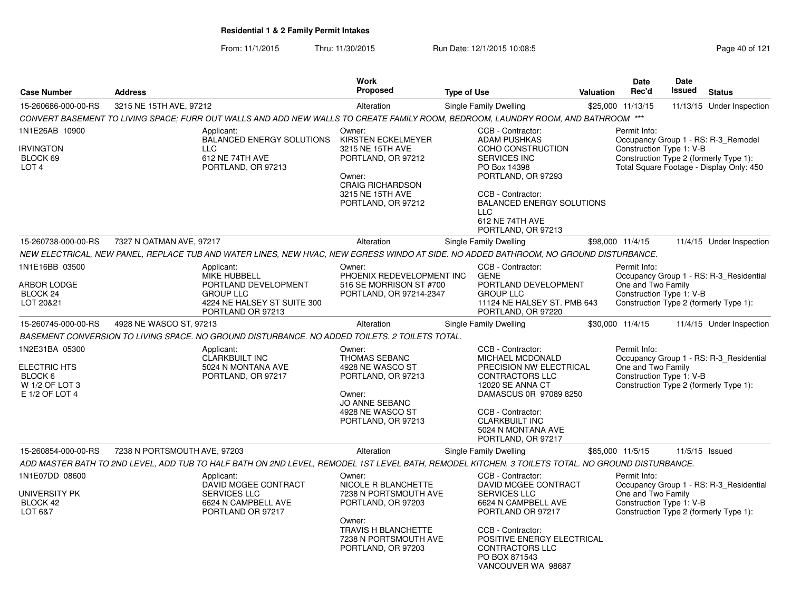From: 11/1/2015Thru: 11/30/2015 Run Date: 12/1/2015 10:08:5<br>
Page 40 of 121

| <b>Case Number</b>                                                            | <b>Address</b>               |                                                                                                                                                   | <b>Work</b><br><b>Proposed</b>                                                                                                                                      | <b>Type of Use</b> |                                                                                                                                                                                                                                     | <b>Valuation</b> | <b>Date</b><br>Rec'd                                           | Date<br>Issued | <b>Status</b>                                                                                                             |
|-------------------------------------------------------------------------------|------------------------------|---------------------------------------------------------------------------------------------------------------------------------------------------|---------------------------------------------------------------------------------------------------------------------------------------------------------------------|--------------------|-------------------------------------------------------------------------------------------------------------------------------------------------------------------------------------------------------------------------------------|------------------|----------------------------------------------------------------|----------------|---------------------------------------------------------------------------------------------------------------------------|
| 15-260686-000-00-RS                                                           | 3215 NE 15TH AVE, 97212      |                                                                                                                                                   | Alteration                                                                                                                                                          |                    | <b>Single Family Dwelling</b>                                                                                                                                                                                                       |                  | \$25,000 11/13/15                                              |                | 11/13/15 Under Inspection                                                                                                 |
|                                                                               |                              | CONVERT BASEMENT TO LIVING SPACE; FURR OUT WALLS AND ADD NEW WALLS TO CREATE FAMILY ROOM, BEDROOM, LAUNDRY ROOM, AND BATHROOM ***                 |                                                                                                                                                                     |                    |                                                                                                                                                                                                                                     |                  |                                                                |                |                                                                                                                           |
| 1N1E26AB 10900<br>IRVINGTON<br>BLOCK 69<br>LOT <sub>4</sub>                   |                              | Applicant:<br><b>BALANCED ENERGY SOLUTIONS</b><br><b>LLC</b><br>612 NE 74TH AVE<br>PORTLAND, OR 97213                                             | Owner:<br>KIRSTEN ECKELMEYER<br>3215 NE 15TH AVE<br>PORTLAND, OR 97212<br>Owner:<br><b>CRAIG RICHARDSON</b><br>3215 NE 15TH AVE<br>PORTLAND, OR 97212               |                    | CCB - Contractor:<br><b>ADAM PUSHKAS</b><br>COHO CONSTRUCTION<br>SERVICES INC<br>PO Box 14398<br>PORTLAND, OR 97293<br>CCB - Contractor:<br><b>BALANCED ENERGY SOLUTIONS</b><br><b>LLC</b><br>612 NE 74TH AVE<br>PORTLAND, OR 97213 |                  | Permit Info:<br>Construction Type 1: V-B                       |                | Occupancy Group 1 - RS: R-3 Remodel<br>Construction Type 2 (formerly Type 1):<br>Total Square Footage - Display Only: 450 |
| 15-260738-000-00-RS                                                           | 7327 N OATMAN AVE, 97217     |                                                                                                                                                   | Alteration                                                                                                                                                          |                    | <b>Single Family Dwelling</b>                                                                                                                                                                                                       |                  | \$98,000 11/4/15                                               |                | 11/4/15 Under Inspection                                                                                                  |
|                                                                               |                              | NEW ELECTRICAL, NEW PANEL, REPLACE TUB AND WATER LINES, NEW HVAC, NEW EGRESS WINDO AT SIDE. NO ADDED BATHROOM, NO GROUND DISTURBANCE.             |                                                                                                                                                                     |                    |                                                                                                                                                                                                                                     |                  |                                                                |                |                                                                                                                           |
| 1N1E16BB 03500<br><b>ARBOR LODGE</b><br>BLOCK 24<br>LOT 20&21                 |                              | Applicant:<br><b>MIKE HUBBELL</b><br>PORTLAND DEVELOPMENT<br><b>GROUP LLC</b><br>4224 NE HALSEY ST SUITE 300<br>PORTLAND OR 97213                 | Owner:<br>PHOENIX REDEVELOPMENT INC<br>516 SE MORRISON ST #700<br>PORTLAND, OR 97214-2347                                                                           |                    | CCB - Contractor:<br><b>GENE</b><br>PORTLAND DEVELOPMENT<br><b>GROUP LLC</b><br>11124 NE HALSEY ST. PMB 643<br>PORTLAND, OR 97220                                                                                                   |                  | Permit Info:<br>One and Two Family<br>Construction Type 1: V-B |                | Occupancy Group 1 - RS: R-3 Residential<br>Construction Type 2 (formerly Type 1):                                         |
| 15-260745-000-00-RS                                                           | 4928 NE WASCO ST, 97213      |                                                                                                                                                   | Alteration                                                                                                                                                          |                    | <b>Single Family Dwelling</b>                                                                                                                                                                                                       |                  | \$30,000 11/4/15                                               |                | 11/4/15 Under Inspection                                                                                                  |
|                                                                               |                              | BASEMENT CONVERSION TO LIVING SPACE. NO GROUND DISTURBANCE. NO ADDED TOILETS. 2 TOILETS TOTAL.                                                    |                                                                                                                                                                     |                    |                                                                                                                                                                                                                                     |                  |                                                                |                |                                                                                                                           |
| 1N2E31BA 05300<br>ELECTRIC HTS<br>BLOCK 6<br>W 1/2 OF LOT 3<br>E 1/2 OF LOT 4 |                              | Applicant:<br><b>CLARKBUILT INC</b><br>5024 N MONTANA AVE<br>PORTLAND, OR 97217                                                                   | Owner:<br>THOMAS SEBANC<br>4928 NE WASCO ST<br>PORTLAND, OR 97213<br>Owner:<br>JO ANNE SEBANC<br>4928 NE WASCO ST<br>PORTLAND, OR 97213                             |                    | CCB - Contractor:<br><b>MICHAEL MCDONALD</b><br>PRECISION NW ELECTRICAL<br><b>CONTRACTORS LLC</b><br>12020 SE ANNA CT<br>DAMASCUS 0R 97089 8250<br>CCB - Contractor:<br>CLARKBUILT INC<br>5024 N MONTANA AVE<br>PORTLAND, OR 97217  |                  | Permit Info:<br>One and Two Family<br>Construction Type 1: V-B |                | Occupancy Group 1 - RS: R-3_Residential<br>Construction Type 2 (formerly Type 1):                                         |
| 15-260854-000-00-RS                                                           | 7238 N PORTSMOUTH AVE, 97203 |                                                                                                                                                   | Alteration                                                                                                                                                          |                    | Single Family Dwelling                                                                                                                                                                                                              |                  | \$85,000 11/5/15                                               |                | 11/5/15 Issued                                                                                                            |
|                                                                               |                              | ADD MASTER BATH TO 2ND LEVEL, ADD TUB TO HALF BATH ON 2ND LEVEL, REMODEL 1ST LEVEL BATH, REMODEL KITCHEN. 3 TOILETS TOTAL. NO GROUND DISTURBANCE. |                                                                                                                                                                     |                    |                                                                                                                                                                                                                                     |                  |                                                                |                |                                                                                                                           |
| 1N1E07DD 08600<br>UNIVERSITY PK<br>BLOCK 42<br>LOT 6&7                        |                              | Applicant:<br>DAVID MCGEE CONTRACT<br>SERVICES LLC<br>6624 N CAMPBELL AVE<br>PORTLAND OR 97217                                                    | Owner:<br>NICOLE R BLANCHETTE<br>7238 N PORTSMOUTH AVE<br>PORTLAND, OR 97203<br>Owner:<br><b>TRAVIS H BLANCHETTE</b><br>7238 N PORTSMOUTH AVE<br>PORTLAND, OR 97203 |                    | CCB - Contractor:<br>DAVID MCGEE CONTRACT<br><b>SERVICES LLC</b><br>6624 N CAMPBELL AVE<br>PORTLAND OR 97217<br>CCB - Contractor:<br>POSITIVE ENERGY ELECTRICAL<br>CONTRACTORS LLC<br>PO BOX 871543<br>VANCOUVER WA 98687           |                  | Permit Info:<br>One and Two Family<br>Construction Type 1: V-B |                | Occupancy Group 1 - RS: R-3_Residential<br>Construction Type 2 (formerly Type 1):                                         |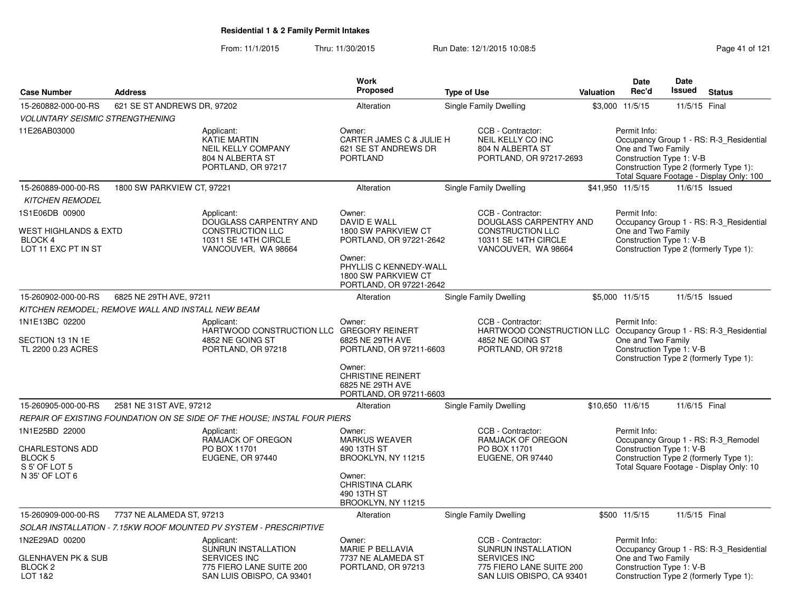From: 11/1/2015Thru: 11/30/2015 Run Date: 12/1/2015 10:08:5<br>
Page 41 of 121

|                                                                                        |                                                   |                                                                                                   | Work                                                                                                                                                 |                               |                                                                                                  |           | Date                                                           | Date          |                                                                                                                               |
|----------------------------------------------------------------------------------------|---------------------------------------------------|---------------------------------------------------------------------------------------------------|------------------------------------------------------------------------------------------------------------------------------------------------------|-------------------------------|--------------------------------------------------------------------------------------------------|-----------|----------------------------------------------------------------|---------------|-------------------------------------------------------------------------------------------------------------------------------|
| <b>Case Number</b>                                                                     | <b>Address</b>                                    |                                                                                                   | <b>Proposed</b>                                                                                                                                      | <b>Type of Use</b>            |                                                                                                  | Valuation | Rec'd                                                          | <b>Issued</b> | <b>Status</b>                                                                                                                 |
| 15-260882-000-00-RS                                                                    | 621 SE ST ANDREWS DR, 97202                       |                                                                                                   | Alteration                                                                                                                                           | <b>Single Family Dwelling</b> |                                                                                                  |           | \$3,000 11/5/15                                                | 11/5/15 Final |                                                                                                                               |
| <b>VOLUNTARY SEISMIC STRENGTHENING</b>                                                 |                                                   |                                                                                                   |                                                                                                                                                      |                               |                                                                                                  |           |                                                                |               |                                                                                                                               |
| 11E26AB03000                                                                           |                                                   | Applicant:<br>KATIE MARTIN<br><b>NEIL KELLY COMPANY</b><br>804 N ALBERTA ST<br>PORTLAND, OR 97217 | Owner:<br>CARTER JAMES C & JULIE H<br>621 SE ST ANDREWS DR<br><b>PORTLAND</b>                                                                        |                               | CCB - Contractor:<br>NEIL KELLY CO INC<br>804 N ALBERTA ST<br>PORTLAND, OR 97217-2693            |           | Permit Info:<br>One and Two Family<br>Construction Type 1: V-B |               | Occupancy Group 1 - RS: R-3 Residential<br>Construction Type 2 (formerly Type 1):<br>Total Square Footage - Display Only: 100 |
| 15-260889-000-00-RS                                                                    | 1800 SW PARKVIEW CT, 97221                        |                                                                                                   | Alteration                                                                                                                                           | Single Family Dwelling        |                                                                                                  |           | \$41,950 11/5/15                                               |               | 11/6/15 Issued                                                                                                                |
| <b>KITCHEN REMODEL</b>                                                                 |                                                   |                                                                                                   |                                                                                                                                                      |                               |                                                                                                  |           |                                                                |               |                                                                                                                               |
| 1S1E06DB 00900                                                                         |                                                   | Applicant:                                                                                        | Owner:                                                                                                                                               |                               | CCB - Contractor:                                                                                |           | Permit Info:                                                   |               |                                                                                                                               |
| WEST HIGHLANDS & EXTD<br><b>BLOCK4</b><br>LOT 11 EXC PT IN ST                          |                                                   | DOUGLASS CARPENTRY AND<br><b>CONSTRUCTION LLC</b><br>10311 SE 14TH CIRCLE<br>VANCOUVER, WA 98664  | DAVID E WALL<br>1800 SW PARKVIEW CT<br>PORTLAND, OR 97221-2642<br>Owner:<br>PHYLLIS C KENNEDY-WALL<br>1800 SW PARKVIEW CT<br>PORTLAND, OR 97221-2642 |                               | DOUGLASS CARPENTRY AND<br><b>CONSTRUCTION LLC</b><br>10311 SE 14TH CIRCLE<br>VANCOUVER, WA 98664 |           | One and Two Family<br>Construction Type 1: V-B                 |               | Occupancy Group 1 - RS: R-3 Residential<br>Construction Type 2 (formerly Type 1):                                             |
| 15-260902-000-00-RS                                                                    | 6825 NE 29TH AVE, 97211                           |                                                                                                   | Alteration                                                                                                                                           | Single Family Dwelling        |                                                                                                  |           | \$5,000 11/5/15                                                |               | 11/5/15 Issued                                                                                                                |
|                                                                                        | KITCHEN REMODEL: REMOVE WALL AND INSTALL NEW BEAM |                                                                                                   |                                                                                                                                                      |                               |                                                                                                  |           |                                                                |               |                                                                                                                               |
| 1N1E13BC 02200<br>SECTION 13 1N 1E<br>TL 2200 0.23 ACRES                               |                                                   | Applicant:<br>HARTWOOD CONSTRUCTION LLC<br>4852 NE GOING ST<br>PORTLAND, OR 97218                 | Owner:<br><b>GREGORY REINERT</b><br>6825 NE 29TH AVE<br>PORTLAND, OR 97211-6603<br>Owner:                                                            |                               | CCB - Contractor:<br>HARTWOOD CONSTRUCTION LLC<br>4852 NE GOING ST<br>PORTLAND, OR 97218         |           | Permit Info:<br>One and Two Family<br>Construction Type 1: V-B |               | Occupancy Group 1 - RS: R-3_Residential<br>Construction Type 2 (formerly Type 1):                                             |
|                                                                                        |                                                   |                                                                                                   | <b>CHRISTINE REINERT</b><br>6825 NE 29TH AVE<br>PORTLAND, OR 97211-6603                                                                              |                               |                                                                                                  |           |                                                                |               |                                                                                                                               |
| 15-260905-000-00-RS                                                                    | 2581 NE 31ST AVE, 97212                           |                                                                                                   | Alteration                                                                                                                                           | <b>Single Family Dwelling</b> |                                                                                                  |           | \$10,650 11/6/15                                               | 11/6/15 Final |                                                                                                                               |
|                                                                                        |                                                   | REPAIR OF EXISTING FOUNDATION ON SE SIDE OF THE HOUSE; INSTAL FOUR PIERS                          |                                                                                                                                                      |                               |                                                                                                  |           |                                                                |               |                                                                                                                               |
| 1N1E25BD 22000<br><b>CHARLESTONS ADD</b><br>BLOCK 5<br>S 5' OF LOT 5<br>N 35' OF LOT 6 |                                                   | Applicant:<br>RAMJACK OF OREGON<br>PO BOX 11701<br>EUGENE, OR 97440                               | Owner:<br><b>MARKUS WEAVER</b><br>490 13TH ST<br>BROOKLYN, NY 11215<br>Owner:                                                                        |                               | CCB - Contractor:<br>RAMJACK OF OREGON<br>PO BOX 11701<br>EUGENE, OR 97440                       |           | Permit Info:<br>Construction Type 1: V-B                       |               | Occupancy Group 1 - RS: R-3_Remodel<br>Construction Type 2 (formerly Type 1):<br>Total Square Footage - Display Only: 10      |
|                                                                                        |                                                   |                                                                                                   | <b>CHRISTINA CLARK</b><br>490 13TH ST<br>BROOKLYN, NY 11215                                                                                          |                               |                                                                                                  |           |                                                                |               |                                                                                                                               |
| 15-260909-000-00-RS                                                                    | 7737 NE ALAMEDA ST, 97213                         |                                                                                                   | Alteration                                                                                                                                           |                               | Single Family Dwelling                                                                           |           | \$500 11/5/15                                                  | 11/5/15 Final |                                                                                                                               |
|                                                                                        |                                                   | SOLAR INSTALLATION - 7.15KW ROOF MOUNTED PV SYSTEM - PRESCRIPTIVE                                 |                                                                                                                                                      |                               |                                                                                                  |           |                                                                |               |                                                                                                                               |
| 1N2E29AD 00200<br>GLENHAVEN PK & SUB                                                   |                                                   | Applicant:<br>SUNRUN INSTALLATION<br><b>SERVICES INC</b>                                          | Owner:<br>MARIE P BELLAVIA<br>7737 NE ALAMEDA ST                                                                                                     |                               | CCB - Contractor:<br>SUNRUN INSTALLATION<br>SERVICES INC                                         |           | Permit Info:<br>One and Two Family                             |               | Occupancy Group 1 - RS: R-3_Residential                                                                                       |
| BLOCK <sub>2</sub><br>LOT 1&2                                                          |                                                   | 775 FIERO LANE SUITE 200<br>SAN LUIS OBISPO, CA 93401                                             | PORTLAND, OR 97213                                                                                                                                   |                               | 775 FIERO LANE SUITE 200<br>SAN LUIS OBISPO, CA 93401                                            |           | Construction Type 1: V-B                                       |               | Construction Type 2 (formerly Type 1):                                                                                        |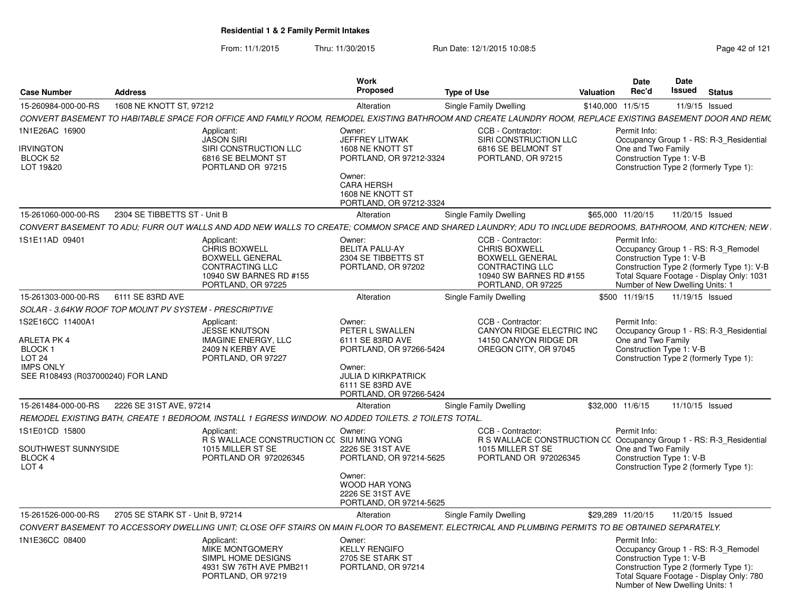From: 11/1/2015Thru: 11/30/2015 Run Date: 12/1/2015 10:08:5<br>
Page 42 of 121

| <b>Case Number</b>                                                                                                          | <b>Address</b>                   |                                                                                                                                  | Work<br>Proposed                                                                                                                     | <b>Type of Use</b>                                                                                                                                         | <b>Valuation</b> | Date<br>Rec'd                                                               | Date<br>Issued  | <b>Status</b>                                                                                                                  |
|-----------------------------------------------------------------------------------------------------------------------------|----------------------------------|----------------------------------------------------------------------------------------------------------------------------------|--------------------------------------------------------------------------------------------------------------------------------------|------------------------------------------------------------------------------------------------------------------------------------------------------------|------------------|-----------------------------------------------------------------------------|-----------------|--------------------------------------------------------------------------------------------------------------------------------|
| 15-260984-000-00-RS                                                                                                         | 1608 NE KNOTT ST, 97212          |                                                                                                                                  | Alteration                                                                                                                           | Single Family Dwelling                                                                                                                                     |                  | \$140,000 11/5/15                                                           |                 | 11/9/15 Issued                                                                                                                 |
|                                                                                                                             |                                  |                                                                                                                                  |                                                                                                                                      | CONVERT BASEMENT TO HABITABLE SPACE FOR OFFICE AND FAMILY ROOM, REMODEL EXISTING BATHROOM AND CREATE LAUNDRY ROOM, REPLACE EXISTING BASEMENT DOOR AND REM( |                  |                                                                             |                 |                                                                                                                                |
| 1N1E26AC 16900                                                                                                              |                                  | Applicant:<br><b>JASON SIRI</b>                                                                                                  | Owner:<br>JEFFREY LITWAK                                                                                                             | CCB - Contractor:<br>SIRI CONSTRUCTION LLC                                                                                                                 |                  | Permit Info:                                                                |                 | Occupancy Group 1 - RS: R-3 Residential                                                                                        |
| <b>IRVINGTON</b><br>BLOCK 52<br>LOT 19&20                                                                                   |                                  | SIRI CONSTRUCTION LLC<br>6816 SE BELMONT ST<br>PORTLAND OR 97215                                                                 | 1608 NE KNOTT ST<br>PORTLAND, OR 97212-3324<br>Owner:<br><b>CARA HERSH</b><br>1608 NE KNOTT ST<br>PORTLAND, OR 97212-3324            | 6816 SE BELMONT ST<br>PORTLAND, OR 97215                                                                                                                   |                  | One and Two Family<br>Construction Type 1: V-B                              |                 | Construction Type 2 (formerly Type 1):                                                                                         |
| 15-261060-000-00-RS                                                                                                         | 2304 SE TIBBETTS ST - Unit B     |                                                                                                                                  | Alteration                                                                                                                           | Single Family Dwelling                                                                                                                                     |                  | \$65,000 11/20/15                                                           |                 | 11/20/15 Issued                                                                                                                |
|                                                                                                                             |                                  |                                                                                                                                  |                                                                                                                                      | CONVERT BASEMENT TO ADU; FURR OUT WALLS AND ADD NEW WALLS TO CREATE; COMMON SPACE AND SHARED LAUNDRY; ADU TO INCLUDE BEDROOMS, BATHROOM, AND KITCHEN; NEW  |                  |                                                                             |                 |                                                                                                                                |
| 1S1E11AD 09401                                                                                                              |                                  | Applicant:<br><b>CHRIS BOXWELL</b><br><b>BOXWELL GENERAL</b><br>CONTRACTING LLC<br>10940 SW BARNES RD #155<br>PORTLAND, OR 97225 | Owner:<br><b>BELITA PALU-AY</b><br>2304 SE TIBBETTS ST<br>PORTLAND, OR 97202                                                         | CCB - Contractor:<br><b>CHRIS BOXWELL</b><br><b>BOXWELL GENERAL</b><br>CONTRACTING LLC<br>10940 SW BARNES RD #155<br>PORTLAND, OR 97225                    |                  | Permit Info:<br>Construction Type 1: V-B<br>Number of New Dwelling Units: 1 |                 | Occupancy Group 1 - RS: R-3_Remodel<br>Construction Type 2 (formerly Type 1): V-B<br>Total Square Footage - Display Only: 1031 |
| 15-261303-000-00-RS                                                                                                         | 6111 SE 83RD AVE                 |                                                                                                                                  | Alteration                                                                                                                           | Single Family Dwelling                                                                                                                                     |                  | \$500 11/19/15                                                              | 11/19/15 Issued |                                                                                                                                |
| SOLAR - 3.64KW ROOF TOP MOUNT PV SYSTEM - PRESCRIPTIVE                                                                      |                                  |                                                                                                                                  |                                                                                                                                      |                                                                                                                                                            |                  |                                                                             |                 |                                                                                                                                |
| 1S2E16CC 11400A1<br><b>ARLETA PK 4</b><br>BLOCK 1<br><b>LOT 24</b><br><b>IMPS ONLY</b><br>SEE R108493 (R037000240) FOR LAND |                                  | Applicant:<br>JESSE KNUTSON<br><b>IMAGINE ENERGY, LLC</b><br>2409 N KERBY AVE<br>PORTLAND, OR 97227                              | Owner:<br>PETER L SWALLEN<br>6111 SE 83RD AVE<br>PORTLAND, OR 97266-5424<br>Owner:<br><b>JULIA D KIRKPATRICK</b><br>6111 SE 83RD AVE | CCB - Contractor:<br>CANYON RIDGE ELECTRIC INC<br>14150 CANYON RIDGE DR<br>OREGON CITY, OR 97045                                                           |                  | Permit Info:<br>One and Two Family<br>Construction Type 1: V-B              |                 | Occupancy Group 1 - RS: R-3 Residential<br>Construction Type 2 (formerly Type 1):                                              |
|                                                                                                                             |                                  |                                                                                                                                  | PORTLAND, OR 97266-5424                                                                                                              |                                                                                                                                                            |                  |                                                                             |                 |                                                                                                                                |
| 15-261484-000-00-RS                                                                                                         | 2226 SE 31ST AVE, 97214          | REMODEL EXISTING BATH, CREATE 1 BEDROOM, INSTALL 1 EGRESS WINDOW. NO ADDED TOILETS. 2 TOILETS TOTAL.                             | Alteration                                                                                                                           | Single Family Dwelling                                                                                                                                     |                  | \$32,000 11/6/15                                                            |                 | 11/10/15 Issued                                                                                                                |
| 1S1E01CD 15800<br>SOUTHWEST SUNNYSIDE<br>BLOCK 4                                                                            |                                  | Applicant:<br>R S WALLACE CONSTRUCTION CC SIU MING YONG<br>1015 MILLER ST SE<br>PORTLAND OR 972026345                            | Owner:<br>2226 SE 31ST AVE<br>PORTLAND, OR 97214-5625                                                                                | CCB - Contractor:<br>R S WALLACE CONSTRUCTION CC Occupancy Group 1 - RS: R-3_Residential<br>1015 MILLER ST SE<br>PORTLAND OR 972026345                     |                  | Permit Info:<br>One and Two Family<br>Construction Type 1: V-B              |                 |                                                                                                                                |
| LOT <sub>4</sub>                                                                                                            |                                  |                                                                                                                                  | Owner:<br><b>WOOD HAR YONG</b><br>2226 SE 31ST AVE<br>PORTLAND, OR 97214-5625                                                        |                                                                                                                                                            |                  |                                                                             |                 | Construction Type 2 (formerly Type 1):                                                                                         |
| 15-261526-000-00-RS                                                                                                         | 2705 SE STARK ST - Unit B, 97214 |                                                                                                                                  | Alteration                                                                                                                           | Single Family Dwelling                                                                                                                                     |                  | \$29,289 11/20/15                                                           |                 | 11/20/15 Issued                                                                                                                |
|                                                                                                                             |                                  |                                                                                                                                  |                                                                                                                                      | CONVERT BASEMENT TO ACCESSORY DWELLING UNIT: CLOSE OFF STAIRS ON MAIN FLOOR TO BASEMENT. ELECTRICAL AND PLUMBING PERMITS TO BE OBTAINED SEPARATELY.        |                  |                                                                             |                 |                                                                                                                                |
| 1N1E36CC 08400                                                                                                              |                                  | Applicant:<br>MIKE MONTGOMERY<br>SIMPL HOME DESIGNS<br>4931 SW 76TH AVE PMB211<br>PORTLAND, OR 97219                             | Owner:<br><b>KELLY RENGIFO</b><br>2705 SE STARK ST<br>PORTLAND, OR 97214                                                             |                                                                                                                                                            |                  | Permit Info:<br>Construction Type 1: V-B<br>Number of New Dwelling Units: 1 |                 | Occupancy Group 1 - RS: R-3_Remodel<br>Construction Type 2 (formerly Type 1):<br>Total Square Footage - Display Only: 780      |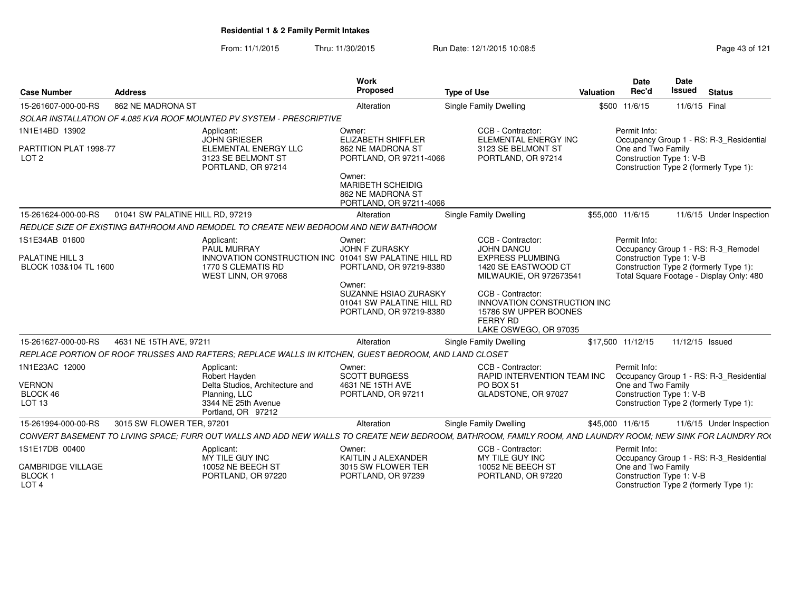From: 11/1/2015Thru: 11/30/2015 Run Date: 12/1/2015 10:08:5<br>
Page 43 of 121

| <b>Case Number</b>                                                 | <b>Address</b>                   |                                                                                                                                                             | Work<br>Proposed                                                                   | <b>Type of Use</b>                                                                                             | Valuation | <b>Date</b><br>Rec'd | Date<br><b>Issued</b>                          | <b>Status</b>                                                                      |
|--------------------------------------------------------------------|----------------------------------|-------------------------------------------------------------------------------------------------------------------------------------------------------------|------------------------------------------------------------------------------------|----------------------------------------------------------------------------------------------------------------|-----------|----------------------|------------------------------------------------|------------------------------------------------------------------------------------|
| 15-261607-000-00-RS                                                | 862 NE MADRONA ST                |                                                                                                                                                             | Alteration                                                                         | Single Family Dwelling                                                                                         |           | \$500 11/6/15        |                                                | 11/6/15 Final                                                                      |
|                                                                    |                                  | SOLAR INSTALLATION OF 4.085 KVA ROOF MOUNTED PV SYSTEM - PRESCRIPTIVE                                                                                       |                                                                                    |                                                                                                                |           |                      |                                                |                                                                                    |
| 1N1E14BD 13902                                                     |                                  | Applicant:<br><b>JOHN GRIESER</b>                                                                                                                           | Owner:<br><b>ELIZABETH SHIFFLER</b>                                                | CCB - Contractor:<br>ELEMENTAL ENERGY INC                                                                      |           | Permit Info:         |                                                | Occupancy Group 1 - RS: R-3_Residential                                            |
| PARTITION PLAT 1998-77<br>LOT <sub>2</sub>                         |                                  | ELEMENTAL ENERGY LLC<br>3123 SE BELMONT ST<br>PORTLAND, OR 97214                                                                                            | 862 NE MADRONA ST<br>PORTLAND, OR 97211-4066                                       | 3123 SE BELMONT ST<br>PORTLAND, OR 97214                                                                       |           |                      | One and Two Family<br>Construction Type 1: V-B | Construction Type 2 (formerly Type 1):                                             |
|                                                                    |                                  |                                                                                                                                                             | Owner:<br><b>MARIBETH SCHEIDIG</b><br>862 NE MADRONA ST<br>PORTLAND, OR 97211-4066 |                                                                                                                |           |                      |                                                |                                                                                    |
| 15-261624-000-00-RS                                                | 01041 SW PALATINE HILL RD, 97219 |                                                                                                                                                             | Alteration                                                                         | Single Family Dwelling                                                                                         |           | \$55,000 11/6/15     |                                                | 11/6/15 Under Inspection                                                           |
|                                                                    |                                  | REDUCE SIZE OF EXISTING BATHROOM AND REMODEL TO CREATE NEW BEDROOM AND NEW BATHROOM                                                                         |                                                                                    |                                                                                                                |           |                      |                                                |                                                                                    |
| 1S1E34AB 01600                                                     |                                  | Applicant:<br>PAUL MURRAY                                                                                                                                   | Owner:<br>JOHN F ZURASKY                                                           | CCB - Contractor:<br><b>JOHN DANCU</b>                                                                         |           | Permit Info:         |                                                | Occupancy Group 1 - RS: R-3 Remodel                                                |
| PALATINE HILL 3<br>BLOCK 103&104 TL 1600                           |                                  | INNOVATION CONSTRUCTION INC 01041 SW PALATINE HILL RD<br>1770 S CLEMATIS RD<br>WEST LINN, OR 97068                                                          | PORTLAND, OR 97219-8380<br>Owner:                                                  | <b>EXPRESS PLUMBING</b><br>1420 SE EASTWOOD CT<br>MILWAUKIE, OR 972673541                                      |           |                      | Construction Type 1: V-B                       | Construction Type 2 (formerly Type 1):<br>Total Square Footage - Display Only: 480 |
|                                                                    |                                  |                                                                                                                                                             | SUZANNE HSIAO ZURASKY<br>01041 SW PALATINE HILL RD<br>PORTLAND, OR 97219-8380      | CCB - Contractor:<br>INNOVATION CONSTRUCTION INC<br>15786 SW UPPER BOONES<br>FERRY RD<br>LAKE OSWEGO, OR 97035 |           |                      |                                                |                                                                                    |
| 15-261627-000-00-RS                                                | 4631 NE 15TH AVE, 97211          |                                                                                                                                                             | Alteration                                                                         | Single Family Dwelling                                                                                         |           | \$17,500 11/12/15    |                                                | 11/12/15 Issued                                                                    |
|                                                                    |                                  | REPLACE PORTION OF ROOF TRUSSES AND RAFTERS: REPLACE WALLS IN KITCHEN, GUEST BEDROOM, AND LAND CLOSET                                                       |                                                                                    |                                                                                                                |           |                      |                                                |                                                                                    |
| 1N1E23AC 12000                                                     |                                  | Applicant:<br>Robert Hayden                                                                                                                                 | Owner:<br><b>SCOTT BURGESS</b>                                                     | CCB - Contractor:<br>RAPID INTERVENTION TEAM INC                                                               |           | Permit Info:         |                                                | Occupancy Group 1 - RS: R-3_Residential                                            |
| <b>VERNON</b><br>BLOCK 46<br>LOT <sub>13</sub>                     |                                  | Delta Studios, Architecture and<br>Planning, LLC<br>3344 NE 25th Avenue<br>Portland, OR 97212                                                               | 4631 NE 15TH AVE<br>PORTLAND, OR 97211                                             | PO BOX 51<br>GLADSTONE, OR 97027                                                                               |           |                      | One and Two Family<br>Construction Type 1: V-B | Construction Type 2 (formerly Type 1):                                             |
| 15-261994-000-00-RS                                                | 3015 SW FLOWER TER, 97201        |                                                                                                                                                             | Alteration                                                                         | Single Family Dwelling                                                                                         |           | \$45,000 11/6/15     |                                                | 11/6/15 Under Inspection                                                           |
|                                                                    |                                  | CONVERT BASEMENT TO LIVING SPACE: FURR OUT WALLS AND ADD NEW WALLS TO CREATE NEW BEDROOM. BATHROOM. FAMILY ROOM, AND LAUNDRY ROOM: NEW SINK FOR LAUNDRY ROO |                                                                                    |                                                                                                                |           |                      |                                                |                                                                                    |
| 1S1E17DB 00400                                                     |                                  | Applicant:<br>MY TILE GUY INC                                                                                                                               | Owner:<br>KAITLIN J ALEXANDER                                                      | CCB - Contractor:<br>MY TILE GUY INC                                                                           |           | Permit Info:         |                                                | Occupancy Group 1 - RS: R-3_Residential                                            |
| <b>CAMBRIDGE VILLAGE</b><br>BLOCK <sub>1</sub><br>LOT <sub>4</sub> |                                  | 10052 NE BEECH ST<br>PORTLAND, OR 97220                                                                                                                     | 3015 SW FLOWER TER<br>PORTLAND, OR 97239                                           | 10052 NE BEECH ST<br>PORTLAND, OR 97220                                                                        |           |                      | One and Two Family<br>Construction Type 1: V-B | Construction Type 2 (formerly Type 1):                                             |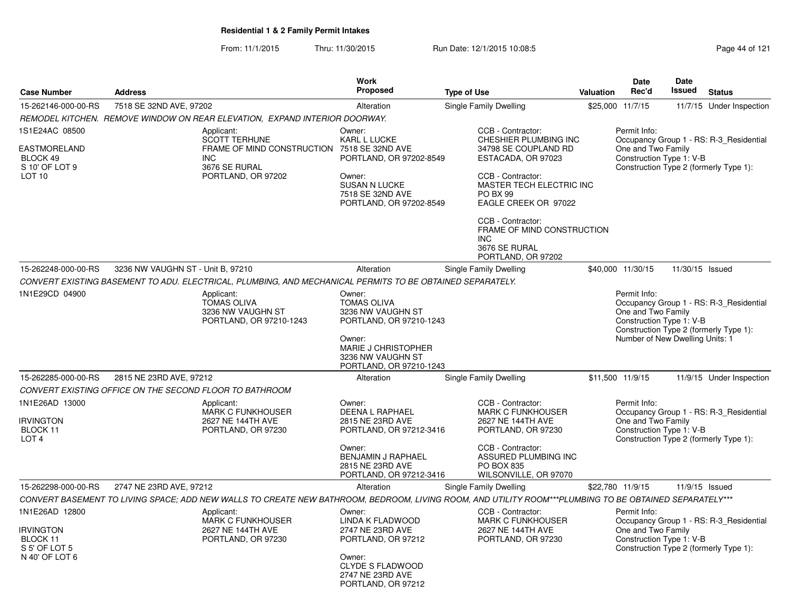From: 11/1/2015Thru: 11/30/2015 Run Date: 12/1/2015 10:08:5<br>
Page 44 of 121

| <b>Case Number</b>                                                                       | <b>Address</b>                                                                                                                                         | <b>Work</b><br><b>Proposed</b>                                                                                                                                | <b>Type of Use</b>                                                                                                                                                                   | <b>Valuation</b> | Date<br>Rec'd                                                                                     | <b>Date</b><br><b>Issued</b> | <b>Status</b>                                                                     |
|------------------------------------------------------------------------------------------|--------------------------------------------------------------------------------------------------------------------------------------------------------|---------------------------------------------------------------------------------------------------------------------------------------------------------------|--------------------------------------------------------------------------------------------------------------------------------------------------------------------------------------|------------------|---------------------------------------------------------------------------------------------------|------------------------------|-----------------------------------------------------------------------------------|
| 15-262146-000-00-RS                                                                      | 7518 SE 32ND AVE, 97202                                                                                                                                | Alteration                                                                                                                                                    | Single Family Dwelling                                                                                                                                                               |                  | \$25,000 11/7/15                                                                                  |                              | 11/7/15 Under Inspection                                                          |
|                                                                                          | REMODEL KITCHEN. REMOVE WINDOW ON REAR ELEVATION, EXPAND INTERIOR DOORWAY.                                                                             |                                                                                                                                                               |                                                                                                                                                                                      |                  |                                                                                                   |                              |                                                                                   |
| 1S1E24AC 08500<br><b>EASTMORELAND</b><br>BLOCK 49<br>S 10' OF LOT 9<br>LOT <sub>10</sub> | Applicant:<br><b>SCOTT TERHUNE</b><br>FRAME OF MIND CONSTRUCTION<br><b>INC</b><br>3676 SE RURAL<br>PORTLAND, OR 97202                                  | Owner:<br><b>KARL L LUCKE</b><br>7518 SE 32ND AVE<br>PORTLAND, OR 97202-8549<br>Owner:<br><b>SUSAN N LUCKE</b><br>7518 SE 32ND AVE<br>PORTLAND, OR 97202-8549 | CCB - Contractor:<br>CHESHIER PLUMBING INC<br>34798 SE COUPLAND RD<br>ESTACADA, OR 97023<br>CCB - Contractor:<br>MASTER TECH ELECTRIC INC<br><b>PO BX 99</b><br>EAGLE CREEK OR 97022 |                  | Permit Info:<br>One and Two Family<br>Construction Type 1: V-B                                    |                              | Occupancy Group 1 - RS: R-3 Residential<br>Construction Type 2 (formerly Type 1): |
|                                                                                          |                                                                                                                                                        |                                                                                                                                                               | CCB - Contractor:<br>FRAME OF MIND CONSTRUCTION<br>INC<br>3676 SE RURAL<br>PORTLAND, OR 97202                                                                                        |                  |                                                                                                   |                              |                                                                                   |
| 15-262248-000-00-RS                                                                      | 3236 NW VAUGHN ST - Unit B, 97210                                                                                                                      | Alteration                                                                                                                                                    | Single Family Dwelling                                                                                                                                                               |                  | \$40,000 11/30/15                                                                                 | 11/30/15 Issued              |                                                                                   |
|                                                                                          | CONVERT EXISTING BASEMENT TO ADU. ELECTRICAL, PLUMBING, AND MECHANICAL PERMITS TO BE OBTAINED SEPARATELY.                                              |                                                                                                                                                               |                                                                                                                                                                                      |                  |                                                                                                   |                              |                                                                                   |
| 1N1E29CD 04900                                                                           | Applicant:<br><b>TOMAS OLIVA</b><br>3236 NW VAUGHN ST<br>PORTLAND, OR 97210-1243                                                                       | Owner:<br><b>TOMAS OLIVA</b><br>3236 NW VAUGHN ST<br>PORTLAND, OR 97210-1243<br>Owner:<br><b>MARIE J CHRISTOPHER</b><br>3236 NW VAUGHN ST                     |                                                                                                                                                                                      |                  | Permit Info:<br>One and Two Family<br>Construction Type 1: V-B<br>Number of New Dwelling Units: 1 |                              | Occupancy Group 1 - RS: R-3_Residential<br>Construction Type 2 (formerly Type 1): |
|                                                                                          |                                                                                                                                                        | PORTLAND, OR 97210-1243                                                                                                                                       |                                                                                                                                                                                      |                  |                                                                                                   |                              |                                                                                   |
| 15-262285-000-00-RS                                                                      | 2815 NE 23RD AVE, 97212                                                                                                                                | Alteration                                                                                                                                                    | <b>Single Family Dwelling</b>                                                                                                                                                        |                  | \$11,500 11/9/15                                                                                  |                              | 11/9/15 Under Inspection                                                          |
| 1N1E26AD 13000<br><b>IRVINGTON</b><br>BLOCK 11                                           | CONVERT EXISTING OFFICE ON THE SECOND FLOOR TO BATHROOM<br>Applicant:<br><b>MARK C FUNKHOUSER</b><br>2627 NE 144TH AVE<br>PORTLAND, OR 97230           | Owner:<br>DEENA L RAPHAEL<br>2815 NE 23RD AVE<br>PORTLAND, OR 97212-3416                                                                                      | CCB - Contractor:<br>MARK C FUNKHOUSER<br>2627 NE 144TH AVE<br>PORTLAND, OR 97230                                                                                                    |                  | Permit Info:<br>One and Two Family<br>Construction Type 1: V-B                                    |                              | Occupancy Group 1 - RS: R-3_Residential                                           |
| LOT <sub>4</sub>                                                                         |                                                                                                                                                        | Owner:<br>BENJAMIN J RAPHAEL<br>2815 NE 23RD AVE<br>PORTLAND, OR 97212-3416                                                                                   | CCB - Contractor:<br>ASSURED PLUMBING INC<br>PO BOX 835<br>WILSONVILLE, OR 97070                                                                                                     |                  |                                                                                                   |                              | Construction Type 2 (formerly Type 1):                                            |
| 15-262298-000-00-RS                                                                      | 2747 NE 23RD AVE, 97212                                                                                                                                | Alteration                                                                                                                                                    | Single Family Dwelling                                                                                                                                                               |                  | \$22,780 11/9/15                                                                                  |                              | $11/9/15$ Issued                                                                  |
|                                                                                          | CONVERT BASEMENT TO LIVING SPACE; ADD NEW WALLS TO CREATE NEW BATHROOM, BEDROOM, LIVING ROOM, AND UTILITY ROOM***PLUMBING TO BE OBTAINED SEPARATELY*** |                                                                                                                                                               |                                                                                                                                                                                      |                  |                                                                                                   |                              |                                                                                   |
| 1N1E26AD 12800<br><b>IRVINGTON</b><br>BLOCK 11<br>S 5' OF LOT 5<br>N 40' OF LOT 6        | Applicant:<br><b>MARK C FUNKHOUSER</b><br>2627 NE 144TH AVE<br>PORTLAND, OR 97230                                                                      | Owner:<br>LINDA K FLADWOOD<br>2747 NE 23RD AVE<br>PORTLAND, OR 97212<br>Owner:<br><b>CLYDE S FLADWOOD</b><br>2747 NE 23RD AVE<br>PORTLAND, OR 97212           | CCB - Contractor:<br><b>MARK C FUNKHOUSER</b><br>2627 NE 144TH AVE<br>PORTLAND, OR 97230                                                                                             |                  | Permit Info:<br>One and Two Family<br>Construction Type 1: V-B                                    |                              | Occupancy Group 1 - RS: R-3_Residential<br>Construction Type 2 (formerly Type 1): |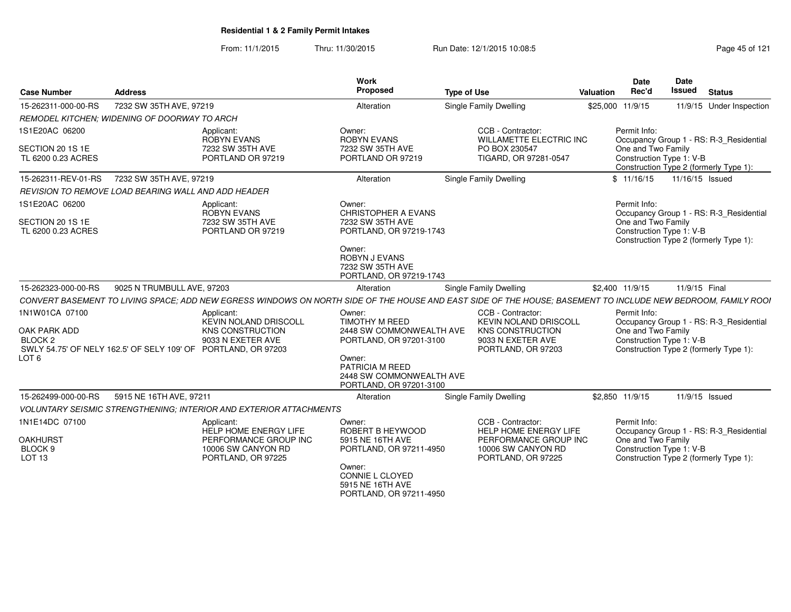From: 11/1/2015Thru: 11/30/2015 **Run Date: 12/1/2015 10:08:5** Page 45 of 121

| <b>Case Number</b>                                                       | <b>Address</b>                                      |                                                                                                                                                             | Work<br>Proposed                                                                                                                                                                  | <b>Type of Use</b>                                                                                                                                           | Valuation | <b>Date</b><br>Rec'd                                           | <b>Date</b><br>Issued | <b>Status</b>                                                                     |
|--------------------------------------------------------------------------|-----------------------------------------------------|-------------------------------------------------------------------------------------------------------------------------------------------------------------|-----------------------------------------------------------------------------------------------------------------------------------------------------------------------------------|--------------------------------------------------------------------------------------------------------------------------------------------------------------|-----------|----------------------------------------------------------------|-----------------------|-----------------------------------------------------------------------------------|
| 15-262311-000-00-RS                                                      | 7232 SW 35TH AVE, 97219                             |                                                                                                                                                             | Alteration                                                                                                                                                                        | Single Family Dwelling                                                                                                                                       |           | \$25,000 11/9/15                                               |                       | 11/9/15 Under Inspection                                                          |
|                                                                          | REMODEL KITCHEN: WIDENING OF DOORWAY TO ARCH        |                                                                                                                                                             |                                                                                                                                                                                   |                                                                                                                                                              |           |                                                                |                       |                                                                                   |
| 1S1E20AC 06200<br>SECTION 20 1S 1E<br>TL 6200 0.23 ACRES                 |                                                     | Applicant:<br><b>ROBYN EVANS</b><br>7232 SW 35TH AVE<br>PORTLAND OR 97219                                                                                   | Owner:<br><b>ROBYN EVANS</b><br>7232 SW 35TH AVE<br>PORTLAND OR 97219                                                                                                             | CCB - Contractor:<br><b>WILLAMETTE ELECTRIC INC</b><br>PO BOX 230547<br>TIGARD, OR 97281-0547                                                                |           | Permit Info:<br>One and Two Family<br>Construction Type 1: V-B |                       | Occupancy Group 1 - RS: R-3 Residential<br>Construction Type 2 (formerly Type 1): |
| 15-262311-REV-01-RS                                                      | 7232 SW 35TH AVE, 97219                             |                                                                                                                                                             | Alteration                                                                                                                                                                        | Single Family Dwelling                                                                                                                                       |           | \$11/16/15                                                     | 11/16/15 Issued       |                                                                                   |
|                                                                          | REVISION TO REMOVE LOAD BEARING WALL AND ADD HEADER |                                                                                                                                                             |                                                                                                                                                                                   |                                                                                                                                                              |           |                                                                |                       |                                                                                   |
| 1S1E20AC 06200<br>SECTION 20 1S 1E<br>TL 6200 0.23 ACRES                 |                                                     | Applicant:<br><b>ROBYN EVANS</b><br>7232 SW 35TH AVE<br>PORTLAND OR 97219                                                                                   | Owner:<br><b>CHRISTOPHER A EVANS</b><br>7232 SW 35TH AVE<br>PORTLAND, OR 97219-1743<br>Owner:<br><b>ROBYN J EVANS</b><br>7232 SW 35TH AVE<br>PORTLAND, OR 97219-1743              |                                                                                                                                                              |           | Permit Info:<br>One and Two Family<br>Construction Type 1: V-B |                       | Occupancy Group 1 - RS: R-3_Residential<br>Construction Type 2 (formerly Type 1): |
| 15-262323-000-00-RS                                                      | 9025 N TRUMBULL AVE, 97203                          |                                                                                                                                                             | Alteration                                                                                                                                                                        | <b>Single Family Dwelling</b>                                                                                                                                |           | \$2,400 11/9/15                                                | 11/9/15 Final         |                                                                                   |
|                                                                          |                                                     |                                                                                                                                                             |                                                                                                                                                                                   | CONVERT BASEMENT TO LIVING SPACE; ADD NEW EGRESS WINDOWS ON NORTH SIDE OF THE HOUSE AND EAST SIDE OF THE HOUSE; BASEMENT TO INCLUDE NEW BEDROOM, FAMILY ROOI |           |                                                                |                       |                                                                                   |
| 1N1W01CA 07100<br>OAK PARK ADD<br>BLOCK <sub>2</sub><br>LOT <sub>6</sub> |                                                     | Applicant:<br><b>KEVIN NOLAND DRISCOLL</b><br><b>KNS CONSTRUCTION</b><br>9033 N EXETER AVE<br>SWLY 54.75' OF NELY 162.5' OF SELY 109' OF PORTLAND, OR 97203 | Owner:<br><b>TIMOTHY M REED</b><br>2448 SW COMMONWEALTH AVE<br>PORTLAND, OR 97201-3100<br>Owner:<br><b>PATRICIA M REED</b><br>2448 SW COMMONWEALTH AVE<br>PORTLAND, OR 97201-3100 | CCB - Contractor:<br><b>KEVIN NOLAND DRISCOLL</b><br><b>KNS CONSTRUCTION</b><br>9033 N EXETER AVE<br>PORTLAND, OR 97203                                      |           | Permit Info:<br>One and Two Family<br>Construction Type 1: V-B |                       | Occupancy Group 1 - RS: R-3 Residential<br>Construction Type 2 (formerly Type 1): |
| 15-262499-000-00-RS                                                      | 5915 NE 16TH AVE, 97211                             |                                                                                                                                                             | Alteration                                                                                                                                                                        | Single Family Dwelling                                                                                                                                       |           | \$2,850 11/9/15                                                |                       | 11/9/15 Issued                                                                    |
|                                                                          |                                                     | VOLUNTARY SEISMIC STRENGTHENING; INTERIOR AND EXTERIOR ATTACHMENTS                                                                                          |                                                                                                                                                                                   |                                                                                                                                                              |           |                                                                |                       |                                                                                   |
| 1N1E14DC 07100<br><b>OAKHURST</b><br>BLOCK 9<br>LOT <sub>13</sub>        |                                                     | Applicant:<br>HELP HOME ENERGY LIFE<br>PERFORMANCE GROUP INC<br>10006 SW CANYON RD<br>PORTLAND, OR 97225                                                    | Owner:<br>ROBERT B HEYWOOD<br>5915 NE 16TH AVE<br>PORTLAND, OR 97211-4950<br>Owner:<br>CONNIE L CLOYED<br>5915 NE 16TH AVE<br>PORTLAND, OR 97211-4950                             | CCB - Contractor:<br>HELP HOME ENERGY LIFE<br>PERFORMANCE GROUP INC<br>10006 SW CANYON RD<br>PORTLAND, OR 97225                                              |           | Permit Info:<br>One and Two Family<br>Construction Type 1: V-B |                       | Occupancy Group 1 - RS: R-3_Residential<br>Construction Type 2 (formerly Type 1): |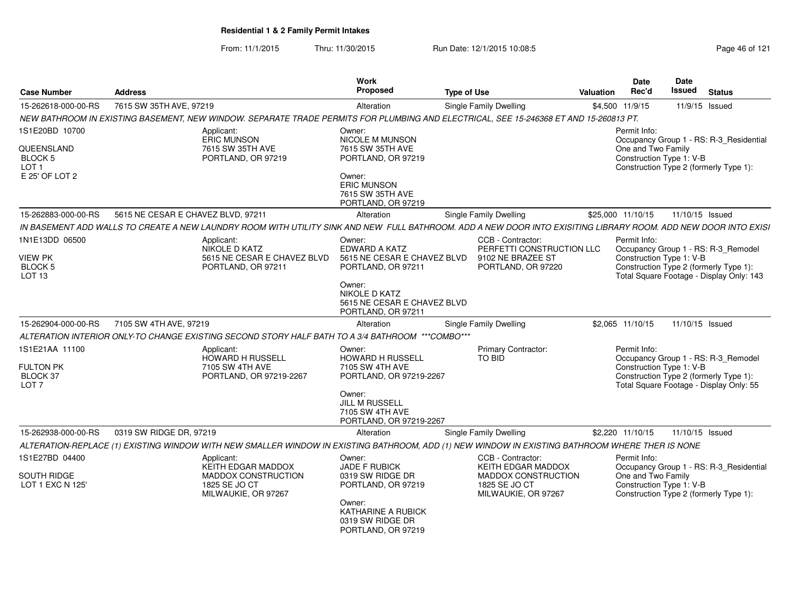From: 11/1/2015Thru: 11/30/2015 Run Date: 12/1/2015 10:08:5<br>
Page 46 of 121

| <b>Case Number</b>                             | <b>Address</b>                                                                                                                                                  | Work<br><b>Proposed</b>                                                         | <b>Type of Use</b>                                                  | Valuation         | <b>Date</b><br>Rec'd               | Date<br>Issued<br><b>Status</b>                                                                           |
|------------------------------------------------|-----------------------------------------------------------------------------------------------------------------------------------------------------------------|---------------------------------------------------------------------------------|---------------------------------------------------------------------|-------------------|------------------------------------|-----------------------------------------------------------------------------------------------------------|
| 15-262618-000-00-RS                            | 7615 SW 35TH AVE, 97219                                                                                                                                         | Alteration                                                                      | Single Family Dwelling                                              | \$4,500 11/9/15   |                                    | 11/9/15 Issued                                                                                            |
|                                                | NEW BATHROOM IN EXISTING BASEMENT, NEW WINDOW. SEPARATE TRADE PERMITS FOR PLUMBING AND ELECTRICAL, SEE 15-246368 ET AND 15-260813 PT.                           |                                                                                 |                                                                     |                   |                                    |                                                                                                           |
| 1S1E20BD 10700<br>QUEENSLAND                   | Applicant:<br><b>ERIC MUNSON</b>                                                                                                                                | Owner:<br>NICOLE M MUNSON<br>7615 SW 35TH AVE                                   |                                                                     |                   | Permit Info:<br>One and Two Family | Occupancy Group 1 - RS: R-3_Residential                                                                   |
| BLOCK 5<br>LOT <sub>1</sub>                    | 7615 SW 35TH AVE<br>PORTLAND, OR 97219                                                                                                                          | PORTLAND, OR 97219                                                              |                                                                     |                   |                                    | Construction Type 1: V-B<br>Construction Type 2 (formerly Type 1):                                        |
| E 25' OF LOT 2                                 |                                                                                                                                                                 | Owner:<br><b>ERIC MUNSON</b><br>7615 SW 35TH AVE<br>PORTLAND, OR 97219          |                                                                     |                   |                                    |                                                                                                           |
| 15-262883-000-00-RS                            | 5615 NE CESAR E CHAVEZ BLVD, 97211                                                                                                                              | Alteration                                                                      | Single Family Dwelling                                              | \$25,000 11/10/15 |                                    | 11/10/15 Issued                                                                                           |
|                                                | IN BASEMENT ADD WALLS TO CREATE A NEW LAUNDRY ROOM WITH UTILITY SINK AND NEW FULL BATHROOM. ADD A NEW DOOR INTO EXISITING LIBRARY ROOM. ADD NEW DOOR INTO EXISI |                                                                                 |                                                                     |                   |                                    |                                                                                                           |
| 1N1E13DD 06500<br><b>VIEW PK</b>               | Applicant:<br>NIKOLE D KATZ<br>5615 NE CESAR E CHAVEZ BLVD                                                                                                      | Owner:<br>EDWARD A KATZ<br>5615 NE CESAR E CHAVEZ BLVD                          | CCB - Contractor:<br>PERFETTI CONSTRUCTION LLC<br>9102 NE BRAZEE ST |                   | Permit Info:                       | Occupancy Group 1 - RS: R-3_Remodel<br>Construction Type 1: V-B                                           |
| <b>BLOCK 5</b><br><b>LOT 13</b>                | PORTLAND, OR 97211                                                                                                                                              | PORTLAND, OR 97211                                                              | PORTLAND, OR 97220                                                  |                   |                                    | Construction Type 2 (formerly Type 1):<br>Total Square Footage - Display Only: 143                        |
|                                                |                                                                                                                                                                 | Owner:<br>NIKOLE D KATZ<br>5615 NE CESAR E CHAVEZ BLVD<br>PORTLAND, OR 97211    |                                                                     |                   |                                    |                                                                                                           |
| 15-262904-000-00-RS                            | 7105 SW 4TH AVE, 97219                                                                                                                                          | Alteration                                                                      | Single Family Dwelling                                              |                   | \$2,065 11/10/15                   | 11/10/15 Issued                                                                                           |
|                                                | "ALTERATION INTERIOR ONLY-TO CHANGE EXISTING SECOND STORY HALF BATH TO A 3/4 BATHROOM ***COMBO***                                                               |                                                                                 |                                                                     |                   |                                    |                                                                                                           |
| 1S1E21AA 11100<br><b>FULTON PK</b><br>BLOCK 37 | Applicant:<br>HOWARD H RUSSELL<br>7105 SW 4TH AVE<br>PORTLAND, OR 97219-2267                                                                                    | Owner:<br><b>HOWARD H RUSSELL</b><br>7105 SW 4TH AVE<br>PORTLAND, OR 97219-2267 | <b>Primary Contractor:</b><br><b>TO BID</b>                         |                   | Permit Info:                       | Occupancy Group 1 - RS: R-3_Remodel<br>Construction Type 1: V-B<br>Construction Type 2 (formerly Type 1): |
| LOT <sub>7</sub>                               |                                                                                                                                                                 | Owner:<br><b>JILL M RUSSELL</b><br>7105 SW 4TH AVE<br>PORTLAND, OR 97219-2267   |                                                                     |                   |                                    | Total Square Footage - Display Only: 55                                                                   |
| 15-262938-000-00-RS                            | 0319 SW RIDGE DR. 97219                                                                                                                                         | Alteration                                                                      | Single Family Dwelling                                              |                   | \$2,220 11/10/15                   | 11/10/15 Issued                                                                                           |
|                                                | ALTERATION-REPLACE (1) EXISTING WINDOW WITH NEW SMALLER WINDOW IN EXISTING BATHROOM, ADD (1) NEW WINDOW IN EXISTING BATHROOM WHERE THER IS NONE                 |                                                                                 |                                                                     |                   |                                    |                                                                                                           |
| 1S1E27BD 04400                                 | Applicant:<br>KEITH EDGAR MADDOX                                                                                                                                | Owner:<br>JADE F RUBICK                                                         | CCB - Contractor:<br>KEITH EDGAR MADDOX                             |                   | Permit Info:                       | Occupancy Group 1 - RS: R-3_Residential                                                                   |
| SOUTH RIDGE<br>LOT 1 EXC N 125'                | MADDOX CONSTRUCTION<br>1825 SE JO CT<br>MILWAUKIE, OR 97267                                                                                                     | 0319 SW RIDGE DR<br>PORTLAND, OR 97219<br>Owner:                                | MADDOX CONSTRUCTION<br>1825 SE JO CT<br>MILWAUKIE, OR 97267         |                   | One and Two Family                 | Construction Type 1: V-B<br>Construction Type 2 (formerly Type 1):                                        |
|                                                |                                                                                                                                                                 | KATHARINE A RUBICK<br>0319 SW RIDGE DR<br>PORTLAND, OR 97219                    |                                                                     |                   |                                    |                                                                                                           |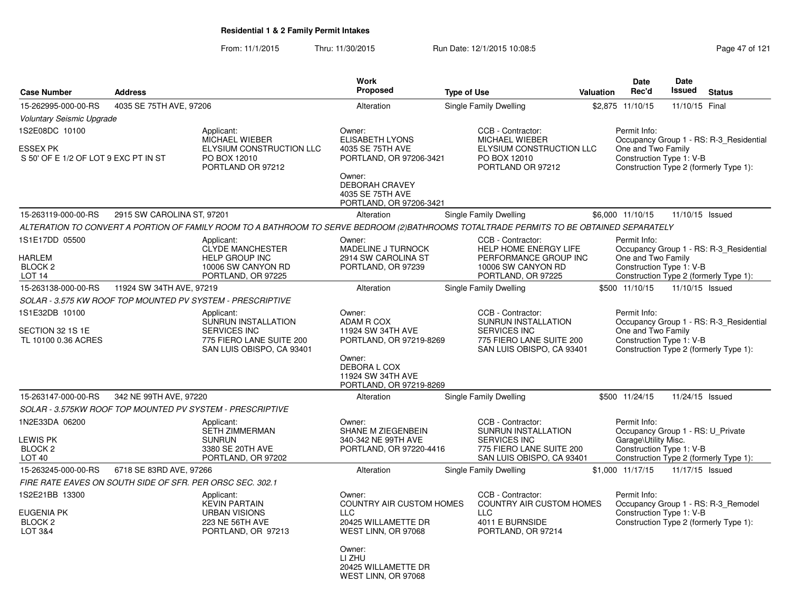From: 11/1/2015Thru: 11/30/2015 Run Date: 12/1/2015 10:08:5<br>
Page 47 of 121

|                                                         |                                                           |                                                                                                                                         | Work<br>Proposed                                                               |                    |                                                                                                     |           | <b>Date</b><br>Rec'd                              | <b>Date</b><br><b>Issued</b> | <b>Status</b>                                                                     |
|---------------------------------------------------------|-----------------------------------------------------------|-----------------------------------------------------------------------------------------------------------------------------------------|--------------------------------------------------------------------------------|--------------------|-----------------------------------------------------------------------------------------------------|-----------|---------------------------------------------------|------------------------------|-----------------------------------------------------------------------------------|
| <b>Case Number</b>                                      | <b>Address</b>                                            |                                                                                                                                         |                                                                                | <b>Type of Use</b> |                                                                                                     | Valuation |                                                   |                              |                                                                                   |
| 15-262995-000-00-RS                                     | 4035 SE 75TH AVE, 97206                                   |                                                                                                                                         | Alteration                                                                     |                    | Single Family Dwelling                                                                              |           | \$2,875 11/10/15                                  | 11/10/15 Final               |                                                                                   |
| <b>Voluntary Seismic Upgrade</b><br>1S2E08DC 10100      |                                                           | Applicant:<br>MICHAEL WIEBER                                                                                                            | Owner:<br><b>ELISABETH LYONS</b>                                               |                    | CCB - Contractor:<br><b>MICHAEL WIEBER</b>                                                          |           | Permit Info:                                      |                              | Occupancy Group 1 - RS: R-3 Residential                                           |
| <b>ESSEX PK</b><br>S 50' OF E 1/2 OF LOT 9 EXC PT IN ST |                                                           | ELYSIUM CONSTRUCTION LLC<br>PO BOX 12010<br>PORTLAND OR 97212                                                                           | 4035 SE 75TH AVE<br>PORTLAND, OR 97206-3421                                    |                    | ELYSIUM CONSTRUCTION LLC<br>PO BOX 12010<br>PORTLAND OR 97212                                       |           | One and Two Family<br>Construction Type 1: V-B    |                              | Construction Type 2 (formerly Type 1):                                            |
|                                                         |                                                           |                                                                                                                                         | Owner:<br><b>DEBORAH CRAVEY</b><br>4035 SE 75TH AVE<br>PORTLAND, OR 97206-3421 |                    |                                                                                                     |           |                                                   |                              |                                                                                   |
| 15-263119-000-00-RS                                     | 2915 SW CAROLINA ST, 97201                                |                                                                                                                                         | Alteration                                                                     |                    | Single Family Dwelling                                                                              |           | \$6,000 11/10/15                                  | 11/10/15 Issued              |                                                                                   |
|                                                         |                                                           | ALTERATION TO CONVERT A PORTION OF FAMILY ROOM TO A BATHROOM TO SERVE BEDROOM (2)BATHROOMS TOTALTRADE PERMITS TO BE OBTAINED SEPARATELY |                                                                                |                    |                                                                                                     |           |                                                   |                              |                                                                                   |
| 1S1E17DD 05500                                          |                                                           | Applicant:                                                                                                                              | Owner:                                                                         |                    | CCB - Contractor:                                                                                   |           | Permit Info:                                      |                              |                                                                                   |
| HARLEM                                                  |                                                           | <b>CLYDE MANCHESTER</b><br><b>HELP GROUP INC</b>                                                                                        | MADELINE J TURNOCK<br>2914 SW CAROLINA ST                                      |                    | HELP HOME ENERGY LIFE<br>PERFORMANCE GROUP INC                                                      |           | One and Two Family                                |                              | Occupancy Group 1 - RS: R-3 Residential                                           |
| <b>BLOCK 2</b>                                          |                                                           | 10006 SW CANYON RD                                                                                                                      | PORTLAND, OR 97239                                                             |                    | 10006 SW CANYON RD                                                                                  |           | Construction Type 1: V-B                          |                              |                                                                                   |
| LOT <sub>14</sub>                                       |                                                           | PORTLAND, OR 97225                                                                                                                      |                                                                                |                    | PORTLAND, OR 97225                                                                                  |           |                                                   |                              | Construction Type 2 (formerly Type 1):                                            |
| 15-263138-000-00-RS                                     | 11924 SW 34TH AVE, 97219                                  |                                                                                                                                         | Alteration                                                                     |                    | Single Family Dwelling                                                                              |           | \$500 11/10/15                                    | 11/10/15 Issued              |                                                                                   |
|                                                         |                                                           | SOLAR - 3.575 KW ROOF TOP MOUNTED PV SYSTEM - PRESCRIPTIVE                                                                              |                                                                                |                    |                                                                                                     |           |                                                   |                              |                                                                                   |
| 1S1E32DB 10100                                          |                                                           | Applicant:                                                                                                                              | Owner:                                                                         |                    | CCB - Contractor:                                                                                   |           | Permit Info:                                      |                              |                                                                                   |
| SECTION 32 1S 1E<br>TL 10100 0.36 ACRES                 |                                                           | <b>SUNRUN INSTALLATION</b><br><b>SERVICES INC</b><br>775 FIERO LANE SUITE 200<br>SAN LUIS OBISPO, CA 93401                              | ADAM R COX<br>11924 SW 34TH AVE<br>PORTLAND, OR 97219-8269                     |                    | <b>SUNRUN INSTALLATION</b><br>SERVICES INC<br>775 FIERO LANE SUITE 200<br>SAN LUIS OBISPO, CA 93401 |           | One and Two Family<br>Construction Type 1: V-B    |                              | Occupancy Group 1 - RS: R-3_Residential<br>Construction Type 2 (formerly Type 1): |
|                                                         |                                                           |                                                                                                                                         | Owner:<br>DEBORA L COX<br>11924 SW 34TH AVE<br>PORTLAND, OR 97219-8269         |                    |                                                                                                     |           |                                                   |                              |                                                                                   |
| 15-263147-000-00-RS                                     | 342 NE 99TH AVE, 97220                                    |                                                                                                                                         | Alteration                                                                     |                    | Single Family Dwelling                                                                              |           | \$500 11/24/15                                    | 11/24/15 Issued              |                                                                                   |
|                                                         |                                                           | SOLAR - 3.575KW ROOF TOP MOUNTED PV SYSTEM - PRESCRIPTIVE                                                                               |                                                                                |                    |                                                                                                     |           |                                                   |                              |                                                                                   |
| 1N2E33DA 06200                                          |                                                           | Applicant:<br><b>SETH ZIMMERMAN</b>                                                                                                     | Owner:<br>SHANE M ZIEGENBEIN                                                   |                    | CCB - Contractor:<br>SUNRUN INSTALLATION                                                            |           | Permit Info:<br>Occupancy Group 1 - RS: U Private |                              |                                                                                   |
| <b>LEWIS PK</b>                                         |                                                           | <b>SUNRUN</b>                                                                                                                           | 340-342 NE 99TH AVE                                                            |                    | <b>SERVICES INC</b>                                                                                 |           | Garage\Utility Misc.                              |                              |                                                                                   |
| BLOCK <sub>2</sub><br>LOT <sub>40</sub>                 |                                                           | 3380 SE 20TH AVE<br>PORTLAND, OR 97202                                                                                                  | PORTLAND, OR 97220-4416                                                        |                    | 775 FIERO LANE SUITE 200<br>SAN LUIS OBISPO, CA 93401                                               |           | Construction Type 1: V-B                          |                              | Construction Type 2 (formerly Type 1):                                            |
| 15-263245-000-00-RS                                     | 6718 SE 83RD AVE, 97266                                   |                                                                                                                                         | Alteration                                                                     |                    | <b>Single Family Dwelling</b>                                                                       |           | \$1,000 11/17/15                                  | 11/17/15 Issued              |                                                                                   |
|                                                         | FIRE RATE EAVES ON SOUTH SIDE OF SFR. PER ORSC SEC. 302.1 |                                                                                                                                         |                                                                                |                    |                                                                                                     |           |                                                   |                              |                                                                                   |
| 1S2E21BB 13300                                          |                                                           | Applicant:                                                                                                                              | Owner:                                                                         |                    | CCB - Contractor:                                                                                   |           | Permit Info:                                      |                              |                                                                                   |
|                                                         |                                                           | <b>KEVIN PARTAIN</b>                                                                                                                    | <b>COUNTRY AIR CUSTOM HOMES</b>                                                |                    | COUNTRY AIR CUSTOM HOMES                                                                            |           |                                                   |                              | Occupancy Group 1 - RS: R-3_Remodel                                               |
| EUGENIA PK<br>BLOCK <sub>2</sub>                        |                                                           | <b>URBAN VISIONS</b><br>223 NE 56TH AVE                                                                                                 | LLC<br>20425 WILLAMETTE DR                                                     |                    | <b>LLC</b><br>4011 E BURNSIDE                                                                       |           | Construction Type 1: V-B                          |                              | Construction Type 2 (formerly Type 1):                                            |
| <b>LOT 3&amp;4</b>                                      |                                                           | PORTLAND, OR 97213                                                                                                                      | WEST LINN, OR 97068                                                            |                    | PORTLAND, OR 97214                                                                                  |           |                                                   |                              |                                                                                   |
|                                                         |                                                           |                                                                                                                                         | Owner:<br>LI ZHU<br>20425 WILLAMETTE DR                                        |                    |                                                                                                     |           |                                                   |                              |                                                                                   |
|                                                         |                                                           |                                                                                                                                         | WEST LINN, OR 97068                                                            |                    |                                                                                                     |           |                                                   |                              |                                                                                   |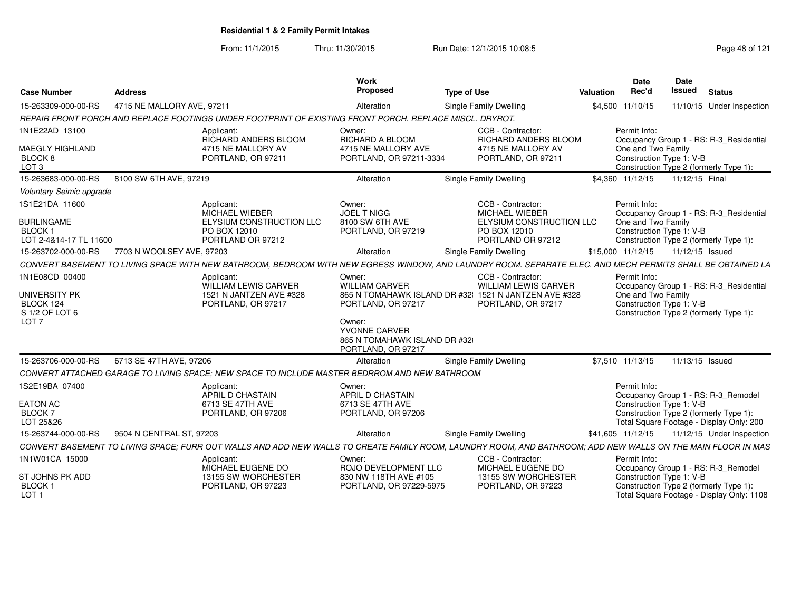From: 11/1/2015Thru: 11/30/2015 Run Date: 12/1/2015 10:08:5<br>
Rage 48 of 121

| <b>Case Number</b>                                                                        | <b>Address</b>             |                                                                                                         | <b>Work</b><br>Proposed                                                                                                                | <b>Type of Use</b>                                                                                                                                           | Valuation | <b>Date</b><br>Rec'd                                           | Date<br>Issued | <b>Status</b>                                                                                                             |
|-------------------------------------------------------------------------------------------|----------------------------|---------------------------------------------------------------------------------------------------------|----------------------------------------------------------------------------------------------------------------------------------------|--------------------------------------------------------------------------------------------------------------------------------------------------------------|-----------|----------------------------------------------------------------|----------------|---------------------------------------------------------------------------------------------------------------------------|
| 15-263309-000-00-RS                                                                       | 4715 NE MALLORY AVE, 97211 |                                                                                                         | Alteration                                                                                                                             | <b>Single Family Dwelling</b>                                                                                                                                |           | \$4,500 11/10/15                                               |                | 11/10/15 Under Inspection                                                                                                 |
|                                                                                           |                            | REPAIR FRONT PORCH AND REPLACE FOOTINGS UNDER FOOTPRINT OF EXISTING FRONT PORCH. REPLACE MISCL. DRYROT. |                                                                                                                                        |                                                                                                                                                              |           |                                                                |                |                                                                                                                           |
| 1N1E22AD 13100<br><b>MAEGLY HIGHLAND</b><br>BLOCK 8<br>LOT <sub>3</sub>                   |                            | Applicant:<br>RICHARD ANDERS BLOOM<br>4715 NE MALLORY AV<br>PORTLAND, OR 97211                          | Owner:<br>RICHARD A BLOOM<br>4715 NE MALLORY AVE<br>PORTLAND, OR 97211-3334                                                            | CCB - Contractor:<br>RICHARD ANDERS BLOOM<br>4715 NE MALLORY AV<br>PORTLAND, OR 97211                                                                        |           | Permit Info:<br>One and Two Family<br>Construction Type 1: V-B |                | Occupancy Group 1 - RS: R-3 Residential<br>Construction Type 2 (formerly Type 1):                                         |
| 15-263683-000-00-RS                                                                       | 8100 SW 6TH AVE, 97219     |                                                                                                         | Alteration                                                                                                                             | <b>Single Family Dwelling</b>                                                                                                                                |           | \$4.360 11/12/15                                               |                | 11/12/15 Final                                                                                                            |
| Voluntary Seimic upgrade                                                                  |                            |                                                                                                         |                                                                                                                                        |                                                                                                                                                              |           |                                                                |                |                                                                                                                           |
| 1S1E21DA 11600<br><b>BURLINGAME</b><br><b>BLOCK1</b><br>LOT 2-4&14-17 TL 11600            |                            | Applicant:<br>MICHAEL WIEBER<br>ELYSIUM CONSTRUCTION LLC<br>PO BOX 12010<br>PORTLAND OR 97212           | Owner:<br><b>JOEL T NIGG</b><br>8100 SW 6TH AVE<br>PORTLAND, OR 97219                                                                  | CCB - Contractor:<br><b>MICHAEL WIEBER</b><br>ELYSIUM CONSTRUCTION LLC<br>PO BOX 12010<br>PORTLAND OR 97212                                                  |           | Permit Info:<br>One and Two Family<br>Construction Type 1: V-B |                | Occupancy Group 1 - RS: R-3_Residential<br>Construction Type 2 (formerly Type 1):                                         |
| 15-263702-000-00-RS                                                                       | 7703 N WOOLSEY AVE, 97203  |                                                                                                         | Alteration                                                                                                                             | Single Family Dwelling                                                                                                                                       |           | \$15,000 11/12/15                                              |                | 11/12/15 Issued                                                                                                           |
|                                                                                           |                            |                                                                                                         |                                                                                                                                        | CONVERT BASEMENT TO LIVING SPACE WITH NEW BATHROOM. BEDROOM WITH NEW EGRESS WINDOW. AND LAUNDRY ROOM. SEPARATE ELEC. AND MECH PERMITS SHALL BE OBTAINED LA   |           |                                                                |                |                                                                                                                           |
|                                                                                           |                            |                                                                                                         |                                                                                                                                        |                                                                                                                                                              |           |                                                                |                |                                                                                                                           |
| 1N1E08CD 00400<br><b>UNIVERSITY PK</b><br>BLOCK 124<br>S 1/2 OF LOT 6<br>LOT <sub>7</sub> |                            | Applicant:<br>WILLIAM LEWIS CARVER<br>1521 N JANTZEN AVE #328<br>PORTLAND, OR 97217                     | Owner:<br><b>WILLIAM CARVER</b><br>PORTLAND, OR 97217<br>Owner:<br>YVONNE CARVER<br>865 N TOMAHAWK ISLAND DR #32<br>PORTLAND, OR 97217 | CCB - Contractor:<br><b>WILLIAM LEWIS CARVER</b><br>865 N TOMAHAWK ISLAND DR #32 1521 N JANTZEN AVE #328<br>PORTLAND, OR 97217                               |           | Permit Info:<br>One and Two Family<br>Construction Type 1: V-B |                | Occupancy Group 1 - RS: R-3_Residential<br>Construction Type 2 (formerly Type 1):                                         |
| 15-263706-000-00-RS                                                                       | 6713 SE 47TH AVE, 97206    |                                                                                                         | Alteration                                                                                                                             | Single Family Dwelling                                                                                                                                       |           | \$7.510 11/13/15                                               |                | 11/13/15 Issued                                                                                                           |
|                                                                                           |                            | CONVERT ATTACHED GARAGE TO LIVING SPACE; NEW SPACE TO INCLUDE MASTER BEDRROM AND NEW BATHROOM           |                                                                                                                                        |                                                                                                                                                              |           |                                                                |                |                                                                                                                           |
| 1S2E19BA 07400<br><b>EATON AC</b><br><b>BLOCK7</b><br>LOT 25&26                           |                            | Applicant:<br>APRIL D CHASTAIN<br>6713 SE 47TH AVE<br>PORTLAND, OR 97206                                | Owner:<br>APRIL D CHASTAIN<br>6713 SE 47TH AVE<br>PORTLAND, OR 97206                                                                   |                                                                                                                                                              |           | Permit Info:<br>Construction Type 1: V-B                       |                | Occupancy Group 1 - RS: R-3_Remodel<br>Construction Type 2 (formerly Type 1):<br>Total Square Footage - Display Only: 200 |
| 15-263744-000-00-RS                                                                       | 9504 N CENTRAL ST, 97203   |                                                                                                         | Alteration                                                                                                                             | Single Family Dwelling                                                                                                                                       |           | \$41,605 11/12/15                                              |                | 11/12/15 Under Inspection                                                                                                 |
|                                                                                           |                            |                                                                                                         |                                                                                                                                        | CONVERT BASEMENT TO LIVING SPACE; FURR OUT WALLS AND ADD NEW WALLS TO CREATE FAMILY ROOM, LAUNDRY ROOM, AND BATHROOM; ADD NEW WALLS ON THE MAIN FLOOR IN MAS |           |                                                                |                |                                                                                                                           |
| 1N1W01CA 15000<br>ST JOHNS PK ADD                                                         |                            | Applicant:<br>MICHAEL EUGENE DO<br>13155 SW WORCHESTER                                                  | Owner:<br>ROJO DEVELOPMENT LLC<br>830 NW 118TH AVE #105                                                                                | CCB - Contractor:<br>MICHAEL EUGENE DO<br>13155 SW WORCHESTER                                                                                                |           | Permit Info:<br>Construction Type 1: V-B                       |                | Occupancy Group 1 - RS: R-3_Remodel                                                                                       |
| <b>BLOCK1</b><br>LOT <sub>1</sub>                                                         |                            | PORTLAND, OR 97223                                                                                      | PORTLAND, OR 97229-5975                                                                                                                | PORTLAND, OR 97223                                                                                                                                           |           |                                                                |                | Construction Type 2 (formerly Type 1):<br>Total Square Footage - Display Only: 1108                                       |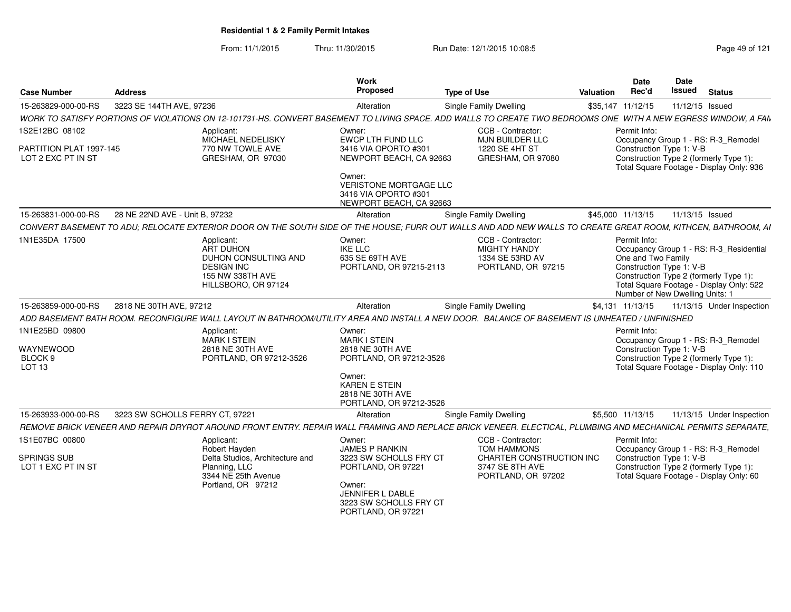From: 11/1/2015Thru: 11/30/2015 Run Date: 12/1/2015 10:08:5<br>
Page 49 of 121

| <b>Case Number</b>                                          | <b>Address</b>                                                                                                                                                 | Work<br><b>Proposed</b>                                                                    | <b>Type of Use</b>                                                                | <b>Valuation</b>  | Date<br>Rec'd                      | Date<br>Issued                                              | <b>Status</b>                                                                                                                 |
|-------------------------------------------------------------|----------------------------------------------------------------------------------------------------------------------------------------------------------------|--------------------------------------------------------------------------------------------|-----------------------------------------------------------------------------------|-------------------|------------------------------------|-------------------------------------------------------------|-------------------------------------------------------------------------------------------------------------------------------|
| 15-263829-000-00-RS                                         | 3223 SE 144TH AVE, 97236                                                                                                                                       | Alteration                                                                                 | <b>Single Family Dwelling</b>                                                     | \$35,147 11/12/15 |                                    | 11/12/15 Issued                                             |                                                                                                                               |
|                                                             | WORK TO SATISFY PORTIONS OF VIOLATIONS ON 12-101731-HS. CONVERT BASEMENT TO LIVING SPACE. ADD WALLS TO CREATE TWO BEDROOMS ONE WITH A NEW EGRESS WINDOW, A FAN |                                                                                            |                                                                                   |                   |                                    |                                                             |                                                                                                                               |
| 1S2E12BC 08102                                              | Applicant:<br>MICHAEL NEDELISKY                                                                                                                                | Owner:<br>EWCP LTH FUND LLC                                                                | CCB - Contractor:<br>MJN BUILDER LLC                                              |                   | Permit Info:                       |                                                             | Occupancy Group 1 - RS: R-3_Remodel                                                                                           |
| PARTITION PLAT 1997-145<br>LOT 2 EXC PT IN ST               | 770 NW TOWLE AVE<br>GRESHAM, OR 97030                                                                                                                          | 3416 VIA OPORTO #301<br>NEWPORT BEACH, CA 92663                                            | 1220 SE 4HT ST<br>GRESHAM, OR 97080                                               |                   |                                    | Construction Type 1: V-B                                    | Construction Type 2 (formerly Type 1):<br>Total Square Footage - Display Only: 936                                            |
|                                                             |                                                                                                                                                                | Owner:<br><b>VERISTONE MORTGAGE LLC</b><br>3416 VIA OPORTO #301<br>NEWPORT BEACH, CA 92663 |                                                                                   |                   |                                    |                                                             |                                                                                                                               |
| 15-263831-000-00-RS                                         | 28 NE 22ND AVE - Unit B, 97232                                                                                                                                 | Alteration                                                                                 | Single Family Dwelling                                                            |                   | \$45,000 11/13/15                  | 11/13/15 Issued                                             |                                                                                                                               |
|                                                             | CONVERT BASEMENT TO ADU: RELOCATE EXTERIOR DOOR ON THE SOUTH SIDE OF THE HOUSE: FURR OUT WALLS AND ADD NEW WALLS TO CREATE GREAT ROOM. KITHCEN, BATHROOM, AI   |                                                                                            |                                                                                   |                   |                                    |                                                             |                                                                                                                               |
| 1N1E35DA 17500                                              | Applicant:<br>ART DUHON<br><b>DUHON CONSULTING AND</b><br><b>DESIGN INC</b><br>155 NW 338TH AVE<br>HILLSBORO, OR 97124                                         | Owner:<br><b>IKE LLC</b><br>635 SE 69TH AVE<br>PORTLAND, OR 97215-2113                     | CCB - Contractor:<br><b>MIGHTY HANDY</b><br>1334 SE 53RD AV<br>PORTLAND, OR 97215 |                   | Permit Info:<br>One and Two Family | Construction Type 1: V-B<br>Number of New Dwelling Units: 1 | Occupancy Group 1 - RS: R-3_Residential<br>Construction Type 2 (formerly Type 1):<br>Total Square Footage - Display Only: 522 |
| 15-263859-000-00-RS                                         | 2818 NE 30TH AVE, 97212                                                                                                                                        | Alteration                                                                                 | <b>Single Family Dwelling</b>                                                     |                   | \$4,131 11/13/15                   |                                                             | 11/13/15 Under Inspection                                                                                                     |
|                                                             | ADD BASEMENT BATH ROOM. RECONFIGURE WALL LAYOUT IN BATHROOM/UTILITY AREA AND INSTALL A NEW DOOR. BALANCE OF BASEMENT IS UNHEATED / UNFINISHED                  |                                                                                            |                                                                                   |                   |                                    |                                                             |                                                                                                                               |
| 1N1E25BD 09800<br>WAYNEWOOD<br>BLOCK <sub>9</sub><br>LOT 13 | Applicant:<br>MARK I STEIN<br>2818 NE 30TH AVE<br>PORTLAND, OR 97212-3526                                                                                      | Owner:<br><b>MARK I STEIN</b><br>2818 NE 30TH AVE<br>PORTLAND, OR 97212-3526<br>Owner:     |                                                                                   |                   | Permit Info:                       | Construction Type 1: V-B                                    | Occupancy Group 1 - RS: R-3_Remodel<br>Construction Type 2 (formerly Type 1):<br>Total Square Footage - Display Only: 110     |
|                                                             |                                                                                                                                                                | <b>KAREN E STEIN</b><br>2818 NE 30TH AVE<br>PORTLAND, OR 97212-3526                        |                                                                                   |                   |                                    |                                                             |                                                                                                                               |
| 15-263933-000-00-RS                                         | 3223 SW SCHOLLS FERRY CT, 97221                                                                                                                                | Alteration                                                                                 | Single Family Dwelling                                                            |                   | \$5,500 11/13/15                   |                                                             | 11/13/15 Under Inspection                                                                                                     |
|                                                             | REMOVE BRICK VENEER AND REPAIR DRYROT AROUND FRONT ENTRY. REPAIR WALL FRAMING AND REPLACE BRICK VENEER. ELECTICAL, PLUMBING AND MECHANICAL PERMITS SEPARATE,   |                                                                                            |                                                                                   |                   |                                    |                                                             |                                                                                                                               |
| 1S1E07BC 00800                                              | Applicant:<br>Robert Hayden                                                                                                                                    | Owner:<br><b>JAMES P RANKIN</b>                                                            | CCB - Contractor:<br>TOM HAMMONS                                                  |                   | Permit Info:                       |                                                             | Occupancy Group 1 - RS: R-3_Remodel                                                                                           |
| <b>SPRINGS SUB</b><br>LOT 1 EXC PT IN ST                    | Delta Studios, Architecture and<br>Planning, LLC<br>3344 NE 25th Avenue                                                                                        | 3223 SW SCHOLLS FRY CT<br>PORTLAND, OR 97221                                               | CHARTER CONSTRUCTION INC<br>3747 SE 8TH AVE<br>PORTLAND, OR 97202                 |                   |                                    | Construction Type 1: V-B                                    | Construction Type 2 (formerly Type 1):<br>Total Square Footage - Display Only: 60                                             |
|                                                             | Portland, OR 97212                                                                                                                                             | Owner:<br>JENNIFER L DABLE<br>3223 SW SCHOLLS FRY CT<br>PORTLAND, OR 97221                 |                                                                                   |                   |                                    |                                                             |                                                                                                                               |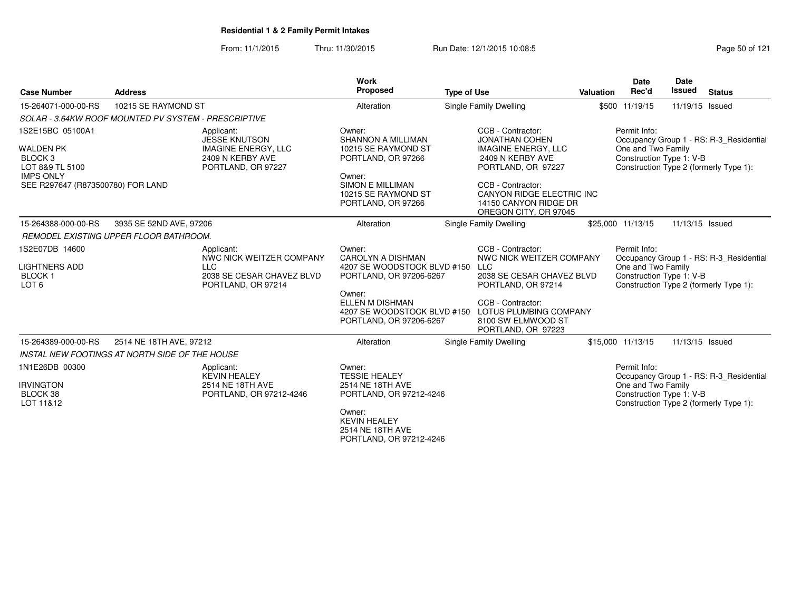From: 11/1/2015Thru: 11/30/2015 **Run Date: 12/1/2015 10:08:5** Page 50 of 121

| <b>Case Number</b>                                                                                                                     | <b>Address</b>                                                                                             | Work<br>Proposed                                                                                                                                                                           | <b>Type of Use</b>                                                                                                                                                                                                     | Valuation | Date<br>Rec'd                                                  | Date<br><b>Issued</b> | <b>Status</b>                                                                     |
|----------------------------------------------------------------------------------------------------------------------------------------|------------------------------------------------------------------------------------------------------------|--------------------------------------------------------------------------------------------------------------------------------------------------------------------------------------------|------------------------------------------------------------------------------------------------------------------------------------------------------------------------------------------------------------------------|-----------|----------------------------------------------------------------|-----------------------|-----------------------------------------------------------------------------------|
| 15-264071-000-00-RS                                                                                                                    | 10215 SE RAYMOND ST                                                                                        | Alteration                                                                                                                                                                                 | Single Family Dwelling                                                                                                                                                                                                 |           | \$500 11/19/15                                                 | 11/19/15 Issued       |                                                                                   |
|                                                                                                                                        | SOLAR - 3.64KW ROOF MOUNTED PV SYSTEM - PRESCRIPTIVE                                                       |                                                                                                                                                                                            |                                                                                                                                                                                                                        |           |                                                                |                       |                                                                                   |
| 1S2E15BC 05100A1<br><b>WALDEN PK</b><br>BLOCK <sub>3</sub><br>LOT 8&9 TL 5100<br><b>IMPS ONLY</b><br>SEE R297647 (R873500780) FOR LAND | Applicant:<br><b>JESSE KNUTSON</b><br><b>IMAGINE ENERGY, LLC</b><br>2409 N KERBY AVE<br>PORTLAND, OR 97227 | Owner:<br><b>SHANNON A MILLIMAN</b><br>10215 SE RAYMOND ST<br>PORTLAND, OR 97266<br>Owner:<br><b>SIMON E MILLIMAN</b><br>10215 SE RAYMOND ST<br>PORTLAND, OR 97266                         | CCB - Contractor:<br><b>JONATHAN COHEN</b><br><b>IMAGINE ENERGY, LLC</b><br>2409 N KERBY AVE<br>PORTLAND, OR 97227<br>CCB - Contractor:<br>CANYON RIDGE ELECTRIC INC<br>14150 CANYON RIDGE DR<br>OREGON CITY, OR 97045 |           | Permit Info:<br>One and Two Family<br>Construction Type 1: V-B |                       | Occupancy Group 1 - RS: R-3 Residential<br>Construction Type 2 (formerly Type 1): |
| 15-264388-000-00-RS                                                                                                                    | 3935 SE 52ND AVE, 97206                                                                                    | Alteration                                                                                                                                                                                 | Single Family Dwelling                                                                                                                                                                                                 |           | \$25,000 11/13/15                                              | 11/13/15 Issued       |                                                                                   |
|                                                                                                                                        | REMODEL EXISTING UPPER FLOOR BATHROOM.                                                                     |                                                                                                                                                                                            |                                                                                                                                                                                                                        |           |                                                                |                       |                                                                                   |
| 1S2E07DB 14600<br><b>LIGHTNERS ADD</b><br><b>BLOCK1</b><br>LOT <sub>6</sub>                                                            | Applicant:<br>NWC NICK WEITZER COMPANY<br><b>LLC</b><br>2038 SE CESAR CHAVEZ BLVD<br>PORTLAND, OR 97214    | Owner:<br><b>CAROLYN A DISHMAN</b><br>4207 SE WOODSTOCK BLVD #150<br>PORTLAND, OR 97206-6267<br>Owner:<br><b>ELLEN M DISHMAN</b><br>4207 SE WOODSTOCK BLVD #150<br>PORTLAND, OR 97206-6267 | CCB - Contractor:<br>NWC NICK WEITZER COMPANY<br><b>LLC</b><br>2038 SE CESAR CHAVEZ BLVD<br>PORTLAND, OR 97214<br>CCB - Contractor:<br>LOTUS PLUMBING COMPANY<br>8100 SW ELMWOOD ST<br>PORTLAND, OR 97223              |           | Permit Info:<br>One and Two Family<br>Construction Type 1: V-B |                       | Occupancy Group 1 - RS: R-3 Residential<br>Construction Type 2 (formerly Type 1): |
| 15-264389-000-00-RS                                                                                                                    | 2514 NE 18TH AVE, 97212                                                                                    | Alteration                                                                                                                                                                                 | Single Family Dwelling                                                                                                                                                                                                 |           | \$15,000 11/13/15                                              | 11/13/15 Issued       |                                                                                   |
|                                                                                                                                        | <b>INSTAL NEW FOOTINGS AT NORTH SIDE OF THE HOUSE</b>                                                      |                                                                                                                                                                                            |                                                                                                                                                                                                                        |           |                                                                |                       |                                                                                   |
| 1N1E26DB 00300<br><b>IRVINGTON</b><br>BLOCK 38<br>LOT 11&12                                                                            | Applicant:<br><b>KEVIN HEALEY</b><br>2514 NE 18TH AVE<br>PORTLAND, OR 97212-4246                           | Owner:<br><b>TESSIE HEALEY</b><br>2514 NE 18TH AVE<br>PORTLAND, OR 97212-4246<br>Owner:<br><b>KEVIN HEALEY</b><br>$2514$ NF 18TH AVF                                                       |                                                                                                                                                                                                                        |           | Permit Info:<br>One and Two Family<br>Construction Type 1: V-B |                       | Occupancy Group 1 - RS: R-3_Residential<br>Construction Type 2 (formerly Type 1): |

2514 NE 18TH AVE PORTLAND, OR 97212-4246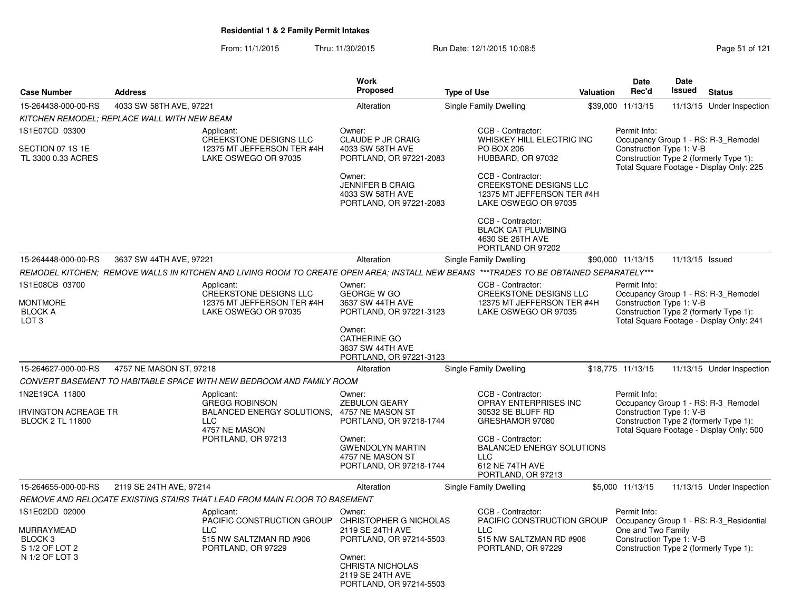From: 11/1/2015Thru: 11/30/2015 Run Date: 12/1/2015 10:08:5<br>
Page 51 of 121

|                                                                                        |                                             |                                                                                                                                        | <b>Work</b>                                                                      |                                                                                                                                                                     |           | <b>Date</b>                                                                                                                                         | <b>Date</b><br><b>Issued</b> |                                                                                                                           |
|----------------------------------------------------------------------------------------|---------------------------------------------|----------------------------------------------------------------------------------------------------------------------------------------|----------------------------------------------------------------------------------|---------------------------------------------------------------------------------------------------------------------------------------------------------------------|-----------|-----------------------------------------------------------------------------------------------------------------------------------------------------|------------------------------|---------------------------------------------------------------------------------------------------------------------------|
| <b>Case Number</b>                                                                     | <b>Address</b>                              |                                                                                                                                        | Proposed                                                                         | <b>Type of Use</b>                                                                                                                                                  | Valuation | Rec'd                                                                                                                                               |                              | <b>Status</b>                                                                                                             |
| 15-264438-000-00-RS                                                                    | 4033 SW 58TH AVE, 97221                     |                                                                                                                                        | Alteration                                                                       | Single Family Dwelling                                                                                                                                              |           | \$39,000 11/13/15                                                                                                                                   |                              | 11/13/15 Under Inspection                                                                                                 |
|                                                                                        | KITCHEN REMODEL: REPLACE WALL WITH NEW BEAM |                                                                                                                                        |                                                                                  |                                                                                                                                                                     |           |                                                                                                                                                     |                              |                                                                                                                           |
| 1S1E07CD 03300<br>SECTION 07 1S 1E<br>TL 3300 0.33 ACRES                               |                                             | Applicant:<br>CREEKSTONE DESIGNS LLC<br>12375 MT JEFFERSON TER #4H<br>LAKE OSWEGO OR 97035                                             | Owner:<br>CLAUDE P JR CRAIG<br>4033 SW 58TH AVE<br>PORTLAND, OR 97221-2083       | CCB - Contractor:<br>WHISKEY HILL ELECTRIC INC<br><b>PO BOX 206</b><br>HUBBARD, OR 97032                                                                            |           | Permit Info:<br>Construction Type 1: V-B                                                                                                            |                              | Occupancy Group 1 - RS: R-3_Remodel<br>Construction Type 2 (formerly Type 1):<br>Total Square Footage - Display Only: 225 |
|                                                                                        |                                             |                                                                                                                                        | Owner:<br><b>JENNIFER B CRAIG</b><br>4033 SW 58TH AVE<br>PORTLAND, OR 97221-2083 | CCB - Contractor:<br><b>CREEKSTONE DESIGNS LLC</b><br>12375 MT JEFFERSON TER #4H<br>LAKE OSWEGO OR 97035                                                            |           |                                                                                                                                                     |                              |                                                                                                                           |
|                                                                                        |                                             |                                                                                                                                        |                                                                                  | CCB - Contractor:<br><b>BLACK CAT PLUMBING</b><br>4630 SE 26TH AVE<br>PORTLAND OR 97202                                                                             |           |                                                                                                                                                     |                              |                                                                                                                           |
| 15-264448-000-00-RS                                                                    | 3637 SW 44TH AVE, 97221                     |                                                                                                                                        | Alteration                                                                       | Single Family Dwelling                                                                                                                                              |           | \$90,000 11/13/15                                                                                                                                   | 11/13/15 Issued              |                                                                                                                           |
|                                                                                        |                                             | REMODEL KITCHEN; REMOVE WALLS IN KITCHEN AND LIVING ROOM TO CREATE OPEN AREA; INSTALL NEW BEAMS ***TRADES TO BE OBTAINED SEPARATELY*** |                                                                                  |                                                                                                                                                                     |           |                                                                                                                                                     |                              |                                                                                                                           |
| 1S1E08CB 03700<br><b>MONTMORE</b><br><b>BLOCK A</b><br>LOT <sub>3</sub>                |                                             | Applicant:<br><b>CREEKSTONE DESIGNS LLC</b><br>12375 MT JEFFERSON TER #4H<br>LAKE OSWEGO OR 97035                                      | Owner:<br><b>GEORGE W GO</b><br>3637 SW 44TH AVE<br>PORTLAND, OR 97221-3123      | CCB - Contractor:<br><b>CREEKSTONE DESIGNS LLC</b><br>12375 MT JEFFERSON TER #4H<br>LAKE OSWEGO OR 97035                                                            |           | Permit Info:<br>Construction Type 1: V-B                                                                                                            |                              | Occupancy Group 1 - RS: R-3_Remodel<br>Construction Type 2 (formerly Type 1):<br>Total Square Footage - Display Only: 241 |
|                                                                                        |                                             |                                                                                                                                        | Owner:<br>CATHERINE GO<br>3637 SW 44TH AVE<br>PORTLAND, OR 97221-3123            |                                                                                                                                                                     |           |                                                                                                                                                     |                              |                                                                                                                           |
| 15-264627-000-00-RS                                                                    | 4757 NE MASON ST, 97218                     |                                                                                                                                        | Alteration                                                                       | Single Family Dwelling                                                                                                                                              |           | \$18,775 11/13/15                                                                                                                                   |                              | 11/13/15 Under Inspection                                                                                                 |
|                                                                                        |                                             | CONVERT BASEMENT TO HABITABLE SPACE WITH NEW BEDROOM AND FAMILY ROOM                                                                   |                                                                                  |                                                                                                                                                                     |           |                                                                                                                                                     |                              |                                                                                                                           |
| 1N2E19CA 11800<br><b>IRVINGTON ACREAGE TR</b><br><b>BLOCK 2 TL 11800</b>               |                                             | Applicant:<br><b>GREGG ROBINSON</b><br><b>BALANCED ENERGY SOLUTIONS.</b><br><b>LLC</b>                                                 | Owner:<br><b>ZEBULON GEARY</b><br>4757 NE MASON ST<br>PORTLAND, OR 97218-1744    | CCB - Contractor:<br>OPRAY ENTERPRISES INC<br>30532 SE BLUFF RD<br>GRESHAMOR 97080                                                                                  |           | Permit Info:<br>Construction Type 1: V-B                                                                                                            |                              | Occupancy Group 1 - RS: R-3_Remodel<br>Construction Type 2 (formerly Type 1):                                             |
|                                                                                        |                                             | 4757 NE MASON<br>PORTLAND, OR 97213                                                                                                    | Owner:<br><b>GWENDOLYN MARTIN</b><br>4757 NE MASON ST<br>PORTLAND, OR 97218-1744 | CCB - Contractor:<br><b>BALANCED ENERGY SOLUTIONS</b><br><b>LLC</b><br>612 NE 74TH AVE<br>PORTLAND, OR 97213                                                        |           |                                                                                                                                                     |                              | Total Square Footage - Display Only: 500                                                                                  |
| 15-264655-000-00-RS                                                                    | 2119 SE 24TH AVE, 97214                     |                                                                                                                                        | Alteration                                                                       | Single Family Dwelling                                                                                                                                              |           | \$5,000 11/13/15                                                                                                                                    |                              | 11/13/15 Under Inspection                                                                                                 |
|                                                                                        |                                             | REMOVE AND RELOCATE EXISTING STAIRS THAT LEAD FROM MAIN FLOOR TO BASEMENT                                                              |                                                                                  |                                                                                                                                                                     |           |                                                                                                                                                     |                              |                                                                                                                           |
| 1S1E02DD 02000<br>MURRAYMEAD<br>BLOCK <sub>3</sub><br>S 1/2 OF LOT 2<br>N 1/2 OF LOT 3 |                                             | Applicant:<br>PACIFIC CONSTRUCTION GROUP<br><b>LLC</b><br>515 NW SALTZMAN RD #906<br>PORTLAND, OR 97229                                |                                                                                  | CCB - Contractor:<br>CHRISTOPHER G NICHOLAS<br>PACIFIC CONSTRUCTION GROUP<br><b>LLC</b><br>515 NW SALTZMAN RD #906<br>PORTLAND, OR 97214-5503<br>PORTLAND, OR 97229 |           | Permit Info:<br>Occupancy Group 1 - RS: R-3_Residential<br>One and Two Family<br>Construction Type 1: V-B<br>Construction Type 2 (formerly Type 1): |                              |                                                                                                                           |
|                                                                                        |                                             |                                                                                                                                        | Owner:<br>CHRISTA NICHOLAS<br>2119 SE 24TH AVE<br>PORTLAND, OR 97214-5503        |                                                                                                                                                                     |           |                                                                                                                                                     |                              |                                                                                                                           |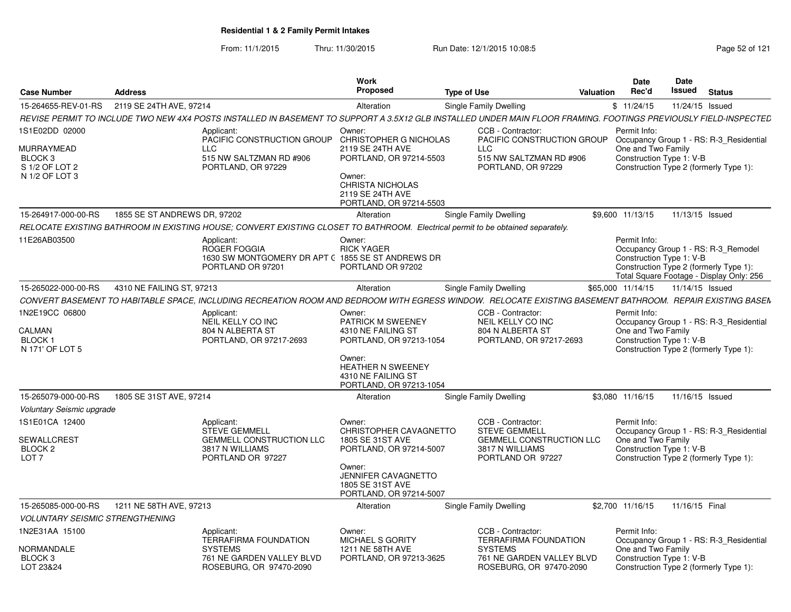From: 11/1/2015Thru: 11/30/2015 Run Date: 12/1/2015 10:08:5<br>
Page 52 of 121

|                                                                                        |                              |                                                                                                                                                                  | <b>Work</b>                                                                                                                                                                |                               |                                                                                                                      |                   | <b>Date</b>                        | Date                     |                                                                                                                           |
|----------------------------------------------------------------------------------------|------------------------------|------------------------------------------------------------------------------------------------------------------------------------------------------------------|----------------------------------------------------------------------------------------------------------------------------------------------------------------------------|-------------------------------|----------------------------------------------------------------------------------------------------------------------|-------------------|------------------------------------|--------------------------|---------------------------------------------------------------------------------------------------------------------------|
| <b>Case Number</b>                                                                     | <b>Address</b>               |                                                                                                                                                                  | Proposed                                                                                                                                                                   | <b>Type of Use</b>            | Valuation                                                                                                            |                   | Rec'd                              | Issued                   | <b>Status</b>                                                                                                             |
| 15-264655-REV-01-RS                                                                    | 2119 SE 24TH AVE, 97214      |                                                                                                                                                                  | Alteration                                                                                                                                                                 | <b>Single Family Dwelling</b> |                                                                                                                      | \$11/24/15        |                                    | 11/24/15 Issued          |                                                                                                                           |
|                                                                                        |                              | REVISE PERMIT TO INCLUDE TWO NEW 4X4 POSTS INSTALLED IN BASEMENT TO SUPPORT A 3.5X12 GLB INSTALLED UNDER MAIN FLOOR FRAMING. FOOTINGS PREVIOUSLY FIELD-INSPECTED |                                                                                                                                                                            |                               |                                                                                                                      |                   |                                    |                          |                                                                                                                           |
| 1S1E02DD 02000<br>MURRAYMEAD<br>BLOCK <sub>3</sub><br>S 1/2 OF LOT 2<br>N 1/2 OF LOT 3 |                              | Applicant:<br>PACIFIC CONSTRUCTION GROUP<br>$\sqcup$ C<br>515 NW SALTZMAN RD #906<br>PORTLAND, OR 97229                                                          | Owner:<br>CHRISTOPHER G NICHOLAS<br>2119 SE 24TH AVE<br>PORTLAND, OR 97214-5503<br>Owner:<br><b>CHRISTA NICHOLAS</b><br>2119 SE 24TH AVE<br>PORTLAND, OR 97214-5503        | <b>LLC</b>                    | CCB - Contractor:<br>PACIFIC CONSTRUCTION GROUP<br>515 NW SALTZMAN RD #906<br>PORTLAND, OR 97229                     |                   | Permit Info:<br>One and Two Family | Construction Type 1: V-B | Occupancy Group 1 - RS: R-3 Residential<br>Construction Type 2 (formerly Type 1):                                         |
| 15-264917-000-00-RS                                                                    | 1855 SE ST ANDREWS DR, 97202 |                                                                                                                                                                  | Alteration                                                                                                                                                                 | Single Family Dwelling        |                                                                                                                      | \$9,600 11/13/15  |                                    | 11/13/15 Issued          |                                                                                                                           |
|                                                                                        |                              | RELOCATE EXISTING BATHROOM IN EXISTING HOUSE; CONVERT EXISTING CLOSET TO BATHROOM. Electrical permit to be obtained separately.                                  |                                                                                                                                                                            |                               |                                                                                                                      |                   |                                    |                          |                                                                                                                           |
| 11E26AB03500                                                                           |                              | Applicant:<br>ROGER FOGGIA<br>1630 SW MONTGOMERY DR APT C 1855 SE ST ANDREWS DR<br>PORTLAND OR 97201                                                             | Owner:<br><b>RICK YAGER</b><br>PORTLAND OR 97202                                                                                                                           |                               |                                                                                                                      |                   | Permit Info:                       | Construction Type 1: V-B | Occupancy Group 1 - RS: R-3 Remodel<br>Construction Type 2 (formerly Type 1):<br>Total Square Footage - Display Only: 256 |
| 15-265022-000-00-RS                                                                    | 4310 NE FAILING ST, 97213    |                                                                                                                                                                  | Alteration                                                                                                                                                                 | Single Family Dwelling        |                                                                                                                      | \$65,000 11/14/15 |                                    | 11/14/15 Issued          |                                                                                                                           |
|                                                                                        |                              | CONVERT BASEMENT TO HABITABLE SPACE, INCLUDING RECREATION ROOM AND BEDROOM WITH EGRESS WINDOW. RELOCATE EXISTING BASEMENT BATHROOM. REPAIR EXISTING BASEM        |                                                                                                                                                                            |                               |                                                                                                                      |                   |                                    |                          |                                                                                                                           |
| 1N2E19CC 06800<br>CALMAN<br><b>BLOCK1</b><br>N 171' OF LOT 5                           |                              | Applicant:<br>NEIL KELLY CO INC<br>804 N ALBERTA ST<br>PORTLAND, OR 97217-2693                                                                                   | Owner:<br><b>PATRICK M SWEENEY</b><br>4310 NE FAILING ST<br>PORTLAND, OR 97213-1054<br>Owner:<br><b>HEATHER N SWEENEY</b><br>4310 NE FAILING ST<br>PORTLAND, OR 97213-1054 |                               | CCB - Contractor:<br>NEIL KELLY CO INC<br>804 N ALBERTA ST<br>PORTLAND, OR 97217-2693                                |                   | Permit Info:<br>One and Two Family | Construction Type 1: V-B | Occupancy Group 1 - RS: R-3_Residential<br>Construction Type 2 (formerly Type 1):                                         |
| 15-265079-000-00-RS                                                                    | 1805 SE 31ST AVE, 97214      |                                                                                                                                                                  | Alteration                                                                                                                                                                 | Single Family Dwelling        |                                                                                                                      | \$3,080 11/16/15  |                                    | 11/16/15 Issued          |                                                                                                                           |
| Voluntary Seismic upgrade                                                              |                              |                                                                                                                                                                  |                                                                                                                                                                            |                               |                                                                                                                      |                   |                                    |                          |                                                                                                                           |
| 1S1E01CA 12400<br>SEWALLCREST<br>BLOCK <sub>2</sub><br>LOT <sub>7</sub>                |                              | Applicant:<br><b>STEVE GEMMELL</b><br><b>GEMMELL CONSTRUCTION LLC</b><br>3817 N WILLIAMS<br>PORTLAND OR 97227                                                    | Owner:<br>CHRISTOPHER CAVAGNETTO<br>1805 SE 31ST AVE<br>PORTLAND, OR 97214-5007<br>Owner:<br>JENNIFER CAVAGNETTO<br>1805 SE 31ST AVE<br>PORTLAND, OR 97214-5007            |                               | CCB - Contractor:<br><b>STEVE GEMMELL</b><br><b>GEMMELL CONSTRUCTION LLC</b><br>3817 N WILLIAMS<br>PORTLAND OR 97227 |                   | Permit Info:<br>One and Two Family | Construction Type 1: V-B | Occupancy Group 1 - RS: R-3 Residential<br>Construction Type 2 (formerly Type 1):                                         |
| 15-265085-000-00-RS                                                                    | 1211 NE 58TH AVE, 97213      |                                                                                                                                                                  | Alteration                                                                                                                                                                 | Single Family Dwelling        |                                                                                                                      | \$2,700 11/16/15  |                                    | 11/16/15 Final           |                                                                                                                           |
| <b>VOLUNTARY SEISMIC STRENGTHENING</b>                                                 |                              |                                                                                                                                                                  |                                                                                                                                                                            |                               |                                                                                                                      |                   |                                    |                          |                                                                                                                           |
| 1N2E31AA 15100<br>NORMANDALE                                                           |                              | Applicant:<br><b>TERRAFIRMA FOUNDATION</b><br><b>SYSTEMS</b>                                                                                                     | Owner:<br>MICHAEL S GORITY<br>1211 NE 58TH AVE                                                                                                                             | <b>SYSTEMS</b>                | CCB - Contractor:<br>TERRAFIRMA FOUNDATION                                                                           |                   | Permit Info:<br>One and Two Family |                          | Occupancy Group 1 - RS: R-3 Residential                                                                                   |
| BLOCK <sub>3</sub><br>LOT 23&24                                                        |                              | 761 NE GARDEN VALLEY BLVD<br>ROSEBURG, OR 97470-2090                                                                                                             | PORTLAND, OR 97213-3625                                                                                                                                                    |                               | 761 NE GARDEN VALLEY BLVD<br>ROSEBURG, OR 97470-2090                                                                 |                   |                                    | Construction Type 1: V-B | Construction Type 2 (formerly Type 1):                                                                                    |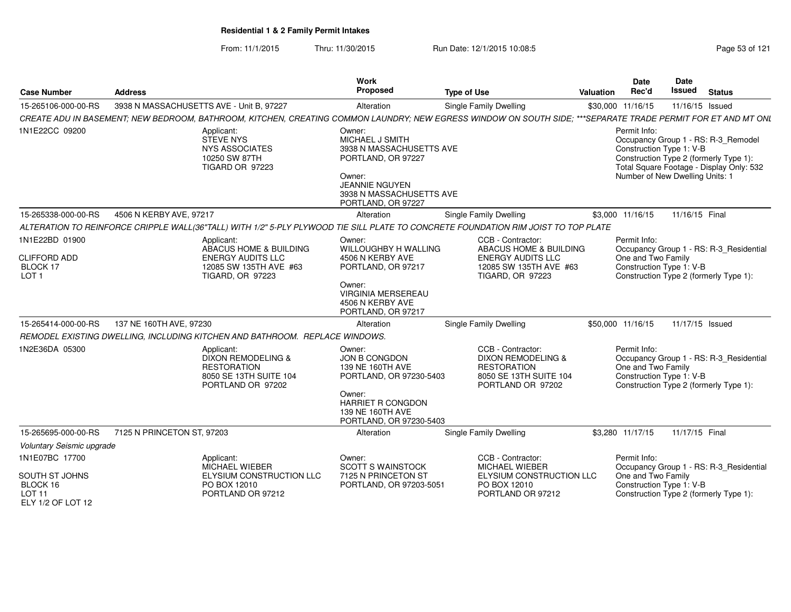From: 11/1/2015Thru: 11/30/2015 **Run Date: 12/1/2015 10:08:5** Page 53 of 121

| <b>Case Number</b>                                                           | <b>Address</b>                                                                                                                                               | <b>Work</b><br>Proposed                                                                                                                                          | <b>Type of Use</b>                                                                                                           | Valuation | Date<br>Rec'd                      | <b>Date</b><br><b>Issued</b>                                | <b>Status</b>                                                                                                             |
|------------------------------------------------------------------------------|--------------------------------------------------------------------------------------------------------------------------------------------------------------|------------------------------------------------------------------------------------------------------------------------------------------------------------------|------------------------------------------------------------------------------------------------------------------------------|-----------|------------------------------------|-------------------------------------------------------------|---------------------------------------------------------------------------------------------------------------------------|
| 15-265106-000-00-RS                                                          | 3938 N MASSACHUSETTS AVE - Unit B, 97227                                                                                                                     | Alteration                                                                                                                                                       | <b>Single Family Dwelling</b>                                                                                                |           | \$30,000 11/16/15                  | 11/16/15 Issued                                             |                                                                                                                           |
|                                                                              | CREATE ADU IN BASEMENT; NEW BEDROOM, BATHROOM, KITCHEN, CREATING COMMON LAUNDRY; NEW EGRESS WINDOW ON SOUTH SIDE; ***SEPARATE TRADE PERMIT FOR ET AND MT ONL |                                                                                                                                                                  |                                                                                                                              |           |                                    |                                                             |                                                                                                                           |
| 1N1E22CC 09200                                                               | Applicant:<br><b>STEVE NYS</b><br><b>NYS ASSOCIATES</b><br>10250 SW 87TH<br>TIGARD OR 97223                                                                  | Owner:<br>MICHAEL J SMITH<br>3938 N MASSACHUSETTS AVE<br>PORTLAND, OR 97227<br>Owner:<br><b>JEANNIE NGUYEN</b><br>3938 N MASSACHUSETTS AVE<br>PORTLAND, OR 97227 |                                                                                                                              |           | Permit Info:                       | Construction Type 1: V-B<br>Number of New Dwelling Units: 1 | Occupancy Group 1 - RS: R-3_Remodel<br>Construction Type 2 (formerly Type 1):<br>Total Square Footage - Display Only: 532 |
| 15-265338-000-00-RS                                                          | 4506 N KERBY AVE, 97217                                                                                                                                      | Alteration                                                                                                                                                       | Single Family Dwelling                                                                                                       |           | \$3,000 11/16/15                   | 11/16/15 Final                                              |                                                                                                                           |
|                                                                              | ALTERATION TO REINFORCE CRIPPLE WALL(36"TALL) WITH 1/2" 5-PLY PLYWOOD TIE SILL PLATE TO CONCRETE FOUNDATION RIM JOIST TO TOP PLATE                           |                                                                                                                                                                  |                                                                                                                              |           |                                    |                                                             |                                                                                                                           |
| 1N1E22BD 01900<br><b>CLIFFORD ADD</b><br><b>BLOCK 17</b><br>LOT <sub>1</sub> | Applicant:<br>ABACUS HOME & BUILDING<br><b>ENERGY AUDITS LLC</b><br>12085 SW 135TH AVE #63<br><b>TIGARD, OR 97223</b>                                        | Owner:<br>WILLOUGHBY H WALLING<br>4506 N KERBY AVE<br>PORTLAND, OR 97217<br>Owner:<br><b>VIRGINIA MERSEREAU</b><br>4506 N KERBY AVE<br>PORTLAND, OR 97217        | CCB - Contractor:<br>ABACUS HOME & BUILDING<br><b>ENERGY AUDITS LLC</b><br>12085 SW 135TH AVE #63<br><b>TIGARD, OR 97223</b> |           | Permit Info:<br>One and Two Family | Construction Type 1: V-B                                    | Occupancy Group 1 - RS: R-3_Residential<br>Construction Type 2 (formerly Type 1):                                         |
| 15-265414-000-00-RS                                                          | 137 NE 160TH AVE, 97230                                                                                                                                      | Alteration                                                                                                                                                       | <b>Single Family Dwelling</b>                                                                                                |           | \$50,000 11/16/15                  | 11/17/15 Issued                                             |                                                                                                                           |
|                                                                              | REMODEL EXISTING DWELLING, INCLUDING KITCHEN AND BATHROOM. REPLACE WINDOWS.                                                                                  |                                                                                                                                                                  |                                                                                                                              |           |                                    |                                                             |                                                                                                                           |
| 1N2E36DA 05300                                                               | Applicant:<br><b>DIXON REMODELING &amp;</b><br><b>RESTORATION</b><br>8050 SE 13TH SUITE 104<br>PORTLAND OR 97202                                             | Owner:<br>JON B CONGDON<br>139 NE 160TH AVE<br>PORTLAND, OR 97230-5403<br>Owner:<br><b>HARRIET R CONGDON</b><br>139 NE 160TH AVE<br>PORTLAND, OR 97230-5403      | CCB - Contractor:<br><b>DIXON REMODELING &amp;</b><br><b>RESTORATION</b><br>8050 SE 13TH SUITE 104<br>PORTLAND OR 97202      |           | Permit Info:<br>One and Two Family | Construction Type 1: V-B                                    | Occupancy Group 1 - RS: R-3_Residential<br>Construction Type 2 (formerly Type 1):                                         |
| 15-265695-000-00-RS                                                          | 7125 N PRINCETON ST, 97203                                                                                                                                   | Alteration                                                                                                                                                       | Single Family Dwelling                                                                                                       |           | \$3.280 11/17/15                   | 11/17/15 Final                                              |                                                                                                                           |
| Voluntary Seismic upgrade                                                    |                                                                                                                                                              |                                                                                                                                                                  |                                                                                                                              |           |                                    |                                                             |                                                                                                                           |
| 1N1E07BC 17700<br>SOUTH ST JOHNS                                             | Applicant:<br><b>MICHAEL WIEBER</b><br>ELYSIUM CONSTRUCTION LLC                                                                                              | Owner:<br><b>SCOTT S WAINSTOCK</b><br>7125 N PRINCETON ST                                                                                                        | CCB - Contractor:<br><b>MICHAEL WIEBER</b><br>ELYSIUM CONSTRUCTION LLC                                                       |           | Permit Info:<br>One and Two Family |                                                             | Occupancy Group 1 - RS: R-3_Residential                                                                                   |
| BLOCK 16<br>LOT 11<br>ELY 1/2 OF LOT 12                                      | PO BOX 12010<br>PORTLAND OR 97212                                                                                                                            | PORTLAND, OR 97203-5051                                                                                                                                          | PO BOX 12010<br>PORTLAND OR 97212                                                                                            |           |                                    | Construction Type 1: V-B                                    | Construction Type 2 (formerly Type 1):                                                                                    |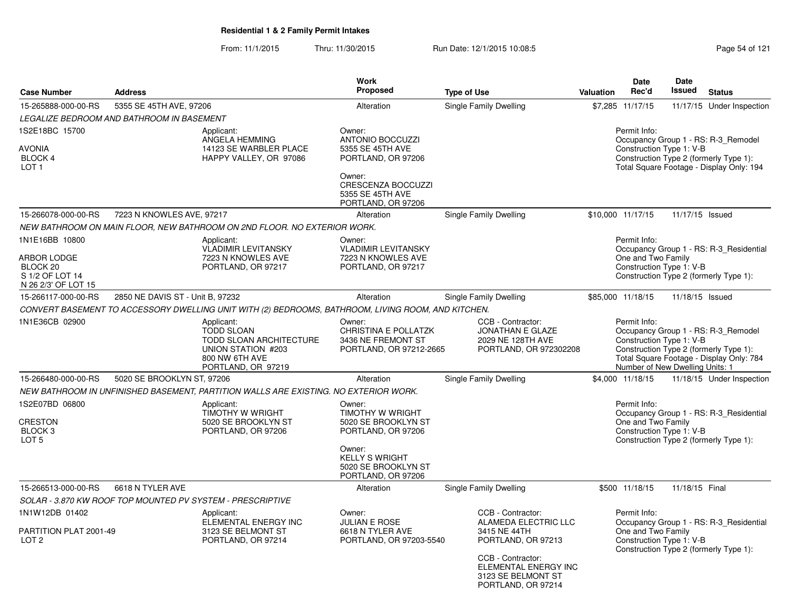From: 11/1/2015Thru: 11/30/2015 **Run Date: 12/1/2015 10:08:5** Register 2010 Page 54 of 121

|                                                                                            |                                           |                                                                                                                          | Work                                                                                                                                                  |                                                                                             |           | <b>Date</b>                                                                 | Date            |                                                                                                                           |
|--------------------------------------------------------------------------------------------|-------------------------------------------|--------------------------------------------------------------------------------------------------------------------------|-------------------------------------------------------------------------------------------------------------------------------------------------------|---------------------------------------------------------------------------------------------|-----------|-----------------------------------------------------------------------------|-----------------|---------------------------------------------------------------------------------------------------------------------------|
| <b>Case Number</b>                                                                         | <b>Address</b>                            |                                                                                                                          | <b>Proposed</b>                                                                                                                                       | <b>Type of Use</b>                                                                          | Valuation | Rec'd                                                                       | Issued          | <b>Status</b>                                                                                                             |
| 15-265888-000-00-RS                                                                        | 5355 SE 45TH AVE, 97206                   |                                                                                                                          | Alteration                                                                                                                                            | Single Family Dwelling                                                                      |           | \$7,285 11/17/15                                                            |                 | 11/17/15 Under Inspection                                                                                                 |
|                                                                                            | LEGALIZE BEDROOM AND BATHROOM IN BASEMENT |                                                                                                                          |                                                                                                                                                       |                                                                                             |           |                                                                             |                 |                                                                                                                           |
| 1S2E18BC 15700<br><b>AVONIA</b><br><b>BLOCK 4</b><br>LOT <sub>1</sub>                      |                                           | Applicant:<br>ANGELA HEMMING<br>14123 SE WARBLER PLACE<br>HAPPY VALLEY, OR 97086                                         | Owner:<br><b>ANTONIO BOCCUZZI</b><br>5355 SE 45TH AVE<br>PORTLAND, OR 97206<br>Owner:<br>CRESCENZA BOCCUZZI<br>5355 SE 45TH AVE<br>PORTLAND, OR 97206 |                                                                                             |           | Permit Info:<br>Construction Type 1: V-B                                    |                 | Occupancy Group 1 - RS: R-3_Remodel<br>Construction Type 2 (formerly Type 1):<br>Total Square Footage - Display Only: 194 |
| 15-266078-000-00-RS                                                                        | 7223 N KNOWLES AVE, 97217                 |                                                                                                                          | Alteration                                                                                                                                            | <b>Single Family Dwelling</b>                                                               |           | \$10,000 11/17/15                                                           | 11/17/15 Issued |                                                                                                                           |
|                                                                                            |                                           | NEW BATHROOM ON MAIN FLOOR, NEW BATHROOM ON 2ND FLOOR. NO EXTERIOR WORK.                                                 |                                                                                                                                                       |                                                                                             |           |                                                                             |                 |                                                                                                                           |
| 1N1E16BB 10800<br><b>ARBOR LODGE</b><br>BLOCK 20<br>S 1/2 OF LOT 14<br>N 26 2/3' OF LOT 15 |                                           | Applicant:<br><b>VLADIMIR LEVITANSKY</b><br>7223 N KNOWLES AVE<br>PORTLAND, OR 97217                                     | Owner:<br><b>VLADIMIR LEVITANSKY</b><br>7223 N KNOWLES AVE<br>PORTLAND, OR 97217                                                                      |                                                                                             |           | Permit Info:<br>One and Two Family<br>Construction Type 1: V-B              |                 | Occupancy Group 1 - RS: R-3 Residential<br>Construction Type 2 (formerly Type 1):                                         |
| 15-266117-000-00-RS                                                                        | 2850 NE DAVIS ST - Unit B, 97232          |                                                                                                                          | Alteration                                                                                                                                            | Single Family Dwelling                                                                      |           | \$85,000 11/18/15                                                           | 11/18/15 Issued |                                                                                                                           |
|                                                                                            |                                           | CONVERT BASEMENT TO ACCESSORY DWELLING UNIT WITH (2) BEDROOMS, BATHROOM, LIVING ROOM, AND KITCHEN.                       |                                                                                                                                                       |                                                                                             |           |                                                                             |                 |                                                                                                                           |
| 1N1E36CB 02900                                                                             |                                           | Applicant:<br><b>TODD SLOAN</b><br>TODD SLOAN ARCHITECTURE<br>UNION STATION #203<br>800 NW 6TH AVE<br>PORTLAND, OR 97219 | Owner:<br>CHRISTINA E POLLATZK<br>3436 NE FREMONT ST<br>PORTLAND, OR 97212-2665                                                                       | CCB - Contractor:<br><b>JONATHAN E GLAZE</b><br>2029 NE 128TH AVE<br>PORTLAND, OR 972302208 |           | Permit Info:<br>Construction Type 1: V-B<br>Number of New Dwelling Units: 1 |                 | Occupancy Group 1 - RS: R-3_Remodel<br>Construction Type 2 (formerly Type 1):<br>Total Square Footage - Display Only: 784 |
| 15-266480-000-00-RS                                                                        | 5020 SE BROOKLYN ST, 97206                |                                                                                                                          | Alteration                                                                                                                                            | Single Family Dwelling                                                                      |           | \$4,000 11/18/15                                                            |                 | 11/18/15 Under Inspection                                                                                                 |
|                                                                                            |                                           | NEW BATHROOM IN UNFINISHED BASEMENT, PARTITION WALLS ARE EXISTING. NO EXTERIOR WORK.                                     |                                                                                                                                                       |                                                                                             |           |                                                                             |                 |                                                                                                                           |
| 1S2E07BD 06800<br><b>CRESTON</b><br>BLOCK <sub>3</sub><br>LOT <sub>5</sub>                 |                                           | Applicant:<br>TIMOTHY W WRIGHT<br>5020 SE BROOKLYN ST<br>PORTLAND, OR 97206                                              | Owner:<br>TIMOTHY W WRIGHT<br>5020 SE BROOKLYN ST<br>PORTLAND, OR 97206                                                                               |                                                                                             |           | Permit Info:<br>One and Two Family<br>Construction Type 1: V-B              |                 | Occupancy Group 1 - RS: R-3_Residential<br>Construction Type 2 (formerly Type 1):                                         |
|                                                                                            |                                           |                                                                                                                          | Owner:<br><b>KELLY S WRIGHT</b><br>5020 SE BROOKLYN ST<br>PORTLAND, OR 97206                                                                          |                                                                                             |           |                                                                             |                 |                                                                                                                           |
| 15-266513-000-00-RS                                                                        | 6618 N TYLER AVE                          |                                                                                                                          | Alteration                                                                                                                                            | Single Family Dwelling                                                                      |           | \$500 11/18/15                                                              | 11/18/15 Final  |                                                                                                                           |
|                                                                                            |                                           | SOLAR - 3.870 KW ROOF TOP MOUNTED PV SYSTEM - PRESCRIPTIVE                                                               |                                                                                                                                                       |                                                                                             |           |                                                                             |                 |                                                                                                                           |
| 1N1W12DB 01402                                                                             |                                           | Applicant:<br>ELEMENTAL ENERGY INC                                                                                       | Owner:<br><b>JULIAN E ROSE</b>                                                                                                                        | CCB - Contractor:<br>ALAMEDA ELECTRIC LLC                                                   |           | Permit Info:                                                                |                 | Occupancy Group 1 - RS: R-3_Residential                                                                                   |
| PARTITION PLAT 2001-49<br>LOT <sub>2</sub>                                                 |                                           | 3123 SE BELMONT ST<br>PORTLAND, OR 97214                                                                                 | 6618 N TYLER AVE<br>PORTLAND, OR 97203-5540                                                                                                           | 3415 NE 44TH<br>PORTLAND, OR 97213                                                          |           | One and Two Family<br>Construction Type 1: V-B                              |                 | Construction Type 2 (formerly Type 1):                                                                                    |
|                                                                                            |                                           |                                                                                                                          |                                                                                                                                                       | CCB - Contractor:<br>ELEMENTAL ENERGY INC<br>3123 SE BELMONT ST<br>PORTLAND, OR 97214       |           |                                                                             |                 |                                                                                                                           |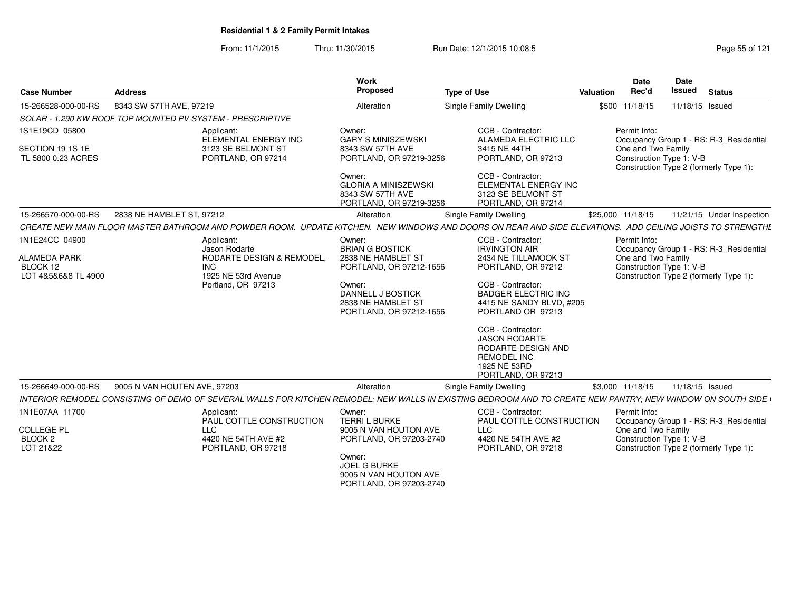From: 11/1/2015Thru: 11/30/2015 Run Date: 12/1/2015 10:08:5<br>
Page 55 of 121

| <b>Case Number</b>                      | <b>Address</b>                                                                                                                                             | Work<br>Proposed                                                                     | <b>Type of Use</b>                                                                                                                 | Valuation | <b>Date</b><br>Rec'd                           | <b>Date</b><br><b>Issued</b> | <b>Status</b>                           |
|-----------------------------------------|------------------------------------------------------------------------------------------------------------------------------------------------------------|--------------------------------------------------------------------------------------|------------------------------------------------------------------------------------------------------------------------------------|-----------|------------------------------------------------|------------------------------|-----------------------------------------|
| 15-266528-000-00-RS                     | 8343 SW 57TH AVE, 97219                                                                                                                                    | Alteration                                                                           | Single Family Dwelling                                                                                                             |           | \$500 11/18/15                                 |                              | 11/18/15 Issued                         |
|                                         | SOLAR - 1.290 KW ROOF TOP MOUNTED PV SYSTEM - PRESCRIPTIVE                                                                                                 |                                                                                      |                                                                                                                                    |           |                                                |                              |                                         |
| 1S1E19CD 05800                          | Applicant:<br>ELEMENTAL ENERGY INC                                                                                                                         | Owner:<br><b>GARY S MINISZEWSKI</b>                                                  | CCB - Contractor:<br><b>ALAMEDA ELECTRIC LLC</b>                                                                                   |           | Permit Info:                                   |                              | Occupancy Group 1 - RS: R-3_Residential |
| SECTION 19 1S 1E<br>TL 5800 0.23 ACRES  | 3123 SE BELMONT ST<br>PORTLAND, OR 97214                                                                                                                   | 8343 SW 57TH AVE<br>PORTLAND, OR 97219-3256                                          | 3415 NE 44TH<br>PORTLAND, OR 97213                                                                                                 |           | One and Two Family<br>Construction Type 1: V-B |                              | Construction Type 2 (formerly Type 1):  |
|                                         |                                                                                                                                                            | Owner:<br><b>GLORIA A MINISZEWSKI</b><br>8343 SW 57TH AVE<br>PORTLAND, OR 97219-3256 | CCB - Contractor:<br>ELEMENTAL ENERGY INC<br>3123 SE BELMONT ST<br>PORTLAND, OR 97214                                              |           |                                                |                              |                                         |
| 15-266570-000-00-RS                     | 2838 NE HAMBLET ST. 97212                                                                                                                                  | Alteration                                                                           | Single Family Dwelling                                                                                                             |           | \$25,000 11/18/15                              |                              | 11/21/15 Under Inspection               |
|                                         | CREATE NEW MAIN FLOOR MASTER BATHROOM AND POWDER ROOM. UPDATE KITCHEN. NEW WINDOWS AND DOORS ON REAR AND SIDE ELEVATIONS. ADD CEILING JOISTS TO STRENGTHE  |                                                                                      |                                                                                                                                    |           |                                                |                              |                                         |
| 1N1E24CC 04900                          | Applicant:<br>Jason Rodarte                                                                                                                                | Owner:<br><b>BRIAN G BOSTICK</b>                                                     | CCB - Contractor:<br><b>IRVINGTON AIR</b>                                                                                          |           | Permit Info:                                   |                              | Occupancy Group 1 - RS: R-3_Residential |
| <b>ALAMEDA PARK</b><br>BLOCK 12         | <b>RODARTE DESIGN &amp; REMODEL</b><br>INC.                                                                                                                | 2838 NE HAMBLET ST<br>PORTLAND, OR 97212-1656                                        | 2434 NE TILLAMOOK ST<br>PORTLAND, OR 97212                                                                                         |           | One and Two Family<br>Construction Type 1: V-B |                              |                                         |
| LOT 4&5&6&8 TL 4900                     | 1925 NE 53rd Avenue<br>Portland, OR 97213                                                                                                                  | Owner:<br>DANNELL J BOSTICK<br>2838 NE HAMBLET ST<br>PORTLAND, OR 97212-1656         | CCB - Contractor:<br><b>BADGER ELECTRIC INC</b><br>4415 NE SANDY BLVD, #205<br>PORTLAND OR 97213                                   |           |                                                |                              | Construction Type 2 (formerly Type 1):  |
|                                         |                                                                                                                                                            |                                                                                      | CCB - Contractor:<br><b>JASON RODARTE</b><br><b>RODARTE DESIGN AND</b><br><b>REMODEL INC</b><br>1925 NE 53RD<br>PORTLAND, OR 97213 |           |                                                |                              |                                         |
| 15-266649-000-00-RS                     | 9005 N VAN HOUTEN AVE, 97203                                                                                                                               | Alteration                                                                           | Single Family Dwelling                                                                                                             |           | \$3.000 11/18/15                               |                              | 11/18/15 Issued                         |
|                                         | INTERIOR REMODEL CONSISTING OF DEMO OF SEVERAL WALLS FOR KITCHEN REMODEL; NEW WALLS IN EXISTING BEDROOM AND TO CREATE NEW PANTRY; NEW WINDOW ON SOUTH SIDE |                                                                                      |                                                                                                                                    |           |                                                |                              |                                         |
| 1N1E07AA 11700                          | Applicant:<br>PAUL COTTLE CONSTRUCTION                                                                                                                     | Owner:<br>TERRI L BURKE                                                              | CCB - Contractor:<br>PAUL COTTLE CONSTRUCTION                                                                                      |           | Permit Info:                                   |                              | Occupancy Group 1 - RS: R-3_Residential |
| <b>COLLEGE PL</b><br>BLOCK <sub>2</sub> | <b>LLC</b><br>4420 NE 54TH AVE #2                                                                                                                          | 9005 N VAN HOUTON AVE<br>PORTLAND, OR 97203-2740                                     | <b>LLC</b><br>4420 NE 54TH AVE #2                                                                                                  |           | One and Two Family<br>Construction Type 1: V-B |                              |                                         |
| LOT 21&22                               | PORTLAND, OR 97218                                                                                                                                         | Owner:<br><b>JOEL G BURKE</b><br>9005 N VAN HOUTON AVE<br>PORTLAND, OR 97203-2740    | PORTLAND, OR 97218                                                                                                                 |           |                                                |                              | Construction Type 2 (formerly Type 1):  |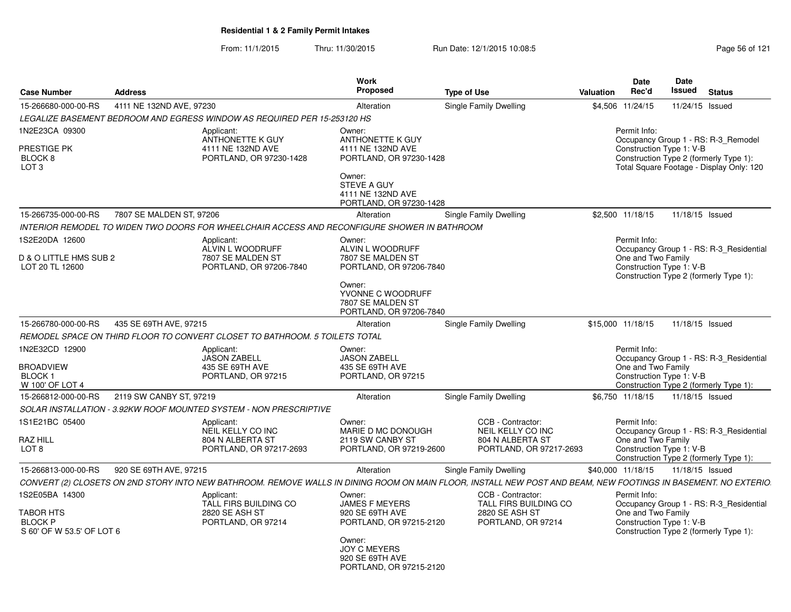From: 11/1/2015Thru: 11/30/2015 Run Date: 12/1/2015 10:08:5<br>
Page 56 of 121

|                                                                            |                          |                                                                                              | Work                                                                                                                                                         |                                                                                                                                                                 |           | <b>Date</b>                                                    | <b>Date</b> |                                                                                                                           |
|----------------------------------------------------------------------------|--------------------------|----------------------------------------------------------------------------------------------|--------------------------------------------------------------------------------------------------------------------------------------------------------------|-----------------------------------------------------------------------------------------------------------------------------------------------------------------|-----------|----------------------------------------------------------------|-------------|---------------------------------------------------------------------------------------------------------------------------|
| <b>Case Number</b>                                                         | <b>Address</b>           |                                                                                              | <b>Proposed</b>                                                                                                                                              | <b>Type of Use</b>                                                                                                                                              | Valuation | Rec'd                                                          | Issued      | <b>Status</b>                                                                                                             |
| 15-266680-000-00-RS                                                        | 4111 NE 132ND AVE, 97230 |                                                                                              | Alteration                                                                                                                                                   | Single Family Dwelling                                                                                                                                          |           | \$4,506 11/24/15                                               |             | 11/24/15 Issued                                                                                                           |
|                                                                            |                          | LEGALIZE BASEMENT BEDROOM AND EGRESS WINDOW AS REQUIRED PER 15-253120 HS                     |                                                                                                                                                              |                                                                                                                                                                 |           |                                                                |             |                                                                                                                           |
| 1N2E23CA 09300<br>PRESTIGE PK<br>BLOCK 8<br>LOT <sub>3</sub>               |                          | Applicant:<br>ANTHONETTE K GUY<br>4111 NE 132ND AVE<br>PORTLAND, OR 97230-1428               | Owner:<br>ANTHONETTE K GUY<br>4111 NE 132ND AVE<br>PORTLAND, OR 97230-1428<br>Owner:<br>STEVE A GUY<br>4111 NE 132ND AVE<br>PORTLAND, OR 97230-1428          |                                                                                                                                                                 |           | Permit Info:<br>Construction Type 1: V-B                       |             | Occupancy Group 1 - RS: R-3 Remodel<br>Construction Type 2 (formerly Type 1):<br>Total Square Footage - Display Only: 120 |
| 15-266735-000-00-RS                                                        | 7807 SE MALDEN ST, 97206 |                                                                                              | Alteration                                                                                                                                                   | Single Family Dwelling                                                                                                                                          |           | \$2,500 11/18/15                                               |             | 11/18/15 Issued                                                                                                           |
|                                                                            |                          | INTERIOR REMODEL TO WIDEN TWO DOORS FOR WHEELCHAIR ACCESS AND RECONFIGURE SHOWER IN BATHROOM |                                                                                                                                                              |                                                                                                                                                                 |           |                                                                |             |                                                                                                                           |
| 1S2E20DA 12600<br>D & O LITTLE HMS SUB 2<br>LOT 20 TL 12600                |                          | Applicant:<br>ALVIN L WOODRUFF<br>7807 SE MALDEN ST<br>PORTLAND, OR 97206-7840               | Owner:<br>ALVIN L WOODRUFF<br>7807 SE MALDEN ST<br>PORTLAND, OR 97206-7840<br>Owner:<br>YVONNE C WOODRUFF<br>7807 SE MALDEN ST<br>PORTLAND, OR 97206-7840    |                                                                                                                                                                 |           | Permit Info:<br>One and Two Family<br>Construction Type 1: V-B |             | Occupancy Group 1 - RS: R-3_Residential<br>Construction Type 2 (formerly Type 1):                                         |
| 15-266780-000-00-RS                                                        | 435 SE 69TH AVE, 97215   |                                                                                              | Alteration                                                                                                                                                   | Single Family Dwelling                                                                                                                                          |           | \$15,000 11/18/15                                              |             | 11/18/15 Issued                                                                                                           |
|                                                                            |                          | REMODEL SPACE ON THIRD FLOOR TO CONVERT CLOSET TO BATHROOM. 5 TOILETS TOTAL                  |                                                                                                                                                              |                                                                                                                                                                 |           |                                                                |             |                                                                                                                           |
| 1N2E32CD 12900<br><b>BROADVIEW</b><br><b>BLOCK1</b><br>W 100' OF LOT 4     |                          | Applicant:<br><b>JASON ZABELL</b><br>435 SE 69TH AVE<br>PORTLAND, OR 97215                   | Owner:<br><b>JASON ZABELL</b><br>435 SE 69TH AVE<br>PORTLAND, OR 97215                                                                                       |                                                                                                                                                                 |           | Permit Info:<br>One and Two Family<br>Construction Type 1: V-B |             | Occupancy Group 1 - RS: R-3 Residential<br>Construction Type 2 (formerly Type 1):                                         |
| 15-266812-000-00-RS                                                        | 2119 SW CANBY ST, 97219  |                                                                                              | Alteration                                                                                                                                                   | Single Family Dwelling                                                                                                                                          |           | \$6,750 11/18/15                                               |             | 11/18/15 Issued                                                                                                           |
|                                                                            |                          | SOLAR INSTALLATION - 3.92KW ROOF MOUNTED SYSTEM - NON PRESCRIPTIVE                           |                                                                                                                                                              |                                                                                                                                                                 |           |                                                                |             |                                                                                                                           |
| 1S1E21BC 05400<br><b>RAZ HILL</b><br>LOT <sub>8</sub>                      |                          | Applicant:<br>NEIL KELLY CO INC<br>804 N ALBERTA ST<br>PORTLAND, OR 97217-2693               | Owner:<br>MARIE D MC DONOUGH<br>2119 SW CANBY ST<br>PORTLAND, OR 97219-2600                                                                                  | CCB - Contractor:<br>NEIL KELLY CO INC<br>804 N ALBERTA ST<br>PORTLAND, OR 97217-2693                                                                           |           | Permit Info:<br>One and Two Family<br>Construction Type 1: V-B |             | Occupancy Group 1 - RS: R-3 Residential<br>Construction Type 2 (formerly Type 1):                                         |
| 15-266813-000-00-RS                                                        | 920 SE 69TH AVE, 97215   |                                                                                              | Alteration                                                                                                                                                   | Single Family Dwelling                                                                                                                                          |           | \$40,000 11/18/15                                              |             | 11/18/15 Issued                                                                                                           |
|                                                                            |                          |                                                                                              |                                                                                                                                                              | CONVERT (2) CLOSETS ON 2ND STORY INTO NEW BATHROOM. REMOVE WALLS IN DINING ROOM ON MAIN FLOOR, INSTALL NEW POST AND BEAM, NEW FOOTINGS IN BASEMENT. NO EXTERIO. |           |                                                                |             |                                                                                                                           |
| 1S2E05BA 14300<br>TABOR HTS<br><b>BLOCK P</b><br>S 60' OF W 53.5' OF LOT 6 |                          | Applicant:<br>TALL FIRS BUILDING CO<br>2820 SE ASH ST<br>PORTLAND, OR 97214                  | Owner:<br><b>JAMES F MEYERS</b><br>920 SE 69TH AVE<br>PORTLAND, OR 97215-2120<br>Owner:<br><b>JOY C MEYERS</b><br>920 SE 69TH AVE<br>PORTLAND, OR 97215-2120 | CCB - Contractor:<br>TALL FIRS BUILDING CO<br><b>2820 SE ASH ST</b><br>PORTLAND, OR 97214                                                                       |           | Permit Info:<br>One and Two Family<br>Construction Type 1: V-B |             | Occupancy Group 1 - RS: R-3 Residential<br>Construction Type 2 (formerly Type 1):                                         |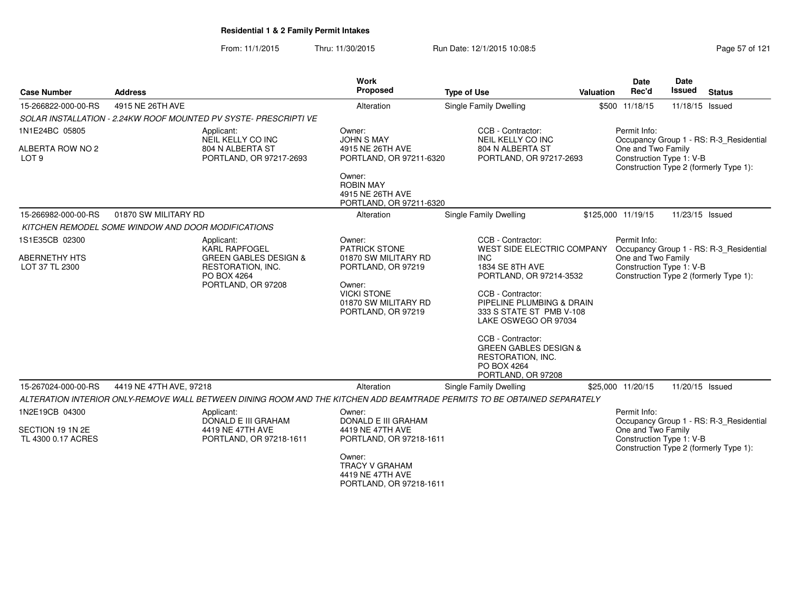From: 11/1/2015Thru: 11/30/2015 Run Date: 12/1/2015 10:08:5<br>
Page 57 of 121

|                                        |                                                                                                                          | Work<br>Proposed                                                                                                                                 |                                                                                                                                                                                                                                                                                                           |                  | <b>Date</b>                                    | <b>Date</b>     |                                                                                   |
|----------------------------------------|--------------------------------------------------------------------------------------------------------------------------|--------------------------------------------------------------------------------------------------------------------------------------------------|-----------------------------------------------------------------------------------------------------------------------------------------------------------------------------------------------------------------------------------------------------------------------------------------------------------|------------------|------------------------------------------------|-----------------|-----------------------------------------------------------------------------------|
| <b>Case Number</b>                     | <b>Address</b>                                                                                                           |                                                                                                                                                  | <b>Type of Use</b>                                                                                                                                                                                                                                                                                        | <b>Valuation</b> | Rec'd                                          | Issued          | <b>Status</b>                                                                     |
| 15-266822-000-00-RS                    | 4915 NE 26TH AVE                                                                                                         | Alteration                                                                                                                                       | <b>Single Family Dwelling</b>                                                                                                                                                                                                                                                                             |                  | \$500 11/18/15                                 | 11/18/15 Issued |                                                                                   |
|                                        | SOLAR INSTALLATION - 2.24KW ROOF MOUNTED PV SYSTE- PRESCRIPTI VE                                                         |                                                                                                                                                  |                                                                                                                                                                                                                                                                                                           |                  |                                                |                 |                                                                                   |
| 1N1E24BC 05805                         | Applicant:<br>NEIL KELLY CO INC                                                                                          | Owner:<br><b>JOHN S MAY</b>                                                                                                                      | CCB - Contractor:<br>NEIL KELLY CO INC                                                                                                                                                                                                                                                                    |                  | Permit Info:                                   |                 | Occupancy Group 1 - RS: R-3_Residential                                           |
| ALBERTA ROW NO 2<br>LOT <sub>9</sub>   | 804 N ALBERTA ST<br>PORTLAND, OR 97217-2693                                                                              | 4915 NE 26TH AVE<br>PORTLAND, OR 97211-6320                                                                                                      | 804 N ALBERTA ST<br>PORTLAND, OR 97217-2693                                                                                                                                                                                                                                                               |                  | One and Two Family<br>Construction Type 1: V-B |                 | Construction Type 2 (formerly Type 1):                                            |
|                                        |                                                                                                                          | Owner:<br><b>ROBIN MAY</b><br>4915 NE 26TH AVE<br>PORTLAND, OR 97211-6320                                                                        |                                                                                                                                                                                                                                                                                                           |                  |                                                |                 |                                                                                   |
| 15-266982-000-00-RS                    | 01870 SW MILITARY RD                                                                                                     | Alteration                                                                                                                                       | Single Family Dwelling                                                                                                                                                                                                                                                                                    |                  | \$125,000 11/19/15                             | 11/23/15 Issued |                                                                                   |
|                                        | KITCHEN REMODEL SOME WINDOW AND DOOR MODIFICATIONS                                                                       |                                                                                                                                                  |                                                                                                                                                                                                                                                                                                           |                  |                                                |                 |                                                                                   |
| 1S1E35CB 02300                         | Applicant:                                                                                                               | Owner:                                                                                                                                           | CCB - Contractor:                                                                                                                                                                                                                                                                                         |                  | Permit Info:                                   |                 |                                                                                   |
| <b>ABERNETHY HTS</b><br>LOT 37 TL 2300 | <b>KARL RAPFOGEL</b><br><b>GREEN GABLES DESIGN &amp;</b><br>RESTORATION, INC.<br>PO BOX 4264<br>PORTLAND, OR 97208       | <b>PATRICK STONE</b><br>01870 SW MILITARY RD<br>PORTLAND, OR 97219<br>Owner:<br><b>VICKI STONE</b><br>01870 SW MILITARY RD<br>PORTLAND, OR 97219 | WEST SIDE ELECTRIC COMPANY<br>INC.<br>1834 SE 8TH AVE<br>PORTLAND, OR 97214-3532<br>CCB - Contractor:<br>PIPELINE PLUMBING & DRAIN<br>333 S STATE ST PMB V-108<br>LAKE OSWEGO OR 97034<br>CCB - Contractor:<br><b>GREEN GABLES DESIGN &amp;</b><br>RESTORATION, INC.<br>PO BOX 4264<br>PORTLAND, OR 97208 |                  | One and Two Family<br>Construction Type 1: V-B |                 | Occupancy Group 1 - RS: R-3_Residential<br>Construction Type 2 (formerly Type 1): |
| 15-267024-000-00-RS                    | 4419 NE 47TH AVE, 97218                                                                                                  | Alteration                                                                                                                                       | <b>Single Family Dwelling</b>                                                                                                                                                                                                                                                                             |                  | \$25,000 11/20/15                              | 11/20/15 Issued |                                                                                   |
|                                        | ALTERATION INTERIOR ONLY-REMOVE WALL BETWEEN DINING ROOM AND THE KITCHEN ADD BEAMTRADE PERMITS TO BE OBTAINED SEPARATELY |                                                                                                                                                  |                                                                                                                                                                                                                                                                                                           |                  |                                                |                 |                                                                                   |
| 1N2E19CB 04300                         | Applicant:<br>DONALD E III GRAHAM                                                                                        | Owner:<br>DONALD E III GRAHAM                                                                                                                    |                                                                                                                                                                                                                                                                                                           |                  | Permit Info:                                   |                 | Occupancy Group 1 - RS: R-3 Residential                                           |
| SECTION 19 1N 2E<br>TL 4300 0.17 ACRES | 4419 NE 47TH AVE<br>PORTLAND, OR 97218-1611                                                                              | 4419 NE 47TH AVE<br>PORTLAND, OR 97218-1611                                                                                                      |                                                                                                                                                                                                                                                                                                           |                  | One and Two Family<br>Construction Type 1: V-B |                 | Construction Type 2 (formerly Type 1):                                            |
|                                        |                                                                                                                          | Owner:<br><b>TRACY V GRAHAM</b><br>4419 NE 47TH AVE<br>PORTLAND, OR 97218-1611                                                                   |                                                                                                                                                                                                                                                                                                           |                  |                                                |                 |                                                                                   |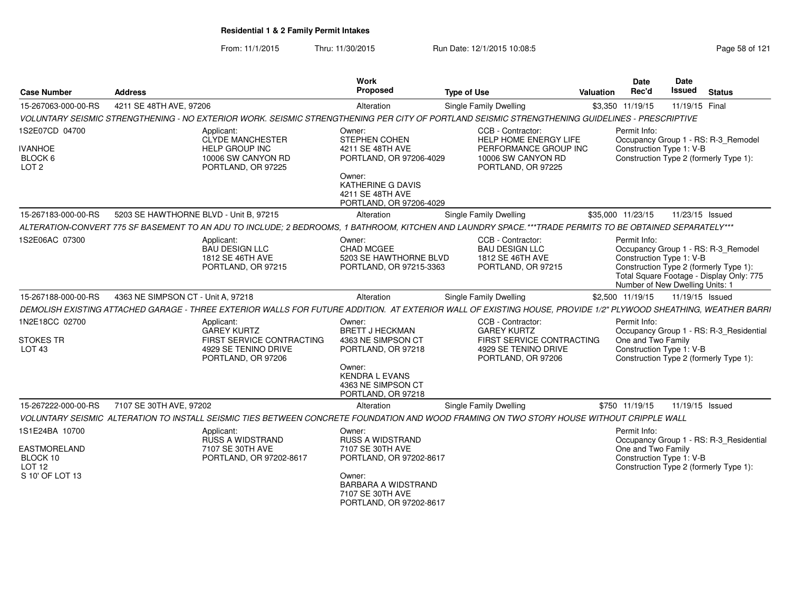From: 11/1/2015Thru: 11/30/2015 Run Date: 12/1/2015 10:08:5<br>
Page 58 of 121

| <b>Case Number</b>                                              | <b>Address</b>                                                                                                                                                  | Work<br>Proposed                                                                                                        | <b>Type of Use</b>                                                                                              | <b>Valuation</b> | <b>Date</b><br>Rec'd                                                        | Date<br><b>Issued</b> | <b>Status</b>                                                                                                             |
|-----------------------------------------------------------------|-----------------------------------------------------------------------------------------------------------------------------------------------------------------|-------------------------------------------------------------------------------------------------------------------------|-----------------------------------------------------------------------------------------------------------------|------------------|-----------------------------------------------------------------------------|-----------------------|---------------------------------------------------------------------------------------------------------------------------|
| 15-267063-000-00-RS                                             | 4211 SE 48TH AVE, 97206                                                                                                                                         | Alteration                                                                                                              | <b>Single Family Dwelling</b>                                                                                   |                  | \$3,350 11/19/15                                                            | 11/19/15 Final        |                                                                                                                           |
|                                                                 | VOLUNTARY SEISMIC STRENGTHENING - NO EXTERIOR WORK. SEISMIC STRENGTHENING PER CITY OF PORTLAND SEISMIC STRENGTHENING GUIDELINES - PRESCRIPTIVE                  |                                                                                                                         |                                                                                                                 |                  |                                                                             |                       |                                                                                                                           |
| 1S2E07CD 04700<br><b>IVANHOE</b><br>BLOCK 6<br>LOT <sub>2</sub> | Applicant:<br><b>CLYDE MANCHESTER</b><br><b>HELP GROUP INC</b><br>10006 SW CANYON RD<br>PORTLAND, OR 97225                                                      | Owner:<br>STEPHEN COHEN<br>4211 SE 48TH AVE<br>PORTLAND, OR 97206-4029<br>Owner:<br><b>KATHERINE G DAVIS</b>            | CCB - Contractor:<br>HELP HOME ENERGY LIFE<br>PERFORMANCE GROUP INC<br>10006 SW CANYON RD<br>PORTLAND, OR 97225 |                  | Permit Info:<br>Construction Type 1: V-B                                    |                       | Occupancy Group 1 - RS: R-3_Remodel<br>Construction Type 2 (formerly Type 1):                                             |
|                                                                 |                                                                                                                                                                 | 4211 SE 48TH AVE<br>PORTLAND, OR 97206-4029                                                                             |                                                                                                                 |                  |                                                                             |                       |                                                                                                                           |
| 15-267183-000-00-RS                                             | 5203 SE HAWTHORNE BLVD - Unit B, 97215                                                                                                                          | Alteration                                                                                                              | <b>Single Family Dwelling</b>                                                                                   |                  | \$35,000 11/23/15                                                           | 11/23/15 Issued       |                                                                                                                           |
|                                                                 | ALTERATION-CONVERT 775 SF BASEMENT TO AN ADU TO INCLUDE; 2 BEDROOMS, 1 BATHROOM, KITCHEN AND LAUNDRY SPACE.***TRADE PERMITS TO BE OBTAINED SEPARATELY***        |                                                                                                                         |                                                                                                                 |                  |                                                                             |                       |                                                                                                                           |
| 1S2E06AC 07300                                                  | Applicant:<br><b>BAU DESIGN LLC</b><br>1812 SE 46TH AVE<br>PORTLAND, OR 97215                                                                                   | Owner:<br>CHAD MCGEE<br>5203 SE HAWTHORNE BLVD<br>PORTLAND, OR 97215-3363                                               | CCB - Contractor:<br><b>BAU DESIGN LLC</b><br>1812 SE 46TH AVE<br>PORTLAND, OR 97215                            |                  | Permit Info:<br>Construction Type 1: V-B<br>Number of New Dwelling Units: 1 |                       | Occupancy Group 1 - RS: R-3_Remodel<br>Construction Type 2 (formerly Type 1):<br>Total Square Footage - Display Only: 775 |
| 15-267188-000-00-RS                                             | 4363 NE SIMPSON CT - Unit A, 97218                                                                                                                              | Alteration                                                                                                              | Single Family Dwelling                                                                                          |                  | \$2,500 11/19/15                                                            | 11/19/15 Issued       |                                                                                                                           |
|                                                                 | DEMOLISH EXISTING ATTACHED GARAGE - THREE EXTERIOR WALLS FOR FUTURE ADDITION. AT EXTERIOR WALL OF EXISTING HOUSE, PROVIDE 1/2" PLYWOOD SHEATHING, WEATHER BARRI |                                                                                                                         |                                                                                                                 |                  |                                                                             |                       |                                                                                                                           |
| 1N2E18CC 02700                                                  | Applicant:<br><b>GAREY KURTZ</b>                                                                                                                                | Owner:<br><b>BRETT J HECKMAN</b>                                                                                        | CCB - Contractor:<br><b>GAREY KURTZ</b>                                                                         |                  | Permit Info:                                                                |                       | Occupancy Group 1 - RS: R-3_Residential                                                                                   |
| <b>STOKES TR</b><br>LOT <sub>43</sub>                           | FIRST SERVICE CONTRACTING<br>4929 SE TENINO DRIVE<br>PORTLAND, OR 97206                                                                                         | 4363 NE SIMPSON CT<br>PORTLAND, OR 97218<br>Owner:<br><b>KENDRA L EVANS</b><br>4363 NE SIMPSON CT<br>PORTLAND, OR 97218 | FIRST SERVICE CONTRACTING<br>4929 SE TENINO DRIVE<br>PORTLAND, OR 97206                                         |                  | One and Two Family<br>Construction Type 1: V-B                              |                       | Construction Type 2 (formerly Type 1):                                                                                    |
| 15-267222-000-00-RS                                             | 7107 SE 30TH AVE, 97202                                                                                                                                         | Alteration                                                                                                              | Single Family Dwelling                                                                                          |                  | \$750 11/19/15                                                              | 11/19/15 Issued       |                                                                                                                           |
|                                                                 | VOLUNTARY SEISMIC ALTERATION TO INSTALL SEISMIC TIES BETWEEN CONCRETE FOUNDATION AND WOOD FRAMING ON TWO STORY HOUSE WITHOUT CRIPPLE WALL                       |                                                                                                                         |                                                                                                                 |                  |                                                                             |                       |                                                                                                                           |
| 1S1E24BA 10700                                                  | Applicant:<br>RUSS A WIDSTRAND                                                                                                                                  | Owner:<br><b>RUSS A WIDSTRAND</b>                                                                                       |                                                                                                                 |                  | Permit Info:                                                                |                       | Occupancy Group 1 - RS: R-3_Residential                                                                                   |
| <b>EASTMORELAND</b><br>BLOCK 10<br>LOT <sub>12</sub>            | 7107 SE 30TH AVE<br>PORTLAND, OR 97202-8617                                                                                                                     | 7107 SE 30TH AVE<br>PORTLAND, OR 97202-8617                                                                             |                                                                                                                 |                  | One and Two Family<br>Construction Type 1: V-B                              |                       | Construction Type 2 (formerly Type 1):                                                                                    |
| S 10' OF LOT 13                                                 |                                                                                                                                                                 | Owner:<br>BARBARA A WIDSTRAND<br>7107 SE 30TH AVE<br>PORTLAND, OR 97202-8617                                            |                                                                                                                 |                  |                                                                             |                       |                                                                                                                           |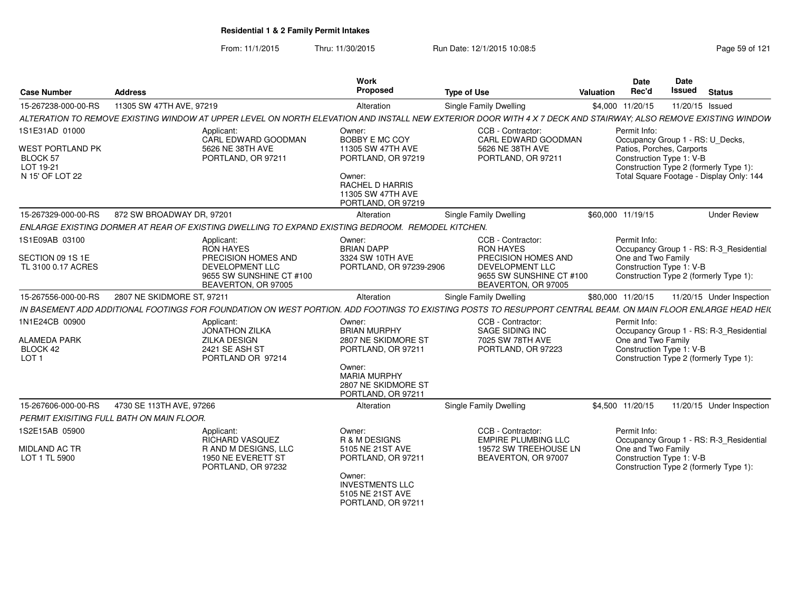From: 11/1/2015Thru: 11/30/2015 **Run Date: 12/1/2015 10:08:5 Research 2018** Page 59 of 121

| <b>Case Number</b>                                                                           | <b>Address</b>                            |                                                                                                                             | Work<br>Proposed                                                                                                                                         | <b>Type of Use</b>                                                                                                                                             | Valuation | Date<br>Rec'd                                                                                             | Date<br><b>Issued</b> | <b>Status</b>                                                                      |
|----------------------------------------------------------------------------------------------|-------------------------------------------|-----------------------------------------------------------------------------------------------------------------------------|----------------------------------------------------------------------------------------------------------------------------------------------------------|----------------------------------------------------------------------------------------------------------------------------------------------------------------|-----------|-----------------------------------------------------------------------------------------------------------|-----------------------|------------------------------------------------------------------------------------|
| 15-267238-000-00-RS                                                                          | 11305 SW 47TH AVE, 97219                  |                                                                                                                             | Alteration                                                                                                                                               | Single Family Dwelling                                                                                                                                         |           | \$4,000 11/20/15                                                                                          | 11/20/15 Issued       |                                                                                    |
|                                                                                              |                                           |                                                                                                                             |                                                                                                                                                          | ALTERATION TO REMOVE EXISTING WINDOW AT UPPER LEVEL ON NORTH ELEVATION AND INSTALL NEW EXTERIOR DOOR WITH 4 X 7 DECK AND STAIRWAY; ALSO REMOVE EXISTING WINDOW |           |                                                                                                           |                       |                                                                                    |
| 1S1E31AD 01000<br><b>WEST PORTLAND PK</b><br><b>BLOCK 57</b><br>LOT 19-21<br>N 15' OF LOT 22 |                                           | Applicant:<br>CARL EDWARD GOODMAN<br>5626 NE 38TH AVE<br>PORTLAND, OR 97211                                                 | Owner:<br>BOBBY E MC COY<br>11305 SW 47TH AVE<br>PORTLAND, OR 97219<br>Owner:<br><b>RACHEL D HARRIS</b><br>11305 SW 47TH AVE<br>PORTLAND, OR 97219       | CCB - Contractor:<br>CARL EDWARD GOODMAN<br>5626 NE 38TH AVE<br>PORTLAND, OR 97211                                                                             |           | Permit Info:<br>Occupancy Group 1 - RS: U_Decks,<br>Patios, Porches, Carports<br>Construction Type 1: V-B |                       | Construction Type 2 (formerly Type 1):<br>Total Square Footage - Display Only: 144 |
| 15-267329-000-00-RS                                                                          | 872 SW BROADWAY DR. 97201                 |                                                                                                                             | Alteration                                                                                                                                               | <b>Single Family Dwelling</b>                                                                                                                                  |           | \$60,000 11/19/15                                                                                         |                       | <b>Under Review</b>                                                                |
|                                                                                              |                                           | ENLARGE EXISTING DORMER AT REAR OF EXISTING DWELLING TO EXPAND EXISTING BEDROOM. REMODEL KITCHEN.                           |                                                                                                                                                          |                                                                                                                                                                |           |                                                                                                           |                       |                                                                                    |
| 1S1E09AB 03100<br>SECTION 09 1S 1E<br>TL 3100 0.17 ACRES                                     |                                           | Applicant:<br>RON HAYES<br>PRECISION HOMES AND<br><b>DEVELOPMENT LLC</b><br>9655 SW SUNSHINE CT #100<br>BEAVERTON, OR 97005 | Owner:<br><b>BRIAN DAPP</b><br>3324 SW 10TH AVE<br>PORTLAND, OR 97239-2906                                                                               | CCB - Contractor:<br><b>RON HAYES</b><br>PRECISION HOMES AND<br><b>DEVELOPMENT LLC</b><br>9655 SW SUNSHINE CT #100<br>BEAVERTON, OR 97005                      |           | Permit Info:<br>One and Two Family<br>Construction Type 1: V-B                                            |                       | Occupancy Group 1 - RS: R-3_Residential<br>Construction Type 2 (formerly Type 1):  |
| 15-267556-000-00-RS                                                                          | 2807 NE SKIDMORE ST, 97211                |                                                                                                                             | Alteration                                                                                                                                               | Single Family Dwelling                                                                                                                                         |           | \$80,000 11/20/15                                                                                         |                       | 11/20/15 Under Inspection                                                          |
|                                                                                              |                                           |                                                                                                                             |                                                                                                                                                          | IN BASEMENT ADD ADDITIONAL FOOTINGS FOR FOUNDATION ON WEST PORTION. ADD FOOTINGS TO EXISTING POSTS TO RESUPPORT CENTRAL BEAM. ON MAIN FLOOR ENLARGE HEAD HEI(  |           |                                                                                                           |                       |                                                                                    |
| 1N1E24CB 00900<br><b>ALAMEDA PARK</b><br>BLOCK 42<br>LOT <sub>1</sub>                        |                                           | Applicant:<br><b>JONATHON ZILKA</b><br><b>ZILKA DESIGN</b><br>2421 SE ASH ST<br>PORTLAND OR 97214                           | Owner:<br><b>BRIAN MURPHY</b><br>2807 NE SKIDMORE ST<br>PORTLAND, OR 97211<br>Owner:<br><b>MARIA MURPHY</b><br>2807 NE SKIDMORE ST<br>PORTLAND, OR 97211 | CCB - Contractor:<br>SAGE SIDING INC<br>7025 SW 78TH AVE<br>PORTLAND, OR 97223                                                                                 |           | Permit Info:<br>One and Two Family<br>Construction Type 1: V-B<br>Construction Type 2 (formerly Type 1):  |                       | Occupancy Group 1 - RS: R-3_Residential                                            |
| 15-267606-000-00-RS                                                                          | 4730 SE 113TH AVE, 97266                  |                                                                                                                             | Alteration                                                                                                                                               | <b>Single Family Dwelling</b>                                                                                                                                  |           | \$4,500 11/20/15                                                                                          |                       | 11/20/15 Under Inspection                                                          |
|                                                                                              | PERMIT EXISITING FULL BATH ON MAIN FLOOR. |                                                                                                                             |                                                                                                                                                          |                                                                                                                                                                |           |                                                                                                           |                       |                                                                                    |
| 1S2E15AB 05900<br><b>MIDLAND AC TR</b><br>LOT 1 TL 5900                                      |                                           | Applicant:<br>RICHARD VASQUEZ<br>R AND M DESIGNS, LLC<br>1950 NE EVERETT ST<br>PORTLAND, OR 97232                           | Owner:<br>R & M DESIGNS<br>5105 NE 21ST AVE<br>PORTLAND, OR 97211<br>Owner:<br><b>INVESTMENTS LLC</b><br>5105 NE 21ST AVE                                | CCB - Contractor:<br><b>EMPIRE PLUMBING LLC</b><br>19572 SW TREEHOUSE LN<br>BEAVERTON, OR 97007                                                                |           | Permit Info:<br>One and Two Family<br>Construction Type 1: V-B                                            |                       | Occupancy Group 1 - RS: R-3 Residential<br>Construction Type 2 (formerly Type 1):  |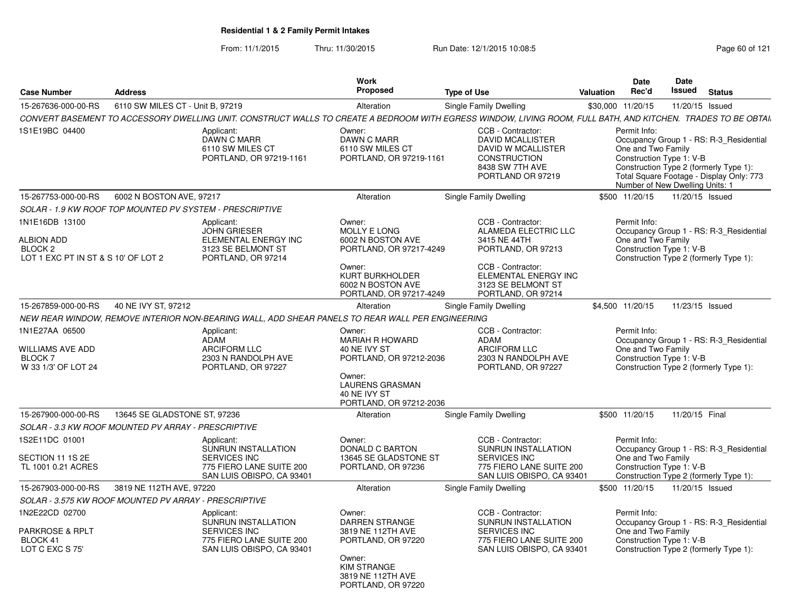From: 11/1/2015Thru: 11/30/2015 Run Date: 12/1/2015 10:08:5<br>
Page 60 of 121

| <b>Case Number</b>                                                                                                                                                                     | <b>Address</b>                                           |                                                                                                                   | <b>Work</b><br>Proposed                                                                                                                                           | <b>Valuation</b>                                                                                                                                                         | Date<br>Rec'd | Date<br><b>Issued</b>              | <b>Status</b>                                               |                                                                                                                               |
|----------------------------------------------------------------------------------------------------------------------------------------------------------------------------------------|----------------------------------------------------------|-------------------------------------------------------------------------------------------------------------------|-------------------------------------------------------------------------------------------------------------------------------------------------------------------|--------------------------------------------------------------------------------------------------------------------------------------------------------------------------|---------------|------------------------------------|-------------------------------------------------------------|-------------------------------------------------------------------------------------------------------------------------------|
| 15-267636-000-00-RS                                                                                                                                                                    | 6110 SW MILES CT - Unit B, 97219                         |                                                                                                                   | Alteration                                                                                                                                                        | Single Family Dwelling                                                                                                                                                   |               | \$30,000 11/20/15                  | 11/20/15 Issued                                             |                                                                                                                               |
|                                                                                                                                                                                        |                                                          |                                                                                                                   |                                                                                                                                                                   | CONVERT BASEMENT TO ACCESSORY DWELLING UNIT. CONSTRUCT WALLS TO CREATE A BEDROOM WITH EGRESS WINDOW, LIVING ROOM, FULL BATH, AND KITCHEN. TRADES TO BE OBTAI.            |               |                                    |                                                             |                                                                                                                               |
| 1S1E19BC 04400                                                                                                                                                                         |                                                          | Applicant:<br><b>DAWN C MARR</b><br>6110 SW MILES CT<br>PORTLAND, OR 97219-1161                                   | Owner:<br><b>DAWN C MARR</b><br>6110 SW MILES CT<br>PORTLAND, OR 97219-1161                                                                                       | CCB - Contractor:<br><b>DAVID MCALLISTER</b><br>DAVID W MCALLISTER<br><b>CONSTRUCTION</b><br>8438 SW 7TH AVE<br>PORTLAND OR 97219                                        |               | Permit Info:<br>One and Two Family | Construction Type 1: V-B<br>Number of New Dwelling Units: 1 | Occupancy Group 1 - RS: R-3_Residential<br>Construction Type 2 (formerly Type 1):<br>Total Square Footage - Display Only: 773 |
| 15-267753-000-00-RS                                                                                                                                                                    | 6002 N BOSTON AVE, 97217                                 |                                                                                                                   | Alteration                                                                                                                                                        | Single Family Dwelling                                                                                                                                                   |               | \$500 11/20/15                     | 11/20/15 Issued                                             |                                                                                                                               |
|                                                                                                                                                                                        | SOLAR - 1.9 KW ROOF TOP MOUNTED PV SYSTEM - PRESCRIPTIVE |                                                                                                                   |                                                                                                                                                                   |                                                                                                                                                                          |               |                                    |                                                             |                                                                                                                               |
| 1N1E16DB 13100<br><b>ALBION ADD</b><br>BLOCK <sub>2</sub><br>LOT 1 EXC PT IN ST & S 10' OF LOT 2                                                                                       |                                                          | Applicant:<br><b>JOHN GRIESER</b><br>ELEMENTAL ENERGY INC<br>3123 SE BELMONT ST<br>PORTLAND, OR 97214             | Owner:<br><b>MOLLY E LONG</b><br>6002 N BOSTON AVE<br>PORTLAND, OR 97217-4249<br>Owner:<br><b>KURT BURKHOLDER</b><br>6002 N BOSTON AVE<br>PORTLAND, OR 97217-4249 | CCB - Contractor:<br>ALAMEDA ELECTRIC LLC<br>3415 NE 44TH<br>PORTLAND, OR 97213<br>CCB - Contractor:<br>ELEMENTAL ENERGY INC<br>3123 SE BELMONT ST<br>PORTLAND, OR 97214 |               | Permit Info:<br>One and Two Family | Construction Type 1: V-B                                    | Occupancy Group 1 - RS: R-3 Residential<br>Construction Type 2 (formerly Type 1):                                             |
| 15-267859-000-00-RS                                                                                                                                                                    | 40 NE IVY ST, 97212                                      |                                                                                                                   | Alteration                                                                                                                                                        | Single Family Dwelling                                                                                                                                                   |               | \$4,500 11/20/15                   | 11/23/15 Issued                                             |                                                                                                                               |
|                                                                                                                                                                                        |                                                          |                                                                                                                   |                                                                                                                                                                   |                                                                                                                                                                          |               |                                    |                                                             |                                                                                                                               |
| NEW REAR WINDOW, REMOVE INTERIOR NON-BEARING WALL, ADD SHEAR PANELS TO REAR WALL PER ENGINEERING<br>1N1E27AA 06500<br><b>WILLIAMS AVE ADD</b><br><b>BLOCK 7</b><br>W 33 1/3' OF LOT 24 |                                                          | Applicant:<br><b>ADAM</b><br><b>ARCIFORM LLC</b><br>2303 N RANDOLPH AVE<br>PORTLAND, OR 97227                     | Owner:<br><b>MARIAH R HOWARD</b><br>40 NE IVY ST<br>PORTLAND, OR 97212-2036<br>Owner:<br><b>LAURENS GRASMAN</b><br>40 NE IVY ST<br>PORTLAND, OR 97212-2036        | CCB - Contractor:<br><b>ADAM</b><br><b>ARCIFORM LLC</b><br>2303 N RANDOLPH AVE<br>PORTLAND, OR 97227                                                                     |               | Permit Info:<br>One and Two Family | Construction Type 1: V-B                                    | Occupancy Group 1 - RS: R-3_Residential<br>Construction Type 2 (formerly Type 1):                                             |
| 15-267900-000-00-RS                                                                                                                                                                    | 13645 SE GLADSTONE ST, 97236                             |                                                                                                                   | Alteration                                                                                                                                                        | Single Family Dwelling                                                                                                                                                   |               | \$500 11/20/15                     | 11/20/15 Final                                              |                                                                                                                               |
|                                                                                                                                                                                        | SOLAR - 3.3 KW ROOF MOUNTED PV ARRAY - PRESCRIPTIVE      |                                                                                                                   |                                                                                                                                                                   |                                                                                                                                                                          |               |                                    |                                                             |                                                                                                                               |
| 1S2E11DC 01001<br>SECTION 11 1S 2E<br>TL 1001 0.21 ACRES                                                                                                                               |                                                          | Applicant:<br><b>SUNRUN INSTALLATION</b><br>SERVICES INC<br>775 FIERO LANE SUITE 200<br>SAN LUIS OBISPO, CA 93401 | Owner:<br><b>DONALD C BARTON</b><br>13645 SE GLADSTONE ST<br>PORTLAND, OR 97236                                                                                   | CCB - Contractor:<br><b>SUNRUN INSTALLATION</b><br><b>SERVICES INC</b><br>775 FIERO LANE SUITE 200<br>SAN LUIS OBISPO, CA 93401                                          |               | Permit Info:<br>One and Two Family | Construction Type 1: V-B                                    | Occupancy Group 1 - RS: R-3_Residential<br>Construction Type 2 (formerly Type 1):                                             |
| 15-267903-000-00-RS                                                                                                                                                                    | 3819 NE 112TH AVE, 97220                                 |                                                                                                                   | Alteration                                                                                                                                                        | Single Family Dwelling                                                                                                                                                   |               | \$500 11/20/15                     | 11/20/15 Issued                                             |                                                                                                                               |
|                                                                                                                                                                                        | SOLAR - 3.575 KW ROOF MOUNTED PV ARRAY - PRESCRIPTIVE    |                                                                                                                   |                                                                                                                                                                   |                                                                                                                                                                          |               |                                    |                                                             |                                                                                                                               |
| 1N2E22CD 02700<br><b>PARKROSE &amp; RPLT</b><br>BLOCK 41<br>LOT C EXC S 75'                                                                                                            |                                                          | Applicant:<br>SUNRUN INSTALLATION<br><b>SERVICES INC</b><br>775 FIERO LANE SUITE 200<br>SAN LUIS OBISPO, CA 93401 | Owner:<br>DARREN STRANGE<br>3819 NE 112TH AVE<br>PORTLAND, OR 97220<br>Owner:<br>KIM STRANGE<br>3819 NE 112TH AVE<br>PORTLAND, OR 97220                           | CCB - Contractor:<br>SUNRUN INSTALLATION<br><b>SERVICES INC</b><br>775 FIERO LANE SUITE 200<br>SAN LUIS OBISPO, CA 93401                                                 |               | Permit Info:<br>One and Two Family | Construction Type 1: V-B                                    | Occupancy Group 1 - RS: R-3 Residential<br>Construction Type 2 (formerly Type 1):                                             |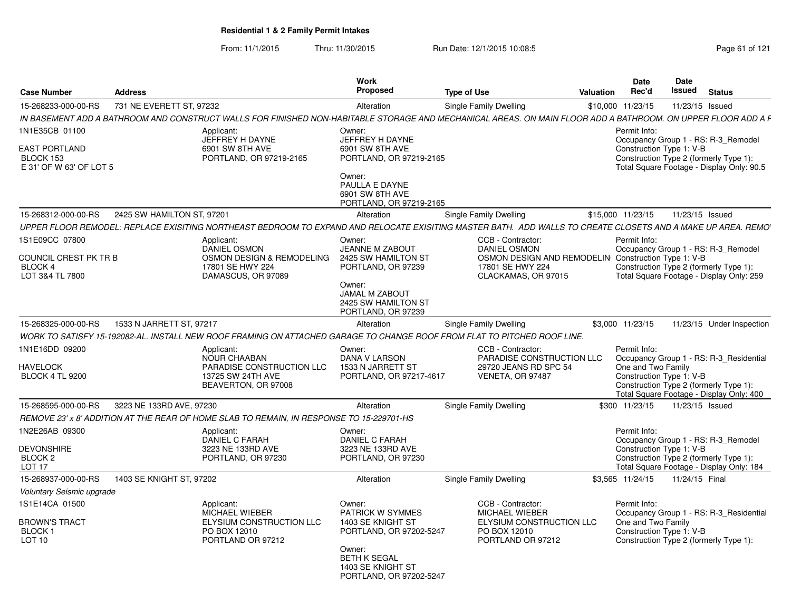From: 11/1/2015Thru: 11/30/2015 Run Date: 12/1/2015 10:08:5<br>
Page 61 of 121

| <b>Case Number</b>                                           | <b>Address</b>             |                                                                                          | Work<br><b>Proposed</b>                                                       | <b>Type of Use</b>                                                                                                                                           | <b>Valuation</b> | <b>Date</b><br>Rec'd                           | Date<br>Issued  | <b>Status</b>                                                                                                              |
|--------------------------------------------------------------|----------------------------|------------------------------------------------------------------------------------------|-------------------------------------------------------------------------------|--------------------------------------------------------------------------------------------------------------------------------------------------------------|------------------|------------------------------------------------|-----------------|----------------------------------------------------------------------------------------------------------------------------|
| 15-268233-000-00-RS                                          | 731 NE EVERETT ST. 97232   |                                                                                          | Alteration                                                                    | <b>Single Family Dwelling</b>                                                                                                                                |                  | \$10,000 11/23/15                              | 11/23/15 Issued |                                                                                                                            |
|                                                              |                            |                                                                                          |                                                                               | IN BASEMENT ADD A BATHROOM AND CONSTRUCT WALLS FOR FINISHED NON-HABITABLE STORAGE AND MECHANICAL AREAS. ON MAIN FLOOR ADD A BATHROOM. ON UPPER FLOOR ADD A F |                  |                                                |                 |                                                                                                                            |
| 1N1E35CB 01100                                               |                            | Applicant:                                                                               | Owner:                                                                        |                                                                                                                                                              |                  | Permit Info:                                   |                 |                                                                                                                            |
| EAST PORTLAND<br>BLOCK 153<br>E 31' OF W 63' OF LOT 5        |                            | JEFFREY H DAYNE<br>6901 SW 8TH AVE<br>PORTLAND, OR 97219-2165                            | JEFFREY H DAYNE<br>6901 SW 8TH AVE<br>PORTLAND, OR 97219-2165                 |                                                                                                                                                              |                  | Construction Type 1: V-B                       |                 | Occupancy Group 1 - RS: R-3 Remodel<br>Construction Type 2 (formerly Type 1):<br>Total Square Footage - Display Only: 90.5 |
|                                                              |                            |                                                                                          | Owner:<br>PAULLA E DAYNE<br>6901 SW 8TH AVE<br>PORTLAND, OR 97219-2165        |                                                                                                                                                              |                  |                                                |                 |                                                                                                                            |
| 15-268312-000-00-RS                                          | 2425 SW HAMILTON ST, 97201 |                                                                                          | Alteration                                                                    | Single Family Dwelling                                                                                                                                       |                  | \$15,000 11/23/15                              | 11/23/15 Issued |                                                                                                                            |
|                                                              |                            |                                                                                          |                                                                               | UPPER FLOOR REMODEL: REPLACE EXISITING NORTHEAST BEDROOM TO EXPAND AND RELOCATE EXISITING MASTER BATH. ADD WALLS TO CREATE CLOSETS AND A MAKE UP AREA. REMO  |                  |                                                |                 |                                                                                                                            |
| 1S1E09CC 07800                                               |                            | Applicant:<br>DANIEL OSMON                                                               | Owner:<br><b>JEANNE M ZABOUT</b>                                              | CCB - Contractor:<br><b>DANIEL OSMON</b>                                                                                                                     |                  | Permit Info:                                   |                 | Occupancy Group 1 - RS: R-3 Remodel                                                                                        |
| COUNCIL CREST PK TR B<br>BLOCK 4<br>LOT 3&4 TL 7800          |                            | OSMON DESIGN & REMODELING<br>17801 SE HWY 224<br>DAMASCUS, OR 97089                      | 2425 SW HAMILTON ST<br>PORTLAND, OR 97239                                     | OSMON DESIGN AND REMODELIN Construction Type 1: V-B<br>17801 SE HWY 224<br>CLACKAMAS, OR 97015                                                               |                  |                                                |                 | Construction Type 2 (formerly Type 1):<br>Total Square Footage - Display Only: 259                                         |
|                                                              |                            |                                                                                          | Owner:<br>JAMAL M ZABOUT<br>2425 SW HAMILTON ST<br>PORTLAND, OR 97239         |                                                                                                                                                              |                  |                                                |                 |                                                                                                                            |
| 15-268325-000-00-RS                                          | 1533 N JARRETT ST. 97217   |                                                                                          | Alteration                                                                    | <b>Single Family Dwelling</b>                                                                                                                                |                  | \$3,000 11/23/15                               |                 | 11/23/15 Under Inspection                                                                                                  |
|                                                              |                            |                                                                                          |                                                                               | WORK TO SATISFY 15-192082-AL. INSTALL NEW ROOF FRAMING ON ATTACHED GARAGE TO CHANGE ROOF FROM FLAT TO PITCHED ROOF LINE.                                     |                  |                                                |                 |                                                                                                                            |
| 1N1E16DD 09200                                               |                            | Applicant:<br><b>NOUR CHAABAN</b>                                                        | Owner:<br><b>DANA V LARSON</b>                                                | CCB - Contractor:<br>PARADISE CONSTRUCTION LLC                                                                                                               |                  | Permit Info:                                   |                 | Occupancy Group 1 - RS: R-3 Residential                                                                                    |
| <b>HAVELOCK</b><br><b>BLOCK 4 TL 9200</b>                    |                            | PARADISE CONSTRUCTION LLC<br>13725 SW 24TH AVE<br>BEAVERTON, OR 97008                    | 1533 N JARRETT ST<br>PORTLAND, OR 97217-4617                                  | 29720 JEANS RD SPC 54<br>VENETA, OR 97487                                                                                                                    |                  | One and Two Family<br>Construction Type 1: V-B |                 | Construction Type 2 (formerly Type 1):<br>Total Square Footage - Display Only: 400                                         |
| 15-268595-000-00-RS                                          | 3223 NE 133RD AVE, 97230   |                                                                                          | Alteration                                                                    | <b>Single Family Dwelling</b>                                                                                                                                |                  | \$300 11/23/15                                 | 11/23/15 Issued |                                                                                                                            |
|                                                              |                            | REMOVE 23' x 8' ADDITION AT THE REAR OF HOME SLAB TO REMAIN, IN RESPONSE TO 15-229701-HS |                                                                               |                                                                                                                                                              |                  |                                                |                 |                                                                                                                            |
| 1N2E26AB 09300                                               |                            | Applicant:                                                                               | Owner:                                                                        |                                                                                                                                                              |                  | Permit Info:                                   |                 |                                                                                                                            |
| <b>DEVONSHIRE</b><br>BLOCK <sub>2</sub><br>LOT <sub>17</sub> |                            | <b>DANIEL C FARAH</b><br>3223 NE 133RD AVE<br>PORTLAND, OR 97230                         | <b>DANIEL C FARAH</b><br>3223 NE 133RD AVE<br>PORTLAND, OR 97230              |                                                                                                                                                              |                  | Construction Type 1: V-B                       |                 | Occupancy Group 1 - RS: R-3 Remodel<br>Construction Type 2 (formerly Type 1):<br>Total Square Footage - Display Only: 184  |
| 15-268937-000-00-RS                                          | 1403 SE KNIGHT ST, 97202   |                                                                                          | Alteration                                                                    | <b>Single Family Dwelling</b>                                                                                                                                |                  | \$3.565 11/24/15                               | 11/24/15 Final  |                                                                                                                            |
| Voluntary Seismic upgrade                                    |                            |                                                                                          |                                                                               |                                                                                                                                                              |                  |                                                |                 |                                                                                                                            |
| 1S1E14CA 01500                                               |                            | Applicant:<br>MICHAEL WIEBER                                                             | Owner:<br><b>PATRICK W SYMMES</b>                                             | CCB - Contractor:<br><b>MICHAEL WIEBER</b>                                                                                                                   |                  | Permit Info:                                   |                 | Occupancy Group 1 - RS: R-3 Residential                                                                                    |
| BROWN'S TRACT<br><b>BLOCK1</b><br>LOT <sub>10</sub>          |                            | ELYSIUM CONSTRUCTION LLC<br>PO BOX 12010<br>PORTLAND OR 97212                            | 1403 SE KNIGHT ST<br>PORTLAND, OR 97202-5247                                  | ELYSIUM CONSTRUCTION LLC<br>PO BOX 12010<br>PORTLAND OR 97212                                                                                                |                  | One and Two Family<br>Construction Type 1: V-B |                 | Construction Type 2 (formerly Type 1):                                                                                     |
|                                                              |                            |                                                                                          | Owner:<br><b>BETH K SEGAL</b><br>1403 SE KNIGHT ST<br>PORTLAND, OR 97202-5247 |                                                                                                                                                              |                  |                                                |                 |                                                                                                                            |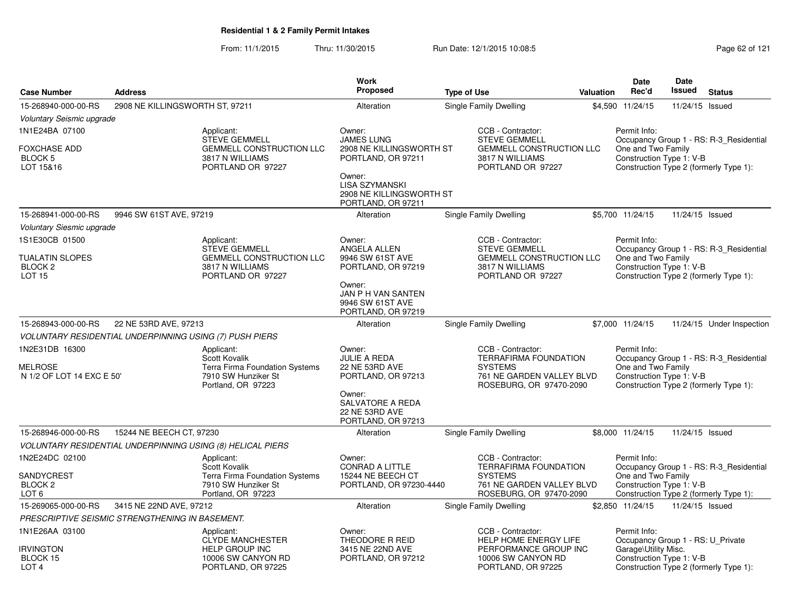From: 11/1/2015Thru: 11/30/2015 Run Date: 12/1/2015 10:08:5<br>
Page 62 of 121

|                                                                        |                                 |                                                                                                               | <b>Work</b>                                                                                                                      |                    |                                                                                                                             |                  | <b>Date</b>                                                    | Date            |                                                                                   |
|------------------------------------------------------------------------|---------------------------------|---------------------------------------------------------------------------------------------------------------|----------------------------------------------------------------------------------------------------------------------------------|--------------------|-----------------------------------------------------------------------------------------------------------------------------|------------------|----------------------------------------------------------------|-----------------|-----------------------------------------------------------------------------------|
| <b>Case Number</b>                                                     | <b>Address</b>                  |                                                                                                               | <b>Proposed</b>                                                                                                                  | <b>Type of Use</b> |                                                                                                                             | <b>Valuation</b> | Rec'd                                                          | <b>Issued</b>   | <b>Status</b>                                                                     |
| 15-268940-000-00-RS                                                    | 2908 NE KILLINGSWORTH ST, 97211 |                                                                                                               | Alteration                                                                                                                       |                    | Single Family Dwelling                                                                                                      |                  | \$4,590 11/24/15                                               | 11/24/15 Issued |                                                                                   |
| Voluntary Seismic upgrade                                              |                                 |                                                                                                               |                                                                                                                                  |                    |                                                                                                                             |                  |                                                                |                 |                                                                                   |
| 1N1E24BA 07100<br>FOXCHASE ADD<br><b>BLOCK 5</b><br>LOT 15&16          |                                 | Applicant:<br><b>STEVE GEMMELL</b><br><b>GEMMELL CONSTRUCTION LLC</b><br>3817 N WILLIAMS<br>PORTLAND OR 97227 | Owner:<br><b>JAMES LUNG</b><br>2908 NE KILLINGSWORTH ST<br>PORTLAND, OR 97211<br>Owner:                                          |                    | CCB - Contractor:<br><b>STEVE GEMMELL</b><br><b>GEMMELL CONSTRUCTION LLC</b><br>3817 N WILLIAMS<br>PORTLAND OR 97227        |                  | Permit Info:<br>One and Two Family<br>Construction Type 1: V-B |                 | Occupancy Group 1 - RS: R-3 Residential<br>Construction Type 2 (formerly Type 1): |
|                                                                        |                                 |                                                                                                               | LISA SZYMANSKI<br>2908 NE KILLINGSWORTH ST<br>PORTLAND, OR 97211                                                                 |                    |                                                                                                                             |                  |                                                                |                 |                                                                                   |
| 15-268941-000-00-RS                                                    | 9946 SW 61ST AVE, 97219         |                                                                                                               | Alteration                                                                                                                       |                    | Single Family Dwelling                                                                                                      |                  | \$5,700 11/24/15                                               | 11/24/15 Issued |                                                                                   |
| <b>Voluntary Siesmic upgrade</b>                                       |                                 |                                                                                                               |                                                                                                                                  |                    |                                                                                                                             |                  |                                                                |                 |                                                                                   |
| 1S1E30CB 01500                                                         |                                 | Applicant:                                                                                                    | Owner:                                                                                                                           |                    | CCB - Contractor:                                                                                                           |                  | Permit Info:                                                   |                 |                                                                                   |
| TUALATIN SLOPES<br><b>BLOCK 2</b><br><b>LOT 15</b>                     |                                 | <b>STEVE GEMMELL</b><br><b>GEMMELL CONSTRUCTION LLC</b><br>3817 N WILLIAMS<br>PORTLAND OR 97227               | ANGELA ALLEN<br>9946 SW 61ST AVE<br>PORTLAND, OR 97219<br>Owner:<br>JAN P H VAN SANTEN<br>9946 SW 61ST AVE<br>PORTLAND, OR 97219 |                    | <b>STEVE GEMMELL</b><br><b>GEMMELL CONSTRUCTION LLC</b><br>3817 N WILLIAMS<br>PORTLAND OR 97227                             |                  | One and Two Family<br>Construction Type 1: V-B                 |                 | Occupancy Group 1 - RS: R-3_Residential<br>Construction Type 2 (formerly Type 1): |
| 15-268943-000-00-RS                                                    | 22 NE 53RD AVE, 97213           |                                                                                                               | Alteration                                                                                                                       |                    | Single Family Dwelling                                                                                                      |                  | \$7,000 11/24/15                                               |                 | 11/24/15 Under Inspection                                                         |
| VOLUNTARY RESIDENTIAL UNDERPINNING USING (7) PUSH PIERS                |                                 |                                                                                                               |                                                                                                                                  |                    |                                                                                                                             |                  |                                                                |                 |                                                                                   |
| 1N2E31DB 16300<br>MELROSE<br>N 1/2 OF LOT 14 EXC E 50'                 |                                 | Applicant:<br>Scott Kovalik<br>Terra Firma Foundation Systems<br>7910 SW Hunziker St<br>Portland, OR 97223    | Owner:<br><b>JULIE A REDA</b><br><b>22 NE 53RD AVE</b><br>PORTLAND, OR 97213                                                     |                    | CCB - Contractor:<br><b>TERRAFIRMA FOUNDATION</b><br><b>SYSTEMS</b><br>761 NE GARDEN VALLEY BLVD<br>ROSEBURG, OR 97470-2090 |                  | Permit Info:<br>One and Two Family<br>Construction Type 1: V-B |                 | Occupancy Group 1 - RS: R-3 Residential<br>Construction Type 2 (formerly Type 1): |
|                                                                        |                                 |                                                                                                               | Owner:<br>SALVATORE A REDA<br><b>22 NE 53RD AVE</b><br>PORTLAND, OR 97213                                                        |                    |                                                                                                                             |                  |                                                                |                 |                                                                                   |
| 15-268946-000-00-RS                                                    | 15244 NE BEECH CT, 97230        |                                                                                                               | Alteration                                                                                                                       |                    | Single Family Dwelling                                                                                                      |                  | \$8,000 11/24/15                                               | 11/24/15 Issued |                                                                                   |
|                                                                        |                                 | VOLUNTARY RESIDENTIAL UNDERPINNING USING (8) HELICAL PIERS                                                    |                                                                                                                                  |                    |                                                                                                                             |                  |                                                                |                 |                                                                                   |
| 1N2E24DC 02100<br>SANDYCREST<br>BLOCK <sub>2</sub><br>LOT <sub>6</sub> |                                 | Applicant:<br>Scott Kovalik<br>Terra Firma Foundation Systems<br>7910 SW Hunziker St<br>Portland, OR 97223    | Owner:<br><b>CONRAD A LITTLE</b><br>15244 NE BEECH CT<br>PORTLAND, OR 97230-4440                                                 |                    | CCB - Contractor:<br><b>TERRAFIRMA FOUNDATION</b><br><b>SYSTEMS</b><br>761 NE GARDEN VALLEY BLVD<br>ROSEBURG, OR 97470-2090 |                  | Permit Info:<br>One and Two Family<br>Construction Type 1: V-B |                 | Occupancy Group 1 - RS: R-3 Residential<br>Construction Type 2 (formerly Type 1): |
| 15-269065-000-00-RS                                                    | 3415 NE 22ND AVE, 97212         |                                                                                                               | Alteration                                                                                                                       |                    | Single Family Dwelling                                                                                                      |                  | \$2,850 11/24/15                                               | 11/24/15 Issued |                                                                                   |
| PRESCRIPTIVE SEISMIC STRENGTHENING IN BASEMENT.                        |                                 |                                                                                                               |                                                                                                                                  |                    |                                                                                                                             |                  |                                                                |                 |                                                                                   |
| 1N1E26AA 03100                                                         |                                 | Applicant:<br>CLYDE MANCHESTER                                                                                | Owner:<br>THEODORE R REID                                                                                                        |                    | CCB - Contractor:<br><b>HELP HOME ENERGY LIFE</b>                                                                           |                  | Permit Info:<br>Occupancy Group 1 - RS: U Private              |                 |                                                                                   |
| <b>IRVINGTON</b><br>BLOCK 15<br>LOT <sub>4</sub>                       |                                 | <b>HELP GROUP INC</b><br>10006 SW CANYON RD<br>PORTLAND, OR 97225                                             | 3415 NE 22ND AVE<br>PORTLAND, OR 97212                                                                                           |                    | PERFORMANCE GROUP INC<br>10006 SW CANYON RD<br>PORTLAND, OR 97225                                                           |                  | Garage\Utility Misc.<br>Construction Type 1: V-B               |                 | Construction Type 2 (formerly Type 1):                                            |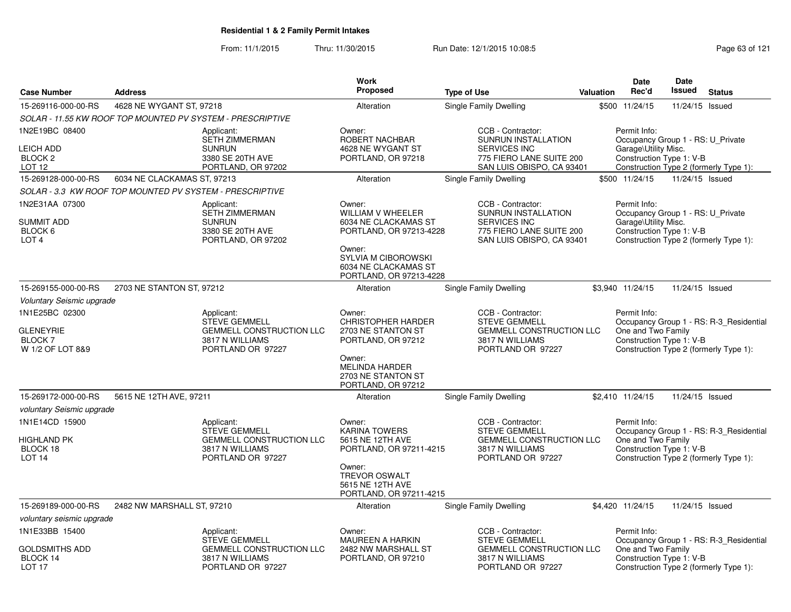From: 11/1/2015

Thru: 11/30/2015 Run Date: 12/1/2015 10:08:5<br>
Page 63 of 121

|                           |                                                                                                               | Work                                                                                                                                                                                                                                                                                         |                                                                                   |                                                                                                                                                                               | <b>Date</b>                                                                                                                                                                                                             | Date                                                                                                                      |                                                                                                                                                                                                                                                                                                                                                                                                                                                                                                                                                                                                                                                                                                                                                                                                         |
|---------------------------|---------------------------------------------------------------------------------------------------------------|----------------------------------------------------------------------------------------------------------------------------------------------------------------------------------------------------------------------------------------------------------------------------------------------|-----------------------------------------------------------------------------------|-------------------------------------------------------------------------------------------------------------------------------------------------------------------------------|-------------------------------------------------------------------------------------------------------------------------------------------------------------------------------------------------------------------------|---------------------------------------------------------------------------------------------------------------------------|---------------------------------------------------------------------------------------------------------------------------------------------------------------------------------------------------------------------------------------------------------------------------------------------------------------------------------------------------------------------------------------------------------------------------------------------------------------------------------------------------------------------------------------------------------------------------------------------------------------------------------------------------------------------------------------------------------------------------------------------------------------------------------------------------------|
|                           |                                                                                                               |                                                                                                                                                                                                                                                                                              |                                                                                   |                                                                                                                                                                               |                                                                                                                                                                                                                         |                                                                                                                           | <b>Status</b>                                                                                                                                                                                                                                                                                                                                                                                                                                                                                                                                                                                                                                                                                                                                                                                           |
|                           |                                                                                                               | Alteration                                                                                                                                                                                                                                                                                   |                                                                                   |                                                                                                                                                                               |                                                                                                                                                                                                                         |                                                                                                                           |                                                                                                                                                                                                                                                                                                                                                                                                                                                                                                                                                                                                                                                                                                                                                                                                         |
|                           |                                                                                                               |                                                                                                                                                                                                                                                                                              |                                                                                   |                                                                                                                                                                               |                                                                                                                                                                                                                         |                                                                                                                           |                                                                                                                                                                                                                                                                                                                                                                                                                                                                                                                                                                                                                                                                                                                                                                                                         |
|                           | Applicant:<br><b>SETH ZIMMERMAN</b><br><b>SUNRUN</b><br>3380 SE 20TH AVE<br>PORTLAND, OR 97202                | Owner:<br>ROBERT NACHBAR<br>4628 NE WYGANT ST<br>PORTLAND, OR 97218                                                                                                                                                                                                                          | CCB - Contractor:<br><b>SUNRUN INSTALLATION</b><br><b>SERVICES INC</b>            |                                                                                                                                                                               | Permit Info:                                                                                                                                                                                                            |                                                                                                                           |                                                                                                                                                                                                                                                                                                                                                                                                                                                                                                                                                                                                                                                                                                                                                                                                         |
|                           |                                                                                                               | Alteration                                                                                                                                                                                                                                                                                   | Single Family Dwelling                                                            |                                                                                                                                                                               |                                                                                                                                                                                                                         |                                                                                                                           |                                                                                                                                                                                                                                                                                                                                                                                                                                                                                                                                                                                                                                                                                                                                                                                                         |
|                           |                                                                                                               |                                                                                                                                                                                                                                                                                              |                                                                                   |                                                                                                                                                                               |                                                                                                                                                                                                                         |                                                                                                                           |                                                                                                                                                                                                                                                                                                                                                                                                                                                                                                                                                                                                                                                                                                                                                                                                         |
|                           | Applicant:<br><b>SETH ZIMMERMAN</b><br><b>SUNRUN</b><br>3380 SE 20TH AVE<br>PORTLAND, OR 97202                | Owner:<br>WILLIAM V WHEELER<br>6034 NE CLACKAMAS ST<br>Owner:<br>SYLVIA M CIBOROWSKI<br>6034 NE CLACKAMAS ST                                                                                                                                                                                 | CCB - Contractor:<br><b>SUNRUN INSTALLATION</b><br><b>SERVICES INC</b>            |                                                                                                                                                                               | Permit Info:                                                                                                                                                                                                            |                                                                                                                           |                                                                                                                                                                                                                                                                                                                                                                                                                                                                                                                                                                                                                                                                                                                                                                                                         |
|                           |                                                                                                               | Alteration                                                                                                                                                                                                                                                                                   | Single Family Dwelling                                                            |                                                                                                                                                                               |                                                                                                                                                                                                                         |                                                                                                                           |                                                                                                                                                                                                                                                                                                                                                                                                                                                                                                                                                                                                                                                                                                                                                                                                         |
| Voluntary Seismic upgrade |                                                                                                               |                                                                                                                                                                                                                                                                                              |                                                                                   |                                                                                                                                                                               |                                                                                                                                                                                                                         |                                                                                                                           |                                                                                                                                                                                                                                                                                                                                                                                                                                                                                                                                                                                                                                                                                                                                                                                                         |
|                           | Applicant:<br><b>STEVE GEMMELL</b><br>GEMMELL CONSTRUCTION LLC<br>3817 N WILLIAMS<br>PORTLAND OR 97227        | Owner:<br><b>CHRISTOPHER HARDER</b><br>2703 NE STANTON ST<br>PORTLAND, OR 97212<br>Owner:<br><b>MELINDA HARDER</b><br>2703 NE STANTON ST<br>PORTLAND, OR 97212                                                                                                                               | CCB - Contractor:<br><b>STEVE GEMMELL</b><br>3817 N WILLIAMS<br>PORTLAND OR 97227 |                                                                                                                                                                               | Permit Info:                                                                                                                                                                                                            |                                                                                                                           |                                                                                                                                                                                                                                                                                                                                                                                                                                                                                                                                                                                                                                                                                                                                                                                                         |
|                           |                                                                                                               | Alteration                                                                                                                                                                                                                                                                                   | Single Family Dwelling                                                            |                                                                                                                                                                               |                                                                                                                                                                                                                         |                                                                                                                           |                                                                                                                                                                                                                                                                                                                                                                                                                                                                                                                                                                                                                                                                                                                                                                                                         |
| voluntary Seismic upgrade |                                                                                                               |                                                                                                                                                                                                                                                                                              |                                                                                   |                                                                                                                                                                               |                                                                                                                                                                                                                         |                                                                                                                           |                                                                                                                                                                                                                                                                                                                                                                                                                                                                                                                                                                                                                                                                                                                                                                                                         |
|                           | Applicant:<br><b>STEVE GEMMELL</b><br><b>GEMMELL CONSTRUCTION LLC</b><br>3817 N WILLIAMS<br>PORTLAND OR 97227 | Owner:<br><b>KARINA TOWERS</b><br>5615 NE 12TH AVE<br>Owner:<br><b>TREVOR OSWALT</b><br>5615 NE 12TH AVE                                                                                                                                                                                     | CCB - Contractor:<br><b>STEVE GEMMELL</b><br>3817 N WILLIAMS<br>PORTLAND OR 97227 |                                                                                                                                                                               | Permit Info:                                                                                                                                                                                                            |                                                                                                                           |                                                                                                                                                                                                                                                                                                                                                                                                                                                                                                                                                                                                                                                                                                                                                                                                         |
|                           |                                                                                                               | Alteration                                                                                                                                                                                                                                                                                   | Single Family Dwelling                                                            |                                                                                                                                                                               |                                                                                                                                                                                                                         |                                                                                                                           |                                                                                                                                                                                                                                                                                                                                                                                                                                                                                                                                                                                                                                                                                                                                                                                                         |
| voluntary seismic upgrade |                                                                                                               |                                                                                                                                                                                                                                                                                              |                                                                                   |                                                                                                                                                                               |                                                                                                                                                                                                                         |                                                                                                                           |                                                                                                                                                                                                                                                                                                                                                                                                                                                                                                                                                                                                                                                                                                                                                                                                         |
|                           | Applicant:<br><b>STEVE GEMMELL</b><br><b>GEMMELL CONSTRUCTION LLC</b><br>3817 N WILLIAMS                      | Owner:<br><b>MAUREEN A HARKIN</b><br>2482 NW MARSHALL ST<br>PORTLAND, OR 97210                                                                                                                                                                                                               | CCB - Contractor:<br><b>STEVE GEMMELL</b><br>3817 N WILLIAMS                      |                                                                                                                                                                               | Permit Info:                                                                                                                                                                                                            |                                                                                                                           |                                                                                                                                                                                                                                                                                                                                                                                                                                                                                                                                                                                                                                                                                                                                                                                                         |
|                           | <b>Address</b>                                                                                                | 4628 NE WYGANT ST, 97218<br>SOLAR - 11.55 KW ROOF TOP MOUNTED PV SYSTEM - PRESCRIPTIVE<br>6034 NE CLACKAMAS ST, 97213<br>SOLAR - 3.3 KW ROOF TOP MOUNTED PV SYSTEM - PRESCRIPTIVE<br>2703 NE STANTON ST, 97212<br>5615 NE 12TH AVE, 97211<br>2482 NW MARSHALL ST, 97210<br>PORTLAND OR 97227 | Proposed                                                                          | <b>Type of Use</b><br>Single Family Dwelling<br>PORTLAND, OR 97213-4228<br>PORTLAND, OR 97213-4228<br>PORTLAND, OR 97211-4215<br>PORTLAND, OR 97211-4215<br>PORTLAND OR 97227 | 775 FIERO LANE SUITE 200<br>SAN LUIS OBISPO, CA 93401<br>775 FIERO LANE SUITE 200<br>SAN LUIS OBISPO, CA 93401<br><b>GEMMELL CONSTRUCTION LLC</b><br><b>GEMMELL CONSTRUCTION LLC</b><br><b>GEMMELL CONSTRUCTION LLC</b> | Rec'd<br><b>Valuation</b><br>\$500 11/24/15<br>\$500 11/24/15<br>\$3.940 11/24/15<br>\$2,410 11/24/15<br>\$4,420 11/24/15 | <b>Issued</b><br>11/24/15 Issued<br>Occupancy Group 1 - RS: U Private<br>Garage\Utility Misc.<br>Construction Type 1: V-B<br>Construction Type 2 (formerly Type 1):<br>11/24/15 Issued<br>Occupancy Group 1 - RS: U Private<br>Garage\Utility Misc.<br>Construction Type 1: V-B<br>Construction Type 2 (formerly Type 1):<br>11/24/15 Issued<br>Occupancy Group 1 - RS: R-3_Residential<br>One and Two Family<br>Construction Type 1: V-B<br>Construction Type 2 (formerly Type 1):<br>11/24/15 Issued<br>Occupancy Group 1 - RS: R-3 Residential<br>One and Two Family<br>Construction Type 1: V-B<br>Construction Type 2 (formerly Type 1):<br>11/24/15 Issued<br>Occupancy Group 1 - RS: R-3_Residential<br>One and Two Family<br>Construction Type 1: V-B<br>Construction Type 2 (formerly Type 1): |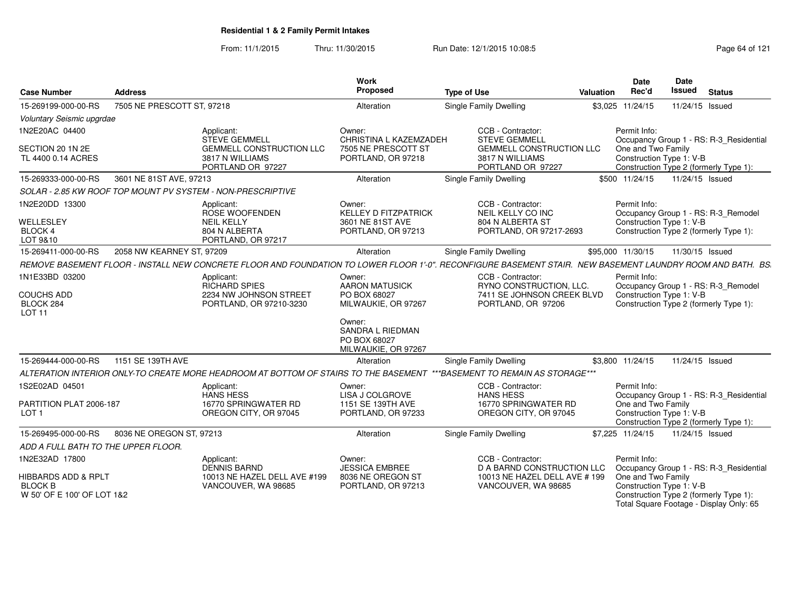From: 11/1/2015Thru: 11/30/2015 Run Date: 12/1/2015 10:08:5<br>
Rage 64 of 121

| <b>Case Number</b>                                                             | <b>Address</b>             |                                                                                                                                                             | Work<br>Proposed                                                                | <b>Type of Use</b>                                                                                                   | <b>Valuation</b> | <b>Date</b><br>Rec'd                                           | <b>Date</b><br><b>Issued</b> | <b>Status</b>                                                                     |  |
|--------------------------------------------------------------------------------|----------------------------|-------------------------------------------------------------------------------------------------------------------------------------------------------------|---------------------------------------------------------------------------------|----------------------------------------------------------------------------------------------------------------------|------------------|----------------------------------------------------------------|------------------------------|-----------------------------------------------------------------------------------|--|
| 15-269199-000-00-RS                                                            | 7505 NE PRESCOTT ST, 97218 |                                                                                                                                                             | Alteration                                                                      | Single Family Dwelling                                                                                               |                  | \$3,025 11/24/15                                               |                              | 11/24/15 Issued                                                                   |  |
| Voluntary Seismic upgrdae                                                      |                            |                                                                                                                                                             |                                                                                 |                                                                                                                      |                  |                                                                |                              |                                                                                   |  |
| 1N2E20AC 04400<br>SECTION 20 1N 2E<br>TL 4400 0.14 ACRES                       |                            | Applicant:<br>STEVE GEMMELI<br><b>GEMMELL CONSTRUCTION LLC</b><br>3817 N WILLIAMS<br>PORTLAND OR 97227                                                      | Owner:<br>CHRISTINA L KAZEMZADEH<br>7505 NE PRESCOTT ST<br>PORTLAND, OR 97218   | CCB - Contractor:<br><b>STEVE GEMMELL</b><br><b>GEMMELL CONSTRUCTION LLC</b><br>3817 N WILLIAMS<br>PORTLAND OR 97227 |                  | Permit Info:<br>One and Two Family<br>Construction Type 1: V-B |                              | Occupancy Group 1 - RS: R-3_Residential<br>Construction Type 2 (formerly Type 1): |  |
| 15-269333-000-00-RS                                                            | 3601 NE 81ST AVE, 97213    |                                                                                                                                                             | <b>Alteration</b>                                                               | Single Family Dwelling                                                                                               |                  | \$500 11/24/15                                                 |                              | 11/24/15 Issued                                                                   |  |
|                                                                                |                            | SOLAR - 2.85 KW ROOF TOP MOUNT PV SYSTEM - NON-PRESCRIPTIVE                                                                                                 |                                                                                 |                                                                                                                      |                  |                                                                |                              |                                                                                   |  |
| 1N2E20DD 13300<br>WELLESLEY<br>BLOCK 4<br>LOT 9&10                             |                            | Applicant:<br>ROSE WOOFENDEN<br><b>NEIL KELLY</b><br>804 N ALBERTA<br>PORTLAND, OR 97217                                                                    | Owner:<br><b>KELLEY D FITZPATRICK</b><br>3601 NE 81ST AVE<br>PORTLAND, OR 97213 | CCB - Contractor:<br>NEIL KELLY CO INC<br>804 N ALBERTA ST<br>PORTLAND, OR 97217-2693                                |                  | Permit Info:<br>Construction Type 1: V-B                       |                              | Occupancy Group 1 - RS: R-3 Remodel<br>Construction Type 2 (formerly Type 1):     |  |
| 15-269411-000-00-RS                                                            | 2058 NW KEARNEY ST, 97209  |                                                                                                                                                             | Alteration                                                                      | Single Family Dwelling                                                                                               |                  | \$95,000 11/30/15                                              |                              | 11/30/15 Issued                                                                   |  |
|                                                                                |                            | REMOVE BASEMENT FLOOR - INSTALL NEW CONCRETE FLOOR AND FOUNDATION TO LOWER FLOOR 1'-0". RECONFIGURE BASEMENT STAIR. NEW BASEMENT LAUNDRY ROOM AND BATH. BS. |                                                                                 |                                                                                                                      |                  |                                                                |                              |                                                                                   |  |
| 1N1E33BD 03200<br><b>COUCHS ADD</b><br>BLOCK 284<br>LOT <sub>11</sub>          |                            | Applicant:<br><b>RICHARD SPIES</b><br>2234 NW JOHNSON STREET<br>PORTLAND, OR 97210-3230                                                                     | Owner:<br><b>AARON MATUSICK</b><br>PO BOX 68027<br>MILWAUKIE, OR 97267          | CCB - Contractor:<br>RYNO CONSTRUCTION, LLC.<br>7411 SE JOHNSON CREEK BLVD<br>PORTLAND, OR 97206                     |                  | Permit Info:<br>Construction Type 1: V-B                       |                              | Occupancy Group 1 - RS: R-3_Remodel<br>Construction Type 2 (formerly Type 1):     |  |
|                                                                                |                            |                                                                                                                                                             | Owner:<br><b>SANDRA L RIEDMAN</b><br>PO BOX 68027<br>MILWAUKIE, OR 97267        |                                                                                                                      |                  |                                                                |                              |                                                                                   |  |
| 15-269444-000-00-RS                                                            | 1151 SE 139TH AVE          |                                                                                                                                                             | Alteration                                                                      | Single Family Dwelling                                                                                               |                  | \$3.800 11/24/15                                               |                              | 11/24/15 Issued                                                                   |  |
|                                                                                |                            | ALTERATION INTERIOR ONLY-TO CREATE MORE HEADROOM AT BOTTOM OF STAIRS TO THE BASEMENT                                                                        |                                                                                 | ***BASEMENT TO REMAIN AS STORAGE***                                                                                  |                  |                                                                |                              |                                                                                   |  |
| 1S2E02AD 04501                                                                 |                            | Applicant:<br><b>HANS HESS</b>                                                                                                                              | Owner:<br>LISA J COLGROVE                                                       | CCB - Contractor:<br><b>HANS HESS</b>                                                                                |                  | Permit Info:                                                   |                              | Occupancy Group 1 - RS: R-3 Residential                                           |  |
| PARTITION PLAT 2006-187<br>LOT <sub>1</sub>                                    |                            | 16770 SPRINGWATER RD<br>OREGON CITY, OR 97045                                                                                                               | 1151 SE 139TH AVE<br>PORTLAND, OR 97233                                         | 16770 SPRINGWATER RD<br>OREGON CITY, OR 97045                                                                        |                  | One and Two Family<br>Construction Type 1: V-B                 |                              | Construction Type 2 (formerly Type 1):                                            |  |
| 15-269495-000-00-RS                                                            | 8036 NE OREGON ST, 97213   |                                                                                                                                                             | Alteration                                                                      | Single Family Dwelling                                                                                               |                  | \$7,225 11/24/15                                               |                              | 11/24/15 Issued                                                                   |  |
| ADD A FULL BATH TO THE UPPER FLOOR.                                            |                            |                                                                                                                                                             |                                                                                 |                                                                                                                      |                  |                                                                |                              |                                                                                   |  |
| 1N2E32AD 17800                                                                 |                            | Applicant:<br><b>DENNIS BARND</b>                                                                                                                           | Owner:<br><b>JESSICA EMBREE</b>                                                 | CCB - Contractor:<br>D A BARND CONSTRUCTION LLC                                                                      |                  | Permit Info:                                                   |                              | Occupancy Group 1 - RS: R-3_Residential                                           |  |
| <b>HIBBARDS ADD &amp; RPLT</b><br><b>BLOCK B</b><br>W 50' OF E 100' OF LOT 1&2 |                            | 10013 NE HAZEL DELL AVE #199<br>VANCOUVER, WA 98685                                                                                                         | 8036 NE OREGON ST<br>PORTLAND, OR 97213                                         | 10013 NE HAZEL DELL AVE # 199<br>VANCOUVER, WA 98685                                                                 |                  | One and Two Family<br>Construction Type 1: V-B                 |                              | Construction Type 2 (formerly Type 1):<br>Total Square Footage - Display Only: 65 |  |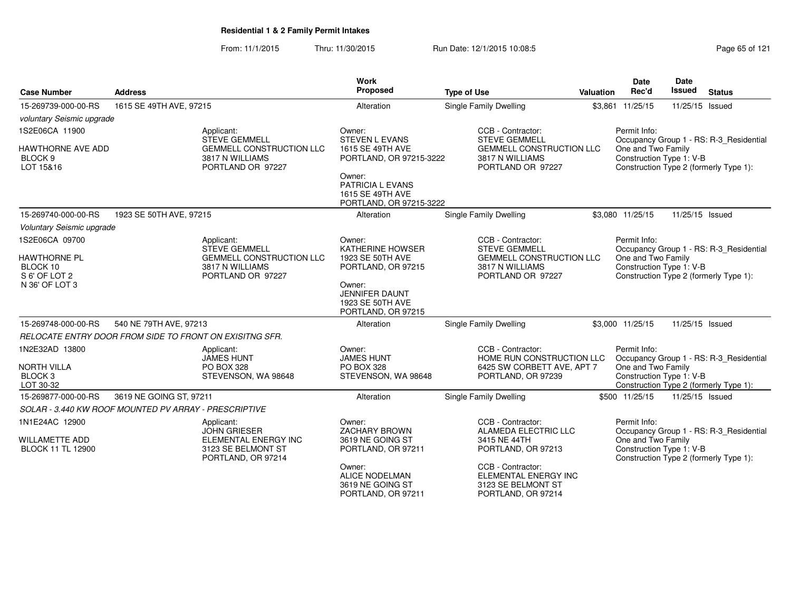From: 11/1/2015Thru: 11/30/2015 Run Date: 12/1/2015 10:08:5<br>
Page 65 of 121

| <b>Case Number</b>                                                  | <b>Address</b>                                                                                        |                                                                             | Work<br>Proposed                                                          | <b>Type of Use</b>                                                                                 | <b>Valuation</b> | <b>Date</b><br>Rec'd                                                                                                                                | Date<br>Issued  | <b>Status</b>                           |
|---------------------------------------------------------------------|-------------------------------------------------------------------------------------------------------|-----------------------------------------------------------------------------|---------------------------------------------------------------------------|----------------------------------------------------------------------------------------------------|------------------|-----------------------------------------------------------------------------------------------------------------------------------------------------|-----------------|-----------------------------------------|
|                                                                     |                                                                                                       |                                                                             |                                                                           |                                                                                                    |                  |                                                                                                                                                     |                 |                                         |
| 15-269739-000-00-RS                                                 | 1615 SE 49TH AVE, 97215                                                                               |                                                                             | Alteration                                                                | <b>Single Family Dwelling</b>                                                                      |                  | \$3,861 11/25/15                                                                                                                                    | 11/25/15 Issued |                                         |
| voluntary Seismic upgrade                                           |                                                                                                       |                                                                             |                                                                           |                                                                                                    |                  |                                                                                                                                                     |                 |                                         |
| 1S2E06CA 11900                                                      |                                                                                                       | Applicant:<br><b>STEVE GEMMELL</b>                                          | Owner:<br><b>STEVEN L EVANS</b>                                           | CCB - Contractor:<br><b>STEVE GEMMELL</b>                                                          |                  | Permit Info:                                                                                                                                        |                 |                                         |
| HAWTHORNE AVE ADD<br>BLOCK <sub>9</sub><br>LOT 15&16                |                                                                                                       | <b>GEMMELL CONSTRUCTION LLC</b><br>3817 N WILLIAMS<br>PORTLAND OR 97227     | 1615 SE 49TH AVE<br>PORTLAND, OR 97215-3222                               | <b>GEMMELL CONSTRUCTION LLC</b><br>3817 N WILLIAMS<br>PORTLAND OR 97227                            |                  | Occupancy Group 1 - RS: R-3_Residential<br>One and Two Family<br>Construction Type 1: V-B<br>Construction Type 2 (formerly Type 1):                 |                 |                                         |
|                                                                     |                                                                                                       |                                                                             | Owner:<br>PATRICIA L EVANS<br>1615 SE 49TH AVE<br>PORTLAND, OR 97215-3222 |                                                                                                    |                  |                                                                                                                                                     |                 |                                         |
| 15-269740-000-00-RS                                                 | 1923 SE 50TH AVE, 97215                                                                               |                                                                             | Alteration                                                                | Single Family Dwelling                                                                             |                  | \$3,080 11/25/15                                                                                                                                    | 11/25/15 Issued |                                         |
| Voluntary Seismic upgrade                                           |                                                                                                       |                                                                             |                                                                           |                                                                                                    |                  |                                                                                                                                                     |                 |                                         |
| 1S2E06CA 09700                                                      |                                                                                                       | Applicant:<br><b>STEVE GEMMELL</b>                                          | Owner:<br><b>KATHERINE HOWSER</b>                                         | CCB - Contractor:<br><b>STEVE GEMMELL</b>                                                          |                  | Permit Info:                                                                                                                                        |                 | Occupancy Group 1 - RS: R-3_Residential |
| <b>HAWTHORNE PL</b><br>BLOCK 10                                     |                                                                                                       | GEMMELL CONSTRUCTION LLC<br>3817 N WILLIAMS                                 | 1923 SE 50TH AVE<br>PORTLAND, OR 97215                                    | <b>GEMMELL CONSTRUCTION LLC</b><br>3817 N WILLIAMS                                                 |                  | One and Two Family<br>Construction Type 1: V-B<br>Construction Type 2 (formerly Type 1):                                                            |                 |                                         |
| S 6' OF LOT 2<br>N 36' OF LOT 3                                     |                                                                                                       | PORTLAND OR 97227                                                           | Owner:<br><b>JENNIFER DAUNT</b><br>1923 SE 50TH AVE<br>PORTLAND, OR 97215 | PORTLAND OR 97227                                                                                  |                  |                                                                                                                                                     |                 |                                         |
| 15-269748-000-00-RS                                                 | 540 NE 79TH AVE, 97213                                                                                |                                                                             | Alteration                                                                | <b>Single Family Dwelling</b>                                                                      |                  | \$3,000 11/25/15                                                                                                                                    | 11/25/15 Issued |                                         |
| RELOCATE ENTRY DOOR FROM SIDE TO FRONT ON EXISITNG SFR.             |                                                                                                       |                                                                             |                                                                           |                                                                                                    |                  |                                                                                                                                                     |                 |                                         |
| 1N2E32AD 13800<br><b>NORTH VILLA</b><br>BLOCK <sub>3</sub>          |                                                                                                       | Applicant:<br><b>JAMES HUNT</b><br><b>PO BOX 328</b><br>STEVENSON, WA 98648 | Owner:<br><b>JAMES HUNT</b><br><b>PO BOX 328</b><br>STEVENSON, WA 98648   | CCB - Contractor:<br>HOME RUN CONSTRUCTION LLC<br>6425 SW CORBETT AVE, APT 7<br>PORTLAND, OR 97239 |                  | Permit Info:<br>One and Two Family<br>Construction Type 1: V-B                                                                                      |                 | Occupancy Group 1 - RS: R-3_Residential |
| LOT 30-32                                                           |                                                                                                       |                                                                             |                                                                           |                                                                                                    |                  |                                                                                                                                                     |                 | Construction Type 2 (formerly Type 1):  |
| 15-269877-000-00-RS                                                 | 3619 NE GOING ST, 97211                                                                               |                                                                             | Alteration                                                                | Single Family Dwelling                                                                             |                  | \$500 11/25/15                                                                                                                                      | 11/25/15 Issued |                                         |
| SOLAR - 3.440 KW ROOF MOUNTED PV ARRAY - PRESCRIPTIVE               |                                                                                                       |                                                                             |                                                                           |                                                                                                    |                  |                                                                                                                                                     |                 |                                         |
| 1N1E24AC 12900<br><b>WILLAMETTE ADD</b><br><b>BLOCK 11 TL 12900</b> | Applicant:<br><b>JOHN GRIESER</b><br>ELEMENTAL ENERGY INC<br>3123 SE BELMONT ST<br>PORTLAND, OR 97214 |                                                                             | Owner:<br><b>ZACHARY BROWN</b><br>3619 NE GOING ST<br>PORTLAND, OR 97211  | CCB - Contractor:<br>ALAMEDA ELECTRIC LLC<br>3415 NE 44TH<br>PORTLAND, OR 97213                    |                  | Permit Info:<br>Occupancy Group 1 - RS: R-3_Residential<br>One and Two Family<br>Construction Type 1: V-B<br>Construction Type 2 (formerly Type 1): |                 |                                         |
|                                                                     |                                                                                                       |                                                                             | Owner:<br><b>ALICE NODELMAN</b><br>3619 NE GOING ST<br>PORTLAND, OR 97211 | CCB - Contractor:<br>ELEMENTAL ENERGY INC<br>3123 SE BELMONT ST<br>PORTLAND, OR 97214              |                  |                                                                                                                                                     |                 |                                         |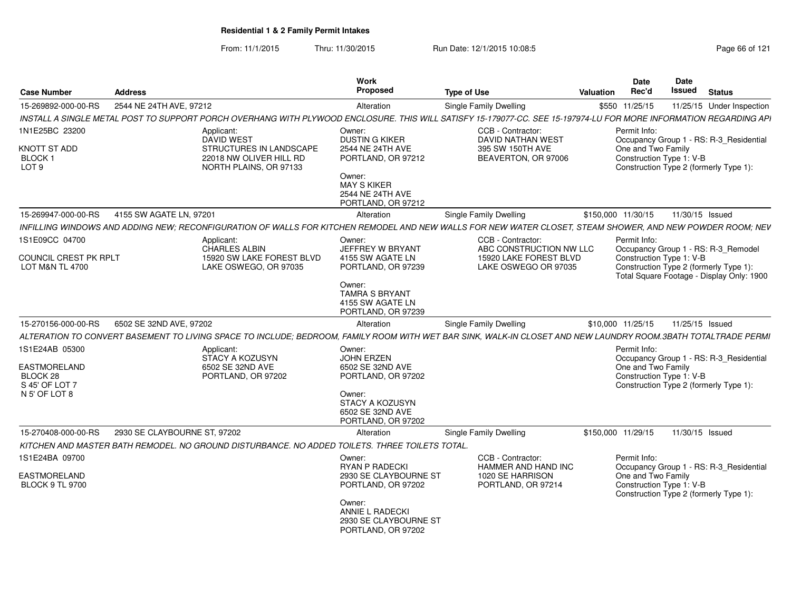From: 11/1/2015Thru: 11/30/2015 Run Date: 12/1/2015 10:08:5<br>
Rage 66 of 121

| <b>Case Number</b>                                                    | <b>Address</b>               |                                                                                                | Work<br>Proposed                                                          | <b>Type of Use</b>                                                                                                                                                | Date<br>Rec'd<br>Valuation | Date<br>Issued<br><b>Status</b>                                                                                                                        |
|-----------------------------------------------------------------------|------------------------------|------------------------------------------------------------------------------------------------|---------------------------------------------------------------------------|-------------------------------------------------------------------------------------------------------------------------------------------------------------------|----------------------------|--------------------------------------------------------------------------------------------------------------------------------------------------------|
| 15-269892-000-00-RS                                                   | 2544 NE 24TH AVE, 97212      |                                                                                                | Alteration                                                                | <b>Single Family Dwelling</b>                                                                                                                                     | \$550 11/25/15             | 11/25/15 Under Inspection                                                                                                                              |
|                                                                       |                              |                                                                                                |                                                                           | INSTALL A SINGLE METAL POST TO SUPPORT PORCH OVERHANG WITH PLYWOOD ENCLOSURE. THIS WILL SATISFY 15-179077-CC. SEE 15-197974-LU FOR MORE INFORMATION REGARDING API |                            |                                                                                                                                                        |
| 1N1E25BC 23200                                                        |                              | Applicant:<br>DAVID WEST                                                                       | Owner:<br><b>DUSTIN G KIKER</b>                                           | CCB - Contractor:<br><b>DAVID NATHAN WEST</b>                                                                                                                     | Permit Info:               | Occupancy Group 1 - RS: R-3_Residential                                                                                                                |
| <b>KNOTT ST ADD</b><br><b>BLOCK1</b><br>LOT <sub>9</sub>              |                              | STRUCTURES IN LANDSCAPE<br>22018 NW OLIVER HILL RD<br>NORTH PLAINS, OR 97133                   | 2544 NE 24TH AVE<br>PORTLAND, OR 97212                                    | 395 SW 150TH AVE<br>BEAVERTON, OR 97006                                                                                                                           | One and Two Family         | Construction Type 1: V-B<br>Construction Type 2 (formerly Type 1):                                                                                     |
|                                                                       |                              |                                                                                                | Owner:<br><b>MAY S KIKER</b><br>2544 NE 24TH AVE<br>PORTLAND, OR 97212    |                                                                                                                                                                   |                            |                                                                                                                                                        |
| 15-269947-000-00-RS                                                   | 4155 SW AGATE LN. 97201      |                                                                                                | Alteration                                                                | Single Family Dwelling                                                                                                                                            | \$150,000 11/30/15         | 11/30/15 Issued                                                                                                                                        |
|                                                                       |                              |                                                                                                |                                                                           | INFILLING WINDOWS AND ADDING NEW; RECONFIGURATION OF WALLS FOR KITCHEN REMODEL AND NEW WALLS FOR NEW WATER CLOSET, STEAM SHOWER, AND NEW POWDER ROOM; NEV         |                            |                                                                                                                                                        |
|                                                                       |                              |                                                                                                |                                                                           |                                                                                                                                                                   |                            |                                                                                                                                                        |
| 1S1E09CC 04700<br>COUNCIL CREST PK RPLT<br><b>LOT M&amp;N TL 4700</b> |                              | Applicant:<br>CHARLES ALBIN<br>15920 SW LAKE FOREST BLVD<br>LAKE OSWEGO, OR 97035              | Owner:<br>JEFFREY W BRYANT<br>4155 SW AGATE LN<br>PORTLAND, OR 97239      | CCB - Contractor:<br>ABC CONSTRUCTION NW LLC<br>15920 LAKE FOREST BLVD<br>LAKE OSWEGO OR 97035                                                                    | Permit Info:               | Occupancy Group 1 - RS: R-3_Remodel<br>Construction Type 1: V-B<br>Construction Type 2 (formerly Type 1):<br>Total Square Footage - Display Only: 1900 |
|                                                                       |                              |                                                                                                | Owner:<br><b>TAMRA S BRYANT</b><br>4155 SW AGATE LN<br>PORTLAND, OR 97239 |                                                                                                                                                                   |                            |                                                                                                                                                        |
| 15-270156-000-00-RS                                                   | 6502 SE 32ND AVE, 97202      |                                                                                                | Alteration                                                                | <b>Single Family Dwelling</b>                                                                                                                                     | \$10,000 11/25/15          | 11/25/15 Issued                                                                                                                                        |
|                                                                       |                              |                                                                                                |                                                                           | ALTERATION TO CONVERT BASEMENT TO LIVING SPACE TO INCLUDE; BEDROOM, FAMILY ROOM WITH WET BAR SINK, WALK-IN CLOSET AND NEW LAUNDRY ROOM.3BATH TOTALTRADE PERMI     |                            |                                                                                                                                                        |
| 1S1E24AB 05300                                                        |                              | Applicant:                                                                                     | Owner:                                                                    |                                                                                                                                                                   | Permit Info:               |                                                                                                                                                        |
|                                                                       |                              | STACY A KOZUSYN                                                                                | JOHN ERZEN                                                                |                                                                                                                                                                   |                            | Occupancy Group 1 - RS: R-3_Residential                                                                                                                |
| EASTMORELAND                                                          |                              | 6502 SE 32ND AVE                                                                               | 6502 SE 32ND AVE                                                          |                                                                                                                                                                   | One and Two Family         |                                                                                                                                                        |
| BLOCK 28<br>S 45' OF LOT 7                                            |                              | PORTLAND, OR 97202                                                                             | PORTLAND, OR 97202                                                        |                                                                                                                                                                   |                            | Construction Type 1: V-B<br>Construction Type 2 (formerly Type 1):                                                                                     |
| N 5' OF LOT 8                                                         |                              |                                                                                                | Owner:<br>STACY A KOZUSYN<br>6502 SE 32ND AVE<br>PORTLAND, OR 97202       |                                                                                                                                                                   |                            |                                                                                                                                                        |
| 15-270408-000-00-RS                                                   | 2930 SE CLAYBOURNE ST, 97202 |                                                                                                | Alteration                                                                | <b>Single Family Dwelling</b>                                                                                                                                     | \$150,000 11/29/15         | 11/30/15 Issued                                                                                                                                        |
|                                                                       |                              | KITCHEN AND MASTER BATH REMODEL. NO GROUND DISTURBANCE. NO ADDED TOILETS. THREE TOILETS TOTAL. |                                                                           |                                                                                                                                                                   |                            |                                                                                                                                                        |
| 1S1E24BA 09700                                                        |                              |                                                                                                | Owner:                                                                    | CCB - Contractor:                                                                                                                                                 | Permit Info:               |                                                                                                                                                        |
|                                                                       |                              |                                                                                                | RYAN P RADECKI                                                            | HAMMER AND HAND INC                                                                                                                                               |                            | Occupancy Group 1 - RS: R-3_Residential                                                                                                                |
| EASTMORELAND                                                          |                              |                                                                                                | 2930 SE CLAYBOURNE ST                                                     | 1020 SE HARRISON                                                                                                                                                  | One and Two Family         |                                                                                                                                                        |
| <b>BLOCK 9 TL 9700</b>                                                |                              |                                                                                                | PORTLAND, OR 97202                                                        | PORTLAND, OR 97214                                                                                                                                                |                            | Construction Type 1: V-B<br>Construction Type 2 (formerly Type 1):                                                                                     |
|                                                                       |                              |                                                                                                | Owner:<br>ANNIE L RADECKI<br>2930 SE CLAYBOURNE ST<br>PORTLAND, OR 97202  |                                                                                                                                                                   |                            |                                                                                                                                                        |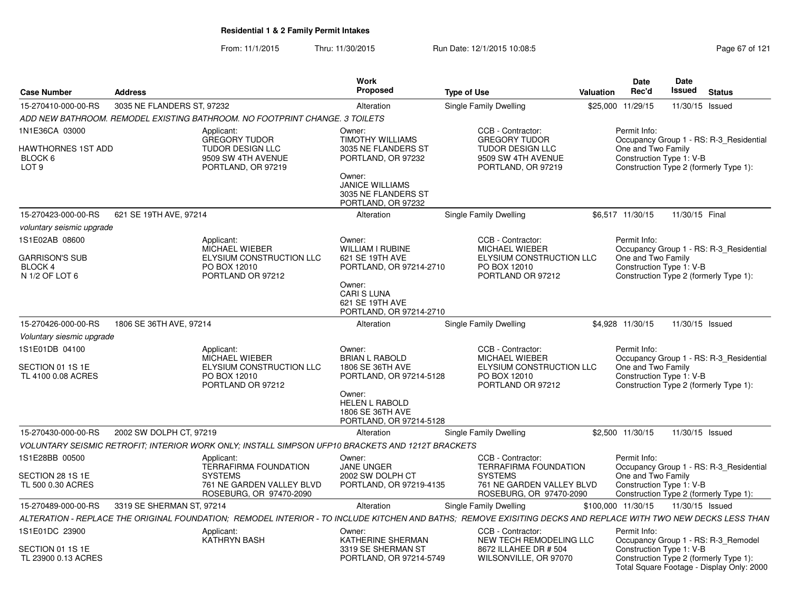From: 11/1/2015Thru: 11/30/2015 Run Date: 12/1/2015 10:08:5<br>
Page 67 of 121

| <b>Case Number</b>                                                  | <b>Address</b>             |                                                                                                                                                                | <b>Work</b><br><b>Proposed</b>                                                           | <b>Type of Use</b>                                                                                        | <b>Valuation</b> | <b>Date</b><br>Rec'd                                                                                     | <b>Date</b><br>Issued                  | <b>Status</b>                             |
|---------------------------------------------------------------------|----------------------------|----------------------------------------------------------------------------------------------------------------------------------------------------------------|------------------------------------------------------------------------------------------|-----------------------------------------------------------------------------------------------------------|------------------|----------------------------------------------------------------------------------------------------------|----------------------------------------|-------------------------------------------|
| 15-270410-000-00-RS                                                 | 3035 NE FLANDERS ST. 97232 |                                                                                                                                                                | Alteration                                                                               | Single Family Dwelling                                                                                    |                  | \$25,000 11/29/15                                                                                        | 11/30/15 Issued                        |                                           |
|                                                                     |                            | ADD NEW BATHROOM. REMODEL EXISTING BATHROOM. NO FOOTPRINT CHANGE. 3 TOILETS                                                                                    |                                                                                          |                                                                                                           |                  |                                                                                                          |                                        |                                           |
| 1N1E36CA 03000<br>HAWTHORNES 1ST ADD<br>BLOCK 6<br>LOT <sub>9</sub> |                            | Applicant:<br><b>GREGORY TUDOR</b><br><b>TUDOR DESIGN LLC</b><br>9509 SW 4TH AVENUE<br>PORTLAND, OR 97219                                                      | Owner:<br><b>TIMOTHY WILLIAMS</b><br>3035 NE FLANDERS ST<br>PORTLAND, OR 97232<br>Owner: | CCB - Contractor:<br><b>GREGORY TUDOR</b><br>TUDOR DESIGN LLC<br>9509 SW 4TH AVENUE<br>PORTLAND, OR 97219 |                  | Permit Info:<br>One and Two Family<br>Construction Type 1: V-B<br>Construction Type 2 (formerly Type 1): |                                        | Occupancy Group 1 - RS: R-3_Residential   |
|                                                                     |                            |                                                                                                                                                                | <b>JANICE WILLIAMS</b><br>3035 NE FLANDERS ST<br>PORTLAND, OR 97232                      |                                                                                                           |                  |                                                                                                          |                                        |                                           |
| 15-270423-000-00-RS                                                 | 621 SE 19TH AVE, 97214     |                                                                                                                                                                | Alteration                                                                               | Single Family Dwelling                                                                                    |                  | \$6,517 11/30/15                                                                                         | 11/30/15 Final                         |                                           |
| voluntary seismic upgrade                                           |                            |                                                                                                                                                                |                                                                                          |                                                                                                           |                  |                                                                                                          |                                        |                                           |
| 1S1E02AB 08600<br>GARRISON'S SUB                                    |                            | Applicant:<br>MICHAEL WIEBER<br>ELYSIUM CONSTRUCTION LLC                                                                                                       | Owner:<br><b>WILLIAM I RUBINE</b><br>621 SE 19TH AVE                                     | CCB - Contractor:<br><b>MICHAEL WIEBER</b><br>ELYSIUM CONSTRUCTION LLC                                    |                  | Permit Info:<br>One and Two Family                                                                       |                                        | Occupancy Group 1 - RS: R-3_Residential   |
| BLOCK 4<br>N 1/2 OF LOT 6                                           |                            | PO BOX 12010<br>PORTLAND OR 97212                                                                                                                              | PORTLAND, OR 97214-2710<br>Owner:<br><b>CARI S LUNA</b><br>621 SE 19TH AVE               | PO BOX 12010<br>PORTLAND OR 97212                                                                         |                  | Construction Type 1: V-B                                                                                 | Construction Type 2 (formerly Type 1): |                                           |
| 15-270426-000-00-RS                                                 | 1806 SE 36TH AVE, 97214    |                                                                                                                                                                | PORTLAND, OR 97214-2710<br>Alteration                                                    | Single Family Dwelling                                                                                    |                  | \$4,928 11/30/15                                                                                         | 11/30/15 Issued                        |                                           |
| Voluntary siesmic upgrade                                           |                            |                                                                                                                                                                |                                                                                          |                                                                                                           |                  |                                                                                                          |                                        |                                           |
| 1S1E01DB 04100                                                      |                            | Applicant:                                                                                                                                                     | Owner:                                                                                   | CCB - Contractor:                                                                                         |                  | Permit Info:                                                                                             |                                        |                                           |
| SECTION 01 1S 1E<br>TL 4100 0.08 ACRES                              |                            | <b>MICHAEL WIEBER</b><br>ELYSIUM CONSTRUCTION LLC<br>PO BOX 12010<br>PORTLAND OR 97212                                                                         | <b>BRIAN L RABOLD</b><br>1806 SE 36TH AVE<br>PORTLAND, OR 97214-5128                     | MICHAEL WIEBER<br>ELYSIUM CONSTRUCTION LLC<br>PO BOX 12010<br>PORTLAND OR 97212                           |                  | One and Two Family<br>Construction Type 1: V-B                                                           | Construction Type 2 (formerly Type 1): | Occupancy Group 1 - RS: R-3 Residential   |
|                                                                     |                            |                                                                                                                                                                | Owner:<br><b>HELEN L RABOLD</b><br>1806 SE 36TH AVE<br>PORTLAND, OR 97214-5128           |                                                                                                           |                  |                                                                                                          |                                        |                                           |
| 15-270430-000-00-RS                                                 | 2002 SW DOLPH CT, 97219    |                                                                                                                                                                | Alteration                                                                               | Single Family Dwelling                                                                                    |                  | \$2,500 11/30/15                                                                                         | 11/30/15 Issued                        |                                           |
|                                                                     |                            | VOLUNTARY SEISMIC RETROFIT; INTERIOR WORK ONLY; INSTALL SIMPSON UFP10 BRACKETS AND 1212T BRACKETS                                                              |                                                                                          |                                                                                                           |                  |                                                                                                          |                                        |                                           |
| 1S1E28BB 00500                                                      |                            | Applicant:<br><b>TERRAFIRMA FOUNDATION</b>                                                                                                                     | Owner:<br><b>JANE UNGER</b>                                                              | CCB - Contractor:<br><b>TERRAFIRMA FOUNDATION</b>                                                         |                  | Permit Info:                                                                                             |                                        | Occupancy Group 1 - RS: R-3 Residential   |
| SECTION 28 1S 1E<br>TL 500 0.30 ACRES                               |                            | <b>SYSTEMS</b><br>761 NE GARDEN VALLEY BLVD<br>ROSEBURG, OR 97470-2090                                                                                         | 2002 SW DOLPH CT<br>PORTLAND, OR 97219-4135                                              | <b>SYSTEMS</b><br>761 NE GARDEN VALLEY BLVD<br>ROSEBURG, OR 97470-2090                                    |                  | One and Two Family<br>Construction Type 1: V-B<br>Construction Type 2 (formerly Type 1):                 |                                        |                                           |
| 15-270489-000-00-RS                                                 | 3319 SE SHERMAN ST. 97214  |                                                                                                                                                                | Alteration                                                                               | Single Family Dwelling                                                                                    |                  | \$100.000 11/30/15                                                                                       | 11/30/15 Issued                        |                                           |
|                                                                     |                            | ALTERATION - REPLACE THE ORIGINAL FOUNDATION; REMODEL INTERIOR - TO INCLUDE KITCHEN AND BATHS; REMOVE EXISITING DECKS AND REPLACE WITH TWO NEW DECKS LESS THAN |                                                                                          |                                                                                                           |                  |                                                                                                          |                                        |                                           |
| 1S1E01DC 23900                                                      |                            | Applicant:<br><b>KATHRYN BASH</b>                                                                                                                              | Owner:<br>KATHERINE SHERMAN                                                              | CCB - Contractor:<br>NEW TECH REMODELING LLC                                                              |                  | Permit Info:                                                                                             |                                        | Occupancy Group 1 - RS: R-3_Remodel       |
| SECTION 01 1S 1E<br>TL 23900 0.13 ACRES                             |                            |                                                                                                                                                                | 3319 SE SHERMAN ST<br>PORTLAND, OR 97214-5749                                            | 8672 ILLAHEE DR # 504<br>WILSONVILLE, OR 97070                                                            |                  | Construction Type 1: V-B<br>Construction Type 2 (formerly Type 1):                                       |                                        | Total Square Footage - Display Only: 2000 |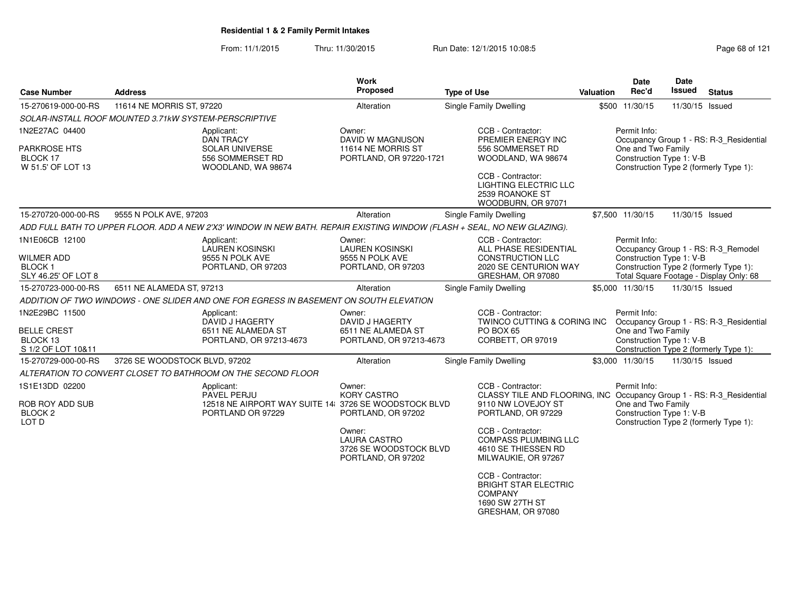From: 11/1/2015Thru: 11/30/2015 Run Date: 12/1/2015 10:08:5<br>
Page 68 of 121

| <b>Case Number</b>                                        | <b>Address</b>                                        |                                                                                                                          | Work<br>Proposed                                                              | <b>Type of Use</b>                                                                                         | Valuation | Date<br>Rec'd                                  | <b>Date</b><br>Issued | <b>Status</b>                                                                     |
|-----------------------------------------------------------|-------------------------------------------------------|--------------------------------------------------------------------------------------------------------------------------|-------------------------------------------------------------------------------|------------------------------------------------------------------------------------------------------------|-----------|------------------------------------------------|-----------------------|-----------------------------------------------------------------------------------|
| 15-270619-000-00-RS                                       | 11614 NE MORRIS ST, 97220                             |                                                                                                                          | Alteration                                                                    | Single Family Dwelling                                                                                     |           | \$500 11/30/15                                 | 11/30/15 Issued       |                                                                                   |
|                                                           | SOLAR-INSTALL ROOF MOUNTED 3.71kW SYSTEM-PERSCRIPTIVE |                                                                                                                          |                                                                               |                                                                                                            |           |                                                |                       |                                                                                   |
| 1N2E27AC 04400                                            |                                                       | Applicant:<br><b>DAN TRACY</b>                                                                                           | Owner:<br><b>DAVID W MAGNUSON</b>                                             | CCB - Contractor:<br>PREMIER ENERGY INC                                                                    |           | Permit Info:                                   |                       | Occupancy Group 1 - RS: R-3_Residential                                           |
| <b>PARKROSE HTS</b><br>BLOCK 17<br>W 51.5' OF LOT 13      |                                                       | SOLAR UNIVERSE<br>556 SOMMERSET RD<br>WOODLAND, WA 98674                                                                 | 11614 NE MORRIS ST<br>PORTLAND, OR 97220-1721                                 | 556 SOMMERSET RD<br>WOODLAND, WA 98674                                                                     |           | One and Two Family<br>Construction Type 1: V-B |                       | Construction Type 2 (formerly Type 1):                                            |
|                                                           |                                                       |                                                                                                                          |                                                                               | CCB - Contractor:<br>LIGHTING ELECTRIC LLC<br>2539 ROANOKE ST<br>WOODBURN, OR 97071                        |           |                                                |                       |                                                                                   |
| 15-270720-000-00-RS                                       | 9555 N POLK AVE, 97203                                |                                                                                                                          | Alteration                                                                    | Single Family Dwelling                                                                                     |           | \$7,500 11/30/15                               | 11/30/15 Issued       |                                                                                   |
|                                                           |                                                       | ADD FULL BATH TO UPPER FLOOR. ADD A NEW 2'X3' WINDOW IN NEW BATH. REPAIR EXISTING WINDOW (FLASH + SEAL, NO NEW GLAZING). |                                                                               |                                                                                                            |           |                                                |                       |                                                                                   |
| 1N1E06CB 12100                                            |                                                       | Applicant:<br><b>LAUREN KOSINSKI</b>                                                                                     | Owner:<br><b>LAUREN KOSINSKI</b>                                              | CCB - Contractor:<br>ALL PHASE RESIDENTIAL                                                                 |           | Permit Info:                                   |                       | Occupancy Group 1 - RS: R-3 Remodel                                               |
| <b>WILMER ADD</b><br><b>BLOCK1</b><br>SLY 46.25' OF LOT 8 |                                                       | 9555 N POLK AVE<br>PORTLAND, OR 97203                                                                                    | 9555 N POLK AVE<br>PORTLAND, OR 97203                                         | CONSTRUCTION LLC<br>2020 SE CENTURION WAY<br>GRESHAM, OR 97080                                             |           | Construction Type 1: V-B                       |                       | Construction Type 2 (formerly Type 1):<br>Total Square Footage - Display Only: 68 |
| 15-270723-000-00-RS                                       | 6511 NE ALAMEDA ST. 97213                             |                                                                                                                          | Alteration                                                                    | Single Family Dwelling                                                                                     |           | \$5,000 11/30/15                               | 11/30/15 Issued       |                                                                                   |
|                                                           |                                                       | ADDITION OF TWO WINDOWS - ONE SLIDER AND ONE FOR EGRESS IN BASEMENT ON SOUTH ELEVATION                                   |                                                                               |                                                                                                            |           |                                                |                       |                                                                                   |
| 1N2E29BC 11500                                            |                                                       | Applicant:<br>DAVID J HAGERTY                                                                                            | Owner:<br><b>DAVID J HAGERTY</b>                                              | CCB - Contractor:<br><b>TWINCO CUTTING &amp; CORING INC</b>                                                |           | Permit Info:                                   |                       | Occupancy Group 1 - RS: R-3_Residential                                           |
| <b>BELLE CREST</b><br>BLOCK 13<br>S 1/2 OF LOT 10&11      |                                                       | 6511 NE ALAMEDA ST<br>PORTLAND, OR 97213-4673                                                                            | 6511 NE ALAMEDA ST<br>PORTLAND, OR 97213-4673                                 | PO BOX 65<br>CORBETT, OR 97019                                                                             |           | One and Two Family<br>Construction Type 1: V-B |                       | Construction Type 2 (formerly Type 1):                                            |
| 15-270729-000-00-RS                                       | 3726 SE WOODSTOCK BLVD, 97202                         |                                                                                                                          | Alteration                                                                    | Single Family Dwelling                                                                                     |           | \$3,000 11/30/15                               | 11/30/15 Issued       |                                                                                   |
|                                                           |                                                       | ALTERATION TO CONVERT CLOSET TO BATHROOM ON THE SECOND FLOOR                                                             |                                                                               |                                                                                                            |           |                                                |                       |                                                                                   |
| 1S1E13DD 02200                                            |                                                       | Applicant:<br><b>PAVEL PERJU</b>                                                                                         | Owner:<br><b>KORY CASTRO</b>                                                  | CCB - Contractor:<br>CLASSY TILE AND FLOORING, INC Occupancy Group 1 - RS: R-3_Residential                 |           | Permit Info:                                   |                       |                                                                                   |
| ROB ROY ADD SUB<br>BLOCK <sub>2</sub><br>LOT D            |                                                       | 12518 NE AIRPORT WAY SUITE 14 3726 SE WOODSTOCK BLVD<br>PORTLAND OR 97229                                                | PORTLAND, OR 97202                                                            | 9110 NW LOVEJOY ST<br>PORTLAND, OR 97229                                                                   |           | One and Two Family<br>Construction Type 1: V-B |                       | Construction Type 2 (formerly Type 1):                                            |
|                                                           |                                                       |                                                                                                                          | Owner:<br><b>LAURA CASTRO</b><br>3726 SE WOODSTOCK BLVD<br>PORTLAND, OR 97202 | CCB - Contractor:<br><b>COMPASS PLUMBING LLC</b><br>4610 SE THIESSEN RD<br>MILWAUKIE, OR 97267             |           |                                                |                       |                                                                                   |
|                                                           |                                                       |                                                                                                                          |                                                                               | CCB - Contractor:<br><b>BRIGHT STAR ELECTRIC</b><br><b>COMPANY</b><br>1690 SW 27TH ST<br>GRESHAM, OR 97080 |           |                                                |                       |                                                                                   |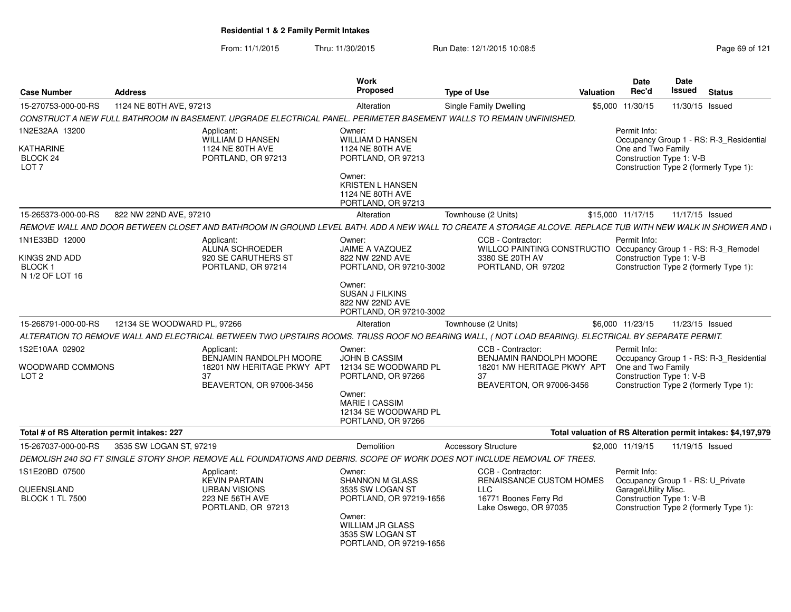From: 11/1/2015Thru: 11/30/2015 Run Date: 12/1/2015 10:08:5<br>
Page 69 of 121

| <b>Case Number</b>                                                  | <b>Address</b>              |                                                                                       | Work<br><b>Proposed</b>                                                                                                                                       | <b>Type of Use</b>                                                                                                                                          | Valuation | <b>Date</b><br>Rec'd                                                                                  | Date<br><b>Issued</b> | <b>Status</b>                                                                     |
|---------------------------------------------------------------------|-----------------------------|---------------------------------------------------------------------------------------|---------------------------------------------------------------------------------------------------------------------------------------------------------------|-------------------------------------------------------------------------------------------------------------------------------------------------------------|-----------|-------------------------------------------------------------------------------------------------------|-----------------------|-----------------------------------------------------------------------------------|
| 15-270753-000-00-RS                                                 | 1124 NE 80TH AVE, 97213     |                                                                                       | Alteration                                                                                                                                                    | Single Family Dwelling                                                                                                                                      |           | \$5,000 11/30/15                                                                                      | 11/30/15 Issued       |                                                                                   |
|                                                                     |                             |                                                                                       |                                                                                                                                                               | CONSTRUCT A NEW FULL BATHROOM IN BASEMENT. UPGRADE ELECTRICAL PANEL. PERIMETER BASEMENT WALLS TO REMAIN UNFINISHED.                                         |           |                                                                                                       |                       |                                                                                   |
| 1N2E32AA 13200<br>KATHARINE<br>BLOCK 24<br>LOT <sub>7</sub>         | Applicant:                  | <b>WILLIAM D HANSEN</b><br>1124 NE 80TH AVE<br>PORTLAND, OR 97213                     | Owner:<br><b>WILLIAM D HANSEN</b><br>1124 NE 80TH AVE<br>PORTLAND, OR 97213<br>Owner:<br><b>KRISTEN L HANSEN</b><br>1124 NE 80TH AVE                          |                                                                                                                                                             |           | Permit Info:<br>One and Two Family<br>Construction Type 1: V-B                                        |                       | Occupancy Group 1 - RS: R-3_Residential<br>Construction Type 2 (formerly Type 1): |
|                                                                     |                             |                                                                                       | PORTLAND, OR 97213                                                                                                                                            |                                                                                                                                                             |           |                                                                                                       |                       |                                                                                   |
| 15-265373-000-00-RS                                                 | 822 NW 22ND AVE, 97210      |                                                                                       | Alteration                                                                                                                                                    | Townhouse (2 Units)                                                                                                                                         |           | \$15,000 11/17/15                                                                                     | 11/17/15 Issued       |                                                                                   |
|                                                                     |                             |                                                                                       |                                                                                                                                                               | REMOVE WALL AND DOOR BETWEEN CLOSET AND BATHROOM IN GROUND LEVEL BATH. ADD A NEW WALL TO CREATE A STORAGE ALCOVE. REPLACE TUB WITH NEW WALK IN SHOWER AND I |           |                                                                                                       |                       |                                                                                   |
| 1N1E33BD 12000<br>KINGS 2ND ADD<br><b>BLOCK1</b><br>N 1/2 OF LOT 16 | Applicant:                  | ALUNA SCHROEDER<br>920 SE CARUTHERS ST<br>PORTLAND, OR 97214                          | Owner:<br>JAIME A VAZQUEZ<br>822 NW 22ND AVE<br>PORTLAND, OR 97210-3002                                                                                       | CCB - Contractor:<br>WILLCO PAINTING CONSTRUCTIO Occupancy Group 1 - RS: R-3_Remodel<br>3380 SE 20TH AV<br>PORTLAND, OR 97202                               |           | Permit Info:<br>Construction Type 1: V-B                                                              |                       | Construction Type 2 (formerly Type 1):                                            |
|                                                                     |                             |                                                                                       | Owner:<br>SUSAN J FILKINS<br>822 NW 22ND AVE<br>PORTLAND, OR 97210-3002                                                                                       |                                                                                                                                                             |           |                                                                                                       |                       |                                                                                   |
| 15-268791-000-00-RS                                                 | 12134 SE WOODWARD PL, 97266 |                                                                                       | Alteration                                                                                                                                                    | Townhouse (2 Units)                                                                                                                                         |           | \$6,000 11/23/15                                                                                      | 11/23/15 Issued       |                                                                                   |
|                                                                     |                             |                                                                                       |                                                                                                                                                               | ALTERATION TO REMOVE WALL AND ELECTRICAL BETWEEN TWO UPSTAIRS ROOMS. TRUSS ROOF NO BEARING WALL, (NOT LOAD BEARING). ELECTRICAL BY SEPARATE PERMIT.         |           |                                                                                                       |                       |                                                                                   |
| 1S2E10AA 02902<br>WOODWARD COMMONS<br>LOT <sub>2</sub>              | Applicant:<br>37            | BENJAMIN RANDOLPH MOORE<br>18201 NW HERITAGE PKWY APT<br>BEAVERTON, OR 97006-3456     | Owner:<br><b>JOHN B CASSIM</b><br>12134 SE WOODWARD PL<br>PORTLAND, OR 97266<br>Owner:<br><b>MARIE I CASSIM</b><br>12134 SE WOODWARD PL<br>PORTLAND, OR 97266 | CCB - Contractor:<br><b>BENJAMIN RANDOLPH MOORE</b><br>18201 NW HERITAGE PKWY APT<br>37<br>BEAVERTON, OR 97006-3456                                         |           | Permit Info:<br>One and Two Family<br>Construction Type 1: V-B                                        |                       | Occupancy Group 1 - RS: R-3_Residential<br>Construction Type 2 (formerly Type 1): |
| Total # of RS Alteration permit intakes: 227                        |                             |                                                                                       |                                                                                                                                                               |                                                                                                                                                             |           |                                                                                                       |                       | Total valuation of RS Alteration permit intakes: \$4,197,979                      |
| 15-267037-000-00-RS                                                 | 3535 SW LOGAN ST, 97219     |                                                                                       | Demolition                                                                                                                                                    | <b>Accessory Structure</b>                                                                                                                                  |           | \$2,000 11/19/15                                                                                      | 11/19/15 Issued       |                                                                                   |
|                                                                     |                             |                                                                                       |                                                                                                                                                               | DEMOLISH 240 SQ FT SINGLE STORY SHOP. REMOVE ALL FOUNDATIONS AND DEBRIS. SCOPE OF WORK DOES NOT INCLUDE REMOVAL OF TREES.                                   |           |                                                                                                       |                       |                                                                                   |
| 1S1E20BD 07500<br>QUEENSLAND<br><b>BLOCK 1 TL 7500</b>              | Applicant:                  | <b>KEVIN PARTAIN</b><br><b>URBAN VISIONS</b><br>223 NE 56TH AVE<br>PORTLAND, OR 97213 | Owner:<br><b>SHANNON M GLASS</b><br>3535 SW LOGAN ST<br>PORTLAND, OR 97219-1656<br>Owner:<br>WILLIAM JR GLASS<br>3535 SW LOGAN ST<br>PORTLAND, OR 97219-1656  | CCB - Contractor:<br>RENAISSANCE CUSTOM HOMES<br><b>LLC</b><br>16771 Boones Ferry Rd<br>Lake Oswego, OR 97035                                               |           | Permit Info:<br>Occupancy Group 1 - RS: U_Private<br>Garage\Utility Misc.<br>Construction Type 1: V-B |                       | Construction Type 2 (formerly Type 1):                                            |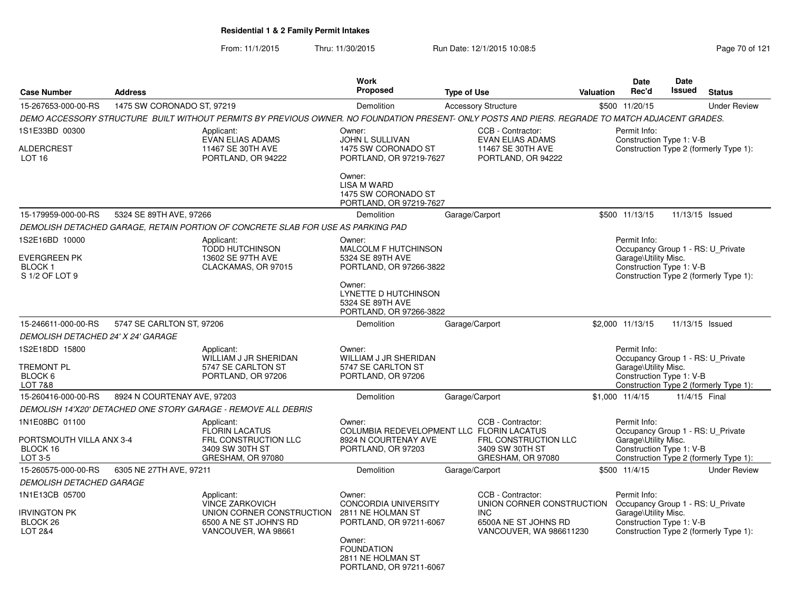From: 11/1/2015Thru: 11/30/2015 Run Date: 12/1/2015 10:08:5<br>
Page 70 of 121

| <b>Case Number</b>                                               | <b>Address</b>              |                                                                                                                                                  | <b>Work</b><br><b>Proposed</b>                                                 | <b>Type of Use</b> |                                                         | <b>Valuation</b> | <b>Date</b><br>Rec'd                                      | <b>Date</b><br>Issued | <b>Status</b>                          |
|------------------------------------------------------------------|-----------------------------|--------------------------------------------------------------------------------------------------------------------------------------------------|--------------------------------------------------------------------------------|--------------------|---------------------------------------------------------|------------------|-----------------------------------------------------------|-----------------------|----------------------------------------|
|                                                                  |                             |                                                                                                                                                  |                                                                                |                    |                                                         |                  |                                                           |                       |                                        |
| 15-267653-000-00-RS                                              | 1475 SW CORONADO ST, 97219  |                                                                                                                                                  | Demolition                                                                     |                    | <b>Accessory Structure</b>                              |                  | \$500 11/20/15                                            |                       | <b>Under Review</b>                    |
|                                                                  |                             | DEMO ACCESSORY STRUCTURE BUILT WITHOUT PERMITS BY PREVIOUS OWNER. NO FOUNDATION PRESENT- ONLY POSTS AND PIERS. REGRADE TO MATCH ADJACENT GRADES. |                                                                                |                    |                                                         |                  |                                                           |                       |                                        |
| 1S1E33BD 00300                                                   |                             | Applicant:<br><b>EVAN ELIAS ADAMS</b>                                                                                                            | Owner:<br>JOHN L SULLIVAN                                                      |                    | CCB - Contractor:<br><b>EVAN ELIAS ADAMS</b>            |                  | Permit Info:<br>Construction Type 1: V-B                  |                       |                                        |
| <b>ALDERCREST</b><br>LOT <sub>16</sub>                           |                             | 11467 SE 30TH AVE<br>PORTLAND, OR 94222                                                                                                          | 1475 SW CORONADO ST<br>PORTLAND, OR 97219-7627                                 |                    | 11467 SE 30TH AVE<br>PORTLAND, OR 94222                 |                  |                                                           |                       | Construction Type 2 (formerly Type 1): |
|                                                                  |                             |                                                                                                                                                  | Owner:<br><b>LISA M WARD</b><br>1475 SW CORONADO ST<br>PORTLAND, OR 97219-7627 |                    |                                                         |                  |                                                           |                       |                                        |
| 15-179959-000-00-RS                                              | 5324 SE 89TH AVE, 97266     |                                                                                                                                                  | Demolition                                                                     | Garage/Carport     |                                                         |                  | \$500 11/13/15                                            | 11/13/15 Issued       |                                        |
|                                                                  |                             | DEMOLISH DETACHED GARAGE, RETAIN PORTION OF CONCRETE SLAB FOR USE AS PARKING PAD                                                                 |                                                                                |                    |                                                         |                  |                                                           |                       |                                        |
| 1S2E16BD 10000                                                   |                             | Applicant:                                                                                                                                       | Owner:                                                                         |                    |                                                         |                  | Permit Info:                                              |                       |                                        |
| <b>EVERGREEN PK</b>                                              |                             | <b>TODD HUTCHINSON</b><br>13602 SE 97TH AVE                                                                                                      | <b>MALCOLM F HUTCHINSON</b><br>5324 SE 89TH AVE                                |                    |                                                         |                  | Occupancy Group 1 - RS: U Private<br>Garage\Utility Misc. |                       |                                        |
| <b>BLOCK1</b>                                                    |                             | CLACKAMAS, OR 97015                                                                                                                              | PORTLAND, OR 97266-3822                                                        |                    |                                                         |                  | Construction Type 1: V-B                                  |                       |                                        |
| S 1/2 OF LOT 9                                                   |                             |                                                                                                                                                  |                                                                                |                    |                                                         |                  |                                                           |                       | Construction Type 2 (formerly Type 1): |
|                                                                  |                             |                                                                                                                                                  | Owner:<br>LYNETTE D HUTCHINSON<br>5324 SE 89TH AVE                             |                    |                                                         |                  |                                                           |                       |                                        |
|                                                                  |                             |                                                                                                                                                  | PORTLAND, OR 97266-3822                                                        |                    |                                                         |                  |                                                           |                       |                                        |
| 15-246611-000-00-RS                                              | 5747 SE CARLTON ST, 97206   |                                                                                                                                                  | Demolition                                                                     | Garage/Carport     |                                                         |                  | \$2,000 11/13/15                                          | 11/13/15 Issued       |                                        |
| <b>DEMOLISH DETACHED 24' X 24' GARAGE</b>                        |                             |                                                                                                                                                  |                                                                                |                    |                                                         |                  |                                                           |                       |                                        |
| 1S2E18DD 15800                                                   |                             | Applicant:<br>WILLIAM J JR SHERIDAN                                                                                                              | Owner:<br>WILLIAM J JR SHERIDAN                                                |                    |                                                         |                  | Permit Info:<br>Occupancy Group 1 - RS: U_Private         |                       |                                        |
| <b>TREMONT PL</b>                                                |                             | 5747 SE CARLTON ST                                                                                                                               | 5747 SE CARLTON ST                                                             |                    |                                                         |                  | Garage\Utility Misc.                                      |                       |                                        |
| BLOCK 6                                                          |                             | PORTLAND, OR 97206                                                                                                                               | PORTLAND, OR 97206                                                             |                    |                                                         |                  | Construction Type 1: V-B                                  |                       |                                        |
| <b>LOT 7&amp;8</b>                                               |                             |                                                                                                                                                  |                                                                                |                    |                                                         |                  |                                                           |                       | Construction Type 2 (formerly Type 1): |
| 15-260416-000-00-RS                                              | 8924 N COURTENAY AVE, 97203 |                                                                                                                                                  | Demolition                                                                     | Garage/Carport     |                                                         |                  | \$1,000 11/4/15                                           | 11/4/15 Final         |                                        |
|                                                                  |                             | DEMOLISH 14'X20' DETACHED ONE STORY GARAGE - REMOVE ALL DEBRIS                                                                                   |                                                                                |                    |                                                         |                  |                                                           |                       |                                        |
| 1N1E08BC 01100                                                   |                             | Applicant:                                                                                                                                       | Owner:<br>COLUMBIA REDEVELOPMENT LLC FLORIN LACATUS                            |                    | CCB - Contractor:                                       |                  | Permit Info:<br>Occupancy Group 1 - RS: U Private         |                       |                                        |
| PORTSMOUTH VILLA ANX 3-4                                         |                             | <b>FLORIN LACATUS</b><br>FRL CONSTRUCTION LLC                                                                                                    | 8924 N COURTENAY AVE                                                           |                    | FRL CONSTRUCTION LLC                                    |                  | Garage\Utility Misc.                                      |                       |                                        |
| BLOCK 16                                                         |                             | 3409 SW 30TH ST                                                                                                                                  | PORTLAND, OR 97203                                                             |                    | 3409 SW 30TH ST                                         |                  | Construction Type 1: V-B                                  |                       |                                        |
| LOT 3-5                                                          |                             | GRESHAM, OR 97080                                                                                                                                |                                                                                |                    | GRESHAM, OR 97080                                       |                  |                                                           |                       | Construction Type 2 (formerly Type 1): |
| 15-260575-000-00-RS                                              | 6305 NE 27TH AVE, 97211     |                                                                                                                                                  | Demolition                                                                     | Garage/Carport     |                                                         |                  | \$500 11/4/15                                             |                       | <b>Under Review</b>                    |
| <b>DEMOLISH DETACHED GARAGE</b>                                  |                             |                                                                                                                                                  |                                                                                |                    |                                                         |                  |                                                           |                       |                                        |
| 1N1E13CB 05700                                                   |                             | Applicant:<br><b>VINCE ZARKOVICH</b>                                                                                                             | Owner:<br><b>CONCORDIA UNIVERSITY</b>                                          |                    | CCB - Contractor:<br>UNION CORNER CONSTRUCTION          |                  | Permit Info:<br>Occupancy Group 1 - RS: U_Private         |                       |                                        |
| <b>IRVINGTON PK</b><br>BLOCK <sub>26</sub><br><b>LOT 2&amp;4</b> |                             | UNION CORNER CONSTRUCTION<br>6500 A NE ST JOHN'S RD<br>VANCOUVER, WA 98661                                                                       | 2811 NE HOLMAN ST<br>PORTLAND, OR 97211-6067                                   |                    | INC.<br>6500A NE ST JOHNS RD<br>VANCOUVER, WA 986611230 |                  | Garage\Utility Misc.<br>Construction Type 1: V-B          |                       | Construction Type 2 (formerly Type 1): |
|                                                                  |                             |                                                                                                                                                  | Owner:<br><b>FOUNDATION</b><br>2811 NE HOLMAN ST<br>PORTLAND, OR 97211-6067    |                    |                                                         |                  |                                                           |                       |                                        |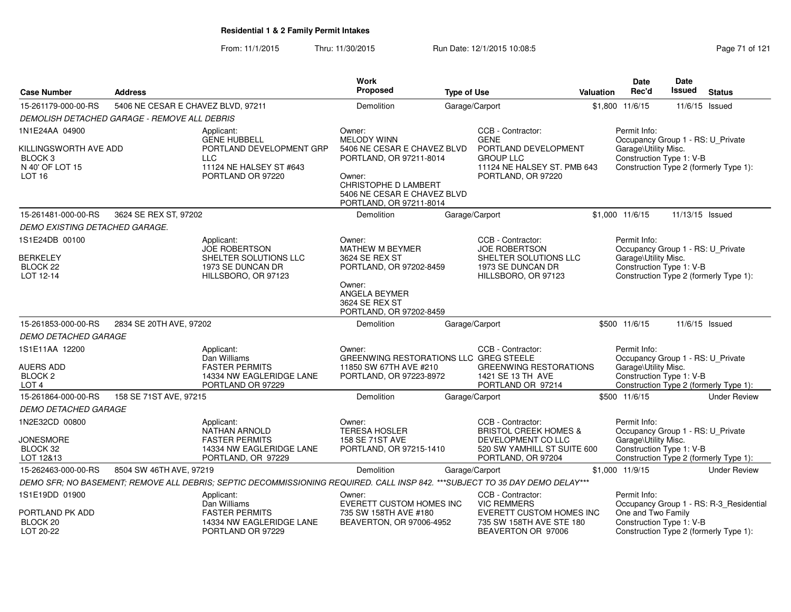From: 11/1/2015Thru: 11/30/2015 Run Date: 12/1/2015 10:08:5<br>
Page 71 of 121

| <b>Case Number</b>                                         | <b>Address</b>                               |                                                                                                                              | <b>Work</b><br>Proposed                                                               | <b>Type of Use</b> |                                                                            | Valuation | Date<br>Rec'd                                                                              | Date<br><b>Issued</b> | <b>Status</b>                           |
|------------------------------------------------------------|----------------------------------------------|------------------------------------------------------------------------------------------------------------------------------|---------------------------------------------------------------------------------------|--------------------|----------------------------------------------------------------------------|-----------|--------------------------------------------------------------------------------------------|-----------------------|-----------------------------------------|
| 15-261179-000-00-RS                                        | 5406 NE CESAR E CHAVEZ BLVD, 97211           |                                                                                                                              | Demolition                                                                            |                    |                                                                            |           | \$1,800 11/6/15                                                                            |                       |                                         |
|                                                            |                                              |                                                                                                                              |                                                                                       |                    | Garage/Carport                                                             |           |                                                                                            | 11/6/15 Issued        |                                         |
|                                                            | DEMOLISH DETACHED GARAGE - REMOVE ALL DEBRIS |                                                                                                                              |                                                                                       |                    |                                                                            |           |                                                                                            |                       |                                         |
| 1N1E24AA 04900<br>KILLINGSWORTH AVE ADD                    |                                              | Applicant:<br><b>GENE HUBBELL</b><br>PORTLAND DEVELOPMENT GRP                                                                | Owner:<br><b>MELODY WINN</b><br>5406 NE CESAR E CHAVEZ BLVD                           |                    | CCB - Contractor:<br><b>GENE</b><br>PORTLAND DEVELOPMENT                   |           | Permit Info:<br>Occupancy Group 1 - RS: U_Private                                          |                       |                                         |
| BLOCK <sub>3</sub><br>N 40' OF LOT 15<br>LOT <sub>16</sub> |                                              | <b>LLC</b><br>11124 NE HALSEY ST #643<br>PORTLAND OR 97220                                                                   | PORTLAND, OR 97211-8014<br>Owner:                                                     |                    | <b>GROUP LLC</b><br>11124 NE HALSEY ST. PMB 643<br>PORTLAND, OR 97220      |           | Garage\Utility Misc.<br>Construction Type 1: V-B<br>Construction Type 2 (formerly Type 1): |                       |                                         |
|                                                            |                                              |                                                                                                                              | <b>CHRISTOPHE D LAMBERT</b><br>5406 NE CESAR E CHAVEZ BLVD<br>PORTLAND, OR 97211-8014 |                    |                                                                            |           |                                                                                            |                       |                                         |
| 15-261481-000-00-RS                                        | 3624 SE REX ST, 97202                        |                                                                                                                              | Demolition                                                                            |                    | Garage/Carport                                                             |           | \$1,000 11/6/15                                                                            | 11/13/15 Issued       |                                         |
| DEMO EXISTING DETACHED GARAGE.                             |                                              |                                                                                                                              |                                                                                       |                    |                                                                            |           |                                                                                            |                       |                                         |
| 1S1E24DB 00100                                             |                                              | Applicant:<br><b>JOE ROBERTSON</b>                                                                                           | Owner:<br><b>MATHEW M BEYMER</b>                                                      |                    | CCB - Contractor:<br><b>JOE ROBERTSON</b>                                  |           | Permit Info:<br>Occupancy Group 1 - RS: U_Private                                          |                       |                                         |
| <b>BERKELEY</b><br>BLOCK 22<br>LOT 12-14                   |                                              | SHELTER SOLUTIONS LLC<br>1973 SE DUNCAN DR<br>HILLSBORO, OR 97123                                                            | 3624 SE REX ST<br>PORTLAND, OR 97202-8459                                             |                    | SHELTER SOLUTIONS LLC<br>1973 SE DUNCAN DR<br>HILLSBORO, OR 97123          |           | Garage\Utility Misc.<br>Construction Type 1: V-B<br>Construction Type 2 (formerly Type 1): |                       |                                         |
|                                                            |                                              |                                                                                                                              | Owner:<br>ANGELA BEYMER<br>3624 SE REX ST<br>PORTLAND, OR 97202-8459                  |                    |                                                                            |           |                                                                                            |                       |                                         |
| 15-261853-000-00-RS                                        | 2834 SE 20TH AVE, 97202                      |                                                                                                                              | Demolition                                                                            |                    | Garage/Carport                                                             |           | \$500 11/6/15                                                                              | 11/6/15 Issued        |                                         |
| <b>DEMO DETACHED GARAGE</b>                                |                                              |                                                                                                                              |                                                                                       |                    |                                                                            |           |                                                                                            |                       |                                         |
| 1S1E11AA 12200                                             |                                              | Applicant:<br>Dan Williams                                                                                                   | Owner:<br>GREENWING RESTORATIONS LLC GREG STEELE                                      |                    | CCB - Contractor:                                                          |           | Permit Info:<br>Occupancy Group 1 - RS: U_Private                                          |                       |                                         |
| <b>AUERS ADD</b><br>BLOCK <sub>2</sub><br>LOT <sub>4</sub> |                                              | <b>FASTER PERMITS</b><br>14334 NW EAGLERIDGE LANE<br>PORTLAND OR 97229                                                       | 11850 SW 67TH AVE #210<br>PORTLAND, OR 97223-8972                                     |                    | <b>GREENWING RESTORATIONS</b><br>1421 SE 13 TH AVE<br>PORTLAND OR 97214    |           | Garage\Utility Misc.<br>Construction Type 1: V-B                                           |                       | Construction Type 2 (formerly Type 1):  |
| 15-261864-000-00-RS                                        | 158 SE 71ST AVE, 97215                       |                                                                                                                              | Demolition                                                                            |                    | Garage/Carport                                                             |           | \$500 11/6/15                                                                              |                       | <b>Under Review</b>                     |
| <b>DEMO DETACHED GARAGE</b>                                |                                              |                                                                                                                              |                                                                                       |                    |                                                                            |           |                                                                                            |                       |                                         |
| 1N2E32CD 00800                                             |                                              | Applicant:<br><b>NATHAN ARNOLD</b>                                                                                           | Owner:<br><b>TERESA HOSLER</b>                                                        |                    | CCB - Contractor:<br><b>BRISTOL CREEK HOMES &amp;</b>                      |           | Permit Info:<br>Occupancy Group 1 - RS: U_Private                                          |                       |                                         |
| <b>JONESMORE</b><br>BLOCK 32<br>LOT 12&13                  |                                              | <b>FASTER PERMITS</b><br>14334 NW EAGLERIDGE LANE<br>PORTLAND, OR 97229                                                      | 158 SE 71ST AVE<br>PORTLAND, OR 97215-1410                                            |                    | DEVELOPMENT CO LLC<br>520 SW YAMHILL ST SUITE 600<br>PORTLAND, OR 97204    |           | Garage\Utility Misc.<br>Construction Type 1: V-B<br>Construction Type 2 (formerly Type 1): |                       |                                         |
| 15-262463-000-00-RS                                        | 8504 SW 46TH AVE, 97219                      |                                                                                                                              | Demolition                                                                            |                    | Garage/Carport                                                             |           | \$1,000 11/9/15                                                                            |                       | <b>Under Review</b>                     |
|                                                            |                                              | DEMO SFR; NO BASEMENT; REMOVE ALL DEBRIS; SEPTIC DECOMMISSIONING REQUIRED. CALL INSP 842. ***SUBJECT TO 35 DAY DEMO DELAY*** |                                                                                       |                    |                                                                            |           |                                                                                            |                       |                                         |
| 1S1E19DD 01900                                             |                                              | Applicant:<br>Dan Williams                                                                                                   | Owner:<br><b>EVERETT CUSTOM HOMES INC</b>                                             |                    | CCB - Contractor:<br><b>VIC REMMERS</b>                                    |           | Permit Info:                                                                               |                       | Occupancy Group 1 - RS: R-3_Residential |
| PORTLAND PK ADD<br>BLOCK 20<br>LOT 20-22                   |                                              | <b>FASTER PERMITS</b><br>14334 NW EAGLERIDGE LANE<br>PORTLAND OR 97229                                                       | 735 SW 158TH AVE #180<br>BEAVERTON, OR 97006-4952                                     |                    | EVERETT CUSTOM HOMES INC<br>735 SW 158TH AVE STE 180<br>BEAVERTON OR 97006 |           | One and Two Family<br>Construction Type 1: V-B<br>Construction Type 2 (formerly Type 1):   |                       |                                         |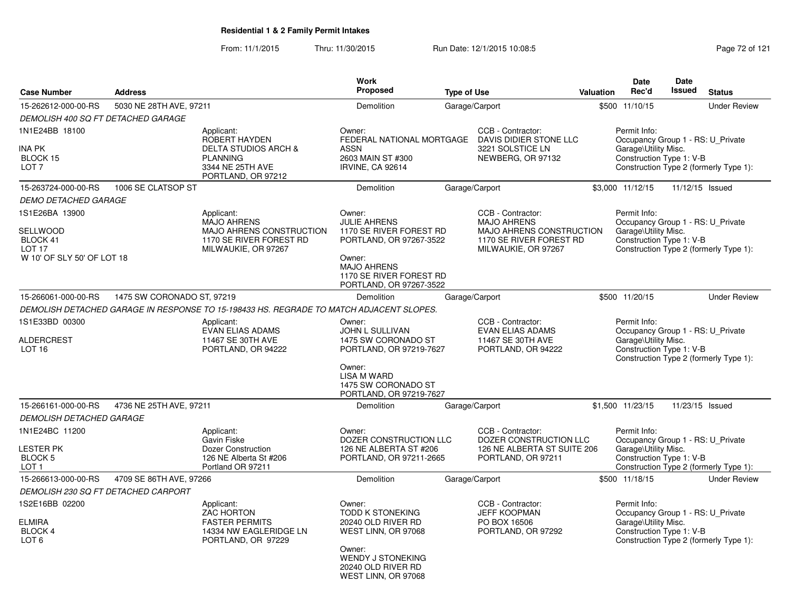From: 11/1/2015Thru: 11/30/2015 Run Date: 12/1/2015 10:08:5<br>
Page 72 of 121

| <b>Case Number</b>                                                                        | <b>Address</b>                                                                   |                                                                                                                                    | <b>Work</b><br><b>Proposed</b>                                                                                                                                            | <b>Type of Use</b>                                                                      |                                                                                                                       | <b>Valuation</b>                                                 | Date<br>Rec'd                                                                                         | Date<br>Issued                                                              | <b>Status</b>                          |
|-------------------------------------------------------------------------------------------|----------------------------------------------------------------------------------|------------------------------------------------------------------------------------------------------------------------------------|---------------------------------------------------------------------------------------------------------------------------------------------------------------------------|-----------------------------------------------------------------------------------------|-----------------------------------------------------------------------------------------------------------------------|------------------------------------------------------------------|-------------------------------------------------------------------------------------------------------|-----------------------------------------------------------------------------|----------------------------------------|
| 15-262612-000-00-RS                                                                       | 5030 NE 28TH AVE, 97211                                                          |                                                                                                                                    | Demolition                                                                                                                                                                |                                                                                         | Garage/Carport                                                                                                        |                                                                  | \$500 11/10/15                                                                                        |                                                                             | <b>Under Review</b>                    |
| DEMOLISH 400 SQ FT DETACHED GARAGE                                                        |                                                                                  |                                                                                                                                    |                                                                                                                                                                           |                                                                                         |                                                                                                                       |                                                                  |                                                                                                       |                                                                             |                                        |
| 1N1E24BB 18100<br>INA PK<br>BLOCK 15<br>LOT <sub>7</sub>                                  |                                                                                  | Applicant:<br><b>ROBERT HAYDEN</b><br><b>DELTA STUDIOS ARCH &amp;</b><br><b>PLANNING</b><br>3344 NE 25TH AVE<br>PORTLAND, OR 97212 | Owner:<br>FEDERAL NATIONAL MORTGAGE<br><b>ASSN</b><br>2603 MAIN ST #300<br><b>IRVINE, CA 92614</b>                                                                        |                                                                                         | CCB - Contractor:<br>DAVIS DIDIER STONE LLC<br>3221 SOLSTICE LN<br>NEWBERG, OR 97132                                  |                                                                  | Permit Info:<br>Occupancy Group 1 - RS: U_Private<br>Garage\Utility Misc.<br>Construction Type 1: V-B |                                                                             | Construction Type 2 (formerly Type 1): |
| 15-263724-000-00-RS                                                                       | 1006 SE CLATSOP ST                                                               |                                                                                                                                    | Demolition                                                                                                                                                                |                                                                                         | Garage/Carport                                                                                                        |                                                                  | \$3,000 11/12/15                                                                                      |                                                                             | 11/12/15 Issued                        |
| <b>DEMO DETACHED GARAGE</b>                                                               |                                                                                  |                                                                                                                                    |                                                                                                                                                                           |                                                                                         |                                                                                                                       |                                                                  |                                                                                                       |                                                                             |                                        |
| 1S1E26BA 13900<br>SELLWOOD<br>BLOCK 41<br>LOT <sub>17</sub><br>W 10' OF SLY 50' OF LOT 18 |                                                                                  | Applicant:<br><b>MAJO AHRENS</b><br>MAJO AHRENS CONSTRUCTION<br>1170 SE RIVER FOREST RD<br>MILWAUKIE, OR 97267                     | Owner:<br><b>JULIE AHRENS</b><br>1170 SE RIVER FOREST RD<br>PORTLAND, OR 97267-3522<br>Owner:<br><b>MAJO AHRENS</b><br>1170 SE RIVER FOREST RD<br>PORTLAND, OR 97267-3522 |                                                                                         | CCB - Contractor:<br><b>MAJO AHRENS</b><br>MAJO AHRENS CONSTRUCTION<br>1170 SE RIVER FOREST RD<br>MILWAUKIE, OR 97267 |                                                                  | Permit Info:<br>Occupancy Group 1 - RS: U_Private<br>Garage\Utility Misc.<br>Construction Type 1: V-B |                                                                             | Construction Type 2 (formerly Type 1): |
| 15-266061-000-00-RS                                                                       | 1475 SW CORONADO ST, 97219                                                       |                                                                                                                                    | Demolition                                                                                                                                                                |                                                                                         | Garage/Carport                                                                                                        |                                                                  | \$500 11/20/15                                                                                        |                                                                             | <b>Under Review</b>                    |
|                                                                                           |                                                                                  | DEMOLISH DETACHED GARAGE IN RESPONSE TO 15-198433 HS. REGRADE TO MATCH ADJACENT SLOPES.                                            |                                                                                                                                                                           |                                                                                         |                                                                                                                       |                                                                  |                                                                                                       |                                                                             |                                        |
| 1S1E33BD 00300<br><b>ALDERCREST</b><br><b>LOT 16</b>                                      | Applicant:<br><b>EVAN ELIAS ADAMS</b><br>11467 SE 30TH AVE<br>PORTLAND, OR 94222 |                                                                                                                                    | Owner:<br>JOHN L SULLIVAN<br>1475 SW CORONADO ST<br>PORTLAND, OR 97219-7627                                                                                               | CCB - Contractor:<br><b>EVAN ELIAS ADAMS</b><br>11467 SE 30TH AVE<br>PORTLAND, OR 94222 |                                                                                                                       | Permit Info:<br>Garage\Utility Misc.<br>Construction Type 1: V-B |                                                                                                       | Occupancy Group 1 - RS: U Private<br>Construction Type 2 (formerly Type 1): |                                        |
|                                                                                           |                                                                                  |                                                                                                                                    | Owner:<br><b>LISA M WARD</b><br>1475 SW CORONADO ST<br>PORTLAND, OR 97219-7627                                                                                            |                                                                                         |                                                                                                                       |                                                                  |                                                                                                       |                                                                             |                                        |
| 15-266161-000-00-RS                                                                       | 4736 NE 25TH AVE, 97211                                                          |                                                                                                                                    | Demolition                                                                                                                                                                |                                                                                         | Garage/Carport                                                                                                        |                                                                  | \$1,500 11/23/15                                                                                      |                                                                             | 11/23/15 Issued                        |
| <b>DEMOLISH DETACHED GARAGE</b>                                                           |                                                                                  |                                                                                                                                    |                                                                                                                                                                           |                                                                                         |                                                                                                                       |                                                                  |                                                                                                       |                                                                             |                                        |
| 1N1E24BC 11200<br><b>LESTER PK</b><br>BLOCK 5<br>LOT <sub>1</sub>                         |                                                                                  | Applicant:<br>Gavin Fiske<br>Dozer Construction<br>126 NE Alberta St #206<br>Portland OR 97211                                     | Owner:<br>DOZER CONSTRUCTION LLC<br>126 NE ALBERTA ST #206<br>PORTLAND, OR 97211-2665                                                                                     |                                                                                         | CCB - Contractor:<br>DOZER CONSTRUCTION LLC<br>126 NE ALBERTA ST SUITE 206<br>PORTLAND, OR 97211                      |                                                                  | Permit Info:<br>Occupancy Group 1 - RS: U Private<br>Garage\Utility Misc.<br>Construction Type 1: V-B |                                                                             | Construction Type 2 (formerly Type 1): |
| 15-266613-000-00-RS                                                                       | 4709 SE 86TH AVE, 97266                                                          |                                                                                                                                    | Demolition                                                                                                                                                                |                                                                                         | Garage/Carport                                                                                                        |                                                                  | \$500 11/18/15                                                                                        |                                                                             | <b>Under Review</b>                    |
| <b>DEMOLISH 230 SQ FT DETACHED CARPORT</b>                                                |                                                                                  |                                                                                                                                    |                                                                                                                                                                           |                                                                                         |                                                                                                                       |                                                                  |                                                                                                       |                                                                             |                                        |
| 1S2E16BB 02200<br><b>ELMIRA</b><br><b>BLOCK 4</b><br>LOT <sub>6</sub>                     |                                                                                  | Applicant:<br><b>ZAC HORTON</b><br><b>FASTER PERMITS</b><br>14334 NW EAGLERIDGE LN<br>PORTLAND, OR 97229                           | Owner:<br><b>TODD K STONEKING</b><br>20240 OLD RIVER RD<br>WEST LINN, OR 97068<br>Owner:<br><b>WENDY J STONEKING</b><br>20240 OLD RIVER RD<br>WEST LINN, OR 97068         |                                                                                         | CCB - Contractor:<br><b>JEFF KOOPMAN</b><br>PO BOX 16506<br>PORTLAND, OR 97292                                        |                                                                  | Permit Info:<br>Occupancy Group 1 - RS: U_Private<br>Garage\Utility Misc.<br>Construction Type 1: V-B |                                                                             | Construction Type 2 (formerly Type 1): |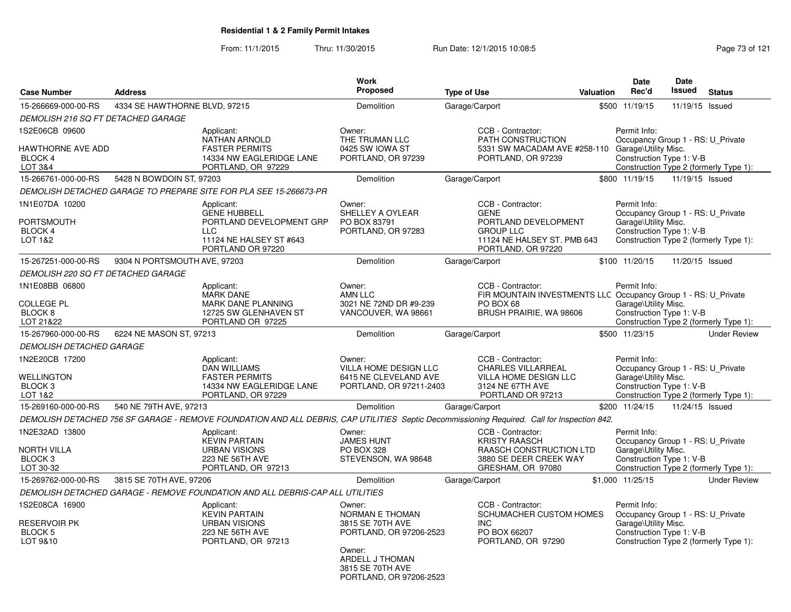From: 11/1/2015Thru: 11/30/2015 Run Date: 12/1/2015 10:08:5<br>
Page 73 of 121

|                                                                         |                               |                                                                                                                                             | <b>Work</b>                                                                                                                                                 |                    |                                                                                                                         | <b>Date</b>                                                                                                                                     | <b>Date</b>     |                                        |
|-------------------------------------------------------------------------|-------------------------------|---------------------------------------------------------------------------------------------------------------------------------------------|-------------------------------------------------------------------------------------------------------------------------------------------------------------|--------------------|-------------------------------------------------------------------------------------------------------------------------|-------------------------------------------------------------------------------------------------------------------------------------------------|-----------------|----------------------------------------|
| <b>Case Number</b>                                                      | <b>Address</b>                |                                                                                                                                             | Proposed                                                                                                                                                    | <b>Type of Use</b> | Valuation                                                                                                               | Rec'd                                                                                                                                           | Issued          | <b>Status</b>                          |
| 15-266669-000-00-RS                                                     | 4334 SE HAWTHORNE BLVD, 97215 |                                                                                                                                             | Demolition                                                                                                                                                  | Garage/Carport     |                                                                                                                         | \$500 11/19/15                                                                                                                                  | 11/19/15 Issued |                                        |
| DEMOLISH 216 SQ FT DETACHED GARAGE                                      |                               |                                                                                                                                             |                                                                                                                                                             |                    |                                                                                                                         |                                                                                                                                                 |                 |                                        |
| 1S2E06CB 09600<br><b>HAWTHORNE AVE ADD</b><br>BLOCK 4<br>LOT 3&4        |                               | Applicant:<br><b>NATHAN ARNOLD</b><br><b>FASTER PERMITS</b><br>14334 NW EAGLERIDGE LANE<br>PORTLAND, OR 97229                               | Owner:<br>THE TRUMAN LLC<br>0425 SW IOWA ST<br>PORTLAND, OR 97239                                                                                           |                    | CCB - Contractor:<br>PATH CONSTRUCTION<br>5331 SW MACADAM AVE #258-110 Garage\Utility Misc.<br>PORTLAND, OR 97239       | Permit Info:<br>Occupancy Group 1 - RS: U_Private<br>Construction Type 1: V-B<br>Construction Type 2 (formerly Type 1):                         |                 |                                        |
| 15-266761-000-00-RS                                                     | 5428 N BOWDOIN ST, 97203      |                                                                                                                                             | Demolition                                                                                                                                                  | Garage/Carport     |                                                                                                                         | \$800 11/19/15                                                                                                                                  | 11/19/15 Issued |                                        |
|                                                                         |                               | DEMOLISH DETACHED GARAGE TO PREPARE SITE FOR PLA SEE 15-266673-PR                                                                           |                                                                                                                                                             |                    |                                                                                                                         |                                                                                                                                                 |                 |                                        |
| 1N1E07DA 10200<br><b>PORTSMOUTH</b><br>BLOCK 4<br>LOT 1&2               |                               | Applicant:<br><b>GENE HUBBELL</b><br>PORTLAND DEVELOPMENT GRP<br><b>LLC</b><br>11124 NE HALSEY ST #643<br>PORTLAND OR 97220                 | Owner:<br>SHELLEY A OYLEAR<br>PO BOX 83791<br>PORTLAND, OR 97283                                                                                            | <b>GENE</b>        | CCB - Contractor:<br>PORTLAND DEVELOPMENT<br><b>GROUP LLC</b><br>11124 NE HALSEY ST. PMB 643<br>PORTLAND, OR 97220      | Permit Info:<br>Occupancy Group 1 - RS: U Private<br>Garage\Utility Misc.<br>Construction Type 1: V-B<br>Construction Type 2 (formerly Type 1): |                 |                                        |
| 15-267251-000-00-RS                                                     | 9304 N PORTSMOUTH AVE, 97203  |                                                                                                                                             | <b>Demolition</b>                                                                                                                                           | Garage/Carport     |                                                                                                                         | \$100 11/20/15                                                                                                                                  | 11/20/15 Issued |                                        |
| <b>DEMOLISH 220 SQ FT DETACHED GARAGE</b>                               |                               |                                                                                                                                             |                                                                                                                                                             |                    |                                                                                                                         |                                                                                                                                                 |                 |                                        |
| 1N1E08BB 06800<br><b>COLLEGE PL</b><br>BLOCK 8<br>LOT 21&22             |                               | Applicant:<br><b>MARK DANE</b><br>MARK DANE PLANNING<br>12725 SW GLENHAVEN ST<br>PORTLAND OR 97225                                          | Owner:<br>AMN LLC<br>3021 NE 72ND DR #9-239<br>VANCOUVER, WA 98661                                                                                          | PO BOX 68          | CCB - Contractor:<br>FIR MOUNTAIN INVESTMENTS LLC Occupancy Group 1 - RS: U_Private<br>BRUSH PRAIRIE, WA 98606          | Permit Info:<br>Garage\Utility Misc.<br>Construction Type 1: V-B<br>Construction Type 2 (formerly Type 1):                                      |                 |                                        |
| 15-267960-000-00-RS                                                     | 6224 NE MASON ST, 97213       |                                                                                                                                             | Demolition                                                                                                                                                  | Garage/Carport     |                                                                                                                         | \$500 11/23/15                                                                                                                                  |                 | <b>Under Review</b>                    |
| <b>DEMOLISH DETACHED GARAGE</b>                                         |                               |                                                                                                                                             |                                                                                                                                                             |                    |                                                                                                                         |                                                                                                                                                 |                 |                                        |
| 1N2E20CB 17200<br><b>WELLINGTON</b><br>BLOCK <sub>3</sub><br>LOT 1&2    |                               | Applicant:<br><b>DAN WILLIAMS</b><br><b>FASTER PERMITS</b><br>14334 NW EAGLERIDGE LANE<br>PORTLAND, OR 97229                                | Owner:<br>VILLA HOME DESIGN LLC<br>6415 NE CLEVELAND AVE<br>PORTLAND, OR 97211-2403                                                                         |                    | CCB - Contractor:<br><b>CHARLES VILLARREAL</b><br><b>VILLA HOME DESIGN LLC</b><br>3124 NE 67TH AVE<br>PORTLAND OR 97213 | Permit Info:<br>Occupancy Group 1 - RS: U_Private<br>Garage\Utility Misc.<br>Construction Type 1: V-B<br>Construction Type 2 (formerly Type 1): |                 |                                        |
| 15-269160-000-00-RS                                                     | 540 NE 79TH AVE, 97213        |                                                                                                                                             | <b>Demolition</b>                                                                                                                                           | Garage/Carport     |                                                                                                                         | \$200 11/24/15                                                                                                                                  | 11/24/15 Issued |                                        |
|                                                                         |                               | DEMOLISH DETACHED 756 SF GARAGE - REMOVE FOUNDATION AND ALL DEBRIS, CAP UTILITIES Septic Decommissioning Required. Call for Inspection 842. |                                                                                                                                                             |                    |                                                                                                                         |                                                                                                                                                 |                 |                                        |
| 1N2E32AD 13800<br><b>NORTH VILLA</b><br>BLOCK <sub>3</sub><br>LOT 30-32 |                               | Applicant:<br><b>KEVIN PARTAIN</b><br><b>URBAN VISIONS</b><br>223 NE 56TH AVE<br>PORTLAND, OR 97213                                         | Owner:<br><b>JAMES HUNT</b><br><b>PO BOX 328</b><br>STEVENSON, WA 98648                                                                                     |                    | CCB - Contractor:<br><b>KRISTY RAASCH</b><br>RAASCH CONSTRUCTION LTD<br>3880 SE DEER CREEK WAY<br>GRESHAM, OR 97080     | Permit Info:<br>Occupancy Group 1 - RS: U Private<br>Garage\Utility Misc.<br>Construction Type 1: V-B                                           |                 | Construction Type 2 (formerly Type 1): |
| 15-269762-000-00-RS                                                     | 3815 SE 70TH AVE, 97206       |                                                                                                                                             | Demolition                                                                                                                                                  | Garage/Carport     |                                                                                                                         | \$1,000 11/25/15                                                                                                                                |                 | <b>Under Review</b>                    |
|                                                                         |                               | DEMOLISH DETACHED GARAGE - REMOVE FOUNDATION AND ALL DEBRIS-CAP ALL UTILITIES                                                               |                                                                                                                                                             |                    |                                                                                                                         |                                                                                                                                                 |                 |                                        |
| 1S2E08CA 16900<br><b>RESERVOIR PK</b><br>BLOCK 5<br>LOT 9&10            |                               | Applicant:<br><b>KEVIN PARTAIN</b><br><b>URBAN VISIONS</b><br><b>223 NE 56TH AVE</b><br>PORTLAND, OR 97213                                  | Owner:<br><b>NORMAN E THOMAN</b><br>3815 SE 70TH AVE<br>PORTLAND, OR 97206-2523<br>Owner:<br>ARDELL J THOMAN<br>3815 SE 70TH AVE<br>PORTLAND, OR 97206-2523 | <b>INC</b>         | CCB - Contractor:<br>SCHUMACHER CUSTOM HOMES<br>PO BOX 66207<br>PORTLAND, OR 97290                                      | Permit Info:<br>Occupancy Group 1 - RS: U_Private<br>Garage\Utility Misc.<br>Construction Type 1: V-B<br>Construction Type 2 (formerly Type 1): |                 |                                        |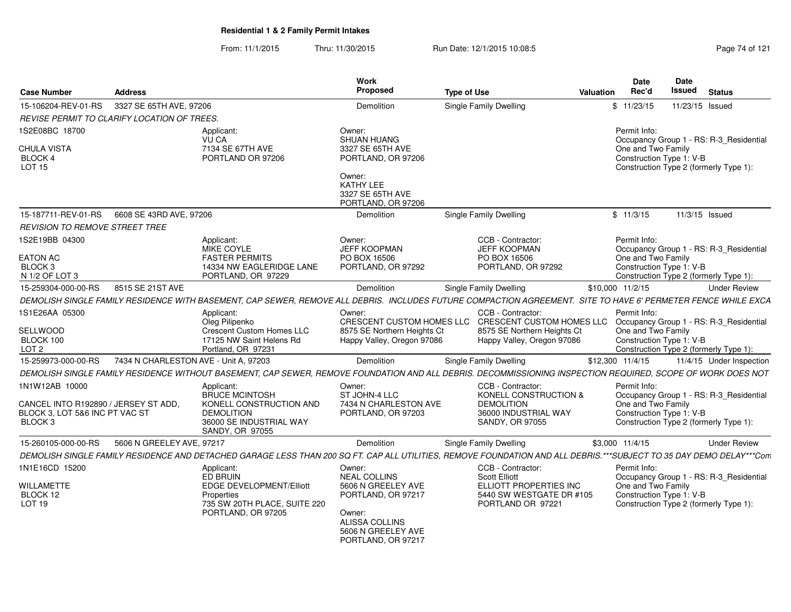From: 11/1/2015Thru: 11/30/2015 Run Date: 12/1/2015 10:08:5<br>
Page 74 of 121

| 3327 SE 65TH AVE, 97206<br>15-106204-REV-01-RS<br>Demolition<br>Single Family Dwelling<br>\$11/23/15<br>11/23/15 Issued<br>REVISE PERMIT TO CLARIFY LOCATION OF TREES.<br>1S2E08BC 18700<br>Owner:<br>Permit Info:<br>Applicant:<br>SHUAN HUANG<br><b>VU CA</b><br>Occupancy Group 1 - RS: R-3_Residential<br>CHULA VISTA<br>7134 SE 67TH AVE<br>3327 SE 65TH AVE<br>One and Two Family<br>Construction Type 1: V-B<br>PORTLAND OR 97206<br>BLOCK 4<br>PORTLAND, OR 97206<br>LOT <sub>15</sub><br>Construction Type 2 (formerly Type 1):<br>Owner:<br>KATHY LEE<br>3327 SE 65TH AVE<br>PORTLAND, OR 97206 |
|-----------------------------------------------------------------------------------------------------------------------------------------------------------------------------------------------------------------------------------------------------------------------------------------------------------------------------------------------------------------------------------------------------------------------------------------------------------------------------------------------------------------------------------------------------------------------------------------------------------|
|                                                                                                                                                                                                                                                                                                                                                                                                                                                                                                                                                                                                           |
|                                                                                                                                                                                                                                                                                                                                                                                                                                                                                                                                                                                                           |
|                                                                                                                                                                                                                                                                                                                                                                                                                                                                                                                                                                                                           |
|                                                                                                                                                                                                                                                                                                                                                                                                                                                                                                                                                                                                           |
|                                                                                                                                                                                                                                                                                                                                                                                                                                                                                                                                                                                                           |
| <b>Single Family Dwelling</b><br>15-187711-REV-01-RS<br>6608 SE 43RD AVE, 97206<br>\$11/3/15<br>Demolition<br>11/3/15 Issued                                                                                                                                                                                                                                                                                                                                                                                                                                                                              |
| <i>REVISION TO REMOVE STREET TREE</i>                                                                                                                                                                                                                                                                                                                                                                                                                                                                                                                                                                     |
| 1S2E19BB 04300<br>CCB - Contractor:<br>Permit Info:<br>Applicant:<br>Owner:<br>MIKE COYLE<br><b>JEFF KOOPMAN</b><br><b>JEFF KOOPMAN</b><br>Occupancy Group 1 - RS: R-3 Residential                                                                                                                                                                                                                                                                                                                                                                                                                        |
| <b>FASTER PERMITS</b><br><b>EATON AC</b><br>PO BOX 16506<br>PO BOX 16506<br>One and Two Family<br>Construction Type 1: V-B<br>BLOCK <sub>3</sub><br>14334 NW EAGLERIDGE LANE<br>PORTLAND, OR 97292<br>PORTLAND, OR 97292                                                                                                                                                                                                                                                                                                                                                                                  |
| Construction Type 2 (formerly Type 1):<br>N 1/2 OF LOT 3<br>PORTLAND, OR 97229                                                                                                                                                                                                                                                                                                                                                                                                                                                                                                                            |
| 15-259304-000-00-RS<br>8515 SE 21ST AVE<br>Single Family Dwelling<br>\$10,000 11/2/15<br>Demolition<br><b>Under Review</b>                                                                                                                                                                                                                                                                                                                                                                                                                                                                                |
| DEMOLISH SINGLE FAMILY RESIDENCE WITH BASEMENT, CAP SEWER, REMOVE ALL DEBRIS. INCLUDES FUTURE COMPACTION AGREEMENT. SITE TO HAVE 6' PERMETER FENCE WHILE EXCA                                                                                                                                                                                                                                                                                                                                                                                                                                             |
| 1S1E26AA 05300<br>CCB - Contractor:<br>Owner:<br>Permit Info:<br>Applicant:                                                                                                                                                                                                                                                                                                                                                                                                                                                                                                                               |
| Oleg Pilipenko<br>CRESCENT CUSTOM HOMES LLC<br>CRESCENT CUSTOM HOMES LLC<br>Occupancy Group 1 - RS: R-3_Residential                                                                                                                                                                                                                                                                                                                                                                                                                                                                                       |
| SELLWOOD<br>Crescent Custom Homes LLC<br>8575 SE Northern Heights Ct<br>One and Two Family<br>8575 SE Northern Heights Ct                                                                                                                                                                                                                                                                                                                                                                                                                                                                                 |
| BLOCK 100<br>17125 NW Saint Helens Rd<br>Construction Type 1: V-B<br>Happy Valley, Oregon 97086<br>Happy Valley, Oregon 97086<br>LOT <sub>2</sub><br>Portland, OR 97231<br>Construction Type 2 (formerly Type 1):                                                                                                                                                                                                                                                                                                                                                                                         |
| 15-259973-000-00-RS<br>7434 N CHARLESTON AVE - Unit A, 97203<br>\$12,300 11/4/15<br>Demolition<br>Single Family Dwelling<br>11/4/15 Under Inspection                                                                                                                                                                                                                                                                                                                                                                                                                                                      |
| DEMOLISH SINGLE FAMILY RESIDENCE WITHOUT BASEMENT, CAP SEWER, REMOVE FOUNDATION AND ALL DEBRIS. DECOMMISSIONING INSPECTION REQUIRED, SCOPE OF WORK DOES NOT                                                                                                                                                                                                                                                                                                                                                                                                                                               |
|                                                                                                                                                                                                                                                                                                                                                                                                                                                                                                                                                                                                           |
| Permit Info:<br>1N1W12AB 10000<br>Applicant:<br>Owner:<br>CCB - Contractor:<br><b>BRUCE MCINTOSH</b><br>ST JOHN-4 LLC<br>KONELL CONSTRUCTION &<br>Occupancy Group 1 - RS: R-3_Residential<br>One and Two Family<br>KONELL CONSTRUCTION AND<br>7434 N CHARLESTON AVE<br>CANCEL INTO R192890 / JERSEY ST ADD.<br><b>DEMOLITION</b>                                                                                                                                                                                                                                                                          |
| Construction Type 1: V-B<br>BLOCK 3, LOT 5&6 INC PT VAC ST<br><b>DEMOLITION</b><br>PORTLAND, OR 97203<br>36000 INDUSTRIAL WAY<br>Construction Type 2 (formerly Type 1):<br>BLOCK <sub>3</sub><br>36000 SE INDUSTRIAL WAY<br><b>SANDY, OR 97055</b><br>SANDY, OR 97055                                                                                                                                                                                                                                                                                                                                     |
| 5606 N GREELEY AVE, 97217<br>15-260105-000-00-RS<br>\$3,000 11/4/15<br>Demolition<br>Single Family Dwelling<br><b>Under Review</b>                                                                                                                                                                                                                                                                                                                                                                                                                                                                        |
| DEMOLISH SINGLE FAMILY RESIDENCE AND DETACHED GARAGE LESS THAN 200 SQ FT. CAP ALL UTILITIES, REMOVE FOUNDATION AND ALL DEBRIS.***SUBJECT TO 35 DAY DEMO DELAY***Com                                                                                                                                                                                                                                                                                                                                                                                                                                       |
| 1N1E16CD 15200<br>Owner:<br>CCB - Contractor:<br>Permit Info:<br>Applicant:<br>ED BRUIN<br><b>NEAL COLLINS</b><br><b>Scott Elliott</b><br>Occupancy Group 1 - RS: R-3_Residential                                                                                                                                                                                                                                                                                                                                                                                                                         |
| <b>EDGE DEVELOPMENT/Elliott</b><br>5606 N GREELEY AVE<br>ELLIOTT PROPERTIES INC<br>One and Two Family<br><b>WILLAMETTE</b><br>5440 SW WESTGATE DR #105<br>Construction Type 1: V-B<br>BLOCK 12<br>PORTLAND, OR 97217<br>Properties<br>LOT <sub>19</sub><br>735 SW 20TH PLACE, SUITE 220<br>PORTLAND OR 97221<br>Construction Type 2 (formerly Type 1):<br>PORTLAND, OR 97205<br>Owner:<br>ALISSA COLLINS<br>5606 N GREELEY AVE<br>PORTLAND, OR 97217                                                                                                                                                      |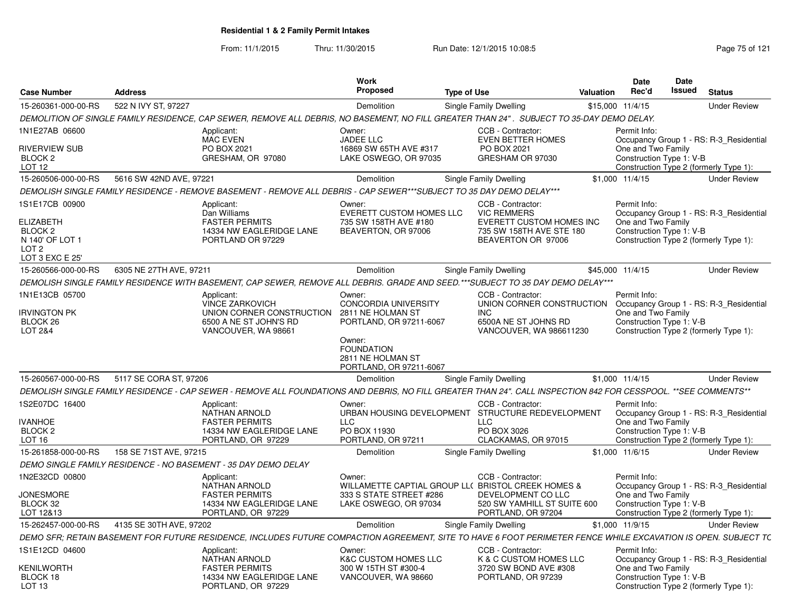From: 11/1/2015Thru: 11/30/2015 Run Date: 12/1/2015 10:08:5<br>
Page 75 of 121

| <b>Case Number</b>                                                                               | <b>Address</b>                                                                                                                                                 | <b>Work</b><br><b>Proposed</b>                                              | <b>Type of Use</b> |                                                                            | Valuation | <b>Date</b><br>Rec'd                           | Date<br>Issued | <b>Status</b>                           |
|--------------------------------------------------------------------------------------------------|----------------------------------------------------------------------------------------------------------------------------------------------------------------|-----------------------------------------------------------------------------|--------------------|----------------------------------------------------------------------------|-----------|------------------------------------------------|----------------|-----------------------------------------|
| 15-260361-000-00-RS                                                                              | 522 N IVY ST, 97227                                                                                                                                            | Demolition                                                                  |                    | Single Family Dwelling                                                     |           | \$15,000 11/4/15                               |                | <b>Under Review</b>                     |
|                                                                                                  | DEMOLITION OF SINGLE FAMILY RESIDENCE, CAP SEWER, REMOVE ALL DEBRIS, NO BASEMENT, NO FILL GREATER THAN 24". SUBJECT TO 35-DAY DEMO DELAY.                      |                                                                             |                    |                                                                            |           |                                                |                |                                         |
| 1N1E27AB 06600                                                                                   | Applicant:<br><b>MAC EVEN</b>                                                                                                                                  | Owner:<br><b>JADEE LLC</b>                                                  |                    | CCB - Contractor:<br><b>EVEN BETTER HOMES</b>                              |           | Permit Info:                                   |                | Occupancy Group 1 - RS: R-3_Residential |
| <b>RIVERVIEW SUB</b><br>BLOCK <sub>2</sub><br><b>LOT 12</b>                                      | PO BOX 2021<br>GRESHAM, OR 97080                                                                                                                               | 16869 SW 65TH AVE #317<br>LAKE OSWEGO, OR 97035                             |                    | PO BOX 2021<br>GRESHAM OR 97030                                            |           | One and Two Family<br>Construction Type 1: V-B |                | Construction Type 2 (formerly Type 1):  |
| 15-260506-000-00-RS                                                                              | 5616 SW 42ND AVE, 97221                                                                                                                                        | Demolition                                                                  |                    | Single Family Dwelling                                                     |           | \$1,000 11/4/15                                |                | <b>Under Review</b>                     |
|                                                                                                  | DEMOLISH SINGLE FAMILY RESIDENCE - REMOVE BASEMENT - REMOVE ALL DEBRIS - CAP SEWER***SUBJECT TO 35 DAY DEMO DELAY***                                           |                                                                             |                    |                                                                            |           |                                                |                |                                         |
| 1S1E17CB 00900                                                                                   | Applicant:<br>Dan Williams                                                                                                                                     | Owner:<br>EVERETT CUSTOM HOMES LLC                                          |                    | CCB - Contractor:<br><b>VIC REMMERS</b>                                    |           | Permit Info:                                   |                | Occupancy Group 1 - RS: R-3 Residential |
| <b>ELIZABETH</b><br>BLOCK <sub>2</sub><br>N 140' OF LOT 1<br>LOT <sub>2</sub><br>LOT 3 EXC E 25' | <b>FASTER PERMITS</b><br>14334 NW EAGLERIDGE LANE<br>PORTLAND OR 97229                                                                                         | 735 SW 158TH AVE #180<br>BEAVERTON, OR 97006                                |                    | EVERETT CUSTOM HOMES INC<br>735 SW 158TH AVE STE 180<br>BEAVERTON OR 97006 |           | One and Two Family<br>Construction Type 1: V-B |                | Construction Type 2 (formerly Type 1):  |
| 15-260566-000-00-RS                                                                              | 6305 NE 27TH AVE, 97211                                                                                                                                        | Demolition                                                                  |                    | Single Family Dwelling                                                     |           | \$45,000 11/4/15                               |                | <b>Under Review</b>                     |
|                                                                                                  | DEMOLISH SINGLE FAMILY RESIDENCE WITH BASEMENT, CAP SEWER, REMOVE ALL DEBRIS. GRADE AND SEED.***SUBJECT TO 35 DAY DEMO DELAY***                                |                                                                             |                    |                                                                            |           |                                                |                |                                         |
| 1N1E13CB 05700                                                                                   | Applicant:<br><b>VINCE ZARKOVICH</b>                                                                                                                           | Owner:<br><b>CONCORDIA UNIVERSITY</b>                                       |                    | CCB - Contractor:<br>UNION CORNER CONSTRUCTION                             |           | Permit Info:                                   |                | Occupancy Group 1 - RS: R-3_Residential |
| <b>IRVINGTON PK</b><br>BLOCK <sub>26</sub><br><b>LOT 2&amp;4</b>                                 | UNION CORNER CONSTRUCTION<br>6500 A NE ST JOHN'S RD<br>VANCOUVER, WA 98661                                                                                     | 2811 NE HOLMAN ST<br>PORTLAND, OR 97211-6067                                |                    | <b>INC</b><br>6500A NE ST JOHNS RD<br>VANCOUVER, WA 986611230              |           | One and Two Family<br>Construction Type 1: V-B |                | Construction Type 2 (formerly Type 1):  |
|                                                                                                  |                                                                                                                                                                | Owner:<br><b>FOUNDATION</b><br>2811 NE HOLMAN ST<br>PORTLAND, OR 97211-6067 |                    |                                                                            |           |                                                |                |                                         |
| 15-260567-000-00-RS                                                                              | 5117 SE CORA ST, 97206                                                                                                                                         | <b>Demolition</b>                                                           |                    | Single Family Dwelling                                                     |           | \$1,000 11/4/15                                |                | <b>Under Review</b>                     |
|                                                                                                  | DEMOLISH SINGLE FAMILY RESIDENCE - CAP SEWER - REMOVE ALL FOUNDATIONS AND DEBRIS, NO FILL GREATER THAN 24". CALL INSPECTION 842 FOR CESSPOOL. **SEE COMMENTS** |                                                                             |                    |                                                                            |           |                                                |                |                                         |
| 1S2E07DC 16400                                                                                   | Applicant:<br>NATHAN ARNOLD                                                                                                                                    | Owner:<br>URBAN HOUSING DEVELOPMENT                                         |                    | CCB - Contractor:<br>STRUCTURE REDEVELOPMENT                               |           | Permit Info:                                   |                | Occupancy Group 1 - RS: R-3 Residential |
| <b>IVANHOE</b>                                                                                   | <b>FASTER PERMITS</b>                                                                                                                                          | <b>LLC</b>                                                                  |                    | <b>LLC</b>                                                                 |           | One and Two Family                             |                |                                         |
| <b>BLOCK 2</b><br><b>LOT 16</b>                                                                  | 14334 NW EAGLERIDGE LANE<br>PORTLAND, OR 97229                                                                                                                 | PO BOX 11930<br>PORTLAND, OR 97211                                          |                    | PO BOX 3026<br>CLACKAMAS, OR 97015                                         |           | Construction Type 1: V-B                       |                | Construction Type 2 (formerly Type 1):  |
| 15-261858-000-00-RS                                                                              | 158 SE 71ST AVE, 97215                                                                                                                                         | Demolition                                                                  |                    | Single Family Dwelling                                                     |           | \$1,000 11/6/15                                |                | <b>Under Review</b>                     |
|                                                                                                  | DEMO SINGLE FAMILY RESIDENCE - NO BASEMENT - 35 DAY DEMO DELAY                                                                                                 |                                                                             |                    |                                                                            |           |                                                |                |                                         |
| 1N2E32CD 00800                                                                                   | Applicant:                                                                                                                                                     | Owner:                                                                      |                    | CCB - Contractor:                                                          |           | Permit Info:                                   |                |                                         |
| JONESMORE                                                                                        | NATHAN ARNOLD<br><b>FASTER PERMITS</b>                                                                                                                         | 333 S STATE STREET #286                                                     |                    | WILLAMETTE CAPTIAL GROUP LL( BRISTOL CREEK HOMES &<br>DEVELOPMENT CO LLC   |           | One and Two Family                             |                | Occupancy Group 1 - RS: R-3_Residential |
| BLOCK 32                                                                                         | 14334 NW EAGLERIDGE LANE                                                                                                                                       | LAKE OSWEGO, OR 97034                                                       |                    | 520 SW YAMHILL ST SUITE 600                                                |           | Construction Type 1: V-B                       |                |                                         |
| LOT 12&13                                                                                        | PORTLAND, OR 97229                                                                                                                                             |                                                                             |                    | PORTLAND, OR 97204                                                         |           |                                                |                | Construction Type 2 (formerly Type 1):  |
| 15-262457-000-00-RS                                                                              | 4135 SE 30TH AVE, 97202                                                                                                                                        | Demolition                                                                  |                    | Single Family Dwelling                                                     |           | \$1,000 11/9/15                                |                | <b>Under Review</b>                     |
|                                                                                                  | DEMO SFR; RETAIN BASEMENT FOR FUTURE RESIDENCE, INCLUDES FUTURE COMPACTION AGREEMENT, SITE TO HAVE 6 FOOT PERIMETER FENCE WHILE EXCAVATION IS OPEN. SUBJECT TC |                                                                             |                    |                                                                            |           |                                                |                |                                         |
| 1S1E12CD 04600                                                                                   | Applicant:<br>NATHAN ARNOLD                                                                                                                                    | Owner:<br><b>K&amp;C CUSTOM HOMES LLC</b>                                   |                    | CCB - Contractor:<br>K & C CUSTOM HOMES LLC                                |           | Permit Info:                                   |                | Occupancy Group 1 - RS: R-3 Residential |
| KENILWORTH<br>BLOCK 18<br>LOT 13                                                                 | <b>FASTER PERMITS</b><br>14334 NW EAGLERIDGE LANE<br>PORTLAND, OR 97229                                                                                        | 300 W 15TH ST #300-4<br>VANCOUVER, WA 98660                                 |                    | 3720 SW BOND AVE #308<br>PORTLAND, OR 97239                                |           | One and Two Family<br>Construction Type 1: V-B |                | Construction Type 2 (formerly Type 1):  |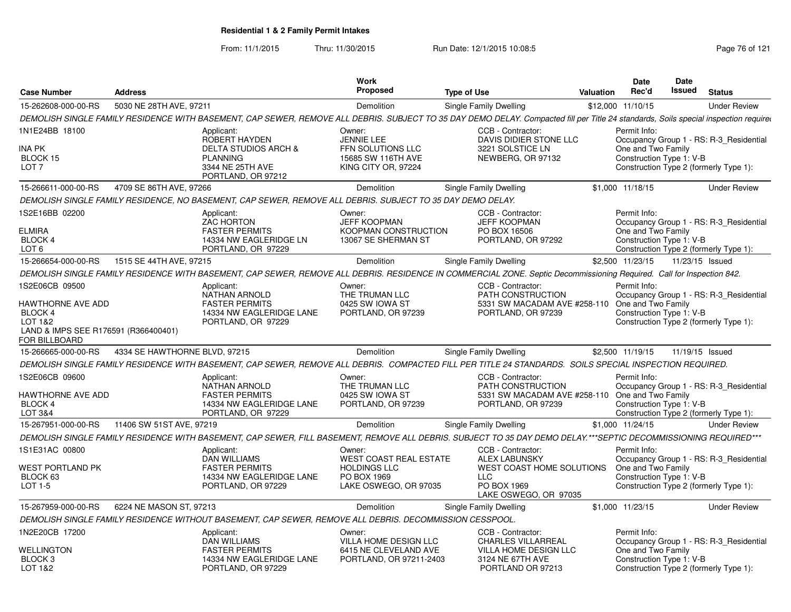From: 11/1/2015Thru: 11/30/2015 Run Date: 12/1/2015 10:08:5<br>
Page 76 of 121

|                                                                                                                    |                               |                                                                                                                                                                                     | <b>Work</b>                                                                                            |                    |                                                                                                                                     |                  | Date                                                           | <b>Date</b>     |                                                                                   |
|--------------------------------------------------------------------------------------------------------------------|-------------------------------|-------------------------------------------------------------------------------------------------------------------------------------------------------------------------------------|--------------------------------------------------------------------------------------------------------|--------------------|-------------------------------------------------------------------------------------------------------------------------------------|------------------|----------------------------------------------------------------|-----------------|-----------------------------------------------------------------------------------|
| <b>Case Number</b>                                                                                                 | <b>Address</b>                |                                                                                                                                                                                     | Proposed                                                                                               | <b>Type of Use</b> |                                                                                                                                     | <b>Valuation</b> | Rec'd                                                          | <b>Issued</b>   | <b>Status</b>                                                                     |
| 15-262608-000-00-RS                                                                                                | 5030 NE 28TH AVE, 97211       |                                                                                                                                                                                     | Demolition                                                                                             |                    | Single Family Dwelling                                                                                                              |                  | \$12,000 11/10/15                                              |                 | <b>Under Review</b>                                                               |
|                                                                                                                    |                               | DEMOLISH SINGLE FAMILY RESIDENCE WITH BASEMENT, CAP SEWER, REMOVE ALL DEBRIS. SUBJECT TO 35 DAY DEMO DELAY. Compacted fill per Title 24 standards, Soils special inspection require |                                                                                                        |                    |                                                                                                                                     |                  |                                                                |                 |                                                                                   |
| 1N1E24BB 18100<br>INA PK<br>BLOCK 15<br>LOT <sub>7</sub>                                                           |                               | Applicant:<br>ROBERT HAYDEN<br><b>DELTA STUDIOS ARCH &amp;</b><br><b>PLANNING</b><br>3344 NE 25TH AVE<br>PORTLAND, OR 97212                                                         | Owner:<br><b>JENNIE LEE</b><br>FFN SOLUTIONS LLC<br>15685 SW 116TH AVE<br>KING CITY OR, 97224          |                    | CCB - Contractor:<br>DAVIS DIDIER STONE LLC<br>3221 SOLSTICE LN<br>NEWBERG, OR 97132                                                |                  | Permit Info:<br>One and Two Family<br>Construction Type 1: V-B |                 | Occupancy Group 1 - RS: R-3_Residential<br>Construction Type 2 (formerly Type 1): |
| 15-266611-000-00-RS                                                                                                | 4709 SE 86TH AVE, 97266       |                                                                                                                                                                                     | Demolition                                                                                             |                    | Single Family Dwelling                                                                                                              |                  | \$1,000 11/18/15                                               |                 | <b>Under Review</b>                                                               |
|                                                                                                                    |                               | DEMOLISH SINGLE FAMILY RESIDENCE, NO BASEMENT, CAP SEWER, REMOVE ALL DEBRIS. SUBJECT TO 35 DAY DEMO DELAY.                                                                          |                                                                                                        |                    |                                                                                                                                     |                  |                                                                |                 |                                                                                   |
| 1S2E16BB 02200<br><b>ELMIRA</b><br>BLOCK 4<br>LOT <sub>6</sub>                                                     |                               | Applicant:<br><b>ZAC HORTON</b><br><b>FASTER PERMITS</b><br>14334 NW EAGLERIDGE LN<br>PORTLAND, OR 97229                                                                            | Owner:<br><b>JEFF KOOPMAN</b><br>KOOPMAN CONSTRUCTION<br>13067 SE SHERMAN ST                           |                    | CCB - Contractor:<br><b>JEFF KOOPMAN</b><br>PO BOX 16506<br>PORTLAND, OR 97292                                                      |                  | Permit Info:<br>One and Two Family<br>Construction Type 1: V-B |                 | Occupancy Group 1 - RS: R-3 Residential<br>Construction Type 2 (formerly Type 1): |
| 15-266654-000-00-RS                                                                                                | 1515 SE 44TH AVE, 97215       |                                                                                                                                                                                     | Demolition                                                                                             |                    | Single Family Dwelling                                                                                                              |                  | \$2,500 11/23/15                                               | 11/23/15 Issued |                                                                                   |
|                                                                                                                    |                               | DEMOLISH SINGLE FAMILY RESIDENCE WITH BASEMENT, CAP SEWER, REMOVE ALL DEBRIS. RESIDENCE IN COMMERCIAL ZONE. Septic Decommissioning Required. Call for Inspection 842.               |                                                                                                        |                    |                                                                                                                                     |                  |                                                                |                 |                                                                                   |
| 1S2E06CB 09500<br>HAWTHORNE AVE ADD<br>BLOCK 4<br>LOT 1&2<br>LAND & IMPS SEE R176591 (R366400401)<br>FOR BILLBOARD |                               | Applicant:<br><b>NATHAN ARNOLD</b><br><b>FASTER PERMITS</b><br>14334 NW EAGLERIDGE LANE<br>PORTLAND, OR 97229                                                                       | Owner:<br>THE TRUMAN LLC<br>0425 SW IOWA ST<br>PORTLAND, OR 97239                                      |                    | CCB - Contractor:<br>PATH CONSTRUCTION<br>5331 SW MACADAM AVE #258-110<br>PORTLAND, OR 97239                                        |                  | Permit Info:<br>One and Two Family<br>Construction Type 1: V-B |                 | Occupancy Group 1 - RS: R-3_Residential<br>Construction Type 2 (formerly Type 1): |
| 15-266665-000-00-RS                                                                                                | 4334 SE HAWTHORNE BLVD, 97215 |                                                                                                                                                                                     | Demolition                                                                                             |                    | Single Family Dwelling                                                                                                              |                  | \$2,500 11/19/15                                               | 11/19/15 Issued |                                                                                   |
|                                                                                                                    |                               | DEMOLISH SINGLE FAMILY RESIDENCE WITH BASEMENT, CAP SEWER, REMOVE ALL DEBRIS. COMPACTED FILL PER TITLE 24 STANDARDS. SOILS SPECIAL INSPECTION REQUIRED.                             |                                                                                                        |                    |                                                                                                                                     |                  |                                                                |                 |                                                                                   |
| 1S2E06CB 09600<br>HAWTHORNE AVE ADD<br><b>BLOCK 4</b><br>LOT 3&4                                                   |                               | Applicant:<br>NATHAN ARNOLD<br><b>FASTER PERMITS</b><br>14334 NW EAGLERIDGE LANE<br>PORTLAND, OR 97229                                                                              | Owner:<br>THE TRUMAN LLC<br>0425 SW IOWA ST<br>PORTLAND, OR 97239                                      |                    | CCB - Contractor:<br>PATH CONSTRUCTION<br>5331 SW MACADAM AVE #258-110<br>PORTLAND, OR 97239                                        |                  | Permit Info:<br>One and Two Family<br>Construction Type 1: V-B |                 | Occupancy Group 1 - RS: R-3 Residential<br>Construction Type 2 (formerly Type 1): |
| 15-267951-000-00-RS                                                                                                | 11406 SW 51ST AVE, 97219      |                                                                                                                                                                                     | Demolition                                                                                             |                    | Single Family Dwelling                                                                                                              |                  | \$1,000 11/24/15                                               |                 | <b>Under Review</b>                                                               |
|                                                                                                                    |                               | DEMOLISH SINGLE FAMILY RESIDENCE WITH BASEMENT, CAP SEWER, FILL BASEMENT, REMOVE ALL DEBRIS. SUBJECT TO 35 DAY DEMO DELAY.***SEPTIC DECOMMISSIONING REQUIRED***                     |                                                                                                        |                    |                                                                                                                                     |                  |                                                                |                 |                                                                                   |
| 1S1E31AC 00800<br>WEST PORTLAND PK<br>BLOCK 63<br>LOT 1-5                                                          |                               | Applicant:<br><b>DAN WILLIAMS</b><br><b>FASTER PERMITS</b><br>14334 NW EAGLERIDGE LANE<br>PORTLAND, OR 97229                                                                        | Owner:<br><b>WEST COAST REAL ESTATE</b><br><b>HOLDINGS LLC</b><br>PO BOX 1969<br>LAKE OSWEGO, OR 97035 |                    | CCB - Contractor:<br><b>ALEX LABUNSKY</b><br><b>WEST COAST HOME SOLUTIONS</b><br><b>LLC</b><br>PO BOX 1969<br>LAKE OSWEGO, OR 97035 |                  | Permit Info:<br>One and Two Family<br>Construction Type 1: V-B |                 | Occupancy Group 1 - RS: R-3_Residential<br>Construction Type 2 (formerly Type 1): |
| 15-267959-000-00-RS                                                                                                | 6224 NE MASON ST, 97213       |                                                                                                                                                                                     | Demolition                                                                                             |                    | Single Family Dwelling                                                                                                              |                  | \$1,000 11/23/15                                               |                 | <b>Under Review</b>                                                               |
|                                                                                                                    |                               | DEMOLISH SINGLE FAMILY RESIDENCE WITHOUT BASEMENT, CAP SEWER, REMOVE ALL DEBRIS. DECOMMISSION CESSPOOL.                                                                             |                                                                                                        |                    |                                                                                                                                     |                  |                                                                |                 |                                                                                   |
| 1N2E20CB 17200<br>WELLINGTON<br>BLOCK <sub>3</sub><br>LOT 1&2                                                      |                               | Applicant:<br>DAN WILLIAMS<br><b>FASTER PERMITS</b><br>14334 NW EAGLERIDGE LANE<br>PORTLAND, OR 97229                                                                               | Owner:<br>VILLA HOME DESIGN LLC<br>6415 NE CLEVELAND AVE<br>PORTLAND, OR 97211-2403                    |                    | CCB - Contractor:<br>CHARLES VILLARREAL<br><b>VILLA HOME DESIGN LLC</b><br>3124 NE 67TH AVE<br>PORTLAND OR 97213                    |                  | Permit Info:<br>One and Two Family<br>Construction Type 1: V-B |                 | Occupancy Group 1 - RS: R-3 Residential<br>Construction Type 2 (formerly Type 1): |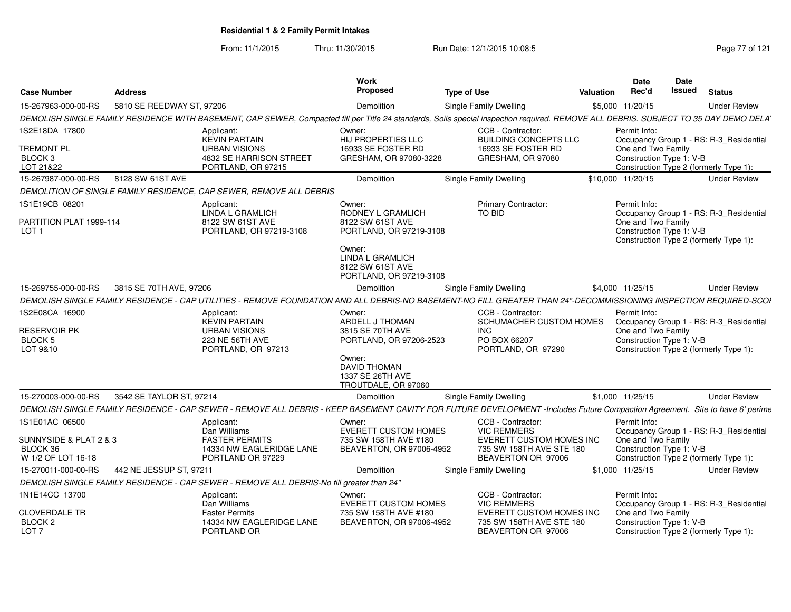From: 11/1/2015Thru: 11/30/2015 Run Date: 12/1/2015 10:08:5<br>
Page 77 of 121

| <b>Case Number</b>                                             | <b>Address</b>            |                                                                                                                                                                                     | Work<br><b>Proposed</b>                                                                                     | <b>Type of Use</b>     |                                                                            | <b>Valuation</b> | <b>Date</b><br>Rec'd                           | Date<br>Issued | <b>Status</b>                           |
|----------------------------------------------------------------|---------------------------|-------------------------------------------------------------------------------------------------------------------------------------------------------------------------------------|-------------------------------------------------------------------------------------------------------------|------------------------|----------------------------------------------------------------------------|------------------|------------------------------------------------|----------------|-----------------------------------------|
| 15-267963-000-00-RS                                            | 5810 SE REEDWAY ST, 97206 |                                                                                                                                                                                     | Demolition                                                                                                  |                        | Single Family Dwelling                                                     |                  | \$5,000 11/20/15                               |                | <b>Under Review</b>                     |
|                                                                |                           | DEMOLISH SINGLE FAMILY RESIDENCE WITH BASEMENT, CAP SEWER, Compacted fill per Title 24 standards, Soils special inspection required. REMOVE ALL DEBRIS. SUBJECT TO 35 DAY DEMO DELA |                                                                                                             |                        |                                                                            |                  |                                                |                |                                         |
| 1S2E18DA 17800                                                 |                           | Applicant:<br><b>KEVIN PARTAIN</b>                                                                                                                                                  | Owner:<br><b>HIJ PROPERTIES LLC</b>                                                                         |                        | CCB - Contractor:<br><b>BUILDING CONCEPTS LLC</b>                          |                  | Permit Info:                                   |                | Occupancy Group 1 - RS: R-3_Residential |
| <b>TREMONT PL</b><br>BLOCK <sub>3</sub><br>LOT 21&22           |                           | <b>URBAN VISIONS</b><br>4832 SE HARRISON STREET<br>PORTLAND, OR 97215                                                                                                               | 16933 SE FOSTER RD<br>GRESHAM, OR 97080-3228                                                                |                        | 16933 SE FOSTER RD<br>GRESHAM, OR 97080                                    |                  | One and Two Family<br>Construction Type 1: V-B |                | Construction Type 2 (formerly Type 1):  |
| 15-267987-000-00-RS                                            | 8128 SW 61ST AVE          |                                                                                                                                                                                     | Demolition                                                                                                  | Single Family Dwelling |                                                                            |                  | \$10,000 11/20/15                              |                | <b>Under Review</b>                     |
|                                                                |                           | DEMOLITION OF SINGLE FAMILY RESIDENCE, CAP SEWER, REMOVE ALL DEBRIS                                                                                                                 |                                                                                                             |                        |                                                                            |                  |                                                |                |                                         |
| 1S1E19CB 08201<br>PARTITION PLAT 1999-114                      |                           | Applicant:<br>LINDA L GRAMLICH<br>8122 SW 61ST AVE                                                                                                                                  | Owner:<br>RODNEY L GRAMLICH<br>8122 SW 61ST AVE                                                             |                        | <b>Primary Contractor:</b><br>TO BID                                       |                  | Permit Info:<br>One and Two Family             |                | Occupancy Group 1 - RS: R-3_Residential |
| LOT <sub>1</sub>                                               |                           | PORTLAND, OR 97219-3108                                                                                                                                                             | PORTLAND, OR 97219-3108<br>Owner:<br><b>LINDA L GRAMLICH</b><br>8122 SW 61ST AVE<br>PORTLAND, OR 97219-3108 |                        |                                                                            |                  | Construction Type 1: V-B                       |                | Construction Type 2 (formerly Type 1):  |
| 15-269755-000-00-RS                                            | 3815 SE 70TH AVE, 97206   |                                                                                                                                                                                     | Demolition                                                                                                  | Single Family Dwelling |                                                                            |                  | \$4,000 11/25/15                               |                | <b>Under Review</b>                     |
|                                                                |                           | DEMOLISH SINGLE FAMILY RESIDENCE - CAP UTILITIES - REMOVE FOUNDATION AND ALL DEBRIS-NO BASEMENT-NO FILL GREATER THAN 24"-DECOMMISSIONING INSPECTION REQUIRED-SCOI                   |                                                                                                             |                        |                                                                            |                  |                                                |                |                                         |
| 1S2E08CA 16900                                                 |                           | Applicant:<br><b>KEVIN PARTAIN</b>                                                                                                                                                  | Owner:<br>ARDELL J THOMAN                                                                                   |                        | CCB - Contractor:<br>SCHUMACHER CUSTOM HOMES                               |                  | Permit Info:                                   |                | Occupancy Group 1 - RS: R-3_Residential |
| <b>RESERVOIR PK</b><br>BLOCK 5<br>LOT 9&10                     |                           | <b>URBAN VISIONS</b><br>223 NE 56TH AVE<br>PORTLAND, OR 97213                                                                                                                       | 3815 SE 70TH AVE<br>PORTLAND, OR 97206-2523<br>Owner:                                                       | <b>INC</b>             | PO BOX 66207<br>PORTLAND, OR 97290                                         |                  | One and Two Family<br>Construction Type 1: V-B |                | Construction Type 2 (formerly Type 1):  |
|                                                                |                           |                                                                                                                                                                                     | <b>DAVID THOMAN</b><br>1337 SE 26TH AVE<br>TROUTDALE, OR 97060                                              |                        |                                                                            |                  |                                                |                |                                         |
| 15-270003-000-00-RS                                            | 3542 SE TAYLOR ST, 97214  |                                                                                                                                                                                     | Demolition                                                                                                  |                        | Single Family Dwelling                                                     |                  | \$1,000 11/25/15                               |                | <b>Under Review</b>                     |
|                                                                |                           | DEMOLISH SINGLE FAMILY RESIDENCE - CAP SEWER - REMOVE ALL DEBRIS - KEEP BASEMENT CAVITY FOR FUTURE DEVELOPMENT -Includes Future Compaction Agreement. Site to have 6' perime        |                                                                                                             |                        |                                                                            |                  |                                                |                |                                         |
| 1S1E01AC 06500<br>SUNNYSIDE & PLAT 2 & 3                       |                           | Applicant:<br>Dan Williams<br><b>FASTER PERMITS</b>                                                                                                                                 | Owner:<br><b>EVERETT CUSTOM HOMES</b><br>735 SW 158TH AVE #180                                              |                        | CCB - Contractor:<br><b>VIC REMMERS</b><br>EVERETT CUSTOM HOMES INC        |                  | Permit Info:<br>One and Two Family             |                | Occupancy Group 1 - RS: R-3_Residential |
| BLOCK 36<br>W 1/2 OF LOT 16-18                                 |                           | 14334 NW EAGLERIDGE LANE<br>PORTLAND OR 97229                                                                                                                                       | BEAVERTON, OR 97006-4952                                                                                    |                        | 735 SW 158TH AVE STE 180<br>BEAVERTON OR 97006                             |                  | Construction Type 1: V-B                       |                | Construction Type 2 (formerly Type 1):  |
| 15-270011-000-00-RS                                            | 442 NE JESSUP ST, 97211   |                                                                                                                                                                                     | Demolition                                                                                                  |                        | Single Family Dwelling                                                     |                  | \$1,000 11/25/15                               |                | <b>Under Review</b>                     |
|                                                                |                           | DEMOLISH SINGLE FAMILY RESIDENCE - CAP SEWER - REMOVE ALL DEBRIS-No fill greater than 24"                                                                                           |                                                                                                             |                        |                                                                            |                  |                                                |                |                                         |
| 1N1E14CC 13700                                                 |                           | Applicant:<br>Dan Williams                                                                                                                                                          | Owner:<br><b>EVERETT CUSTOM HOMES</b>                                                                       |                        | CCB - Contractor:<br><b>VIC REMMERS</b>                                    |                  | Permit Info:                                   |                | Occupancy Group 1 - RS: R-3 Residential |
| <b>CLOVERDALE TR</b><br>BLOCK <sub>2</sub><br>LOT <sub>7</sub> |                           | <b>Faster Permits</b><br>14334 NW EAGLERIDGE LANE<br>PORTLAND OR                                                                                                                    | 735 SW 158TH AVE #180<br>BEAVERTON, OR 97006-4952                                                           |                        | EVERETT CUSTOM HOMES INC<br>735 SW 158TH AVE STE 180<br>BEAVERTON OR 97006 |                  | One and Two Family<br>Construction Type 1: V-B |                | Construction Type 2 (formerly Type 1):  |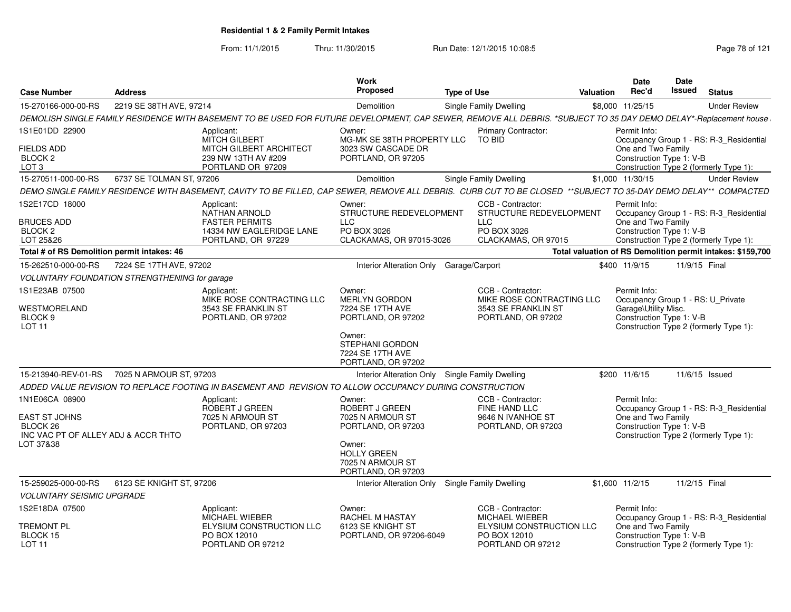From: 11/1/2015Thru: 11/30/2015 Run Date: 12/1/2015 10:08:5<br>
Page 78 of 121

| <b>Case Number</b>                                                                              | <b>Address</b>           |                                                                                                                                                                  | Work<br><b>Proposed</b>                                                                                                                         | <b>Type of Use</b>                                                                          | <b>Valuation</b> | <b>Date</b><br>Rec'd                                                                                  | Date<br>Issued | <b>Status</b>                                                                     |
|-------------------------------------------------------------------------------------------------|--------------------------|------------------------------------------------------------------------------------------------------------------------------------------------------------------|-------------------------------------------------------------------------------------------------------------------------------------------------|---------------------------------------------------------------------------------------------|------------------|-------------------------------------------------------------------------------------------------------|----------------|-----------------------------------------------------------------------------------|
| 15-270166-000-00-RS                                                                             | 2219 SE 38TH AVE, 97214  |                                                                                                                                                                  | Demolition                                                                                                                                      | <b>Single Family Dwelling</b>                                                               |                  | \$8,000 11/25/15                                                                                      |                | <b>Under Review</b>                                                               |
|                                                                                                 |                          | DEMOLISH SINGLE FAMILY RESIDENCE WITH BASEMENT TO BE USED FOR FUTURE DEVELOPMENT, CAP SEWER, REMOVE ALL DEBRIS. *SUBJECT TO 35 DAY DEMO DELAY*-Replacement house |                                                                                                                                                 |                                                                                             |                  |                                                                                                       |                |                                                                                   |
| 1S1E01DD 22900                                                                                  |                          | Applicant:<br><b>MITCH GILBERT</b>                                                                                                                               | Owner:<br>MG-MK SE 38TH PROPERTY LLC                                                                                                            | <b>Primary Contractor:</b><br>TO BID                                                        |                  | Permit Info:                                                                                          |                | Occupancy Group 1 - RS: R-3_Residential                                           |
| <b>FIELDS ADD</b><br>BLOCK <sub>2</sub><br>LOT <sub>3</sub>                                     |                          | MITCH GILBERT ARCHITECT<br>239 NW 13TH AV #209<br>PORTLAND OR 97209                                                                                              | 3023 SW CASCADE DR<br>PORTLAND, OR 97205                                                                                                        |                                                                                             |                  | One and Two Family<br>Construction Type 1: V-B                                                        |                | Construction Type 2 (formerly Type 1):                                            |
| 15-270511-000-00-RS                                                                             | 6737 SE TOLMAN ST, 97206 |                                                                                                                                                                  | Demolition                                                                                                                                      | Single Family Dwelling                                                                      |                  | \$1.000 11/30/15                                                                                      |                | <b>Under Review</b>                                                               |
|                                                                                                 |                          | DEMO SINGLE FAMILY RESIDENCE WITH BASEMENT, CAVITY TO BE FILLED, CAP SEWER, REMOVE ALL DEBRIS. CURB CUT TO BE CLOSED **SUBJECT TO 35-DAY DEMO DELAY** COMPACTED  |                                                                                                                                                 |                                                                                             |                  |                                                                                                       |                |                                                                                   |
| 1S2E17CD 18000<br><b>BRUCES ADD</b><br>BLOCK 2                                                  |                          | Applicant:<br><b>NATHAN ARNOLD</b><br><b>FASTER PERMITS</b><br>14334 NW EAGLERIDGE LANE                                                                          | Owner:<br>STRUCTURE REDEVELOPMENT<br><b>LLC</b><br>PO BOX 3026                                                                                  | CCB - Contractor:<br>STRUCTURE REDEVELOPMENT<br><b>LLC</b><br>PO BOX 3026                   |                  | Permit Info:<br>One and Two Family<br>Construction Type 1: V-B                                        |                | Occupancy Group 1 - RS: R-3_Residential                                           |
| LOT 25&26                                                                                       |                          | PORTLAND, OR 97229                                                                                                                                               | CLACKAMAS, OR 97015-3026                                                                                                                        | CLACKAMAS, OR 97015                                                                         |                  |                                                                                                       |                | Construction Type 2 (formerly Type 1):                                            |
| Total # of RS Demolition permit intakes: 46                                                     |                          |                                                                                                                                                                  |                                                                                                                                                 |                                                                                             |                  |                                                                                                       |                | Total valuation of RS Demolition permit intakes: \$159,700                        |
| 15-262510-000-00-RS                                                                             | 7224 SE 17TH AVE, 97202  |                                                                                                                                                                  | Interior Alteration Only Garage/Carport                                                                                                         |                                                                                             |                  | \$400 11/9/15                                                                                         | 11/9/15 Final  |                                                                                   |
| <b>VOLUNTARY FOUNDATION STRENGTHENING for garage</b>                                            |                          |                                                                                                                                                                  |                                                                                                                                                 |                                                                                             |                  |                                                                                                       |                |                                                                                   |
| 1S1E23AB 07500<br>WESTMORELAND<br>BLOCK 9<br><b>LOT 11</b>                                      |                          | Applicant:<br>MIKE ROSE CONTRACTING LLC<br>3543 SE FRANKLIN ST<br>PORTLAND, OR 97202                                                                             | Owner:<br><b>MERLYN GORDON</b><br>7224 SE 17TH AVE<br>PORTLAND, OR 97202<br>Owner:<br>STEPHANI GORDON<br>7224 SE 17TH AVE<br>PORTLAND, OR 97202 | CCB - Contractor:<br>MIKE ROSE CONTRACTING LLC<br>3543 SE FRANKLIN ST<br>PORTLAND, OR 97202 |                  | Permit Info:<br>Occupancy Group 1 - RS: U Private<br>Garage\Utility Misc.<br>Construction Type 1: V-B |                | Construction Type 2 (formerly Type 1):                                            |
| 15-213940-REV-01-RS                                                                             | 7025 N ARMOUR ST, 97203  |                                                                                                                                                                  | Interior Alteration Only Single Family Dwelling                                                                                                 |                                                                                             |                  | \$200 11/6/15                                                                                         |                | 11/6/15 Issued                                                                    |
|                                                                                                 |                          | ADDED VALUE REVISION TO REPLACE FOOTING IN BASEMENT AND  REVISION TO ALLOW OCCUPANCY DURING CONSTRUCTION                                                         |                                                                                                                                                 |                                                                                             |                  |                                                                                                       |                |                                                                                   |
| 1N1E06CA 08900<br>EAST ST JOHNS<br>BLOCK 26<br>INC VAC PT OF ALLEY ADJ & ACCR THTO<br>LOT 37&38 |                          | Applicant:<br>ROBERT J GREEN<br>7025 N ARMOUR ST<br>PORTLAND, OR 97203                                                                                           | Owner:<br>ROBERT J GREEN<br>7025 N ARMOUR ST<br>PORTLAND, OR 97203<br>Owner:<br><b>HOLLY GREEN</b><br>7025 N ARMOUR ST<br>PORTLAND, OR 97203    | CCB - Contractor:<br>FINE HAND LLC<br>9646 N IVANHOE ST<br>PORTLAND, OR 97203               |                  | Permit Info:<br>One and Two Family<br>Construction Type 1: V-B                                        |                | Occupancy Group 1 - RS: R-3_Residential<br>Construction Type 2 (formerly Type 1): |
| 15-259025-000-00-RS                                                                             | 6123 SE KNIGHT ST, 97206 |                                                                                                                                                                  | Interior Alteration Only                                                                                                                        | Single Family Dwelling                                                                      |                  | $$1,600$ $11/2/15$                                                                                    |                | 11/2/15 Final                                                                     |
| <b>VOLUNTARY SEISMIC UPGRADE</b>                                                                |                          |                                                                                                                                                                  |                                                                                                                                                 |                                                                                             |                  |                                                                                                       |                |                                                                                   |
| 1S2E18DA 07500                                                                                  |                          | Applicant:<br><b>MICHAEL WIEBER</b>                                                                                                                              | Owner:<br><b>RACHEL M HASTAY</b>                                                                                                                | CCB - Contractor:<br><b>MICHAEL WIEBER</b>                                                  |                  | Permit Info:                                                                                          |                | Occupancy Group 1 - RS: R-3_Residential                                           |
| TREMONT PL<br>BLOCK 15<br>LOT <sub>11</sub>                                                     |                          | ELYSIUM CONSTRUCTION LLC<br>PO BOX 12010<br>PORTLAND OR 97212                                                                                                    | 6123 SE KNIGHT ST<br>PORTLAND, OR 97206-6049                                                                                                    | ELYSIUM CONSTRUCTION LLC<br>PO BOX 12010<br>PORTLAND OR 97212                               |                  | One and Two Family<br>Construction Type 1: V-B                                                        |                | Construction Type 2 (formerly Type 1):                                            |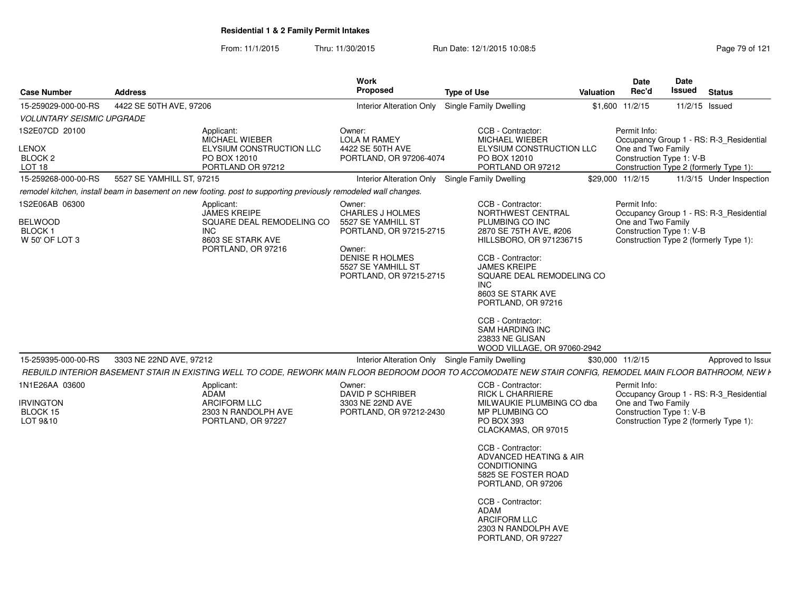From: 11/1/2015Thru: 11/30/2015 Run Date: 12/1/2015 10:08:5<br>
Page 79 of 121

| 15-259029-000-00-RS<br>4422 SE 50TH AVE, 97206<br><b>Single Family Dwelling</b><br>\$1,600 11/2/15<br><b>Interior Alteration Only</b><br>11/2/15 Issued<br><b>VOLUNTARY SEISMIC UPGRADE</b><br>1S2E07CD 20100<br>CCB - Contractor:<br>Permit Info:<br>Applicant:<br>Owner:<br><b>MICHAEL WIEBER</b><br><b>LOLA M RAMEY</b><br><b>MICHAEL WIEBER</b><br>One and Two Family<br>ELYSIUM CONSTRUCTION LLC<br>4422 SE 50TH AVE<br>ELYSIUM CONSTRUCTION LLC<br>Construction Type 1: V-B<br>BLOCK <sub>2</sub><br>PO BOX 12010<br>PORTLAND, OR 97206-4074<br>PO BOX 12010<br>LOT 18<br>PORTLAND OR 97212<br>PORTLAND OR 97212<br>Construction Type 2 (formerly Type 1):<br>5527 SE YAMHILL ST, 97215<br>15-259268-000-00-RS<br>Interior Alteration Only<br>Single Family Dwelling<br>\$29,000 11/2/15<br>remodel kitchen, install beam in basement on new footing. post to supporting previously remodeled wall changes.<br>1S2E06AB 06300<br>CCB - Contractor:<br>Permit Info:<br>Applicant:<br>Owner:<br>JAMES KREIPE<br><b>CHARLES J HOLMES</b><br>NORTHWEST CENTRAL<br>One and Two Family<br>SQUARE DEAL REMODELING CO<br>5527 SE YAMHILL ST<br>PLUMBING CO INC<br>Construction Type 1: V-B<br><b>BLOCK1</b><br>INC<br>PORTLAND, OR 97215-2715<br>2870 SE 75TH AVE, #206<br>W 50' OF LOT 3<br>8603 SE STARK AVE<br>HILLSBORO, OR 971236715<br>Construction Type 2 (formerly Type 1):<br>PORTLAND, OR 97216<br>Owner:<br>DENISE R HOLMES<br>CCB - Contractor:<br><b>JAMES KREIPE</b><br>5527 SE YAMHILL ST<br>SQUARE DEAL REMODELING CO<br>PORTLAND, OR 97215-2715<br><b>INC</b><br>8603 SE STARK AVE<br>PORTLAND, OR 97216<br>CCB - Contractor:<br><b>SAM HARDING INC</b><br>23833 NE GLISAN<br>WOOD VILLAGE, OR 97060-2942<br>15-259395-000-00-RS<br>3303 NE 22ND AVE, 97212<br>Interior Alteration Only<br><b>Single Family Dwelling</b><br>\$30,000 11/2/15<br>1N1E26AA 03600<br>CCB - Contractor:<br>Permit Info:<br>Applicant:<br>Owner:<br>ADAM<br><b>DAVID P SCHRIBER</b><br><b>RICK L CHARRIERE</b><br>One and Two Family<br>3303 NE 22ND AVE<br>ARCIFORM LLC<br>MILWAUKIE PLUMBING CO dba<br>Construction Type 1: V-B<br>BLOCK 15<br>2303 N RANDOLPH AVE<br>MP PLUMBING CO<br>PORTLAND, OR 97212-2430<br>PO BOX 393<br>Construction Type 2 (formerly Type 1):<br>LOT 9&10<br>PORTLAND, OR 97227<br>CLACKAMAS, OR 97015<br>CCB - Contractor:<br>ADVANCED HEATING & AIR<br><b>CONDITIONING</b><br>5825 SE FOSTER ROAD<br>PORTLAND, OR 97206<br>CCB - Contractor:<br><b>ADAM</b><br><b>ARCIFORM LLC</b><br>2303 N RANDOLPH AVE<br>PORTLAND, OR 97227 | <b>Case Number</b> | <b>Address</b> | Work<br><b>Proposed</b> | <b>Type of Use</b> | <b>Valuation</b> | Date<br>Rec'd | <b>Date</b><br>Issued | <b>Status</b> |
|---------------------------------------------------------------------------------------------------------------------------------------------------------------------------------------------------------------------------------------------------------------------------------------------------------------------------------------------------------------------------------------------------------------------------------------------------------------------------------------------------------------------------------------------------------------------------------------------------------------------------------------------------------------------------------------------------------------------------------------------------------------------------------------------------------------------------------------------------------------------------------------------------------------------------------------------------------------------------------------------------------------------------------------------------------------------------------------------------------------------------------------------------------------------------------------------------------------------------------------------------------------------------------------------------------------------------------------------------------------------------------------------------------------------------------------------------------------------------------------------------------------------------------------------------------------------------------------------------------------------------------------------------------------------------------------------------------------------------------------------------------------------------------------------------------------------------------------------------------------------------------------------------------------------------------------------------------------------------------------------------------------------------------------------------------------------------------------------------------------------------------------------------------------------------------------------------------------------------------------------------------------------------------------------------------------------------------------------------------------------------------------------------------------------------------------------------------------------------------------------------------------------------------------------------------|--------------------|----------------|-------------------------|--------------------|------------------|---------------|-----------------------|---------------|
| Occupancy Group 1 - RS: R-3 Residential<br>Occupancy Group 1 - RS: R-3_Residential<br>Occupancy Group 1 - RS: R-3_Residential                                                                                                                                                                                                                                                                                                                                                                                                                                                                                                                                                                                                                                                                                                                                                                                                                                                                                                                                                                                                                                                                                                                                                                                                                                                                                                                                                                                                                                                                                                                                                                                                                                                                                                                                                                                                                                                                                                                                                                                                                                                                                                                                                                                                                                                                                                                                                                                                                           |                    |                |                         |                    |                  |               |                       |               |
| 11/3/15 Under Inspection<br><b>BELWOOD</b><br><b>IRVINGTON</b>                                                                                                                                                                                                                                                                                                                                                                                                                                                                                                                                                                                                                                                                                                                                                                                                                                                                                                                                                                                                                                                                                                                                                                                                                                                                                                                                                                                                                                                                                                                                                                                                                                                                                                                                                                                                                                                                                                                                                                                                                                                                                                                                                                                                                                                                                                                                                                                                                                                                                          | LENOX              |                |                         |                    |                  |               |                       |               |
|                                                                                                                                                                                                                                                                                                                                                                                                                                                                                                                                                                                                                                                                                                                                                                                                                                                                                                                                                                                                                                                                                                                                                                                                                                                                                                                                                                                                                                                                                                                                                                                                                                                                                                                                                                                                                                                                                                                                                                                                                                                                                                                                                                                                                                                                                                                                                                                                                                                                                                                                                         |                    |                |                         |                    |                  |               |                       |               |
| Approved to Issue<br>REBUILD INTERIOR BASEMENT STAIR IN EXISTING WELL TO CODE, REWORK MAIN FLOOR BEDROOM DOOR TO ACCOMODATE NEW STAIR CONFIG, REMODEL MAIN FLOOR BATHROOM, NEW I                                                                                                                                                                                                                                                                                                                                                                                                                                                                                                                                                                                                                                                                                                                                                                                                                                                                                                                                                                                                                                                                                                                                                                                                                                                                                                                                                                                                                                                                                                                                                                                                                                                                                                                                                                                                                                                                                                                                                                                                                                                                                                                                                                                                                                                                                                                                                                        |                    |                |                         |                    |                  |               |                       |               |
|                                                                                                                                                                                                                                                                                                                                                                                                                                                                                                                                                                                                                                                                                                                                                                                                                                                                                                                                                                                                                                                                                                                                                                                                                                                                                                                                                                                                                                                                                                                                                                                                                                                                                                                                                                                                                                                                                                                                                                                                                                                                                                                                                                                                                                                                                                                                                                                                                                                                                                                                                         |                    |                |                         |                    |                  |               |                       |               |
|                                                                                                                                                                                                                                                                                                                                                                                                                                                                                                                                                                                                                                                                                                                                                                                                                                                                                                                                                                                                                                                                                                                                                                                                                                                                                                                                                                                                                                                                                                                                                                                                                                                                                                                                                                                                                                                                                                                                                                                                                                                                                                                                                                                                                                                                                                                                                                                                                                                                                                                                                         |                    |                |                         |                    |                  |               |                       |               |
|                                                                                                                                                                                                                                                                                                                                                                                                                                                                                                                                                                                                                                                                                                                                                                                                                                                                                                                                                                                                                                                                                                                                                                                                                                                                                                                                                                                                                                                                                                                                                                                                                                                                                                                                                                                                                                                                                                                                                                                                                                                                                                                                                                                                                                                                                                                                                                                                                                                                                                                                                         |                    |                |                         |                    |                  |               |                       |               |
|                                                                                                                                                                                                                                                                                                                                                                                                                                                                                                                                                                                                                                                                                                                                                                                                                                                                                                                                                                                                                                                                                                                                                                                                                                                                                                                                                                                                                                                                                                                                                                                                                                                                                                                                                                                                                                                                                                                                                                                                                                                                                                                                                                                                                                                                                                                                                                                                                                                                                                                                                         |                    |                |                         |                    |                  |               |                       |               |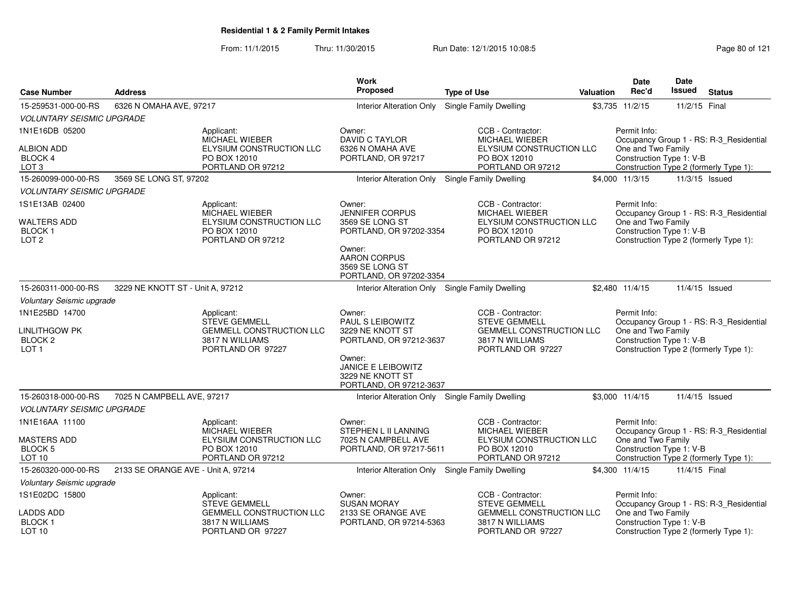From: 11/1/2015Thru: 11/30/2015 Run Date: 12/1/2015 10:08:5<br>
Page 80 of 121

|                                            |                                    |                                                    | <b>Work</b>                                                                        |                                                    |           | <b>Date</b>                                    | <b>Date</b>   |                                         |
|--------------------------------------------|------------------------------------|----------------------------------------------------|------------------------------------------------------------------------------------|----------------------------------------------------|-----------|------------------------------------------------|---------------|-----------------------------------------|
| <b>Case Number</b>                         | <b>Address</b>                     |                                                    | <b>Proposed</b>                                                                    | <b>Type of Use</b>                                 | Valuation | Rec'd                                          | <b>Issued</b> | <b>Status</b>                           |
| 15-259531-000-00-RS                        | 6326 N OMAHA AVE, 97217            |                                                    | Interior Alteration Only                                                           | <b>Single Family Dwelling</b>                      |           | \$3,735 11/2/15                                | 11/2/15 Final |                                         |
| <b>VOLUNTARY SEISMIC UPGRADE</b>           |                                    |                                                    |                                                                                    |                                                    |           |                                                |               |                                         |
| 1N1E16DB 05200                             |                                    | Applicant:<br>MICHAEL WIEBER                       | Owner:<br><b>DAVID C TAYLOR</b>                                                    | CCB - Contractor:<br><b>MICHAEL WIEBER</b>         |           | Permit Info:                                   |               | Occupancy Group 1 - RS: R-3_Residential |
| <b>ALBION ADD</b>                          |                                    | ELYSIUM CONSTRUCTION LLC                           | 6326 N OMAHA AVE                                                                   | ELYSIUM CONSTRUCTION LLC                           |           | One and Two Family                             |               |                                         |
| BLOCK 4                                    |                                    | PO BOX 12010                                       | PORTLAND, OR 97217                                                                 | PO BOX 12010                                       |           | Construction Type 1: V-B                       |               |                                         |
| LOT <sub>3</sub>                           |                                    | PORTLAND OR 97212                                  |                                                                                    | PORTLAND OR 97212                                  |           |                                                |               | Construction Type 2 (formerly Type 1):  |
| 15-260099-000-00-RS                        | 3569 SE LONG ST, 97202             |                                                    | <b>Interior Alteration Only</b>                                                    | <b>Single Family Dwelling</b>                      |           | \$4,000 11/3/15                                |               | 11/3/15 Issued                          |
| <b>VOLUNTARY SEISMIC UPGRADE</b>           |                                    |                                                    |                                                                                    |                                                    |           |                                                |               |                                         |
| 1S1E13AB 02400                             |                                    | Applicant:<br>MICHAEL WIEBER                       | Owner:<br><b>JENNIFER CORPUS</b>                                                   | CCB - Contractor:<br><b>MICHAEL WIEBER</b>         |           | Permit Info:                                   |               | Occupancy Group 1 - RS: R-3_Residential |
| <b>WALTERS ADD</b>                         |                                    | ELYSIUM CONSTRUCTION LLC                           | 3569 SE LONG ST                                                                    | ELYSIUM CONSTRUCTION LLC                           |           | One and Two Family                             |               |                                         |
| <b>BLOCK1</b><br>LOT <sub>2</sub>          |                                    | PO BOX 12010<br>PORTLAND OR 97212                  | PORTLAND, OR 97202-3354                                                            | PO BOX 12010<br>PORTLAND OR 97212                  |           | Construction Type 1: V-B                       |               | Construction Type 2 (formerly Type 1):  |
|                                            |                                    |                                                    | Owner:                                                                             |                                                    |           |                                                |               |                                         |
|                                            |                                    |                                                    | <b>AARON CORPUS</b><br>3569 SE LONG ST                                             |                                                    |           |                                                |               |                                         |
|                                            |                                    |                                                    | PORTLAND, OR 97202-3354                                                            |                                                    |           |                                                |               |                                         |
| 15-260311-000-00-RS                        | 3229 NE KNOTT ST - Unit A, 97212   |                                                    | Interior Alteration Only Single Family Dwelling                                    |                                                    |           | \$2,480 11/4/15                                |               | 11/4/15 Issued                          |
| Voluntary Seismic upgrade                  |                                    |                                                    |                                                                                    |                                                    |           |                                                |               |                                         |
| 1N1E25BD 14700                             |                                    | Applicant:                                         | Owner:                                                                             | CCB - Contractor:                                  |           | Permit Info:                                   |               |                                         |
|                                            |                                    | <b>STEVE GEMMELL</b>                               | <b>PAUL S LEIBOWITZ</b>                                                            | <b>STEVE GEMMELL</b>                               |           |                                                |               | Occupancy Group 1 - RS: R-3_Residential |
| <b>LINLITHGOW PK</b><br>BLOCK <sub>2</sub> |                                    | <b>GEMMELL CONSTRUCTION LLC</b><br>3817 N WILLIAMS | 3229 NE KNOTT ST<br>PORTLAND, OR 97212-3637                                        | <b>GEMMELL CONSTRUCTION LLC</b><br>3817 N WILLIAMS |           | One and Two Family<br>Construction Type 1: V-B |               |                                         |
| LOT <sub>1</sub>                           |                                    | PORTLAND OR 97227                                  |                                                                                    | PORTLAND OR 97227                                  |           |                                                |               | Construction Type 2 (formerly Type 1):  |
|                                            |                                    |                                                    | Owner:<br><b>JANICE E LEIBOWITZ</b><br>3229 NE KNOTT ST<br>PORTLAND, OR 97212-3637 |                                                    |           |                                                |               |                                         |
| 15-260318-000-00-RS                        | 7025 N CAMPBELL AVE, 97217         |                                                    | Interior Alteration Only Single Family Dwelling                                    |                                                    |           | \$3,000 11/4/15                                |               | 11/4/15 Issued                          |
| <b>VOLUNTARY SEISMIC UPGRADE</b>           |                                    |                                                    |                                                                                    |                                                    |           |                                                |               |                                         |
| 1N1E16AA 11100                             |                                    | Applicant:<br>MICHAEL WIEBER                       | Owner:<br>STEPHEN L II LANNING                                                     | CCB - Contractor:<br>MICHAEL WIEBER                |           | Permit Info:                                   |               | Occupancy Group 1 - RS: R-3_Residential |
| <b>MASTERS ADD</b>                         |                                    | ELYSIUM CONSTRUCTION LLC                           | 7025 N CAMPBELL AVE                                                                | ELYSIUM CONSTRUCTION LLC                           |           | One and Two Family                             |               |                                         |
| <b>BLOCK 5</b>                             |                                    | PO BOX 12010                                       | PORTLAND, OR 97217-5611                                                            | PO BOX 12010                                       |           | Construction Type 1: V-B                       |               |                                         |
| LOT 10                                     |                                    | PORTLAND OR 97212                                  |                                                                                    | PORTLAND OR 97212                                  |           |                                                |               | Construction Type 2 (formerly Type 1):  |
| 15-260320-000-00-RS                        | 2133 SE ORANGE AVE - Unit A, 97214 |                                                    | Interior Alteration Only                                                           | Single Family Dwelling                             |           | \$4,300 11/4/15                                | 11/4/15 Final |                                         |
| Voluntary Seismic upgrade                  |                                    |                                                    |                                                                                    |                                                    |           |                                                |               |                                         |
| 1S1E02DC 15800                             |                                    | Applicant:<br><b>STEVE GEMMELL</b>                 | Owner:<br><b>SUSAN MORAY</b>                                                       | CCB - Contractor:<br><b>STEVE GEMMELL</b>          |           | Permit Info:                                   |               | Occupancy Group 1 - RS: R-3_Residential |
| LADDS ADD                                  |                                    | <b>GEMMELL CONSTRUCTION LLC</b>                    | 2133 SE ORANGE AVE                                                                 | GEMMELL CONSTRUCTION LLC                           |           | One and Two Family                             |               |                                         |
| <b>BLOCK1</b><br>LOT <sub>10</sub>         |                                    | 3817 N WILLIAMS<br>PORTLAND OR 97227               | PORTLAND, OR 97214-5363                                                            | 3817 N WILLIAMS<br>PORTLAND OR 97227               |           | Construction Type 1: V-B                       |               | Construction Type 2 (formerly Type 1):  |
|                                            |                                    |                                                    |                                                                                    |                                                    |           |                                                |               |                                         |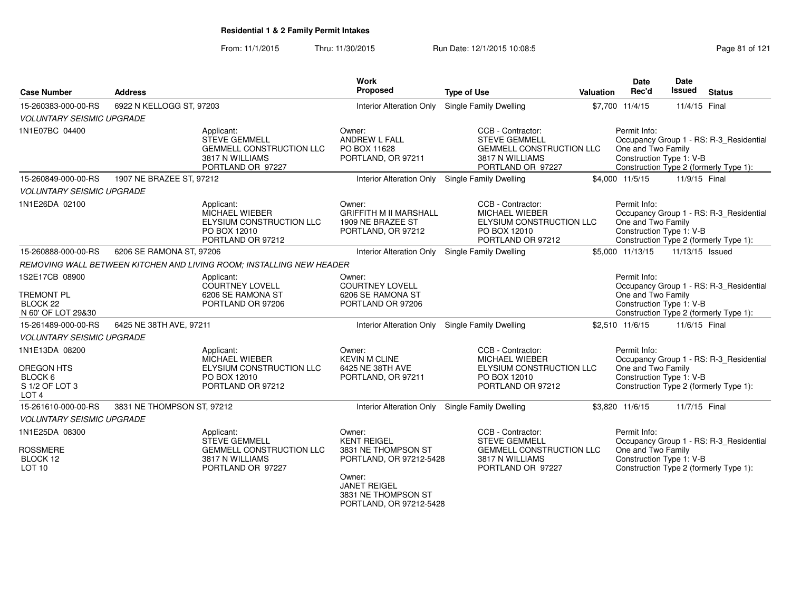From: 11/1/2015Thru: 11/30/2015 Run Date: 12/1/2015 10:08:5<br>
Page 81 of 121

|                                                                |                            |                                                                                                               | <b>Work</b><br>Proposed                                                            |                                                                                                                      |           | Date<br>Rec'd                                                  | <b>Date</b><br>Issued |                                                                                   |
|----------------------------------------------------------------|----------------------------|---------------------------------------------------------------------------------------------------------------|------------------------------------------------------------------------------------|----------------------------------------------------------------------------------------------------------------------|-----------|----------------------------------------------------------------|-----------------------|-----------------------------------------------------------------------------------|
| <b>Case Number</b>                                             | <b>Address</b>             |                                                                                                               |                                                                                    | <b>Type of Use</b>                                                                                                   | Valuation |                                                                |                       | <b>Status</b>                                                                     |
| 15-260383-000-00-RS                                            | 6922 N KELLOGG ST, 97203   |                                                                                                               |                                                                                    | Interior Alteration Only Single Family Dwelling                                                                      |           | \$7,700 11/4/15                                                | 11/4/15 Final         |                                                                                   |
| <b>VOLUNTARY SEISMIC UPGRADE</b>                               |                            |                                                                                                               |                                                                                    |                                                                                                                      |           |                                                                |                       |                                                                                   |
| 1N1E07BC 04400                                                 |                            | Applicant:<br><b>STEVE GEMMELL</b><br><b>GEMMELL CONSTRUCTION LLC</b><br>3817 N WILLIAMS<br>PORTLAND OR 97227 | Owner:<br>ANDREW L FALL<br>PO BOX 11628<br>PORTLAND, OR 97211                      | CCB - Contractor:<br><b>STEVE GEMMELL</b><br><b>GEMMELL CONSTRUCTION LLC</b><br>3817 N WILLIAMS<br>PORTLAND OR 97227 |           | Permit Info:<br>One and Two Family<br>Construction Type 1: V-B |                       | Occupancy Group 1 - RS: R-3_Residential<br>Construction Type 2 (formerly Type 1): |
| 15-260849-000-00-RS                                            | 1907 NE BRAZEE ST, 97212   |                                                                                                               |                                                                                    | Interior Alteration Only Single Family Dwelling                                                                      |           | \$4,000 11/5/15                                                | 11/9/15 Final         |                                                                                   |
| <b>VOLUNTARY SEISMIC UPGRADE</b>                               |                            |                                                                                                               |                                                                                    |                                                                                                                      |           |                                                                |                       |                                                                                   |
| 1N1E26DA 02100                                                 |                            | Applicant:<br><b>MICHAEL WIEBER</b><br>ELYSIUM CONSTRUCTION LLC<br>PO BOX 12010<br>PORTLAND OR 97212          | Owner:<br><b>GRIFFITH M II MARSHALL</b><br>1909 NE BRAZEE ST<br>PORTLAND, OR 97212 | CCB - Contractor:<br><b>MICHAEL WIEBER</b><br>ELYSIUM CONSTRUCTION LLC<br>PO BOX 12010<br>PORTLAND OR 97212          |           | Permit Info:<br>One and Two Family<br>Construction Type 1: V-B |                       | Occupancy Group 1 - RS: R-3_Residential<br>Construction Type 2 (formerly Type 1): |
| 15-260888-000-00-RS                                            | 6206 SE RAMONA ST, 97206   |                                                                                                               | <b>Interior Alteration Only</b>                                                    | Single Family Dwelling                                                                                               |           | \$5,000 11/13/15                                               | 11/13/15 Issued       |                                                                                   |
|                                                                |                            | REMOVING WALL BETWEEN KITCHEN AND LIVING ROOM: INSTALLING NEW HEADER                                          |                                                                                    |                                                                                                                      |           |                                                                |                       |                                                                                   |
| 1S2E17CB 08900                                                 |                            | Applicant:<br>COURTNEY LOVELL                                                                                 | Owner:<br><b>COURTNEY LOVELL</b>                                                   |                                                                                                                      |           | Permit Info:                                                   |                       | Occupancy Group 1 - RS: R-3_Residential                                           |
| <b>TREMONT PL</b><br>BLOCK <sub>22</sub><br>N 60' OF LOT 29&30 |                            | 6206 SE RAMONA ST<br>PORTLAND OR 97206                                                                        | 6206 SE RAMONA ST<br>PORTLAND OR 97206                                             |                                                                                                                      |           | One and Two Family<br>Construction Type 1: V-B                 |                       | Construction Type 2 (formerly Type 1):                                            |
| 15-261489-000-00-RS                                            | 6425 NE 38TH AVE, 97211    |                                                                                                               |                                                                                    | Interior Alteration Only Single Family Dwelling                                                                      |           | \$2,510 11/6/15                                                | 11/6/15 Final         |                                                                                   |
| <b>VOLUNTARY SEISMIC UPGRADE</b>                               |                            |                                                                                                               |                                                                                    |                                                                                                                      |           |                                                                |                       |                                                                                   |
| 1N1E13DA 08200                                                 |                            | Applicant:<br><b>MICHAEL WIEBER</b>                                                                           | Owner:<br><b>KEVIN M CLINE</b>                                                     | CCB - Contractor:<br><b>MICHAEL WIEBER</b>                                                                           |           | Permit Info:                                                   |                       | Occupancy Group 1 - RS: R-3_Residential                                           |
| <b>OREGON HTS</b>                                              |                            | ELYSIUM CONSTRUCTION LLC                                                                                      | 6425 NE 38TH AVE                                                                   | ELYSIUM CONSTRUCTION LLC                                                                                             |           | One and Two Family                                             |                       |                                                                                   |
| BLOCK 6<br>S 1/2 OF LOT 3<br>LOT <sub>4</sub>                  |                            | PO BOX 12010<br>PORTLAND OR 97212                                                                             | PORTLAND, OR 97211                                                                 | PO BOX 12010<br>PORTLAND OR 97212                                                                                    |           | Construction Type 1: V-B                                       |                       | Construction Type 2 (formerly Type 1):                                            |
| 15-261610-000-00-RS                                            | 3831 NE THOMPSON ST, 97212 |                                                                                                               |                                                                                    | Interior Alteration Only Single Family Dwelling                                                                      |           | \$3,820 11/6/15                                                | 11/7/15 Final         |                                                                                   |
| <b>VOLUNTARY SEISMIC UPGRADE</b>                               |                            |                                                                                                               |                                                                                    |                                                                                                                      |           |                                                                |                       |                                                                                   |
| 1N1E25DA 08300                                                 |                            | Applicant:<br><b>STEVE GEMMELL</b>                                                                            | Owner:<br><b>KENT REIGEL</b>                                                       | CCB - Contractor:<br><b>STEVE GEMMELL</b>                                                                            |           | Permit Info:                                                   |                       | Occupancy Group 1 - RS: R-3_Residential                                           |
| <b>ROSSMERE</b><br>BLOCK 12<br>LOT <sub>10</sub>               |                            | <b>GEMMELL CONSTRUCTION LLC</b><br>3817 N WILLIAMS<br>PORTLAND OR 97227                                       | 3831 NE THOMPSON ST<br>PORTLAND, OR 97212-5428                                     | <b>GEMMELL CONSTRUCTION LLC</b><br>3817 N WILLIAMS<br>PORTLAND OR 97227                                              |           | One and Two Family<br>Construction Type 1: V-B                 |                       | Construction Type 2 (formerly Type 1):                                            |
|                                                                |                            |                                                                                                               | Owner:<br><b>JANET REIGEL</b><br>3831 NE THOMPSON ST<br>PORTLAND, OR 97212-5428    |                                                                                                                      |           |                                                                |                       |                                                                                   |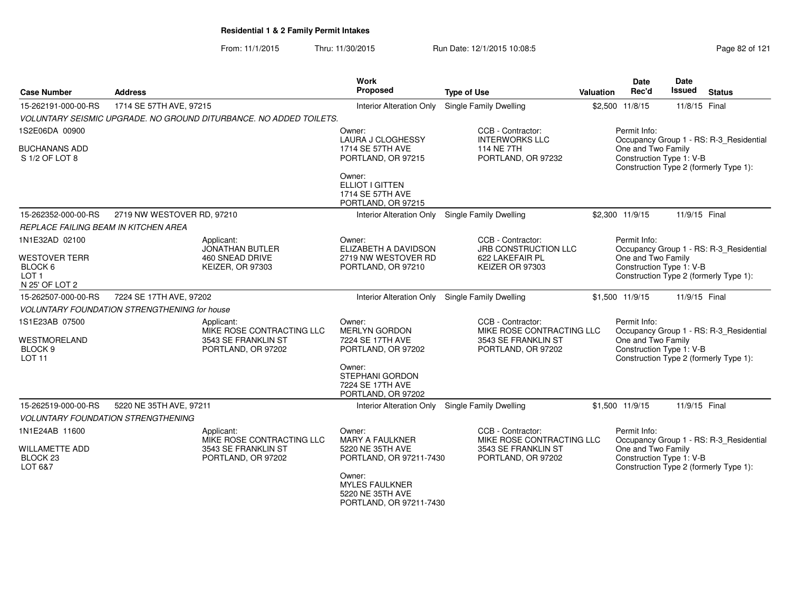From: 11/1/2015Thru: 11/30/2015 Run Date: 12/1/2015 10:08:5<br>
Rage 82 of 121

| <b>Case Number</b>                                                    | <b>Address</b>                                                         |                                                                                      | <b>Work</b><br>Proposed                                                        | <b>Type of Use</b>                                                                          | <b>Valuation</b> | Date<br>Rec'd                                                  | Date<br>Issued | <b>Status</b>                                                                     |
|-----------------------------------------------------------------------|------------------------------------------------------------------------|--------------------------------------------------------------------------------------|--------------------------------------------------------------------------------|---------------------------------------------------------------------------------------------|------------------|----------------------------------------------------------------|----------------|-----------------------------------------------------------------------------------|
| 15-262191-000-00-RS                                                   | 1714 SE 57TH AVE, 97215                                                |                                                                                      | <b>Interior Alteration Only</b>                                                | <b>Single Family Dwelling</b>                                                               |                  | \$2,500 11/8/15                                                | 11/8/15 Final  |                                                                                   |
|                                                                       |                                                                        | VOLUNTARY SEISMIC UPGRADE. NO GROUND DITURBANCE. NO ADDED TOILETS.                   |                                                                                |                                                                                             |                  |                                                                |                |                                                                                   |
| 1S2E06DA 00900                                                        |                                                                        |                                                                                      | Owner:<br><b>LAURA J CLOGHESSY</b>                                             | CCB - Contractor:<br><b>INTERWORKS LLC</b>                                                  |                  | Permit Info:                                                   |                | Occupancy Group 1 - RS: R-3_Residential                                           |
| <b>BUCHANANS ADD</b><br>S 1/2 OF LOT 8                                |                                                                        |                                                                                      | 1714 SE 57TH AVE<br>PORTLAND, OR 97215                                         | <b>114 NE 7TH</b><br>PORTLAND, OR 97232                                                     |                  | One and Two Family<br>Construction Type 1: V-B                 |                | Construction Type 2 (formerly Type 1):                                            |
|                                                                       |                                                                        |                                                                                      | Owner:<br>ELLIOT I GITTEN<br>1714 SE 57TH AVE<br>PORTLAND, OR 97215            |                                                                                             |                  |                                                                |                |                                                                                   |
| 15-262352-000-00-RS                                                   | 2719 NW WESTOVER RD, 97210                                             |                                                                                      |                                                                                | Interior Alteration Only Single Family Dwelling                                             |                  | \$2,300 11/9/15                                                | 11/9/15 Final  |                                                                                   |
| REPLACE FAILING BEAM IN KITCHEN AREA                                  |                                                                        |                                                                                      |                                                                                |                                                                                             |                  |                                                                |                |                                                                                   |
| 1N1E32AD 02100                                                        |                                                                        | Applicant:<br><b>JONATHAN BUTLER</b>                                                 | Owner:<br>ELIZABETH A DAVIDSON                                                 | CCB - Contractor:<br><b>JRB CONSTRUCTION LLC</b>                                            |                  | Permit Info:                                                   |                | Occupancy Group 1 - RS: R-3_Residential                                           |
| <b>WESTOVER TERR</b><br>BLOCK 6<br>LOT <sub>1</sub><br>N 25' OF LOT 2 |                                                                        | <b>460 SNEAD DRIVE</b><br><b>KEIZER, OR 97303</b>                                    | 2719 NW WESTOVER RD<br>PORTLAND, OR 97210                                      | 622 LAKEFAIR PL<br>KEIZER OR 97303                                                          |                  | One and Two Family<br>Construction Type 1: V-B                 |                | Construction Type 2 (formerly Type 1):                                            |
| 15-262507-000-00-RS                                                   | 7224 SE 17TH AVE, 97202                                                |                                                                                      | <b>Interior Alteration Only</b>                                                | Single Family Dwelling                                                                      |                  | \$1,500 11/9/15                                                | 11/9/15 Final  |                                                                                   |
|                                                                       | <b>VOLUNTARY FOUNDATION STRENGTHENING for house</b>                    |                                                                                      |                                                                                |                                                                                             |                  |                                                                |                |                                                                                   |
| 1S1E23AB 07500<br>WESTMORELAND<br>BLOCK <sub>9</sub><br><b>LOT 11</b> |                                                                        | Applicant:<br>MIKE ROSE CONTRACTING LLC<br>3543 SE FRANKLIN ST<br>PORTLAND, OR 97202 | Owner:<br><b>MERLYN GORDON</b><br>7224 SE 17TH AVE<br>PORTLAND, OR 97202       | CCB - Contractor:<br>MIKE ROSE CONTRACTING LLC<br>3543 SE FRANKLIN ST<br>PORTLAND, OR 97202 |                  | Permit Info:<br>One and Two Family<br>Construction Type 1: V-B |                | Occupancy Group 1 - RS: R-3 Residential<br>Construction Type 2 (formerly Type 1): |
|                                                                       |                                                                        |                                                                                      | Owner:<br><b>STEPHANI GORDON</b><br>7224 SE 17TH AVE<br>PORTLAND, OR 97202     |                                                                                             |                  |                                                                |                |                                                                                   |
| 15-262519-000-00-RS                                                   | 5220 NE 35TH AVE, 97211                                                |                                                                                      |                                                                                | Interior Alteration Only Single Family Dwelling                                             |                  | \$1,500 11/9/15                                                | 11/9/15 Final  |                                                                                   |
|                                                                       | <b>VOLUNTARY FOUNDATION STRENGTHENING</b>                              |                                                                                      |                                                                                |                                                                                             |                  |                                                                |                |                                                                                   |
| 1N1E24AB 11600                                                        |                                                                        | Applicant:                                                                           | Owner:<br><b>MARY A FAULKNER</b>                                               | CCB - Contractor:<br>MIKE ROSE CONTRACTING LLC                                              |                  | Permit Info:                                                   |                | Occupancy Group 1 - RS: R-3 Residential                                           |
| <b>WILLAMETTE ADD</b><br>BLOCK <sub>23</sub><br>LOT 6&7               | MIKE ROSE CONTRACTING LLC<br>3543 SE FRANKLIN ST<br>PORTLAND, OR 97202 |                                                                                      | 5220 NE 35TH AVE<br>PORTLAND, OR 97211-7430                                    | 3543 SE FRANKLIN ST<br>PORTLAND, OR 97202                                                   |                  | One and Two Family<br>Construction Type 1: V-B                 |                | Construction Type 2 (formerly Type 1):                                            |
|                                                                       |                                                                        |                                                                                      | Owner:<br><b>MYLES FAULKNER</b><br>5220 NE 35TH AVE<br>PORTLAND, OR 97211-7430 |                                                                                             |                  |                                                                |                |                                                                                   |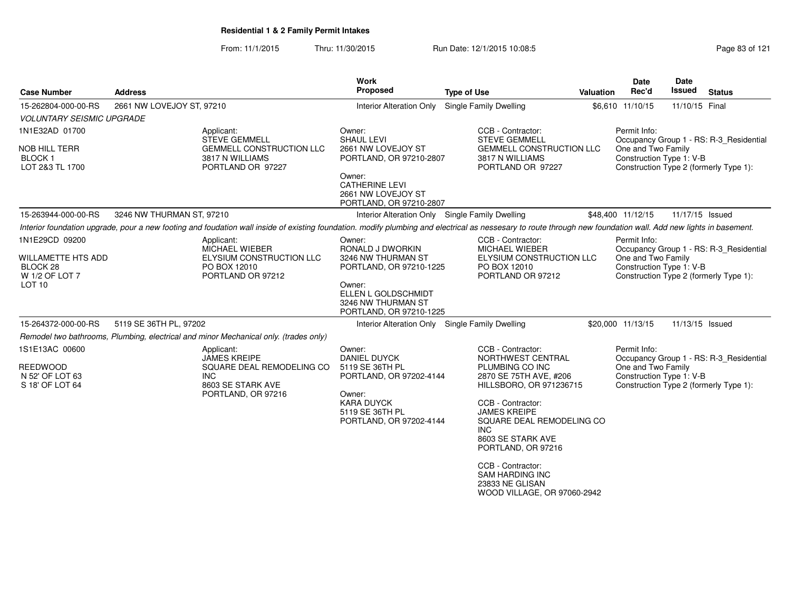From: 11/1/2015Thru: 11/30/2015 Run Date: 12/1/2015 10:08:5<br>
Rage 83 of 121

| <b>Case Number</b>                                                                             | <b>Address</b>                                                                                                                                                                                                  | <b>Work</b><br>Proposed                                                                                                                                          | <b>Type of Use</b>                                                                                                                                                                                                                         | <b>Valuation</b> | Date<br>Rec'd                                                  | <b>Date</b><br>Issued | <b>Status</b>                                                                     |
|------------------------------------------------------------------------------------------------|-----------------------------------------------------------------------------------------------------------------------------------------------------------------------------------------------------------------|------------------------------------------------------------------------------------------------------------------------------------------------------------------|--------------------------------------------------------------------------------------------------------------------------------------------------------------------------------------------------------------------------------------------|------------------|----------------------------------------------------------------|-----------------------|-----------------------------------------------------------------------------------|
| 15-262804-000-00-RS                                                                            | 2661 NW LOVEJOY ST, 97210                                                                                                                                                                                       |                                                                                                                                                                  | Interior Alteration Only Single Family Dwelling                                                                                                                                                                                            |                  | \$6,610 11/10/15                                               | 11/10/15 Final        |                                                                                   |
| <b>VOLUNTARY SEISMIC UPGRADE</b>                                                               |                                                                                                                                                                                                                 |                                                                                                                                                                  |                                                                                                                                                                                                                                            |                  |                                                                |                       |                                                                                   |
| 1N1E32AD 01700<br><b>NOB HILL TERR</b><br><b>BLOCK1</b><br>LOT 2&3 TL 1700                     | Applicant:<br><b>STEVE GEMMELL</b><br><b>GEMMELL CONSTRUCTION LLC</b><br>3817 N WILLIAMS<br>PORTLAND OR 97227                                                                                                   | Owner:<br><b>SHAUL LEVI</b><br>2661 NW LOVEJOY ST<br>PORTLAND, OR 97210-2807<br>Owner:<br><b>CATHERINE LEVI</b><br>2661 NW LOVEJOY ST<br>PORTLAND, OR 97210-2807 | CCB - Contractor:<br><b>STEVE GEMMELL</b><br><b>GEMMELL CONSTRUCTION LLC</b><br>3817 N WILLIAMS<br>PORTLAND OR 97227                                                                                                                       |                  | Permit Info:<br>One and Two Family<br>Construction Type 1: V-B |                       | Occupancy Group 1 - RS: R-3 Residential<br>Construction Type 2 (formerly Type 1): |
| 15-263944-000-00-RS                                                                            | 3246 NW THURMAN ST, 97210                                                                                                                                                                                       | Interior Alteration Only Single Family Dwelling                                                                                                                  |                                                                                                                                                                                                                                            |                  | \$48,400 11/12/15                                              | 11/17/15 Issued       |                                                                                   |
|                                                                                                | Interior foundation upgrade, pour a new footing and foudation wall inside of existing foundation. modify plumbing and electrical as nessesary to route through new foundation wall. Add new lights in basement. |                                                                                                                                                                  |                                                                                                                                                                                                                                            |                  |                                                                |                       |                                                                                   |
| 1N1E29CD 09200<br><b>WILLAMETTE HTS ADD</b><br>BLOCK 28<br>W 1/2 OF LOT 7<br>LOT <sub>10</sub> | Applicant:<br>MICHAEL WIEBER<br>ELYSIUM CONSTRUCTION LLC<br>PO BOX 12010<br>PORTLAND OR 97212                                                                                                                   | Owner:<br>RONALD J DWORKIN<br>3246 NW THURMAN ST<br>PORTLAND, OR 97210-1225<br>Owner:<br>ELLEN L GOLDSCHMIDT<br>3246 NW THURMAN ST<br>PORTLAND, OR 97210-1225    | CCB - Contractor:<br><b>MICHAEL WIEBER</b><br>ELYSIUM CONSTRUCTION LLC<br>PO BOX 12010<br>PORTLAND OR 97212                                                                                                                                |                  | Permit Info:<br>One and Two Family<br>Construction Type 1: V-B |                       | Occupancy Group 1 - RS: R-3_Residential<br>Construction Type 2 (formerly Type 1): |
| 15-264372-000-00-RS                                                                            | 5119 SE 36TH PL, 97202                                                                                                                                                                                          | Interior Alteration Only Single Family Dwelling                                                                                                                  |                                                                                                                                                                                                                                            |                  | \$20,000 11/13/15                                              | 11/13/15 Issued       |                                                                                   |
|                                                                                                | Remodel two bathrooms, Plumbing, electrical and minor Mechanical only. (trades only)                                                                                                                            |                                                                                                                                                                  |                                                                                                                                                                                                                                            |                  |                                                                |                       |                                                                                   |
| 1S1E13AC 00600<br><b>REEDWOOD</b><br>N 52' OF LOT 63<br>S 18' OF LOT 64                        | Applicant:<br><b>JAMES KREIPE</b><br>SQUARE DEAL REMODELING CO<br>INC.<br>8603 SE STARK AVE<br>PORTLAND, OR 97216                                                                                               | Owner:<br><b>DANIEL DUYCK</b><br>5119 SE 36TH PL<br>PORTLAND, OR 97202-4144<br>Owner:<br><b>KARA DUYCK</b><br>5119 SE 36TH PL<br>PORTLAND, OR 97202-4144         | CCB - Contractor:<br>NORTHWEST CENTRAL<br>PLUMBING CO INC<br>2870 SE 75TH AVE, #206<br>HILLSBORO, OR 971236715<br>CCB - Contractor:<br><b>JAMES KREIPE</b><br>SQUARE DEAL REMODELING CO<br>INC.<br>8603 SE STARK AVE<br>PORTLAND, OR 97216 |                  | Permit Info:<br>One and Two Family<br>Construction Type 1: V-B |                       | Occupancy Group 1 - RS: R-3 Residential<br>Construction Type 2 (formerly Type 1): |
|                                                                                                |                                                                                                                                                                                                                 |                                                                                                                                                                  | CCB - Contractor:<br><b>SAM HARDING INC</b><br>23833 NE GLISAN<br>WOOD VILLAGE, OR 97060-2942                                                                                                                                              |                  |                                                                |                       |                                                                                   |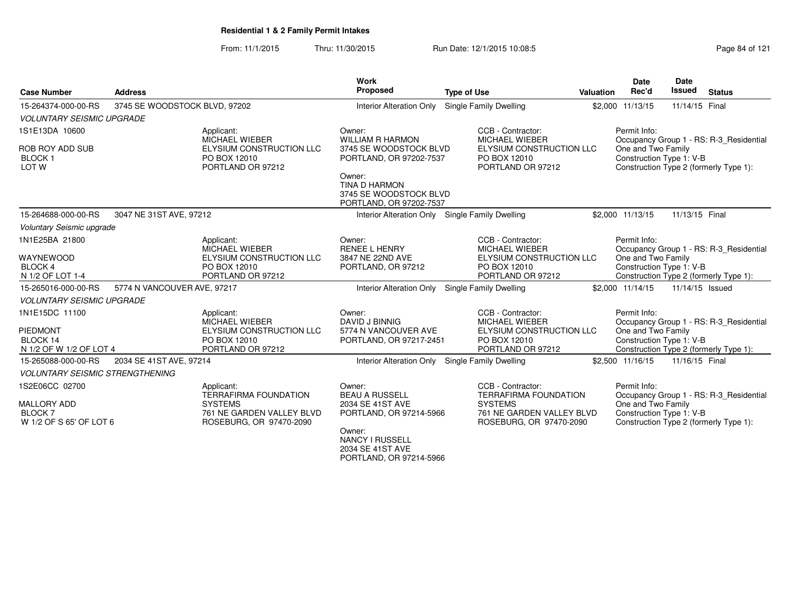From: 11/1/2015Thru: 11/30/2015 Run Date: 12/1/2015 10:08:5<br>
Page 84 of 121

| <b>Case Number</b>                              | <b>Address</b>                |                                                                                 | Work<br>Proposed                                                                   | <b>Type of Use</b>                                                                     | Valuation | <b>Date</b><br>Rec'd                                           | Date<br><b>Issued</b> | <b>Status</b>                           |
|-------------------------------------------------|-------------------------------|---------------------------------------------------------------------------------|------------------------------------------------------------------------------------|----------------------------------------------------------------------------------------|-----------|----------------------------------------------------------------|-----------------------|-----------------------------------------|
| 15-264374-000-00-RS                             | 3745 SE WOODSTOCK BLVD, 97202 |                                                                                 | <b>Interior Alteration Only</b>                                                    | Single Family Dwelling                                                                 |           | \$2,000 11/13/15                                               | 11/14/15 Final        |                                         |
| <b>VOLUNTARY SEISMIC UPGRADE</b>                |                               |                                                                                 |                                                                                    |                                                                                        |           |                                                                |                       |                                         |
| 1S1E13DA 10600                                  |                               | Applicant:<br><b>MICHAEL WIEBER</b>                                             | Owner:<br><b>WILLIAM R HARMON</b>                                                  | CCB - Contractor:<br>MICHAEL WIEBER                                                    |           | Permit Info:                                                   |                       | Occupancy Group 1 - RS: R-3_Residential |
| ROB ROY ADD SUB<br><b>BLOCK1</b><br>LOT W       |                               | ELYSIUM CONSTRUCTION LLC<br>PO BOX 12010<br>PORTLAND OR 97212                   | 3745 SE WOODSTOCK BLVD<br>PORTLAND, OR 97202-7537                                  | ELYSIUM CONSTRUCTION LLC<br>PO BOX 12010<br>PORTLAND OR 97212                          |           | One and Two Family<br>Construction Type 1: V-B                 |                       | Construction Type 2 (formerly Type 1):  |
|                                                 |                               |                                                                                 | Owner:<br>TINA D HARMON<br>3745 SE WOODSTOCK BLVD<br>PORTLAND, OR 97202-7537       |                                                                                        |           |                                                                |                       |                                         |
| 15-264688-000-00-RS                             | 3047 NE 31ST AVE, 97212       |                                                                                 |                                                                                    | Interior Alteration Only Single Family Dwelling                                        |           | \$2,000 11/13/15                                               | 11/13/15 Final        |                                         |
| Voluntary Seismic upgrade                       |                               |                                                                                 |                                                                                    |                                                                                        |           |                                                                |                       |                                         |
| 1N1E25BA 21800                                  |                               | Applicant:<br>MICHAEL WIEBER                                                    | Owner:<br><b>RENEE L HENRY</b>                                                     | CCB - Contractor:<br><b>MICHAEL WIEBER</b>                                             |           | Permit Info:                                                   |                       | Occupancy Group 1 - RS: R-3_Residential |
| WAYNEWOOD<br><b>BLOCK 4</b><br>N 1/2 OF LOT 1-4 |                               | ELYSIUM CONSTRUCTION LLC<br>PO BOX 12010<br>PORTLAND OR 97212                   | 3847 NE 22ND AVE<br>PORTLAND, OR 97212                                             | ELYSIUM CONSTRUCTION LLC<br>PO BOX 12010<br>PORTLAND OR 97212                          |           | One and Two Family<br>Construction Type 1: V-B                 |                       | Construction Type 2 (formerly Type 1):  |
| 15-265016-000-00-RS                             | 5774 N VANCOUVER AVE, 97217   |                                                                                 | <b>Interior Alteration Only</b>                                                    | Single Family Dwelling                                                                 |           | \$2,000 11/14/15                                               | 11/14/15 Issued       |                                         |
| <b>VOLUNTARY SEISMIC UPGRADE</b>                |                               |                                                                                 |                                                                                    |                                                                                        |           |                                                                |                       |                                         |
| 1N1E15DC 11100<br><b>PIEDMONT</b><br>BLOCK 14   |                               | Applicant:<br><b>MICHAEL WIEBER</b><br>ELYSIUM CONSTRUCTION LLC<br>PO BOX 12010 | Owner:<br><b>DAVID J BINNIG</b><br>5774 N VANCOUVER AVE<br>PORTLAND, OR 97217-2451 | CCB - Contractor:<br><b>MICHAEL WIEBER</b><br>ELYSIUM CONSTRUCTION LLC<br>PO BOX 12010 |           | Permit Info:<br>One and Two Family<br>Construction Type 1: V-B |                       | Occupancy Group 1 - RS: R-3 Residential |
| N 1/2 OF W 1/2 OF LOT 4                         |                               | PORTLAND OR 97212                                                               |                                                                                    | PORTLAND OR 97212                                                                      |           |                                                                |                       | Construction Type 2 (formerly Type 1):  |
| 15-265088-000-00-RS                             | 2034 SE 41ST AVE, 97214       |                                                                                 |                                                                                    | Interior Alteration Only Single Family Dwelling                                        |           | \$2,500 11/16/15                                               | 11/16/15 Final        |                                         |
| <b>VOLUNTARY SEISMIC STRENGTHENING</b>          |                               |                                                                                 |                                                                                    |                                                                                        |           |                                                                |                       |                                         |
| 1S2E06CC 02700<br><b>MALLORY ADD</b>            |                               | Applicant:<br><b>TERRAFIRMA FOUNDATION</b><br><b>SYSTEMS</b>                    | Owner:<br><b>BEAU A RUSSELL</b><br>2034 SE 41ST AVE                                | CCB - Contractor:<br><b>TERRAFIRMA FOUNDATION</b><br><b>SYSTEMS</b>                    |           | Permit Info:<br>One and Two Family                             |                       | Occupancy Group 1 - RS: R-3 Residential |
| <b>BLOCK 7</b><br>W 1/2 OF S 65' OF LOT 6       |                               | 761 NE GARDEN VALLEY BLVD<br>ROSEBURG, OR 97470-2090                            | PORTLAND, OR 97214-5966<br>Owner:<br><b>NANCY I RUSSELL</b><br>2034 SE 41ST AVE    | 761 NE GARDEN VALLEY BLVD<br>ROSEBURG, OR 97470-2090                                   |           | Construction Type 1: V-B                                       |                       | Construction Type 2 (formerly Type 1):  |

PORTLAND, OR 97214-5966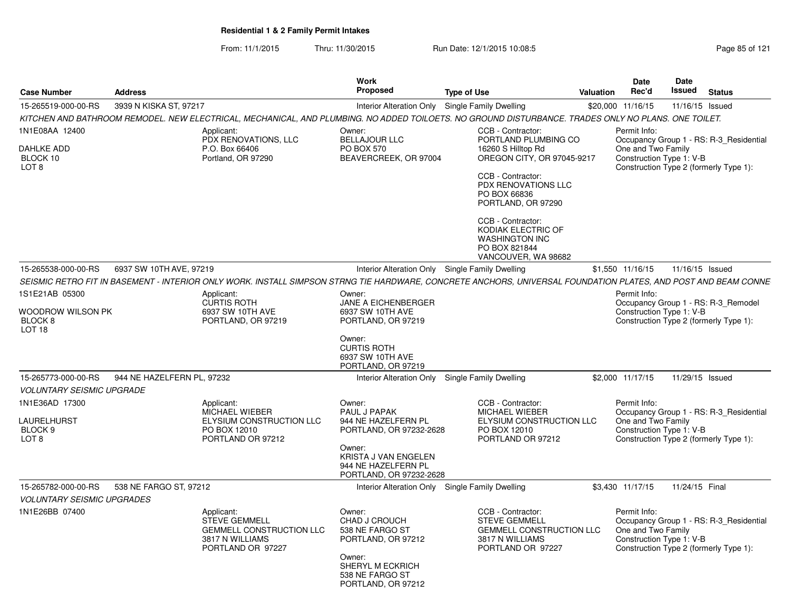From: 11/1/2015Thru: 11/30/2015 Run Date: 12/1/2015 10:08:5<br>
Page 85 of 121

|                                                                                |                                                                                                                                                                | <b>Work</b><br>Proposed                                                                                                                                      |                                                                                                                                                                                 |                  | Date                                                           | <b>Date</b><br>Issued |                                                                                   |
|--------------------------------------------------------------------------------|----------------------------------------------------------------------------------------------------------------------------------------------------------------|--------------------------------------------------------------------------------------------------------------------------------------------------------------|---------------------------------------------------------------------------------------------------------------------------------------------------------------------------------|------------------|----------------------------------------------------------------|-----------------------|-----------------------------------------------------------------------------------|
| <b>Case Number</b>                                                             | <b>Address</b>                                                                                                                                                 |                                                                                                                                                              | <b>Type of Use</b>                                                                                                                                                              | <b>Valuation</b> | Rec'd                                                          |                       | <b>Status</b>                                                                     |
| 15-265519-000-00-RS                                                            | 3939 N KISKA ST, 97217                                                                                                                                         | Interior Alteration Only Single Family Dwelling                                                                                                              |                                                                                                                                                                                 |                  | \$20,000 11/16/15                                              | 11/16/15 Issued       |                                                                                   |
|                                                                                | KITCHEN AND BATHROOM REMODEL. NEW ELECTRICAL, MECHANICAL, AND PLUMBING. NO ADDED TOILOETS. NO GROUND DISTURBANCE. TRADES ONLY NO PLANS. ONE TOILET.            |                                                                                                                                                              |                                                                                                                                                                                 |                  |                                                                |                       |                                                                                   |
| 1N1E08AA 12400<br><b>DAHLKE ADD</b><br>BLOCK 10<br>LOT <sub>8</sub>            | Applicant:<br>PDX RENOVATIONS, LLC<br>P.O. Box 66406<br>Portland, OR 97290                                                                                     | Owner:<br><b>BELLAJOUR LLC</b><br><b>PO BOX 570</b><br>BEAVERCREEK, OR 97004                                                                                 | CCB - Contractor:<br>PORTLAND PLUMBING CO<br>16260 S Hilltop Rd<br>OREGON CITY, OR 97045-9217<br>CCB - Contractor:<br>PDX RENOVATIONS LLC<br>PO BOX 66836<br>PORTLAND, OR 97290 |                  | Permit Info:<br>One and Two Family<br>Construction Type 1: V-B |                       | Occupancy Group 1 - RS: R-3_Residential<br>Construction Type 2 (formerly Type 1): |
|                                                                                |                                                                                                                                                                |                                                                                                                                                              | CCB - Contractor:<br>KODIAK ELECTRIC OF<br><b>WASHINGTON INC</b><br>PO BOX 821844<br>VANCOUVER, WA 98682                                                                        |                  |                                                                |                       |                                                                                   |
| 15-265538-000-00-RS                                                            | 6937 SW 10TH AVE, 97219                                                                                                                                        | Interior Alteration Only Single Family Dwelling                                                                                                              |                                                                                                                                                                                 |                  | \$1,550 11/16/15                                               | 11/16/15 Issued       |                                                                                   |
|                                                                                | SEISMIC RETRO FIT IN BASEMENT - INTERIOR ONLY WORK. INSTALL SIMPSON STRNG TIE HARDWARE, CONCRETE ANCHORS, UNIVERSAL FOUNDATION PLATES, AND POST AND BEAM CONNE |                                                                                                                                                              |                                                                                                                                                                                 |                  |                                                                |                       |                                                                                   |
| 1S1E21AB 05300<br>Woodrow Wilson PK<br>BLOCK <sub>8</sub><br>LOT <sub>18</sub> | Applicant:<br><b>CURTIS ROTH</b><br>6937 SW 10TH AVE<br>PORTLAND, OR 97219                                                                                     | Owner:<br>JANE A EICHENBERGER<br>6937 SW 10TH AVE<br>PORTLAND, OR 97219<br>Owner:<br><b>CURTIS ROTH</b><br>6937 SW 10TH AVE<br>PORTLAND, OR 97219            |                                                                                                                                                                                 |                  | Permit Info:<br>Construction Type 1: V-B                       |                       | Occupancy Group 1 - RS: R-3_Remodel<br>Construction Type 2 (formerly Type 1):     |
| 15-265773-000-00-RS                                                            | 944 NE HAZELFERN PL, 97232                                                                                                                                     | Interior Alteration Only                                                                                                                                     | Single Family Dwelling                                                                                                                                                          |                  | \$2.000 11/17/15                                               | 11/29/15 Issued       |                                                                                   |
| <b>VOLUNTARY SEISMIC UPGRADE</b>                                               |                                                                                                                                                                |                                                                                                                                                              |                                                                                                                                                                                 |                  |                                                                |                       |                                                                                   |
| 1N1E36AD 17300<br>LAURELHURST<br>BLOCK 9<br>LOT 8                              | Applicant:<br>MICHAEL WIEBER<br>ELYSIUM CONSTRUCTION LLC<br>PO BOX 12010<br>PORTLAND OR 97212                                                                  | Owner:<br>PAUL J PAPAK<br>944 NE HAZELFERN PL<br>PORTLAND, OR 97232-2628<br>Owner:<br>KRISTA J VAN ENGELEN<br>944 NE HAZELFERN PL<br>PORTLAND, OR 97232-2628 | CCB - Contractor:<br><b>MICHAEL WIEBER</b><br>ELYSIUM CONSTRUCTION LLC<br>PO BOX 12010<br>PORTLAND OR 97212                                                                     |                  | Permit Info:<br>One and Two Family<br>Construction Type 1: V-B |                       | Occupancy Group 1 - RS: R-3_Residential<br>Construction Type 2 (formerly Type 1): |
| 15-265782-000-00-RS                                                            | 538 NE FARGO ST, 97212                                                                                                                                         | <b>Interior Alteration Only</b>                                                                                                                              | Single Family Dwelling                                                                                                                                                          |                  | \$3,430 11/17/15                                               | 11/24/15 Final        |                                                                                   |
| <b>VOLUNTARY SEISMIC UPGRADES</b>                                              |                                                                                                                                                                |                                                                                                                                                              |                                                                                                                                                                                 |                  |                                                                |                       |                                                                                   |
| 1N1E26BB 07400                                                                 | Applicant:<br><b>STEVE GEMMELL</b><br><b>GEMMELL CONSTRUCTION LLC</b><br>3817 N WILLIAMS<br>PORTLAND OR 97227                                                  | Owner:<br>CHAD J CROUCH<br>538 NE FARGO ST<br>PORTLAND, OR 97212<br>Owner:<br>SHERYL M ECKRICH<br>538 NE FARGO ST<br>PORTLAND, OR 97212                      | CCB - Contractor:<br><b>STEVE GEMMELL</b><br><b>GEMMELL CONSTRUCTION LLC</b><br>3817 N WILLIAMS<br>PORTLAND OR 97227                                                            |                  | Permit Info:<br>One and Two Family<br>Construction Type 1: V-B |                       | Occupancy Group 1 - RS: R-3_Residential<br>Construction Type 2 (formerly Type 1): |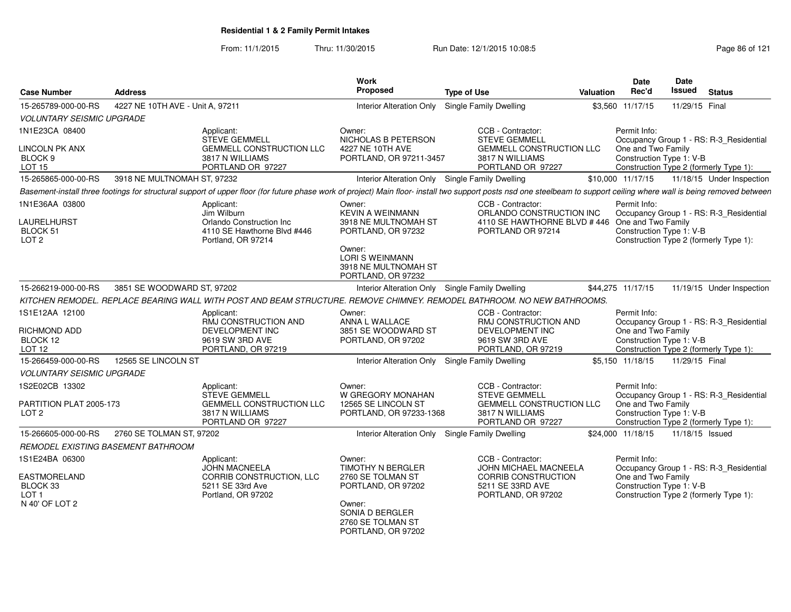From: 11/1/2015Thru: 11/30/2015 Run Date: 12/1/2015 10:08:5<br>
Rage 86 of 121

| <b>Case Number</b>                                                    | <b>Address</b>                     |                                                                                                            | <b>Work</b><br><b>Proposed</b>                                                                                                                                    | <b>Type of Use</b>                                                                                                                                                                                                      | <b>Valuation</b> | <b>Date</b><br>Rec'd                                           | Date<br>Issued  | <b>Status</b>                                                                     |
|-----------------------------------------------------------------------|------------------------------------|------------------------------------------------------------------------------------------------------------|-------------------------------------------------------------------------------------------------------------------------------------------------------------------|-------------------------------------------------------------------------------------------------------------------------------------------------------------------------------------------------------------------------|------------------|----------------------------------------------------------------|-----------------|-----------------------------------------------------------------------------------|
| 15-265789-000-00-RS                                                   | 4227 NE 10TH AVE - Unit A. 97211   |                                                                                                            | <b>Interior Alteration Only</b>                                                                                                                                   | Single Family Dwelling                                                                                                                                                                                                  |                  | \$3,560 11/17/15                                               | 11/29/15 Final  |                                                                                   |
| <b>VOLUNTARY SEISMIC UPGRADE</b>                                      |                                    |                                                                                                            |                                                                                                                                                                   |                                                                                                                                                                                                                         |                  |                                                                |                 |                                                                                   |
| 1N1E23CA 08400                                                        |                                    | Applicant:<br><b>STEVE GEMMELL</b>                                                                         | Owner:<br>NICHOLAS B PETERSON                                                                                                                                     | CCB - Contractor:<br><b>STEVE GEMMELL</b>                                                                                                                                                                               |                  | Permit Info:                                                   |                 | Occupancy Group 1 - RS: R-3_Residential                                           |
| <b>LINCOLN PK ANX</b><br>BLOCK <sub>9</sub><br><b>LOT 15</b>          |                                    | <b>GEMMELL CONSTRUCTION LLC</b><br>3817 N WILLIAMS<br>PORTLAND OR 97227                                    | 4227 NE 10TH AVE<br>PORTLAND, OR 97211-3457                                                                                                                       | <b>GEMMELL CONSTRUCTION LLC</b><br>3817 N WILLIAMS<br>PORTLAND OR 97227                                                                                                                                                 |                  | One and Two Family<br>Construction Type 1: V-B                 |                 | Construction Type 2 (formerly Type 1):                                            |
| 15-265865-000-00-RS                                                   | 3918 NE MULTNOMAH ST, 97232        |                                                                                                            | <b>Interior Alteration Only</b>                                                                                                                                   | Single Family Dwelling                                                                                                                                                                                                  |                  | \$10,000 11/17/15                                              |                 | 11/18/15 Under Inspection                                                         |
|                                                                       |                                    |                                                                                                            |                                                                                                                                                                   | Basement-install three footings for structural support of upper floor (for future phase work of project) Main floor- install two support posts nsd one steelbeam to support ceiling where wall is being removed between |                  |                                                                |                 |                                                                                   |
| 1N1E36AA 03800<br>LAURELHURST<br>BLOCK 51<br>LOT <sub>2</sub>         |                                    | Applicant:<br>Jim Wilburn<br>Orlando Construction Inc<br>4110 SE Hawthorne Blvd #446<br>Portland, OR 97214 | Owner:<br><b>KEVIN A WEINMANN</b><br>3918 NE MULTNOMAH ST<br>PORTLAND, OR 97232<br>Owner:<br><b>LORI S WEINMANN</b><br>3918 NE MULTNOMAH ST<br>PORTLAND, OR 97232 | CCB - Contractor:<br>ORLANDO CONSTRUCTION INC<br>4110 SE HAWTHORNE BLVD #446 One and Two Family<br>PORTLAND OR 97214                                                                                                    |                  | Permit Info:<br>Construction Type 1: V-B                       |                 | Occupancy Group 1 - RS: R-3_Residential<br>Construction Type 2 (formerly Type 1): |
| 15-266219-000-00-RS                                                   | 3851 SE WOODWARD ST, 97202         |                                                                                                            | Interior Alteration Only Single Family Dwelling                                                                                                                   |                                                                                                                                                                                                                         |                  | \$44,275 11/17/15                                              |                 | 11/19/15 Under Inspection                                                         |
|                                                                       |                                    |                                                                                                            |                                                                                                                                                                   | KITCHEN REMODEL. REPLACE BEARING WALL WITH POST AND BEAM STRUCTURE. REMOVE CHIMNEY. REMODEL BATHROOM. NO NEW BATHROOMS.                                                                                                 |                  |                                                                |                 |                                                                                   |
| 1S1E12AA 12100<br>RICHMOND ADD<br>BLOCK 12<br><b>LOT 12</b>           |                                    | Applicant:<br>RMJ CONSTRUCTION AND<br><b>DEVELOPMENT INC</b><br>9619 SW 3RD AVE<br>PORTLAND, OR 97219      | Owner:<br>ANNA L WALLACE<br>3851 SE WOODWARD ST<br>PORTLAND, OR 97202                                                                                             | CCB - Contractor:<br>RMJ CONSTRUCTION AND<br><b>DEVELOPMENT INC</b><br>9619 SW 3RD AVE<br>PORTLAND, OR 97219                                                                                                            |                  | Permit Info:<br>One and Two Family<br>Construction Type 1: V-B |                 | Occupancy Group 1 - RS: R-3_Residential<br>Construction Type 2 (formerly Type 1): |
| 15-266459-000-00-RS                                                   | 12565 SE LINCOLN ST                |                                                                                                            | <b>Interior Alteration Only</b>                                                                                                                                   | Single Family Dwelling                                                                                                                                                                                                  |                  | \$5.150 11/18/15                                               | 11/29/15 Final  |                                                                                   |
| <b>VOLUNTARY SEISMIC UPGRADE</b>                                      |                                    |                                                                                                            |                                                                                                                                                                   |                                                                                                                                                                                                                         |                  |                                                                |                 |                                                                                   |
| 1S2E02CB 13302                                                        |                                    | Applicant:<br><b>STEVE GEMMELL</b>                                                                         | Owner:<br>W GREGORY MONAHAN                                                                                                                                       | CCB - Contractor:<br><b>STEVE GEMMELL</b>                                                                                                                                                                               |                  | Permit Info:                                                   |                 | Occupancy Group 1 - RS: R-3_Residential                                           |
| PARTITION PLAT 2005-173<br>LOT <sub>2</sub>                           |                                    | <b>GEMMELL CONSTRUCTION LLC</b><br>3817 N WILLIAMS<br>PORTLAND OR 97227                                    | 12565 SE LINCOLN ST<br>PORTLAND, OR 97233-1368                                                                                                                    | <b>GEMMELL CONSTRUCTION LLC</b><br>3817 N WILLIAMS<br>PORTLAND OR 97227                                                                                                                                                 |                  | One and Two Family<br>Construction Type 1: V-B                 |                 | Construction Type 2 (formerly Type 1):                                            |
| 15-266605-000-00-RS                                                   | 2760 SE TOLMAN ST, 97202           |                                                                                                            | Interior Alteration Only Single Family Dwelling                                                                                                                   |                                                                                                                                                                                                                         |                  | \$24,000 11/18/15                                              | 11/18/15 Issued |                                                                                   |
|                                                                       | REMODEL EXISTING BASEMENT BATHROOM |                                                                                                            |                                                                                                                                                                   |                                                                                                                                                                                                                         |                  |                                                                |                 |                                                                                   |
| 1S1E24BA 06300                                                        |                                    | Applicant:<br><b>JOHN MACNEELA</b>                                                                         | Owner:<br><b>TIMOTHY N BERGLER</b>                                                                                                                                | CCB - Contractor:<br>JOHN MICHAEL MACNEELA                                                                                                                                                                              |                  | Permit Info:                                                   |                 | Occupancy Group 1 - RS: R-3_Residential                                           |
| <b>EASTMORELAND</b><br>BLOCK 33<br>LOT <sub>1</sub><br>N 40' OF LOT 2 |                                    | CORRIB CONSTRUCTION, LLC<br>5211 SE 33rd Ave<br>Portland, OR 97202                                         | 2760 SE TOLMAN ST<br>PORTLAND, OR 97202<br>Owner:<br>SONIA D BERGLER<br>2760 SE TOLMAN ST<br>PORTLAND, OR 97202                                                   | CORRIB CONSTRUCTION<br>5211 SE 33RD AVE<br>PORTLAND, OR 97202                                                                                                                                                           |                  | One and Two Family<br>Construction Type 1: V-B                 |                 | Construction Type 2 (formerly Type 1):                                            |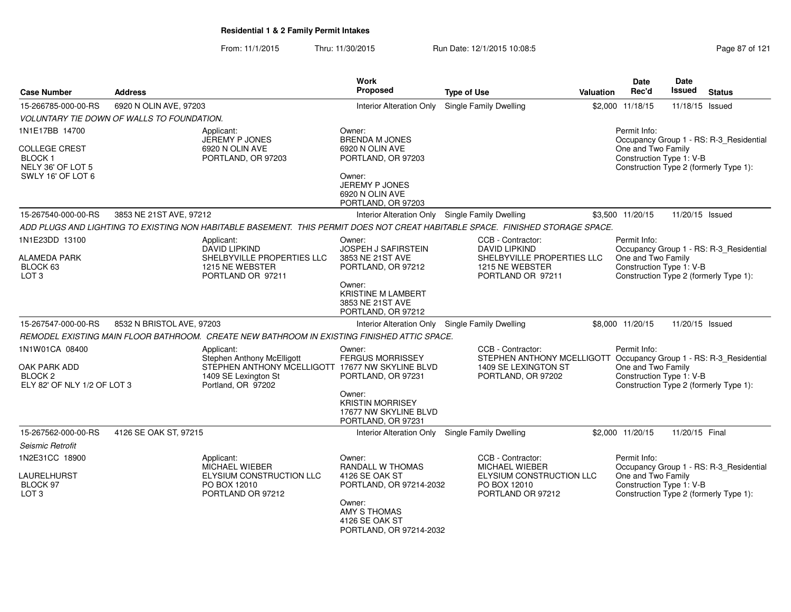From: 11/1/2015Thru: 11/30/2015 Run Date: 12/1/2015 10:08:5<br>
Page 87 of 121

| <b>Case Number</b>                                                                  | <b>Address</b>                             |                                                                                                                                                   | <b>Work</b><br><b>Proposed</b>                                                   | <b>Type of Use</b>                                                                                                                    | Valuation | Date<br>Rec'd                                                  | Date<br><b>Issued</b> | <b>Status</b>                                                                     |
|-------------------------------------------------------------------------------------|--------------------------------------------|---------------------------------------------------------------------------------------------------------------------------------------------------|----------------------------------------------------------------------------------|---------------------------------------------------------------------------------------------------------------------------------------|-----------|----------------------------------------------------------------|-----------------------|-----------------------------------------------------------------------------------|
| 15-266785-000-00-RS                                                                 | 6920 N OLIN AVE, 97203                     |                                                                                                                                                   | <b>Interior Alteration Only</b>                                                  | Single Family Dwelling                                                                                                                |           | \$2,000 11/18/15                                               | 11/18/15 Issued       |                                                                                   |
|                                                                                     | VOLUNTARY TIE DOWN OF WALLS TO FOUNDATION. |                                                                                                                                                   |                                                                                  |                                                                                                                                       |           |                                                                |                       |                                                                                   |
| 1N1E17BB 14700                                                                      |                                            | Applicant:<br>JEREMY P JONES                                                                                                                      | Owner:<br><b>BRENDA M JONES</b>                                                  |                                                                                                                                       |           | Permit Info:                                                   |                       | Occupancy Group 1 - RS: R-3_Residential                                           |
| COLLEGE CREST<br>BLOCK 1<br>NELY 36' OF LOT 5<br>SWLY 16' OF LOT 6                  |                                            | 6920 N OLIN AVE<br>PORTLAND, OR 97203                                                                                                             | 6920 N OLIN AVE<br>PORTLAND, OR 97203<br>Owner:<br>JEREMY P JONES                |                                                                                                                                       |           | One and Two Family<br>Construction Type 1: V-B                 |                       | Construction Type 2 (formerly Type 1):                                            |
|                                                                                     |                                            |                                                                                                                                                   | 6920 N OLIN AVE<br>PORTLAND, OR 97203                                            |                                                                                                                                       |           |                                                                |                       |                                                                                   |
| 15-267540-000-00-RS                                                                 | 3853 NE 21ST AVE, 97212                    |                                                                                                                                                   |                                                                                  | Interior Alteration Only Single Family Dwelling                                                                                       |           | \$3,500 11/20/15                                               | 11/20/15 Issued       |                                                                                   |
|                                                                                     |                                            | ADD PLUGS AND LIGHTING TO EXISTING NON HABITABLE BASEMENT. THIS PERMIT DOES NOT CREAT HABITABLE SPACE. FINISHED STORAGE SPACE.                    |                                                                                  |                                                                                                                                       |           |                                                                |                       |                                                                                   |
| 1N1E23DD 13100<br>ALAMEDA PARK<br>BLOCK 63<br>LOT <sub>3</sub>                      |                                            | Applicant:<br><b>DAVID LIPKIND</b><br>SHELBYVILLE PROPERTIES LLC<br>1215 NE WEBSTER<br>PORTLAND OR 97211                                          | Owner:<br>JOSPEH J SAFIRSTEIN<br>3853 NE 21ST AVE<br>PORTLAND, OR 97212          | CCB - Contractor:<br><b>DAVID LIPKIND</b><br>SHELBYVILLE PROPERTIES LLC<br>1215 NE WEBSTER<br>PORTLAND OR 97211                       |           | Permit Info:<br>One and Two Family<br>Construction Type 1: V-B |                       | Occupancy Group 1 - RS: R-3_Residential<br>Construction Type 2 (formerly Type 1): |
|                                                                                     |                                            |                                                                                                                                                   | Owner:<br>KRISTINE M LAMBERT<br>3853 NE 21ST AVE<br>PORTLAND, OR 97212           |                                                                                                                                       |           |                                                                |                       |                                                                                   |
| 15-267547-000-00-RS                                                                 | 8532 N BRISTOL AVE, 97203                  |                                                                                                                                                   | Interior Alteration Only                                                         | Single Family Dwelling                                                                                                                |           | \$8,000 11/20/15                                               | 11/20/15 Issued       |                                                                                   |
|                                                                                     |                                            | REMODEL EXISTING MAIN FLOOR BATHROOM. CREATE NEW BATHROOM IN EXISTING FINISHED ATTIC SPACE.                                                       |                                                                                  |                                                                                                                                       |           |                                                                |                       |                                                                                   |
| 1N1W01CA 08400<br>OAK PARK ADD<br>BLOCK <sub>2</sub><br>ELY 82' OF NLY 1/2 OF LOT 3 |                                            | Applicant:<br><b>Stephen Anthony McElligott</b><br>STEPHEN ANTHONY MCELLIGOTT 17677 NW SKYLINE BLVD<br>1409 SE Lexington St<br>Portland, OR 97202 | Owner:<br><b>FERGUS MORRISSEY</b><br>PORTLAND, OR 97231                          | CCB - Contractor:<br>STEPHEN ANTHONY MCELLIGOTT Occupancy Group 1 - RS: R-3_Residential<br>1409 SE LEXINGTON ST<br>PORTLAND, OR 97202 |           | Permit Info:<br>One and Two Family<br>Construction Type 1: V-B |                       | Construction Type 2 (formerly Type 1):                                            |
|                                                                                     |                                            |                                                                                                                                                   | Owner:<br><b>KRISTIN MORRISEY</b><br>17677 NW SKYLINE BLVD<br>PORTLAND, OR 97231 |                                                                                                                                       |           |                                                                |                       |                                                                                   |
| 15-267562-000-00-RS                                                                 | 4126 SE OAK ST, 97215                      |                                                                                                                                                   |                                                                                  | Interior Alteration Only Single Family Dwelling                                                                                       |           | \$2,000 11/20/15                                               | 11/20/15 Final        |                                                                                   |
| Seismic Retrofit                                                                    |                                            |                                                                                                                                                   |                                                                                  |                                                                                                                                       |           |                                                                |                       |                                                                                   |
| 1N2E31CC 18900<br>LAURELHURST<br>BLOCK 97                                           |                                            | Applicant:<br><b>MICHAEL WIEBER</b><br>ELYSIUM CONSTRUCTION LLC<br>PO BOX 12010                                                                   | Owner:<br><b>RANDALL W THOMAS</b><br>4126 SE OAK ST<br>PORTLAND, OR 97214-2032   | CCB - Contractor:<br><b>MICHAEL WIEBER</b><br>ELYSIUM CONSTRUCTION LLC<br>PO BOX 12010                                                |           | Permit Info:<br>One and Two Family<br>Construction Type 1: V-B |                       | Occupancy Group 1 - RS: R-3_Residential                                           |
| LOT <sub>3</sub>                                                                    |                                            | PORTLAND OR 97212                                                                                                                                 | Owner:<br>AMY S THOMAS<br>4126 SE OAK ST<br>PORTLAND, OR 97214-2032              | PORTLAND OR 97212                                                                                                                     |           |                                                                |                       | Construction Type 2 (formerly Type 1):                                            |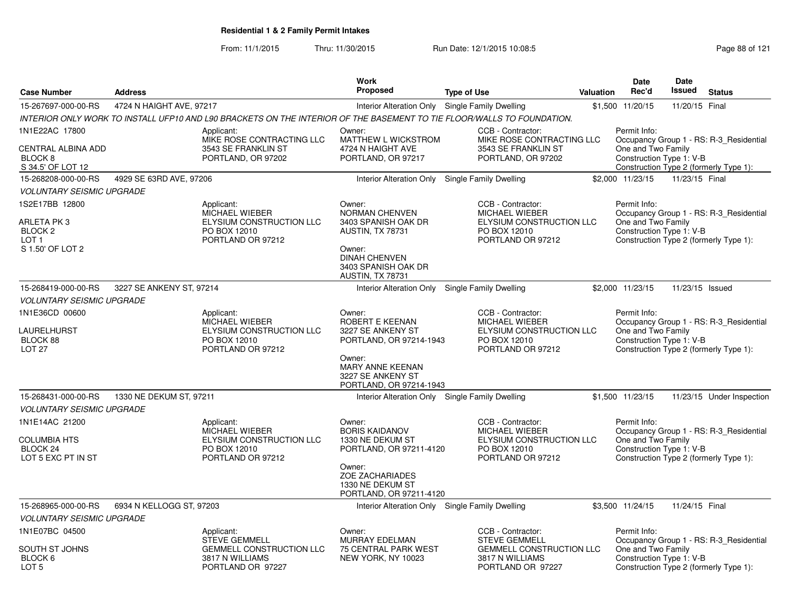From: 11/1/2015

Thru: 11/30/2015 Run Date: 12/1/2015 10:08:5<br>
Page 88 of 121

|                                                                                    |                          |                                                                                                                        | Work<br><b>Proposed</b>                                                                                                                                           |                                                                                                             |                  | <b>Date</b><br>Rec'd                                           | Date<br><b>Issued</b> |                                                                                   |
|------------------------------------------------------------------------------------|--------------------------|------------------------------------------------------------------------------------------------------------------------|-------------------------------------------------------------------------------------------------------------------------------------------------------------------|-------------------------------------------------------------------------------------------------------------|------------------|----------------------------------------------------------------|-----------------------|-----------------------------------------------------------------------------------|
| <b>Case Number</b>                                                                 | <b>Address</b>           |                                                                                                                        |                                                                                                                                                                   | <b>Type of Use</b>                                                                                          | <b>Valuation</b> |                                                                |                       | <b>Status</b>                                                                     |
| 15-267697-000-00-RS                                                                | 4724 N HAIGHT AVE, 97217 |                                                                                                                        |                                                                                                                                                                   | Interior Alteration Only Single Family Dwelling                                                             |                  | \$1,500 11/20/15                                               | 11/20/15 Final        |                                                                                   |
|                                                                                    |                          | INTERIOR ONLY WORK TO INSTALL UFP10 AND L90 BRACKETS ON THE INTERIOR OF THE BASEMENT TO TIE FLOOR/WALLS TO FOUNDATION. |                                                                                                                                                                   |                                                                                                             |                  |                                                                |                       |                                                                                   |
| 1N1E22AC 17800<br>CENTRAL ALBINA ADD<br>BLOCK <sub>8</sub><br>S 34.5' OF LOT 12    |                          | Applicant:<br>MIKE ROSE CONTRACTING LLC<br>3543 SE FRANKLIN ST<br>PORTLAND, OR 97202                                   | Owner:<br>MATTHEW L WICKSTROM<br>4724 N HAIGHT AVE<br>PORTLAND, OR 97217                                                                                          | CCB - Contractor:<br>MIKE ROSE CONTRACTING LLC<br>3543 SE FRANKLIN ST<br>PORTLAND, OR 97202                 |                  | Permit Info:<br>One and Two Family<br>Construction Type 1: V-B |                       | Occupancy Group 1 - RS: R-3 Residential<br>Construction Type 2 (formerly Type 1): |
| 15-268208-000-00-RS                                                                | 4929 SE 63RD AVE, 97206  |                                                                                                                        | Interior Alteration Only Single Family Dwelling                                                                                                                   |                                                                                                             |                  | \$2,000 11/23/15                                               | 11/23/15 Final        |                                                                                   |
| <b>VOLUNTARY SEISMIC UPGRADE</b>                                                   |                          |                                                                                                                        |                                                                                                                                                                   |                                                                                                             |                  |                                                                |                       |                                                                                   |
| 1S2E17BB 12800                                                                     |                          | Applicant:<br><b>MICHAEL WIEBER</b>                                                                                    | Owner:<br><b>NORMAN CHENVEN</b>                                                                                                                                   | CCB - Contractor:<br><b>MICHAEL WIEBER</b>                                                                  |                  | Permit Info:                                                   |                       | Occupancy Group 1 - RS: R-3 Residential                                           |
| ARLETA PK 3<br>BLOCK <sub>2</sub><br>LOT <sub>1</sub><br>S 1.50' OF LOT 2          |                          | ELYSIUM CONSTRUCTION LLC<br>PO BOX 12010<br>PORTLAND OR 97212                                                          | 3403 SPANISH OAK DR<br>AUSTIN, TX 78731<br>Owner:<br><b>DINAH CHENVEN</b><br>3403 SPANISH OAK DR<br>AUSTIN, TX 78731                                              | ELYSIUM CONSTRUCTION LLC<br>PO BOX 12010<br>PORTLAND OR 97212                                               |                  | One and Two Family<br>Construction Type 1: V-B                 |                       | Construction Type 2 (formerly Type 1):                                            |
| 15-268419-000-00-RS                                                                | 3227 SE ANKENY ST, 97214 |                                                                                                                        | Interior Alteration Only Single Family Dwelling                                                                                                                   |                                                                                                             |                  | \$2.000 11/23/15                                               | 11/23/15 Issued       |                                                                                   |
| <b>VOLUNTARY SEISMIC UPGRADE</b>                                                   |                          |                                                                                                                        |                                                                                                                                                                   |                                                                                                             |                  |                                                                |                       |                                                                                   |
| 1N1E36CD 00600<br>LAURELHURST<br>BLOCK 88<br>LOT <sub>27</sub>                     |                          | Applicant:<br>MICHAEL WIEBER<br>ELYSIUM CONSTRUCTION LLC<br>PO BOX 12010<br>PORTLAND OR 97212                          | Owner:<br>ROBERT E KEENAN<br>3227 SE ANKENY ST<br>PORTLAND, OR 97214-1943<br>Owner:<br>MARY ANNE KEENAN<br>3227 SE ANKENY ST<br>PORTLAND, OR 97214-1943           | CCB - Contractor:<br><b>MICHAEL WIEBER</b><br>ELYSIUM CONSTRUCTION LLC<br>PO BOX 12010<br>PORTLAND OR 97212 |                  | Permit Info:<br>One and Two Family<br>Construction Type 1: V-B |                       | Occupancy Group 1 - RS: R-3_Residential<br>Construction Type 2 (formerly Type 1): |
| 15-268431-000-00-RS                                                                | 1330 NE DEKUM ST, 97211  |                                                                                                                        | Interior Alteration Only                                                                                                                                          | Single Family Dwelling                                                                                      |                  | \$1,500 11/23/15                                               |                       | 11/23/15 Under Inspection                                                         |
| <b>VOLUNTARY SEISMIC UPGRADE</b>                                                   |                          |                                                                                                                        |                                                                                                                                                                   |                                                                                                             |                  |                                                                |                       |                                                                                   |
| 1N1E14AC 21200<br><b>COLUMBIA HTS</b><br>BLOCK <sub>24</sub><br>LOT 5 EXC PT IN ST |                          | Applicant:<br>MICHAEL WIEBER<br>ELYSIUM CONSTRUCTION LLC<br>PO BOX 12010<br>PORTLAND OR 97212                          | Owner:<br><b>BORIS KAIDANOV</b><br>1330 NE DEKUM ST<br>PORTLAND, OR 97211-4120<br>Owner:<br><b>ZOE ZACHARIADES</b><br>1330 NE DEKUM ST<br>PORTLAND, OR 97211-4120 | CCB - Contractor:<br>MICHAEL WIEBER<br>ELYSIUM CONSTRUCTION LLC<br>PO BOX 12010<br>PORTLAND OR 97212        |                  | Permit Info:<br>One and Two Family<br>Construction Type 1: V-B |                       | Occupancy Group 1 - RS: R-3_Residential<br>Construction Type 2 (formerly Type 1): |
| 15-268965-000-00-RS                                                                | 6934 N KELLOGG ST, 97203 |                                                                                                                        | Interior Alteration Only Single Family Dwelling                                                                                                                   |                                                                                                             |                  | \$3.500 11/24/15                                               | 11/24/15 Final        |                                                                                   |
| <b>VOLUNTARY SEISMIC UPGRADE</b>                                                   |                          |                                                                                                                        |                                                                                                                                                                   |                                                                                                             |                  |                                                                |                       |                                                                                   |
| 1N1E07BC 04500                                                                     |                          | Applicant:<br><b>STEVE GEMMELL</b>                                                                                     | Owner:<br><b>MURRAY EDELMAN</b>                                                                                                                                   | CCB - Contractor:<br><b>STEVE GEMMELL</b>                                                                   |                  | Permit Info:                                                   |                       | Occupancy Group 1 - RS: R-3 Residential                                           |
| SOUTH ST JOHNS<br>BLOCK 6<br>LOT 5                                                 |                          | <b>GEMMELL CONSTRUCTION LLC</b><br>3817 N WILLIAMS<br>PORTLAND OR 97227                                                | <b>75 CENTRAL PARK WEST</b><br>NEW YORK, NY 10023                                                                                                                 | <b>GEMMELL CONSTRUCTION LLC</b><br>3817 N WILLIAMS<br>PORTLAND OR 97227                                     |                  | One and Two Family<br>Construction Type 1: V-B                 |                       | Construction Type 2 (formerly Type 1):                                            |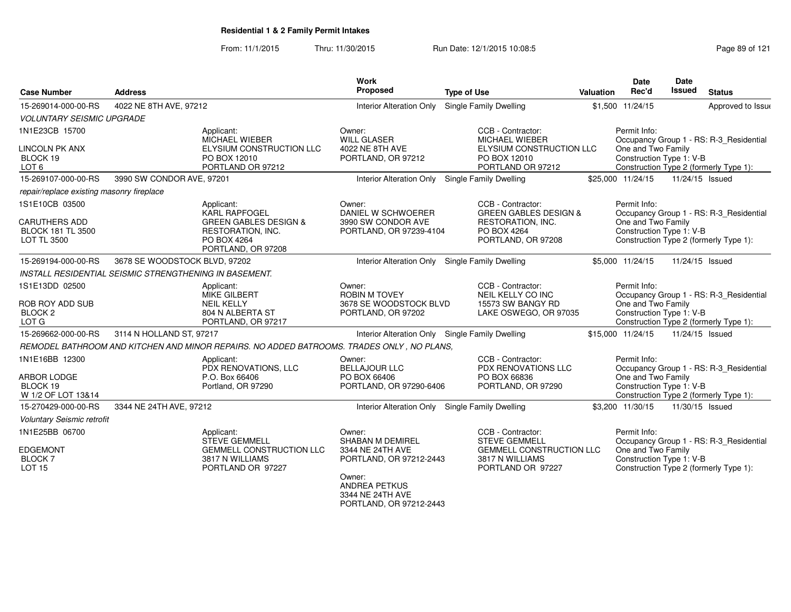From: 11/1/2015Thru: 11/30/2015 Run Date: 12/1/2015 10:08:5<br>
Page 89 of 121

|                                                                        |                                                               |                                                                                                  | <b>Work</b>                                                                    |                                                                                      |           | Date                                                           | <b>Date</b>     |                                                                                   |
|------------------------------------------------------------------------|---------------------------------------------------------------|--------------------------------------------------------------------------------------------------|--------------------------------------------------------------------------------|--------------------------------------------------------------------------------------|-----------|----------------------------------------------------------------|-----------------|-----------------------------------------------------------------------------------|
| <b>Case Number</b>                                                     | <b>Address</b>                                                |                                                                                                  | Proposed                                                                       | <b>Type of Use</b>                                                                   | Valuation | Rec'd                                                          | Issued          | <b>Status</b>                                                                     |
| 15-269014-000-00-RS                                                    | 4022 NE 8TH AVE, 97212                                        |                                                                                                  | Interior Alteration Only Single Family Dwelling                                |                                                                                      |           | \$1,500 11/24/15                                               |                 | Approved to Issue                                                                 |
| <b>VOLUNTARY SEISMIC UPGRADE</b>                                       |                                                               |                                                                                                  |                                                                                |                                                                                      |           |                                                                |                 |                                                                                   |
| 1N1E23CB 15700                                                         |                                                               | Applicant:                                                                                       | Owner:                                                                         | CCB - Contractor:                                                                    |           | Permit Info:                                                   |                 |                                                                                   |
| <b>LINCOLN PK ANX</b><br>BLOCK 19<br>LOT <sub>6</sub>                  |                                                               | MICHAEL WIEBER<br>ELYSIUM CONSTRUCTION LLC<br>PO BOX 12010<br>PORTLAND OR 97212                  | <b>WILL GLASER</b><br>4022 NE 8TH AVE<br>PORTLAND, OR 97212                    | MICHAEL WIEBER<br>ELYSIUM CONSTRUCTION LLC<br>PO BOX 12010<br>PORTLAND OR 97212      |           | One and Two Family<br>Construction Type 1: V-B                 |                 | Occupancy Group 1 - RS: R-3 Residential<br>Construction Type 2 (formerly Type 1): |
| 15-269107-000-00-RS                                                    | 3990 SW CONDOR AVE, 97201                                     |                                                                                                  | Interior Alteration Only Single Family Dwelling                                |                                                                                      |           | \$25,000 11/24/15                                              | 11/24/15 Issued |                                                                                   |
| repair/replace existing masonry fireplace                              |                                                               |                                                                                                  |                                                                                |                                                                                      |           |                                                                |                 |                                                                                   |
| 1S1E10CB 03500                                                         |                                                               | Applicant:<br><b>KARL RAPFOGEL</b>                                                               | Owner:<br>DANIEL W SCHWOERER                                                   | CCB - Contractor:<br><b>GREEN GABLES DESIGN &amp;</b>                                |           | Permit Info:                                                   |                 | Occupancy Group 1 - RS: R-3_Residential                                           |
| <b>CARUTHERS ADD</b><br><b>BLOCK 181 TL 3500</b><br><b>LOT TL 3500</b> |                                                               | <b>GREEN GABLES DESIGN &amp;</b><br>RESTORATION, INC.<br>PO BOX 4264<br>PORTLAND, OR 97208       | 3990 SW CONDOR AVE<br>PORTLAND, OR 97239-4104                                  | RESTORATION, INC.<br>PO BOX 4264<br>PORTLAND, OR 97208                               |           | One and Two Family<br>Construction Type 1: V-B                 |                 | Construction Type 2 (formerly Type 1):                                            |
| 15-269194-000-00-RS                                                    | 3678 SE WOODSTOCK BLVD, 97202                                 |                                                                                                  | Interior Alteration Only Single Family Dwelling                                |                                                                                      |           | \$5,000 11/24/15                                               | 11/24/15 Issued |                                                                                   |
|                                                                        | <b>INSTALL RESIDENTIAL SEISMIC STRENGTHENING IN BASEMENT.</b> |                                                                                                  |                                                                                |                                                                                      |           |                                                                |                 |                                                                                   |
| 1S1E13DD 02500<br>ROB ROY ADD SUB<br>BLOCK <sub>2</sub><br>LOT G       |                                                               | Applicant:<br><b>MIKE GILBERT</b><br><b>NEIL KELLY</b><br>804 N ALBERTA ST<br>PORTLAND, OR 97217 | Owner:<br><b>ROBIN M TOVEY</b><br>3678 SE WOODSTOCK BLVD<br>PORTLAND, OR 97202 | CCB - Contractor:<br>NEIL KELLY CO INC<br>15573 SW BANGY RD<br>LAKE OSWEGO, OR 97035 |           | Permit Info:<br>One and Two Family<br>Construction Type 1: V-B |                 | Occupancy Group 1 - RS: R-3 Residential<br>Construction Type 2 (formerly Type 1): |
| 15-269662-000-00-RS                                                    | 3114 N HOLLAND ST, 97217                                      |                                                                                                  | Interior Alteration Only Single Family Dwelling                                |                                                                                      |           | \$15,000 11/24/15                                              | 11/24/15 Issued |                                                                                   |
|                                                                        |                                                               | REMODEL BATHROOM AND KITCHEN AND MINOR REPAIRS. NO ADDED BATROOMS. TRADES ONLY, NO PLANS,        |                                                                                |                                                                                      |           |                                                                |                 |                                                                                   |
| 1N1E16BB 12300<br><b>ARBOR LODGE</b>                                   |                                                               | Applicant:<br>PDX RENOVATIONS, LLC<br>P.O. Box 66406                                             | Owner:<br><b>BELLAJOUR LLC</b><br>PO BOX 66406                                 | CCB - Contractor:<br><b>PDX RENOVATIONS LLC</b><br>PO BOX 66836                      |           | Permit Info:<br>One and Two Family                             |                 | Occupancy Group 1 - RS: R-3_Residential                                           |
| BLOCK 19<br>W 1/2 OF LOT 13&14                                         |                                                               | Portland, OR 97290                                                                               | PORTLAND, OR 97290-6406                                                        | PORTLAND, OR 97290                                                                   |           | Construction Type 1: V-B                                       |                 | Construction Type 2 (formerly Type 1):                                            |
| 15-270429-000-00-RS                                                    | 3344 NE 24TH AVE, 97212                                       |                                                                                                  | Interior Alteration Only Single Family Dwelling                                |                                                                                      |           | \$3.200 11/30/15                                               | 11/30/15 Issued |                                                                                   |
| <b>Voluntary Seismic retrofit</b>                                      |                                                               |                                                                                                  |                                                                                |                                                                                      |           |                                                                |                 |                                                                                   |
| 1N1E25BB 06700                                                         |                                                               | Applicant:<br><b>STEVE GEMMELL</b>                                                               | Owner:<br><b>SHABAN M DEMIREL</b>                                              | CCB - Contractor:<br><b>STEVE GEMMELL</b>                                            |           | Permit Info:                                                   |                 | Occupancy Group 1 - RS: R-3_Residential                                           |
| <b>EDGEMONT</b><br><b>BLOCK7</b><br><b>LOT 15</b>                      |                                                               | <b>GEMMELL CONSTRUCTION LLC</b><br>3817 N WILLIAMS<br>PORTLAND OR 97227                          | 3344 NE 24TH AVE<br>PORTLAND, OR 97212-2443                                    | <b>GEMMELL CONSTRUCTION LLC</b><br>3817 N WILLIAMS<br>PORTLAND OR 97227              |           | One and Two Family<br>Construction Type 1: V-B                 |                 | Construction Type 2 (formerly Type 1):                                            |
|                                                                        |                                                               |                                                                                                  | Owner:<br><b>ANDREA PETKUS</b><br>3344 NE 24TH AVE                             |                                                                                      |           |                                                                |                 |                                                                                   |

PORTLAND, OR 97212-2443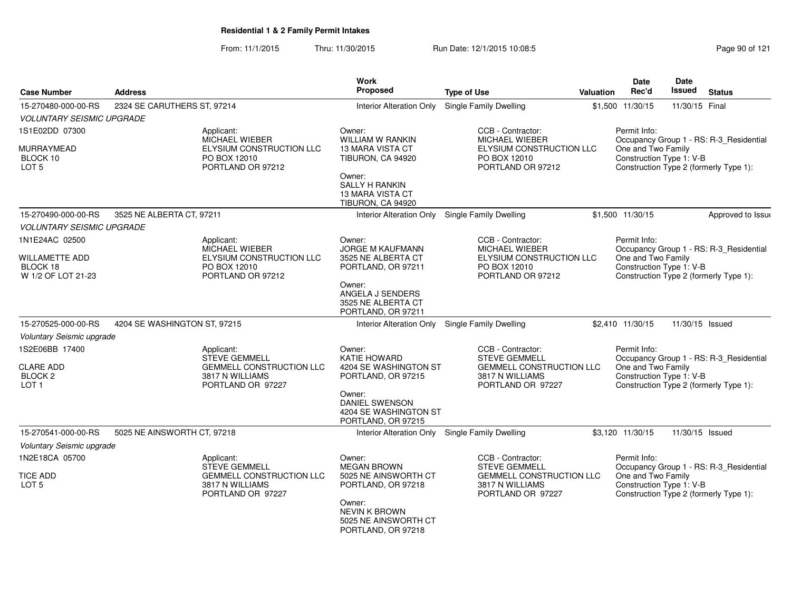From: 11/1/2015Thru: 11/30/2015 Run Date: 12/1/2015 10:08:5<br>
Page 90 of 121

| <b>Case Number</b>                                         | <b>Address</b>               |                                                                         | <b>Work</b><br>Proposed                                                         | <b>Type of Use</b>                                                      | Valuation | <b>Date</b><br>Rec'd                           | <b>Date</b><br><b>Issued</b> | <b>Status</b>                           |
|------------------------------------------------------------|------------------------------|-------------------------------------------------------------------------|---------------------------------------------------------------------------------|-------------------------------------------------------------------------|-----------|------------------------------------------------|------------------------------|-----------------------------------------|
| 15-270480-000-00-RS                                        | 2324 SE CARUTHERS ST, 97214  |                                                                         | <b>Interior Alteration Only</b>                                                 | Single Family Dwelling                                                  |           | \$1,500 11/30/15                               | 11/30/15 Final               |                                         |
| <b>VOLUNTARY SEISMIC UPGRADE</b>                           |                              |                                                                         |                                                                                 |                                                                         |           |                                                |                              |                                         |
| 1S1E02DD 07300                                             |                              | Applicant:<br>MICHAEL WIEBER                                            | Owner:<br>WILLIAM W RANKIN                                                      | CCB - Contractor:<br>MICHAEL WIEBER                                     |           | Permit Info:                                   |                              | Occupancy Group 1 - RS: R-3_Residential |
| MURRAYMEAD<br>BLOCK 10<br>LOT <sub>5</sub>                 |                              | ELYSIUM CONSTRUCTION LLC<br>PO BOX 12010<br>PORTLAND OR 97212           | <b>13 MARA VISTA CT</b><br>TIBURON, CA 94920                                    | ELYSIUM CONSTRUCTION LLC<br>PO BOX 12010<br>PORTLAND OR 97212           |           | One and Two Family<br>Construction Type 1: V-B |                              | Construction Type 2 (formerly Type 1):  |
|                                                            |                              |                                                                         | Owner:<br><b>SALLY H RANKIN</b><br><b>13 MARA VISTA CT</b><br>TIBURON, CA 94920 |                                                                         |           |                                                |                              |                                         |
| 15-270490-000-00-RS                                        | 3525 NE ALBERTA CT, 97211    |                                                                         | Interior Alteration Only                                                        | <b>Single Family Dwelling</b>                                           |           | \$1,500 11/30/15                               |                              | Approved to Issue                       |
| <b>VOLUNTARY SEISMIC UPGRADE</b>                           |                              |                                                                         |                                                                                 |                                                                         |           |                                                |                              |                                         |
| 1N1E24AC 02500                                             |                              | Applicant:<br><b>MICHAEL WIEBER</b>                                     | Owner:<br><b>JORGE M KAUFMANN</b>                                               | CCB - Contractor:<br><b>MICHAEL WIEBER</b>                              |           | Permit Info:                                   |                              | Occupancy Group 1 - RS: R-3_Residential |
| <b>WILLAMETTE ADD</b><br>BLOCK 18<br>W 1/2 OF LOT 21-23    |                              | ELYSIUM CONSTRUCTION LLC<br>PO BOX 12010<br>PORTLAND OR 97212           | 3525 NE ALBERTA CT<br>PORTLAND, OR 97211                                        | ELYSIUM CONSTRUCTION LLC<br>PO BOX 12010<br>PORTLAND OR 97212           |           | One and Two Family<br>Construction Type 1: V-B |                              | Construction Type 2 (formerly Type 1):  |
|                                                            |                              |                                                                         | Owner:<br>ANGELA J SENDERS<br>3525 NE ALBERTA CT<br>PORTLAND, OR 97211          |                                                                         |           |                                                |                              |                                         |
| 15-270525-000-00-RS                                        | 4204 SE WASHINGTON ST, 97215 |                                                                         |                                                                                 | Interior Alteration Only Single Family Dwelling                         |           | \$2,410 11/30/15                               | 11/30/15 Issued              |                                         |
| Voluntary Seismic upgrade                                  |                              |                                                                         |                                                                                 |                                                                         |           |                                                |                              |                                         |
| 1S2E06BB 17400                                             |                              | Applicant:<br><b>STEVE GEMMELL</b>                                      | Owner:<br><b>KATIE HOWARD</b>                                                   | CCB - Contractor:<br><b>STEVE GEMMELL</b>                               |           | Permit Info:                                   |                              | Occupancy Group 1 - RS: R-3_Residential |
| <b>CLARE ADD</b><br>BLOCK <sub>2</sub><br>LOT <sub>1</sub> |                              | <b>GEMMELL CONSTRUCTION LLC</b><br>3817 N WILLIAMS<br>PORTLAND OR 97227 | 4204 SE WASHINGTON ST<br>PORTLAND, OR 97215                                     | <b>GEMMELL CONSTRUCTION LLC</b><br>3817 N WILLIAMS<br>PORTLAND OR 97227 |           | One and Two Family<br>Construction Type 1: V-B |                              | Construction Type 2 (formerly Type 1):  |
|                                                            |                              |                                                                         | Owner:<br><b>DANIEL SWENSON</b><br>4204 SE WASHINGTON ST<br>PORTLAND, OR 97215  |                                                                         |           |                                                |                              |                                         |
| 15-270541-000-00-RS                                        | 5025 NE AINSWORTH CT, 97218  |                                                                         |                                                                                 | Interior Alteration Only Single Family Dwelling                         |           | \$3,120 11/30/15                               | 11/30/15 Issued              |                                         |
| Voluntary Seismic upgrade                                  |                              |                                                                         |                                                                                 |                                                                         |           |                                                |                              |                                         |
| 1N2E18CA 05700                                             |                              | Applicant:<br><b>STEVE GEMMELL</b>                                      | Owner:<br><b>MEGAN BROWN</b>                                                    | CCB - Contractor:<br><b>STEVE GEMMELL</b>                               |           | Permit Info:                                   |                              | Occupancy Group 1 - RS: R-3_Residential |
| <b>TICE ADD</b><br>LOT <sub>5</sub>                        |                              | GEMMELL CONSTRUCTION LLC<br>3817 N WILLIAMS<br>PORTLAND OR 97227        | 5025 NE AINSWORTH CT<br>PORTLAND, OR 97218                                      | <b>GEMMELL CONSTRUCTION LLC</b><br>3817 N WILLIAMS<br>PORTLAND OR 97227 |           | One and Two Family<br>Construction Type 1: V-B |                              | Construction Type 2 (formerly Type 1):  |
|                                                            |                              |                                                                         | Owner:<br><b>NEVIN K BROWN</b><br>5025 NE AINSWORTH CT<br>PORTLAND, OR 97218    |                                                                         |           |                                                |                              |                                         |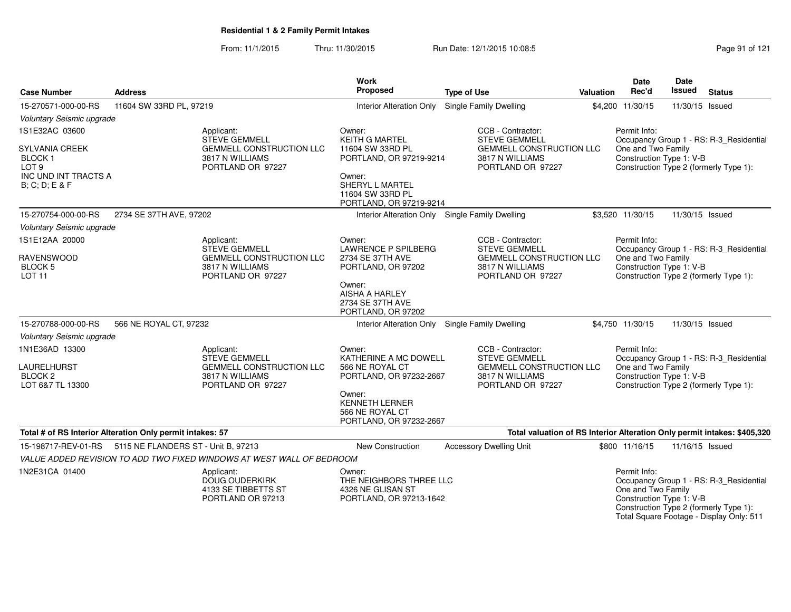From: 11/1/2015Thru: 11/30/2015 **Run Date: 12/1/2015 10:08:5** Page 91 of 121

| <b>Case Number</b>                                                                                   | <b>Address</b>                                                                  | <b>Work</b><br>Proposed                                                           | <b>Type of Use</b>                                                       | <b>Valuation</b> | <b>Date</b><br>Rec'd                                           | Date<br>Issued  | <b>Status</b>                                                                     |
|------------------------------------------------------------------------------------------------------|---------------------------------------------------------------------------------|-----------------------------------------------------------------------------------|--------------------------------------------------------------------------|------------------|----------------------------------------------------------------|-----------------|-----------------------------------------------------------------------------------|
| 15-270571-000-00-RS                                                                                  | 11604 SW 33RD PL, 97219                                                         | <b>Interior Alteration Only</b>                                                   | <b>Single Family Dwelling</b>                                            |                  | \$4,200 11/30/15                                               | 11/30/15 Issued |                                                                                   |
| Voluntary Seismic upgrade                                                                            |                                                                                 |                                                                                   |                                                                          |                  |                                                                |                 |                                                                                   |
| 1S1E32AC 03600                                                                                       | Applicant:<br><b>STEVE GEMMELL</b>                                              | Owner:<br><b>KEITH G MARTEL</b>                                                   | CCB - Contractor:<br><b>STEVE GEMMELL</b>                                |                  | Permit Info:                                                   |                 | Occupancy Group 1 - RS: R-3_Residential                                           |
| <b>SYLVANIA CREEK</b><br><b>BLOCK1</b><br>LOT <sub>9</sub><br>INC UND INT TRACTS A<br>B; C; D; E & F | <b>GEMMELL CONSTRUCTION LLC</b><br>3817 N WILLIAMS<br>PORTLAND OR 97227         | 11604 SW 33RD PL<br>PORTLAND, OR 97219-9214<br>Owner:<br>SHERYL L MARTEL          | <b>GEMMELL CONSTRUCTION LLC</b><br>3817 N WILLIAMS<br>PORTLAND OR 97227  |                  | One and Two Family<br>Construction Type 1: V-B                 |                 | Construction Type 2 (formerly Type 1):                                            |
|                                                                                                      |                                                                                 | 11604 SW 33RD PL<br>PORTLAND, OR 97219-9214                                       |                                                                          |                  |                                                                |                 |                                                                                   |
| 15-270754-000-00-RS                                                                                  | 2734 SE 37TH AVE, 97202                                                         | Interior Alteration Only Single Family Dwelling                                   |                                                                          |                  | \$3,520 11/30/15                                               | 11/30/15 Issued |                                                                                   |
| Voluntary Seismic upgrade                                                                            |                                                                                 |                                                                                   |                                                                          |                  |                                                                |                 |                                                                                   |
| 1S1E12AA 20000                                                                                       | Applicant:<br><b>STEVE GEMMELL</b>                                              | Owner:<br>LAWRENCE P SPILBERG                                                     | CCB - Contractor:<br><b>STEVE GEMMELL</b>                                |                  | Permit Info:                                                   |                 | Occupancy Group 1 - RS: R-3 Residential                                           |
| <b>RAVENSWOOD</b><br>BLOCK 5<br><b>LOT 11</b>                                                        | <b>GEMMELL CONSTRUCTION LLC</b><br>3817 N WILLIAMS<br>PORTLAND OR 97227         | 2734 SE 37TH AVE<br>PORTLAND, OR 97202                                            | <b>GEMMELL CONSTRUCTION LLC</b><br>3817 N WILLIAMS<br>PORTLAND OR 97227  |                  | One and Two Family<br>Construction Type 1: V-B                 |                 | Construction Type 2 (formerly Type 1):                                            |
|                                                                                                      |                                                                                 | Owner:<br><b>AISHA A HARLEY</b><br>2734 SE 37TH AVE<br>PORTLAND, OR 97202         |                                                                          |                  |                                                                |                 |                                                                                   |
| 15-270788-000-00-RS                                                                                  | 566 NE ROYAL CT, 97232                                                          | <b>Interior Alteration Only</b>                                                   | Single Family Dwelling                                                   |                  | \$4,750 11/30/15                                               | 11/30/15 Issued |                                                                                   |
| Voluntary Seismic upgrade                                                                            |                                                                                 |                                                                                   |                                                                          |                  |                                                                |                 |                                                                                   |
| 1N1E36AD 13300                                                                                       | Applicant:<br>STEVE GEMMELL                                                     | Owner:<br>KATHERINE A MC DOWELL                                                   | CCB - Contractor:<br><b>STEVE GEMMELL</b>                                |                  | Permit Info:                                                   |                 | Occupancy Group 1 - RS: R-3_Residential                                           |
| LAURELHURST<br>BLOCK <sub>2</sub><br>LOT 6&7 TL 13300                                                | <b>GEMMELL CONSTRUCTION LLC</b><br>3817 N WILLIAMS<br>PORTLAND OR 97227         | 566 NE ROYAL CT<br>PORTLAND, OR 97232-2667                                        | <b>GEMMELL CONSTRUCTION LLC</b><br>3817 N WILLIAMS<br>PORTLAND OR 97227  |                  | One and Two Family<br>Construction Type 1: V-B                 |                 | Construction Type 2 (formerly Type 1):                                            |
|                                                                                                      |                                                                                 | Owner:<br><b>KENNETH LERNER</b><br>566 NE ROYAL CT<br>PORTLAND, OR 97232-2667     |                                                                          |                  |                                                                |                 |                                                                                   |
|                                                                                                      | Total # of RS Interior Alteration Only permit intakes: 57                       |                                                                                   | Total valuation of RS Interior Alteration Only permit intakes: \$405,320 |                  |                                                                |                 |                                                                                   |
| 15-198717-REV-01-RS                                                                                  | 5115 NE FLANDERS ST - Unit B, 97213                                             | New Construction                                                                  | <b>Accessory Dwelling Unit</b>                                           |                  | \$800 11/16/15                                                 | 11/16/15 Issued |                                                                                   |
|                                                                                                      | VALUE ADDED REVISION TO ADD TWO FIXED WINDOWS AT WEST WALL OF BEDROOM           |                                                                                   |                                                                          |                  |                                                                |                 |                                                                                   |
| 1N2E31CA 01400                                                                                       | Applicant:<br><b>DOUG OUDERKIRK</b><br>4133 SE TIBBETTS ST<br>PORTLAND OR 97213 | Owner:<br>THE NEIGHBORS THREE LLC<br>4326 NE GLISAN ST<br>PORTLAND, OR 97213-1642 |                                                                          |                  | Permit Info:<br>One and Two Family<br>Construction Type 1: V-B |                 | Occupancy Group 1 - RS: R-3_Residential<br>Construction Type 2 (formerly Type 1): |

Construction Type 2 (formerly Type 1): Total Square Footage - Display Only: 511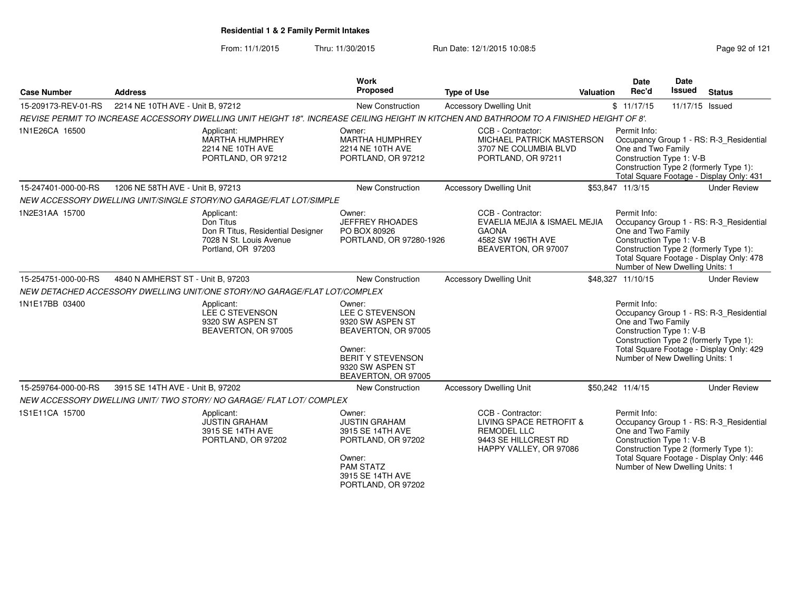From: 11/1/2015Thru: 11/30/2015 Run Date: 12/1/2015 10:08:5<br>
Page 92 of 121

| <b>Case Number</b>  | <b>Address</b>                    |                                                                                                                                           | Work<br>Proposed                                                                                                                                      | <b>Type of Use</b>                                                                                                   | Valuation | Date<br>Rec'd                                                                                     | <b>Date</b><br>Issued | <b>Status</b>                                                                                                                 |
|---------------------|-----------------------------------|-------------------------------------------------------------------------------------------------------------------------------------------|-------------------------------------------------------------------------------------------------------------------------------------------------------|----------------------------------------------------------------------------------------------------------------------|-----------|---------------------------------------------------------------------------------------------------|-----------------------|-------------------------------------------------------------------------------------------------------------------------------|
| 15-209173-REV-01-RS | 2214 NE 10TH AVE - Unit B, 97212  |                                                                                                                                           | New Construction                                                                                                                                      | <b>Accessory Dwelling Unit</b>                                                                                       |           | \$11/17/15                                                                                        | 11/17/15 Issued       |                                                                                                                               |
|                     |                                   | REVISE PERMIT TO INCREASE ACCESSORY DWELLING UNIT HEIGHT 18". INCREASE CEILING HEIGHT IN KITCHEN AND BATHROOM TO A FINISHED HEIGHT OF 8'. |                                                                                                                                                       |                                                                                                                      |           |                                                                                                   |                       |                                                                                                                               |
| 1N1E26CA 16500      |                                   | Applicant:<br>MARTHA HUMPHREY<br>2214 NE 10TH AVE<br>PORTLAND, OR 97212                                                                   | Owner:<br>MARTHA HUMPHREY<br>2214 NE 10TH AVE<br>PORTLAND, OR 97212                                                                                   | CCB - Contractor:<br>MICHAEL PATRICK MASTERSON<br>3707 NE COLUMBIA BLVD<br>PORTLAND, OR 97211                        |           | Permit Info:<br>One and Two Family<br>Construction Type 1: V-B                                    |                       | Occupancy Group 1 - RS: R-3 Residential<br>Construction Type 2 (formerly Type 1):<br>Total Square Footage - Display Only: 431 |
| 15-247401-000-00-RS | 1206 NE 58TH AVE - Unit B, 97213  |                                                                                                                                           | New Construction                                                                                                                                      | <b>Accessory Dwelling Unit</b>                                                                                       |           | \$53,847 11/3/15                                                                                  |                       | <b>Under Review</b>                                                                                                           |
|                     |                                   | NEW ACCESSORY DWELLING UNIT/SINGLE STORY/NO GARAGE/FLAT LOT/SIMPLE                                                                        |                                                                                                                                                       |                                                                                                                      |           |                                                                                                   |                       |                                                                                                                               |
| 1N2E31AA 15700      |                                   | Applicant:<br>Don Titus<br>Don R Titus, Residential Designer<br>7028 N St. Louis Avenue<br>Portland, OR 97203                             | Owner:<br><b>JEFFREY RHOADES</b><br>PO BOX 80926<br>PORTLAND, OR 97280-1926                                                                           | CCB - Contractor:<br>EVAELIA MEJIA & ISMAEL MEJIA<br><b>GAONA</b><br>4582 SW 196TH AVE<br>BEAVERTON, OR 97007        |           | Permit Info:<br>One and Two Family<br>Construction Type 1: V-B<br>Number of New Dwelling Units: 1 |                       | Occupancy Group 1 - RS: R-3_Residential<br>Construction Type 2 (formerly Type 1):<br>Total Square Footage - Display Only: 478 |
| 15-254751-000-00-RS | 4840 N AMHERST ST - Unit B, 97203 |                                                                                                                                           | New Construction                                                                                                                                      | <b>Accessory Dwelling Unit</b>                                                                                       |           | \$48,327 11/10/15                                                                                 |                       | <b>Under Review</b>                                                                                                           |
|                     |                                   | NEW DETACHED ACCESSORY DWELLING UNIT/ONE STORY/NO GARAGE/FLAT LOT/COMPLEX                                                                 |                                                                                                                                                       |                                                                                                                      |           |                                                                                                   |                       |                                                                                                                               |
| 1N1E17BB 03400      |                                   | Applicant:<br>LEE C STEVENSON<br>9320 SW ASPEN ST<br>BEAVERTON, OR 97005                                                                  | Owner:<br>LEE C STEVENSON<br>9320 SW ASPEN ST<br>BEAVERTON, OR 97005<br>Owner:<br><b>BERIT Y STEVENSON</b><br>9320 SW ASPEN ST<br>BEAVERTON, OR 97005 |                                                                                                                      |           | Permit Info:<br>One and Two Family<br>Construction Type 1: V-B<br>Number of New Dwelling Units: 1 |                       | Occupancy Group 1 - RS: R-3 Residential<br>Construction Type 2 (formerly Type 1):<br>Total Square Footage - Display Only: 429 |
| 15-259764-000-00-RS | 3915 SE 14TH AVE - Unit B, 97202  |                                                                                                                                           | New Construction                                                                                                                                      | <b>Accessory Dwelling Unit</b>                                                                                       |           | \$50,242 11/4/15                                                                                  |                       | <b>Under Review</b>                                                                                                           |
|                     |                                   | NEW ACCESSORY DWELLING UNIT/TWO STORY/NO GARAGE/FLAT LOT/COMPLEX                                                                          |                                                                                                                                                       |                                                                                                                      |           |                                                                                                   |                       |                                                                                                                               |
| 1S1E11CA 15700      |                                   | Applicant:<br><b>JUSTIN GRAHAM</b><br>3915 SE 14TH AVE<br>PORTLAND, OR 97202                                                              | Owner:<br><b>JUSTIN GRAHAM</b><br>3915 SE 14TH AVE<br>PORTLAND, OR 97202<br>Owner:<br><b>PAM STATZ</b><br>3915 SE 14TH AVE<br>PORTLAND, OR 97202      | CCB - Contractor:<br>LIVING SPACE RETROFIT &<br><b>REMODEL LLC</b><br>9443 SE HILLCREST RD<br>HAPPY VALLEY, OR 97086 |           | Permit Info:<br>One and Two Family<br>Construction Type 1: V-B<br>Number of New Dwelling Units: 1 |                       | Occupancy Group 1 - RS: R-3_Residential<br>Construction Type 2 (formerly Type 1):<br>Total Square Footage - Display Only: 446 |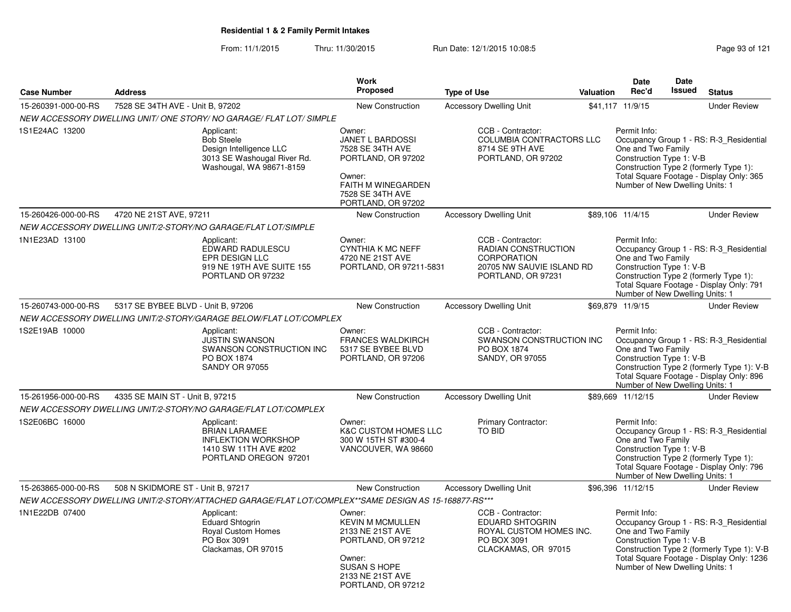From: 11/1/2015Thru: 11/30/2015 Run Date: 12/1/2015 10:08:5<br>
Page 93 of 121

|                     |                                                                                                                       | <b>Work</b>                                                                                                                                            |                                                                                                                          |           | <b>Date</b>                                                                                       | <b>Date</b>   |                                                                                                                                    |
|---------------------|-----------------------------------------------------------------------------------------------------------------------|--------------------------------------------------------------------------------------------------------------------------------------------------------|--------------------------------------------------------------------------------------------------------------------------|-----------|---------------------------------------------------------------------------------------------------|---------------|------------------------------------------------------------------------------------------------------------------------------------|
| <b>Case Number</b>  | <b>Address</b>                                                                                                        | <b>Proposed</b>                                                                                                                                        | <b>Type of Use</b>                                                                                                       | Valuation | Rec'd                                                                                             | <b>Issued</b> | <b>Status</b>                                                                                                                      |
| 15-260391-000-00-RS | 7528 SE 34TH AVE - Unit B, 97202                                                                                      | New Construction                                                                                                                                       | <b>Accessory Dwelling Unit</b>                                                                                           |           | \$41,117 11/9/15                                                                                  |               | <b>Under Review</b>                                                                                                                |
|                     | NEW ACCESSORY DWELLING UNIT/ONE STORY/NO GARAGE/FLAT LOT/SIMPLE                                                       |                                                                                                                                                        |                                                                                                                          |           |                                                                                                   |               |                                                                                                                                    |
| 1S1E24AC 13200      | Applicant:<br><b>Bob Steele</b><br>Design Intelligence LLC<br>3013 SE Washougal River Rd.<br>Washougal, WA 98671-8159 | Owner:<br>JANET L BARDOSSI<br>7528 SE 34TH AVE<br>PORTLAND, OR 97202<br>Owner:<br>FAITH M WINEGARDEN<br>7528 SE 34TH AVE<br>PORTLAND, OR 97202         | CCB - Contractor:<br><b>COLUMBIA CONTRACTORS LLC</b><br>8714 SE 9TH AVE<br>PORTLAND, OR 97202                            |           | Permit Info:<br>One and Two Family<br>Construction Type 1: V-B<br>Number of New Dwelling Units: 1 |               | Occupancy Group 1 - RS: R-3_Residential<br>Construction Type 2 (formerly Type 1):<br>Total Square Footage - Display Only: 365      |
| 15-260426-000-00-RS | 4720 NE 21ST AVE, 97211                                                                                               | New Construction                                                                                                                                       | <b>Accessory Dwelling Unit</b>                                                                                           |           | \$89,106 11/4/15                                                                                  |               | <b>Under Review</b>                                                                                                                |
|                     | NEW ACCESSORY DWELLING UNIT/2-STORY/NO GARAGE/FLAT LOT/SIMPLE                                                         |                                                                                                                                                        |                                                                                                                          |           |                                                                                                   |               |                                                                                                                                    |
| 1N1E23AD 13100      | Applicant:<br><b>EDWARD RADULESCU</b><br>EPR DESIGN LLC<br>919 NE 19TH AVE SUITE 155<br>PORTLAND OR 97232             | Owner:<br><b>CYNTHIA K MC NEFF</b><br>4720 NE 21ST AVE<br>PORTLAND, OR 97211-5831                                                                      | CCB - Contractor:<br><b>RADIAN CONSTRUCTION</b><br><b>CORPORATION</b><br>20705 NW SAUVIE ISLAND RD<br>PORTLAND, OR 97231 |           | Permit Info:<br>One and Two Family<br>Construction Type 1: V-B<br>Number of New Dwelling Units: 1 |               | Occupancy Group 1 - RS: R-3_Residential<br>Construction Type 2 (formerly Type 1):<br>Total Square Footage - Display Only: 791      |
| 15-260743-000-00-RS | 5317 SE BYBEE BLVD - Unit B, 97206                                                                                    | <b>New Construction</b>                                                                                                                                | <b>Accessory Dwelling Unit</b>                                                                                           |           | \$69,879 11/9/15                                                                                  |               | <b>Under Review</b>                                                                                                                |
|                     | NEW ACCESSORY DWELLING UNIT/2-STORY/GARAGE BELOW/FLAT LOT/COMPLEX                                                     |                                                                                                                                                        |                                                                                                                          |           |                                                                                                   |               |                                                                                                                                    |
| 1S2E19AB 10000      | Applicant:<br><b>JUSTIN SWANSON</b><br>SWANSON CONSTRUCTION INC<br>PO BOX 1874<br><b>SANDY OR 97055</b>               | Owner:<br><b>FRANCES WALDKIRCH</b><br>5317 SE BYBEE BLVD<br>PORTLAND, OR 97206                                                                         | CCB - Contractor:<br>SWANSON CONSTRUCTION INC<br>PO BOX 1874<br><b>SANDY, OR 97055</b>                                   |           | Permit Info:<br>One and Two Family<br>Construction Type 1: V-B<br>Number of New Dwelling Units: 1 |               | Occupancy Group 1 - RS: R-3_Residential<br>Construction Type 2 (formerly Type 1): V-B<br>Total Square Footage - Display Only: 896  |
| 15-261956-000-00-RS | 4335 SE MAIN ST - Unit B, 97215                                                                                       | <b>New Construction</b>                                                                                                                                | <b>Accessory Dwelling Unit</b>                                                                                           |           | \$89,669 11/12/15                                                                                 |               | <b>Under Review</b>                                                                                                                |
|                     | NEW ACCESSORY DWELLING UNIT/2-STORY/NO GARAGE/FLAT LOT/COMPLEX                                                        |                                                                                                                                                        |                                                                                                                          |           |                                                                                                   |               |                                                                                                                                    |
| 1S2E06BC 16000      | Applicant:<br><b>BRIAN LARAMEE</b><br><b>INFLEKTION WORKSHOP</b><br>1410 SW 11TH AVE #202<br>PORTLAND OREGON 97201    | Owner:<br><b>K&amp;C CUSTOM HOMES LLC</b><br>300 W 15TH ST #300-4<br>VANCOUVER, WA 98660                                                               | Primary Contractor:<br>TO BID                                                                                            |           | Permit Info:<br>One and Two Family<br>Construction Type 1: V-B<br>Number of New Dwelling Units: 1 |               | Occupancy Group 1 - RS: R-3_Residential<br>Construction Type 2 (formerly Type 1):<br>Total Square Footage - Display Only: 796      |
| 15-263865-000-00-RS | 508 N SKIDMORE ST - Unit B, 97217                                                                                     | New Construction                                                                                                                                       | <b>Accessory Dwelling Unit</b>                                                                                           |           | \$96,396 11/12/15                                                                                 |               | <b>Under Review</b>                                                                                                                |
|                     | NEW ACCESSORY DWELLING UNIT/2-STORY/ATTACHED GARAGE/FLAT LOT/COMPLEX**SAME DESIGN AS 15-168877-RS***                  |                                                                                                                                                        |                                                                                                                          |           |                                                                                                   |               |                                                                                                                                    |
| 1N1E22DB 07400      | Applicant:<br><b>Eduard Shtogrin</b><br>Royal Custom Homes<br>PO Box 3091<br>Clackamas, OR 97015                      | Owner:<br><b>KEVIN M MCMULLEN</b><br>2133 NE 21ST AVE<br>PORTLAND, OR 97212<br>Owner:<br><b>SUSAN S HOPE</b><br>2133 NE 21ST AVE<br>PORTLAND, OR 97212 | CCB - Contractor:<br><b>EDUARD SHTOGRIN</b><br>ROYAL CUSTOM HOMES INC.<br>PO BOX 3091<br>CLACKAMAS, OR 97015             |           | Permit Info:<br>One and Two Family<br>Construction Type 1: V-B<br>Number of New Dwelling Units: 1 |               | Occupancy Group 1 - RS: R-3_Residential<br>Construction Type 2 (formerly Type 1): V-B<br>Total Square Footage - Display Only: 1236 |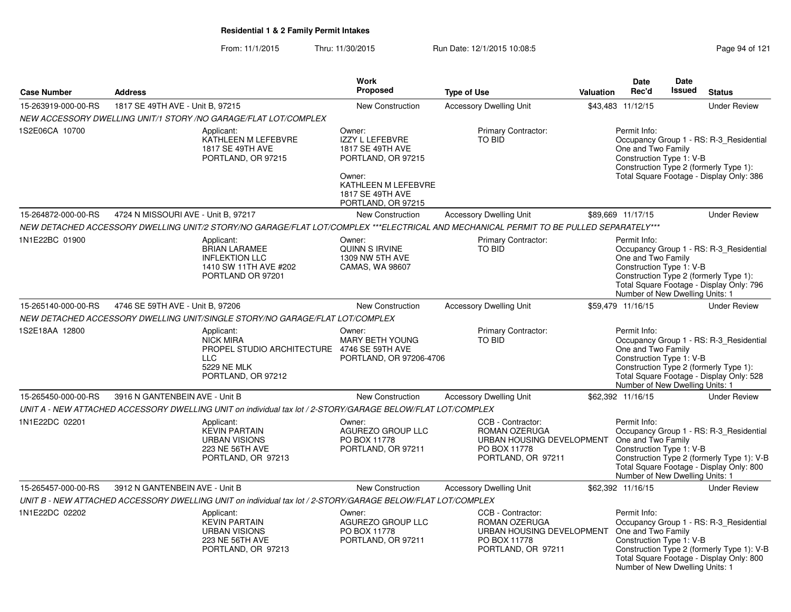From: 11/1/2015Thru: 11/30/2015 Run Date: 12/1/2015 10:08:5<br>
Page 94 of 121

|                     |                                     |                                                                                                                                        | Work                                                                                                                                           |                                                                                                                          |                  | Date                                                                                              | <b>Date</b> |                                                                                                                                   |
|---------------------|-------------------------------------|----------------------------------------------------------------------------------------------------------------------------------------|------------------------------------------------------------------------------------------------------------------------------------------------|--------------------------------------------------------------------------------------------------------------------------|------------------|---------------------------------------------------------------------------------------------------|-------------|-----------------------------------------------------------------------------------------------------------------------------------|
| <b>Case Number</b>  | <b>Address</b>                      |                                                                                                                                        | Proposed                                                                                                                                       | <b>Type of Use</b>                                                                                                       | <b>Valuation</b> | Rec'd                                                                                             | Issued      | <b>Status</b>                                                                                                                     |
| 15-263919-000-00-RS | 1817 SE 49TH AVE - Unit B, 97215    |                                                                                                                                        | New Construction                                                                                                                               | <b>Accessory Dwelling Unit</b>                                                                                           |                  | \$43,483 11/12/15                                                                                 |             | <b>Under Review</b>                                                                                                               |
|                     |                                     | NEW ACCESSORY DWELLING UNIT/1 STORY /NO GARAGE/FLAT LOT/COMPLEX                                                                        |                                                                                                                                                |                                                                                                                          |                  |                                                                                                   |             |                                                                                                                                   |
| 1S2E06CA 10700      |                                     | Applicant:<br>KATHLEEN M LEFEBVRE<br>1817 SE 49TH AVE<br>PORTLAND, OR 97215                                                            | Owner:<br>IZZY L LEFEBVRE<br>1817 SE 49TH AVE<br>PORTLAND, OR 97215<br>Owner:<br>KATHLEEN M LEFEBVRE<br>1817 SE 49TH AVE<br>PORTLAND, OR 97215 | Primary Contractor:<br>TO BID                                                                                            |                  | Permit Info:<br>One and Two Family<br>Construction Type 1: V-B                                    |             | Occupancy Group 1 - RS: R-3 Residential<br>Construction Type 2 (formerly Type 1):<br>Total Square Footage - Display Only: 386     |
| 15-264872-000-00-RS | 4724 N MISSOURI AVE - Unit B, 97217 |                                                                                                                                        | <b>New Construction</b>                                                                                                                        | <b>Accessory Dwelling Unit</b>                                                                                           |                  | \$89,669 11/17/15                                                                                 |             | <b>Under Review</b>                                                                                                               |
|                     |                                     | NEW DETACHED ACCESSORY DWELLING UNIT/2 STORY/NO GARAGE/FLAT LOT/COMPLEX ***ELECTRICAL AND MECHANICAL PERMIT TO BE PULLED SEPARATELY*** |                                                                                                                                                |                                                                                                                          |                  |                                                                                                   |             |                                                                                                                                   |
| 1N1E22BC 01900      |                                     | Applicant:<br><b>BRIAN LARAMEE</b><br><b>INFLEKTION LLC</b><br>1410 SW 11TH AVE #202<br>PORTLAND OR 97201                              | Owner:<br>QUINN S IRVINE<br>1309 NW 5TH AVE<br>CAMAS, WA 98607                                                                                 | Primary Contractor:<br>TO BID                                                                                            |                  | Permit Info:<br>One and Two Family<br>Construction Type 1: V-B<br>Number of New Dwelling Units: 1 |             | Occupancy Group 1 - RS: R-3_Residential<br>Construction Type 2 (formerly Type 1):<br>Total Square Footage - Display Only: 796     |
| 15-265140-000-00-RS | 4746 SE 59TH AVE - Unit B, 97206    |                                                                                                                                        | New Construction                                                                                                                               | <b>Accessory Dwelling Unit</b>                                                                                           |                  | \$59,479 11/16/15                                                                                 |             | <b>Under Review</b>                                                                                                               |
|                     |                                     | NEW DETACHED ACCESSORY DWELLING UNIT/SINGLE STORY/NO GARAGE/FLAT LOT/COMPLEX                                                           |                                                                                                                                                |                                                                                                                          |                  |                                                                                                   |             |                                                                                                                                   |
| 1S2E18AA 12800      |                                     | Applicant:<br>NICK MIRA<br>PROPEL STUDIO ARCHITECTURE 4746 SE 59TH AVE<br><b>LLC</b><br>5229 NE MLK<br>PORTLAND, OR 97212              | Owner:<br><b>MARY BETH YOUNG</b><br>PORTLAND, OR 97206-4706                                                                                    | Primary Contractor:<br>TO BID                                                                                            |                  | Permit Info:<br>One and Two Family<br>Construction Type 1: V-B<br>Number of New Dwelling Units: 1 |             | Occupancy Group 1 - RS: R-3_Residential<br>Construction Type 2 (formerly Type 1):<br>Total Square Footage - Display Only: 528     |
| 15-265450-000-00-RS | 3916 N GANTENBEIN AVE - Unit B      |                                                                                                                                        | New Construction                                                                                                                               | <b>Accessory Dwelling Unit</b>                                                                                           |                  | \$62,392 11/16/15                                                                                 |             | <b>Under Review</b>                                                                                                               |
|                     |                                     | UNIT A - NEW ATTACHED ACCESSORY DWELLING UNIT on individual tax lot / 2-STORY/GARAGE BELOW/FLAT LOT/COMPLEX                            |                                                                                                                                                |                                                                                                                          |                  |                                                                                                   |             |                                                                                                                                   |
| 1N1E22DC 02201      |                                     | Applicant:<br><b>KEVIN PARTAIN</b><br><b>URBAN VISIONS</b><br>223 NE 56TH AVE<br>PORTLAND, OR 97213                                    | Owner:<br>AGUREZO GROUP LLC<br>PO BOX 11778<br>PORTLAND, OR 97211                                                                              | CCB - Contractor:<br>ROMAN OZERUGA<br>URBAN HOUSING DEVELOPMENT<br>PO BOX 11778<br>PORTLAND, OR 97211                    |                  | Permit Info:<br>One and Two Family<br>Construction Type 1: V-B<br>Number of New Dwelling Units: 1 |             | Occupancy Group 1 - RS: R-3_Residential<br>Construction Type 2 (formerly Type 1): V-B<br>Total Square Footage - Display Only: 800 |
| 15-265457-000-00-RS | 3912 N GANTENBEIN AVE - Unit B      |                                                                                                                                        | New Construction                                                                                                                               | <b>Accessory Dwelling Unit</b>                                                                                           |                  | \$62,392 11/16/15                                                                                 |             | <b>Under Review</b>                                                                                                               |
|                     |                                     | UNIT B - NEW ATTACHED ACCESSORY DWELLING UNIT on individual tax lot / 2-STORY/GARAGE BELOW/FLAT LOT/COMPLEX                            |                                                                                                                                                |                                                                                                                          |                  |                                                                                                   |             |                                                                                                                                   |
| 1N1E22DC 02202      |                                     | Applicant:<br><b>KEVIN PARTAIN</b><br><b>URBAN VISIONS</b><br>223 NE 56TH AVE<br>PORTLAND, OR 97213                                    | Owner:<br>AGUREZO GROUP LLC<br>PO BOX 11778<br>PORTLAND, OR 97211                                                                              | CCB - Contractor:<br>ROMAN OZERUGA<br>URBAN HOUSING DEVELOPMENT One and Two Family<br>PO BOX 11778<br>PORTLAND, OR 97211 |                  | Permit Info:<br>Construction Type 1: V-B<br>Number of New Dwelling Units: 1                       |             | Occupancy Group 1 - RS: R-3_Residential<br>Construction Type 2 (formerly Type 1): V-B<br>Total Square Footage - Display Only: 800 |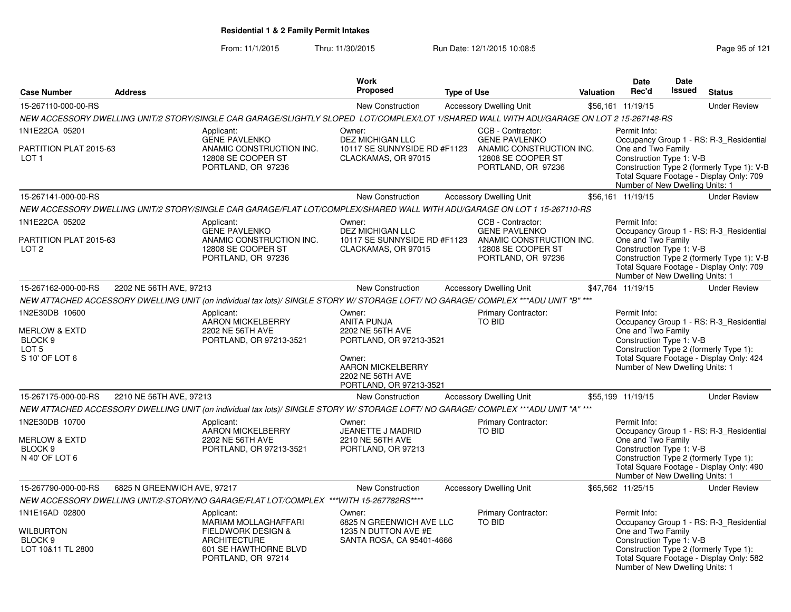From: 11/1/2015Thru: 11/30/2015 Run Date: 12/1/2015 10:08:5<br>
Rage 95 of 121

|                                                                                                        |                             |                                                                                                                                           | Work                                                                                                                                                      |                    |                                                                                              |                  | <b>Date</b>                                                                                       | <b>Date</b>                                                                                                                       |                                                                                                                                   |
|--------------------------------------------------------------------------------------------------------|-----------------------------|-------------------------------------------------------------------------------------------------------------------------------------------|-----------------------------------------------------------------------------------------------------------------------------------------------------------|--------------------|----------------------------------------------------------------------------------------------|------------------|---------------------------------------------------------------------------------------------------|-----------------------------------------------------------------------------------------------------------------------------------|-----------------------------------------------------------------------------------------------------------------------------------|
| <b>Case Number</b>                                                                                     | <b>Address</b>              |                                                                                                                                           | <b>Proposed</b>                                                                                                                                           | <b>Type of Use</b> |                                                                                              | <b>Valuation</b> | Rec'd                                                                                             | <b>Issued</b>                                                                                                                     | <b>Status</b>                                                                                                                     |
| 15-267110-000-00-RS                                                                                    |                             |                                                                                                                                           | <b>New Construction</b>                                                                                                                                   |                    | <b>Accessory Dwelling Unit</b>                                                               |                  | \$56,161 11/19/15                                                                                 |                                                                                                                                   | <b>Under Review</b>                                                                                                               |
|                                                                                                        |                             | NEW ACCESSORY DWELLING UNIT/2 STORY/SINGLE CAR GARAGE/SLIGHTLY SLOPED LOT/COMPLEX/LOT 1/SHARED WALL WITH ADU/GARAGE ON LOT 2 15-267148-RS |                                                                                                                                                           |                    |                                                                                              |                  |                                                                                                   |                                                                                                                                   |                                                                                                                                   |
| 1N1E22CA 05201                                                                                         |                             | Applicant:                                                                                                                                | Owner:                                                                                                                                                    |                    | CCB - Contractor:                                                                            |                  | Permit Info:                                                                                      |                                                                                                                                   |                                                                                                                                   |
| PARTITION PLAT 2015-63<br>LOT <sub>1</sub>                                                             |                             | <b>GENE PAVLENKO</b><br>ANAMIC CONSTRUCTION INC.<br>12808 SE COOPER ST<br>PORTLAND, OR 97236                                              | <b>DEZ MICHIGAN LLC</b><br>10117 SE SUNNYSIDE RD #F1123<br>CLACKAMAS, OR 97015                                                                            |                    | <b>GENE PAVLENKO</b><br>ANAMIC CONSTRUCTION INC.<br>12808 SE COOPER ST<br>PORTLAND, OR 97236 |                  | One and Two Family<br>Construction Type 1: V-B<br>Number of New Dwelling Units: 1                 | Occupancy Group 1 - RS: R-3_Residential<br>Construction Type 2 (formerly Type 1): V-B<br>Total Square Footage - Display Only: 709 |                                                                                                                                   |
| 15-267141-000-00-RS                                                                                    |                             |                                                                                                                                           | <b>New Construction</b>                                                                                                                                   |                    | <b>Accessory Dwelling Unit</b>                                                               |                  | \$56,161 11/19/15                                                                                 |                                                                                                                                   | <b>Under Review</b>                                                                                                               |
|                                                                                                        |                             | NEW ACCESSORY DWELLING UNIT/2 STORY/SINGLE CAR GARAGE/FLAT LOT/COMPLEX/SHARED WALL WITH ADU/GARAGE ON LOT 1 15-267110-RS                  |                                                                                                                                                           |                    |                                                                                              |                  |                                                                                                   |                                                                                                                                   |                                                                                                                                   |
| 1N1E22CA 05202                                                                                         |                             | Applicant:                                                                                                                                | Owner:                                                                                                                                                    |                    | CCB - Contractor:                                                                            |                  | Permit Info:                                                                                      |                                                                                                                                   |                                                                                                                                   |
| PARTITION PLAT 2015-63<br>LOT <sub>2</sub>                                                             |                             | <b>GENE PAVLENKO</b><br>ANAMIC CONSTRUCTION INC.<br>12808 SE COOPER ST<br>PORTLAND, OR 97236                                              | <b>DEZ MICHIGAN LLC</b><br>10117 SE SUNNYSIDE RD #F1123<br>CLACKAMAS, OR 97015                                                                            |                    | <b>GENE PAVLENKO</b><br>ANAMIC CONSTRUCTION INC.<br>12808 SE COOPER ST<br>PORTLAND, OR 97236 |                  | One and Two Family<br>Construction Type 1: V-B<br>Number of New Dwelling Units: 1                 |                                                                                                                                   | Occupancy Group 1 - RS: R-3_Residential<br>Construction Type 2 (formerly Type 1): V-B<br>Total Square Footage - Display Only: 709 |
| 15-267162-000-00-RS                                                                                    | 2202 NE 56TH AVE, 97213     |                                                                                                                                           | New Construction                                                                                                                                          |                    | <b>Accessory Dwelling Unit</b>                                                               |                  | \$47,764 11/19/15                                                                                 |                                                                                                                                   | <b>Under Review</b>                                                                                                               |
|                                                                                                        |                             | NEW ATTACHED ACCESSORY DWELLING UNIT (on individual tax lots)/ SINGLE STORY W/ STORAGE LOFT/ NO GARAGE/ COMPLEX ***ADU UNIT "B" ***       |                                                                                                                                                           |                    |                                                                                              |                  |                                                                                                   |                                                                                                                                   |                                                                                                                                   |
| 1N2E30DB 10600<br><b>MERLOW &amp; EXTD</b><br>BLOCK <sub>9</sub><br>LOT <sub>5</sub><br>S 10' OF LOT 6 |                             | Applicant:<br>AARON MICKELBERRY<br>2202 NE 56TH AVE<br>PORTLAND, OR 97213-3521                                                            | Owner:<br><b>ANITA PUNJA</b><br>2202 NE 56TH AVE<br>PORTLAND, OR 97213-3521<br>Owner:<br>AARON MICKELBERRY<br>2202 NE 56TH AVE<br>PORTLAND, OR 97213-3521 |                    | <b>Primary Contractor:</b><br>TO BID                                                         |                  | Permit Info:<br>One and Two Family<br>Construction Type 1: V-B<br>Number of New Dwelling Units: 1 |                                                                                                                                   | Occupancy Group 1 - RS: R-3_Residential<br>Construction Type 2 (formerly Type 1):<br>Total Square Footage - Display Only: 424     |
| 15-267175-000-00-RS                                                                                    | 2210 NE 56TH AVE, 97213     |                                                                                                                                           | <b>New Construction</b>                                                                                                                                   |                    | <b>Accessory Dwelling Unit</b>                                                               |                  | \$55,199 11/19/15                                                                                 |                                                                                                                                   | <b>Under Review</b>                                                                                                               |
|                                                                                                        |                             | NEW ATTACHED ACCESSORY DWELLING UNIT (on individual tax lots)/ SINGLE STORY W/ STORAGE LOFT/ NO GARAGE/ COMPLEX ***ADU UNIT "A" ***       |                                                                                                                                                           |                    |                                                                                              |                  |                                                                                                   |                                                                                                                                   |                                                                                                                                   |
| 1N2E30DB 10700<br><b>MERLOW &amp; EXTD</b><br>BLOCK <sub>9</sub><br>N 40' OF LOT 6                     |                             | Applicant:<br>AARON MICKELBERRY<br>2202 NE 56TH AVE<br>PORTLAND, OR 97213-3521                                                            | Owner:<br>JEANETTE J MADRID<br>2210 NE 56TH AVE<br>PORTLAND, OR 97213                                                                                     |                    | Primary Contractor:<br><b>TO BID</b>                                                         |                  | Permit Info:<br>One and Two Family<br>Construction Type 1: V-B<br>Number of New Dwelling Units: 1 |                                                                                                                                   | Occupancy Group 1 - RS: R-3_Residential<br>Construction Type 2 (formerly Type 1):<br>Total Square Footage - Display Only: 490     |
| 15-267790-000-00-RS                                                                                    | 6825 N GREENWICH AVE, 97217 |                                                                                                                                           | <b>New Construction</b>                                                                                                                                   |                    | <b>Accessory Dwelling Unit</b>                                                               |                  | \$65,562 11/25/15                                                                                 |                                                                                                                                   | <b>Under Review</b>                                                                                                               |
|                                                                                                        |                             | NEW ACCESSORY DWELLING UNIT/2-STORY/NO GARAGE/FLAT LOT/COMPLEX ***WITH 15-267782RS****                                                    |                                                                                                                                                           |                    |                                                                                              |                  |                                                                                                   |                                                                                                                                   |                                                                                                                                   |
| 1N1E16AD 02800<br>Wilburton<br>BLOCK <sub>9</sub><br>LOT 10&11 TL 2800                                 |                             | Applicant:<br>MARIAM MOLLAGHAFFARI<br><b>FIELDWORK DESIGN &amp;</b><br><b>ARCHITECTURE</b><br>601 SE HAWTHORNE BLVD<br>PORTLAND, OR 97214 | Owner:<br>6825 N GREENWICH AVE LLC<br>1235 N DUTTON AVE #E<br>SANTA ROSA, CA 95401-4666                                                                   |                    | Primary Contractor:<br>TO BID                                                                |                  | Permit Info:<br>One and Two Family<br>Construction Type 1: V-B<br>Number of New Dwelling Units: 1 |                                                                                                                                   | Occupancy Group 1 - RS: R-3_Residential<br>Construction Type 2 (formerly Type 1):<br>Total Square Footage - Display Only: 582     |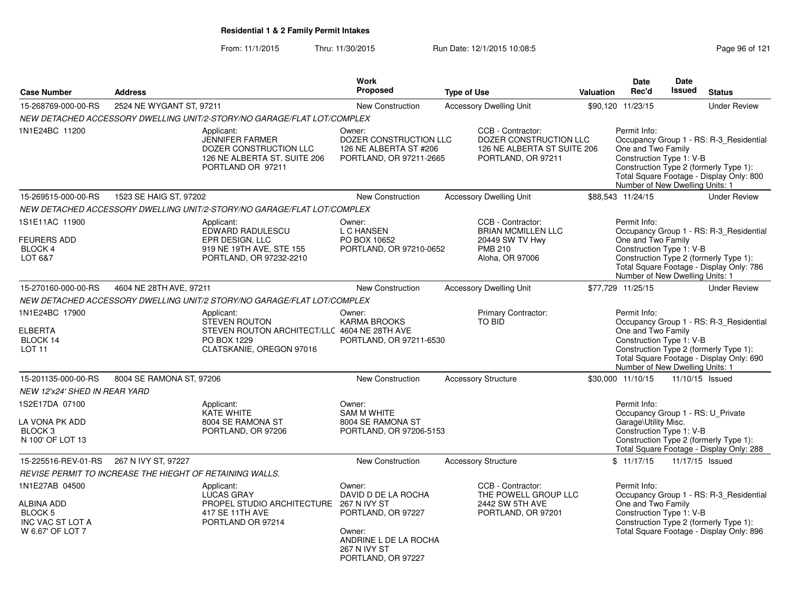From: 11/1/2015Thru: 11/30/2015 Run Date: 12/1/2015 10:08:5<br>
Rage 96 of 121

|                                                                                                   |                                                          |                                                                                                                               | <b>Work</b>                                                                                                                         |                                                                                                        |                                                       | Date                                                                                                  | <b>Date</b>   |                                                                                                                               |
|---------------------------------------------------------------------------------------------------|----------------------------------------------------------|-------------------------------------------------------------------------------------------------------------------------------|-------------------------------------------------------------------------------------------------------------------------------------|--------------------------------------------------------------------------------------------------------|-------------------------------------------------------|-------------------------------------------------------------------------------------------------------|---------------|-------------------------------------------------------------------------------------------------------------------------------|
| <b>Case Number</b>                                                                                | <b>Address</b>                                           |                                                                                                                               | <b>Proposed</b>                                                                                                                     | <b>Type of Use</b>                                                                                     | Valuation                                             | Rec'd                                                                                                 | <b>Issued</b> | <b>Status</b>                                                                                                                 |
| 15-268769-000-00-RS                                                                               | 2524 NE WYGANT ST, 97211                                 |                                                                                                                               | <b>New Construction</b>                                                                                                             | <b>Accessory Dwelling Unit</b>                                                                         |                                                       | \$90,120 11/23/15                                                                                     |               | <b>Under Review</b>                                                                                                           |
|                                                                                                   |                                                          | NEW DETACHED ACCESSORY DWELLING UNIT/2-STORY/NO GARAGE/FLAT LOT/COMPLEX                                                       |                                                                                                                                     |                                                                                                        |                                                       |                                                                                                       |               |                                                                                                                               |
| 1N1E24BC 11200                                                                                    |                                                          | Applicant:<br><b>JENNIFER FARMER</b><br>DOZER CONSTRUCTION LLC<br>126 NE ALBERTA ST. SUITE 206<br>PORTLAND OR 97211           | Owner:<br>DOZER CONSTRUCTION LLC<br>126 NE ALBERTA ST #206<br>PORTLAND, OR 97211-2665                                               | CCB - Contractor:<br>PORTLAND, OR 97211                                                                | DOZER CONSTRUCTION LLC<br>126 NE ALBERTA ST SUITE 206 | Permit Info:<br>One and Two Family<br>Construction Type 1: V-B<br>Number of New Dwelling Units: 1     |               | Occupancy Group 1 - RS: R-3 Residential<br>Construction Type 2 (formerly Type 1):<br>Total Square Footage - Display Only: 800 |
| 15-269515-000-00-RS                                                                               | 1523 SE HAIG ST, 97202                                   |                                                                                                                               | New Construction                                                                                                                    | <b>Accessory Dwelling Unit</b>                                                                         |                                                       | \$88,543 11/24/15                                                                                     |               | <b>Under Review</b>                                                                                                           |
|                                                                                                   |                                                          | NEW DETACHED ACCESSORY DWELLING UNIT/2-STORY/NO GARAGE/FLAT LOT/COMPLEX                                                       |                                                                                                                                     |                                                                                                        |                                                       |                                                                                                       |               |                                                                                                                               |
| 1S1E11AC 11900<br><b>FEURERS ADD</b><br>BLOCK 4<br>LOT 6&7                                        |                                                          | Applicant:<br>EDWARD RADULESCU<br>EPR DESIGN, LLC<br>919 NE 19TH AVE, STE 155<br>PORTLAND, OR 97232-2210                      | Owner:<br>L C HANSEN<br>PO BOX 10652<br>PORTLAND, OR 97210-0652                                                                     | CCB - Contractor:<br><b>BRIAN MCMILLEN LLC</b><br>20449 SW TV Hwy<br><b>PMB 210</b><br>Aloha, OR 97006 |                                                       | Permit Info:<br>One and Two Family<br>Construction Type 1: V-B<br>Number of New Dwelling Units: 1     |               | Occupancy Group 1 - RS: R-3_Residential<br>Construction Type 2 (formerly Type 1):<br>Total Square Footage - Display Only: 786 |
| 15-270160-000-00-RS                                                                               | 4604 NE 28TH AVE, 97211                                  |                                                                                                                               | <b>New Construction</b>                                                                                                             | <b>Accessory Dwelling Unit</b>                                                                         |                                                       | \$77,729 11/25/15                                                                                     |               | <b>Under Review</b>                                                                                                           |
|                                                                                                   |                                                          | NEW DETACHED ACCESSORY DWELLING UNIT/2 STORY/NO GARAGE/FLAT LOT/COMPLEX                                                       |                                                                                                                                     |                                                                                                        |                                                       |                                                                                                       |               |                                                                                                                               |
| 1N1E24BC 17900<br><b>ELBERTA</b><br>BLOCK 14<br>LOT <sub>11</sub>                                 |                                                          | Applicant:<br><b>STEVEN ROUTON</b><br>STEVEN ROUTON ARCHITECT/LLC 4604 NE 28TH AVE<br>PO BOX 1229<br>CLATSKANIE, OREGON 97016 | Owner:<br><b>KARMA BROOKS</b><br>PORTLAND, OR 97211-6530                                                                            | <b>Primary Contractor:</b><br>TO BID                                                                   |                                                       | Permit Info:<br>One and Two Family<br>Construction Type 1: V-B<br>Number of New Dwelling Units: 1     |               | Occupancy Group 1 - RS: R-3_Residential<br>Construction Type 2 (formerly Type 1):<br>Total Square Footage - Display Only: 690 |
| 15-201135-000-00-RS                                                                               | 8004 SE RAMONA ST, 97206                                 |                                                                                                                               | <b>New Construction</b>                                                                                                             | <b>Accessory Structure</b>                                                                             |                                                       | \$30,000 11/10/15                                                                                     |               | 11/10/15 Issued                                                                                                               |
| NEW 12'x24' SHED IN REAR YARD                                                                     |                                                          |                                                                                                                               |                                                                                                                                     |                                                                                                        |                                                       |                                                                                                       |               |                                                                                                                               |
| 1S2E17DA 07100<br>LA VONA PK ADD<br>BLOCK <sub>3</sub><br>N 100' OF LOT 13                        |                                                          | Applicant:<br>KATE WHITE<br>8004 SE RAMONA ST<br>PORTLAND, OR 97206                                                           | Owner:<br><b>SAM M WHITE</b><br>8004 SE RAMONA ST<br>PORTLAND, OR 97206-5153                                                        |                                                                                                        |                                                       | Permit Info:<br>Occupancy Group 1 - RS: U_Private<br>Garage\Utility Misc.<br>Construction Type 1: V-B |               | Construction Type 2 (formerly Type 1):<br>Total Square Footage - Display Only: 288                                            |
| 15-225516-REV-01-RS                                                                               | 267 N IVY ST, 97227                                      |                                                                                                                               | New Construction                                                                                                                    | <b>Accessory Structure</b>                                                                             |                                                       | \$11/17/15                                                                                            |               | 11/17/15 Issued                                                                                                               |
|                                                                                                   | REVISE PERMIT TO INCREASE THE HIEGHT OF RETAINING WALLS. |                                                                                                                               |                                                                                                                                     |                                                                                                        |                                                       |                                                                                                       |               |                                                                                                                               |
| 1N1E27AB 04500<br><b>ALBINA ADD</b><br>BLOCK <sub>5</sub><br>INC VAC ST LOT A<br>W 6.67' OF LOT 7 |                                                          | Applicant:<br><b>LUCAS GRAY</b><br>PROPEL STUDIO ARCHITECTURE 267 N IVY ST<br>417 SE 11TH AVE<br>PORTLAND OR 97214            | Owner:<br>DAVID D DE LA ROCHA<br>PORTLAND, OR 97227<br>Owner:<br>ANDRINE L DE LA ROCHA<br><b>267 N IVY ST</b><br>PORTLAND, OR 97227 | CCB - Contractor:<br>THE POWELL GROUP LLC<br>2442 SW 5TH AVE<br>PORTLAND, OR 97201                     |                                                       | Permit Info:<br>One and Two Family<br>Construction Type 1: V-B                                        |               | Occupancy Group 1 - RS: R-3_Residential<br>Construction Type 2 (formerly Type 1):<br>Total Square Footage - Display Only: 896 |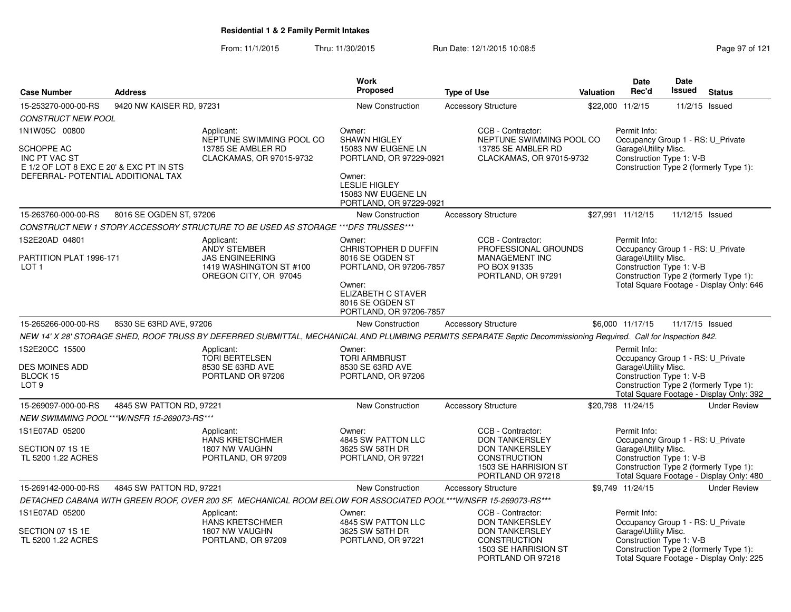From: 11/1/2015Thru: 11/30/2015 Run Date: 12/1/2015 10:08:5<br>
Rage 97 of 121

|                                                                                                                                              |                                            |                                                                                                                  | <b>Work</b>                                                                                                                                                  |                                                                                                                                                                  |                                                                                                                                                 | Date                                                                                                  | Date            |                                                                                    |
|----------------------------------------------------------------------------------------------------------------------------------------------|--------------------------------------------|------------------------------------------------------------------------------------------------------------------|--------------------------------------------------------------------------------------------------------------------------------------------------------------|------------------------------------------------------------------------------------------------------------------------------------------------------------------|-------------------------------------------------------------------------------------------------------------------------------------------------|-------------------------------------------------------------------------------------------------------|-----------------|------------------------------------------------------------------------------------|
| <b>Case Number</b>                                                                                                                           | <b>Address</b>                             |                                                                                                                  | Proposed                                                                                                                                                     | <b>Type of Use</b>                                                                                                                                               | Valuation                                                                                                                                       | Rec'd                                                                                                 | <b>Issued</b>   | <b>Status</b>                                                                      |
| 15-253270-000-00-RS                                                                                                                          | 9420 NW KAISER RD, 97231                   |                                                                                                                  | <b>New Construction</b>                                                                                                                                      | <b>Accessory Structure</b>                                                                                                                                       |                                                                                                                                                 | \$22,000 11/2/15                                                                                      |                 | 11/2/15 Issued                                                                     |
| <b>CONSTRUCT NEW POOL</b>                                                                                                                    |                                            |                                                                                                                  |                                                                                                                                                              |                                                                                                                                                                  |                                                                                                                                                 |                                                                                                       |                 |                                                                                    |
| 1N1W05C 00800<br><b>SCHOPPE AC</b><br><b>INC PT VAC ST</b><br>E 1/2 OF LOT 8 EXC E 20' & EXC PT IN STS<br>DEFERRAL- POTENTIAL ADDITIONAL TAX |                                            | Applicant:<br>NEPTUNE SWIMMING POOL CO<br>13785 SE AMBLER RD<br>CLACKAMAS, OR 97015-9732                         | Owner:<br><b>SHAWN HIGLEY</b><br>15083 NW EUGENE LN<br>PORTLAND, OR 97229-0921<br>Owner:<br><b>LESLIE HIGLEY</b><br>15083 NW EUGENE LN                       | CCB - Contractor:<br>NEPTUNE SWIMMING POOL CO<br>13785 SE AMBLER RD<br>CLACKAMAS, OR 97015-9732                                                                  | Permit Info:<br>Occupancy Group 1 - RS: U_Private<br>Garage\Utility Misc.<br>Construction Type 1: V-B<br>Construction Type 2 (formerly Type 1): |                                                                                                       |                 |                                                                                    |
|                                                                                                                                              |                                            |                                                                                                                  | PORTLAND, OR 97229-0921                                                                                                                                      |                                                                                                                                                                  |                                                                                                                                                 |                                                                                                       |                 |                                                                                    |
| 15-263760-000-00-RS                                                                                                                          | 8016 SE OGDEN ST, 97206                    |                                                                                                                  | <b>New Construction</b>                                                                                                                                      | <b>Accessory Structure</b>                                                                                                                                       |                                                                                                                                                 | \$27,991 11/12/15                                                                                     | 11/12/15 Issued |                                                                                    |
|                                                                                                                                              |                                            | CONSTRUCT NEW 1 STORY ACCESSORY STRUCTURE TO BE USED AS STORAGE *** DFS TRUSSES***                               |                                                                                                                                                              |                                                                                                                                                                  |                                                                                                                                                 |                                                                                                       |                 |                                                                                    |
| 1S2E20AD 04801<br>PARTITION PLAT 1996-171<br>LOT <sub>1</sub>                                                                                |                                            | Applicant:<br><b>ANDY STEMBER</b><br><b>JAS ENGINEERING</b><br>1419 WASHINGTON ST #100<br>OREGON CITY, OR 97045  | Owner:<br>CHRISTOPHER D DUFFIN<br>8016 SE OGDEN ST<br>PORTLAND, OR 97206-7857<br>Owner:<br>ELIZABETH C STAVER<br>8016 SE OGDEN ST<br>PORTLAND, OR 97206-7857 | CCB - Contractor:<br>PROFESSIONAL GROUNDS<br>MANAGEMENT INC<br>PO BOX 91335<br>PORTLAND, OR 97291                                                                |                                                                                                                                                 | Permit Info:<br>Occupancy Group 1 - RS: U Private<br>Garage\Utility Misc.<br>Construction Type 1: V-B |                 | Construction Type 2 (formerly Type 1):<br>Total Square Footage - Display Only: 646 |
| 15-265266-000-00-RS                                                                                                                          | 8530 SE 63RD AVE, 97206                    |                                                                                                                  | <b>New Construction</b>                                                                                                                                      | <b>Accessory Structure</b>                                                                                                                                       |                                                                                                                                                 | \$6,000 11/17/15                                                                                      | 11/17/15 Issued |                                                                                    |
|                                                                                                                                              |                                            |                                                                                                                  |                                                                                                                                                              | NEW 14' X 28' STORAGE SHED, ROOF TRUSS BY DEFERRED SUBMITTAL, MECHANICAL AND PLUMBING PERMITS SEPARATE Septic Decommissioning Required. Call for Inspection 842. |                                                                                                                                                 |                                                                                                       |                 |                                                                                    |
| 1S2E20CC 15500<br><b>DES MOINES ADD</b><br>BLOCK 15<br>LOT <sub>9</sub>                                                                      |                                            | Applicant:<br><b>TORI BERTELSEN</b><br>8530 SE 63RD AVE<br>PORTLAND OR 97206                                     | Owner:<br><b>TORI ARMBRUST</b><br>8530 SE 63RD AVE<br>PORTLAND, OR 97206                                                                                     |                                                                                                                                                                  |                                                                                                                                                 | Permit Info:<br>Occupancy Group 1 - RS: U_Private<br>Garage\Utility Misc.<br>Construction Type 1: V-B |                 | Construction Type 2 (formerly Type 1):<br>Total Square Footage - Display Only: 392 |
| 15-269097-000-00-RS                                                                                                                          | 4845 SW PATTON RD, 97221                   |                                                                                                                  | New Construction                                                                                                                                             | <b>Accessory Structure</b>                                                                                                                                       |                                                                                                                                                 | \$20,798 11/24/15                                                                                     |                 | <b>Under Review</b>                                                                |
|                                                                                                                                              | NEW SWIMMING POOL***W/NSFR 15-269073-RS*** |                                                                                                                  |                                                                                                                                                              |                                                                                                                                                                  |                                                                                                                                                 |                                                                                                       |                 |                                                                                    |
| 1S1E07AD 05200<br>SECTION 07 1S 1E<br>TL 5200 1.22 ACRES                                                                                     |                                            | Applicant:<br><b>HANS KRETSCHMER</b><br>1807 NW VAUGHN<br>PORTLAND, OR 97209                                     | Owner:<br>4845 SW PATTON LLC<br>3625 SW 58TH DR<br>PORTLAND, OR 97221                                                                                        | CCB - Contractor:<br><b>DON TANKERSLEY</b><br><b>DON TANKERSLEY</b><br>CONSTRUCTION<br>1503 SE HARRISION ST<br>PORTLAND OR 97218                                 |                                                                                                                                                 | Permit Info:<br>Occupancy Group 1 - RS: U_Private<br>Garage\Utility Misc.<br>Construction Type 1: V-B |                 | Construction Type 2 (formerly Type 1):<br>Total Square Footage - Display Only: 480 |
| 15-269142-000-00-RS                                                                                                                          | 4845 SW PATTON RD, 97221                   |                                                                                                                  | <b>New Construction</b>                                                                                                                                      | <b>Accessory Structure</b>                                                                                                                                       |                                                                                                                                                 | \$9.749 11/24/15                                                                                      |                 | <b>Under Review</b>                                                                |
|                                                                                                                                              |                                            | DETACHED CABANA WITH GREEN ROOF, OVER 200 SF. MECHANICAL ROOM BELOW FOR ASSOCIATED POOL***W/NSFR 15-269073-RS*** |                                                                                                                                                              |                                                                                                                                                                  |                                                                                                                                                 |                                                                                                       |                 |                                                                                    |
| 1S1E07AD 05200<br>SECTION 07 1S 1E<br>TL 5200 1.22 ACRES                                                                                     |                                            | Applicant:<br><b>HANS KRETSCHMER</b><br>1807 NW VAUGHN<br>PORTLAND, OR 97209                                     | Owner:<br>4845 SW PATTON LLC<br>3625 SW 58TH DR<br>PORTLAND, OR 97221                                                                                        | CCB - Contractor:<br><b>DON TANKERSLEY</b><br><b>DON TANKERSLEY</b><br><b>CONSTRUCTION</b><br>1503 SE HARRISION ST<br>PORTLAND OR 97218                          |                                                                                                                                                 | Permit Info:<br>Occupancy Group 1 - RS: U_Private<br>Garage\Utility Misc.<br>Construction Type 1: V-B |                 | Construction Type 2 (formerly Type 1):<br>Total Square Footage - Display Only: 225 |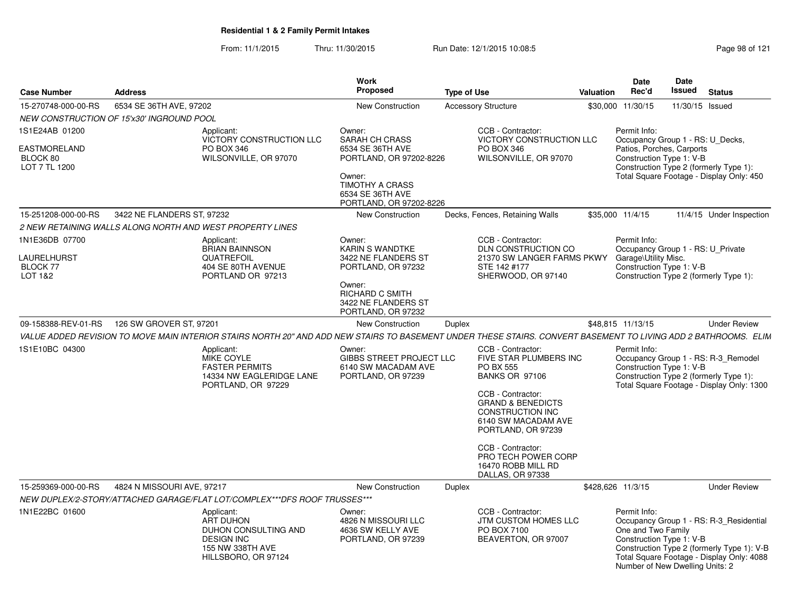From: 11/1/2015Thru: 11/30/2015 Run Date: 12/1/2015 10:08:5<br>
Rage 98 of 121

| <b>Case Number</b>                                                 | <b>Address</b>                            |                                                                                                                                                                 | Work<br><b>Proposed</b>                                                                                                                                           | <b>Type of Use</b>                                                                                                                                                                                                                                                                            | Valuation | Date<br>Rec'd                                                                                                                                   | Date<br>Issued  | <b>Status</b>                                                                                                                      |
|--------------------------------------------------------------------|-------------------------------------------|-----------------------------------------------------------------------------------------------------------------------------------------------------------------|-------------------------------------------------------------------------------------------------------------------------------------------------------------------|-----------------------------------------------------------------------------------------------------------------------------------------------------------------------------------------------------------------------------------------------------------------------------------------------|-----------|-------------------------------------------------------------------------------------------------------------------------------------------------|-----------------|------------------------------------------------------------------------------------------------------------------------------------|
| 15-270748-000-00-RS                                                | 6534 SE 36TH AVE, 97202                   |                                                                                                                                                                 | <b>New Construction</b>                                                                                                                                           | <b>Accessory Structure</b>                                                                                                                                                                                                                                                                    |           | \$30,000 11/30/15                                                                                                                               | 11/30/15 Issued |                                                                                                                                    |
|                                                                    | NEW CONSTRUCTION OF 15'x30' INGROUND POOL |                                                                                                                                                                 |                                                                                                                                                                   |                                                                                                                                                                                                                                                                                               |           |                                                                                                                                                 |                 |                                                                                                                                    |
| IS1E24AB 01200<br><b>EASTMORELAND</b><br>BLOCK 80<br>LOT 7 TL 1200 |                                           | Applicant:<br>VICTORY CONSTRUCTION LLC<br>PO BOX 346<br>WILSONVILLE, OR 97070                                                                                   | Owner:<br><b>SARAH CH CRASS</b><br>6534 SE 36TH AVE<br>PORTLAND, OR 97202-8226<br>Owner:<br><b>TIMOTHY A CRASS</b><br>6534 SE 36TH AVE<br>PORTLAND, OR 97202-8226 | CCB - Contractor:<br>VICTORY CONSTRUCTION LLC<br>PO BOX 346<br>WILSONVILLE, OR 97070                                                                                                                                                                                                          |           | Permit Info:<br>Occupancy Group 1 - RS: U_Decks,<br>Patios, Porches, Carports<br>Construction Type 1: V-B                                       |                 | Construction Type 2 (formerly Type 1):<br>Total Square Footage - Display Only: 450                                                 |
| 15-251208-000-00-RS                                                | 3422 NE FLANDERS ST, 97232                |                                                                                                                                                                 | <b>New Construction</b>                                                                                                                                           | Decks, Fences, Retaining Walls                                                                                                                                                                                                                                                                |           | \$35,000 11/4/15                                                                                                                                |                 | 11/4/15 Under Inspection                                                                                                           |
|                                                                    |                                           | 2 NEW RETAINING WALLS ALONG NORTH AND WEST PROPERTY LINES                                                                                                       |                                                                                                                                                                   |                                                                                                                                                                                                                                                                                               |           |                                                                                                                                                 |                 |                                                                                                                                    |
| 1N1E36DB 07700<br>LAURELHURST<br><b>BLOCK 77</b><br>LOT 1&2        |                                           | Applicant:<br><b>BRIAN BAINNSON</b><br>QUATREFOIL<br>404 SE 80TH AVENUE<br>PORTLAND OR 97213                                                                    | Owner:<br><b>KARIN S WANDTKE</b><br>3422 NE FLANDERS ST<br>PORTLAND, OR 97232<br>Owner:<br><b>RICHARD C SMITH</b><br>3422 NE FLANDERS ST<br>PORTLAND, OR 97232    | CCB - Contractor:<br>DLN CONSTRUCTION CO<br>21370 SW LANGER FARMS PKWY<br>STE 142 #177<br>SHERWOOD, OR 97140                                                                                                                                                                                  |           | Permit Info:<br>Occupancy Group 1 - RS: U_Private<br>Garage\Utility Misc.<br>Construction Type 1: V-B<br>Construction Type 2 (formerly Type 1): |                 |                                                                                                                                    |
| 09-158388-REV-01-RS                                                | 126 SW GROVER ST, 97201                   |                                                                                                                                                                 | <b>New Construction</b>                                                                                                                                           | Duplex                                                                                                                                                                                                                                                                                        |           | \$48,815 11/13/15                                                                                                                               |                 | <b>Under Review</b>                                                                                                                |
|                                                                    |                                           | VALUE ADDED REVISION TO MOVE MAIN INTERIOR STAIRS NORTH 20" AND ADD NEW STAIRS TO BASEMENT UNDER THESE STAIRS. CONVERT BASEMENT TO LIVING ADD 2 BATHROOMS. ELIM |                                                                                                                                                                   |                                                                                                                                                                                                                                                                                               |           |                                                                                                                                                 |                 |                                                                                                                                    |
| IS1E10BC 04300                                                     |                                           | Applicant:<br>MIKE COYLE<br><b>FASTER PERMITS</b><br>14334 NW EAGLERIDGE LANE<br>PORTLAND, OR 97229                                                             | Owner:<br><b>GIBBS STREET PROJECT LLC</b><br>6140 SW MACADAM AVE<br>PORTLAND, OR 97239                                                                            | CCB - Contractor:<br>FIVE STAR PLUMBERS INC<br>PO BX 555<br><b>BANKS OR 97106</b><br>CCB - Contractor:<br><b>GRAND &amp; BENEDICTS</b><br>CONSTRUCTION INC<br>6140 SW MACADAM AVE<br>PORTLAND, OR 97239<br>CCB - Contractor:<br>PRO TECH POWER CORP<br>16470 ROBB MILL RD<br>DALLAS, OR 97338 |           | Permit Info:<br>Construction Type 1: V-B                                                                                                        |                 | Occupancy Group 1 - RS: R-3_Remodel<br>Construction Type 2 (formerly Type 1):<br>Total Square Footage - Display Only: 1300         |
| 15-259369-000-00-RS                                                | 4824 N MISSOURI AVE, 97217                |                                                                                                                                                                 | <b>New Construction</b>                                                                                                                                           | Duplex                                                                                                                                                                                                                                                                                        |           | \$428,626 11/3/15                                                                                                                               |                 | <b>Under Review</b>                                                                                                                |
|                                                                    |                                           | NEW DUPLEX/2-STORY/ATTACHED GARAGE/FLAT LOT/COMPLEX***DFS ROOF TRUSSES***                                                                                       |                                                                                                                                                                   |                                                                                                                                                                                                                                                                                               |           |                                                                                                                                                 |                 |                                                                                                                                    |
| 1N1E22BC 01600                                                     |                                           | Applicant:<br><b>ART DUHON</b><br>DUHON CONSULTING AND<br><b>DESIGN INC</b><br>155 NW 338TH AVE<br>HILLSBORO, OR 97124                                          | Owner:<br>4826 N MISSOURI LLC<br>4636 SW KELLY AVE<br>PORTLAND, OR 97239                                                                                          | CCB - Contractor:<br>JTM CUSTOM HOMES LLC<br>PO BOX 7100<br>BEAVERTON, OR 97007                                                                                                                                                                                                               |           | Permit Info:<br>One and Two Family<br>Construction Type 1: V-B<br>Number of New Dwelling Units: 2                                               |                 | Occupancy Group 1 - RS: R-3_Residential<br>Construction Type 2 (formerly Type 1): V-B<br>Total Square Footage - Display Only: 4088 |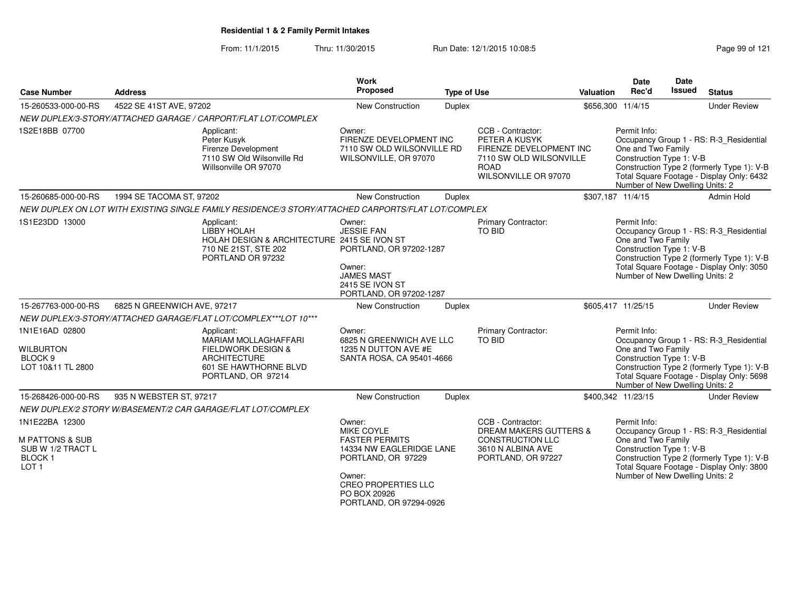From: 11/1/2015Thru: 11/30/2015 Run Date: 12/1/2015 10:08:5<br>
Page 99 of 121

| <b>Case Number</b>                                                                   | <b>Address</b>              |                                                                                                                                                  | <b>Work</b><br>Proposed                                                                                                                                                  | <b>Type of Use</b> |                                                                                                                                 | <b>Valuation</b> | <b>Date</b><br>Rec'd                                                                              | Date<br><b>Issued</b> | <b>Status</b>                                                                                                                      |
|--------------------------------------------------------------------------------------|-----------------------------|--------------------------------------------------------------------------------------------------------------------------------------------------|--------------------------------------------------------------------------------------------------------------------------------------------------------------------------|--------------------|---------------------------------------------------------------------------------------------------------------------------------|------------------|---------------------------------------------------------------------------------------------------|-----------------------|------------------------------------------------------------------------------------------------------------------------------------|
| 15-260533-000-00-RS                                                                  | 4522 SE 41ST AVE, 97202     |                                                                                                                                                  | <b>New Construction</b>                                                                                                                                                  | <b>Duplex</b>      |                                                                                                                                 |                  | \$656,300 11/4/15                                                                                 |                       | <b>Under Review</b>                                                                                                                |
|                                                                                      |                             | NEW DUPLEX/3-STORY/ATTACHED GARAGE / CARPORT/FLAT LOT/COMPLEX                                                                                    |                                                                                                                                                                          |                    |                                                                                                                                 |                  |                                                                                                   |                       |                                                                                                                                    |
| 1S2E18BB 07700                                                                       |                             | Applicant:<br>Peter Kusyk<br>Firenze Development<br>7110 SW Old Wilsonville Rd<br>Willsonville OR 97070                                          | Owner:<br>FIRENZE DEVELOPMENT INC<br>7110 SW OLD WILSONVILLE RD<br>WILSONVILLE, OR 97070                                                                                 |                    | CCB - Contractor:<br>PETER A KUSYK<br>FIRENZE DEVELOPMENT INC<br>7110 SW OLD WILSONVILLE<br><b>ROAD</b><br>WILSONVILLE OR 97070 |                  | Permit Info:<br>One and Two Family<br>Construction Type 1: V-B<br>Number of New Dwelling Units: 2 |                       | Occupancy Group 1 - RS: R-3_Residential<br>Construction Type 2 (formerly Type 1): V-B<br>Total Square Footage - Display Only: 6432 |
| 15-260685-000-00-RS                                                                  | 1994 SE TACOMA ST, 97202    |                                                                                                                                                  | New Construction                                                                                                                                                         | <b>Duplex</b>      |                                                                                                                                 |                  | \$307,187 11/4/15                                                                                 |                       | Admin Hold                                                                                                                         |
|                                                                                      |                             | NEW DUPLEX ON LOT WITH EXISTING SINGLE FAMILY RESIDENCE/3 STORY/ATTACHED CARPORTS/FLAT LOT/COMPLEX                                               |                                                                                                                                                                          |                    |                                                                                                                                 |                  |                                                                                                   |                       |                                                                                                                                    |
| 1S1E23DD 13000                                                                       |                             | Applicant:<br>LIBBY HOLAH<br>HOLAH DESIGN & ARCHITECTURE 2415 SE IVON ST<br>710 NE 21ST, STE 202<br>PORTLAND OR 97232                            | Owner:<br><b>JESSIE FAN</b><br>PORTLAND, OR 97202-1287<br>Owner:<br><b>JAMES MAST</b><br>2415 SE IVON ST<br>PORTLAND, OR 97202-1287                                      |                    | Primary Contractor:<br>TO BID                                                                                                   |                  | Permit Info:<br>One and Two Family<br>Construction Type 1: V-B<br>Number of New Dwelling Units: 2 |                       | Occupancy Group 1 - RS: R-3_Residential<br>Construction Type 2 (formerly Type 1): V-B<br>Total Square Footage - Display Only: 3050 |
| 15-267763-000-00-RS                                                                  | 6825 N GREENWICH AVE, 97217 |                                                                                                                                                  | New Construction                                                                                                                                                         | <b>Duplex</b>      |                                                                                                                                 |                  | \$605,417 11/25/15                                                                                |                       | <b>Under Review</b>                                                                                                                |
|                                                                                      |                             | NEW DUPLEX/3-STORY/ATTACHED GARAGE/FLAT LOT/COMPLEX***LOT 10***                                                                                  |                                                                                                                                                                          |                    |                                                                                                                                 |                  |                                                                                                   |                       |                                                                                                                                    |
| 1N1E16AD 02800<br><b>WILBURTON</b><br>BLOCK <sub>9</sub><br>LOT 10&11 TL 2800        |                             | Applicant:<br><b>MARIAM MOLLAGHAFFARI</b><br><b>FIELDWORK DESIGN &amp;</b><br><b>ARCHITECTURE</b><br>601 SE HAWTHORNE BLVD<br>PORTLAND, OR 97214 | Owner:<br>6825 N GREENWICH AVE LLC<br>1235 N DUTTON AVE #E<br>SANTA ROSA, CA 95401-4666                                                                                  |                    | Primary Contractor:<br>TO BID                                                                                                   |                  | Permit Info:<br>One and Two Family<br>Construction Type 1: V-B<br>Number of New Dwelling Units: 2 |                       | Occupancy Group 1 - RS: R-3_Residential<br>Construction Type 2 (formerly Type 1): V-B<br>Total Square Footage - Display Only: 5698 |
| 15-268426-000-00-RS                                                                  | 935 N WEBSTER ST, 97217     |                                                                                                                                                  | New Construction                                                                                                                                                         | <b>Duplex</b>      |                                                                                                                                 |                  | \$400,342 11/23/15                                                                                |                       | <b>Under Review</b>                                                                                                                |
| 1N1E22BA 12300                                                                       |                             | NEW DUPLEX/2 STORY W/BASEMENT/2 CAR GARAGE/FLAT LOT/COMPLEX                                                                                      | Owner:                                                                                                                                                                   |                    | CCB - Contractor:                                                                                                               |                  | Permit Info:                                                                                      |                       |                                                                                                                                    |
| <b>M PATTONS &amp; SUB</b><br>SUB W 1/2 TRACT L<br><b>BLOCK1</b><br>LOT <sub>1</sub> |                             |                                                                                                                                                  | MIKE COYLE<br><b>FASTER PERMITS</b><br>14334 NW EAGLERIDGE LANE<br>PORTLAND, OR 97229<br>Owner:<br><b>CREO PROPERTIES LLC</b><br>PO BOX 20926<br>PORTLAND, OR 97294-0926 |                    | <b>DREAM MAKERS GUTTERS &amp;</b><br>CONSTRUCTION LLC<br>3610 N ALBINA AVE<br>PORTLAND, OR 97227                                |                  | One and Two Family<br>Construction Type 1: V-B<br>Number of New Dwelling Units: 2                 |                       | Occupancy Group 1 - RS: R-3_Residential<br>Construction Type 2 (formerly Type 1): V-B<br>Total Square Footage - Display Only: 3800 |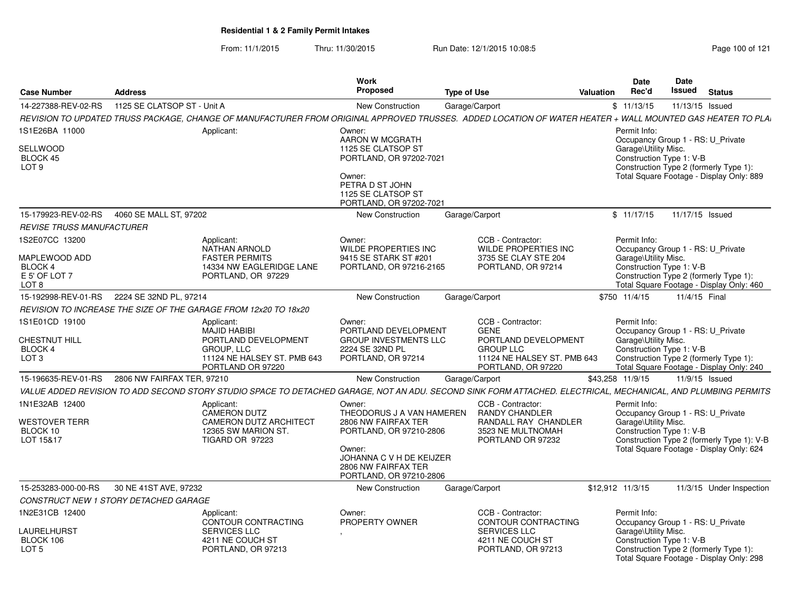From: 11/1/2015Thru: 11/30/2015 Run Date: 12/1/2015 10:08:5<br>
Rage 100 of 121

| <b>Case Number</b>                                                          | <b>Address</b>                                                                                                                                                | Work<br>Proposed                                                                                                                                                              | <b>Type of Use</b>                                                                                                                | Valuation | Date<br>Rec'd                                                    | Date<br>Issued | <b>Status</b>                                                                                                               |
|-----------------------------------------------------------------------------|---------------------------------------------------------------------------------------------------------------------------------------------------------------|-------------------------------------------------------------------------------------------------------------------------------------------------------------------------------|-----------------------------------------------------------------------------------------------------------------------------------|-----------|------------------------------------------------------------------|----------------|-----------------------------------------------------------------------------------------------------------------------------|
| 14-227388-REV-02-RS                                                         | 1125 SE CLATSOP ST - Unit A                                                                                                                                   | <b>New Construction</b>                                                                                                                                                       | Garage/Carport                                                                                                                    |           | \$11/13/15                                                       |                | 11/13/15 Issued                                                                                                             |
|                                                                             | REVISION TO UPDATED TRUSS PACKAGE, CHANGE OF MANUFACTURER FROM ORIGINAL APPROVED TRUSSES. ADDED LOCATION OF WATER HEATER + WALL MOUNTED GAS HEATER TO PLAI    |                                                                                                                                                                               |                                                                                                                                   |           |                                                                  |                |                                                                                                                             |
| 1S1E26BA 11000<br><b>SELLWOOD</b><br>BLOCK 45<br>LOT <sub>9</sub>           | Applicant:                                                                                                                                                    | Owner:<br>AARON W MCGRATH<br>1125 SE CLATSOP ST<br>PORTLAND, OR 97202-7021<br>Owner:<br>PETRA D ST JOHN<br>1125 SE CLATSOP ST<br>PORTLAND, OR 97202-7021                      |                                                                                                                                   |           | Permit Info:<br>Garage\Utility Misc.<br>Construction Type 1: V-B |                | Occupancy Group 1 - RS: U Private<br>Construction Type 2 (formerly Type 1):<br>Total Square Footage - Display Only: 889     |
| 15-179923-REV-02-RS                                                         | 4060 SE MALL ST. 97202                                                                                                                                        | <b>New Construction</b>                                                                                                                                                       | Garage/Carport                                                                                                                    |           | \$11/17/15                                                       |                | 11/17/15 Issued                                                                                                             |
| <i>REVISE TRUSS MANUFACTURER</i>                                            |                                                                                                                                                               |                                                                                                                                                                               |                                                                                                                                   |           |                                                                  |                |                                                                                                                             |
| 1S2E07CC 13200<br>MAPLEWOOD ADD<br><b>BLOCK 4</b><br>E 5' OF LOT 7<br>LOT 8 | Applicant:<br><b>NATHAN ARNOLD</b><br><b>FASTER PERMITS</b><br>14334 NW EAGLERIDGE LANE<br>PORTLAND, OR 97229                                                 | Owner:<br><b>WILDE PROPERTIES INC</b><br>9415 SE STARK ST #201<br>PORTLAND, OR 97216-2165                                                                                     | CCB - Contractor:<br>WILDE PROPERTIES INC<br>3735 SE CLAY STE 204<br>PORTLAND, OR 97214                                           |           | Permit Info:<br>Garage\Utility Misc.<br>Construction Type 1: V-B |                | Occupancy Group 1 - RS: U Private<br>Construction Type 2 (formerly Type 1):<br>Total Square Footage - Display Only: 460     |
| 15-192998-REV-01-RS                                                         | 2224 SE 32ND PL, 97214                                                                                                                                        | <b>New Construction</b>                                                                                                                                                       | Garage/Carport                                                                                                                    |           | \$750 11/4/15                                                    |                | 11/4/15 Final                                                                                                               |
|                                                                             | REVISION TO INCREASE THE SIZE OF THE GARAGE FROM 12x20 TO 18x20                                                                                               |                                                                                                                                                                               |                                                                                                                                   |           |                                                                  |                |                                                                                                                             |
| 1S1E01CD 19100<br>CHESTNUT HILL<br><b>BLOCK 4</b><br>LOT <sub>3</sub>       | Applicant:<br><b>MAJID HABIBI</b><br>PORTLAND DEVELOPMENT<br>GROUP, LLC<br>11124 NE HALSEY ST. PMB 643<br>PORTLAND OR 97220                                   | Owner:<br>PORTLAND DEVELOPMENT<br><b>GROUP INVESTMENTS LLC</b><br>2224 SE 32ND PL<br>PORTLAND, OR 97214                                                                       | CCB - Contractor:<br><b>GENE</b><br>PORTLAND DEVELOPMENT<br><b>GROUP LLC</b><br>11124 NE HALSEY ST. PMB 643<br>PORTLAND, OR 97220 |           | Permit Info:<br>Garage\Utility Misc.<br>Construction Type 1: V-B |                | Occupancy Group 1 - RS: U_Private<br>Construction Type 2 (formerly Type 1):<br>Total Square Footage - Display Only: 240     |
| 15-196635-REV-01-RS                                                         | 2806 NW FAIRFAX TER, 97210                                                                                                                                    | <b>New Construction</b>                                                                                                                                                       | Garage/Carport                                                                                                                    |           | \$43,258 11/9/15                                                 |                | 11/9/15 Issued                                                                                                              |
|                                                                             | VALUE ADDED REVISION TO ADD SECOND STORY STUDIO SPACE TO DETACHED GARAGE, NOT AN ADU. SECOND SINK FORM ATTACHED. ELECTRICAL, MECHANICAL, AND PLUMBING PERMITS |                                                                                                                                                                               |                                                                                                                                   |           |                                                                  |                |                                                                                                                             |
| 1N1E32AB 12400<br>WESTOVER TERR<br>BLOCK 10<br>LOT 15&17                    | Applicant:<br><b>CAMERON DUTZ</b><br><b>CAMERON DUTZ ARCHITECT</b><br>12365 SW MARION ST.<br><b>TIGARD OR 97223</b>                                           | Owner:<br>THEODORUS J A VAN HAMEREN<br>2806 NW FAIRFAX TER<br>PORTLAND, OR 97210-2806<br>Owner:<br>JOHANNA C V H DE KEIJZER<br>2806 NW FAIRFAX TER<br>PORTLAND, OR 97210-2806 | CCB - Contractor:<br>RANDY CHANDLER<br>RANDALL RAY CHANDLER<br>3523 NE MULTNOMAH<br>PORTLAND OR 97232                             |           | Permit Info:<br>Garage\Utility Misc.<br>Construction Type 1: V-B |                | Occupancy Group 1 - RS: U_Private<br>Construction Type 2 (formerly Type 1): V-B<br>Total Square Footage - Display Only: 624 |
| 15-253283-000-00-RS                                                         | 30 NE 41ST AVE, 97232                                                                                                                                         | <b>New Construction</b>                                                                                                                                                       | Garage/Carport                                                                                                                    |           | \$12,912 11/3/15                                                 |                | 11/3/15 Under Inspection                                                                                                    |
|                                                                             | CONSTRUCT NEW 1 STORY DETACHED GARAGE                                                                                                                         |                                                                                                                                                                               |                                                                                                                                   |           |                                                                  |                |                                                                                                                             |
| 1N2E31CB 12400<br>LAURELHURST<br>BLOCK 106<br>LOT <sub>5</sub>              | Applicant:<br>CONTOUR CONTRACTING<br><b>SERVICES LLC</b><br>4211 NE COUCH ST<br>PORTLAND, OR 97213                                                            | Owner:<br>PROPERTY OWNER                                                                                                                                                      | CCB - Contractor:<br>CONTOUR CONTRACTING<br><b>SERVICES LLC</b><br>4211 NE COUCH ST<br>PORTLAND, OR 97213                         |           | Permit Info:<br>Garage\Utility Misc.<br>Construction Type 1: V-B |                | Occupancy Group 1 - RS: U_Private<br>Construction Type 2 (formerly Type 1):<br>Total Square Footage - Display Only: 298     |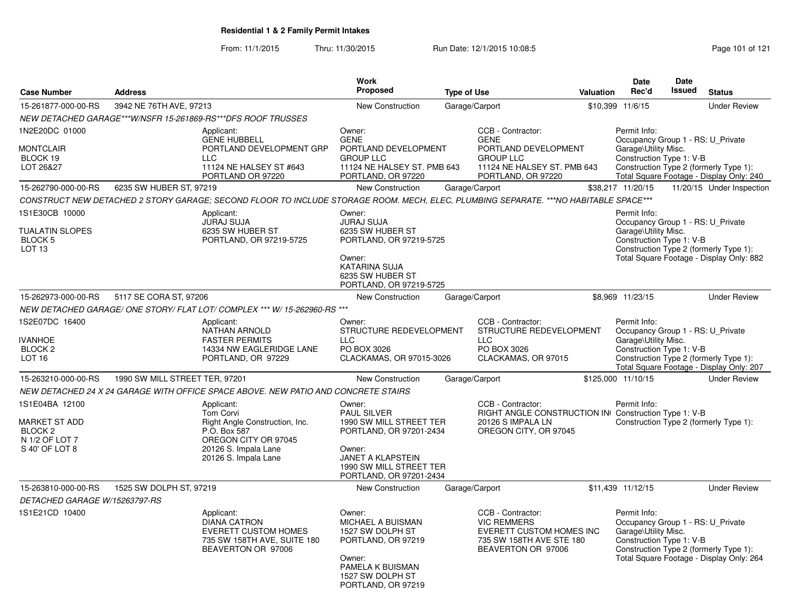From: 11/1/2015Thru: 11/30/2015 Run Date: 12/1/2015 10:08:5<br>
Page 101 of 121

|                                                                                                                                                                   |                                |                                                                                                                                                             | <b>Work</b><br><b>Proposed</b>                                                                                                                                                 |                    |                                                                                                                                   |           | Date                                                                                                  | <b>Date</b><br><b>Issued</b> |                                                                                    |
|-------------------------------------------------------------------------------------------------------------------------------------------------------------------|--------------------------------|-------------------------------------------------------------------------------------------------------------------------------------------------------------|--------------------------------------------------------------------------------------------------------------------------------------------------------------------------------|--------------------|-----------------------------------------------------------------------------------------------------------------------------------|-----------|-------------------------------------------------------------------------------------------------------|------------------------------|------------------------------------------------------------------------------------|
| <b>Case Number</b>                                                                                                                                                | <b>Address</b>                 |                                                                                                                                                             |                                                                                                                                                                                | <b>Type of Use</b> |                                                                                                                                   | Valuation | Rec'd                                                                                                 |                              | <b>Status</b>                                                                      |
| 15-261877-000-00-RS                                                                                                                                               | 3942 NE 76TH AVE, 97213        |                                                                                                                                                             | New Construction                                                                                                                                                               |                    | Garage/Carport                                                                                                                    |           | \$10,399 11/6/15                                                                                      |                              | <b>Under Review</b>                                                                |
|                                                                                                                                                                   |                                | NEW DETACHED GARAGE***W/NSFR 15-261869-RS***DFS ROOF TRUSSES                                                                                                |                                                                                                                                                                                |                    |                                                                                                                                   |           |                                                                                                       |                              |                                                                                    |
| 1N2E20DC 01000<br><b>MONTCLAIR</b><br>BLOCK 19<br>LOT 26&27                                                                                                       |                                | Applicant:<br><b>GENE HUBBELL</b><br>PORTLAND DEVELOPMENT GRP<br><b>LLC</b><br>11124 NE HALSEY ST #643<br>PORTLAND OR 97220                                 | Owner:<br><b>GENE</b><br>PORTLAND DEVELOPMENT<br><b>GROUP LLC</b><br>11124 NE HALSEY ST. PMB 643<br>PORTLAND, OR 97220                                                         |                    | CCB - Contractor:<br><b>GENE</b><br>PORTLAND DEVELOPMENT<br><b>GROUP LLC</b><br>11124 NE HALSEY ST. PMB 643<br>PORTLAND, OR 97220 |           | Permit Info:<br>Occupancy Group 1 - RS: U_Private<br>Garage\Utility Misc.<br>Construction Type 1: V-B |                              | Construction Type 2 (formerly Type 1):<br>Total Square Footage - Display Only: 240 |
| 15-262790-000-00-RS                                                                                                                                               | 6235 SW HUBER ST, 97219        |                                                                                                                                                             | <b>New Construction</b>                                                                                                                                                        |                    | Garage/Carport                                                                                                                    |           | \$38,217 11/20/15                                                                                     |                              | 11/20/15 Under Inspection                                                          |
|                                                                                                                                                                   |                                | CONSTRUCT NEW DETACHED 2 STORY GARAGE; SECOND FLOOR TO INCLUDE STORAGE ROOM. MECH, ELEC, PLUMBING SEPARATE. ***NO HABITABLE SPACE***                        |                                                                                                                                                                                |                    |                                                                                                                                   |           |                                                                                                       |                              |                                                                                    |
| 1S1E30CB 10000<br>Applicant:<br><b>JURAJ SUJA</b><br>6235 SW HUBER ST<br><b>TUALATIN SLOPES</b><br><b>BLOCK 5</b><br>PORTLAND, OR 97219-5725<br>LOT <sub>13</sub> |                                | Owner:<br><b>JURAJ SUJA</b><br>6235 SW HUBER ST<br>PORTLAND, OR 97219-5725<br>Owner:<br><b>KATARINA SUJA</b><br>6235 SW HUBER ST<br>PORTLAND, OR 97219-5725 |                                                                                                                                                                                |                    | Permit Info:<br>Occupancy Group 1 - RS: U_Private<br>Garage\Utility Misc.<br>Construction Type 1: V-B                             |           | Construction Type 2 (formerly Type 1):<br>Total Square Footage - Display Only: 882                    |                              |                                                                                    |
| 15-262973-000-00-RS                                                                                                                                               | 5117 SE CORA ST, 97206         |                                                                                                                                                             | New Construction                                                                                                                                                               |                    | Garage/Carport                                                                                                                    |           | \$8.969 11/23/15                                                                                      |                              | <b>Under Review</b>                                                                |
|                                                                                                                                                                   |                                | NEW DETACHED GARAGE/ ONE STORY/ FLAT LOT/ COMPLEX *** W/ 15-262960-RS ***                                                                                   |                                                                                                                                                                                |                    |                                                                                                                                   |           |                                                                                                       |                              |                                                                                    |
| 1S2E07DC 16400<br><b>IVANHOE</b><br>BLOCK <sub>2</sub><br>LOT <sub>16</sub>                                                                                       |                                | Applicant:<br><b>NATHAN ARNOLD</b><br><b>FASTER PERMITS</b><br>14334 NW EAGLERIDGE LANE<br>PORTLAND, OR 97229                                               | Owner:<br>STRUCTURE REDEVELOPMENT<br><b>LLC</b><br>PO BOX 3026<br>CLACKAMAS, OR 97015-3026                                                                                     |                    | CCB - Contractor:<br>STRUCTURE REDEVELOPMENT<br><b>LLC</b><br>PO BOX 3026<br>CLACKAMAS, OR 97015                                  |           | Permit Info:<br>Occupancy Group 1 - RS: U_Private<br>Garage\Utility Misc.<br>Construction Type 1: V-B |                              | Construction Type 2 (formerly Type 1):<br>Total Square Footage - Display Only: 207 |
| 15-263210-000-00-RS                                                                                                                                               | 1990 SW MILL STREET TER, 97201 |                                                                                                                                                             | New Construction                                                                                                                                                               |                    | Garage/Carport                                                                                                                    |           | \$125,000 11/10/15                                                                                    |                              | <b>Under Review</b>                                                                |
|                                                                                                                                                                   |                                | NEW DETACHED 24 X 24 GARAGE WITH OFFICE SPACE ABOVE. NEW PATIO AND CONCRETE STAIRS                                                                          |                                                                                                                                                                                |                    |                                                                                                                                   |           |                                                                                                       |                              |                                                                                    |
| 1S1E04BA 12100<br>MARKET ST ADD<br>BLOCK <sub>2</sub><br>N 1/2 OF LOT 7<br>S 40' OF LOT 8                                                                         |                                | Applicant:<br><b>Tom Corvi</b><br>Right Angle Construction, Inc.<br>P.O. Box 587<br>OREGON CITY OR 97045<br>20126 S. Impala Lane<br>20126 S. Impala Lane    | Owner:<br><b>PAUL SILVER</b><br>1990 SW MILL STREET TER<br>PORTLAND, OR 97201-2434<br>Owner:<br><b>JANET A KLAPSTEIN</b><br>1990 SW MILL STREET TER<br>PORTLAND, OR 97201-2434 |                    | CCB - Contractor:<br>RIGHT ANGLE CONSTRUCTION IN Construction Type 1: V-B<br>20126 S IMPALA LN<br>OREGON CITY, OR 97045           |           | Permit Info:                                                                                          |                              | Construction Type 2 (formerly Type 1):                                             |
| 15-263810-000-00-RS                                                                                                                                               | 1525 SW DOLPH ST, 97219        |                                                                                                                                                             | <b>New Construction</b>                                                                                                                                                        |                    | Garage/Carport                                                                                                                    |           | \$11,439 11/12/15                                                                                     |                              | <b>Under Review</b>                                                                |
| <i>DETACHED GARAGE W/15263797-RS</i>                                                                                                                              |                                |                                                                                                                                                             |                                                                                                                                                                                |                    |                                                                                                                                   |           |                                                                                                       |                              |                                                                                    |
| 1S1E21CD 10400                                                                                                                                                    |                                | Applicant:<br><b>DIANA CATRON</b><br><b>EVERETT CUSTOM HOMES</b><br>735 SW 158TH AVE, SUITE 180<br>BEAVERTON OR 97006                                       | Owner:<br>MICHAEL A BUISMAN<br>1527 SW DOLPH ST<br>PORTLAND, OR 97219<br>Owner:<br>PAMELA K BUISMAN<br>1527 SW DOLPH ST<br>PORTLAND, OR 97219                                  |                    | CCB - Contractor:<br><b>VIC REMMERS</b><br>EVERETT CUSTOM HOMES INC<br>735 SW 158TH AVE STE 180<br>BEAVERTON OR 97006             |           | Permit Info:<br>Occupancy Group 1 - RS: U Private<br>Garage\Utility Misc.<br>Construction Type 1: V-B |                              | Construction Type 2 (formerly Type 1):<br>Total Square Footage - Display Only: 264 |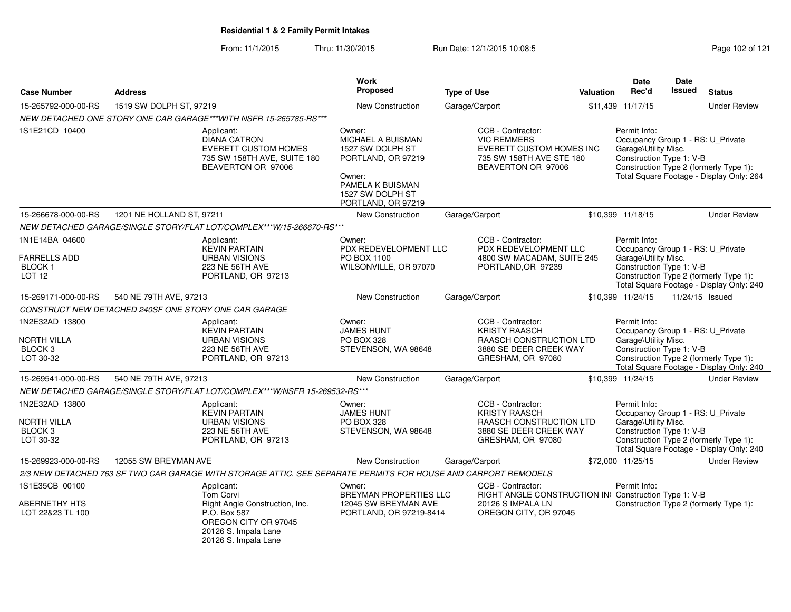From: 11/1/2015Thru: 11/30/2015 Run Date: 12/1/2015 10:08:5<br>
Page 102 of 121

|                                                                         |                                                                                                                                                   | Work                                                                                                                                          |                                                                                                                              |                                                      | <b>Date</b>                                                      | Date          |                                                                                                                         |
|-------------------------------------------------------------------------|---------------------------------------------------------------------------------------------------------------------------------------------------|-----------------------------------------------------------------------------------------------------------------------------------------------|------------------------------------------------------------------------------------------------------------------------------|------------------------------------------------------|------------------------------------------------------------------|---------------|-------------------------------------------------------------------------------------------------------------------------|
| <b>Case Number</b>                                                      | <b>Address</b>                                                                                                                                    | <b>Proposed</b>                                                                                                                               | <b>Type of Use</b>                                                                                                           | Valuation                                            | Rec'd                                                            | <b>Issued</b> | <b>Status</b>                                                                                                           |
| 15-265792-000-00-RS                                                     | 1519 SW DOLPH ST, 97219                                                                                                                           | New Construction                                                                                                                              | Garage/Carport                                                                                                               | \$11,439 11/17/15                                    |                                                                  |               | <b>Under Review</b>                                                                                                     |
|                                                                         | NEW DETACHED ONE STORY ONE CAR GARAGE***WITH NSFR 15-265785-RS***                                                                                 |                                                                                                                                               |                                                                                                                              |                                                      |                                                                  |               |                                                                                                                         |
| 1S1E21CD 10400                                                          | Applicant:<br><b>DIANA CATRON</b><br><b>EVERETT CUSTOM HOMES</b><br>735 SW 158TH AVE, SUITE 180<br>BEAVERTON OR 97006                             | Owner:<br>MICHAEL A BUISMAN<br>1527 SW DOLPH ST<br>PORTLAND, OR 97219<br>Owner:<br>PAMELA K BUISMAN<br>1527 SW DOLPH ST<br>PORTLAND, OR 97219 | CCB - Contractor:<br><b>VIC REMMERS</b><br><b>EVERETT CUSTOM HOMES INC</b><br>735 SW 158TH AVE STE 180<br>BEAVERTON OR 97006 |                                                      | Permit Info:<br>Garage\Utility Misc.<br>Construction Type 1: V-B |               | Occupancy Group 1 - RS: U_Private<br>Construction Type 2 (formerly Type 1):<br>Total Square Footage - Display Only: 264 |
| 15-266678-000-00-RS                                                     | 1201 NE HOLLAND ST, 97211                                                                                                                         | <b>New Construction</b>                                                                                                                       | Garage/Carport                                                                                                               | \$10,399 11/18/15                                    |                                                                  |               | <b>Under Review</b>                                                                                                     |
|                                                                         | NEW DETACHED GARAGE/SINGLE STORY/FLAT LOT/COMPLEX***W/15-266670-RS***                                                                             |                                                                                                                                               |                                                                                                                              |                                                      |                                                                  |               |                                                                                                                         |
| 1N1E14BA 04600<br><b>FARRELLS ADD</b><br>BLOCK 1<br><b>LOT 12</b>       | Applicant:<br><b>KEVIN PARTAIN</b><br><b>URBAN VISIONS</b><br>223 NE 56TH AVE<br>PORTLAND, OR 97213                                               | Owner:<br>PDX REDEVELOPMENT LLC<br>PO BOX 1100<br>WILSONVILLE, OR 97070                                                                       | CCB - Contractor:<br>PDX REDEVELOPMENT LLC<br>4800 SW MACADAM, SUITE 245<br>PORTLAND, OR 97239                               |                                                      | Permit Info:<br>Garage\Utility Misc.<br>Construction Type 1: V-B |               | Occupancy Group 1 - RS: U Private<br>Construction Type 2 (formerly Type 1):<br>Total Square Footage - Display Only: 240 |
| 15-269171-000-00-RS                                                     | 540 NE 79TH AVE, 97213                                                                                                                            | New Construction                                                                                                                              | Garage/Carport                                                                                                               | \$10,399 11/24/15                                    |                                                                  |               | 11/24/15 Issued                                                                                                         |
|                                                                         | CONSTRUCT NEW DETACHED 240SF ONE STORY ONE CAR GARAGE                                                                                             |                                                                                                                                               |                                                                                                                              |                                                      |                                                                  |               |                                                                                                                         |
| 1N2E32AD 13800<br><b>NORTH VILLA</b><br>BLOCK <sub>3</sub><br>LOT 30-32 | Applicant:<br><b>KEVIN PARTAIN</b><br><b>URBAN VISIONS</b><br>223 NE 56TH AVE<br>PORTLAND, OR 97213                                               | Owner:<br><b>JAMES HUNT</b><br>PO BOX 328<br>STEVENSON, WA 98648                                                                              | CCB - Contractor:<br><b>KRISTY RAASCH</b><br>RAASCH CONSTRUCTION LTD<br>3880 SE DEER CREEK WAY<br>GRESHAM, OR 97080          |                                                      | Permit Info:<br>Garage\Utility Misc.<br>Construction Type 1: V-B |               | Occupancy Group 1 - RS: U_Private<br>Construction Type 2 (formerly Type 1):<br>Total Square Footage - Display Only: 240 |
| 15-269541-000-00-RS                                                     | 540 NE 79TH AVE, 97213                                                                                                                            | <b>New Construction</b>                                                                                                                       | Garage/Carport                                                                                                               | \$10,399 11/24/15                                    |                                                                  |               | <b>Under Review</b>                                                                                                     |
|                                                                         | NEW DETACHED GARAGE/SINGLE STORY/FLAT LOT/COMPLEX***W/NSFR 15-269532-RS***                                                                        |                                                                                                                                               |                                                                                                                              |                                                      |                                                                  |               |                                                                                                                         |
| 1N2E32AD 13800<br><b>NORTH VILLA</b><br>BLOCK <sub>3</sub><br>LOT 30-32 | Applicant:<br><b>KEVIN PARTAIN</b><br><b>URBAN VISIONS</b><br>223 NE 56TH AVE<br>PORTLAND, OR 97213                                               | Owner:<br><b>JAMES HUNT</b><br>PO BOX 328<br>STEVENSON, WA 98648                                                                              | CCB - Contractor:<br><b>KRISTY RAASCH</b><br>RAASCH CONSTRUCTION LTD<br>3880 SE DEER CREEK WAY<br>GRESHAM, OR 97080          |                                                      | Permit Info:<br>Garage\Utility Misc.<br>Construction Type 1: V-B |               | Occupancy Group 1 - RS: U_Private<br>Construction Type 2 (formerly Type 1):<br>Total Square Footage - Display Only: 240 |
| 15-269923-000-00-RS                                                     | 12055 SW BREYMAN AVE                                                                                                                              | New Construction                                                                                                                              | Garage/Carport                                                                                                               | \$72,000 11/25/15                                    |                                                                  |               | <b>Under Review</b>                                                                                                     |
|                                                                         | 2/3 NEW DETACHED 763 SF TWO CAR GARAGE WITH STORAGE ATTIC. SEE SEPARATE PERMITS FOR HOUSE AND CARPORT REMODELS                                    |                                                                                                                                               |                                                                                                                              |                                                      |                                                                  |               |                                                                                                                         |
| 1S1E35CB 00100<br>ABERNETHY HTS<br>LOT 22&23 TL 100                     | Applicant:<br>Tom Corvi<br>Right Angle Construction, Inc.<br>P.O. Box 587<br>OREGON CITY OR 97045<br>20126 S. Impala Lane<br>20126 S. Impala Lane | Owner:<br>BREYMAN PROPERTIES LLC<br>12045 SW BREYMAN AVE<br>PORTLAND, OR 97219-8414                                                           | CCB - Contractor:<br>20126 S IMPALA LN<br>OREGON CITY, OR 97045                                                              | RIGHT ANGLE CONSTRUCTION IN Construction Type 1: V-B | Permit Info:                                                     |               | Construction Type 2 (formerly Type 1):                                                                                  |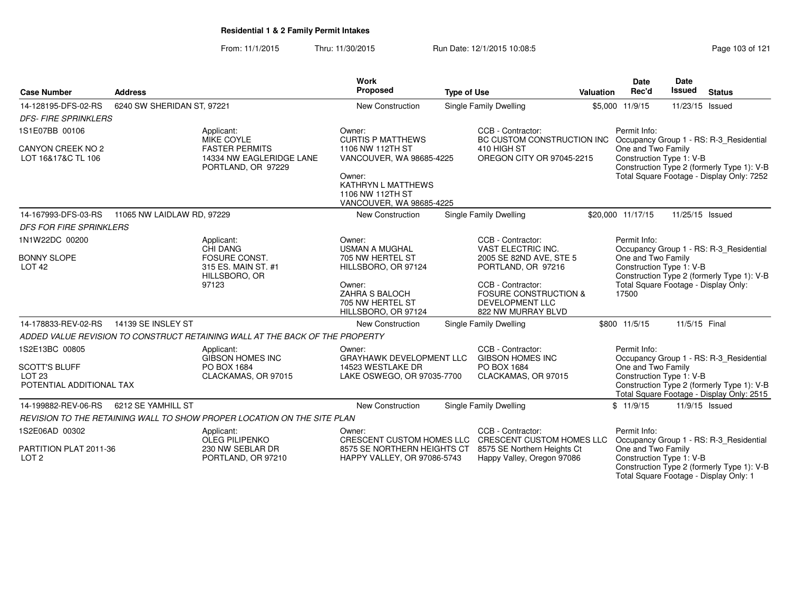From: 11/1/2015Thru: 11/30/2015 Run Date: 12/1/2015 10:08:5<br>
Rage 103 of 121

Total Square Footage - Display Only: 1

| <b>Case Number</b>                                                                      | <b>Address</b>             |                                                                                                            | <b>Work</b><br>Proposed                                                                                                                                                                                                             | <b>Type of Use</b> |                                                                                                                                                                                                   | Valuation                                                                                                                                                                                                                       | Date<br>Rec'd                                                                                                                                                                                            | Date<br><b>Issued</b> | <b>Status</b>                                                                                                                      |  |
|-----------------------------------------------------------------------------------------|----------------------------|------------------------------------------------------------------------------------------------------------|-------------------------------------------------------------------------------------------------------------------------------------------------------------------------------------------------------------------------------------|--------------------|---------------------------------------------------------------------------------------------------------------------------------------------------------------------------------------------------|---------------------------------------------------------------------------------------------------------------------------------------------------------------------------------------------------------------------------------|----------------------------------------------------------------------------------------------------------------------------------------------------------------------------------------------------------|-----------------------|------------------------------------------------------------------------------------------------------------------------------------|--|
| 14-128195-DFS-02-RS                                                                     | 6240 SW SHERIDAN ST, 97221 |                                                                                                            | <b>New Construction</b>                                                                                                                                                                                                             |                    | <b>Single Family Dwelling</b>                                                                                                                                                                     |                                                                                                                                                                                                                                 | \$5,000 11/9/15                                                                                                                                                                                          | 11/23/15 Issued       |                                                                                                                                    |  |
| <b>DFS-FIRE SPRINKLERS</b>                                                              |                            |                                                                                                            |                                                                                                                                                                                                                                     |                    |                                                                                                                                                                                                   |                                                                                                                                                                                                                                 |                                                                                                                                                                                                          |                       |                                                                                                                                    |  |
| 1S1E07BB 00106<br>CANYON CREEK NO 2<br>LOT 16&17&C TL 106                               |                            | Applicant:<br><b>MIKE COYLE</b><br><b>FASTER PERMITS</b><br>14334 NW EAGLERIDGE LANE<br>PORTLAND, OR 97229 | CCB - Contractor:<br>Owner:<br><b>CURTIS P MATTHEWS</b><br>1106 NW 112TH ST<br>410 HIGH ST<br>VANCOUVER, WA 98685-4225<br>OREGON CITY OR 97045-2215<br>Owner:<br>KATHRYN L MATTHEWS<br>1106 NW 112TH ST<br>VANCOUVER, WA 98685-4225 |                    |                                                                                                                                                                                                   | Permit Info:<br>BC CUSTOM CONSTRUCTION INC Occupancy Group 1 - RS: R-3_Residential<br>One and Two Family<br>Construction Type 1: V-B<br>Construction Type 2 (formerly Type 1): V-B<br>Total Square Footage - Display Only: 7252 |                                                                                                                                                                                                          |                       |                                                                                                                                    |  |
| 14-167993-DFS-03-RS                                                                     | 11065 NW LAIDLAW RD, 97229 |                                                                                                            | <b>New Construction</b>                                                                                                                                                                                                             |                    | Single Family Dwelling                                                                                                                                                                            |                                                                                                                                                                                                                                 | \$20,000 11/17/15                                                                                                                                                                                        | 11/25/15 Issued       |                                                                                                                                    |  |
| <b>DFS FOR FIRE SPRINKLERS</b>                                                          |                            |                                                                                                            |                                                                                                                                                                                                                                     |                    |                                                                                                                                                                                                   |                                                                                                                                                                                                                                 |                                                                                                                                                                                                          |                       |                                                                                                                                    |  |
| 1N1W22DC 00200<br><b>BONNY SLOPE</b><br>LOT <sub>42</sub>                               |                            | Applicant:<br>CHI DANG<br>FOSURE CONST.<br>315 ES. MAIN ST. #1<br>HILLSBORO, OR<br>97123                   | Owner:<br><b>USMAN A MUGHAL</b><br>705 NW HERTEL ST<br>HILLSBORO, OR 97124<br>Owner:<br>ZAHRA S BALOCH<br>705 NW HERTEL ST<br>HILLSBORO, OR 97124                                                                                   |                    | CCB - Contractor:<br>VAST ELECTRIC INC.<br>2005 SE 82ND AVE, STE 5<br>PORTLAND, OR 97216<br>CCB - Contractor:<br><b>FOSURE CONSTRUCTION &amp;</b><br><b>DEVELOPMENT LLC</b><br>822 NW MURRAY BLVD |                                                                                                                                                                                                                                 | Permit Info:<br>Occupancy Group 1 - RS: R-3_Residential<br>One and Two Family<br>Construction Type 1: V-B<br>Construction Type 2 (formerly Type 1): V-B<br>Total Square Footage - Display Only:<br>17500 |                       |                                                                                                                                    |  |
| 14-178833-REV-02-RS                                                                     | 14139 SE INSLEY ST         |                                                                                                            | <b>New Construction</b>                                                                                                                                                                                                             |                    | Single Family Dwelling                                                                                                                                                                            |                                                                                                                                                                                                                                 | \$800 11/5/15                                                                                                                                                                                            | 11/5/15 Final         |                                                                                                                                    |  |
|                                                                                         |                            | ADDED VALUE REVISION TO CONSTRUCT RETAINING WALL AT THE BACK OF THE PROPERTY                               |                                                                                                                                                                                                                                     |                    |                                                                                                                                                                                                   |                                                                                                                                                                                                                                 |                                                                                                                                                                                                          |                       |                                                                                                                                    |  |
| 1S2E13BC 00805<br><b>SCOTT'S BLUFF</b><br>LOT <sub>23</sub><br>POTENTIAL ADDITIONAL TAX |                            | Applicant:<br><b>GIBSON HOMES INC</b><br>PO BOX 1684<br>CLACKAMAS, OR 97015                                | Owner:<br><b>GRAYHAWK DEVELOPMENT LLC</b><br>14523 WESTLAKE DR<br>LAKE OSWEGO, OR 97035-7700                                                                                                                                        |                    | CCB - Contractor:<br><b>GIBSON HOMES INC</b><br>PO BOX 1684<br>CLACKAMAS, OR 97015                                                                                                                |                                                                                                                                                                                                                                 | Permit Info:<br>One and Two Family<br>Construction Type 1: V-B                                                                                                                                           |                       | Occupancy Group 1 - RS: R-3 Residential<br>Construction Type 2 (formerly Type 1): V-B<br>Total Square Footage - Display Only: 2515 |  |
| 14-199882-REV-06-RS                                                                     | 6212 SE YAMHILL ST         |                                                                                                            | <b>New Construction</b>                                                                                                                                                                                                             |                    | Single Family Dwelling                                                                                                                                                                            |                                                                                                                                                                                                                                 | \$11/9/15                                                                                                                                                                                                |                       | 11/9/15 Issued                                                                                                                     |  |
|                                                                                         |                            | REVISION TO THE RETAINING WALL TO SHOW PROPER LOCATION ON THE SITE PLAN                                    |                                                                                                                                                                                                                                     |                    |                                                                                                                                                                                                   |                                                                                                                                                                                                                                 |                                                                                                                                                                                                          |                       |                                                                                                                                    |  |
| 1S2E06AD 00302                                                                          |                            | Applicant:                                                                                                 | Owner:                                                                                                                                                                                                                              |                    | CCB - Contractor:                                                                                                                                                                                 |                                                                                                                                                                                                                                 | Permit Info:                                                                                                                                                                                             |                       |                                                                                                                                    |  |
| PARTITION PLAT 2011-36<br>LOT <sub>2</sub>                                              |                            | <b>OLEG PILIPENKO</b><br>230 NW SEBLAR DR<br>PORTLAND, OR 97210                                            | CRESCENT CUSTOM HOMES LLC<br>8575 SE NORTHERN HEIGHTS CT<br>HAPPY VALLEY, OR 97086-5743                                                                                                                                             |                    | CRESCENT CUSTOM HOMES LLC<br>8575 SE Northern Heights Ct<br>Happy Valley, Oregon 97086                                                                                                            |                                                                                                                                                                                                                                 | One and Two Family<br>Construction Type 1: V-B                                                                                                                                                           |                       | Occupancy Group 1 - RS: R-3_Residential<br>Construction Type 2 (formerly Type 1): V-B                                              |  |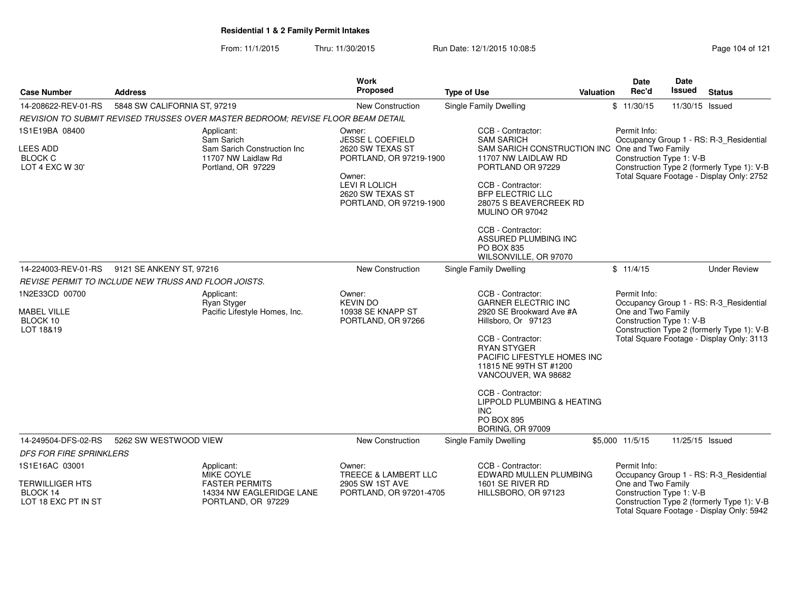From: 11/1/2015Thru: 11/30/2015 Run Date: 12/1/2015 10:08:5<br>
Page 104 of 121

|                                                                        |                                                                                                      | <b>Work</b>                                                                                                                                                       |                                                                                                                                                                                                                                                                                                                                                |                  | Date                                                           | Date                                                                                                                               |
|------------------------------------------------------------------------|------------------------------------------------------------------------------------------------------|-------------------------------------------------------------------------------------------------------------------------------------------------------------------|------------------------------------------------------------------------------------------------------------------------------------------------------------------------------------------------------------------------------------------------------------------------------------------------------------------------------------------------|------------------|----------------------------------------------------------------|------------------------------------------------------------------------------------------------------------------------------------|
| <b>Case Number</b>                                                     | <b>Address</b>                                                                                       | <b>Proposed</b>                                                                                                                                                   | <b>Type of Use</b>                                                                                                                                                                                                                                                                                                                             | <b>Valuation</b> | Rec'd                                                          | Issued<br><b>Status</b>                                                                                                            |
| 14-208622-REV-01-RS                                                    | 5848 SW CALIFORNIA ST, 97219                                                                         | New Construction                                                                                                                                                  | <b>Single Family Dwelling</b>                                                                                                                                                                                                                                                                                                                  |                  | \$11/30/15                                                     | 11/30/15 Issued                                                                                                                    |
|                                                                        | REVISION TO SUBMIT REVISED TRUSSES OVER MASTER BEDROOM: REVISE FLOOR BEAM DETAIL                     |                                                                                                                                                                   |                                                                                                                                                                                                                                                                                                                                                |                  |                                                                |                                                                                                                                    |
| 1S1E19BA 08400<br><b>LEES ADD</b><br><b>BLOCK C</b><br>LOT 4 EXC W 30' | Applicant:<br>Sam Sarich<br>Sam Sarich Construction Inc<br>11707 NW Laidlaw Rd<br>Portland, OR 97229 | Owner:<br><b>JESSE L COEFIELD</b><br>2620 SW TEXAS ST<br>PORTLAND, OR 97219-1900<br>Owner:<br><b>LEVI R LOLICH</b><br>2620 SW TEXAS ST<br>PORTLAND, OR 97219-1900 | CCB - Contractor:<br><b>SAM SARICH</b><br>SAM SARICH CONSTRUCTION INC One and Two Family<br>11707 NW LAIDLAW RD<br>PORTLAND OR 97229<br>CCB - Contractor:<br><b>BFP ELECTRIC LLC</b><br>28075 S BEAVERCREEK RD<br>MULINO OR 97042<br>CCB - Contractor:<br>ASSURED PLUMBING INC<br>PO BOX 835<br>WILSONVILLE, OR 97070                          |                  | Permit Info:<br>Construction Type 1: V-B                       | Occupancy Group 1 - RS: R-3_Residential<br>Construction Type 2 (formerly Type 1): V-B<br>Total Square Footage - Display Only: 2752 |
| 14-224003-REV-01-RS                                                    | 9121 SE ANKENY ST, 97216                                                                             | New Construction                                                                                                                                                  | Single Family Dwelling                                                                                                                                                                                                                                                                                                                         |                  | \$11/4/15                                                      | <b>Under Review</b>                                                                                                                |
|                                                                        | REVISE PERMIT TO INCLUDE NEW TRUSS AND FLOOR JOISTS.                                                 |                                                                                                                                                                   |                                                                                                                                                                                                                                                                                                                                                |                  |                                                                |                                                                                                                                    |
| 1N2E33CD 00700<br><b>MABEL VILLE</b><br>BLOCK 10<br>LOT 18&19          | Applicant:<br>Ryan Styger<br>Pacific Lifestyle Homes, Inc.                                           | Owner:<br><b>KEVIN DO</b><br>10938 SE KNAPP ST<br>PORTLAND, OR 97266                                                                                              | CCB - Contractor:<br><b>GARNER ELECTRIC INC</b><br>2920 SE Brookward Ave #A<br>Hillsboro, Or 97123<br>CCB - Contractor:<br><b>RYAN STYGER</b><br>PACIFIC LIFESTYLE HOMES INC<br>11815 NE 99TH ST #1200<br>VANCOUVER, WA 98682<br>CCB - Contractor:<br>LIPPOLD PLUMBING & HEATING<br><b>INC</b><br><b>PO BOX 895</b><br><b>BORING, OR 97009</b> |                  | Permit Info:<br>One and Two Family<br>Construction Type 1: V-B | Occupancy Group 1 - RS: R-3_Residential<br>Construction Type 2 (formerly Type 1): V-B<br>Total Square Footage - Display Only: 3113 |
| 14-249504-DFS-02-RS                                                    | 5262 SW WESTWOOD VIEW                                                                                | New Construction                                                                                                                                                  | Single Family Dwelling                                                                                                                                                                                                                                                                                                                         |                  | \$5,000 11/5/15                                                | 11/25/15 Issued                                                                                                                    |
| DFS FOR FIRE SPRINKLERS                                                |                                                                                                      |                                                                                                                                                                   |                                                                                                                                                                                                                                                                                                                                                |                  |                                                                |                                                                                                                                    |
| 1S1E16AC 03001<br>TERWILLIGER HTS<br>BLOCK 14                          | Applicant:<br><b>MIKE COYLE</b><br><b>FASTER PERMITS</b><br>14334 NW EAGLERIDGE LANE                 | Owner:<br><b>TREECE &amp; LAMBERT LLC</b><br>2905 SW 1ST AVE<br>PORTLAND, OR 97201-4705                                                                           | CCB - Contractor:<br>EDWARD MULLEN PLUMBING<br>1601 SE RIVER RD<br>HILLSBORO, OR 97123                                                                                                                                                                                                                                                         |                  | Permit Info:<br>One and Two Family<br>Construction Type 1: V-B | Occupancy Group 1 - RS: R-3_Residential                                                                                            |
| LOT 18 EXC PT IN ST                                                    | PORTLAND, OR 97229                                                                                   |                                                                                                                                                                   |                                                                                                                                                                                                                                                                                                                                                |                  |                                                                | Construction Type 2 (formerly Type 1): V-B<br>Total Square Footage - Display Only: 5942                                            |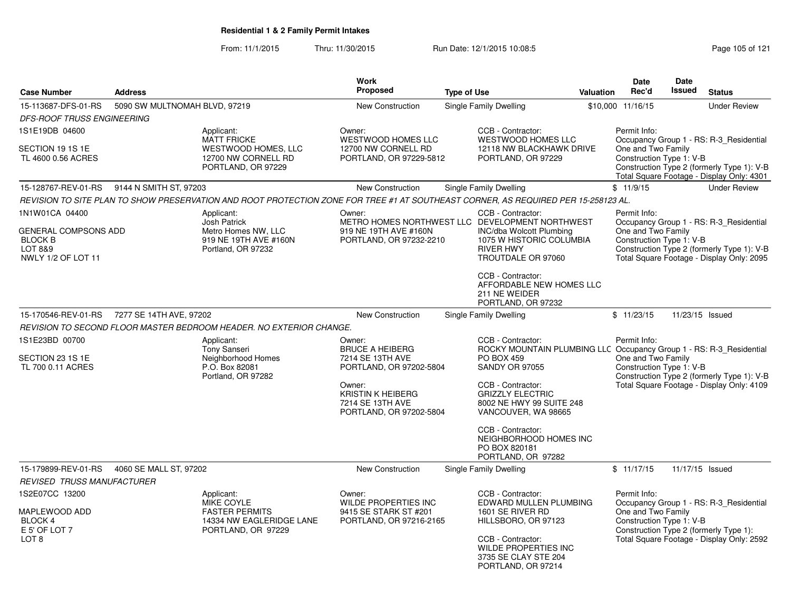From: 11/1/2015Thru: 11/30/2015 Run Date: 12/1/2015 10:08:5<br>
Page 105 of 121

|                                                                                |                               |                                                                                                                                    | <b>Work</b>                                                                                         |                                         |                                                                                                       |           | <b>Date</b>                                                                                  | <b>Date</b> |                                                                                                                                    |
|--------------------------------------------------------------------------------|-------------------------------|------------------------------------------------------------------------------------------------------------------------------------|-----------------------------------------------------------------------------------------------------|-----------------------------------------|-------------------------------------------------------------------------------------------------------|-----------|----------------------------------------------------------------------------------------------|-------------|------------------------------------------------------------------------------------------------------------------------------------|
| <b>Case Number</b>                                                             | <b>Address</b>                |                                                                                                                                    | <b>Proposed</b>                                                                                     | <b>Type of Use</b>                      |                                                                                                       | Valuation | Rec'd                                                                                        | Issued      | <b>Status</b>                                                                                                                      |
| 15-113687-DFS-01-RS                                                            | 5090 SW MULTNOMAH BLVD, 97219 |                                                                                                                                    | <b>New Construction</b>                                                                             |                                         | Single Family Dwelling                                                                                |           | \$10,000 11/16/15                                                                            |             | <b>Under Review</b>                                                                                                                |
| <b>DFS-ROOF TRUSS ENGINEERING</b>                                              |                               |                                                                                                                                    |                                                                                                     |                                         |                                                                                                       |           |                                                                                              |             |                                                                                                                                    |
| 1S1E19DB 04600<br>SECTION 19 1S 1E<br>TL 4600 0.56 ACRES                       |                               | Applicant:<br><b>MATT FRICKE</b><br>WESTWOOD HOMES, LLC<br>12700 NW CORNELL RD<br>PORTLAND, OR 97229                               | Owner:<br><b>WESTWOOD HOMES LLC</b><br>12700 NW CORNELL RD<br>PORTLAND, OR 97229-5812               |                                         | CCB - Contractor:<br>WESTWOOD HOMES LLC<br>12118 NW BLACKHAWK DRIVE<br>PORTLAND, OR 97229             |           | Permit Info:<br>One and Two Family<br>Construction Type 1: V-B                               |             | Occupancy Group 1 - RS: R-3 Residential<br>Construction Type 2 (formerly Type 1): V-B                                              |
| 15-128767-REV-01-RS                                                            | 9144 N SMITH ST, 97203        |                                                                                                                                    | New Construction                                                                                    |                                         | Single Family Dwelling                                                                                |           | \$11/9/15                                                                                    |             | Total Square Footage - Display Only: 4301<br><b>Under Review</b>                                                                   |
|                                                                                |                               | REVISION TO SITE PLAN TO SHOW PRESERVATION AND ROOT PROTECTION ZONE FOR TREE #1 AT SOUTHEAST CORNER, AS REQUIRED PER 15-258123 AL. |                                                                                                     |                                         |                                                                                                       |           |                                                                                              |             |                                                                                                                                    |
| 1N1W01CA 04400                                                                 |                               | Applicant:                                                                                                                         | Owner:                                                                                              |                                         | CCB - Contractor:                                                                                     |           | Permit Info:                                                                                 |             |                                                                                                                                    |
| <b>GENERAL COMPSONS ADD</b><br><b>BLOCK B</b><br>LOT 8&9<br>NWLY 1/2 OF LOT 11 |                               | <b>Josh Patrick</b><br>Metro Homes NW, LLC<br>919 NE 19TH AVE #160N<br>Portland, OR 97232                                          | METRO HOMES NORTHWEST LLC DEVELOPMENT NORTHWEST<br>919 NE 19TH AVE #160N<br>PORTLAND, OR 97232-2210 |                                         | <b>INC/dba Wolcott Plumbing</b><br>1075 W HISTORIC COLUMBIA<br><b>RIVER HWY</b><br>TROUTDALE OR 97060 |           | One and Two Family<br>Construction Type 1: V-B                                               |             | Occupancy Group 1 - RS: R-3_Residential<br>Construction Type 2 (formerly Type 1): V-B<br>Total Square Footage - Display Only: 2095 |
|                                                                                |                               |                                                                                                                                    |                                                                                                     |                                         | CCB - Contractor:<br>AFFORDABLE NEW HOMES LLC<br>211 NE WEIDER<br>PORTLAND, OR 97232                  |           |                                                                                              |             |                                                                                                                                    |
| 15-170546-REV-01-RS<br>7277 SE 14TH AVE, 97202                                 |                               |                                                                                                                                    | New Construction                                                                                    |                                         | Single Family Dwelling                                                                                |           | \$11/23/15                                                                                   |             | 11/23/15 Issued                                                                                                                    |
|                                                                                |                               | REVISION TO SECOND FLOOR MASTER BEDROOM HEADER. NO EXTERIOR CHANGE.                                                                |                                                                                                     |                                         |                                                                                                       |           |                                                                                              |             |                                                                                                                                    |
| 1S1E23BD 00700                                                                 |                               | Applicant:<br><b>Tony Sanseri</b>                                                                                                  | Owner:<br><b>BRUCE A HEIBERG</b>                                                                    |                                         | CCB - Contractor:<br>ROCKY MOUNTAIN PLUMBING LLC Occupancy Group 1 - RS: R-3_Residential              |           | Permit Info:                                                                                 |             |                                                                                                                                    |
| SECTION 23 1S 1E<br>TL 700 0.11 ACRES                                          |                               | Neighborhood Homes<br>P.O. Box 82081<br>Portland, OR 97282                                                                         | 7214 SE 13TH AVE<br>PORTLAND, OR 97202-5804                                                         | <b>SANDY OR 97055</b>                   | <b>PO BOX 459</b>                                                                                     |           | One and Two Family<br>Construction Type 1: V-B<br>Construction Type 2 (formerly Type 1): V-B |             |                                                                                                                                    |
|                                                                                |                               |                                                                                                                                    | Owner:<br><b>KRISTIN K HEIBERG</b><br>7214 SE 13TH AVE<br>PORTLAND, OR 97202-5804                   |                                         | CCB - Contractor:<br><b>GRIZZLY ELECTRIC</b><br>8002 NE HWY 99 SUITE 248<br>VANCOUVER, WA 98665       |           |                                                                                              |             | Total Square Footage - Display Only: 4109                                                                                          |
|                                                                                |                               |                                                                                                                                    |                                                                                                     |                                         | CCB - Contractor:<br>NEIGHBORHOOD HOMES INC<br>PO BOX 820181<br>PORTLAND, OR 97282                    |           |                                                                                              |             |                                                                                                                                    |
| 15-179899-REV-01-RS                                                            | 4060 SE MALL ST, 97202        |                                                                                                                                    | New Construction                                                                                    |                                         | Single Family Dwelling                                                                                |           | \$11/17/15                                                                                   |             | 11/17/15 Issued                                                                                                                    |
| <b>REVISED TRUSS MANUFACTURER</b>                                              |                               |                                                                                                                                    |                                                                                                     |                                         |                                                                                                       |           |                                                                                              |             |                                                                                                                                    |
| 1S2E07CC 13200                                                                 |                               | Applicant:<br><b>MIKE COYLE</b>                                                                                                    | Owner:<br><b>WILDE PROPERTIES INC</b>                                                               |                                         | CCB - Contractor:<br>EDWARD MULLEN PLUMBING                                                           |           | Permit Info:                                                                                 |             | Occupancy Group 1 - RS: R-3_Residential                                                                                            |
| MAPLEWOOD ADD<br>BLOCK 4<br>E 5' OF LOT 7                                      |                               | <b>FASTER PERMITS</b><br>14334 NW EAGLERIDGE LANE<br>PORTLAND, OR 97229                                                            | 9415 SE STARK ST #201<br>PORTLAND, OR 97216-2165                                                    | 1601 SE RIVER RD<br>HILLSBORO, OR 97123 |                                                                                                       |           | One and Two Family<br>Construction Type 1: V-B                                               |             | Construction Type 2 (formerly Type 1):                                                                                             |
| LOT <sub>8</sub>                                                               |                               |                                                                                                                                    |                                                                                                     |                                         | CCB - Contractor:<br>WILDE PROPERTIES INC<br>3735 SE CLAY STE 204<br>PORTLAND, OR 97214               |           |                                                                                              |             | Total Square Footage - Display Only: 2592                                                                                          |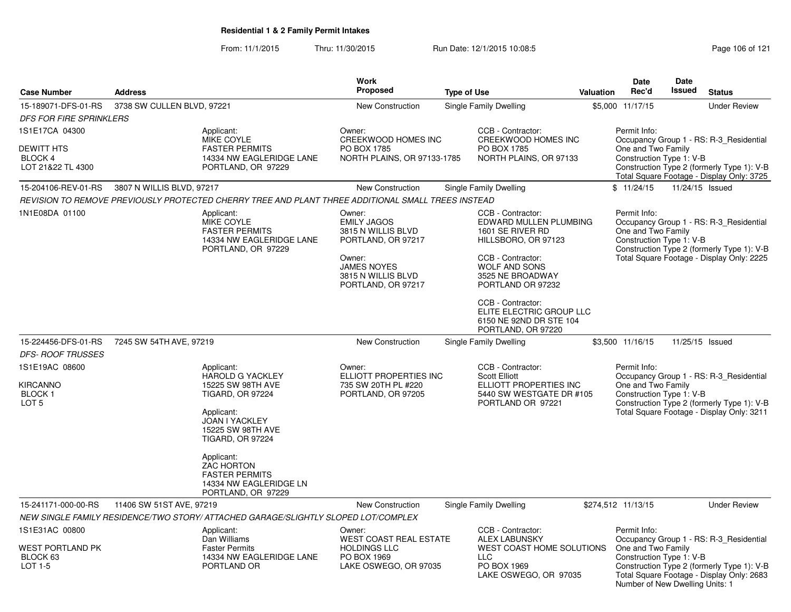From: 11/1/2015Thru: 11/30/2015 **Run Date: 12/1/2015 10:08:5** Page 106 of 121

| <b>Case Number</b>                                              | <b>Address</b>                                                                                      |                                                                                                                                                                       | Work<br><b>Proposed</b>                                                                         | <b>Type of Use</b>                                                                                                   | <b>Valuation</b> | Date<br>Rec'd                                                                                                                             | Date<br><b>Issued</b> | <b>Status</b>                                                                                                                      |  |
|-----------------------------------------------------------------|-----------------------------------------------------------------------------------------------------|-----------------------------------------------------------------------------------------------------------------------------------------------------------------------|-------------------------------------------------------------------------------------------------|----------------------------------------------------------------------------------------------------------------------|------------------|-------------------------------------------------------------------------------------------------------------------------------------------|-----------------------|------------------------------------------------------------------------------------------------------------------------------------|--|
| 15-189071-DFS-01-RS<br><b>DFS FOR FIRE SPRINKLERS</b>           | 3738 SW CULLEN BLVD, 97221                                                                          |                                                                                                                                                                       | <b>New Construction</b>                                                                         | Single Family Dwelling                                                                                               |                  | \$5.000 11/17/15                                                                                                                          |                       | <b>Under Review</b>                                                                                                                |  |
| 1S1E17CA 04300                                                  |                                                                                                     | Applicant:<br><b>MIKE COYLE</b>                                                                                                                                       | Owner:<br><b>CREEKWOOD HOMES INC</b>                                                            | CCB - Contractor:<br>CREEKWOOD HOMES INC                                                                             |                  | Permit Info:                                                                                                                              |                       | Occupancy Group 1 - RS: R-3 Residential                                                                                            |  |
| <b>DEWITT HTS</b><br>BLOCK 4<br>LOT 21&22 TL 4300               |                                                                                                     | <b>FASTER PERMITS</b><br>14334 NW EAGLERIDGE LANE<br>PORTLAND, OR 97229                                                                                               | PO BOX 1785<br>NORTH PLAINS, OR 97133-1785                                                      | PO BOX 1785<br>NORTH PLAINS, OR 97133                                                                                |                  | One and Two Family<br>Construction Type 1: V-B<br>Construction Type 2 (formerly Type 1): V-B<br>Total Square Footage - Display Only: 3725 |                       |                                                                                                                                    |  |
| 15-204106-REV-01-RS                                             | 3807 N WILLIS BLVD, 97217                                                                           |                                                                                                                                                                       | <b>New Construction</b>                                                                         | Single Family Dwelling                                                                                               |                  | \$11/24/15                                                                                                                                |                       | 11/24/15 Issued                                                                                                                    |  |
|                                                                 |                                                                                                     | REVISION TO REMOVE PREVIOUSLY PROTECTED CHERRY TREE AND PLANT THREE ADDITIONAL SMALL TREES INSTEAD                                                                    |                                                                                                 |                                                                                                                      |                  |                                                                                                                                           |                       |                                                                                                                                    |  |
| 1N1E08DA 01100                                                  | Applicant:<br>MIKE COYLE<br><b>FASTER PERMITS</b><br>14334 NW EAGLERIDGE LANE<br>PORTLAND, OR 97229 |                                                                                                                                                                       | Owner:<br><b>EMILY JAGOS</b><br>3815 N WILLIS BLVD<br>PORTLAND, OR 97217                        | CCB - Contractor:<br>EDWARD MULLEN PLUMBING<br>1601 SE RIVER RD<br>HILLSBORO, OR 97123                               |                  | Permit Info:<br>One and Two Family<br>Construction Type 1: V-B                                                                            |                       | Occupancy Group 1 - RS: R-3_Residential<br>Construction Type 2 (formerly Type 1): V-B                                              |  |
|                                                                 |                                                                                                     |                                                                                                                                                                       | Owner:<br><b>JAMES NOYES</b><br>3815 N WILLIS BLVD<br>PORTLAND, OR 97217                        | CCB - Contractor:<br><b>WOLF AND SONS</b><br>3525 NE BROADWAY<br>PORTLAND OR 97232                                   |                  |                                                                                                                                           |                       | Total Square Footage - Display Only: 2225                                                                                          |  |
|                                                                 |                                                                                                     |                                                                                                                                                                       |                                                                                                 | CCB - Contractor:<br>ELITE ELECTRIC GROUP LLC<br>6150 NE 92ND DR STE 104<br>PORTLAND, OR 97220                       |                  |                                                                                                                                           |                       |                                                                                                                                    |  |
| 15-224456-DFS-01-RS                                             | 7245 SW 54TH AVE, 97219                                                                             |                                                                                                                                                                       | New Construction                                                                                | Single Family Dwelling                                                                                               |                  | \$3,500 11/16/15                                                                                                                          |                       | 11/25/15 Issued                                                                                                                    |  |
| <b>DFS- ROOF TRUSSES</b>                                        |                                                                                                     |                                                                                                                                                                       |                                                                                                 |                                                                                                                      |                  |                                                                                                                                           |                       |                                                                                                                                    |  |
| 1S1E19AC 08600<br>KIRCANNO<br><b>BLOCK1</b><br>LOT <sub>5</sub> |                                                                                                     | Applicant:<br><b>HAROLD G YACKLEY</b><br>15225 SW 98TH AVE<br><b>TIGARD, OR 97224</b><br>Applicant:<br>JOAN I YACKLEY<br>15225 SW 98TH AVE<br><b>TIGARD, OR 97224</b> | Owner:<br>ELLIOTT PROPERTIES INC<br>735 SW 20TH PL #220<br>PORTLAND, OR 97205                   | CCB - Contractor:<br><b>Scott Elliott</b><br>ELLIOTT PROPERTIES INC<br>5440 SW WESTGATE DR #105<br>PORTLAND OR 97221 |                  | Permit Info:<br>One and Two Family<br>Construction Type 1: V-B                                                                            |                       | Occupancy Group 1 - RS: R-3 Residential<br>Construction Type 2 (formerly Type 1): V-B<br>Total Square Footage - Display Only: 3211 |  |
|                                                                 |                                                                                                     | Applicant:<br><b>ZAC HORTON</b><br><b>FASTER PERMITS</b><br>14334 NW EAGLERIDGE LN<br>PORTLAND, OR 97229                                                              |                                                                                                 |                                                                                                                      |                  |                                                                                                                                           |                       |                                                                                                                                    |  |
| 15-241171-000-00-RS                                             | 11406 SW 51ST AVE, 97219                                                                            |                                                                                                                                                                       | New Construction                                                                                | Single Family Dwelling                                                                                               |                  | \$274,512 11/13/15                                                                                                                        |                       | <b>Under Review</b>                                                                                                                |  |
|                                                                 |                                                                                                     | NEW SINGLE FAMILY RESIDENCE/TWO STORY/ ATTACHED GARAGE/SLIGHTLY SLOPED LOT/COMPLEX                                                                                    |                                                                                                 |                                                                                                                      |                  |                                                                                                                                           |                       |                                                                                                                                    |  |
| 1S1E31AC 00800<br>WEST PORTLAND PK<br>BLOCK 63<br>LOT 1-5       |                                                                                                     | Applicant:<br>Dan Williams<br><b>Faster Permits</b><br>14334 NW EAGLERIDGE LANE<br>PORTLAND OR                                                                        | Owner:<br>WEST COAST REAL ESTATE<br><b>HOLDINGS LLC</b><br>PO BOX 1969<br>LAKE OSWEGO, OR 97035 | CCB - Contractor:<br><b>ALEX LABUNSKY</b><br>WEST COAST HOME SOLUTIONS<br><b>LLC</b><br>PO BOX 1969                  |                  | Permit Info:<br>One and Two Family<br>Construction Type 1: V-B                                                                            |                       | Occupancy Group 1 - RS: R-3 Residential<br>Construction Type 2 (formerly Type 1): V-B                                              |  |
|                                                                 |                                                                                                     |                                                                                                                                                                       |                                                                                                 | LAKE OSWEGO, OR 97035                                                                                                |                  | Number of New Dwelling Units: 1                                                                                                           |                       | Total Square Footage - Display Only: 2683                                                                                          |  |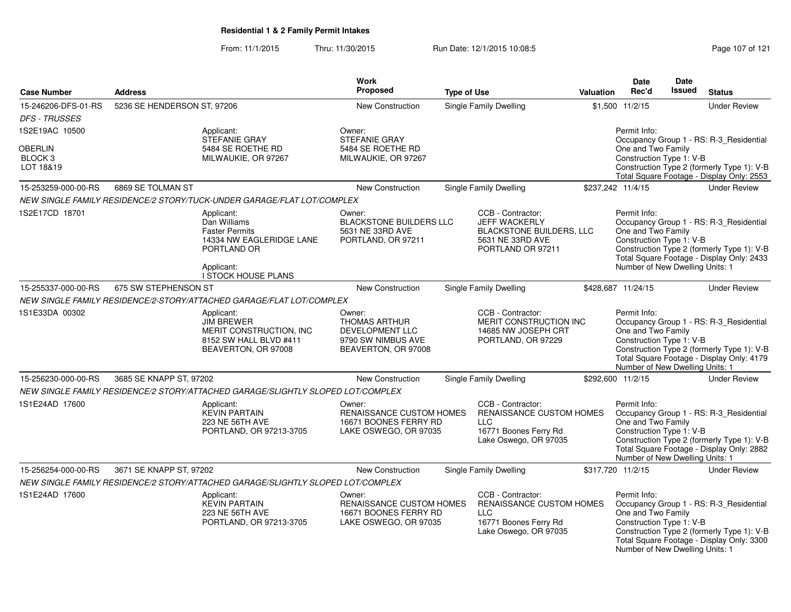### From: 11/1/2015Thru: 11/30/2015 Run Date: 12/1/2015 10:08:5<br>
Page 107 of 121

| <b>Case Number</b>                          | <b>Address</b>              |                                                                                                                                     | Work<br><b>Proposed</b>                                                                        | <b>Type of Use</b> |                                                                                                                      | <b>Valuation</b> | <b>Date</b><br>Rec'd                                                                              | <b>Date</b><br>Issued | <b>Status</b>                                                                                                                      |
|---------------------------------------------|-----------------------------|-------------------------------------------------------------------------------------------------------------------------------------|------------------------------------------------------------------------------------------------|--------------------|----------------------------------------------------------------------------------------------------------------------|------------------|---------------------------------------------------------------------------------------------------|-----------------------|------------------------------------------------------------------------------------------------------------------------------------|
| 15-246206-DFS-01-RS<br><b>DFS - TRUSSES</b> | 5236 SE HENDERSON ST, 97206 |                                                                                                                                     | New Construction                                                                               |                    | Single Family Dwelling                                                                                               |                  | \$1,500 11/2/15                                                                                   |                       | <b>Under Review</b>                                                                                                                |
| 1S2E19AC 10500                              |                             | Applicant:                                                                                                                          | Owner:                                                                                         |                    |                                                                                                                      |                  | Permit Info:                                                                                      |                       |                                                                                                                                    |
| OBERLIN<br>BLOCK <sub>3</sub><br>LOT 18&19  |                             | <b>STEFANIE GRAY</b><br>5484 SE ROETHE RD<br>MILWAUKIE, OR 97267                                                                    | <b>STEFANIE GRAY</b><br>5484 SE ROETHE RD<br>MILWAUKIE, OR 97267                               |                    |                                                                                                                      |                  | One and Two Family<br>Construction Type 1: V-B                                                    |                       | Occupancy Group 1 - RS: R-3_Residential<br>Construction Type 2 (formerly Type 1): V-B<br>Total Square Footage - Display Only: 2553 |
| 15-253259-000-00-RS                         | 6869 SE TOLMAN ST           |                                                                                                                                     | New Construction                                                                               |                    | <b>Single Family Dwelling</b>                                                                                        |                  | \$237,242 11/4/15                                                                                 |                       | <b>Under Review</b>                                                                                                                |
|                                             |                             | NEW SINGLE FAMILY RESIDENCE/2 STORY/TUCK-UNDER GARAGE/FLAT LOT/COMPLEX                                                              |                                                                                                |                    |                                                                                                                      |                  |                                                                                                   |                       |                                                                                                                                    |
| 1S2E17CD 18701                              |                             | Applicant:<br>Dan Williams<br><b>Faster Permits</b><br>14334 NW EAGLERIDGE LANE<br>PORTLAND OR<br>Applicant:<br>I STOCK HOUSE PLANS | Owner:<br><b>BLACKSTONE BUILDERS LLC</b><br>5631 NE 33RD AVE<br>PORTLAND, OR 97211             |                    | CCB - Contractor:<br>JEFF WACKERLY<br>BLACKSTONE BUILDERS, LLC<br>5631 NE 33RD AVE<br>PORTLAND OR 97211              |                  | Permit Info:<br>One and Two Family<br>Construction Type 1: V-B<br>Number of New Dwelling Units: 1 |                       | Occupancy Group 1 - RS: R-3_Residential<br>Construction Type 2 (formerly Type 1): V-B<br>Total Square Footage - Display Only: 2433 |
| 15-255337-000-00-RS                         | 675 SW STEPHENSON ST        |                                                                                                                                     | New Construction                                                                               |                    | <b>Single Family Dwelling</b>                                                                                        |                  | \$428,687 11/24/15                                                                                |                       | <b>Under Review</b>                                                                                                                |
|                                             |                             | NEW SINGLE FAMILY RESIDENCE/2-STORY/ATTACHED GARAGE/FLAT LOT/COMPLEX                                                                |                                                                                                |                    |                                                                                                                      |                  |                                                                                                   |                       |                                                                                                                                    |
| 1S1E33DA 00302                              |                             | Applicant:<br><b>JIM BREWER</b><br>MERIT CONSTRUCTION, INC.<br>8152 SW HALL BLVD #411<br>BEAVERTON, OR 97008                        | Owner:<br><b>THOMAS ARTHUR</b><br>DEVELOPMENT LLC<br>9790 SW NIMBUS AVE<br>BEAVERTON, OR 97008 |                    | CCB - Contractor:<br>MERIT CONSTRUCTION INC<br>14685 NW JOSEPH CRT<br>PORTLAND, OR 97229                             |                  | Permit Info:<br>One and Two Family<br>Construction Type 1: V-B<br>Number of New Dwelling Units: 1 |                       | Occupancy Group 1 - RS: R-3_Residential<br>Construction Type 2 (formerly Type 1): V-B<br>Total Square Footage - Display Only: 4179 |
| 15-256230-000-00-RS                         | 3685 SE KNAPP ST, 97202     |                                                                                                                                     | New Construction                                                                               |                    | Single Family Dwelling                                                                                               |                  | \$292,600 11/2/15                                                                                 |                       | <b>Under Review</b>                                                                                                                |
|                                             |                             | NEW SINGLE FAMILY RESIDENCE/2 STORY/ATTACHED GARAGE/SLIGHTLY SLOPED LOT/COMPLEX                                                     |                                                                                                |                    |                                                                                                                      |                  |                                                                                                   |                       |                                                                                                                                    |
| 1S1E24AD 17600                              |                             | Applicant:<br><b>KEVIN PARTAIN</b><br>223 NE 56TH AVE<br>PORTLAND, OR 97213-3705                                                    | Owner:<br><b>RENAISSANCE CUSTOM HOMES</b><br>16671 BOONES FERRY RD<br>LAKE OSWEGO, OR 97035    |                    | CCB - Contractor:<br><b>RENAISSANCE CUSTOM HOMES</b><br><b>LLC</b><br>16771 Boones Ferry Rd<br>Lake Oswego, OR 97035 |                  | Permit Info:<br>One and Two Family<br>Construction Type 1: V-B<br>Number of New Dwelling Units: 1 |                       | Occupancy Group 1 - RS: R-3_Residential<br>Construction Type 2 (formerly Type 1): V-B<br>Total Square Footage - Display Only: 2882 |
| 15-256254-000-00-RS                         | 3671 SE KNAPP ST, 97202     |                                                                                                                                     | New Construction                                                                               |                    | <b>Single Family Dwelling</b>                                                                                        |                  | \$317,720 11/2/15                                                                                 |                       | <b>Under Review</b>                                                                                                                |
|                                             |                             | NEW SINGLE FAMILY RESIDENCE/2 STORY/ATTACHED GARAGE/SLIGHTLY SLOPED LOT/COMPLEX                                                     |                                                                                                |                    |                                                                                                                      |                  |                                                                                                   |                       |                                                                                                                                    |
| 1S1E24AD 17600                              |                             | Applicant:<br><b>KEVIN PARTAIN</b><br>223 NE 56TH AVE<br>PORTLAND, OR 97213-3705                                                    | Owner:<br>RENAISSANCE CUSTOM HOMES<br>16671 BOONES FERRY RD<br>LAKE OSWEGO, OR 97035           |                    | CCB - Contractor:<br>RENAISSANCE CUSTOM HOMES<br><b>LLC</b><br>16771 Boones Ferry Rd<br>Lake Oswego, OR 97035        |                  | Permit Info:<br>One and Two Family<br>Construction Type 1: V-B<br>Number of New Dwelling Units: 1 |                       | Occupancy Group 1 - RS: R-3_Residential<br>Construction Type 2 (formerly Type 1): V-B<br>Total Square Footage - Display Only: 3300 |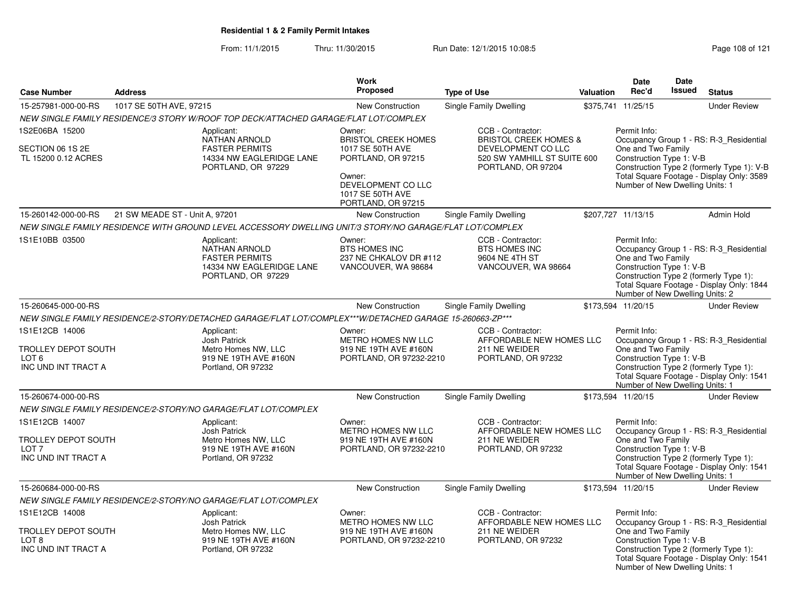From: 11/1/2015Thru: 11/30/2015 Run Date: 12/1/2015 10:08:5<br>
Rage 108 of 121

|                                                                                         |                                |                                                                                                               | <b>Work</b>                                                                                                                                              |                                                                                                                                  |           | <b>Date</b>                                                                                       | <b>Date</b> |                                                                                                                                    |
|-----------------------------------------------------------------------------------------|--------------------------------|---------------------------------------------------------------------------------------------------------------|----------------------------------------------------------------------------------------------------------------------------------------------------------|----------------------------------------------------------------------------------------------------------------------------------|-----------|---------------------------------------------------------------------------------------------------|-------------|------------------------------------------------------------------------------------------------------------------------------------|
| <b>Case Number</b>                                                                      | <b>Address</b>                 |                                                                                                               | <b>Proposed</b>                                                                                                                                          | <b>Type of Use</b>                                                                                                               | Valuation | Rec'd                                                                                             | Issued      | <b>Status</b>                                                                                                                      |
| 15-257981-000-00-RS                                                                     | 1017 SE 50TH AVE, 97215        |                                                                                                               | New Construction                                                                                                                                         | Single Family Dwelling                                                                                                           |           | \$375,741 11/25/15                                                                                |             | <b>Under Review</b>                                                                                                                |
|                                                                                         |                                | NEW SINGLE FAMILY RESIDENCE/3 STORY W/ROOF TOP DECK/ATTACHED GARAGE/FLAT LOT/COMPLEX                          |                                                                                                                                                          |                                                                                                                                  |           |                                                                                                   |             |                                                                                                                                    |
| 1S2E06BA 15200<br>SECTION 06 1S 2E<br>TL 15200 0.12 ACRES                               |                                | Applicant:<br>NATHAN ARNOLD<br><b>FASTER PERMITS</b><br>14334 NW EAGLERIDGE LANE<br>PORTLAND, OR 97229        | Owner:<br><b>BRISTOL CREEK HOMES</b><br>1017 SE 50TH AVE<br>PORTLAND, OR 97215<br>Owner:<br>DEVELOPMENT CO LLC<br>1017 SE 50TH AVE<br>PORTLAND, OR 97215 | CCB - Contractor:<br><b>BRISTOL CREEK HOMES &amp;</b><br>DEVELOPMENT CO LLC<br>520 SW YAMHILL ST SUITE 600<br>PORTLAND, OR 97204 |           | Permit Info:<br>One and Two Family<br>Construction Type 1: V-B<br>Number of New Dwelling Units: 1 |             | Occupancy Group 1 - RS: R-3_Residential<br>Construction Type 2 (formerly Type 1): V-B<br>Total Square Footage - Display Only: 3589 |
| 15-260142-000-00-RS                                                                     | 21 SW MEADE ST - Unit A, 97201 |                                                                                                               | New Construction                                                                                                                                         | Single Family Dwelling                                                                                                           |           | \$207,727 11/13/15                                                                                |             | <b>Admin Hold</b>                                                                                                                  |
|                                                                                         |                                | NEW SINGLE FAMILY RESIDENCE WITH GROUND LEVEL ACCESSORY DWELLING UNIT/3 STORY/NO GARAGE/FLAT LOT/COMPLEX      |                                                                                                                                                          |                                                                                                                                  |           |                                                                                                   |             |                                                                                                                                    |
| 1S1E10BB 03500                                                                          |                                | Applicant:<br><b>NATHAN ARNOLD</b><br><b>FASTER PERMITS</b><br>14334 NW EAGLERIDGE LANE<br>PORTLAND, OR 97229 | Owner:<br><b>BTS HOMES INC</b><br>237 NE CHKALOV DR #112<br>VANCOUVER, WA 98684                                                                          | CCB - Contractor:<br><b>BTS HOMES INC</b><br>9604 NE 4TH ST<br>VANCOUVER, WA 98664                                               |           | Permit Info:<br>One and Two Family<br>Construction Type 1: V-B<br>Number of New Dwelling Units: 2 |             | Occupancy Group 1 - RS: R-3_Residential<br>Construction Type 2 (formerly Type 1):<br>Total Square Footage - Display Only: 1844     |
| 15-260645-000-00-RS                                                                     |                                |                                                                                                               | New Construction                                                                                                                                         | Single Family Dwelling                                                                                                           |           | \$173,594 11/20/15                                                                                |             | <b>Under Review</b>                                                                                                                |
|                                                                                         |                                | NEW SINGLE FAMILY RESIDENCE/2-STORY/DETACHED GARAGE/FLAT LOT/COMPLEX***W/DETACHED GARAGE 15-260663-ZP***      |                                                                                                                                                          |                                                                                                                                  |           |                                                                                                   |             |                                                                                                                                    |
| 1S1E12CB 14006<br><b>TROLLEY DEPOT SOUTH</b><br>LOT <sub>6</sub><br>INC UND INT TRACT A |                                | Applicant:<br><b>Josh Patrick</b><br>Metro Homes NW, LLC<br>919 NE 19TH AVE #160N<br>Portland, OR 97232       | Owner:<br>METRO HOMES NW LLC<br>919 NE 19TH AVE #160N<br>PORTLAND, OR 97232-2210                                                                         | CCB - Contractor:<br>AFFORDABLE NEW HOMES LLC<br>211 NE WEIDER<br>PORTLAND, OR 97232                                             |           | Permit Info:<br>One and Two Family<br>Construction Type 1: V-B<br>Number of New Dwelling Units: 1 |             | Occupancy Group 1 - RS: R-3_Residential<br>Construction Type 2 (formerly Type 1):<br>Total Square Footage - Display Only: 1541     |
| 15-260674-000-00-RS                                                                     |                                |                                                                                                               | New Construction                                                                                                                                         | Single Family Dwelling                                                                                                           |           | \$173,594 11/20/15                                                                                |             | <b>Under Review</b>                                                                                                                |
|                                                                                         |                                | NEW SINGLE FAMILY RESIDENCE/2-STORY/NO GARAGE/FLAT LOT/COMPLEX                                                |                                                                                                                                                          |                                                                                                                                  |           |                                                                                                   |             |                                                                                                                                    |
| 1S1E12CB 14007<br><b>TROLLEY DEPOT SOUTH</b><br>LOT <sub>7</sub><br>INC UND INT TRACT A |                                | Applicant:<br><b>Josh Patrick</b><br>Metro Homes NW, LLC<br>919 NE 19TH AVE #160N<br>Portland, OR 97232       | Owner:<br><b>METRO HOMES NW LLC</b><br>919 NE 19TH AVE #160N<br>PORTLAND, OR 97232-2210                                                                  | CCB - Contractor:<br>AFFORDABLE NEW HOMES LLC<br>211 NE WEIDER<br>PORTLAND, OR 97232                                             |           | Permit Info:<br>One and Two Family<br>Construction Type 1: V-B<br>Number of New Dwelling Units: 1 |             | Occupancy Group 1 - RS: R-3 Residential<br>Construction Type 2 (formerly Type 1):<br>Total Square Footage - Display Only: 1541     |
| 15-260684-000-00-RS                                                                     |                                |                                                                                                               | <b>New Construction</b>                                                                                                                                  | Single Family Dwelling                                                                                                           |           | \$173,594 11/20/15                                                                                |             | <b>Under Review</b>                                                                                                                |
|                                                                                         |                                | NEW SINGLE FAMILY RESIDENCE/2-STORY/NO GARAGE/FLAT LOT/COMPLEX                                                |                                                                                                                                                          |                                                                                                                                  |           |                                                                                                   |             |                                                                                                                                    |
| 1S1E12CB 14008                                                                          |                                | Applicant:                                                                                                    | Owner:                                                                                                                                                   | CCB - Contractor:                                                                                                                |           | Permit Info:                                                                                      |             |                                                                                                                                    |
| <b>TROLLEY DEPOT SOUTH</b><br>LOT 8<br>INC UND INT TRACT A                              |                                | Josh Patrick<br>Metro Homes NW, LLC<br>919 NE 19TH AVE #160N<br>Portland, OR 97232                            | METRO HOMES NW LLC<br>919 NE 19TH AVE #160N<br>PORTLAND, OR 97232-2210                                                                                   | AFFORDABLE NEW HOMES LLC<br>211 NE WEIDER<br>PORTLAND, OR 97232                                                                  |           | One and Two Family<br>Construction Type 1: V-B<br>Number of New Dwelling Units: 1                 |             | Occupancy Group 1 - RS: R-3_Residential<br>Construction Type 2 (formerly Type 1):<br>Total Square Footage - Display Only: 1541     |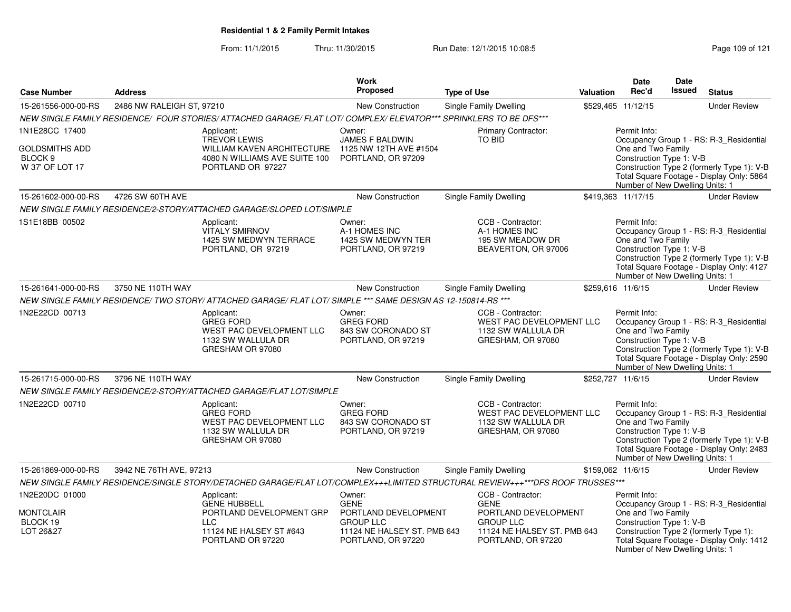From: 11/1/2015Thru: 11/30/2015 Run Date: 12/1/2015 10:08:5<br>
Page 109 of 121

|                                                         |                           |                                                                                                                                | Work                                                                   |                                                                                          |                  | <b>Date</b>                                                                                       | <b>Date</b> |                                                                                                                                    |
|---------------------------------------------------------|---------------------------|--------------------------------------------------------------------------------------------------------------------------------|------------------------------------------------------------------------|------------------------------------------------------------------------------------------|------------------|---------------------------------------------------------------------------------------------------|-------------|------------------------------------------------------------------------------------------------------------------------------------|
| <b>Case Number</b>                                      | <b>Address</b>            |                                                                                                                                | <b>Proposed</b>                                                        | <b>Type of Use</b>                                                                       | <b>Valuation</b> | Rec'd                                                                                             | Issued      | <b>Status</b>                                                                                                                      |
| 15-261556-000-00-RS                                     | 2486 NW RALEIGH ST, 97210 |                                                                                                                                | New Construction                                                       | <b>Single Family Dwelling</b>                                                            |                  | \$529,465 11/12/15                                                                                |             | <b>Under Review</b>                                                                                                                |
|                                                         |                           | NEW SINGLE FAMILY RESIDENCE/ FOUR STORIES/ ATTACHED GARAGE/ FLAT LOT/ COMPLEX/ ELEVATOR*** SPRINKLERS TO BE DFS***             |                                                                        |                                                                                          |                  |                                                                                                   |             |                                                                                                                                    |
| 1N1E28CC 17400                                          |                           | Applicant:                                                                                                                     | Owner:                                                                 | Primary Contractor:                                                                      |                  | Permit Info:                                                                                      |             |                                                                                                                                    |
| GOLDSMITHS ADD<br>BLOCK <sub>9</sub><br>W 37' OF LOT 17 |                           | <b>TREVOR LEWIS</b><br>WILLIAM KAVEN ARCHITECTURE<br>4080 N WILLIAMS AVE SUITE 100<br>PORTLAND OR 97227                        | <b>JAMES F BALDWIN</b><br>1125 NW 12TH AVE #1504<br>PORTLAND, OR 97209 | <b>TO BID</b>                                                                            |                  | One and Two Family<br>Construction Type 1: V-B<br>Number of New Dwelling Units: 1                 |             | Occupancy Group 1 - RS: R-3_Residential<br>Construction Type 2 (formerly Type 1): V-B<br>Total Square Footage - Display Only: 5864 |
| 15-261602-000-00-RS                                     | 4726 SW 60TH AVE          |                                                                                                                                | New Construction                                                       | Single Family Dwelling                                                                   |                  | \$419,363 11/17/15                                                                                |             | <b>Under Review</b>                                                                                                                |
|                                                         |                           | NEW SINGLE FAMILY RESIDENCE/2-STORY/ATTACHED GARAGE/SLOPED LOT/SIMPLE                                                          |                                                                        |                                                                                          |                  |                                                                                                   |             |                                                                                                                                    |
| 1S1E18BB 00502                                          |                           | Applicant:<br><b>VITALY SMIRNOV</b><br>1425 SW MEDWYN TERRACE<br>PORTLAND, OR 97219                                            | Owner:<br>A-1 HOMES INC<br>1425 SW MEDWYN TER<br>PORTLAND, OR 97219    | CCB - Contractor:<br>A-1 HOMES INC<br>195 SW MEADOW DR<br>BEAVERTON, OR 97006            |                  | Permit Info:<br>One and Two Family<br>Construction Type 1: V-B<br>Number of New Dwelling Units: 1 |             | Occupancy Group 1 - RS: R-3_Residential<br>Construction Type 2 (formerly Type 1): V-B<br>Total Square Footage - Display Only: 4127 |
| 15-261641-000-00-RS                                     | 3750 NE 110TH WAY         |                                                                                                                                | New Construction                                                       | Single Family Dwelling                                                                   |                  | \$259.616 11/6/15                                                                                 |             | <b>Under Review</b>                                                                                                                |
|                                                         |                           | NEW SINGLE FAMILY RESIDENCE/ TWO STORY/ ATTACHED GARAGE/ FLAT LOT/ SIMPLE *** SAME DESIGN AS 12-150814-RS ***                  |                                                                        |                                                                                          |                  |                                                                                                   |             |                                                                                                                                    |
| 1N2E22CD 00713                                          |                           | Applicant:<br><b>GREG FORD</b><br>WEST PAC DEVELOPMENT LLC<br>1132 SW WALLULA DR<br>GRESHAM OR 97080                           | Owner:<br><b>GREG FORD</b><br>843 SW CORONADO ST<br>PORTLAND, OR 97219 | CCB - Contractor:<br>WEST PAC DEVELOPMENT LLC<br>1132 SW WALLULA DR<br>GRESHAM, OR 97080 |                  | Permit Info:<br>One and Two Family<br>Construction Type 1: V-B<br>Number of New Dwelling Units: 1 |             | Occupancy Group 1 - RS: R-3 Residential<br>Construction Type 2 (formerly Type 1): V-B<br>Total Square Footage - Display Only: 2590 |
| 15-261715-000-00-RS                                     | 3796 NE 110TH WAY         |                                                                                                                                | New Construction                                                       | Single Family Dwelling                                                                   |                  | \$252,727 11/6/15                                                                                 |             | <b>Under Review</b>                                                                                                                |
|                                                         |                           | NEW SINGLE FAMILY RESIDENCE/2-STORY/ATTACHED GARAGE/FLAT LOT/SIMPLE                                                            |                                                                        |                                                                                          |                  |                                                                                                   |             |                                                                                                                                    |
| 1N2E22CD 00710                                          |                           | Applicant:<br><b>GREG FORD</b><br>WEST PAC DEVELOPMENT LLC<br>1132 SW WALLULA DR<br>GRESHAM OR 97080                           | Owner:<br><b>GREG FORD</b><br>843 SW CORONADO ST<br>PORTLAND, OR 97219 | CCB - Contractor:<br>WEST PAC DEVELOPMENT LLC<br>1132 SW WALLULA DR<br>GRESHAM, OR 97080 |                  | Permit Info:<br>One and Two Family<br>Construction Type 1: V-B<br>Number of New Dwelling Units: 1 |             | Occupancy Group 1 - RS: R-3_Residential<br>Construction Type 2 (formerly Type 1): V-B<br>Total Square Footage - Display Only: 2483 |
| 15-261869-000-00-RS                                     | 3942 NE 76TH AVE, 97213   |                                                                                                                                | <b>New Construction</b>                                                | Single Family Dwelling                                                                   |                  | \$159,062 11/6/15                                                                                 |             | <b>Under Review</b>                                                                                                                |
|                                                         |                           | NEW SINGLE FAMILY RESIDENCE/SINGLE STORY/DETACHED GARAGE/FLAT LOT/COMPLEX+++LIMITED STRUCTURAL REVIEW+++***DFS ROOF TRUSSES*** |                                                                        |                                                                                          |                  |                                                                                                   |             |                                                                                                                                    |
| 1N2E20DC 01000<br>MONTCLAIR                             |                           | Applicant:<br><b>GENE HUBBELL</b><br>PORTLAND DEVELOPMENT GRP                                                                  | Owner:<br><b>GENE</b><br>PORTLAND DEVELOPMENT                          | CCB - Contractor:<br><b>GENE</b><br>PORTLAND DEVELOPMENT                                 |                  | Permit Info:<br>One and Two Family                                                                |             | Occupancy Group 1 - RS: R-3_Residential                                                                                            |
| BLOCK 19<br>LOT 26&27                                   |                           | <b>LLC</b><br>11124 NE HALSEY ST #643<br>PORTLAND OR 97220                                                                     | <b>GROUP LLC</b><br>11124 NE HALSEY ST. PMB 643<br>PORTLAND, OR 97220  | <b>GROUP LLC</b><br>11124 NE HALSEY ST. PMB 643<br>PORTLAND, OR 97220                    |                  | Construction Type 1: V-B<br>Number of New Dwelling Units: 1                                       |             | Construction Type 2 (formerly Type 1):<br>Total Square Footage - Display Only: 1412                                                |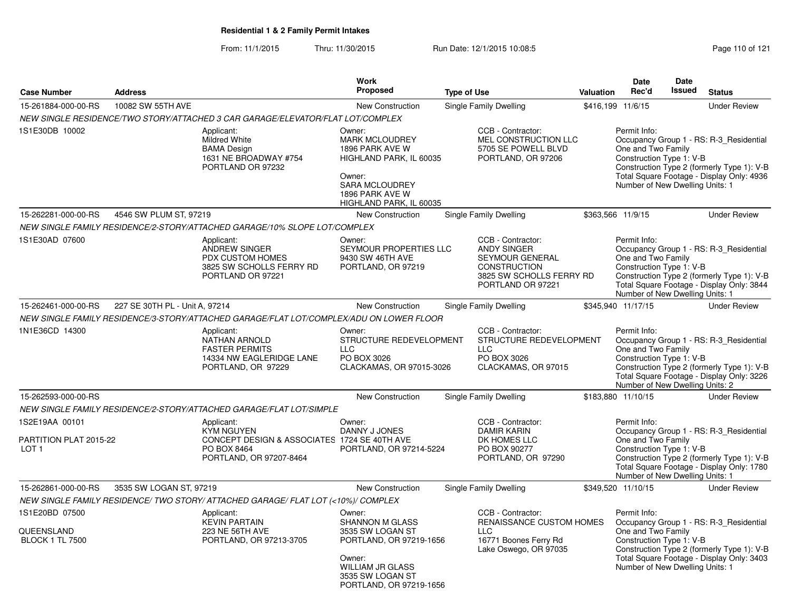From: 11/1/2015Thru: 11/30/2015 Run Date: 12/1/2015 10:08:5<br>
Page 110 of 121

|                                                              |                                |                                                                                                                           | Work                                                                                                                                                                |                    |                                                                                                                                    |           | <b>Date</b>                                                                                       | Date          |                                                                                                                                    |
|--------------------------------------------------------------|--------------------------------|---------------------------------------------------------------------------------------------------------------------------|---------------------------------------------------------------------------------------------------------------------------------------------------------------------|--------------------|------------------------------------------------------------------------------------------------------------------------------------|-----------|---------------------------------------------------------------------------------------------------|---------------|------------------------------------------------------------------------------------------------------------------------------------|
| <b>Case Number</b>                                           | <b>Address</b>                 |                                                                                                                           | <b>Proposed</b>                                                                                                                                                     | <b>Type of Use</b> |                                                                                                                                    | Valuation | Rec'd                                                                                             | <b>Issued</b> | <b>Status</b>                                                                                                                      |
| 15-261884-000-00-RS                                          | 10082 SW 55TH AVE              |                                                                                                                           | New Construction                                                                                                                                                    |                    | Single Family Dwelling                                                                                                             |           | \$416,199 11/6/15                                                                                 |               | <b>Under Review</b>                                                                                                                |
|                                                              |                                | NEW SINGLE RESIDENCE/TWO STORY/ATTACHED 3 CAR GARAGE/ELEVATOR/FLAT LOT/COMPLEX                                            |                                                                                                                                                                     |                    |                                                                                                                                    |           |                                                                                                   |               |                                                                                                                                    |
| 1S1E30DB 10002                                               |                                | Applicant:<br>Mildred White<br><b>BAMA Design</b><br>1631 NE BROADWAY #754<br>PORTLAND OR 97232                           | Owner:<br><b>MARK MCLOUDREY</b><br>1896 PARK AVE W<br>HIGHLAND PARK, IL 60035<br>Owner:<br>SARA MCLOUDREY<br>1896 PARK AVE W<br>HIGHLAND PARK, IL 60035             |                    | CCB - Contractor:<br>MEL CONSTRUCTION LLC<br>5705 SE POWELL BLVD<br>PORTLAND, OR 97206                                             |           | Permit Info:<br>One and Two Family<br>Construction Type 1: V-B<br>Number of New Dwelling Units: 1 |               | Occupancy Group 1 - RS: R-3_Residential<br>Construction Type 2 (formerly Type 1): V-B<br>Total Square Footage - Display Only: 4936 |
| 15-262281-000-00-RS                                          | 4546 SW PLUM ST, 97219         |                                                                                                                           | New Construction                                                                                                                                                    |                    | Single Family Dwelling                                                                                                             |           | \$363,566 11/9/15                                                                                 |               | <b>Under Review</b>                                                                                                                |
|                                                              |                                | NEW SINGLE FAMILY RESIDENCE/2-STORY/ATTACHED GARAGE/10% SLOPE LOT/COMPLEX                                                 |                                                                                                                                                                     |                    |                                                                                                                                    |           |                                                                                                   |               |                                                                                                                                    |
| 1S1E30AD 07600                                               |                                | Applicant:<br><b>ANDREW SINGER</b><br>PDX CUSTOM HOMES<br>3825 SW SCHOLLS FERRY RD<br>PORTLAND OR 97221                   | Owner:<br>SEYMOUR PROPERTIES LLC<br>9430 SW 46TH AVE<br>PORTLAND, OR 97219                                                                                          |                    | CCB - Contractor:<br><b>ANDY SINGER</b><br>SEYMOUR GENERAL<br><b>CONSTRUCTION</b><br>3825 SW SCHOLLS FERRY RD<br>PORTLAND OR 97221 |           | Permit Info:<br>One and Two Family<br>Construction Type 1: V-B<br>Number of New Dwelling Units: 1 |               | Occupancy Group 1 - RS: R-3_Residential<br>Construction Type 2 (formerly Type 1): V-B<br>Total Square Footage - Display Only: 3844 |
| 15-262461-000-00-RS                                          | 227 SE 30TH PL - Unit A, 97214 |                                                                                                                           | New Construction                                                                                                                                                    |                    | Single Family Dwelling                                                                                                             |           | \$345,940 11/17/15                                                                                |               | <b>Under Review</b>                                                                                                                |
|                                                              |                                | NEW SINGLE FAMILY RESIDENCE/3-STORY/ATTACHED GARAGE/FLAT LOT/COMPLEX/ADU ON LOWER FLOOR                                   |                                                                                                                                                                     |                    |                                                                                                                                    |           |                                                                                                   |               |                                                                                                                                    |
| 1N1E36CD 14300                                               |                                | Applicant:<br>NATHAN ARNOLD<br><b>FASTER PERMITS</b><br>14334 NW EAGLERIDGE LANE<br>PORTLAND, OR 97229                    | Owner:<br>STRUCTURE REDEVELOPMENT<br>$\sqcup$ C<br>PO BOX 3026<br>CLACKAMAS, OR 97015-3026                                                                          |                    | CCB - Contractor:<br>STRUCTURE REDEVELOPMENT<br><b>LLC</b><br>PO BOX 3026<br>CLACKAMAS, OR 97015                                   |           | Permit Info:<br>One and Two Family<br>Construction Type 1: V-B<br>Number of New Dwelling Units: 2 |               | Occupancy Group 1 - RS: R-3_Residential<br>Construction Type 2 (formerly Type 1): V-B<br>Total Square Footage - Display Only: 3226 |
| 15-262593-000-00-RS                                          |                                |                                                                                                                           | New Construction                                                                                                                                                    |                    | Single Family Dwelling                                                                                                             |           | \$183,880 11/10/15                                                                                |               | <b>Under Review</b>                                                                                                                |
|                                                              |                                | NEW SINGLE FAMILY RESIDENCE/2-STORY/ATTACHED GARAGE/FLAT LOT/SIMPLE                                                       |                                                                                                                                                                     |                    |                                                                                                                                    |           |                                                                                                   |               |                                                                                                                                    |
| 1S2E19AA 00101<br>PARTITION PLAT 2015-22<br>LOT <sub>1</sub> |                                | Applicant:<br><b>KYM NGUYEN</b><br>CONCEPT DESIGN & ASSOCIATES 1724 SE 40TH AVE<br>PO BOX 8464<br>PORTLAND, OR 97207-8464 | Owner:<br>DANNY J JONES<br>PORTLAND, OR 97214-5224                                                                                                                  |                    | CCB - Contractor:<br><b>DAMIR KARIN</b><br>DK HOMES LLC<br>PO BOX 90277<br>PORTLAND, OR 97290                                      |           | Permit Info:<br>One and Two Family<br>Construction Type 1: V-B<br>Number of New Dwelling Units: 1 |               | Occupancy Group 1 - RS: R-3_Residential<br>Construction Type 2 (formerly Type 1): V-B<br>Total Square Footage - Display Only: 1780 |
| 15-262861-000-00-RS                                          | 3535 SW LOGAN ST, 97219        |                                                                                                                           | <b>New Construction</b>                                                                                                                                             |                    | <b>Single Family Dwelling</b>                                                                                                      |           | \$349,520 11/10/15                                                                                |               | <b>Under Review</b>                                                                                                                |
|                                                              |                                | NEW SINGLE FAMILY RESIDENCE/ TWO STORY/ ATTACHED GARAGE/ FLAT LOT (<10%)/ COMPLEX                                         |                                                                                                                                                                     |                    |                                                                                                                                    |           |                                                                                                   |               |                                                                                                                                    |
| 1S1E20BD 07500<br>QUEENSLAND<br><b>BLOCK 1 TL 7500</b>       |                                | Applicant:<br><b>KEVIN PARTAIN</b><br>223 NE 56TH AVE<br>PORTLAND, OR 97213-3705                                          | Owner:<br><b>SHANNON M GLASS</b><br>3535 SW LOGAN ST<br>PORTLAND, OR 97219-1656<br>Owner:<br><b>WILLIAM JR GLASS</b><br>3535 SW LOGAN ST<br>PORTLAND, OR 97219-1656 |                    | CCB - Contractor:<br><b>RENAISSANCE CUSTOM HOMES</b><br><b>LLC</b><br>16771 Boones Ferry Rd<br>Lake Oswego, OR 97035               |           | Permit Info:<br>One and Two Family<br>Construction Type 1: V-B<br>Number of New Dwelling Units: 1 |               | Occupancy Group 1 - RS: R-3_Residential<br>Construction Type 2 (formerly Type 1): V-B<br>Total Square Footage - Display Only: 3403 |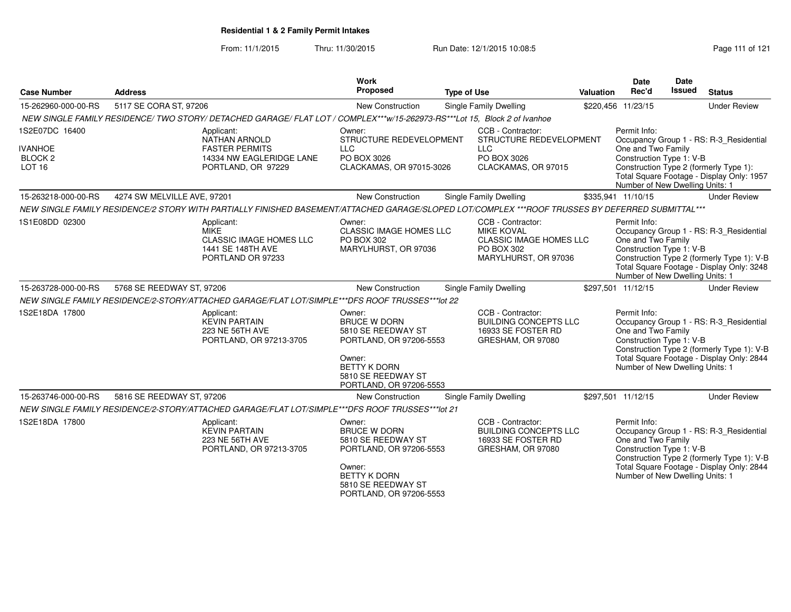From: 11/1/2015Thru: 11/30/2015 Run Date: 12/1/2015 10:08:5<br>
Rage 111 of 121

| <b>Case Number</b>                                                  | <b>Address</b>                                                                                                                                   | <b>Work</b><br>Proposed                                                                                                                                          | <b>Type of Use</b>                                                                                             | Valuation | Date<br>Rec'd                                                                                     | Date<br><b>Issued</b> | <b>Status</b>                                                                                                                      |
|---------------------------------------------------------------------|--------------------------------------------------------------------------------------------------------------------------------------------------|------------------------------------------------------------------------------------------------------------------------------------------------------------------|----------------------------------------------------------------------------------------------------------------|-----------|---------------------------------------------------------------------------------------------------|-----------------------|------------------------------------------------------------------------------------------------------------------------------------|
| 15-262960-000-00-RS                                                 | 5117 SE CORA ST, 97206                                                                                                                           | New Construction                                                                                                                                                 | Single Family Dwelling                                                                                         |           | \$220,456 11/23/15                                                                                |                       | <b>Under Review</b>                                                                                                                |
|                                                                     | NEW SINGLE FAMILY RESIDENCE/ TWO STORY/ DETACHED GARAGE/ FLAT LOT / COMPLEX***w/15-262973-RS***Lot 15, Block 2 of Ivanhoe                        |                                                                                                                                                                  |                                                                                                                |           |                                                                                                   |                       |                                                                                                                                    |
| 1S2E07DC 16400<br><b>IVANHOE</b><br><b>BLOCK 2</b><br><b>LOT 16</b> | Applicant:<br><b>NATHAN ARNOLD</b><br><b>FASTER PERMITS</b><br>14334 NW EAGLERIDGE LANE<br>PORTLAND, OR 97229                                    | Owner:<br>STRUCTURE REDEVELOPMENT<br>$\sqcup$ C<br>PO BOX 3026<br>CLACKAMAS, OR 97015-3026                                                                       | CCB - Contractor:<br>STRUCTURE REDEVELOPMENT<br><b>LLC</b><br>PO BOX 3026<br>CLACKAMAS, OR 97015               |           | Permit Info:<br>One and Two Family<br>Construction Type 1: V-B<br>Number of New Dwelling Units: 1 |                       | Occupancy Group 1 - RS: R-3_Residential<br>Construction Type 2 (formerly Type 1):<br>Total Square Footage - Display Only: 1957     |
| 15-263218-000-00-RS                                                 | 4274 SW MELVILLE AVE, 97201                                                                                                                      | New Construction                                                                                                                                                 | Single Family Dwelling                                                                                         |           | \$335,941 11/10/15                                                                                |                       | <b>Under Review</b>                                                                                                                |
|                                                                     | NEW SINGLE FAMILY RESIDENCE/2 STORY WITH PARTIALLY FINISHED BASEMENT/ATTACHED GARAGE/SLOPED LOT/COMPLEX ***ROOF TRUSSES BY DEFERRED SUBMITTAL*** |                                                                                                                                                                  |                                                                                                                |           |                                                                                                   |                       |                                                                                                                                    |
| 1S1E08DD 02300                                                      | Applicant:<br><b>MIKE</b><br><b>CLASSIC IMAGE HOMES LLC</b><br>1441 SE 148TH AVE<br>PORTLAND OR 97233                                            | Owner:<br>CLASSIC IMAGE HOMES LLC<br>PO BOX 302<br>MARYLHURST, OR 97036                                                                                          | CCB - Contractor:<br><b>MIKE KOVAL</b><br><b>CLASSIC IMAGE HOMES LLC</b><br>PO BOX 302<br>MARYLHURST, OR 97036 |           | Permit Info:<br>One and Two Family<br>Construction Type 1: V-B<br>Number of New Dwelling Units: 1 |                       | Occupancy Group 1 - RS: R-3_Residential<br>Construction Type 2 (formerly Type 1): V-B<br>Total Square Footage - Display Only: 3248 |
| 15-263728-000-00-RS                                                 | 5768 SE REEDWAY ST, 97206                                                                                                                        | New Construction                                                                                                                                                 | Single Family Dwelling                                                                                         |           | \$297,501 11/12/15                                                                                |                       | <b>Under Review</b>                                                                                                                |
|                                                                     | NEW SINGLE FAMILY RESIDENCE/2-STORY/ATTACHED GARAGE/FLAT LOT/SIMPLE***DFS ROOF TRUSSES***lot 22                                                  |                                                                                                                                                                  |                                                                                                                |           |                                                                                                   |                       |                                                                                                                                    |
| 1S2E18DA 17800                                                      | Applicant:<br><b>KEVIN PARTAIN</b><br>223 NE 56TH AVE<br>PORTLAND, OR 97213-3705                                                                 | Owner:<br><b>BRUCE W DORN</b><br>5810 SE REEDWAY ST<br>PORTLAND, OR 97206-5553<br>Owner:<br><b>BETTY K DORN</b><br>5810 SE REEDWAY ST<br>PORTLAND, OR 97206-5553 | CCB - Contractor:<br><b>BUILDING CONCEPTS LLC</b><br>16933 SE FOSTER RD<br>GRESHAM, OR 97080                   |           | Permit Info:<br>One and Two Family<br>Construction Type 1: V-B<br>Number of New Dwelling Units: 1 |                       | Occupancy Group 1 - RS: R-3_Residential<br>Construction Type 2 (formerly Type 1): V-B<br>Total Square Footage - Display Only: 2844 |
| 15-263746-000-00-RS                                                 | 5816 SE REEDWAY ST, 97206                                                                                                                        | <b>New Construction</b>                                                                                                                                          | Single Family Dwelling                                                                                         |           | \$297,501 11/12/15                                                                                |                       | <b>Under Review</b>                                                                                                                |
|                                                                     | NEW SINGLE FAMILY RESIDENCE/2-STORY/ATTACHED GARAGE/FLAT LOT/SIMPLE***DFS ROOF TRUSSES***lot 21                                                  |                                                                                                                                                                  |                                                                                                                |           |                                                                                                   |                       |                                                                                                                                    |
| 1S2E18DA 17800                                                      | Applicant:<br><b>KEVIN PARTAIN</b><br>223 NE 56TH AVE<br>PORTLAND, OR 97213-3705                                                                 | Owner:<br><b>BRUCE W DORN</b><br>5810 SE REEDWAY ST<br>PORTLAND, OR 97206-5553<br>Owner:<br><b>BETTY K DORN</b><br>5810 SE REEDWAY ST<br>PORTLAND, OR 97206-5553 | CCB - Contractor:<br>BUILDING CONCEPTS LLC<br>16933 SE FOSTER RD<br>GRESHAM, OR 97080                          |           | Permit Info:<br>One and Two Family<br>Construction Type 1: V-B<br>Number of New Dwelling Units: 1 |                       | Occupancy Group 1 - RS: R-3_Residential<br>Construction Type 2 (formerly Type 1): V-B<br>Total Square Footage - Display Only: 2844 |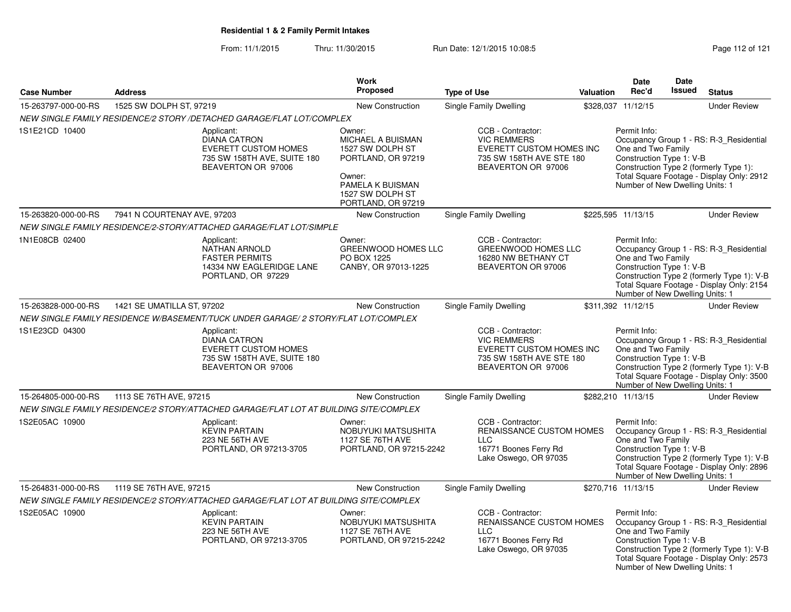From: 11/1/2015Thru: 11/30/2015 Run Date: 12/1/2015 10:08:5<br>
Rage 112 of 121

|                     |                             |                                                                                                                       | <b>Work</b>                                                                                                                                          |                                                                                                                       |                  | <b>Date</b>                                                                                       | Date   |                                                                                                                                    |
|---------------------|-----------------------------|-----------------------------------------------------------------------------------------------------------------------|------------------------------------------------------------------------------------------------------------------------------------------------------|-----------------------------------------------------------------------------------------------------------------------|------------------|---------------------------------------------------------------------------------------------------|--------|------------------------------------------------------------------------------------------------------------------------------------|
| <b>Case Number</b>  | <b>Address</b>              |                                                                                                                       | Proposed                                                                                                                                             | <b>Type of Use</b>                                                                                                    | <b>Valuation</b> | Rec'd                                                                                             | Issued | <b>Status</b>                                                                                                                      |
| 15-263797-000-00-RS | 1525 SW DOLPH ST, 97219     |                                                                                                                       | New Construction                                                                                                                                     | Single Family Dwelling                                                                                                |                  | \$328,037 11/12/15                                                                                |        | <b>Under Review</b>                                                                                                                |
|                     |                             | NEW SINGLE FAMILY RESIDENCE/2 STORY /DETACHED GARAGE/FLAT LOT/COMPLEX                                                 |                                                                                                                                                      |                                                                                                                       |                  |                                                                                                   |        |                                                                                                                                    |
| 1S1E21CD 10400      |                             | Applicant:<br><b>DIANA CATRON</b><br><b>EVERETT CUSTOM HOMES</b><br>735 SW 158TH AVE, SUITE 180<br>BEAVERTON OR 97006 | Owner:<br><b>MICHAEL A BUISMAN</b><br>1527 SW DOLPH ST<br>PORTLAND, OR 97219<br>Owner:<br>PAMELA K BUISMAN<br>1527 SW DOLPH ST<br>PORTLAND, OR 97219 | CCB - Contractor:<br><b>VIC REMMERS</b><br>EVERETT CUSTOM HOMES INC<br>735 SW 158TH AVE STE 180<br>BEAVERTON OR 97006 |                  | Permit Info:<br>One and Two Family<br>Construction Type 1: V-B<br>Number of New Dwelling Units: 1 |        | Occupancy Group 1 - RS: R-3 Residential<br>Construction Type 2 (formerly Type 1):<br>Total Square Footage - Display Only: 2912     |
| 15-263820-000-00-RS | 7941 N COURTENAY AVE, 97203 |                                                                                                                       | <b>New Construction</b>                                                                                                                              | Single Family Dwelling                                                                                                |                  | \$225,595 11/13/15                                                                                |        | <b>Under Review</b>                                                                                                                |
|                     |                             | NEW SINGLE FAMILY RESIDENCE/2-STORY/ATTACHED GARAGE/FLAT LOT/SIMPLE                                                   |                                                                                                                                                      |                                                                                                                       |                  |                                                                                                   |        |                                                                                                                                    |
| 1N1E08CB 02400      |                             | Applicant:<br><b>NATHAN ARNOLD</b><br><b>FASTER PERMITS</b><br>14334 NW EAGLERIDGE LANE<br>PORTLAND, OR 97229         | Owner:<br><b>GREENWOOD HOMES LLC</b><br>PO BOX 1225<br>CANBY, OR 97013-1225                                                                          | CCB - Contractor:<br><b>GREENWOOD HOMES LLC</b><br>16280 NW BETHANY CT<br>BEAVERTON OR 97006                          |                  | Permit Info:<br>One and Two Family<br>Construction Type 1: V-B<br>Number of New Dwelling Units: 1 |        | Occupancy Group 1 - RS: R-3_Residential<br>Construction Type 2 (formerly Type 1): V-B<br>Total Square Footage - Display Only: 2154 |
| 15-263828-000-00-RS | 1421 SE UMATILLA ST, 97202  |                                                                                                                       | New Construction                                                                                                                                     | Single Family Dwelling                                                                                                |                  | \$311,392 11/12/15                                                                                |        | <b>Under Review</b>                                                                                                                |
|                     |                             | NEW SINGLE FAMILY RESIDENCE W/BASEMENT/TUCK UNDER GARAGE/ 2 STORY/FLAT LOT/COMPLEX                                    |                                                                                                                                                      |                                                                                                                       |                  |                                                                                                   |        |                                                                                                                                    |
| 1S1E23CD 04300      |                             | Applicant:<br><b>DIANA CATRON</b><br><b>EVERETT CUSTOM HOMES</b><br>735 SW 158TH AVE, SUITE 180<br>BEAVERTON OR 97006 |                                                                                                                                                      | CCB - Contractor:<br><b>VIC REMMERS</b><br>EVERETT CUSTOM HOMES INC<br>735 SW 158TH AVE STE 180<br>BEAVERTON OR 97006 |                  | Permit Info:<br>One and Two Family<br>Construction Type 1: V-B<br>Number of New Dwelling Units: 1 |        | Occupancy Group 1 - RS: R-3_Residential<br>Construction Type 2 (formerly Type 1): V-B<br>Total Square Footage - Display Only: 3500 |
| 15-264805-000-00-RS | 1113 SE 76TH AVE, 97215     |                                                                                                                       | <b>New Construction</b>                                                                                                                              | Single Family Dwelling                                                                                                |                  | \$282,210 11/13/15                                                                                |        | <b>Under Review</b>                                                                                                                |
|                     |                             | NEW SINGLE FAMILY RESIDENCE/2 STORY/ATTACHED GARAGE/FLAT LOT AT BUILDING SITE/COMPLEX                                 |                                                                                                                                                      |                                                                                                                       |                  |                                                                                                   |        |                                                                                                                                    |
| 1S2E05AC 10900      |                             | Applicant:<br><b>KEVIN PARTAIN</b><br>223 NE 56TH AVE<br>PORTLAND, OR 97213-3705                                      | Owner:<br>NOBUYUKI MATSUSHITA<br>1127 SE 76TH AVE<br>PORTLAND, OR 97215-2242                                                                         | CCB - Contractor:<br>RENAISSANCE CUSTOM HOMES<br><b>LLC</b><br>16771 Boones Ferry Rd<br>Lake Oswego, OR 97035         |                  | Permit Info:<br>One and Two Family<br>Construction Type 1: V-B<br>Number of New Dwelling Units: 1 |        | Occupancy Group 1 - RS: R-3_Residential<br>Construction Type 2 (formerly Type 1): V-B<br>Total Square Footage - Display Only: 2896 |
| 15-264831-000-00-RS | 1119 SE 76TH AVE, 97215     |                                                                                                                       | New Construction                                                                                                                                     | Single Family Dwelling                                                                                                |                  | \$270,716 11/13/15                                                                                |        | <b>Under Review</b>                                                                                                                |
|                     |                             | NEW SINGLE FAMILY RESIDENCE/2 STORY/ATTACHED GARAGE/FLAT LOT AT BUILDING SITE/COMPLEX                                 |                                                                                                                                                      |                                                                                                                       |                  |                                                                                                   |        |                                                                                                                                    |
| 1S2E05AC 10900      |                             | Applicant:<br><b>KEVIN PARTAIN</b><br>223 NE 56TH AVE<br>PORTLAND, OR 97213-3705                                      | Owner:<br>NOBUYUKI MATSUSHITA<br>1127 SE 76TH AVE<br>PORTLAND, OR 97215-2242                                                                         | CCB - Contractor:<br>RENAISSANCE CUSTOM HOMES<br><b>LLC</b><br>16771 Boones Ferry Rd<br>Lake Oswego, OR 97035         |                  | Permit Info:<br>One and Two Family<br>Construction Type 1: V-B<br>Number of New Dwelling Units: 1 |        | Occupancy Group 1 - RS: R-3_Residential<br>Construction Type 2 (formerly Type 1): V-B<br>Total Square Footage - Display Only: 2573 |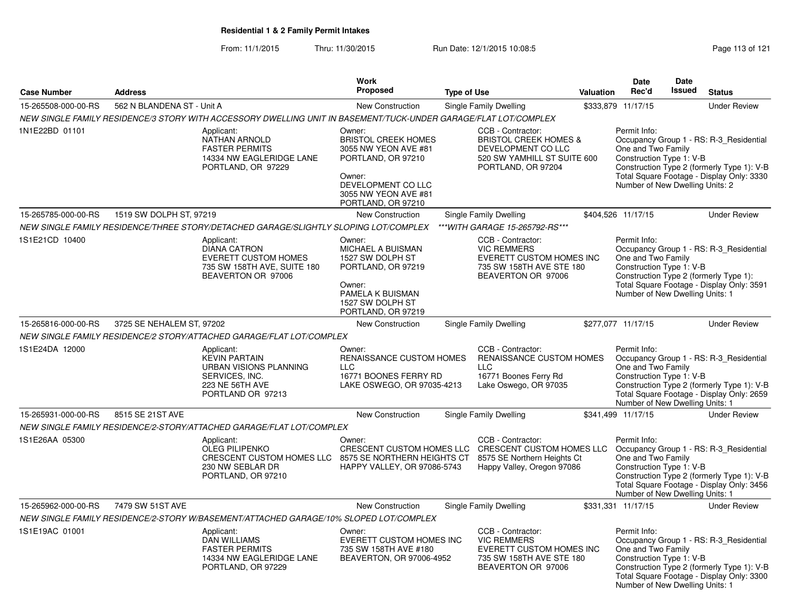From: 11/1/2015Thru: 11/30/2015 Run Date: 12/1/2015 10:08:5<br>
Rage 113 of 121

|                     |                            |                                                                                                                                        | <b>Work</b>                                                                                                                                                      |                                                                                                                                       |                  | Date                                                                                              | Date          |                                                                                                                                    |
|---------------------|----------------------------|----------------------------------------------------------------------------------------------------------------------------------------|------------------------------------------------------------------------------------------------------------------------------------------------------------------|---------------------------------------------------------------------------------------------------------------------------------------|------------------|---------------------------------------------------------------------------------------------------|---------------|------------------------------------------------------------------------------------------------------------------------------------|
| <b>Case Number</b>  | <b>Address</b>             |                                                                                                                                        | <b>Proposed</b>                                                                                                                                                  | <b>Type of Use</b>                                                                                                                    | <b>Valuation</b> | Rec'd                                                                                             | <b>Issued</b> | <b>Status</b>                                                                                                                      |
| 15-265508-000-00-RS | 562 N BLANDENA ST - Unit A |                                                                                                                                        | New Construction                                                                                                                                                 | Single Family Dwelling                                                                                                                |                  | \$333,879 11/17/15                                                                                |               | <b>Under Review</b>                                                                                                                |
|                     |                            | NEW SINGLE FAMILY RESIDENCE/3 STORY WITH ACCESSORY DWELLING UNIT IN BASEMENT/TUCK-UNDER GARAGE/FLAT LOT/COMPLEX                        |                                                                                                                                                                  |                                                                                                                                       |                  |                                                                                                   |               |                                                                                                                                    |
| 1N1E22BD 01101      |                            | Applicant:<br><b>NATHAN ARNOLD</b><br><b>FASTER PERMITS</b><br>14334 NW EAGLERIDGE LANE<br>PORTLAND, OR 97229                          | Owner:<br><b>BRISTOL CREEK HOMES</b><br>3055 NW YEON AVE #81<br>PORTLAND, OR 97210<br>Owner:<br>DEVELOPMENT CO LLC<br>3055 NW YEON AVE #81<br>PORTLAND, OR 97210 | CCB - Contractor:<br><b>BRISTOL CREEK HOMES &amp;</b><br>DEVELOPMENT CO LLC<br>520 SW YAMHILL ST SUITE 600<br>PORTLAND, OR 97204      |                  | Permit Info:<br>One and Two Family<br>Construction Type 1: V-B<br>Number of New Dwelling Units: 2 |               | Occupancy Group 1 - RS: R-3_Residential<br>Construction Type 2 (formerly Type 1): V-B<br>Total Square Footage - Display Only: 3330 |
| 15-265785-000-00-RS | 1519 SW DOLPH ST, 97219    |                                                                                                                                        | New Construction                                                                                                                                                 | <b>Single Family Dwelling</b>                                                                                                         |                  | \$404,526 11/17/15                                                                                |               | <b>Under Review</b>                                                                                                                |
|                     |                            | NEW SINGLE FAMILY RESIDENCE/THREE STORY/DETACHED GARAGE/SLIGHTLY SLOPING LOT/COMPLEX                                                   |                                                                                                                                                                  | ***WITH GARAGE 15-265792-RS***                                                                                                        |                  |                                                                                                   |               |                                                                                                                                    |
| 1S1E21CD 10400      |                            | Applicant:<br><b>DIANA CATRON</b><br><b>EVERETT CUSTOM HOMES</b><br>735 SW 158TH AVE, SUITE 180<br>BEAVERTON OR 97006                  | Owner:<br>MICHAEL A BUISMAN<br>1527 SW DOLPH ST<br>PORTLAND, OR 97219<br>Owner:<br>PAMELA K BUISMAN<br>1527 SW DOLPH ST<br>PORTLAND, OR 97219                    | CCB - Contractor:<br><b>VIC REMMERS</b><br><b>EVERETT CUSTOM HOMES INC</b><br>735 SW 158TH AVE STE 180<br>BEAVERTON OR 97006          |                  | Permit Info:<br>One and Two Family<br>Construction Type 1: V-B<br>Number of New Dwelling Units: 1 |               | Occupancy Group 1 - RS: R-3_Residential<br>Construction Type 2 (formerly Type 1):<br>Total Square Footage - Display Only: 3591     |
| 15-265816-000-00-RS | 3725 SE NEHALEM ST, 97202  |                                                                                                                                        | <b>New Construction</b>                                                                                                                                          | Single Family Dwelling                                                                                                                |                  | \$277,077 11/17/15                                                                                |               | <b>Under Review</b>                                                                                                                |
|                     |                            | NEW SINGLE FAMILY RESIDENCE/2 STORY/ATTACHED GARAGE/FLAT LOT/COMPLEX                                                                   |                                                                                                                                                                  |                                                                                                                                       |                  |                                                                                                   |               |                                                                                                                                    |
| 1S1E24DA 12000      |                            | Applicant:<br><b>KEVIN PARTAIN</b><br><b>URBAN VISIONS PLANNING</b><br>SERVICES, INC.<br>223 NE 56TH AVE<br>PORTLAND OR 97213          | Owner:<br><b>RENAISSANCE CUSTOM HOMES</b><br><b>LLC</b><br>16771 BOONES FERRY RD<br>LAKE OSWEGO, OR 97035-4213                                                   | CCB - Contractor:<br>RENAISSANCE CUSTOM HOMES<br><b>LLC</b><br>16771 Boones Ferry Rd<br>Lake Oswego, OR 97035                         |                  | Permit Info:<br>One and Two Family<br>Construction Type 1: V-B<br>Number of New Dwelling Units: 1 |               | Occupancy Group 1 - RS: R-3_Residential<br>Construction Type 2 (formerly Type 1): V-B<br>Total Square Footage - Display Only: 2659 |
| 15-265931-000-00-RS | 8515 SE 21ST AVE           |                                                                                                                                        | New Construction                                                                                                                                                 | Single Family Dwelling                                                                                                                |                  | \$341,499 11/17/15                                                                                |               | <b>Under Review</b>                                                                                                                |
|                     |                            | NEW SINGLE FAMILY RESIDENCE/2-STORY/ATTACHED GARAGE/FLAT LOT/COMPLEX                                                                   |                                                                                                                                                                  |                                                                                                                                       |                  |                                                                                                   |               |                                                                                                                                    |
| 1S1E26AA 05300      |                            | Applicant:<br><b>OLEG PILIPENKO</b><br>CRESCENT CUSTOM HOMES LLC 8575 SE NORTHERN HEIGHTS CT<br>230 NW SEBLAR DR<br>PORTLAND, OR 97210 | Owner:<br>HAPPY VALLEY, OR 97086-5743                                                                                                                            | CCB - Contractor:<br>CRESCENT CUSTOM HOMES LLC CRESCENT CUSTOM HOMES LLC<br>8575 SE Northern Heights Ct<br>Happy Valley, Oregon 97086 |                  | Permit Info:<br>One and Two Family<br>Construction Type 1: V-B<br>Number of New Dwelling Units: 1 |               | Occupancy Group 1 - RS: R-3_Residential<br>Construction Type 2 (formerly Type 1): V-B<br>Total Square Footage - Display Only: 3456 |
| 15-265962-000-00-RS | 7479 SW 51ST AVE           |                                                                                                                                        | <b>New Construction</b>                                                                                                                                          | Single Family Dwelling                                                                                                                |                  | \$331,331 11/17/15                                                                                |               | <b>Under Review</b>                                                                                                                |
|                     |                            | NEW SINGLE FAMILY RESIDENCE/2-STORY W/BASEMENT/ATTACHED GARAGE/10% SLOPED LOT/COMPLEX                                                  |                                                                                                                                                                  |                                                                                                                                       |                  |                                                                                                   |               |                                                                                                                                    |
| 1S1E19AC 01001      |                            | Applicant:<br><b>DAN WILLIAMS</b><br><b>FASTER PERMITS</b><br>14334 NW EAGLERIDGE LANE<br>PORTLAND, OR 97229                           | Owner:<br>EVERETT CUSTOM HOMES INC<br>735 SW 158TH AVE #180<br>BEAVERTON, OR 97006-4952                                                                          | CCB - Contractor:<br><b>VIC REMMERS</b><br>EVERETT CUSTOM HOMES INC<br>735 SW 158TH AVE STE 180<br>BEAVERTON OR 97006                 |                  | Permit Info:<br>One and Two Family<br>Construction Type 1: V-B<br>Number of New Dwelling Units: 1 |               | Occupancy Group 1 - RS: R-3 Residential<br>Construction Type 2 (formerly Type 1): V-B<br>Total Square Footage - Display Only: 3300 |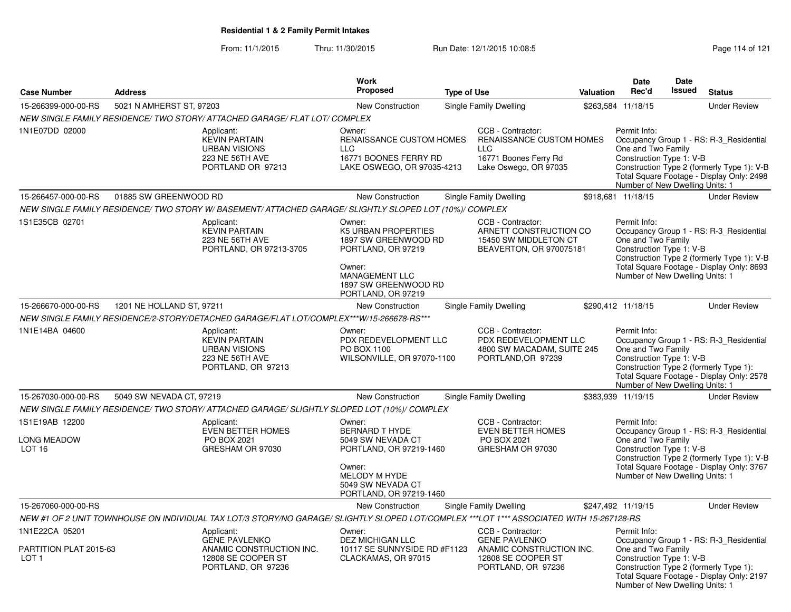From: 11/1/2015Thru: 11/30/2015 Run Date: 12/1/2015 10:08:5<br>
Page 114 of 121

|                                                           |                           |                                                                                                                                          | <b>Work</b>                                                                                                                                                |                    |                                                                                                               |           | <b>Date</b>                                                                                       | <b>Date</b><br><b>Issued</b> |                                                                                                                                    |
|-----------------------------------------------------------|---------------------------|------------------------------------------------------------------------------------------------------------------------------------------|------------------------------------------------------------------------------------------------------------------------------------------------------------|--------------------|---------------------------------------------------------------------------------------------------------------|-----------|---------------------------------------------------------------------------------------------------|------------------------------|------------------------------------------------------------------------------------------------------------------------------------|
| <b>Case Number</b>                                        | <b>Address</b>            |                                                                                                                                          | Proposed                                                                                                                                                   | <b>Type of Use</b> |                                                                                                               | Valuation | Rec'd                                                                                             |                              | <b>Status</b>                                                                                                                      |
| 15-266399-000-00-RS                                       | 5021 N AMHERST ST, 97203  |                                                                                                                                          | New Construction                                                                                                                                           |                    | Single Family Dwelling                                                                                        |           | \$263,584 11/18/15                                                                                |                              | <b>Under Review</b>                                                                                                                |
|                                                           |                           | NEW SINGLE FAMILY RESIDENCE/ TWO STORY/ ATTACHED GARAGE/ FLAT LOT/ COMPLEX                                                               |                                                                                                                                                            |                    |                                                                                                               |           |                                                                                                   |                              |                                                                                                                                    |
| 1N1E07DD 02000                                            |                           | Applicant:<br><b>KEVIN PARTAIN</b><br><b>URBAN VISIONS</b><br>223 NE 56TH AVE<br>PORTLAND OR 97213                                       | Owner:<br>RENAISSANCE CUSTOM HOMES<br><b>LLC</b><br>16771 BOONES FERRY RD<br>LAKE OSWEGO, OR 97035-4213                                                    |                    | CCB - Contractor:<br>RENAISSANCE CUSTOM HOMES<br><b>LLC</b><br>16771 Boones Ferry Rd<br>Lake Oswego, OR 97035 |           | Permit Info:<br>One and Two Family<br>Construction Type 1: V-B<br>Number of New Dwelling Units: 1 |                              | Occupancy Group 1 - RS: R-3_Residential<br>Construction Type 2 (formerly Type 1): V-B<br>Total Square Footage - Display Only: 2498 |
| 15-266457-000-00-RS                                       | 01885 SW GREENWOOD RD     |                                                                                                                                          | New Construction                                                                                                                                           |                    | Single Family Dwelling                                                                                        |           | \$918,681 11/18/15                                                                                |                              | <b>Under Review</b>                                                                                                                |
|                                                           |                           | NEW SINGLE FAMILY RESIDENCE/ TWO STORY W/ BASEMENT/ ATTACHED GARAGE/ SLIGHTLY SLOPED LOT (10%)/ COMPLEX                                  |                                                                                                                                                            |                    |                                                                                                               |           |                                                                                                   |                              |                                                                                                                                    |
| 1S1E35CB 02701                                            |                           | Applicant:<br><b>KEVIN PARTAIN</b><br>223 NE 56TH AVE<br>PORTLAND, OR 97213-3705                                                         | Owner:<br>K5 URBAN PROPERTIES<br>1897 SW GREENWOOD RD<br>PORTLAND, OR 97219<br>Owner:<br>MANAGEMENT LLC<br>1897 SW GREENWOOD RD<br>PORTLAND, OR 97219      |                    | CCB - Contractor:<br>ARNETT CONSTRUCTION CO<br>15450 SW MIDDLETON CT<br>BEAVERTON, OR 970075181               |           | Permit Info:<br>One and Two Family<br>Construction Type 1: V-B<br>Number of New Dwelling Units: 1 |                              | Occupancy Group 1 - RS: R-3_Residential<br>Construction Type 2 (formerly Type 1): V-B<br>Total Square Footage - Display Only: 8693 |
| 15-266670-000-00-RS                                       | 1201 NE HOLLAND ST, 97211 |                                                                                                                                          | <b>New Construction</b>                                                                                                                                    |                    | <b>Single Family Dwelling</b>                                                                                 |           | \$290,412 11/18/15                                                                                |                              | <b>Under Review</b>                                                                                                                |
|                                                           |                           | NEW SINGLE FAMILY RESIDENCE/2-STORY/DETACHED GARAGE/FLAT LOT/COMPLEX***W/15-266678-RS***                                                 |                                                                                                                                                            |                    |                                                                                                               |           |                                                                                                   |                              |                                                                                                                                    |
| 1N1E14BA 04600                                            |                           | Applicant:<br><b>KEVIN PARTAIN</b><br><b>URBAN VISIONS</b><br>223 NE 56TH AVE<br>PORTLAND, OR 97213                                      | Owner:<br>PDX REDEVELOPMENT LLC<br>PO BOX 1100<br>WILSONVILLE, OR 97070-1100                                                                               |                    | CCB - Contractor:<br>PDX REDEVELOPMENT LLC<br>4800 SW MACADAM, SUITE 245<br>PORTLAND, OR 97239                |           | Permit Info:<br>One and Two Family<br>Construction Type 1: V-B<br>Number of New Dwelling Units: 1 |                              | Occupancy Group 1 - RS: R-3_Residential<br>Construction Type 2 (formerly Type 1):<br>Total Square Footage - Display Only: 2578     |
| 15-267030-000-00-RS                                       | 5049 SW NEVADA CT, 97219  |                                                                                                                                          | <b>New Construction</b>                                                                                                                                    |                    | Single Family Dwelling                                                                                        |           | \$383,939 11/19/15                                                                                |                              | <b>Under Review</b>                                                                                                                |
|                                                           |                           | NEW SINGLE FAMILY RESIDENCE/ TWO STORY/ ATTACHED GARAGE/ SLIGHTLY SLOPED LOT (10%)/ COMPLEX                                              |                                                                                                                                                            |                    |                                                                                                               |           |                                                                                                   |                              |                                                                                                                                    |
| 1S1E19AB 12200<br><b>LONG MEADOW</b><br>LOT <sub>16</sub> |                           | Applicant:<br><b>EVEN BETTER HOMES</b><br>PO BOX 2021<br>GRESHAM OR 97030                                                                | Owner:<br><b>BERNARD T HYDE</b><br>5049 SW NEVADA CT<br>PORTLAND, OR 97219-1460<br>Owner:<br>MELODY M HYDE<br>5049 SW NEVADA CT<br>PORTLAND, OR 97219-1460 |                    | CCB - Contractor:<br><b>EVEN BETTER HOMES</b><br>PO BOX 2021<br>GRESHAM OR 97030                              |           | Permit Info:<br>One and Two Family<br>Construction Type 1: V-B<br>Number of New Dwelling Units: 1 |                              | Occupancy Group 1 - RS: R-3_Residential<br>Construction Type 2 (formerly Type 1): V-B<br>Total Square Footage - Display Only: 3767 |
| 15-267060-000-00-RS                                       |                           |                                                                                                                                          | New Construction                                                                                                                                           |                    | Single Family Dwelling                                                                                        |           | \$247,492 11/19/15                                                                                |                              | <b>Under Review</b>                                                                                                                |
|                                                           |                           | NEW #1 OF 2 UNIT TOWNHOUSE ON INDIVIDUAL TAX LOT/3 STORY/NO GARAGE/ SLIGHTLY SLOPED LOT/COMPLEX ***LOT 1*** ASSOCIATED WITH 15-267128-RS |                                                                                                                                                            |                    |                                                                                                               |           |                                                                                                   |                              |                                                                                                                                    |
| 1N1E22CA 05201                                            |                           | Applicant:                                                                                                                               | Owner:                                                                                                                                                     |                    | CCB - Contractor:                                                                                             |           | Permit Info:                                                                                      |                              |                                                                                                                                    |
| PARTITION PLAT 2015-63<br>LOT <sub>1</sub>                |                           | <b>GENE PAVLENKO</b><br>ANAMIC CONSTRUCTION INC.<br>12808 SE COOPER ST<br>PORTLAND, OR 97236                                             | DEZ MICHIGAN LLC<br>10117 SE SUNNYSIDE RD #F1123<br>CLACKAMAS, OR 97015                                                                                    |                    | <b>GENE PAVLENKO</b><br>ANAMIC CONSTRUCTION INC.<br>12808 SE COOPER ST<br>PORTLAND, OR 97236                  |           | One and Two Family<br>Construction Type 1: V-B<br>Number of New Dwelling Units: 1                 |                              | Occupancy Group 1 - RS: R-3_Residential<br>Construction Type 2 (formerly Type 1):<br>Total Square Footage - Display Only: 2197     |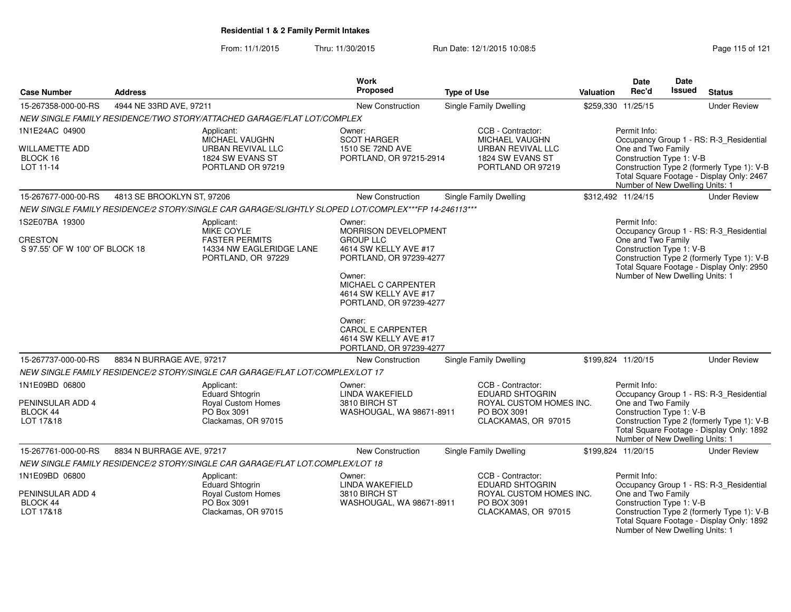From: 11/1/2015Thru: 11/30/2015 Run Date: 12/1/2015 10:08:5<br>
Page 115 of 121

| <b>Case Number</b>                                          | <b>Address</b>             |                                                                                                     | Work<br>Proposed                                                                       | <b>Type of Use</b>            | Valuation                                                                                     | <b>Date</b><br>Rec'd                                                                              | <b>Date</b><br><b>Issued</b> | <b>Status</b>                                                                                                                      |
|-------------------------------------------------------------|----------------------------|-----------------------------------------------------------------------------------------------------|----------------------------------------------------------------------------------------|-------------------------------|-----------------------------------------------------------------------------------------------|---------------------------------------------------------------------------------------------------|------------------------------|------------------------------------------------------------------------------------------------------------------------------------|
| 15-267358-000-00-RS                                         | 4944 NE 33RD AVE, 97211    |                                                                                                     | <b>New Construction</b>                                                                | <b>Single Family Dwelling</b> |                                                                                               | \$259,330 11/25/15                                                                                |                              | <b>Under Review</b>                                                                                                                |
|                                                             |                            | NEW SINGLE FAMILY RESIDENCE/TWO STORY/ATTACHED GARAGE/FLAT LOT/COMPLEX                              |                                                                                        |                               |                                                                                               |                                                                                                   |                              |                                                                                                                                    |
| 1N1E24AC 04900                                              |                            | Applicant:<br>MICHAEL VAUGHN                                                                        | Owner:<br><b>SCOT HARGER</b>                                                           |                               | CCB - Contractor:<br><b>MICHAEL VAUGHN</b>                                                    | Permit Info:                                                                                      |                              | Occupancy Group 1 - RS: R-3_Residential                                                                                            |
| WILLAMETTE ADD<br>BLOCK 16<br>LOT 11-14                     |                            | URBAN REVIVAL LLC<br>1824 SW EVANS ST<br>PORTLAND OR 97219                                          | 1510 SE 72ND AVE<br>PORTLAND, OR 97215-2914                                            |                               | URBAN REVIVAL LLC<br>1824 SW EVANS ST<br>PORTLAND OR 97219                                    | One and Two Family<br>Construction Type 1: V-B<br>Number of New Dwelling Units: 1                 |                              | Construction Type 2 (formerly Type 1): V-B<br>Total Square Footage - Display Only: 2467                                            |
| 15-267677-000-00-RS                                         | 4813 SE BROOKLYN ST, 97206 |                                                                                                     | New Construction                                                                       | Single Family Dwelling        |                                                                                               | \$312,492 11/24/15                                                                                |                              | <b>Under Review</b>                                                                                                                |
|                                                             |                            | NEW SINGLE FAMILY RESIDENCE/2 STORY/SINGLE CAR GARAGE/SLIGHTLY SLOPED LOT/COMPLEX***FP 14-246113*** |                                                                                        |                               |                                                                                               |                                                                                                   |                              |                                                                                                                                    |
| 1S2E07BA 19300                                              |                            | Applicant:<br><b>MIKE COYLE</b>                                                                     | Owner:<br><b>MORRISON DEVELOPMENT</b>                                                  |                               |                                                                                               | Permit Info:                                                                                      |                              | Occupancy Group 1 - RS: R-3_Residential                                                                                            |
| CRESTON<br>S 97.55' OF W 100' OF BLOCK 18                   |                            | <b>FASTER PERMITS</b><br>14334 NW EAGLERIDGE LANE<br>PORTLAND, OR 97229                             | <b>GROUP LLC</b><br>4614 SW KELLY AVE #17<br>PORTLAND, OR 97239-4277                   |                               |                                                                                               | One and Two Family<br>Construction Type 1: V-B                                                    |                              | Construction Type 2 (formerly Type 1): V-B<br>Total Square Footage - Display Only: 2950                                            |
|                                                             |                            |                                                                                                     | Owner:<br>MICHAEL C CARPENTER<br>4614 SW KELLY AVE #17<br>PORTLAND, OR 97239-4277      |                               |                                                                                               | Number of New Dwelling Units: 1                                                                   |                              |                                                                                                                                    |
|                                                             |                            |                                                                                                     | Owner:<br><b>CAROL E CARPENTER</b><br>4614 SW KELLY AVE #17<br>PORTLAND, OR 97239-4277 |                               |                                                                                               |                                                                                                   |                              |                                                                                                                                    |
| 15-267737-000-00-RS                                         | 8834 N BURRAGE AVE, 97217  |                                                                                                     | New Construction                                                                       | Single Family Dwelling        |                                                                                               | \$199,824 11/20/15                                                                                |                              | <b>Under Review</b>                                                                                                                |
|                                                             |                            | NEW SINGLE FAMILY RESIDENCE/2 STORY/SINGLE CAR GARAGE/FLAT LOT/COMPLEX/LOT 17                       |                                                                                        |                               |                                                                                               |                                                                                                   |                              |                                                                                                                                    |
| 1N1E09BD 06800<br>PENINSULAR ADD 4<br>BLOCK 44<br>LOT 17&18 |                            | Applicant:<br><b>Eduard Shtogrin</b><br>Royal Custom Homes<br>PO Box 3091<br>Clackamas, OR 97015    | Owner:<br>LINDA WAKEFIELD<br>3810 BIRCH ST<br>WASHOUGAL, WA 98671-8911                 | PO BOX 3091                   | CCB - Contractor:<br><b>EDUARD SHTOGRIN</b><br>ROYAL CUSTOM HOMES INC.<br>CLACKAMAS, OR 97015 | Permit Info:<br>One and Two Family<br>Construction Type 1: V-B<br>Number of New Dwelling Units: 1 |                              | Occupancy Group 1 - RS: R-3_Residential<br>Construction Type 2 (formerly Type 1): V-B<br>Total Square Footage - Display Only: 1892 |
| 15-267761-000-00-RS                                         | 8834 N BURRAGE AVE, 97217  |                                                                                                     | <b>New Construction</b>                                                                | <b>Single Family Dwelling</b> |                                                                                               | \$199,824 11/20/15                                                                                |                              | <b>Under Review</b>                                                                                                                |
|                                                             |                            | NEW SINGLE FAMILY RESIDENCE/2 STORY/SINGLE CAR GARAGE/FLAT LOT.COMPLEX/LOT 18                       |                                                                                        |                               |                                                                                               |                                                                                                   |                              |                                                                                                                                    |
| 1N1E09BD 06800                                              |                            | Applicant:<br>Eduard Shtogrin                                                                       | Owner:<br><b>LINDA WAKEFIELD</b>                                                       |                               | CCB - Contractor:<br><b>EDUARD SHTOGRIN</b>                                                   | Permit Info:                                                                                      |                              | Occupancy Group 1 - RS: R-3_Residential                                                                                            |
| PENINSULAR ADD 4<br>BLOCK 44<br>LOT 17&18                   |                            | <b>Royal Custom Homes</b><br>PO Box 3091<br>Clackamas, OR 97015                                     | 3810 BIRCH ST<br>WASHOUGAL, WA 98671-8911                                              | PO BOX 3091                   | ROYAL CUSTOM HOMES INC.<br>CLACKAMAS, OR 97015                                                | One and Two Family<br>Construction Type 1: V-B<br>Number of New Dwelling Units: 1                 |                              | Construction Type 2 (formerly Type 1): V-B<br>Total Square Footage - Display Only: 1892                                            |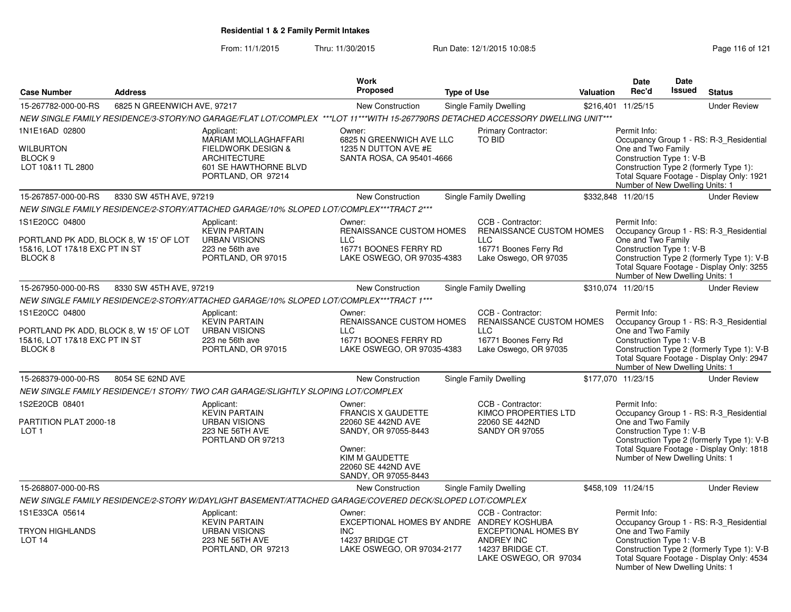From: 11/1/2015Thru: 11/30/2015 Run Date: 12/1/2015 10:08:5<br>
Page 116 of 121

Number of New Dwelling Units: 1

|                                                                                               |                             |                                                                                                                                 | Work                                                                   |                    |                                                                                        |                                                                                                                                                                          | Date                                                                              | Date<br><b>Issued</b> |                                                                                         |
|-----------------------------------------------------------------------------------------------|-----------------------------|---------------------------------------------------------------------------------------------------------------------------------|------------------------------------------------------------------------|--------------------|----------------------------------------------------------------------------------------|--------------------------------------------------------------------------------------------------------------------------------------------------------------------------|-----------------------------------------------------------------------------------|-----------------------|-----------------------------------------------------------------------------------------|
| <b>Case Number</b>                                                                            | <b>Address</b>              |                                                                                                                                 | Proposed                                                               | <b>Type of Use</b> |                                                                                        | Valuation                                                                                                                                                                | Rec'd                                                                             |                       | <b>Status</b>                                                                           |
| 15-267782-000-00-RS                                                                           | 6825 N GREENWICH AVE, 97217 |                                                                                                                                 | New Construction                                                       |                    | Single Family Dwelling                                                                 | \$216,401                                                                                                                                                                | 11/25/15                                                                          |                       | <b>Under Review</b>                                                                     |
|                                                                                               |                             | NEW SINGLE FAMILY RESIDENCE/3-STORY/NO GARAGE/FLAT LOT/COMPLEX ***LOT 11***WITH 15-267790RS DETACHED ACCESSORY DWELLING UNIT*** |                                                                        |                    |                                                                                        |                                                                                                                                                                          |                                                                                   |                       |                                                                                         |
| 1N1E16AD 02800                                                                                |                             | Applicant:<br>MARIAM MOLLAGHAFFARI                                                                                              | Owner:<br>6825 N GREENWICH AVE LLC                                     |                    | Primary Contractor:<br><b>TO BID</b>                                                   |                                                                                                                                                                          | Permit Info:                                                                      |                       | Occupancy Group 1 - RS: R-3_Residential                                                 |
| <b>WILBURTON</b><br>BLOCK <sub>9</sub><br>LOT 10&11 TL 2800                                   |                             | FIELDWORK DESIGN &<br><b>ARCHITECTURE</b><br>601 SE HAWTHORNE BLVD<br>PORTLAND, OR 97214                                        | 1235 N DUTTON AVE #E<br>SANTA ROSA, CA 95401-4666                      |                    |                                                                                        | One and Two Family<br>Construction Type 1: V-B<br>Construction Type 2 (formerly Type 1):<br>Total Square Footage - Display Only: 1921<br>Number of New Dwelling Units: 1 |                                                                                   |                       |                                                                                         |
| 15-267857-000-00-RS                                                                           | 8330 SW 45TH AVE, 97219     |                                                                                                                                 | New Construction                                                       |                    | Single Family Dwelling                                                                 |                                                                                                                                                                          | \$332,848 11/20/15                                                                |                       | <b>Under Review</b>                                                                     |
|                                                                                               |                             | NEW SINGLE FAMILY RESIDENCE/2-STORY/ATTACHED GARAGE/10% SLOPED LOT/COMPLEX***TRACT 2***                                         |                                                                        |                    |                                                                                        |                                                                                                                                                                          |                                                                                   |                       |                                                                                         |
| 1S1E20CC 04800                                                                                |                             | Applicant:<br><b>KEVIN PARTAIN</b>                                                                                              | Owner:<br>RENAISSANCE CUSTOM HOMES                                     |                    | CCB - Contractor:<br>RENAISSANCE CUSTOM HOMES                                          |                                                                                                                                                                          | Permit Info:                                                                      |                       | Occupancy Group 1 - RS: R-3_Residential                                                 |
| PORTLAND PK ADD, BLOCK 8, W 15' OF LOT<br>15&16, LOT 17&18 EXC PT IN ST<br>BLOCK <sub>8</sub> |                             | <b>URBAN VISIONS</b><br>223 ne 56th ave<br>PORTLAND, OR 97015                                                                   | <b>LLC</b><br>16771 BOONES FERRY RD<br>LAKE OSWEGO, OR 97035-4383      |                    | <b>LLC</b><br>16771 Boones Ferry Rd<br>Lake Oswego, OR 97035                           |                                                                                                                                                                          | One and Two Family<br>Construction Type 1: V-B<br>Number of New Dwelling Units: 1 |                       | Construction Type 2 (formerly Type 1): V-B<br>Total Square Footage - Display Only: 3255 |
| 15-267950-000-00-RS                                                                           | 8330 SW 45TH AVE, 97219     |                                                                                                                                 | New Construction                                                       |                    | Single Family Dwelling                                                                 |                                                                                                                                                                          | \$310,074 11/20/15                                                                |                       | <b>Under Review</b>                                                                     |
|                                                                                               |                             | NEW SINGLE FAMILY RESIDENCE/2-STORY/ATTACHED GARAGE/10% SLOPED LOT/COMPLEX***TRACT 1***                                         |                                                                        |                    |                                                                                        |                                                                                                                                                                          |                                                                                   |                       |                                                                                         |
| 1S1E20CC 04800                                                                                |                             | Applicant:<br><b>KEVIN PARTAIN</b>                                                                                              | Owner:<br>RENAISSANCE CUSTOM HOMES                                     |                    | CCB - Contractor:<br><b>RENAISSANCE CUSTOM HOMES</b>                                   |                                                                                                                                                                          | Permit Info:                                                                      |                       | Occupancy Group 1 - RS: R-3_Residential                                                 |
| PORTLAND PK ADD, BLOCK 8, W 15' OF LOT<br>15&16, LOT 17&18 EXC PT IN ST<br>BLOCK <sub>8</sub> |                             | <b>URBAN VISIONS</b><br>223 ne 56th ave<br>PORTLAND, OR 97015                                                                   | <b>LLC</b><br>16771 BOONES FERRY RD<br>LAKE OSWEGO, OR 97035-4383      |                    | <b>LLC</b><br>16771 Boones Ferry Rd<br>Lake Oswego, OR 97035                           |                                                                                                                                                                          | One and Two Family<br>Construction Type 1: V-B<br>Number of New Dwelling Units: 1 |                       | Construction Type 2 (formerly Type 1): V-B<br>Total Square Footage - Display Only: 2947 |
| 15-268379-000-00-RS                                                                           | 8054 SE 62ND AVE            |                                                                                                                                 | New Construction                                                       |                    | Single Family Dwelling                                                                 |                                                                                                                                                                          | \$177,070 11/23/15                                                                |                       | <b>Under Review</b>                                                                     |
|                                                                                               |                             | NEW SINGLE FAMILY RESIDENCE/1 STORY/ TWO CAR GARAGE/SLIGHTLY SLOPING LOT/COMPLEX                                                |                                                                        |                    |                                                                                        |                                                                                                                                                                          |                                                                                   |                       |                                                                                         |
| 1S2E20CB 08401                                                                                |                             | Applicant:<br><b>KEVIN PARTAIN</b>                                                                                              | Owner:<br><b>FRANCIS X GAUDETTE</b>                                    |                    | CCB - Contractor:<br>KIMCO PROPERTIES LTD                                              |                                                                                                                                                                          | Permit Info:                                                                      |                       | Occupancy Group 1 - RS: R-3_Residential                                                 |
| PARTITION PLAT 2000-18<br>LOT <sub>1</sub>                                                    |                             | <b>URBAN VISIONS</b><br>223 NE 56TH AVE<br>PORTLAND OR 97213                                                                    | 22060 SE 442ND AVE<br>SANDY, OR 97055-8443                             |                    | 22060 SE 442ND<br><b>SANDY OR 97055</b>                                                |                                                                                                                                                                          | One and Two Family<br>Construction Type 1: V-B                                    |                       | Construction Type 2 (formerly Type 1): V-B                                              |
|                                                                                               |                             |                                                                                                                                 | Owner:<br>KIM M GAUDETTE<br>22060 SE 442ND AVE<br>SANDY, OR 97055-8443 |                    |                                                                                        |                                                                                                                                                                          | Number of New Dwelling Units: 1                                                   |                       | Total Square Footage - Display Only: 1818                                               |
| 15-268807-000-00-RS                                                                           |                             |                                                                                                                                 | New Construction                                                       |                    | Single Family Dwelling                                                                 |                                                                                                                                                                          | \$458,109 11/24/15                                                                |                       | <b>Under Review</b>                                                                     |
|                                                                                               |                             | NEW SINGLE FAMILY RESIDENCE/2-STORY W/DAYLIGHT BASEMENT/ATTACHED GARAGE/COVERED DECK/SLOPED LOT/COMPLEX                         |                                                                        |                    |                                                                                        |                                                                                                                                                                          |                                                                                   |                       |                                                                                         |
| 1S1E33CA 05614                                                                                |                             | Applicant:<br><b>KEVIN PARTAIN</b>                                                                                              | Owner:<br>EXCEPTIONAL HOMES BY ANDRE ANDREY KOSHUBA                    |                    | CCB - Contractor:                                                                      |                                                                                                                                                                          | Permit Info:                                                                      |                       | Occupancy Group 1 - RS: R-3_Residential                                                 |
| TRYON HIGHLANDS<br>LOT <sub>14</sub>                                                          |                             | <b>URBAN VISIONS</b><br>223 NE 56TH AVE<br>PORTLAND, OR 97213                                                                   | <b>INC</b><br>14237 BRIDGE CT<br>LAKE OSWEGO, OR 97034-2177            |                    | <b>EXCEPTIONAL HOMES BY</b><br>ANDREY INC<br>14237 BRIDGE CT.<br>LAKE OSWEGO, OR 97034 |                                                                                                                                                                          | One and Two Family<br>Construction Type 1: V-B                                    |                       | Construction Type 2 (formerly Type 1): V-B<br>Total Square Footage - Display Only: 4534 |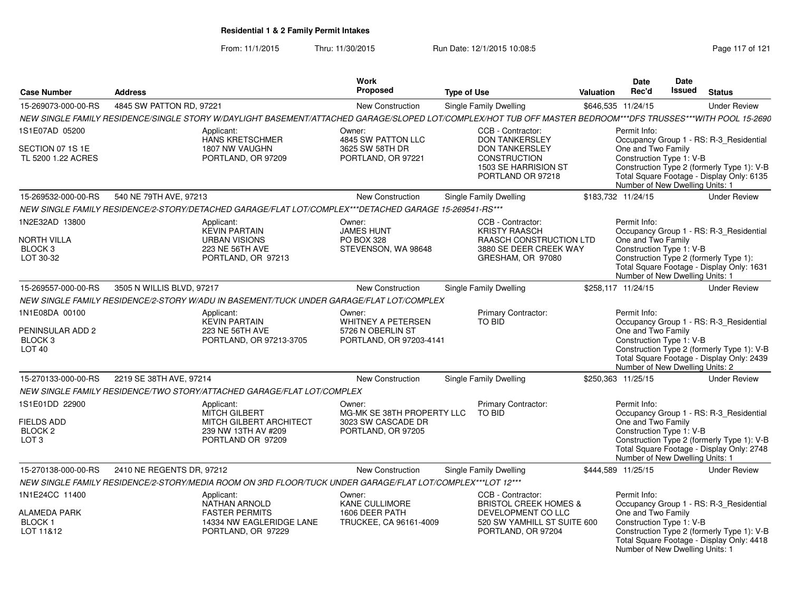From: 11/1/2015Thru: 11/30/2015 Run Date: 12/1/2015 10:08:5<br>
Page 117 of 121

| <b>Case Number</b>                                                            | <b>Address</b>            |                                                                                                                                                              | <b>Work</b><br><b>Proposed</b>                                                   | <b>Type of Use</b>                        |                                                                         | Valuation | <b>Date</b><br>Rec'd                                                                              | Date<br><b>Issued</b> | <b>Status</b>                                                                                                                      |
|-------------------------------------------------------------------------------|---------------------------|--------------------------------------------------------------------------------------------------------------------------------------------------------------|----------------------------------------------------------------------------------|-------------------------------------------|-------------------------------------------------------------------------|-----------|---------------------------------------------------------------------------------------------------|-----------------------|------------------------------------------------------------------------------------------------------------------------------------|
| 15-269073-000-00-RS                                                           | 4845 SW PATTON RD, 97221  |                                                                                                                                                              | New Construction                                                                 | <b>Single Family Dwelling</b>             |                                                                         |           | \$646,535 11/24/15                                                                                |                       | <b>Under Review</b>                                                                                                                |
|                                                                               |                           | NEW SINGLE FAMILY RESIDENCE/SINGLE STORY W/DAYLIGHT BASEMENT/ATTACHED GARAGE/SLOPED LOT/COMPLEX/HOT TUB OFF MASTER BEDROOM***DFS TRUSSES***WITH POOL 15-2690 |                                                                                  |                                           |                                                                         |           |                                                                                                   |                       |                                                                                                                                    |
| 1S1E07AD 05200                                                                |                           | Applicant:<br><b>HANS KRETSCHMER</b>                                                                                                                         | Owner:<br>4845 SW PATTON LLC                                                     | CCB - Contractor:                         | <b>DON TANKERSLEY</b>                                                   |           | Permit Info:                                                                                      |                       | Occupancy Group 1 - RS: R-3_Residential                                                                                            |
| SECTION 07 1S 1E<br>TL 5200 1.22 ACRES                                        |                           | 1807 NW VAUGHN<br>PORTLAND, OR 97209                                                                                                                         | 3625 SW 58TH DR<br>PORTLAND, OR 97221                                            | <b>CONSTRUCTION</b>                       | <b>DON TANKERSLEY</b><br>1503 SE HARRISION ST<br>PORTLAND OR 97218      |           | One and Two Family<br>Construction Type 1: V-B<br>Number of New Dwelling Units: 1                 |                       | Construction Type 2 (formerly Type 1): V-B<br>Total Square Footage - Display Only: 6135                                            |
| 15-269532-000-00-RS                                                           | 540 NE 79TH AVE, 97213    |                                                                                                                                                              | New Construction                                                                 | Single Family Dwelling                    |                                                                         |           | \$183,732 11/24/15                                                                                |                       | <b>Under Review</b>                                                                                                                |
|                                                                               |                           | NEW SINGLE FAMILY RESIDENCE/2-STORY/DETACHED GARAGE/FLAT LOT/COMPLEX***DETACHED GARAGE 15-269541-RS***                                                       |                                                                                  |                                           |                                                                         |           |                                                                                                   |                       |                                                                                                                                    |
| 1N2E32AD 13800<br><b>NORTH VILLA</b><br>BLOCK <sub>3</sub><br>LOT 30-32       |                           | Applicant:<br><b>KEVIN PARTAIN</b><br><b>URBAN VISIONS</b><br>223 NE 56TH AVE<br>PORTLAND, OR 97213                                                          | Owner:<br><b>JAMES HUNT</b><br><b>PO BOX 328</b><br>STEVENSON, WA 98648          | CCB - Contractor:<br><b>KRISTY RAASCH</b> | RAASCH CONSTRUCTION LTD<br>3880 SE DEER CREEK WAY<br>GRESHAM, OR 97080  |           | Permit Info:<br>One and Two Family<br>Construction Type 1: V-B<br>Number of New Dwelling Units: 1 |                       | Occupancy Group 1 - RS: R-3 Residential<br>Construction Type 2 (formerly Type 1):<br>Total Square Footage - Display Only: 1631     |
| 15-269557-000-00-RS                                                           | 3505 N WILLIS BLVD, 97217 |                                                                                                                                                              | New Construction                                                                 | <b>Single Family Dwelling</b>             |                                                                         |           | \$258.117 11/24/15                                                                                |                       | <b>Under Review</b>                                                                                                                |
|                                                                               |                           | NEW SINGLE FAMILY RESIDENCE/2-STORY W/ADU IN BASEMENT/TUCK UNDER GARAGE/FLAT LOT/COMPLEX                                                                     |                                                                                  |                                           |                                                                         |           |                                                                                                   |                       |                                                                                                                                    |
| 1N1E08DA 00100<br>PENINSULAR ADD 2<br>BLOCK 3<br>LOT <sub>40</sub>            |                           | Applicant:<br><b>KEVIN PARTAIN</b><br>223 NE 56TH AVE<br>PORTLAND, OR 97213-3705                                                                             | Owner:<br>WHITNEY A PETERSEN<br>5726 N OBERLIN ST<br>PORTLAND, OR 97203-4141     | TO BID                                    | <b>Primary Contractor:</b>                                              |           | Permit Info:<br>One and Two Family<br>Construction Type 1: V-B<br>Number of New Dwelling Units: 2 |                       | Occupancy Group 1 - RS: R-3_Residential<br>Construction Type 2 (formerly Type 1): V-B<br>Total Square Footage - Display Only: 2439 |
| 15-270133-000-00-RS                                                           | 2219 SE 38TH AVE, 97214   |                                                                                                                                                              | New Construction                                                                 | Single Family Dwelling                    |                                                                         |           | \$250,363 11/25/15                                                                                |                       | <b>Under Review</b>                                                                                                                |
|                                                                               |                           | NEW SINGLE FAMILY RESIDENCE/TWO STORY/ATTACHED GARAGE/FLAT LOT/COMPLEX                                                                                       |                                                                                  |                                           |                                                                         |           |                                                                                                   |                       |                                                                                                                                    |
| 1S1E01DD 22900<br><b>FIELDS ADD</b><br>BLOCK <sub>2</sub><br>LOT <sub>3</sub> |                           | Applicant:<br><b>MITCH GILBERT</b><br>MITCH GILBERT ARCHITECT<br>239 NW 13TH AV #209<br>PORTLAND OR 97209                                                    | Owner:<br>MG-MK SE 38TH PROPERTY LLC<br>3023 SW CASCADE DR<br>PORTLAND, OR 97205 | <b>TO BID</b>                             | Primary Contractor:                                                     |           | Permit Info:<br>One and Two Family<br>Construction Type 1: V-B<br>Number of New Dwelling Units: 1 |                       | Occupancy Group 1 - RS: R-3 Residential<br>Construction Type 2 (formerly Type 1): V-B<br>Total Square Footage - Display Only: 2748 |
| 15-270138-000-00-RS                                                           | 2410 NE REGENTS DR, 97212 |                                                                                                                                                              | New Construction                                                                 | Single Family Dwelling                    |                                                                         |           | \$444,589 11/25/15                                                                                |                       | <b>Under Review</b>                                                                                                                |
|                                                                               |                           | NEW SINGLE FAMILY RESIDENCE/2-STORY/MEDIA ROOM ON 3RD FLOOR/TUCK UNDER GARAGE/FLAT LOT/COMPLEX***LOT 12***                                                   |                                                                                  |                                           |                                                                         |           |                                                                                                   |                       |                                                                                                                                    |
| 1N1E24CC 11400                                                                |                           | Applicant:<br><b>NATHAN ARNOLD</b>                                                                                                                           | Owner:<br><b>KANE CULLIMORE</b>                                                  | CCB - Contractor:                         | <b>BRISTOL CREEK HOMES &amp;</b>                                        |           | Permit Info:                                                                                      |                       | Occupancy Group 1 - RS: R-3_Residential                                                                                            |
| ALAMEDA PARK<br>BLOCK 1<br>LOT 11&12                                          |                           | <b>FASTER PERMITS</b><br>14334 NW EAGLERIDGE LANE<br>PORTLAND, OR 97229                                                                                      | 1606 DEER PATH<br>TRUCKEE, CA 96161-4009                                         |                                           | DEVELOPMENT CO LLC<br>520 SW YAMHILL ST SUITE 600<br>PORTLAND, OR 97204 |           | One and Two Family<br>Construction Type 1: V-B<br>Number of New Dwelling Units: 1                 |                       | Construction Type 2 (formerly Type 1): V-B<br>Total Square Footage - Display Only: 4418                                            |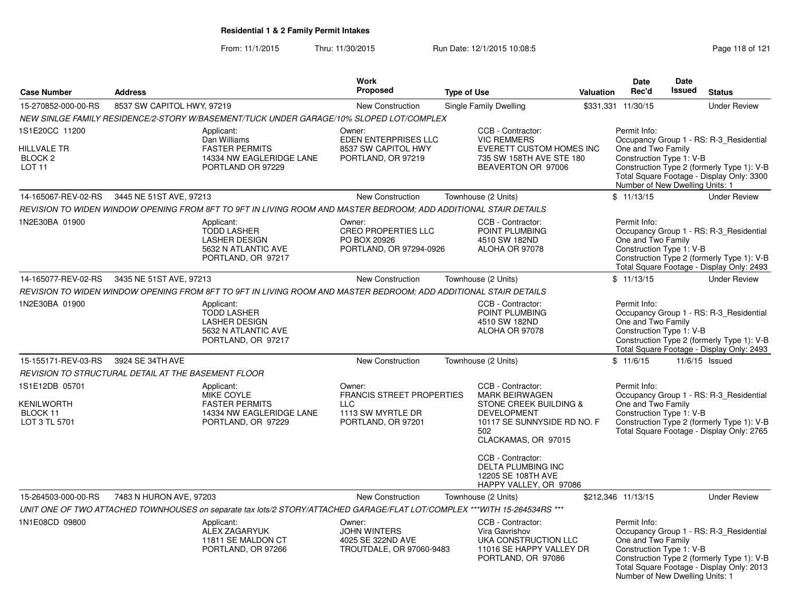From: 11/1/2015Thru: 11/30/2015 Run Date: 12/1/2015 10:08:5<br>
Rage 118 of 121

|                                                                             |                                                     |                                                                                                                           | <b>Work</b>                                                                                  |                     |                                                                                                                                                                                                    |                  | <b>Date</b>                                                                                       | Date          |                                                                                                                                    |
|-----------------------------------------------------------------------------|-----------------------------------------------------|---------------------------------------------------------------------------------------------------------------------------|----------------------------------------------------------------------------------------------|---------------------|----------------------------------------------------------------------------------------------------------------------------------------------------------------------------------------------------|------------------|---------------------------------------------------------------------------------------------------|---------------|------------------------------------------------------------------------------------------------------------------------------------|
| <b>Case Number</b>                                                          | <b>Address</b>                                      |                                                                                                                           | Proposed                                                                                     | <b>Type of Use</b>  |                                                                                                                                                                                                    | <b>Valuation</b> | Rec'd                                                                                             | <b>Issued</b> | <b>Status</b>                                                                                                                      |
| 15-270852-000-00-RS                                                         | 8537 SW CAPITOL HWY, 97219                          |                                                                                                                           | <b>New Construction</b>                                                                      |                     | <b>Single Family Dwelling</b>                                                                                                                                                                      |                  | \$331,331 11/30/15                                                                                |               | <b>Under Review</b>                                                                                                                |
|                                                                             |                                                     | NEW SINLGE FAMILY RESIDENCE/2-STORY W/BASEMENT/TUCK UNDER GARAGE/10% SLOPED LOT/COMPLEX                                   |                                                                                              |                     |                                                                                                                                                                                                    |                  |                                                                                                   |               |                                                                                                                                    |
| 1S1E20CC 11200<br><b>HILLVALE TR</b><br>BLOCK <sub>2</sub><br><b>LOT 11</b> |                                                     | Applicant:<br>Dan Williams<br><b>FASTER PERMITS</b><br>14334 NW EAGLERIDGE LANE<br>PORTLAND OR 97229                      | Owner:<br>EDEN ENTERPRISES LLC<br>8537 SW CAPITOL HWY<br>PORTLAND, OR 97219                  |                     | CCB - Contractor:<br><b>VIC REMMERS</b><br>EVERETT CUSTOM HOMES INC<br>735 SW 158TH AVE STE 180<br>BEAVERTON OR 97006                                                                              |                  | Permit Info:<br>One and Two Family<br>Construction Type 1: V-B<br>Number of New Dwelling Units: 1 |               | Occupancy Group 1 - RS: R-3_Residential<br>Construction Type 2 (formerly Type 1): V-B<br>Total Square Footage - Display Only: 3300 |
| 14-165067-REV-02-RS                                                         | 3445 NE 51ST AVE, 97213                             |                                                                                                                           | New Construction                                                                             | Townhouse (2 Units) |                                                                                                                                                                                                    |                  | \$11/13/15                                                                                        |               | <b>Under Review</b>                                                                                                                |
|                                                                             |                                                     | REVISION TO WIDEN WINDOW OPENING FROM 8FT TO 9FT IN LIVING ROOM AND MASTER BEDROOM; ADD ADDITIONAL STAIR DETAILS          |                                                                                              |                     |                                                                                                                                                                                                    |                  |                                                                                                   |               |                                                                                                                                    |
| 1N2E30BA 01900                                                              |                                                     | Applicant:<br><b>TODD LASHER</b><br><b>LASHER DESIGN</b><br>5632 N ATLANTIC AVE<br>PORTLAND, OR 97217                     | Owner:<br><b>CREO PROPERTIES LLC</b><br>PO BOX 20926<br>PORTLAND, OR 97294-0926              |                     | CCB - Contractor:<br>POINT PLUMBING<br>4510 SW 182ND<br>ALOHA OR 97078                                                                                                                             |                  | Permit Info:<br>One and Two Family<br>Construction Type 1: V-B                                    |               | Occupancy Group 1 - RS: R-3_Residential<br>Construction Type 2 (formerly Type 1): V-B<br>Total Square Footage - Display Only: 2493 |
| 14-165077-REV-02-RS                                                         | 3435 NE 51ST AVE, 97213                             |                                                                                                                           | New Construction                                                                             | Townhouse (2 Units) |                                                                                                                                                                                                    |                  | \$11/13/15                                                                                        |               | <b>Under Review</b>                                                                                                                |
|                                                                             |                                                     | REVISION TO WIDEN WINDOW OPENING FROM 8FT TO 9FT IN LIVING ROOM AND MASTER BEDROOM; ADD ADDITIONAL STAIR DETAILS          |                                                                                              |                     |                                                                                                                                                                                                    |                  |                                                                                                   |               |                                                                                                                                    |
| 1N2E30BA 01900                                                              |                                                     | Applicant:<br><b>TODD LASHER</b><br><b>LASHER DESIGN</b><br>5632 N ATLANTIC AVE<br>PORTLAND, OR 97217                     |                                                                                              |                     | CCB - Contractor:<br>POINT PLUMBING<br>4510 SW 182ND<br>ALOHA OR 97078                                                                                                                             |                  | Permit Info:<br>One and Two Family<br>Construction Type 1: V-B                                    |               | Occupancy Group 1 - RS: R-3_Residential<br>Construction Type 2 (formerly Type 1): V-B<br>Total Square Footage - Display Only: 2493 |
| 15-155171-REV-03-RS                                                         | 3924 SE 34TH AVE                                    |                                                                                                                           | New Construction                                                                             | Townhouse (2 Units) |                                                                                                                                                                                                    |                  | \$11/6/15                                                                                         |               | 11/6/15 Issued                                                                                                                     |
|                                                                             | REVISION TO STRUCTURAL DETAIL AT THE BASEMENT FLOOR |                                                                                                                           |                                                                                              |                     |                                                                                                                                                                                                    |                  |                                                                                                   |               |                                                                                                                                    |
| 1S1E12DB 05701<br><b>KENILWORTH</b><br>BLOCK 11<br>LOT 3 TL 5701            |                                                     | Applicant:<br><b>MIKE COYLE</b><br><b>FASTER PERMITS</b><br>14334 NW EAGLERIDGE LANE<br>PORTLAND, OR 97229                | Owner:<br>FRANCIS STREET PROPERTIES<br>$\sqcup$ C<br>1113 SW MYRTLE DR<br>PORTLAND, OR 97201 |                     | CCB - Contractor:<br><b>MARK BEIRWAGEN</b><br>STONE CREEK BUILDING &<br><b>DEVELOPMENT</b><br>10117 SE SUNNYSIDE RD NO. F<br>502<br>CLACKAMAS, OR 97015<br>CCB - Contractor:<br>DELTA PLUMBING INC |                  | Permit Info:<br>One and Two Family<br>Construction Type 1: V-B                                    |               | Occupancy Group 1 - RS: R-3_Residential<br>Construction Type 2 (formerly Type 1): V-B<br>Total Square Footage - Display Only: 2765 |
|                                                                             |                                                     |                                                                                                                           |                                                                                              |                     | 12205 SE 108TH AVE<br>HAPPY VALLEY, OR 97086                                                                                                                                                       |                  |                                                                                                   |               |                                                                                                                                    |
| 15-264503-000-00-RS                                                         | 7483 N HURON AVE, 97203                             |                                                                                                                           | New Construction                                                                             | Townhouse (2 Units) |                                                                                                                                                                                                    |                  | \$212,346 11/13/15                                                                                |               | <b>Under Review</b>                                                                                                                |
|                                                                             |                                                     | UNIT ONE OF TWO ATTACHED TOWNHOUSES on separate tax lots/2 STORY/ATTACHED GARAGE/FLAT LOT/COMPLEX ***WITH 15-264534RS *** |                                                                                              |                     |                                                                                                                                                                                                    |                  |                                                                                                   |               |                                                                                                                                    |
| 1N1E08CD 09800                                                              |                                                     | Applicant:<br>ALEX ZAGARYUK<br>11811 SE MALDON CT<br>PORTLAND, OR 97266                                                   | Owner:<br><b>JOHN WINTERS</b><br>4025 SE 322ND AVE<br>TROUTDALE, OR 97060-9483               |                     | CCB - Contractor:<br>Vira Gavrishov<br>UKA CONSTRUCTION LLC<br>11016 SE HAPPY VALLEY DR<br>PORTLAND, OR 97086                                                                                      |                  | Permit Info:<br>One and Two Family<br>Construction Type 1: V-B<br>Number of New Dwelling Units: 1 |               | Occupancy Group 1 - RS: R-3_Residential<br>Construction Type 2 (formerly Type 1): V-B<br>Total Square Footage - Display Only: 2013 |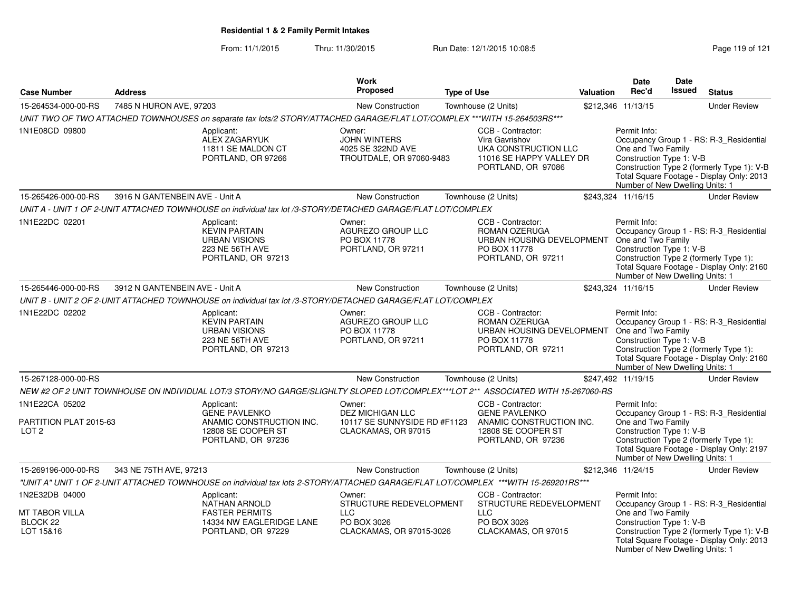From: 11/1/2015Thru: 11/30/2015 Run Date: 12/1/2015 10:08:5<br>
Page 119 of 121

|                                                              |                                |                                                                                                                                     | <b>Work</b><br><b>Proposed</b>                                                             |                    |                                                                                                                          |           | Date<br>Rec'd                                                                                     | Date<br><b>Issued</b> |                                                                                                                                    |
|--------------------------------------------------------------|--------------------------------|-------------------------------------------------------------------------------------------------------------------------------------|--------------------------------------------------------------------------------------------|--------------------|--------------------------------------------------------------------------------------------------------------------------|-----------|---------------------------------------------------------------------------------------------------|-----------------------|------------------------------------------------------------------------------------------------------------------------------------|
| <b>Case Number</b>                                           | <b>Address</b>                 |                                                                                                                                     |                                                                                            | <b>Type of Use</b> |                                                                                                                          | Valuation |                                                                                                   |                       | <b>Status</b>                                                                                                                      |
| 15-264534-000-00-RS                                          | 7485 N HURON AVE, 97203        |                                                                                                                                     | New Construction                                                                           |                    | Townhouse (2 Units)                                                                                                      |           | \$212,346 11/13/15                                                                                |                       | <b>Under Review</b>                                                                                                                |
|                                                              |                                | UNIT TWO OF TWO ATTACHED TOWNHOUSES on separate tax lots/2 STORY/ATTACHED GARAGE/FLAT LOT/COMPLEX ***WITH 15-264503RS***            |                                                                                            |                    |                                                                                                                          |           |                                                                                                   |                       |                                                                                                                                    |
| 1N1E08CD 09800                                               |                                | Applicant:<br>ALEX ZAGARYUK<br>11811 SE MALDON CT<br>PORTLAND, OR 97266                                                             | Owner:<br>JOHN WINTERS<br>4025 SE 322ND AVE<br>TROUTDALE, OR 97060-9483                    |                    | CCB - Contractor:<br>Vira Gavrishov<br>UKA CONSTRUCTION LLC<br>11016 SE HAPPY VALLEY DR<br>PORTLAND, OR 97086            |           | Permit Info:<br>One and Two Family<br>Construction Type 1: V-B<br>Number of New Dwelling Units: 1 |                       | Occupancy Group 1 - RS: R-3_Residential<br>Construction Type 2 (formerly Type 1): V-B<br>Total Square Footage - Display Only: 2013 |
| 15-265426-000-00-RS                                          | 3916 N GANTENBEIN AVE - Unit A |                                                                                                                                     | New Construction                                                                           |                    | Townhouse (2 Units)                                                                                                      |           | \$243,324 11/16/15                                                                                |                       | <b>Under Review</b>                                                                                                                |
|                                                              |                                | UNIT A - UNIT 1 OF 2-UNIT ATTACHED TOWNHOUSE on individual tax lot /3-STORY/DETACHED GARAGE/FLAT LOT/COMPLEX                        |                                                                                            |                    |                                                                                                                          |           |                                                                                                   |                       |                                                                                                                                    |
| 1N1E22DC 02201                                               |                                | Applicant:<br><b>KEVIN PARTAIN</b><br><b>URBAN VISIONS</b><br>223 NE 56TH AVE<br>PORTLAND, OR 97213                                 | Owner:<br>AGUREZO GROUP LLC<br>PO BOX 11778<br>PORTLAND, OR 97211                          |                    | CCB - Contractor:<br>ROMAN OZERUGA<br>URBAN HOUSING DEVELOPMENT<br>PO BOX 11778<br>PORTLAND, OR 97211                    |           | Permit Info:<br>One and Two Family<br>Construction Type 1: V-B<br>Number of New Dwelling Units: 1 |                       | Occupancy Group 1 - RS: R-3_Residential<br>Construction Type 2 (formerly Type 1):<br>Total Square Footage - Display Only: 2160     |
| 15-265446-000-00-RS                                          | 3912 N GANTENBEIN AVE - Unit A |                                                                                                                                     | New Construction                                                                           |                    | Townhouse (2 Units)                                                                                                      |           | \$243,324 11/16/15                                                                                |                       | <b>Under Review</b>                                                                                                                |
|                                                              |                                | UNIT B - UNIT 2 OF 2-UNIT ATTACHED TOWNHOUSE on individual tax lot /3-STORY/DETACHED GARAGE/FLAT LOT/COMPLEX                        |                                                                                            |                    |                                                                                                                          |           |                                                                                                   |                       |                                                                                                                                    |
| 1N1E22DC 02202                                               |                                | Applicant:<br><b>KEVIN PARTAIN</b><br><b>URBAN VISIONS</b><br>223 NE 56TH AVE<br>PORTLAND, OR 97213                                 | Owner:<br>AGUREZO GROUP LLC<br>PO BOX 11778<br>PORTLAND, OR 97211                          |                    | CCB - Contractor:<br>ROMAN OZERUGA<br>URBAN HOUSING DEVELOPMENT One and Two Family<br>PO BOX 11778<br>PORTLAND, OR 97211 |           | Permit Info:<br>Construction Type 1: V-B<br>Number of New Dwelling Units: 1                       |                       | Occupancy Group 1 - RS: R-3_Residential<br>Construction Type 2 (formerly Type 1):<br>Total Square Footage - Display Only: 2160     |
| 15-267128-000-00-RS                                          |                                |                                                                                                                                     | <b>New Construction</b>                                                                    |                    | Townhouse (2 Units)                                                                                                      |           | \$247,492 11/19/15                                                                                |                       | <b>Under Review</b>                                                                                                                |
|                                                              |                                | NEW #2 OF 2 UNIT TOWNHOUSE ON INDIVIDUAL LOT/3 STORY/NO GARGE/SLIGHLTY SLOPED LOT/COMPLEX***LOT 2** ASSOCIATED WITH 15-267060-RS    |                                                                                            |                    |                                                                                                                          |           |                                                                                                   |                       |                                                                                                                                    |
| 1N1E22CA 05202<br>PARTITION PLAT 2015-63<br>LOT <sub>2</sub> |                                | Applicant:<br><b>GENE PAVLENKO</b><br>ANAMIC CONSTRUCTION INC.<br>12808 SE COOPER ST<br>PORTLAND, OR 97236                          | Owner:<br><b>DEZ MICHIGAN LLC</b><br>10117 SE SUNNYSIDE RD #F1123<br>CLACKAMAS, OR 97015   |                    | CCB - Contractor:<br><b>GENE PAVLENKO</b><br>ANAMIC CONSTRUCTION INC.<br>12808 SE COOPER ST<br>PORTLAND, OR 97236        |           | Permit Info:<br>One and Two Family<br>Construction Type 1: V-B<br>Number of New Dwelling Units: 1 |                       | Occupancy Group 1 - RS: R-3_Residential<br>Construction Type 2 (formerly Type 1):<br>Total Square Footage - Display Only: 2197     |
| 15-269196-000-00-RS                                          | 343 NE 75TH AVE, 97213         |                                                                                                                                     | New Construction                                                                           |                    | Townhouse (2 Units)                                                                                                      |           | \$212,346 11/24/15                                                                                |                       | <b>Under Review</b>                                                                                                                |
|                                                              |                                | "UNIT A" UNIT 1 OF 2-UNIT ATTACHED TOWNHOUSE on individual tax lots 2-STORY/ATTACHED GARAGE/FLAT LOT/COMPLEX ***WITH 15-269201RS*** |                                                                                            |                    |                                                                                                                          |           |                                                                                                   |                       |                                                                                                                                    |
| 1N2E32DB 04000<br>MT TABOR VILLA<br>BLOCK 22<br>LOT 15&16    |                                | Applicant:<br><b>NATHAN ARNOLD</b><br><b>FASTER PERMITS</b><br>14334 NW EAGLERIDGE LANE<br>PORTLAND, OR 97229                       | Owner:<br>STRUCTURE REDEVELOPMENT<br><b>LLC</b><br>PO BOX 3026<br>CLACKAMAS, OR 97015-3026 |                    | CCB - Contractor:<br>STRUCTURE REDEVELOPMENT<br><b>LLC</b><br>PO BOX 3026<br>CLACKAMAS, OR 97015                         |           | Permit Info:<br>One and Two Family<br>Construction Type 1: V-B<br>Number of New Dwelling Units: 1 |                       | Occupancy Group 1 - RS: R-3_Residential<br>Construction Type 2 (formerly Type 1): V-B<br>Total Square Footage - Display Only: 2013 |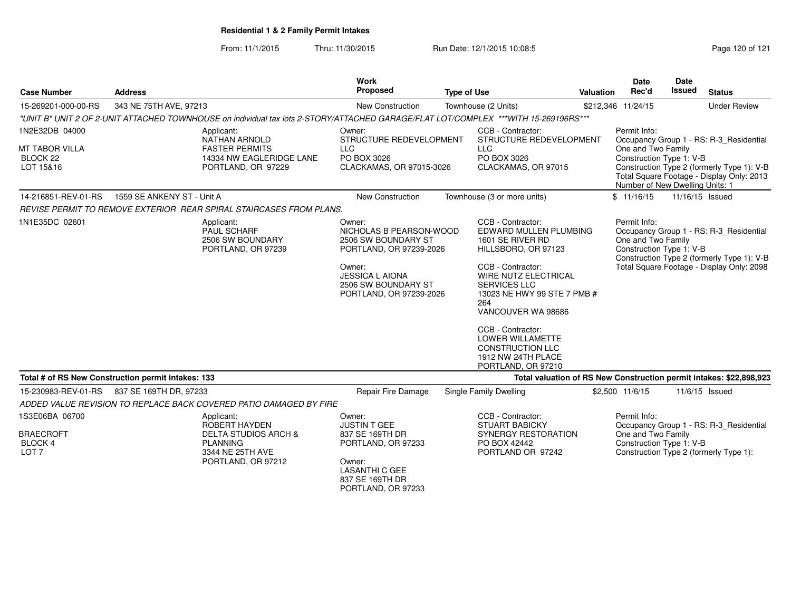From: 11/1/2015Thru: 11/30/2015 Run Date: 12/1/2015 10:08:5<br>
Page 120 of 121

| <b>Case Number</b>                                                | <b>Address</b>                                                                                                                      | <b>Work</b><br>Proposed                                                                                                                                                   | <b>Type of Use</b>                                                                                                                                                                                                                                                                                               | <b>Valuation</b> | Date<br>Rec'd                                                                                     | Date<br><b>Issued</b> | <b>Status</b>                                                                                                                      |
|-------------------------------------------------------------------|-------------------------------------------------------------------------------------------------------------------------------------|---------------------------------------------------------------------------------------------------------------------------------------------------------------------------|------------------------------------------------------------------------------------------------------------------------------------------------------------------------------------------------------------------------------------------------------------------------------------------------------------------|------------------|---------------------------------------------------------------------------------------------------|-----------------------|------------------------------------------------------------------------------------------------------------------------------------|
| 15-269201-000-00-RS                                               | 343 NE 75TH AVE, 97213                                                                                                              | New Construction                                                                                                                                                          | Townhouse (2 Units)                                                                                                                                                                                                                                                                                              |                  | \$212,346 11/24/15                                                                                |                       | <b>Under Review</b>                                                                                                                |
|                                                                   | "UNIT B" UNIT 2 OF 2-UNIT ATTACHED TOWNHOUSE on individual tax lots 2-STORY/ATTACHED GARAGE/FLAT LOT/COMPLEX ***WITH 15-269196RS*** |                                                                                                                                                                           |                                                                                                                                                                                                                                                                                                                  |                  |                                                                                                   |                       |                                                                                                                                    |
| 1N2E32DB 04000<br><b>MT TABOR VILLA</b><br>BLOCK 22<br>LOT 15&16  | Applicant:<br><b>NATHAN ARNOLD</b><br><b>FASTER PERMITS</b><br>14334 NW EAGLERIDGE LANE<br>PORTLAND, OR 97229                       | Owner:<br>STRUCTURE REDEVELOPMENT<br><b>LLC</b><br>PO BOX 3026<br>CLACKAMAS, OR 97015-3026                                                                                | CCB - Contractor:<br>STRUCTURE REDEVELOPMENT<br><b>LLC</b><br>PO BOX 3026<br>CLACKAMAS, OR 97015<br>Townhouse (3 or more units)                                                                                                                                                                                  |                  | Permit Info:<br>One and Two Family<br>Construction Type 1: V-B<br>Number of New Dwelling Units: 1 |                       | Occupancy Group 1 - RS: R-3_Residential<br>Construction Type 2 (formerly Type 1): V-B<br>Total Square Footage - Display Only: 2013 |
| 14-216851-REV-01-RS                                               | 1559 SE ANKENY ST - Unit A                                                                                                          | New Construction                                                                                                                                                          |                                                                                                                                                                                                                                                                                                                  |                  | \$11/16/15                                                                                        |                       | 11/16/15 Issued                                                                                                                    |
|                                                                   | REVISE PERMIT TO REMOVE EXTERIOR REAR SPIRAL STAIRCASES FROM PLANS.                                                                 |                                                                                                                                                                           |                                                                                                                                                                                                                                                                                                                  |                  |                                                                                                   |                       |                                                                                                                                    |
| 1N1E35DC 02601                                                    | Applicant:<br>PAUL SCHARF<br>2506 SW BOUNDARY<br>PORTLAND, OR 97239                                                                 | Owner:<br>NICHOLAS B PEARSON-WOOD<br>2506 SW BOUNDARY ST<br>PORTLAND, OR 97239-2026<br>Owner:<br><b>JESSICA L AIONA</b><br>2506 SW BOUNDARY ST<br>PORTLAND, OR 97239-2026 | CCB - Contractor:<br>EDWARD MULLEN PLUMBING<br>1601 SE RIVER RD<br>HILLSBORO, OR 97123<br>CCB - Contractor:<br>WIRE NUTZ ELECTRICAL<br><b>SERVICES LLC</b><br>13023 NE HWY 99 STE 7 PMB #<br>264<br>VANCOUVER WA 98686<br>CCB - Contractor:<br>LOWER WILLAMETTE<br><b>CONSTRUCTION LLC</b><br>1912 NW 24TH PLACE |                  | Permit Info:<br>One and Two Family<br>Construction Type 1: V-B                                    |                       | Occupancy Group 1 - RS: R-3_Residential<br>Construction Type 2 (formerly Type 1): V-B<br>Total Square Footage - Display Only: 2098 |
|                                                                   | Total # of RS New Construction permit intakes: 133                                                                                  |                                                                                                                                                                           | PORTLAND, OR 97210                                                                                                                                                                                                                                                                                               |                  |                                                                                                   |                       | Total valuation of RS New Construction permit intakes: \$22,898,923                                                                |
| 15-230983-REV-01-RS                                               | 837 SE 169TH DR, 97233                                                                                                              | Repair Fire Damage                                                                                                                                                        | Single Family Dwelling                                                                                                                                                                                                                                                                                           |                  | \$2,500 11/6/15                                                                                   |                       | 11/6/15 Issued                                                                                                                     |
|                                                                   | ADDED VALUE REVISION TO REPLACE BACK COVERED PATIO DAMAGED BY FIRE                                                                  |                                                                                                                                                                           |                                                                                                                                                                                                                                                                                                                  |                  |                                                                                                   |                       |                                                                                                                                    |
| 1S3E06BA 06700<br><b>BRAECROFT</b><br>BLOCK 4<br>LOT <sub>7</sub> | Applicant:<br>ROBERT HAYDEN<br>DELTA STUDIOS ARCH &<br><b>PLANNING</b><br>3344 NE 25TH AVE<br>PORTLAND, OR 97212                    | Owner:<br><b>JUSTIN T GEE</b><br>837 SE 169TH DR<br>PORTLAND, OR 97233<br>Owner:<br><b>LASANTHI C GEE</b><br>837 SE 169TH DR<br>PORTLAND, OR 97233                        | CCB - Contractor:<br><b>STUART BABICKY</b><br><b>SYNERGY RESTORATION</b><br>PO BOX 42442<br>PORTLAND OR 97242                                                                                                                                                                                                    |                  | Permit Info:<br>One and Two Family<br>Construction Type 1: V-B                                    |                       | Occupancy Group 1 - RS: R-3_Residential<br>Construction Type 2 (formerly Type 1):                                                  |